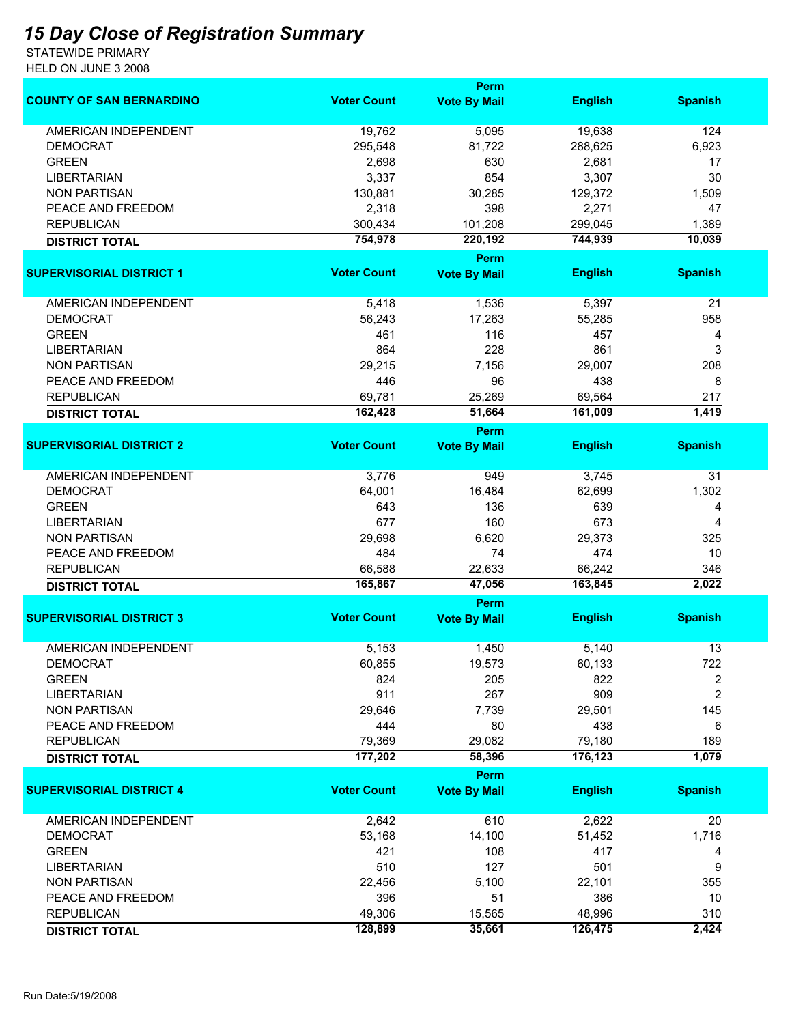## *15 Day Close of Registration Summary*

STATEWIDE PRIMARY HELD ON JUNE 3 2008

|                                 |                    | Perm                |                |                |
|---------------------------------|--------------------|---------------------|----------------|----------------|
| <b>COUNTY OF SAN BERNARDINO</b> | <b>Voter Count</b> | <b>Vote By Mail</b> | <b>English</b> | <b>Spanish</b> |
| AMERICAN INDEPENDENT            | 19,762             | 5,095               | 19,638         | 124            |
| <b>DEMOCRAT</b>                 | 295,548            | 81,722              | 288,625        | 6,923          |
| <b>GREEN</b>                    | 2,698              | 630                 | 2,681          | 17             |
| <b>LIBERTARIAN</b>              | 3,337              | 854                 | 3,307          | 30             |
| <b>NON PARTISAN</b>             | 130,881            | 30,285              | 129,372        | 1,509          |
| PEACE AND FREEDOM               | 2,318              | 398                 | 2,271          | 47             |
| <b>REPUBLICAN</b>               | 300,434            | 101,208             | 299,045        | 1,389          |
| <b>DISTRICT TOTAL</b>           | 754,978            | 220,192             | 744,939        | 10,039         |
|                                 |                    | <b>Perm</b>         |                |                |
| <b>SUPERVISORIAL DISTRICT 1</b> | <b>Voter Count</b> | <b>Vote By Mail</b> | <b>English</b> | <b>Spanish</b> |
| AMERICAN INDEPENDENT            | 5,418              | 1,536               | 5,397          | 21             |
| <b>DEMOCRAT</b>                 | 56,243             | 17,263              | 55,285         | 958            |
| <b>GREEN</b>                    | 461                | 116                 | 457            | 4              |
| <b>LIBERTARIAN</b>              | 864                | 228                 | 861            | 3              |
| <b>NON PARTISAN</b>             | 29,215             | 7,156               | 29,007         | 208            |
| PEACE AND FREEDOM               | 446                | 96                  | 438            | 8              |
| <b>REPUBLICAN</b>               | 69,781             | 25,269              | 69,564         | 217            |
|                                 | 162,428            | 51,664              | 161,009        | 1,419          |
| <b>DISTRICT TOTAL</b>           |                    | <b>Perm</b>         |                |                |
| <b>SUPERVISORIAL DISTRICT 2</b> | <b>Voter Count</b> | <b>Vote By Mail</b> | <b>English</b> | <b>Spanish</b> |
| <b>AMERICAN INDEPENDENT</b>     | 3,776              | 949                 | 3,745          | 31             |
| <b>DEMOCRAT</b>                 | 64,001             | 16,484              | 62,699         | 1,302          |
| <b>GREEN</b>                    | 643                | 136                 | 639            | 4              |
| <b>LIBERTARIAN</b>              | 677                | 160                 | 673            | 4              |
| <b>NON PARTISAN</b>             | 29,698             | 6,620               | 29,373         | 325            |
| PEACE AND FREEDOM               | 484                | 74                  | 474            | 10             |
| <b>REPUBLICAN</b>               | 66,588             | 22,633              | 66,242         | 346            |
| <b>DISTRICT TOTAL</b>           | 165,867            | 47,056              | 163,845        | 2,022          |
|                                 |                    | Perm                |                |                |
| <b>SUPERVISORIAL DISTRICT 3</b> | <b>Voter Count</b> | <b>Vote By Mail</b> | <b>English</b> | <b>Spanish</b> |
| AMERICAN INDEPENDENT            | 5,153              | 1,450               | 5,140          | 13             |
| DEMOCRAT                        | 60,855             | 19,573              | 60,133         | 722            |
| <b>GREEN</b>                    | 824                | 205                 | 822            | 2              |
| <b>LIBERTARIAN</b>              | 911                | 267                 | 909            | $\overline{2}$ |
| <b>NON PARTISAN</b>             | 29,646             | 7,739               | 29,501         | 145            |
| PEACE AND FREEDOM               | 444                | 80                  | 438            | 6              |
| <b>REPUBLICAN</b>               | 79,369             | 29,082              | 79,180         | 189            |
| <b>DISTRICT TOTAL</b>           | 177,202            | 58,396              | 176,123        | 1,079          |
|                                 |                    | Perm                |                |                |
| <b>SUPERVISORIAL DISTRICT 4</b> | <b>Voter Count</b> | <b>Vote By Mail</b> | <b>English</b> | <b>Spanish</b> |
| AMERICAN INDEPENDENT            | 2,642              | 610                 | 2,622          | 20             |
| <b>DEMOCRAT</b>                 | 53,168             | 14,100              | 51,452         | 1,716          |
| <b>GREEN</b>                    | 421                | 108                 | 417            | 4              |
| <b>LIBERTARIAN</b>              | 510                | 127                 | 501            | 9              |
| <b>NON PARTISAN</b>             | 22,456             | 5,100               | 22,101         | 355            |
| PEACE AND FREEDOM               | 396                | 51                  | 386            | 10             |
| <b>REPUBLICAN</b>               | 49,306             | 15,565              | 48,996         | 310            |
|                                 | 128,899            | 35,661              | 126,475        | 2,424          |
| <b>DISTRICT TOTAL</b>           |                    |                     |                |                |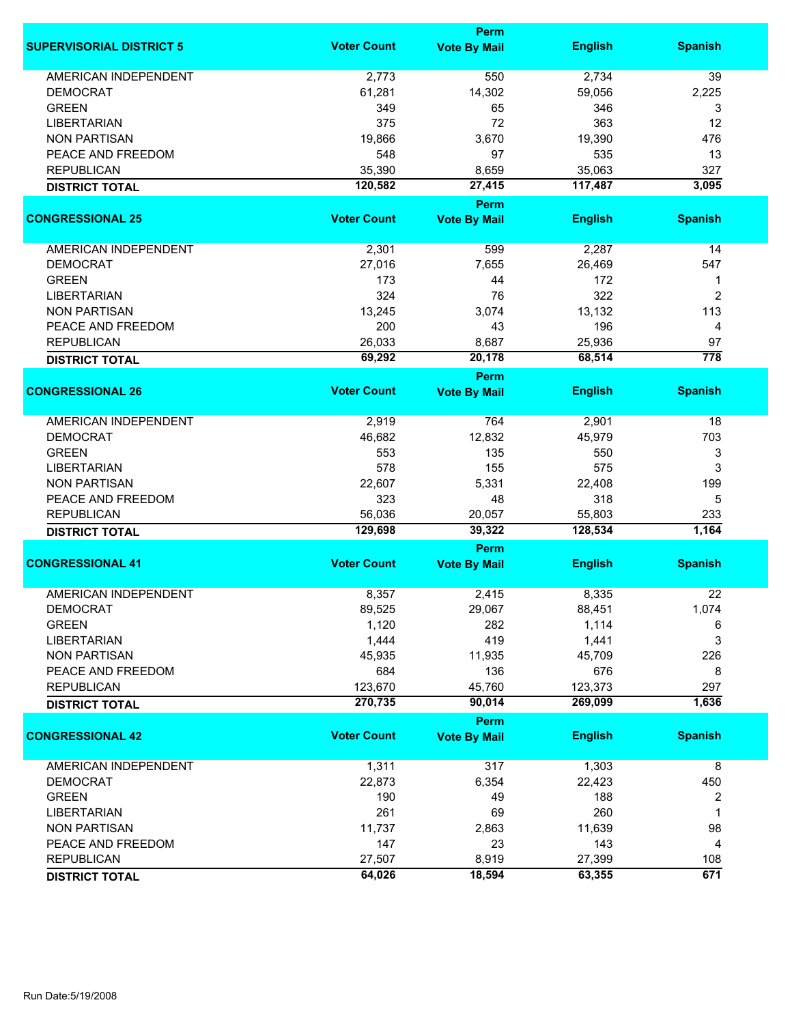|                                 |                    | <b>Perm</b>                        |                   |                  |
|---------------------------------|--------------------|------------------------------------|-------------------|------------------|
| <b>SUPERVISORIAL DISTRICT 5</b> | <b>Voter Count</b> | <b>Vote By Mail</b>                | <b>English</b>    | <b>Spanish</b>   |
| <b>AMERICAN INDEPENDENT</b>     | 2,773              | 550                                | 2,734             | 39               |
| <b>DEMOCRAT</b>                 | 61,281             | 14,302                             | 59,056            | 2,225            |
| <b>GREEN</b>                    | 349                | 65                                 | 346               | 3                |
| <b>LIBERTARIAN</b>              | 375                | 72                                 | 363               | 12               |
| <b>NON PARTISAN</b>             | 19,866             | 3,670                              | 19,390            | 476              |
| PEACE AND FREEDOM               | 548                | 97                                 | 535               | 13               |
|                                 |                    |                                    |                   |                  |
| <b>REPUBLICAN</b>               | 35,390<br>120,582  | 8,659                              | 35,063<br>117,487 | 327<br>3,095     |
| <b>DISTRICT TOTAL</b>           |                    | 27,415<br><b>Perm</b>              |                   |                  |
| <b>CONGRESSIONAL 25</b>         | <b>Voter Count</b> | <b>Vote By Mail</b>                | <b>English</b>    | <b>Spanish</b>   |
| AMERICAN INDEPENDENT            | 2,301              | 599                                | 2,287             | 14               |
| <b>DEMOCRAT</b>                 | 27,016             | 7,655                              | 26,469            | 547              |
| <b>GREEN</b>                    | 173                | 44                                 | 172               | 1                |
|                                 |                    |                                    |                   |                  |
| <b>LIBERTARIAN</b>              | 324                | 76                                 | 322               | 2                |
| <b>NON PARTISAN</b>             | 13,245             | 3,074                              | 13,132            | 113              |
| PEACE AND FREEDOM               | 200                | 43                                 | 196               | 4                |
| <b>REPUBLICAN</b>               | 26,033             | 8,687                              | 25,936            | 97               |
| <b>DISTRICT TOTAL</b>           | 69,292             | 20,178                             | 68,514            | $\overline{778}$ |
| <b>CONGRESSIONAL 26</b>         | <b>Voter Count</b> | <b>Perm</b><br><b>Vote By Mail</b> | <b>English</b>    | <b>Spanish</b>   |
|                                 |                    |                                    |                   |                  |
| <b>AMERICAN INDEPENDENT</b>     | 2,919              | 764                                | 2,901             | 18               |
| <b>DEMOCRAT</b>                 | 46,682             | 12,832                             | 45,979            | 703              |
| <b>GREEN</b>                    | 553                | 135                                | 550               | 3                |
| <b>LIBERTARIAN</b>              | 578                | 155                                | 575               | 3                |
| <b>NON PARTISAN</b>             | 22,607             | 5,331                              | 22,408            | 199              |
| PEACE AND FREEDOM               | 323                | 48                                 | 318               | 5                |
| <b>REPUBLICAN</b>               | 56,036             | 20,057                             | 55,803            | 233              |
| <b>DISTRICT TOTAL</b>           | 129,698            | 39,322                             | 128,534           | 1,164            |
|                                 |                    | <b>Perm</b>                        |                   |                  |
| <b>CONGRESSIONAL 41</b>         | <b>Voter Count</b> | <b>Vote By Mail</b>                | <b>English</b>    | <b>Spanish</b>   |
| <b>AMERICAN INDEPENDENT</b>     | 8,357              | 2,415                              | 8,335             | 22               |
| DEMOCRAT                        | 89,525             | 29,067                             | 88,451            | 1,074            |
| <b>GREEN</b>                    | 1,120              | 282                                | 1,114             | 6                |
| <b>LIBERTARIAN</b>              | 1,444              | 419                                | 1,441             | 3                |
| <b>NON PARTISAN</b>             | 45,935             | 11,935                             | 45,709            | 226              |
| PEACE AND FREEDOM               | 684                | 136                                | 676               | 8                |
| <b>REPUBLICAN</b>               | 123,670            | 45,760                             | 123,373           | 297              |
| <b>DISTRICT TOTAL</b>           | 270,735            | 90,014                             | 269,099           | 1,636            |
|                                 |                    | Perm                               |                   |                  |
| <b>CONGRESSIONAL 42</b>         | <b>Voter Count</b> | <b>Vote By Mail</b>                | <b>English</b>    | <b>Spanish</b>   |
| <b>AMERICAN INDEPENDENT</b>     | 1,311              | 317                                | 1,303             | 8                |
| <b>DEMOCRAT</b>                 | 22,873             | 6,354                              | 22,423            | 450              |
| <b>GREEN</b>                    | 190                | 49                                 | 188               | 2                |
|                                 |                    |                                    | 260               | 1                |
| <b>LIBERTARIAN</b>              | 261                | 69                                 |                   |                  |
| <b>NON PARTISAN</b>             | 11,737             | 2,863                              | 11,639            | 98               |
| PEACE AND FREEDOM               | 147                | 23                                 | 143               | 4                |
| <b>REPUBLICAN</b>               | 27,507             | 8,919                              | 27,399            | 108              |
| <b>DISTRICT TOTAL</b>           | 64,026             | 18,594                             | 63,355            | 671              |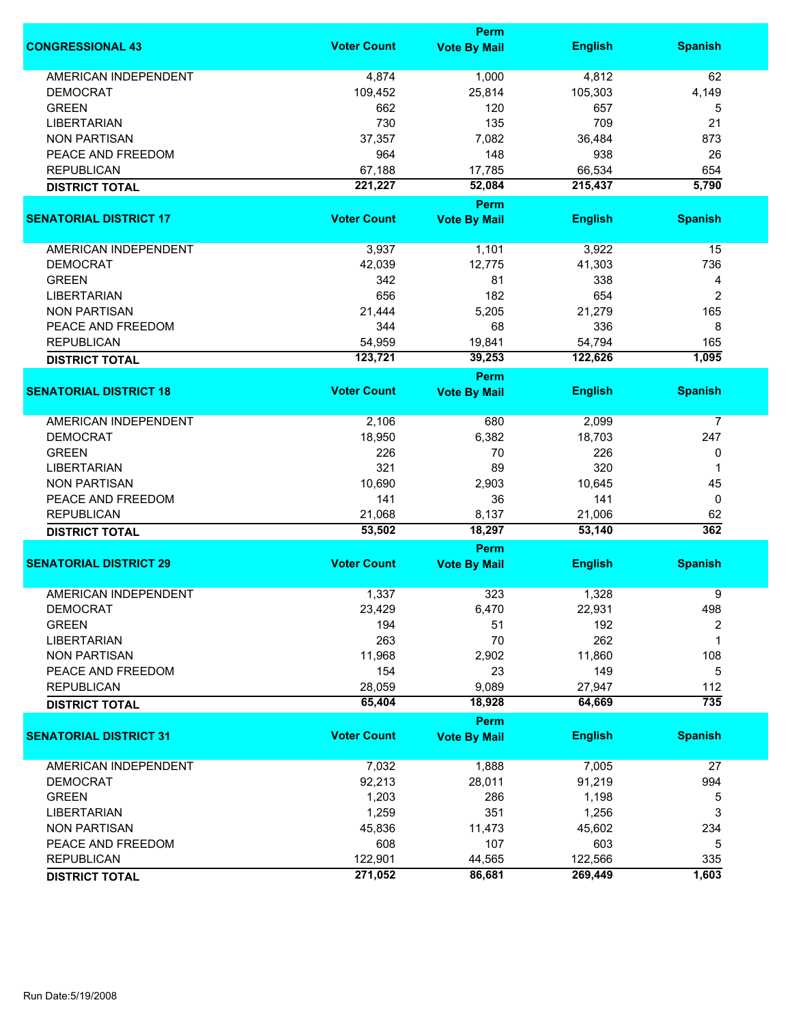|                               |                    | <b>Perm</b>                        |                  |                |
|-------------------------------|--------------------|------------------------------------|------------------|----------------|
| <b>CONGRESSIONAL 43</b>       | <b>Voter Count</b> | <b>Vote By Mail</b>                | <b>English</b>   | <b>Spanish</b> |
| <b>AMERICAN INDEPENDENT</b>   | 4,874              | 1,000                              | 4,812            | 62             |
| <b>DEMOCRAT</b>               | 109,452            | 25,814                             | 105,303          | 4,149          |
| <b>GREEN</b>                  | 662                | 120                                | 657              | 5              |
| <b>LIBERTARIAN</b>            | 730                | 135                                | 709              | 21             |
| <b>NON PARTISAN</b>           | 37,357             | 7,082                              | 36,484           | 873            |
|                               |                    | 148                                | 938              |                |
| PEACE AND FREEDOM             | 964                |                                    |                  | 26             |
| <b>REPUBLICAN</b>             | 67,188             | 17,785                             | 66,534           | 654            |
| <b>DISTRICT TOTAL</b>         | 221,227            | 52,084                             | 215,437          | 5,790          |
| <b>SENATORIAL DISTRICT 17</b> | <b>Voter Count</b> | <b>Perm</b><br><b>Vote By Mail</b> | <b>English</b>   | <b>Spanish</b> |
|                               |                    |                                    |                  |                |
| AMERICAN INDEPENDENT          | 3,937              | 1,101                              | 3,922            | 15             |
| <b>DEMOCRAT</b>               | 42,039             | 12,775                             | 41,303           | 736            |
| <b>GREEN</b>                  | 342                | 81                                 | 338              | 4              |
| <b>LIBERTARIAN</b>            | 656                | 182                                | 654              | 2              |
| <b>NON PARTISAN</b>           | 21,444             | 5,205                              | 21,279           | 165            |
| PEACE AND FREEDOM             | 344                | 68                                 | 336              | 8              |
| <b>REPUBLICAN</b>             | 54,959             | 19,841                             | 54,794           | 165            |
| <b>DISTRICT TOTAL</b>         | 123,721            | 39,253                             | 122,626          | 1,095          |
|                               |                    | <b>Perm</b>                        |                  |                |
| <b>SENATORIAL DISTRICT 18</b> | <b>Voter Count</b> | <b>Vote By Mail</b>                | <b>English</b>   | <b>Spanish</b> |
| <b>AMERICAN INDEPENDENT</b>   | 2,106              | 680                                | 2,099            | 7              |
| <b>DEMOCRAT</b>               | 18,950             | 6,382                              | 18,703           | 247            |
| <b>GREEN</b>                  | 226                | 70                                 | 226              | 0              |
| <b>LIBERTARIAN</b>            | 321                | 89                                 | 320              | 1              |
| <b>NON PARTISAN</b>           | 10,690             | 2,903                              | 10,645           | 45             |
| PEACE AND FREEDOM             | 141                | 36                                 | 141              | 0              |
| <b>REPUBLICAN</b>             | 21,068             | 8,137                              | 21,006           | 62             |
| <b>DISTRICT TOTAL</b>         | 53,502             | 18,297                             | 53,140           | 362            |
|                               |                    | Perm                               |                  |                |
| <b>SENATORIAL DISTRICT 29</b> | <b>Voter Count</b> | <b>Vote By Mail</b>                | <b>English</b>   | <b>Spanish</b> |
| AMERICAN INDEPENDENT          | 1,337              | 323                                | 1,328            | 9              |
| DEMOCRAT                      | 23,429             | 6,470                              | 22,931           | 498            |
| <b>GREEN</b>                  | 194                | 51                                 | 192              | 2              |
| <b>LIBERTARIAN</b>            | 263                | 70                                 | 262              | 1              |
| <b>NON PARTISAN</b>           | 11,968             | 2,902                              | 11,860           | 108            |
| PEACE AND FREEDOM             | 154                | 23                                 | 149              | 5              |
|                               |                    | 9,089                              |                  |                |
| <b>REPUBLICAN</b>             | 28,059<br>65,404   |                                    | 27,947<br>64,669 | 112<br>735     |
| <b>DISTRICT TOTAL</b>         |                    | 18,928<br><b>Perm</b>              |                  |                |
| <b>SENATORIAL DISTRICT 31</b> | <b>Voter Count</b> | <b>Vote By Mail</b>                | <b>English</b>   | <b>Spanish</b> |
| <b>AMERICAN INDEPENDENT</b>   | 7,032              | 1,888                              | 7,005            | 27             |
| <b>DEMOCRAT</b>               | 92,213             | 28,011                             | 91,219           | 994            |
|                               |                    |                                    |                  |                |
| <b>GREEN</b>                  | 1,203              | 286                                | 1,198            | 5              |
| <b>LIBERTARIAN</b>            | 1,259              | 351                                | 1,256            | 3              |
| <b>NON PARTISAN</b>           | 45,836             | 11,473                             | 45,602           | 234            |
| PEACE AND FREEDOM             | 608                | 107                                | 603              | 5              |
| <b>REPUBLICAN</b>             | 122,901            | 44,565                             | 122,566          | 335            |
| <b>DISTRICT TOTAL</b>         | 271,052            | 86,681                             | 269,449          | 1,603          |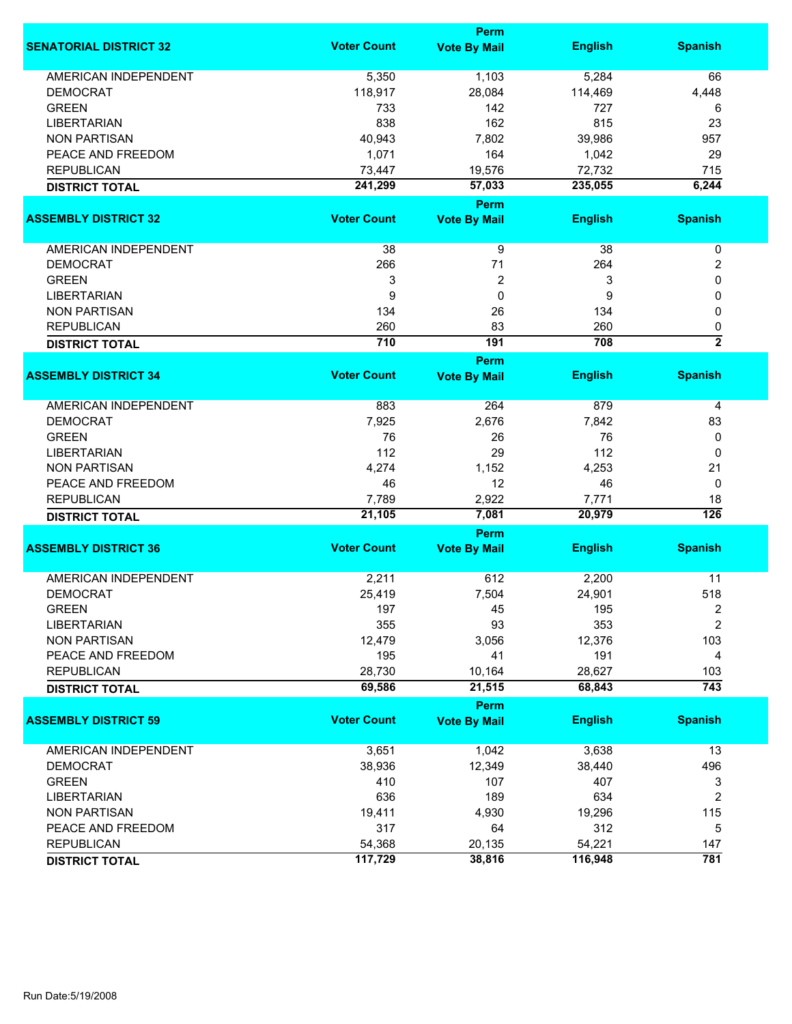|                               |                    | Perm                               |                |                         |
|-------------------------------|--------------------|------------------------------------|----------------|-------------------------|
| <b>SENATORIAL DISTRICT 32</b> | <b>Voter Count</b> | <b>Vote By Mail</b>                | <b>English</b> | <b>Spanish</b>          |
| <b>AMERICAN INDEPENDENT</b>   | 5,350              | 1,103                              | 5,284          | 66                      |
| <b>DEMOCRAT</b>               | 118,917            | 28,084                             | 114,469        | 4,448                   |
| <b>GREEN</b>                  | 733                | 142                                | 727            | 6                       |
| <b>LIBERTARIAN</b>            | 838                | 162                                | 815            | 23                      |
| <b>NON PARTISAN</b>           | 40,943             | 7,802                              | 39,986         | 957                     |
| PEACE AND FREEDOM             | 1,071              | 164                                | 1,042          | 29                      |
| <b>REPUBLICAN</b>             |                    |                                    |                |                         |
|                               | 73,447             | 19,576                             | 72,732         | 715                     |
| <b>DISTRICT TOTAL</b>         | 241,299            | 57,033                             | 235,055        | 6,244                   |
|                               |                    | Perm                               |                |                         |
| <b>ASSEMBLY DISTRICT 32</b>   | <b>Voter Count</b> | <b>Vote By Mail</b>                | <b>English</b> | <b>Spanish</b>          |
| AMERICAN INDEPENDENT          | 38                 | 9                                  | 38             | $\pmb{0}$               |
| <b>DEMOCRAT</b>               | 266                | 71                                 | 264            | 2                       |
| <b>GREEN</b>                  | 3                  | $\overline{2}$                     | 3              | 0                       |
| <b>LIBERTARIAN</b>            | 9                  | $\mathbf 0$                        | 9              | 0                       |
| <b>NON PARTISAN</b>           | 134                | 26                                 | 134            | 0                       |
| <b>REPUBLICAN</b>             | 260                | 83                                 | 260            |                         |
| <b>DISTRICT TOTAL</b>         | 710                | 191                                | 708            | 0<br>$\overline{2}$     |
|                               |                    |                                    |                |                         |
| <b>ASSEMBLY DISTRICT 34</b>   | <b>Voter Count</b> | <b>Perm</b><br><b>Vote By Mail</b> | <b>English</b> | <b>Spanish</b>          |
|                               |                    |                                    |                |                         |
| <b>AMERICAN INDEPENDENT</b>   | 883                | 264                                | 879            | 4                       |
| <b>DEMOCRAT</b>               | 7,925              | 2,676                              | 7,842          | 83                      |
| <b>GREEN</b>                  | 76                 | 26                                 | 76             | 0                       |
| <b>LIBERTARIAN</b>            | 112                | 29                                 | 112            | 0                       |
| <b>NON PARTISAN</b>           | 4,274              | 1,152                              | 4,253          | 21                      |
| PEACE AND FREEDOM             | 46                 | 12                                 | 46             | 0                       |
| <b>REPUBLICAN</b>             | 7,789              | 2,922                              | 7,771          | 18                      |
| <b>DISTRICT TOTAL</b>         | 21,105             | 7,081                              | 20,979         | $\overline{126}$        |
|                               |                    | <b>Perm</b>                        |                |                         |
| <b>ASSEMBLY DISTRICT 36</b>   | <b>Voter Count</b> | <b>Vote By Mail</b>                | <b>English</b> | <b>Spanish</b>          |
|                               |                    |                                    |                |                         |
| <b>AMERICAN INDEPENDENT</b>   | 2,211              | 612                                | 2,200          | 11                      |
| <b>DEMOCRAT</b>               | 25,419             | 7,504                              | 24,901         | 518                     |
| <b>GREEN</b>                  | 197                | 45                                 | 195            | 2                       |
| <b>LIBERTARIAN</b>            | 355                | 93                                 | 353            | $\overline{\mathbf{c}}$ |
| <b>NON PARTISAN</b>           | 12,479             | 3,056                              | 12,376         | 103                     |
| PEACE AND FREEDOM             | 195                | 41                                 | 191            | 4                       |
| <b>REPUBLICAN</b>             | 28,730             | 10,164                             | 28,627         | 103                     |
| <b>DISTRICT TOTAL</b>         | 69,586             | 21,515                             | 68,843         | 743                     |
|                               |                    | Perm                               |                |                         |
| <b>ASSEMBLY DISTRICT 59</b>   | <b>Voter Count</b> | <b>Vote By Mail</b>                | <b>English</b> | <b>Spanish</b>          |
| AMERICAN INDEPENDENT          | 3,651              | 1,042                              | 3,638          | 13                      |
| <b>DEMOCRAT</b>               | 38,936             | 12,349                             | 38,440         | 496                     |
| <b>GREEN</b>                  | 410                | 107                                | 407            | 3                       |
| <b>LIBERTARIAN</b>            | 636                | 189                                | 634            | 2                       |
|                               |                    |                                    |                |                         |
| <b>NON PARTISAN</b>           | 19,411             | 4,930                              | 19,296         | 115                     |
| PEACE AND FREEDOM             | 317                | 64                                 | 312            | 5                       |
| <b>REPUBLICAN</b>             | 54,368             | 20,135                             | 54,221         | 147                     |
| <b>DISTRICT TOTAL</b>         | 117,729            | 38,816                             | 116,948        | 781                     |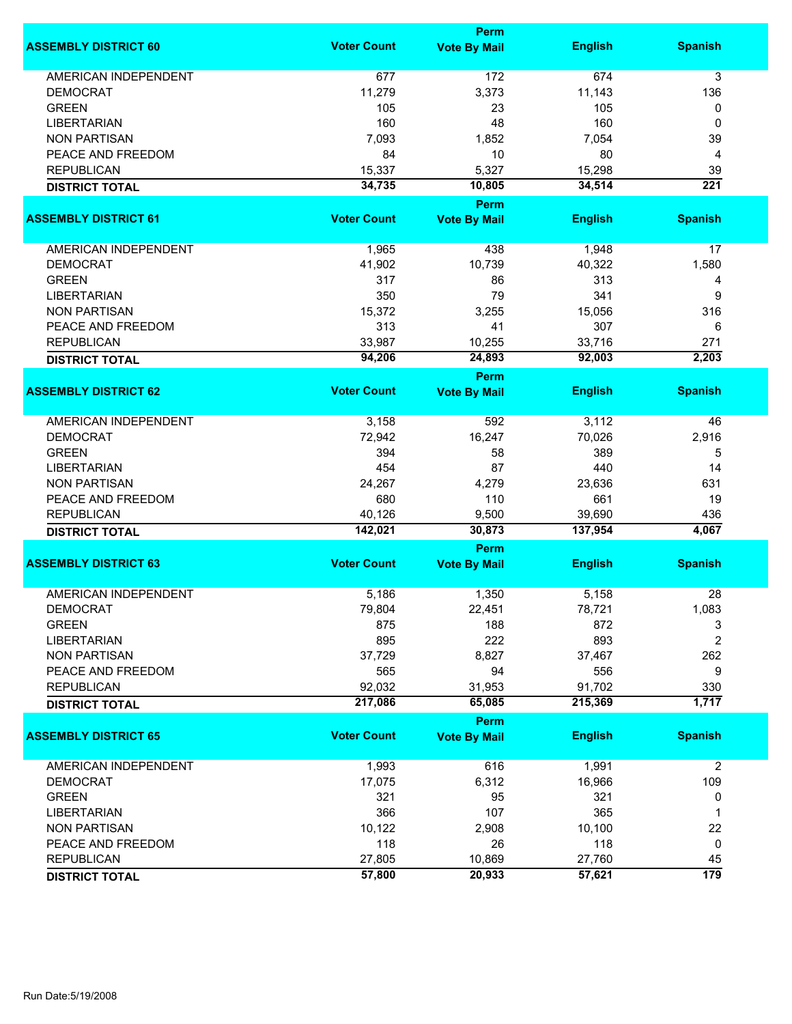|                             | <b>Perm</b>        |                     |                |                  |  |
|-----------------------------|--------------------|---------------------|----------------|------------------|--|
| <b>ASSEMBLY DISTRICT 60</b> | <b>Voter Count</b> | <b>Vote By Mail</b> | <b>English</b> | <b>Spanish</b>   |  |
| <b>AMERICAN INDEPENDENT</b> | 677                | 172                 | 674            | 3                |  |
| <b>DEMOCRAT</b>             | 11,279             | 3,373               | 11,143         | 136              |  |
| <b>GREEN</b>                | 105                | 23                  | 105            | 0                |  |
| <b>LIBERTARIAN</b>          | 160                | 48                  | 160            | 0                |  |
| <b>NON PARTISAN</b>         | 7,093              | 1,852               | 7,054          | 39               |  |
| PEACE AND FREEDOM           | 84                 | 10                  | 80             | 4                |  |
| <b>REPUBLICAN</b>           | 15,337             | 5,327               | 15,298         | 39               |  |
| <b>DISTRICT TOTAL</b>       | 34,735             | 10,805              | 34,514         | $\overline{221}$ |  |
|                             |                    | Perm                |                |                  |  |
| <b>ASSEMBLY DISTRICT 61</b> | <b>Voter Count</b> | <b>Vote By Mail</b> | <b>English</b> | <b>Spanish</b>   |  |
| AMERICAN INDEPENDENT        | 1,965              | 438                 | 1,948          | 17               |  |
| <b>DEMOCRAT</b>             | 41,902             | 10,739              | 40,322         | 1,580            |  |
| <b>GREEN</b>                | 317                | 86                  | 313            | 4                |  |
| <b>LIBERTARIAN</b>          | 350                | 79                  | 341            | 9                |  |
| <b>NON PARTISAN</b>         | 15,372             | 3,255               | 15,056         | 316              |  |
| PEACE AND FREEDOM           | 313                | 41                  | 307            | 6                |  |
| <b>REPUBLICAN</b>           | 33,987             | 10,255              | 33,716         | 271              |  |
| <b>DISTRICT TOTAL</b>       | 94,206             | 24,893              | 92,003         | 2,203            |  |
|                             |                    | <b>Perm</b>         |                |                  |  |
| <b>ASSEMBLY DISTRICT 62</b> | <b>Voter Count</b> | <b>Vote By Mail</b> | <b>English</b> | <b>Spanish</b>   |  |
| <b>AMERICAN INDEPENDENT</b> | 3,158              | 592                 | 3,112          | 46               |  |
| <b>DEMOCRAT</b>             | 72,942             | 16,247              | 70,026         | 2,916            |  |
| <b>GREEN</b>                | 394                | 58                  | 389            | 5                |  |
| <b>LIBERTARIAN</b>          | 454                | 87                  | 440            | 14               |  |
| <b>NON PARTISAN</b>         | 24,267             | 4,279               | 23,636         | 631              |  |
| PEACE AND FREEDOM           | 680                | 110                 | 661            | 19               |  |
| <b>REPUBLICAN</b>           | 40,126             | 9,500               | 39,690         | 436              |  |
| <b>DISTRICT TOTAL</b>       | 142,021            | 30,873              | 137,954        | 4,067            |  |
|                             |                    | Perm                |                |                  |  |
| <b>ASSEMBLY DISTRICT 63</b> | <b>Voter Count</b> | <b>Vote By Mail</b> | <b>English</b> | <b>Spanish</b>   |  |
| <b>AMERICAN INDEPENDENT</b> | 5,186              | 1,350               | 5,158          | 28               |  |
| DEMOCRAT                    | 79,804             | 22,451              | 78,721         | 1,083            |  |
| <b>GREEN</b>                | 875                | 188                 | 872            | 3                |  |
| <b>LIBERTARIAN</b>          | 895                | 222                 | 893            | 2                |  |
| <b>NON PARTISAN</b>         | 37,729             | 8,827               | 37,467         | 262              |  |
| PEACE AND FREEDOM           | 565                | 94                  | 556            | 9                |  |
| <b>REPUBLICAN</b>           | 92,032             | 31,953              | 91,702         | 330              |  |
| <b>DISTRICT TOTAL</b>       | 217,086            | 65,085              | 215,369        | 1,717            |  |
|                             |                    | Perm                |                |                  |  |
| <b>ASSEMBLY DISTRICT 65</b> | <b>Voter Count</b> | <b>Vote By Mail</b> | <b>English</b> | <b>Spanish</b>   |  |
| <b>AMERICAN INDEPENDENT</b> | 1,993              | 616                 | 1,991          | $\overline{2}$   |  |
| <b>DEMOCRAT</b>             | 17,075             | 6,312               | 16,966         | 109              |  |
| <b>GREEN</b>                | 321                | 95                  | 321            | 0                |  |
| <b>LIBERTARIAN</b>          | 366                | 107                 | 365            | 1                |  |
| <b>NON PARTISAN</b>         | 10,122             | 2,908               | 10,100         | 22               |  |
| PEACE AND FREEDOM           | 118                | 26                  | 118            | 0                |  |
| <b>REPUBLICAN</b>           | 27,805             | 10,869              | 27,760         | 45               |  |
| <b>DISTRICT TOTAL</b>       | 57,800             | 20,933              | 57,621         | $\overline{179}$ |  |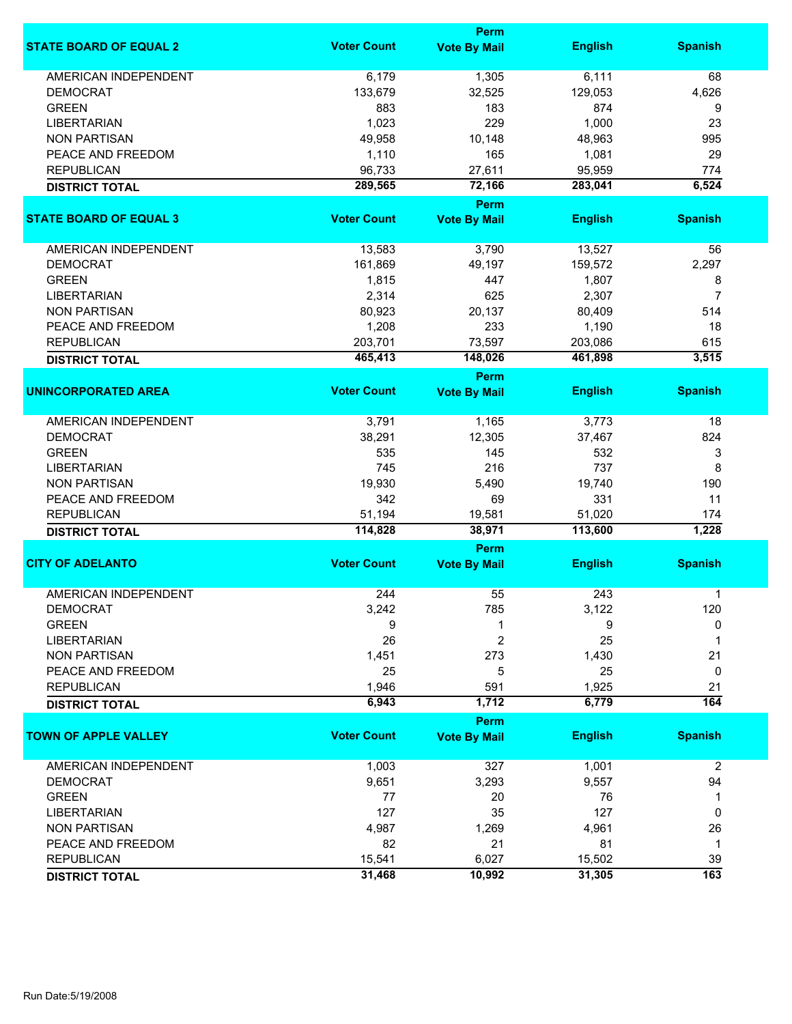|                               |                    | Perm                               |                   |                  |
|-------------------------------|--------------------|------------------------------------|-------------------|------------------|
| <b>STATE BOARD OF EQUAL 2</b> | <b>Voter Count</b> | <b>Vote By Mail</b>                | <b>English</b>    | <b>Spanish</b>   |
| <b>AMERICAN INDEPENDENT</b>   | 6,179              | 1,305                              | 6,111             | 68               |
| <b>DEMOCRAT</b>               | 133,679            | 32,525                             | 129,053           | 4,626            |
| <b>GREEN</b>                  | 883                | 183                                | 874               | 9                |
| <b>LIBERTARIAN</b>            | 1,023              | 229                                | 1,000             | 23               |
|                               |                    |                                    |                   |                  |
| <b>NON PARTISAN</b>           | 49,958             | 10,148                             | 48,963            | 995              |
| PEACE AND FREEDOM             | 1,110              | 165                                | 1,081             | 29               |
| <b>REPUBLICAN</b>             | 96,733             | 27,611                             | 95,959            | 774              |
| <b>DISTRICT TOTAL</b>         | 289,565            | 72,166                             | 283,041           | 6,524            |
| <b>STATE BOARD OF EQUAL 3</b> | <b>Voter Count</b> | <b>Perm</b><br><b>Vote By Mail</b> | <b>English</b>    | <b>Spanish</b>   |
|                               |                    |                                    |                   |                  |
| AMERICAN INDEPENDENT          | 13,583             | 3,790                              | 13,527            | 56               |
| <b>DEMOCRAT</b>               | 161,869            | 49,197                             | 159,572           | 2,297            |
| <b>GREEN</b>                  | 1,815              | 447                                | 1,807             | 8                |
| <b>LIBERTARIAN</b>            | 2,314              | 625                                | 2,307             | 7                |
| <b>NON PARTISAN</b>           | 80,923             | 20,137                             | 80,409            | 514              |
|                               |                    |                                    |                   |                  |
| PEACE AND FREEDOM             | 1,208              | 233                                | 1,190             | 18               |
| <b>REPUBLICAN</b>             | 203,701            | 73,597                             | 203,086           | 615              |
| <b>DISTRICT TOTAL</b>         | 465,413            | 148,026                            | 461,898           | 3,515            |
| <b>UNINCORPORATED AREA</b>    | <b>Voter Count</b> | <b>Perm</b><br><b>Vote By Mail</b> | <b>English</b>    | <b>Spanish</b>   |
|                               |                    |                                    |                   |                  |
| <b>AMERICAN INDEPENDENT</b>   | 3,791              | 1,165                              | 3,773             | 18               |
| <b>DEMOCRAT</b>               | 38,291             | 12,305                             | 37,467            | 824              |
| <b>GREEN</b>                  | 535                | 145                                | 532               | 3                |
| <b>LIBERTARIAN</b>            | 745                | 216                                | 737               | 8                |
| <b>NON PARTISAN</b>           | 19,930             | 5,490                              | 19,740            | 190              |
| PEACE AND FREEDOM             | 342                | 69                                 | 331               | 11               |
|                               |                    |                                    |                   |                  |
| <b>REPUBLICAN</b>             | 51,194<br>114,828  | 19,581<br>38,971                   | 51,020<br>113,600 | 174<br>1,228     |
| <b>DISTRICT TOTAL</b>         |                    | Perm                               |                   |                  |
| <b>CITY OF ADELANTO</b>       | <b>Voter Count</b> | <b>Vote By Mail</b>                | <b>English</b>    | <b>Spanish</b>   |
|                               |                    |                                    |                   |                  |
| <b>AMERICAN INDEPENDENT</b>   | 244                | 55                                 | 243               | 1                |
| <b>DEMOCRAT</b>               | 3,242              | 785                                | 3,122             | 120              |
| <b>GREEN</b>                  | 9                  | 1                                  | 9                 | 0                |
| <b>LIBERTARIAN</b>            | 26                 | 2                                  | 25                | 1                |
| <b>NON PARTISAN</b>           | 1,451              | 273                                | 1,430             | 21               |
| PEACE AND FREEDOM             | 25                 | 5                                  | 25                | 0                |
| <b>REPUBLICAN</b>             | 1,946              | 591                                | 1,925             | 21               |
| <b>DISTRICT TOTAL</b>         | 6,943              | 1,712                              | 6,779             | 164              |
|                               |                    | <b>Perm</b>                        |                   |                  |
| <b>TOWN OF APPLE VALLEY</b>   | <b>Voter Count</b> | <b>Vote By Mail</b>                | <b>English</b>    | <b>Spanish</b>   |
| AMERICAN INDEPENDENT          | 1,003              | 327                                | 1,001             | $\overline{2}$   |
| <b>DEMOCRAT</b>               | 9,651              | 3,293                              | 9,557             | 94               |
| <b>GREEN</b>                  | 77                 | 20                                 | 76                | 1                |
| <b>LIBERTARIAN</b>            | 127                | 35                                 | 127               | 0                |
| <b>NON PARTISAN</b>           |                    |                                    |                   |                  |
|                               | 4,987              | 1,269                              | 4,961             | 26               |
| PEACE AND FREEDOM             | 82                 | 21                                 | 81                | $\mathbf{1}$     |
| <b>REPUBLICAN</b>             | 15,541             | 6,027                              | 15,502            | 39               |
| <b>DISTRICT TOTAL</b>         | 31,468             | 10,992                             | 31,305            | $\overline{163}$ |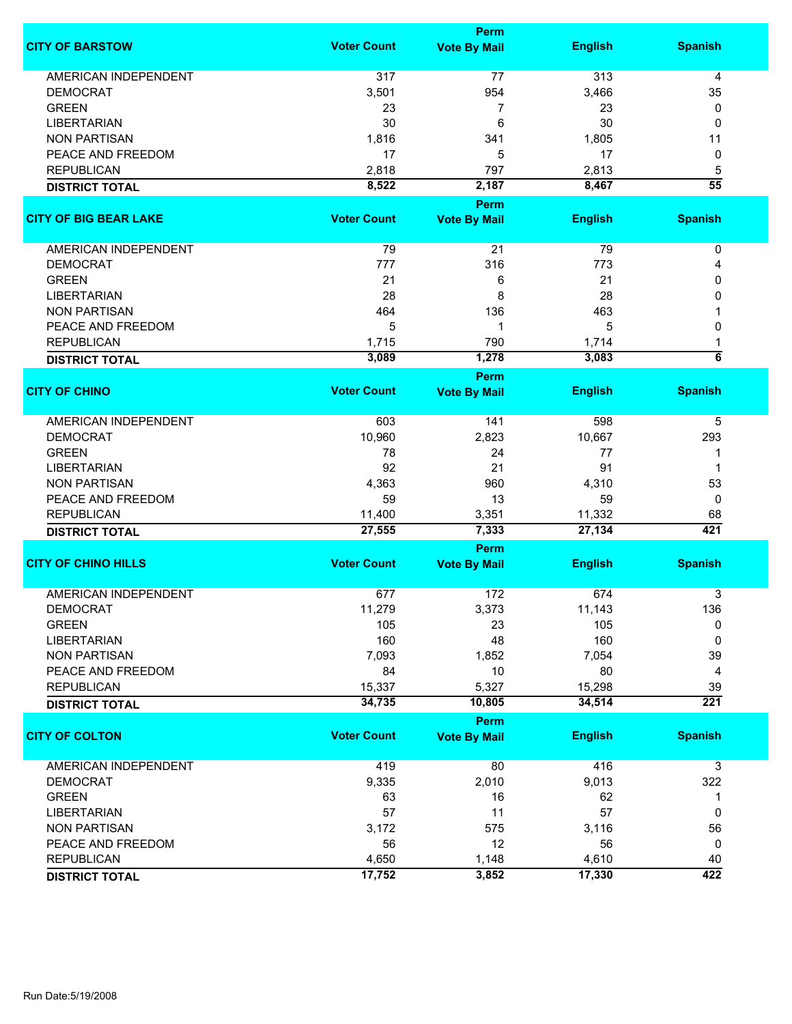|                              |                    | <b>Perm</b>         |                |                         |
|------------------------------|--------------------|---------------------|----------------|-------------------------|
| <b>CITY OF BARSTOW</b>       | <b>Voter Count</b> | <b>Vote By Mail</b> | <b>English</b> | <b>Spanish</b>          |
| <b>AMERICAN INDEPENDENT</b>  | 317                | 77                  | 313            | 4                       |
| <b>DEMOCRAT</b>              | 3,501              | 954                 | 3,466          | 35                      |
| <b>GREEN</b>                 | 23                 | 7                   | 23             | 0                       |
| <b>LIBERTARIAN</b>           | 30                 | 6                   | 30             | 0                       |
| <b>NON PARTISAN</b>          | 1,816              | 341                 | 1,805          | 11                      |
|                              |                    |                     | 17             |                         |
| PEACE AND FREEDOM            | 17                 | 5                   |                | 0                       |
| <b>REPUBLICAN</b>            | 2,818              | 797                 | 2,813          | 5                       |
| <b>DISTRICT TOTAL</b>        | 8,522              | 2,187               | 8,467          | $\overline{55}$         |
|                              |                    | <b>Perm</b>         |                |                         |
| <b>CITY OF BIG BEAR LAKE</b> | <b>Voter Count</b> | <b>Vote By Mail</b> | <b>English</b> | <b>Spanish</b>          |
| AMERICAN INDEPENDENT         | 79                 | 21                  | 79             | $\pmb{0}$               |
| <b>DEMOCRAT</b>              | 777                | 316                 | 773            | 4                       |
| <b>GREEN</b>                 | 21                 | 6                   | 21             | 0                       |
| <b>LIBERTARIAN</b>           | 28                 | 8                   | 28             | 0                       |
| <b>NON PARTISAN</b>          | 464                | 136                 | 463            |                         |
| PEACE AND FREEDOM            | 5                  | 1                   | 5              | 0                       |
|                              |                    | 790                 |                |                         |
| <b>REPUBLICAN</b>            | 1,715              |                     | 1,714          | 1<br>$\overline{\bf 6}$ |
| <b>DISTRICT TOTAL</b>        | 3,089              | 1,278               | 3,083          |                         |
| <b>CITY OF CHINO</b>         | <b>Voter Count</b> | Perm                | <b>English</b> | <b>Spanish</b>          |
|                              |                    | <b>Vote By Mail</b> |                |                         |
| <b>AMERICAN INDEPENDENT</b>  | 603                | 141                 | 598            | 5                       |
| <b>DEMOCRAT</b>              | 10,960             | 2,823               | 10,667         | 293                     |
| <b>GREEN</b>                 | 78                 | 24                  | 77             | 1                       |
| <b>LIBERTARIAN</b>           | 92                 | 21                  | 91             | 1                       |
| <b>NON PARTISAN</b>          | 4,363              | 960                 | 4,310          | 53                      |
| PEACE AND FREEDOM            | 59                 | 13                  | 59             | 0                       |
| <b>REPUBLICAN</b>            | 11,400             | 3,351               | 11,332         | 68                      |
| <b>DISTRICT TOTAL</b>        | 27,555             | 7,333               | 27,134         | 421                     |
|                              |                    | <b>Perm</b>         |                |                         |
| <b>CITY OF CHINO HILLS</b>   | <b>Voter Count</b> | <b>Vote By Mail</b> | <b>English</b> | <b>Spanish</b>          |
|                              |                    |                     |                |                         |
| <b>AMERICAN INDEPENDENT</b>  | 677                | 172                 | 674            | 3                       |
| <b>DEMOCRAT</b>              | 11,279             | 3,373               | 11,143         | 136                     |
| <b>GREEN</b>                 | 105                | 23                  | 105            | 0                       |
| <b>LIBERTARIAN</b>           | 160                | 48                  | 160            | 0                       |
| <b>NON PARTISAN</b>          | 7,093              | 1,852               | 7,054          | 39                      |
| PEACE AND FREEDOM            | 84                 | 10                  | 80             | 4                       |
| <b>REPUBLICAN</b>            | 15,337             | 5,327               | 15,298         | 39                      |
| <b>DISTRICT TOTAL</b>        | 34,735             | 10,805              | 34,514         | $\overline{221}$        |
|                              |                    | <b>Perm</b>         |                |                         |
| <b>CITY OF COLTON</b>        | <b>Voter Count</b> | <b>Vote By Mail</b> | <b>English</b> | <b>Spanish</b>          |
| <b>AMERICAN INDEPENDENT</b>  | 419                | 80                  | 416            | 3                       |
| <b>DEMOCRAT</b>              | 9,335              | 2,010               | 9,013          | 322                     |
| <b>GREEN</b>                 | 63                 | 16                  | 62             | 1                       |
| <b>LIBERTARIAN</b>           | 57                 | 11                  | 57             | 0                       |
| <b>NON PARTISAN</b>          | 3,172              | 575                 | 3,116          | 56                      |
| PEACE AND FREEDOM            | 56                 | 12                  | 56             | 0                       |
|                              |                    |                     |                |                         |
| <b>REPUBLICAN</b>            | 4,650              | 1,148               | 4,610          | 40                      |
| <b>DISTRICT TOTAL</b>        | 17,752             | 3,852               | 17,330         | 422                     |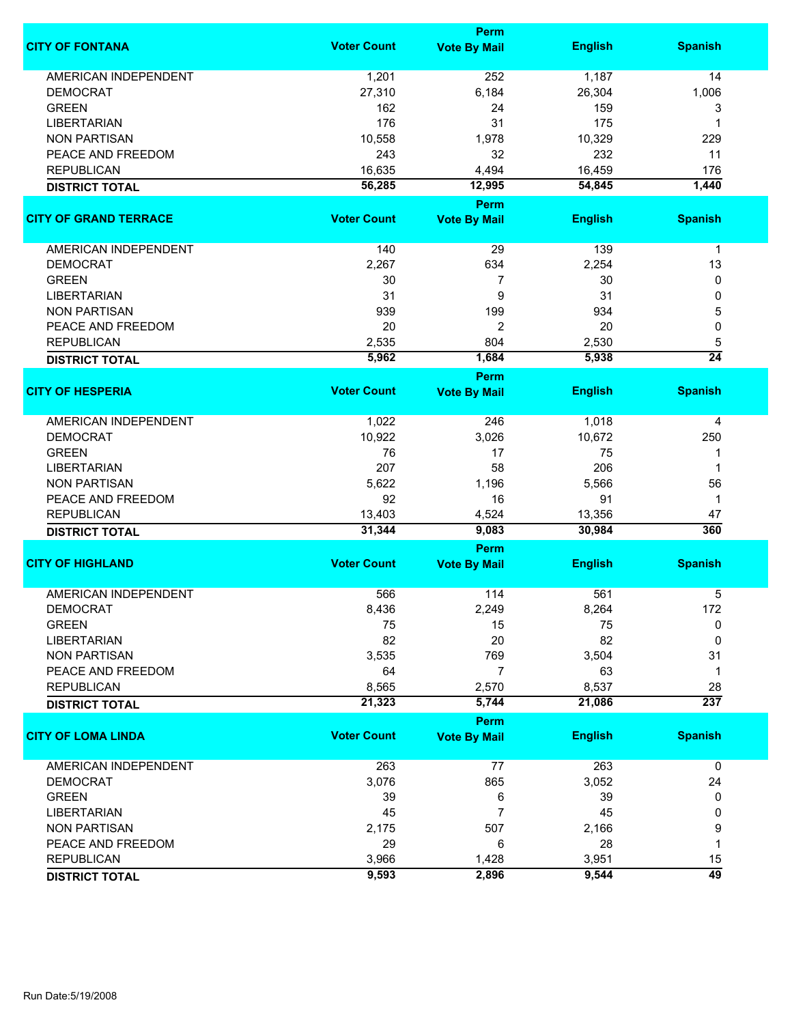|                              | <b>Perm</b>        |                       |                 |                        |  |
|------------------------------|--------------------|-----------------------|-----------------|------------------------|--|
| <b>CITY OF FONTANA</b>       | <b>Voter Count</b> | <b>Vote By Mail</b>   | <b>English</b>  | <b>Spanish</b>         |  |
| <b>AMERICAN INDEPENDENT</b>  | 1,201              | 252                   | 1,187           | 14                     |  |
| <b>DEMOCRAT</b>              | 27,310             | 6,184                 | 26,304          | 1,006                  |  |
| <b>GREEN</b>                 | 162                | 24                    | 159             | 3                      |  |
| <b>LIBERTARIAN</b>           | 176                | 31                    | 175             | 1                      |  |
| <b>NON PARTISAN</b>          | 10,558             | 1,978                 | 10,329          | 229                    |  |
| PEACE AND FREEDOM            | 243                | 32                    | 232             | 11                     |  |
|                              |                    |                       |                 |                        |  |
| <b>REPUBLICAN</b>            | 16,635             | 4,494                 | 16,459          | 176                    |  |
| <b>DISTRICT TOTAL</b>        | 56,285             | 12,995<br><b>Perm</b> | 54,845          | 1,440                  |  |
| <b>CITY OF GRAND TERRACE</b> | <b>Voter Count</b> | <b>Vote By Mail</b>   | <b>English</b>  | <b>Spanish</b>         |  |
|                              |                    |                       |                 |                        |  |
| AMERICAN INDEPENDENT         | 140                | 29                    | 139             | $\mathbf 1$            |  |
| <b>DEMOCRAT</b>              | 2,267              | 634                   | 2,254           | 13                     |  |
| <b>GREEN</b>                 | 30                 | $\overline{7}$        | 30              | 0                      |  |
| <b>LIBERTARIAN</b>           | 31                 | 9                     | 31              | 0                      |  |
| <b>NON PARTISAN</b>          | 939                | 199                   | 934             | 5                      |  |
| PEACE AND FREEDOM            | 20                 | 2                     | 20              | 0                      |  |
| <b>REPUBLICAN</b>            | 2,535              | 804                   | 2,530           | 5                      |  |
| <b>DISTRICT TOTAL</b>        | 5,962              | 1,684                 | 5,938           | $\overline{24}$        |  |
|                              |                    | <b>Perm</b>           |                 |                        |  |
| <b>CITY OF HESPERIA</b>      | <b>Voter Count</b> | <b>Vote By Mail</b>   | <b>English</b>  | <b>Spanish</b>         |  |
| <b>AMERICAN INDEPENDENT</b>  | 1,022              | 246                   | 1,018           | 4                      |  |
| <b>DEMOCRAT</b>              | 10,922             | 3,026                 | 10,672          | 250                    |  |
| <b>GREEN</b>                 | 76                 | 17                    | 75              | 1                      |  |
| <b>LIBERTARIAN</b>           | 207                | 58                    | 206             | 1                      |  |
| <b>NON PARTISAN</b>          | 5,622              | 1,196                 | 5,566           | 56                     |  |
| PEACE AND FREEDOM            | 92                 | 16                    | 91              | 1                      |  |
| <b>REPUBLICAN</b>            | 13,403             | 4,524                 | 13,356          | 47                     |  |
| <b>DISTRICT TOTAL</b>        | 31,344             | 9,083                 | 30,984          | 360                    |  |
|                              |                    | Perm                  |                 |                        |  |
| <b>CITY OF HIGHLAND</b>      | <b>Voter Count</b> | <b>Vote By Mail</b>   | <b>English</b>  | <b>Spanish</b>         |  |
| <b>AMERICAN INDEPENDENT</b>  | 566                | 114                   | 561             | 5                      |  |
| <b>DEMOCRAT</b>              | 8,436              | 2,249                 | 8,264           | 172                    |  |
| <b>GREEN</b>                 | 75                 | 15                    | 75              | 0                      |  |
| <b>LIBERTARIAN</b>           | 82                 | 20                    | 82              | 0                      |  |
| <b>NON PARTISAN</b>          | 3,535              | 769                   | 3,504           | 31                     |  |
| PEACE AND FREEDOM            | 64                 | $\overline{7}$        | 63              | 1                      |  |
|                              |                    |                       |                 |                        |  |
| <b>REPUBLICAN</b>            | 8,565<br>21,323    | 2,570<br>5,744        | 8,537<br>21,086 | 28<br>$\overline{237}$ |  |
| <b>DISTRICT TOTAL</b>        |                    | Perm                  |                 |                        |  |
| <b>CITY OF LOMA LINDA</b>    | <b>Voter Count</b> | <b>Vote By Mail</b>   | <b>English</b>  | <b>Spanish</b>         |  |
| AMERICAN INDEPENDENT         | 263                | 77                    | 263             | 0                      |  |
| <b>DEMOCRAT</b>              | 3,076              | 865                   | 3,052           | 24                     |  |
| <b>GREEN</b>                 | 39                 | 6                     | 39              | 0                      |  |
| <b>LIBERTARIAN</b>           | 45                 | 7                     | 45              | 0                      |  |
| <b>NON PARTISAN</b>          | 2,175              | 507                   | 2,166           | 9                      |  |
| PEACE AND FREEDOM            | 29                 | 6                     | 28              | 1                      |  |
|                              |                    |                       |                 |                        |  |
| <b>REPUBLICAN</b>            | 3,966              | 1,428                 | 3,951           | 15                     |  |
| <b>DISTRICT TOTAL</b>        | 9,593              | 2,896                 | 9,544           | $\overline{49}$        |  |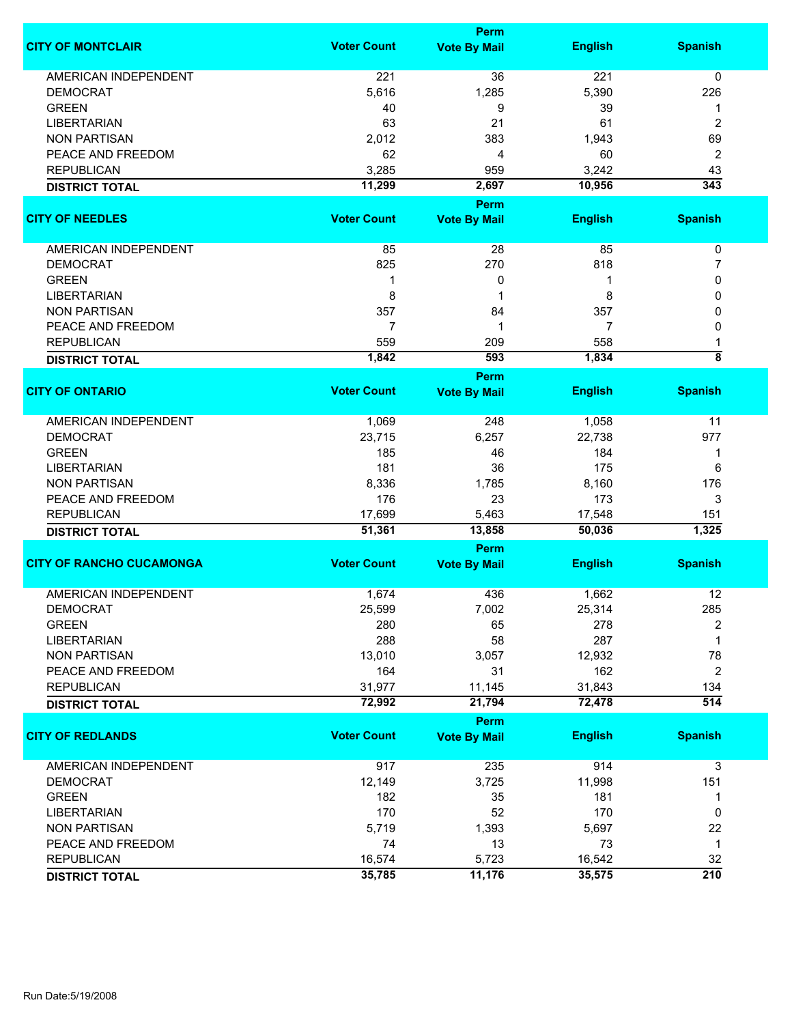|                                 | <b>Perm</b>        |                                    |                |                  |  |
|---------------------------------|--------------------|------------------------------------|----------------|------------------|--|
| <b>CITY OF MONTCLAIR</b>        | <b>Voter Count</b> | <b>Vote By Mail</b>                | <b>English</b> | <b>Spanish</b>   |  |
| <b>AMERICAN INDEPENDENT</b>     | 221                | 36                                 | 221            | 0                |  |
| <b>DEMOCRAT</b>                 | 5,616              | 1,285                              | 5,390          | 226              |  |
| <b>GREEN</b>                    | 40                 | 9                                  | 39             | 1                |  |
| <b>LIBERTARIAN</b>              | 63                 | 21                                 | 61             | $\overline{2}$   |  |
|                                 |                    |                                    |                |                  |  |
| <b>NON PARTISAN</b>             | 2,012              | 383                                | 1,943          | 69               |  |
| PEACE AND FREEDOM               | 62                 | 4                                  | 60             | $\overline{2}$   |  |
| <b>REPUBLICAN</b>               | 3,285              | 959                                | 3,242          | 43               |  |
| <b>DISTRICT TOTAL</b>           | 11,299             | 2,697                              | 10,956         | 343              |  |
| <b>CITY OF NEEDLES</b>          | <b>Voter Count</b> | <b>Perm</b><br><b>Vote By Mail</b> | <b>English</b> | <b>Spanish</b>   |  |
|                                 |                    |                                    |                |                  |  |
| AMERICAN INDEPENDENT            | 85                 | 28                                 | 85             | $\pmb{0}$        |  |
| <b>DEMOCRAT</b>                 | 825                | 270                                | 818            | 7                |  |
| <b>GREEN</b>                    | 1                  | 0                                  | 1              | 0                |  |
| <b>LIBERTARIAN</b>              | 8                  | 1                                  | 8              | 0                |  |
| <b>NON PARTISAN</b>             | 357                | 84                                 | 357            | 0                |  |
| PEACE AND FREEDOM               | 7                  | 1                                  | 7              | 0                |  |
| <b>REPUBLICAN</b>               | 559                | 209                                | 558            |                  |  |
|                                 | 1,842              | 593                                | 1,834          | ह                |  |
| <b>DISTRICT TOTAL</b>           |                    | Perm                               |                |                  |  |
| <b>CITY OF ONTARIO</b>          | <b>Voter Count</b> | <b>Vote By Mail</b>                | <b>English</b> | <b>Spanish</b>   |  |
| <b>AMERICAN INDEPENDENT</b>     | 1,069              | 248                                | 1,058          | 11               |  |
| <b>DEMOCRAT</b>                 | 23,715             | 6,257                              | 22,738         | 977              |  |
| <b>GREEN</b>                    | 185                | 46                                 | 184            | 1                |  |
| <b>LIBERTARIAN</b>              | 181                | 36                                 | 175            | 6                |  |
| <b>NON PARTISAN</b>             | 8,336              | 1,785                              | 8,160          | 176              |  |
| PEACE AND FREEDOM               | 176                | 23                                 | 173            | 3                |  |
| <b>REPUBLICAN</b>               | 17,699             | 5,463                              | 17,548         | 151              |  |
| <b>DISTRICT TOTAL</b>           | 51,361             | 13,858                             | 50,036         | 1,325            |  |
|                                 |                    | Perm                               |                |                  |  |
| <b>CITY OF RANCHO CUCAMONGA</b> | <b>Voter Count</b> | <b>Vote By Mail</b>                | <b>English</b> | <b>Spanish</b>   |  |
| <b>AMERICAN INDEPENDENT</b>     | 1,674              | 436                                | 1,662          | 12               |  |
| <b>DEMOCRAT</b>                 | 25,599             | 7,002                              | 25,314         | 285              |  |
| <b>GREEN</b>                    | 280                | 65                                 | 278            | 2                |  |
|                                 | 288                |                                    | 287            | 1                |  |
| <b>LIBERTARIAN</b>              |                    | 58                                 |                |                  |  |
| <b>NON PARTISAN</b>             | 13,010             | 3,057                              | 12,932         | 78               |  |
| PEACE AND FREEDOM               | 164                | 31                                 | 162            | $\overline{2}$   |  |
| <b>REPUBLICAN</b>               | 31,977             | 11,145                             | 31,843         | 134              |  |
| <b>DISTRICT TOTAL</b>           | 72,992             | 21,794                             | 72,478         | $\overline{514}$ |  |
| <b>CITY OF REDLANDS</b>         | <b>Voter Count</b> | Perm<br><b>Vote By Mail</b>        | <b>English</b> | <b>Spanish</b>   |  |
|                                 |                    |                                    |                |                  |  |
| <b>AMERICAN INDEPENDENT</b>     | 917                | 235                                | 914            | 3                |  |
| <b>DEMOCRAT</b>                 | 12,149             | 3,725                              | 11,998         | 151              |  |
| <b>GREEN</b>                    | 182                | 35                                 | 181            | 1                |  |
| <b>LIBERTARIAN</b>              | 170                | 52                                 | 170            | 0                |  |
| <b>NON PARTISAN</b>             | 5,719              | 1,393                              | 5,697          | 22               |  |
| PEACE AND FREEDOM               | 74                 | 13                                 | 73             | $\mathbf{1}$     |  |
| <b>REPUBLICAN</b>               | 16,574             | 5,723                              | 16,542         | 32               |  |
| <b>DISTRICT TOTAL</b>           | 35,785             | 11,176                             | 35,575         | $\overline{210}$ |  |
|                                 |                    |                                    |                |                  |  |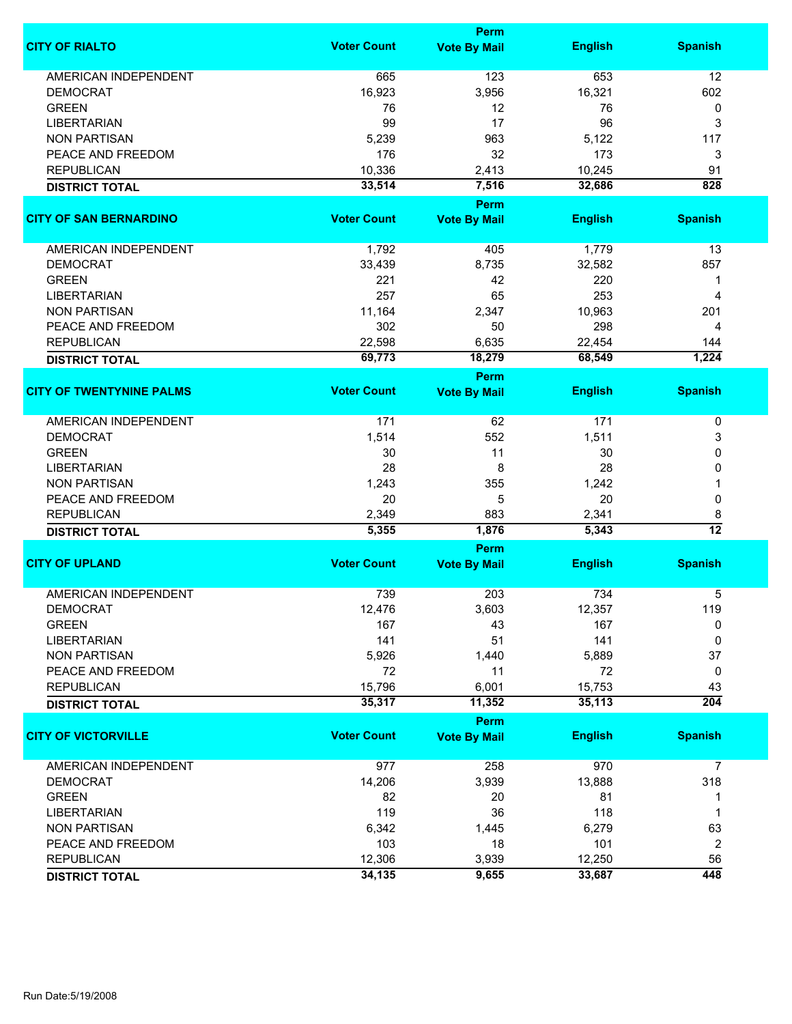|                                 |                    | Perm                        |                |                      |
|---------------------------------|--------------------|-----------------------------|----------------|----------------------|
| <b>CITY OF RIALTO</b>           | <b>Voter Count</b> | <b>Vote By Mail</b>         | <b>English</b> | <b>Spanish</b>       |
| <b>AMERICAN INDEPENDENT</b>     | 665                | 123                         | 653            | 12                   |
| <b>DEMOCRAT</b>                 | 16,923             | 3,956                       | 16,321         | 602                  |
| <b>GREEN</b>                    | 76                 | 12                          | 76             | 0                    |
| <b>LIBERTARIAN</b>              | 99                 | 17                          | 96             | 3                    |
|                                 |                    |                             |                |                      |
| <b>NON PARTISAN</b>             | 5,239              | 963                         | 5,122          | 117                  |
| PEACE AND FREEDOM               | 176                | 32                          | 173            | 3                    |
| <b>REPUBLICAN</b>               | 10,336             | 2,413                       | 10,245         | 91                   |
| <b>DISTRICT TOTAL</b>           | 33,514             | 7,516                       | 32,686         | 828                  |
|                                 |                    | Perm                        |                |                      |
| <b>CITY OF SAN BERNARDINO</b>   | <b>Voter Count</b> | <b>Vote By Mail</b>         | <b>English</b> | <b>Spanish</b>       |
| AMERICAN INDEPENDENT            | 1,792              | 405                         | 1,779          | 13                   |
| <b>DEMOCRAT</b>                 | 33,439             | 8,735                       | 32,582         | 857                  |
| <b>GREEN</b>                    | 221                | 42                          | 220            | 1                    |
| <b>LIBERTARIAN</b>              | 257                | 65                          | 253            | $\overline{4}$       |
| <b>NON PARTISAN</b>             | 11,164             | 2,347                       | 10,963         | 201                  |
|                                 |                    |                             |                |                      |
| PEACE AND FREEDOM               | 302                | 50                          | 298            | $\overline{4}$       |
| <b>REPUBLICAN</b>               | 22,598             | 6,635                       | 22,454         | 144                  |
| <b>DISTRICT TOTAL</b>           | 69,773             | 18,279                      | 68,549         | 1,224                |
|                                 |                    | Perm                        |                |                      |
| <b>CITY OF TWENTYNINE PALMS</b> | <b>Voter Count</b> | <b>Vote By Mail</b>         | <b>English</b> | <b>Spanish</b>       |
| <b>AMERICAN INDEPENDENT</b>     | 171                | 62                          | 171            | 0                    |
| <b>DEMOCRAT</b>                 | 1,514              | 552                         | 1,511          | 3                    |
| <b>GREEN</b>                    | 30                 | 11                          | 30             | 0                    |
| <b>LIBERTARIAN</b>              | 28                 | 8                           | 28             | 0                    |
| <b>NON PARTISAN</b>             | 1,243              | 355                         | 1,242          |                      |
| PEACE AND FREEDOM               | 20                 |                             | 20             |                      |
|                                 |                    | 5                           |                | 0                    |
| <b>REPUBLICAN</b>               | 2,349              | 883                         | 2,341          | 8<br>$\overline{12}$ |
| <b>DISTRICT TOTAL</b>           | 5,355              | 1,876                       | 5,343          |                      |
| <b>CITY OF UPLAND</b>           | <b>Voter Count</b> | Perm<br><b>Vote By Mail</b> | <b>English</b> | <b>Spanish</b>       |
|                                 |                    |                             |                |                      |
| <b>AMERICAN INDEPENDENT</b>     | 739                | 203                         | 734            | 5                    |
| <b>DEMOCRAT</b>                 | 12,476             | 3,603                       | 12,357         | 119                  |
| <b>GREEN</b>                    | 167                | 43                          | 167            | 0                    |
| <b>LIBERTARIAN</b>              | 141                | 51                          | 141            | 0                    |
| <b>NON PARTISAN</b>             | 5,926              | 1,440                       | 5,889          | 37                   |
| PEACE AND FREEDOM               | 72                 | 11                          | 72             | 0                    |
| <b>REPUBLICAN</b>               | 15,796             | 6,001                       | 15,753         | 43                   |
| <b>DISTRICT TOTAL</b>           | 35,317             | 11,352                      | 35,113         | $\overline{204}$     |
|                                 |                    | Perm                        |                |                      |
| <b>CITY OF VICTORVILLE</b>      | <b>Voter Count</b> | <b>Vote By Mail</b>         | <b>English</b> | <b>Spanish</b>       |
| AMERICAN INDEPENDENT            | 977                | 258                         | 970            | 7                    |
| <b>DEMOCRAT</b>                 | 14,206             | 3,939                       | 13,888         | 318                  |
| <b>GREEN</b>                    | 82                 | 20                          | 81             | 1                    |
| <b>LIBERTARIAN</b>              | 119                | 36                          | 118            | 1                    |
| <b>NON PARTISAN</b>             | 6,342              |                             | 6,279          | 63                   |
|                                 |                    | 1,445                       |                |                      |
| PEACE AND FREEDOM               | 103                | 18                          | 101            | 2                    |
| <b>REPUBLICAN</b>               | 12,306             | 3,939                       | 12,250         | 56                   |
| <b>DISTRICT TOTAL</b>           | 34,135             | 9,655                       | 33,687         | 448                  |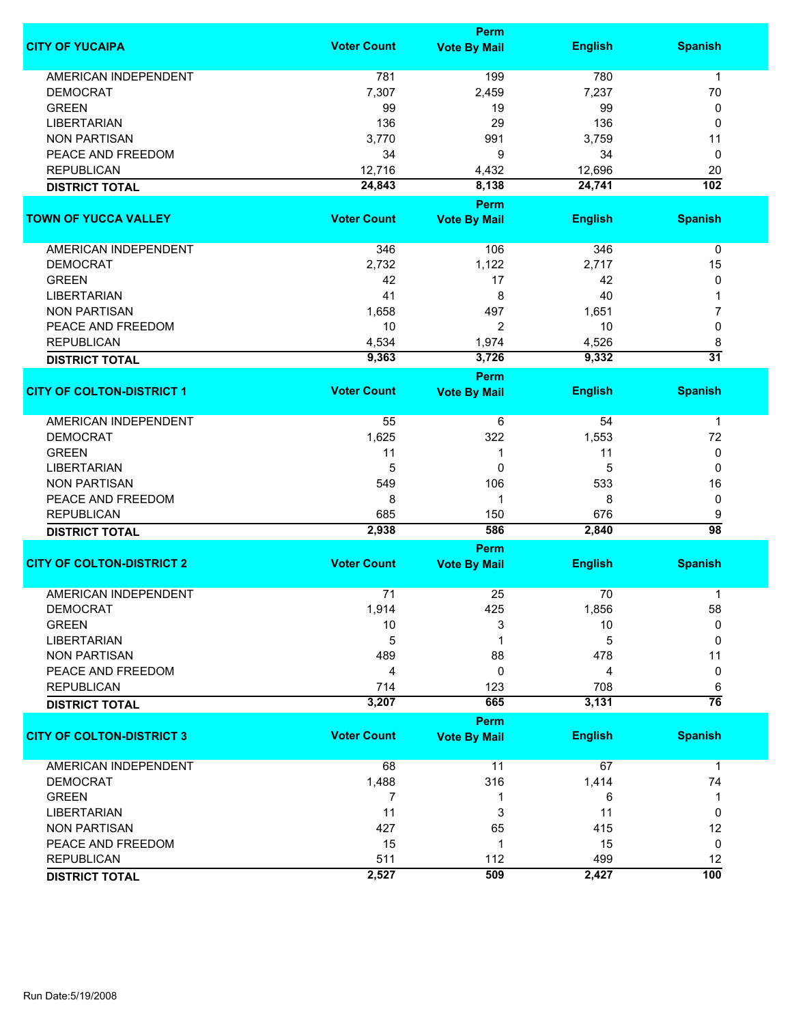|                                  | Perm               |                             |                |                      |
|----------------------------------|--------------------|-----------------------------|----------------|----------------------|
| <b>CITY OF YUCAIPA</b>           | <b>Voter Count</b> | <b>Vote By Mail</b>         | <b>English</b> | <b>Spanish</b>       |
| <b>AMERICAN INDEPENDENT</b>      | 781                | 199                         | 780            | $\mathbf{1}$         |
| <b>DEMOCRAT</b>                  | 7,307              | 2,459                       | 7,237          | 70                   |
| <b>GREEN</b>                     | 99                 | 19                          | 99             | 0                    |
| <b>LIBERTARIAN</b>               | 136                | 29                          | 136            | 0                    |
| <b>NON PARTISAN</b>              | 3,770              | 991                         | 3,759          | 11                   |
| PEACE AND FREEDOM                |                    |                             |                |                      |
|                                  | 34                 | 9                           | 34             | 0                    |
| <b>REPUBLICAN</b>                | 12,716             | 4,432                       | 12,696         | 20                   |
| <b>DISTRICT TOTAL</b>            | 24,843             | 8,138                       | 24,741         | 102                  |
| <b>TOWN OF YUCCA VALLEY</b>      | <b>Voter Count</b> | Perm<br><b>Vote By Mail</b> | <b>English</b> | <b>Spanish</b>       |
|                                  |                    |                             |                |                      |
| AMERICAN INDEPENDENT             | 346                | 106                         | 346            | 0                    |
| <b>DEMOCRAT</b>                  | 2,732              | 1,122                       | 2,717          | 15                   |
| <b>GREEN</b>                     | 42                 | 17                          | 42             | 0                    |
| <b>LIBERTARIAN</b>               | 41                 | 8                           | 40             |                      |
| <b>NON PARTISAN</b>              | 1,658              | 497                         | 1,651          | 7                    |
| PEACE AND FREEDOM                | 10                 | 2                           | 10             | 0                    |
|                                  |                    |                             |                |                      |
| <b>REPUBLICAN</b>                | 4,534              | 1,974                       | 4,526          | 8<br>$\overline{31}$ |
| <b>DISTRICT TOTAL</b>            | 9,363              | 3,726<br><b>Perm</b>        | 9,332          |                      |
| <b>CITY OF COLTON-DISTRICT 1</b> | <b>Voter Count</b> | <b>Vote By Mail</b>         | <b>English</b> | <b>Spanish</b>       |
| <b>AMERICAN INDEPENDENT</b>      | 55                 | 6                           | 54             | $\mathbf{1}$         |
| <b>DEMOCRAT</b>                  | 1,625              | 322                         | 1,553          | 72                   |
| <b>GREEN</b>                     | 11                 | $\mathbf 1$                 | 11             | 0                    |
| <b>LIBERTARIAN</b>               | 5                  | 0                           | 5              | 0                    |
| <b>NON PARTISAN</b>              | 549                | 106                         | 533            | 16                   |
|                                  |                    |                             |                |                      |
| PEACE AND FREEDOM                | 8                  | $\mathbf 1$                 | 8              | 0                    |
| <b>REPUBLICAN</b>                | 685                | 150                         | 676            | 9                    |
| <b>DISTRICT TOTAL</b>            | 2,938              | 586                         | 2,840          | $\overline{98}$      |
| <b>CITY OF COLTON-DISTRICT 2</b> | <b>Voter Count</b> | Perm<br><b>Vote By Mail</b> | <b>English</b> | <b>Spanish</b>       |
|                                  |                    |                             |                |                      |
| <b>AMERICAN INDEPENDENT</b>      | 71                 | 25                          | 70             | 1                    |
| DEMOCRAT                         | 1,914              | 425                         | 1,856          | 58                   |
| <b>GREEN</b>                     | 10                 | 3                           | 10             | 0                    |
| <b>LIBERTARIAN</b>               | 5                  | 1                           | 5              | 0                    |
| <b>NON PARTISAN</b>              | 489                | 88                          | 478            | 11                   |
| PEACE AND FREEDOM                | 4                  | 0                           | 4              | 0                    |
| <b>REPUBLICAN</b>                | 714                | 123                         | 708            | 6                    |
| <b>DISTRICT TOTAL</b>            | 3,207              | 665                         | 3,131          | $\overline{76}$      |
|                                  |                    | Perm                        |                |                      |
| <b>CITY OF COLTON-DISTRICT 3</b> | <b>Voter Count</b> | <b>Vote By Mail</b>         | <b>English</b> | <b>Spanish</b>       |
| <b>AMERICAN INDEPENDENT</b>      | 68                 | 11                          | 67             | $\mathbf{1}$         |
| <b>DEMOCRAT</b>                  | 1,488              | 316                         | 1,414          | 74                   |
| <b>GREEN</b>                     | 7                  | 1                           | 6              | 1                    |
| <b>LIBERTARIAN</b>               | 11                 | 3                           | 11             | 0                    |
| <b>NON PARTISAN</b>              | 427                | 65                          | 415            | 12                   |
| PEACE AND FREEDOM                | 15                 | $\mathbf 1$                 | 15             | 0                    |
| <b>REPUBLICAN</b>                | 511                | 112                         | 499            | 12                   |
|                                  | 2,527              | 509                         | 2,427          | $\overline{100}$     |
| <b>DISTRICT TOTAL</b>            |                    |                             |                |                      |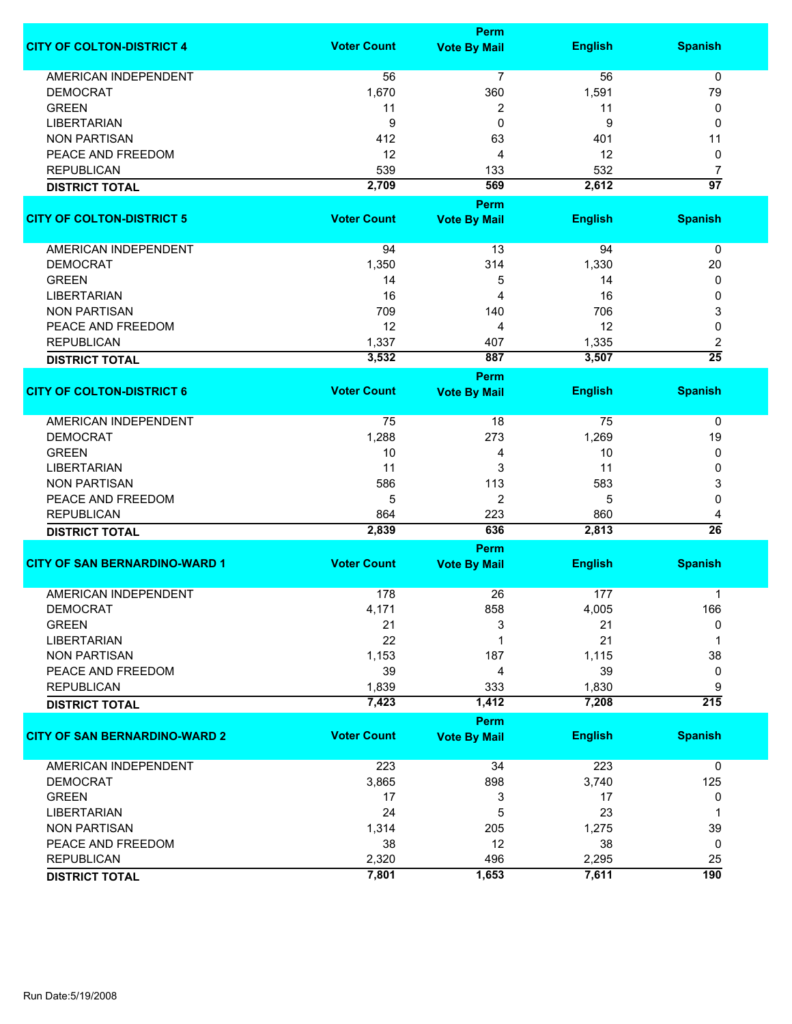|                                      |                    | <b>Perm</b>                        |                |                  |  |
|--------------------------------------|--------------------|------------------------------------|----------------|------------------|--|
| <b>CITY OF COLTON-DISTRICT 4</b>     | <b>Voter Count</b> | <b>Vote By Mail</b>                | <b>English</b> | <b>Spanish</b>   |  |
| <b>AMERICAN INDEPENDENT</b>          | 56                 | 7                                  | 56             | 0                |  |
| <b>DEMOCRAT</b>                      | 1,670              | 360                                | 1,591          | 79               |  |
| <b>GREEN</b>                         | 11                 | 2                                  | 11             | 0                |  |
| <b>LIBERTARIAN</b>                   | 9                  | 0                                  | 9              | 0                |  |
| <b>NON PARTISAN</b>                  | 412                | 63                                 | 401            | 11               |  |
| PEACE AND FREEDOM                    | 12                 | 4                                  | 12             | 0                |  |
| <b>REPUBLICAN</b>                    | 539                | 133                                | 532            | $\overline{7}$   |  |
| <b>DISTRICT TOTAL</b>                | 2,709              | 569                                | 2,612          | $\overline{97}$  |  |
|                                      |                    | <b>Perm</b>                        |                |                  |  |
| <b>CITY OF COLTON-DISTRICT 5</b>     | <b>Voter Count</b> | <b>Vote By Mail</b>                | <b>English</b> | <b>Spanish</b>   |  |
|                                      |                    |                                    |                |                  |  |
| AMERICAN INDEPENDENT                 | 94                 | 13                                 | 94             | 0                |  |
| <b>DEMOCRAT</b>                      | 1,350              | 314                                | 1,330          | 20               |  |
| <b>GREEN</b>                         | 14                 | 5                                  | 14             | 0                |  |
| <b>LIBERTARIAN</b>                   | 16                 | 4                                  | 16             | 0                |  |
| <b>NON PARTISAN</b>                  | 709                | 140                                | 706            | 3                |  |
| PEACE AND FREEDOM                    | 12                 | 4                                  | 12             | 0                |  |
| <b>REPUBLICAN</b>                    | 1,337              | 407                                | 1,335          | 2                |  |
|                                      | 3,532              | 887                                | 3,507          | $\overline{25}$  |  |
| <b>DISTRICT TOTAL</b>                |                    |                                    |                |                  |  |
| <b>CITY OF COLTON-DISTRICT 6</b>     | <b>Voter Count</b> | <b>Perm</b><br><b>Vote By Mail</b> | <b>English</b> | <b>Spanish</b>   |  |
|                                      |                    |                                    |                |                  |  |
| <b>AMERICAN INDEPENDENT</b>          | 75                 | 18                                 | 75             | 0                |  |
| <b>DEMOCRAT</b>                      | 1,288              | 273                                | 1,269          | 19               |  |
| <b>GREEN</b>                         | 10                 | 4                                  | 10             | 0                |  |
| <b>LIBERTARIAN</b>                   | 11                 | 3                                  | 11             | 0                |  |
| <b>NON PARTISAN</b>                  | 586                | 113                                | 583            | 3                |  |
| PEACE AND FREEDOM                    | 5                  | $\overline{2}$                     | 5              | 0                |  |
| <b>REPUBLICAN</b>                    | 864                | 223                                | 860            | 4                |  |
| <b>DISTRICT TOTAL</b>                | 2,839              | 636                                | 2,813          | $\overline{26}$  |  |
|                                      |                    | <b>Perm</b>                        |                |                  |  |
| <b>CITY OF SAN BERNARDINO-WARD 1</b> | <b>Voter Count</b> | <b>Vote By Mail</b>                | <b>English</b> | <b>Spanish</b>   |  |
|                                      |                    |                                    |                |                  |  |
| <b>AMERICAN INDEPENDENT</b>          | 178                | 26                                 | 177            | 1                |  |
| <b>DEMOCRAT</b>                      | 4,171              | 858                                | 4,005          | 166              |  |
| <b>GREEN</b>                         | 21                 | 3                                  | 21             | 0                |  |
| <b>LIBERTARIAN</b>                   | 22                 | 1                                  | 21             |                  |  |
| <b>NON PARTISAN</b>                  | 1,153              | 187                                | 1,115          | 38               |  |
| PEACE AND FREEDOM                    | 39                 | 4                                  | 39             | 0                |  |
| <b>REPUBLICAN</b>                    | 1,839              | 333                                | 1,830          | 9                |  |
| <b>DISTRICT TOTAL</b>                | 7,423              | 1,412                              | 7,208          | $\overline{215}$ |  |
|                                      |                    | <b>Perm</b>                        |                |                  |  |
| <b>CITY OF SAN BERNARDINO-WARD 2</b> | <b>Voter Count</b> | <b>Vote By Mail</b>                | <b>English</b> | <b>Spanish</b>   |  |
| <b>AMERICAN INDEPENDENT</b>          | 223                | 34                                 | 223            | 0                |  |
| <b>DEMOCRAT</b>                      | 3,865              | 898                                | 3,740          | 125              |  |
| <b>GREEN</b>                         | 17                 | 3                                  | 17             | 0                |  |
| <b>LIBERTARIAN</b>                   | 24                 | 5                                  | 23             | 1                |  |
| <b>NON PARTISAN</b>                  | 1,314              | 205                                | 1,275          | 39               |  |
| PEACE AND FREEDOM                    | 38                 | 12                                 | 38             | 0                |  |
| <b>REPUBLICAN</b>                    | 2,320              | 496                                | 2,295          | 25               |  |
| <b>DISTRICT TOTAL</b>                | 7,801              | 1,653                              | 7,611          | 190              |  |
|                                      |                    |                                    |                |                  |  |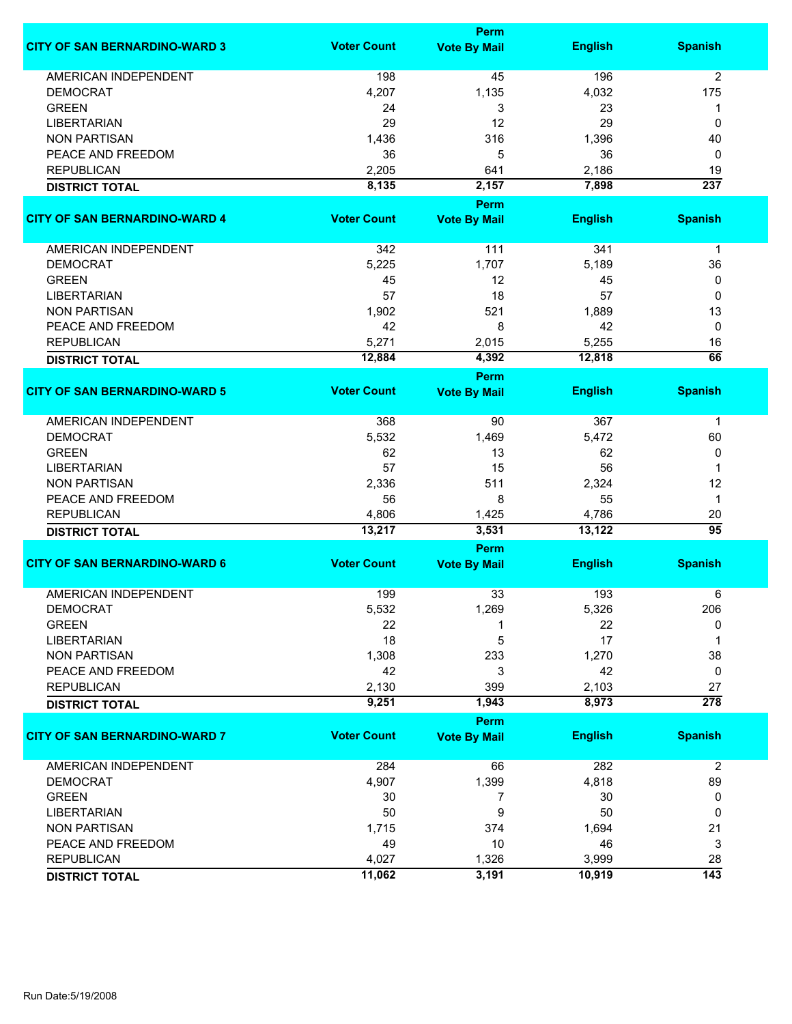|                                                |                    | Perm                        |                |                  |
|------------------------------------------------|--------------------|-----------------------------|----------------|------------------|
| <b>CITY OF SAN BERNARDINO-WARD 3</b>           | <b>Voter Count</b> | <b>Vote By Mail</b>         | <b>English</b> | <b>Spanish</b>   |
| <b>AMERICAN INDEPENDENT</b>                    | 198                | 45                          | 196            | $\overline{2}$   |
| <b>DEMOCRAT</b>                                | 4,207              | 1,135                       | 4,032          | 175              |
| <b>GREEN</b>                                   | 24                 | 3                           | 23             | 1                |
| <b>LIBERTARIAN</b>                             | 29                 | 12                          | 29             | 0                |
| <b>NON PARTISAN</b>                            | 1,436              | 316                         | 1,396          | 40               |
| PEACE AND FREEDOM                              | 36                 | 5                           | 36             | 0                |
|                                                |                    |                             |                |                  |
| <b>REPUBLICAN</b>                              | 2,205              | 641                         | 2,186          | 19               |
| <b>DISTRICT TOTAL</b>                          | 8,135              | 2,157                       | 7,898          | $\overline{237}$ |
| <b>CITY OF SAN BERNARDINO-WARD 4</b>           | <b>Voter Count</b> | Perm<br><b>Vote By Mail</b> | <b>English</b> | <b>Spanish</b>   |
|                                                |                    |                             |                |                  |
| AMERICAN INDEPENDENT                           | 342                | 111                         | 341            | $\mathbf{1}$     |
| <b>DEMOCRAT</b>                                | 5,225              | 1,707                       | 5,189          | 36               |
| <b>GREEN</b>                                   | 45                 | 12                          | 45             | 0                |
| <b>LIBERTARIAN</b>                             | 57                 | 18                          | 57             | 0                |
| <b>NON PARTISAN</b>                            | 1,902              | 521                         | 1,889          | 13               |
| PEACE AND FREEDOM                              | 42                 | 8                           | 42             | 0                |
| <b>REPUBLICAN</b>                              | 5,271              | 2,015                       | 5,255          | 16               |
|                                                | 12,884             | 4,392                       | 12,818         | 66               |
| <b>DISTRICT TOTAL</b>                          |                    | Perm                        |                |                  |
| <b>CITY OF SAN BERNARDINO-WARD 5</b>           | <b>Voter Count</b> | <b>Vote By Mail</b>         | <b>English</b> | <b>Spanish</b>   |
|                                                |                    |                             |                |                  |
| <b>AMERICAN INDEPENDENT</b>                    | 368                | 90                          | 367            | $\mathbf 1$      |
| <b>DEMOCRAT</b>                                | 5,532              | 1,469                       | 5,472          | 60               |
| <b>GREEN</b>                                   | 62                 | 13                          | 62             | 0                |
| <b>LIBERTARIAN</b>                             | 57                 | 15                          | 56             | 1                |
| <b>NON PARTISAN</b>                            | 2,336              | 511                         | 2,324          | 12               |
| PEACE AND FREEDOM                              | 56                 | 8                           | 55             | $\mathbf{1}$     |
| <b>REPUBLICAN</b>                              | 4,806              | 1,425                       | 4,786          | 20               |
| <b>DISTRICT TOTAL</b>                          | 13,217             | 3,531                       | 13,122         | 95               |
|                                                |                    | Perm                        |                |                  |
| <b>CITY OF SAN BERNARDINO-WARD 6</b>           | <b>Voter Count</b> | <b>Vote By Mail</b>         | <b>English</b> | <b>Spanish</b>   |
|                                                |                    |                             |                |                  |
| <b>AMERICAN INDEPENDENT</b><br><b>DEMOCRAT</b> | 199                | 33                          | 193            | 6<br>206         |
|                                                | 5,532              | 1,269                       | 5,326          |                  |
| <b>GREEN</b>                                   | 22                 |                             | 22             | 0                |
| <b>LIBERTARIAN</b>                             | 18                 | 5                           | 17             | 1                |
| <b>NON PARTISAN</b>                            | 1,308              | 233                         | 1,270          | 38               |
| PEACE AND FREEDOM                              | 42                 | 3                           | 42             | 0                |
| <b>REPUBLICAN</b>                              | 2,130              | 399                         | 2,103          | 27               |
| <b>DISTRICT TOTAL</b>                          | 9,251              | 1,943                       | 8,973          | $\overline{278}$ |
|                                                |                    | Perm                        |                |                  |
| <b>CITY OF SAN BERNARDINO-WARD 7</b>           | <b>Voter Count</b> | <b>Vote By Mail</b>         | <b>English</b> | <b>Spanish</b>   |
| AMERICAN INDEPENDENT                           | 284                | 66                          | 282            | $\overline{2}$   |
| <b>DEMOCRAT</b>                                | 4,907              | 1,399                       | 4,818          | 89               |
| <b>GREEN</b>                                   | 30                 | 7                           | 30             | 0                |
| <b>LIBERTARIAN</b>                             | 50                 | 9                           | 50             | 0                |
|                                                |                    |                             |                |                  |
| <b>NON PARTISAN</b>                            | 1,715              | 374                         | 1,694          | 21               |
| PEACE AND FREEDOM                              | 49                 | 10                          | 46             | 3                |
| <b>REPUBLICAN</b>                              | 4,027              | 1,326                       | 3,999          | 28               |
| <b>DISTRICT TOTAL</b>                          | 11,062             | 3,191                       | 10,919         | $\overline{143}$ |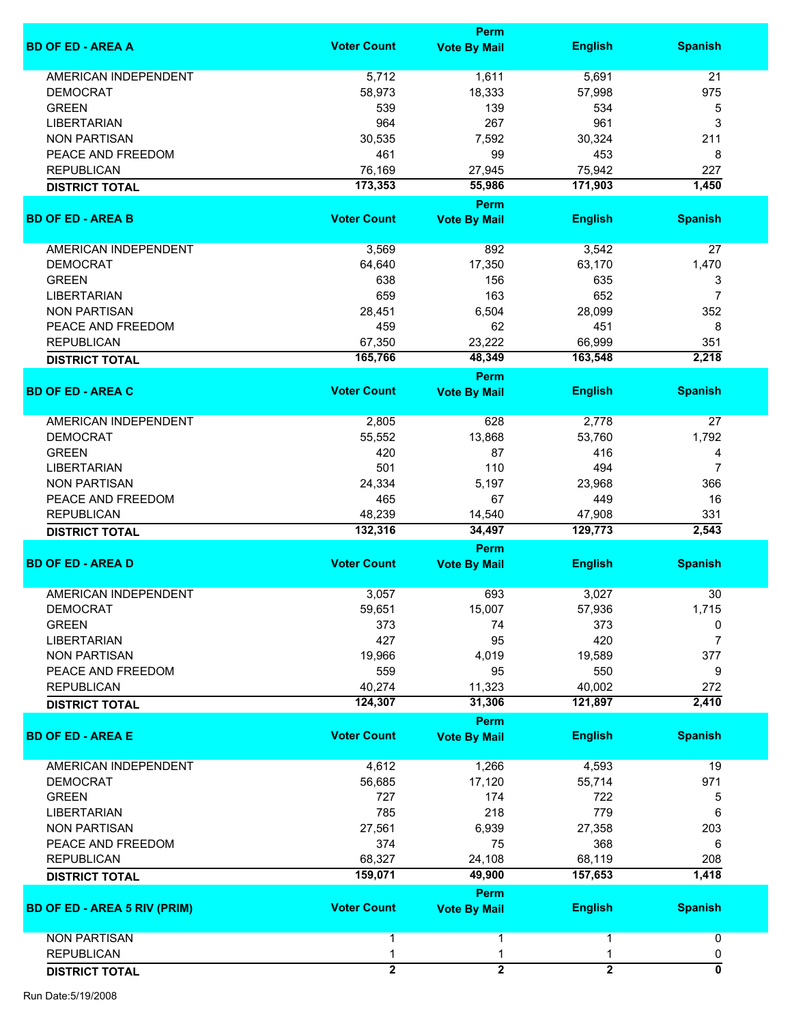|                                     |                     | <b>Perm</b>                 |                |                |
|-------------------------------------|---------------------|-----------------------------|----------------|----------------|
| <b>BD OF ED - AREA A</b>            | <b>Voter Count</b>  | <b>Vote By Mail</b>         | <b>English</b> | <b>Spanish</b> |
| <b>AMERICAN INDEPENDENT</b>         | 5,712               | 1,611                       | 5,691          | 21             |
| <b>DEMOCRAT</b>                     | 58,973              | 18,333                      | 57,998         | 975            |
| <b>GREEN</b>                        | 539                 | 139                         | 534            | 5              |
| <b>LIBERTARIAN</b>                  | 964                 | 267                         | 961            | 3              |
|                                     |                     |                             |                |                |
| <b>NON PARTISAN</b>                 | 30,535              | 7,592                       | 30,324         | 211            |
| PEACE AND FREEDOM                   | 461                 | 99                          | 453            | 8              |
| <b>REPUBLICAN</b>                   | 76,169              | 27,945                      | 75,942         | 227            |
| <b>DISTRICT TOTAL</b>               | 173,353             | 55,986<br>Perm              | 171,903        | 1,450          |
| <b>BD OF ED - AREA B</b>            | <b>Voter Count</b>  | <b>Vote By Mail</b>         | <b>English</b> | <b>Spanish</b> |
| AMERICAN INDEPENDENT                | 3,569               | 892                         | 3,542          | 27             |
| <b>DEMOCRAT</b>                     | 64,640              | 17,350                      | 63,170         | 1,470          |
| <b>GREEN</b>                        | 638                 | 156                         | 635            | 3              |
| <b>LIBERTARIAN</b>                  | 659                 | 163                         | 652            | 7              |
| <b>NON PARTISAN</b>                 | 28,451              | 6,504                       | 28,099         | 352            |
|                                     |                     |                             |                |                |
| PEACE AND FREEDOM                   | 459                 | 62                          | 451            | 8              |
| <b>REPUBLICAN</b>                   | 67,350              | 23,222                      | 66,999         | 351            |
| <b>DISTRICT TOTAL</b>               | 165,766             | 48,349<br>Perm              | 163,548        | 2,218          |
| <b>BD OF ED - AREA C</b>            | <b>Voter Count</b>  | <b>Vote By Mail</b>         | <b>English</b> | <b>Spanish</b> |
| AMERICAN INDEPENDENT                | 2,805               | 628                         | 2,778          | 27             |
| <b>DEMOCRAT</b>                     | 55,552              | 13,868                      | 53,760         | 1,792          |
| <b>GREEN</b>                        | 420                 | 87                          | 416            | 4              |
|                                     |                     |                             |                | $\overline{7}$ |
| <b>LIBERTARIAN</b>                  | 501                 | 110                         | 494            |                |
| <b>NON PARTISAN</b>                 | 24,334              | 5,197                       | 23,968         | 366            |
| PEACE AND FREEDOM                   | 465                 | 67                          | 449            | 16             |
| <b>REPUBLICAN</b>                   | 48,239              | 14,540                      | 47,908         | 331            |
| <b>DISTRICT TOTAL</b>               | 132,316             | 34,497                      | 129,773        | 2,543          |
|                                     |                     | Perm                        |                |                |
| <b>BD OF ED - AREA D</b>            | <b>Voter Count</b>  | <b>Vote By Mail</b>         | <b>English</b> | <b>Spanish</b> |
| <b>AMERICAN INDEPENDENT</b>         | 3,057               | 693                         | 3,027          | 30             |
| <b>DEMOCRAT</b>                     | 59,651              | 15,007                      | 57,936         | 1,715          |
| <b>GREEN</b>                        | 373                 | 74                          | 373            | 0              |
| <b>LIBERTARIAN</b>                  | 427                 | 95                          | 420            | $\overline{7}$ |
| <b>NON PARTISAN</b>                 | 19,966              | 4,019                       | 19,589         | 377            |
| PEACE AND FREEDOM                   | 559                 | 95                          | 550            | 9              |
| <b>REPUBLICAN</b>                   | 40,274              | 11,323                      | 40,002         | 272            |
| <b>DISTRICT TOTAL</b>               | 124,307             | 31,306                      | 121,897        | 2,410          |
|                                     |                     | Perm                        |                |                |
| <b>BD OF ED - AREA E</b>            | <b>Voter Count</b>  | <b>Vote By Mail</b>         | <b>English</b> | <b>Spanish</b> |
| <b>AMERICAN INDEPENDENT</b>         | 4,612               | 1,266                       | 4,593          | 19             |
| <b>DEMOCRAT</b>                     | 56,685              | 17,120                      | 55,714         | 971            |
| <b>GREEN</b>                        | 727                 | 174                         | 722            | 5              |
| <b>LIBERTARIAN</b>                  | 785                 | 218                         | 779            | 6              |
| <b>NON PARTISAN</b>                 | 27,561              | 6,939                       | 27,358         | 203            |
|                                     |                     |                             |                |                |
| PEACE AND FREEDOM                   | 374                 | 75                          | 368            | 6              |
| <b>REPUBLICAN</b>                   | 68,327              | 24,108                      | 68,119         | 208            |
| <b>DISTRICT TOTAL</b>               | 159,071             | 49,900                      | 157,653        | 1,418          |
| <b>BD OF ED - AREA 5 RIV (PRIM)</b> | <b>Voter Count</b>  | Perm<br><b>Vote By Mail</b> | <b>English</b> | <b>Spanish</b> |
| <b>NON PARTISAN</b>                 | 1                   | 1                           | 1              | 0              |
| <b>REPUBLICAN</b>                   |                     | 1                           |                |                |
|                                     | 1<br>$\overline{2}$ |                             |                | 0<br>0         |
| <b>DISTRICT TOTAL</b>               |                     | $\overline{2}$              | $\overline{2}$ |                |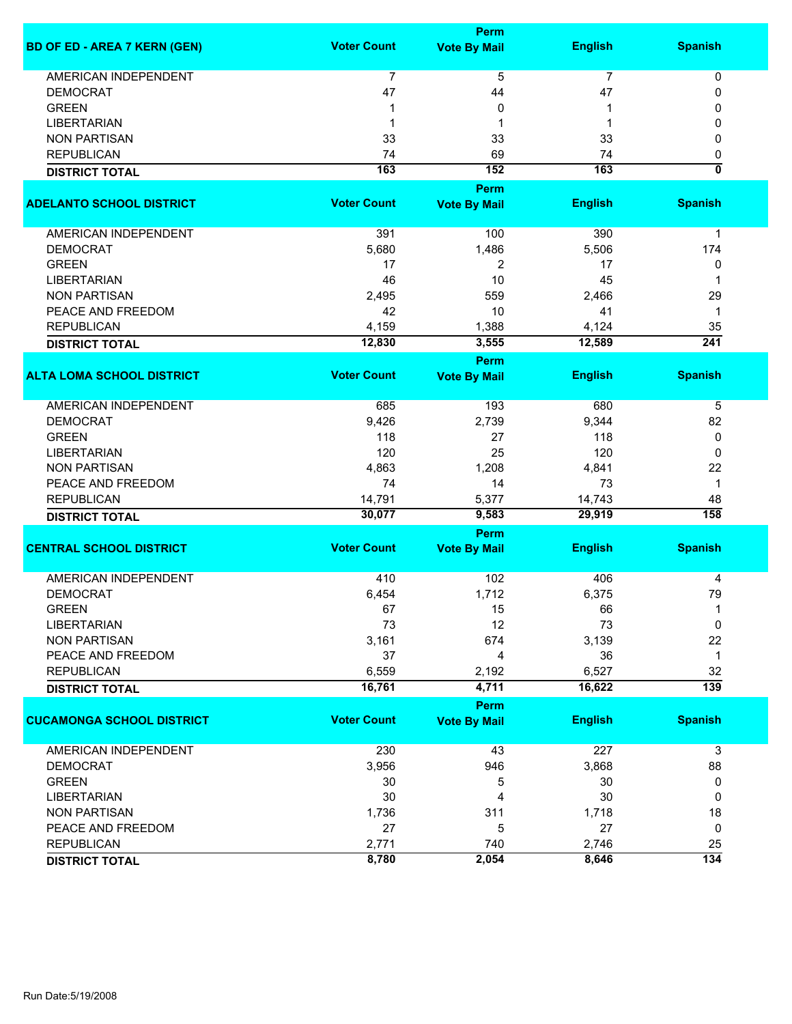|                                     |                    | Perm                |                |                           |  |  |
|-------------------------------------|--------------------|---------------------|----------------|---------------------------|--|--|
| <b>BD OF ED - AREA 7 KERN (GEN)</b> | <b>Voter Count</b> | <b>Vote By Mail</b> | <b>English</b> | <b>Spanish</b>            |  |  |
| <b>AMERICAN INDEPENDENT</b>         | 7                  | 5                   | $\overline{7}$ | 0                         |  |  |
| <b>DEMOCRAT</b>                     | 47                 | 44                  | 47             | 0                         |  |  |
| <b>GREEN</b>                        |                    | 0                   |                | 0                         |  |  |
| <b>LIBERTARIAN</b>                  | 1                  | 1                   | -1             | 0                         |  |  |
| <b>NON PARTISAN</b>                 | 33                 | 33                  | 33             | 0                         |  |  |
| <b>REPUBLICAN</b>                   | 74                 | 69                  | 74             | 0                         |  |  |
| <b>DISTRICT TOTAL</b>               | 163                | 152                 | 163            | $\overline{\mathfrak{o}}$ |  |  |
|                                     |                    |                     |                |                           |  |  |
|                                     |                    | Perm                |                |                           |  |  |
| <b>ADELANTO SCHOOL DISTRICT</b>     | <b>Voter Count</b> | <b>Vote By Mail</b> | <b>English</b> | <b>Spanish</b>            |  |  |
| AMERICAN INDEPENDENT                | 391                |                     | 390            |                           |  |  |
|                                     |                    | 100                 |                | 1                         |  |  |
| <b>DEMOCRAT</b>                     | 5,680              | 1,486               | 5,506          | 174                       |  |  |
| <b>GREEN</b>                        | 17                 | 2                   | 17             | 0                         |  |  |
| <b>LIBERTARIAN</b>                  | 46                 | 10                  | 45             | 1                         |  |  |
| <b>NON PARTISAN</b>                 | 2,495              | 559                 | 2,466          | 29                        |  |  |
| PEACE AND FREEDOM                   | 42                 | 10                  | 41             | 1                         |  |  |
| <b>REPUBLICAN</b>                   | 4,159              | 1,388               | 4,124          | 35                        |  |  |
| <b>DISTRICT TOTAL</b>               | 12,830             | 3,555               | 12,589         | 241                       |  |  |
|                                     |                    | Perm                |                |                           |  |  |
| <b>ALTA LOMA SCHOOL DISTRICT</b>    | <b>Voter Count</b> | <b>Vote By Mail</b> | <b>English</b> | <b>Spanish</b>            |  |  |
| <b>AMERICAN INDEPENDENT</b>         | 685                | 193                 | 680            | 5                         |  |  |
| <b>DEMOCRAT</b>                     | 9,426              | 2,739               | 9,344          | 82                        |  |  |
| <b>GREEN</b>                        | 118                | 27                  | 118            | 0                         |  |  |
| <b>LIBERTARIAN</b>                  | 120                | 25                  | 120            | 0                         |  |  |
| <b>NON PARTISAN</b>                 | 4,863              | 1,208               | 4,841          | 22                        |  |  |
| PEACE AND FREEDOM                   | 74                 | 14                  | 73             | 1                         |  |  |
| <b>REPUBLICAN</b>                   | 14,791             | 5,377               | 14,743         | 48                        |  |  |
|                                     | 30,077             | 9,583               | 29,919         | 158                       |  |  |
| <b>DISTRICT TOTAL</b>               |                    |                     |                |                           |  |  |
|                                     |                    | Perm                |                |                           |  |  |
| <b>CENTRAL SCHOOL DISTRICT</b>      | <b>Voter Count</b> | <b>Vote By Mail</b> | <b>English</b> | <b>Spanish</b>            |  |  |
| <b>AMERICAN INDEPENDENT</b>         | 410                | 102                 | 406            | 4                         |  |  |
| <b>DEMOCRAT</b>                     | 6,454              | 1,712               | 6,375          | 79                        |  |  |
| <b>GREEN</b>                        | 67                 | 15                  | 66             | 1                         |  |  |
| <b>LIBERTARIAN</b>                  | 73                 | 12                  | 73             | 0                         |  |  |
| <b>NON PARTISAN</b>                 | 3,161              | 674                 | 3,139          | 22                        |  |  |
| PEACE AND FREEDOM                   | 37                 | 4                   | 36             | 1                         |  |  |
| <b>REPUBLICAN</b>                   | 6,559              | 2,192               | 6,527          | 32                        |  |  |
| <b>DISTRICT TOTAL</b>               | 16,761             | 4,711               | 16,622         | $\overline{139}$          |  |  |
|                                     |                    | Perm                |                |                           |  |  |
| <b>CUCAMONGA SCHOOL DISTRICT</b>    | <b>Voter Count</b> | <b>Vote By Mail</b> | <b>English</b> | <b>Spanish</b>            |  |  |
|                                     |                    |                     |                |                           |  |  |
| <b>AMERICAN INDEPENDENT</b>         | 230                | 43                  | 227            | 3                         |  |  |
| <b>DEMOCRAT</b>                     | 3,956              | 946                 | 3,868          | 88                        |  |  |
| <b>GREEN</b>                        | 30                 | 5                   | 30             | 0                         |  |  |
| <b>LIBERTARIAN</b>                  | 30                 | 4                   | 30             | 0                         |  |  |
| <b>NON PARTISAN</b>                 | 1,736              | 311                 | 1,718          | 18                        |  |  |
| PEACE AND FREEDOM                   | 27                 | 5                   | 27             | 0                         |  |  |
| <b>REPUBLICAN</b>                   | 2,771              | 740                 | 2,746          | 25                        |  |  |
| <b>DISTRICT TOTAL</b>               | 8,780              | 2,054               | 8,646          | 134                       |  |  |
|                                     |                    |                     |                |                           |  |  |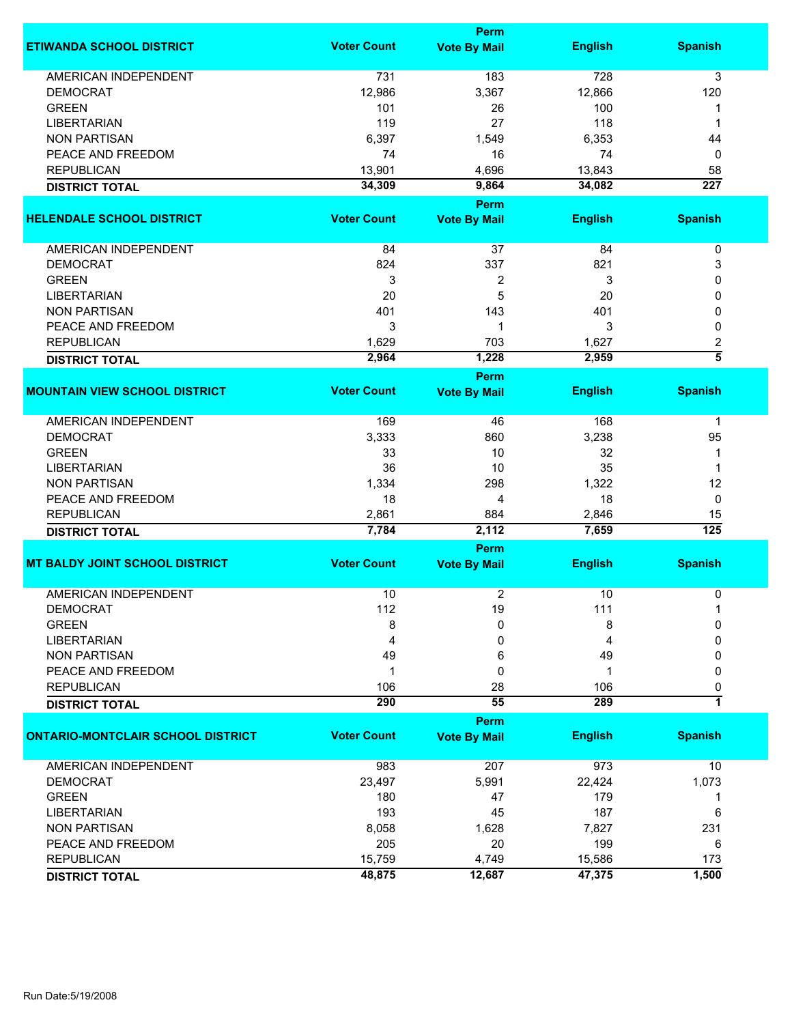|                                                |                    | <b>Perm</b>         |                |                     |
|------------------------------------------------|--------------------|---------------------|----------------|---------------------|
| <b>ETIWANDA SCHOOL DISTRICT</b>                | <b>Voter Count</b> | <b>Vote By Mail</b> | <b>English</b> | <b>Spanish</b>      |
| AMERICAN INDEPENDENT                           | 731                | 183                 | 728            | 3                   |
| <b>DEMOCRAT</b>                                | 12,986             | 3,367               | 12,866         | 120                 |
| <b>GREEN</b>                                   | 101                | 26                  | 100            | 1                   |
| <b>LIBERTARIAN</b>                             | 119                | 27                  | 118            | 1                   |
| <b>NON PARTISAN</b>                            | 6,397              | 1,549               | 6,353          | 44                  |
| PEACE AND FREEDOM                              | 74                 | 16                  | 74             | 0                   |
|                                                |                    |                     |                |                     |
| <b>REPUBLICAN</b>                              | 13,901             | 4,696               | 13,843         | 58                  |
| <b>DISTRICT TOTAL</b>                          | 34,309             | 9,864               | 34,082         | $\overline{227}$    |
|                                                | <b>Voter Count</b> | Perm                |                |                     |
| <b>HELENDALE SCHOOL DISTRICT</b>               |                    | <b>Vote By Mail</b> | <b>English</b> | <b>Spanish</b>      |
| <b>AMERICAN INDEPENDENT</b>                    | 84                 | 37                  | 84             | $\pmb{0}$           |
| <b>DEMOCRAT</b>                                | 824                | 337                 | 821            | 3                   |
| <b>GREEN</b>                                   | 3                  | 2                   | 3              | 0                   |
| <b>LIBERTARIAN</b>                             | 20                 | 5                   | 20             | 0                   |
| <b>NON PARTISAN</b>                            | 401                | 143                 | 401            | 0                   |
| PEACE AND FREEDOM                              | 3                  | 1                   | 3              | 0                   |
| <b>REPUBLICAN</b>                              | 1,629              | 703                 | 1,627          | 2                   |
|                                                |                    |                     |                | $\overline{\bf{5}}$ |
| <b>DISTRICT TOTAL</b>                          | 2,964              | 1,228               | 2,959          |                     |
| <b>MOUNTAIN VIEW SCHOOL DISTRICT</b>           | <b>Voter Count</b> | Perm                | <b>English</b> | <b>Spanish</b>      |
|                                                |                    | <b>Vote By Mail</b> |                |                     |
| <b>AMERICAN INDEPENDENT</b>                    | 169                | 46                  | 168            | $\mathbf 1$         |
| <b>DEMOCRAT</b>                                | 3,333              | 860                 | 3,238          | 95                  |
| <b>GREEN</b>                                   | 33                 | 10                  | 32             | 1                   |
| <b>LIBERTARIAN</b>                             | 36                 | 10                  | 35             | 1                   |
| <b>NON PARTISAN</b>                            | 1,334              | 298                 | 1,322          | 12                  |
| PEACE AND FREEDOM                              | 18                 | 4                   | 18             | 0                   |
| <b>REPUBLICAN</b>                              | 2,861              | 884                 | 2,846          | 15                  |
| <b>DISTRICT TOTAL</b>                          | 7,784              | 2,112               | 7,659          | $\overline{125}$    |
|                                                |                    | Perm                |                |                     |
| <b>MT BALDY JOINT SCHOOL DISTRICT</b>          | <b>Voter Count</b> | <b>Vote By Mail</b> | <b>English</b> | <b>Spanish</b>      |
|                                                |                    |                     |                |                     |
| <b>AMERICAN INDEPENDENT</b><br><b>DEMOCRAT</b> | 10<br>112          | 2<br>19             | 10<br>111      | 0                   |
| <b>GREEN</b>                                   |                    | 0                   |                | 0                   |
|                                                | 8                  |                     | 8              |                     |
| <b>LIBERTARIAN</b>                             | 4                  | 0                   | 4              | 0                   |
| <b>NON PARTISAN</b>                            | 49                 | 6                   | 49             | 0                   |
| PEACE AND FREEDOM                              | 1                  | 0                   | 1              | 0                   |
| <b>REPUBLICAN</b>                              | 106                | 28                  | 106            | 0                   |
| <b>DISTRICT TOTAL</b>                          | 290                | 55                  | 289            | 1                   |
|                                                |                    | Perm                |                |                     |
| <b>ONTARIO-MONTCLAIR SCHOOL DISTRICT</b>       | <b>Voter Count</b> | <b>Vote By Mail</b> | <b>English</b> | <b>Spanish</b>      |
| <b>AMERICAN INDEPENDENT</b>                    | 983                | 207                 | 973            | 10                  |
| <b>DEMOCRAT</b>                                | 23,497             | 5,991               | 22,424         | 1,073               |
| <b>GREEN</b>                                   | 180                | 47                  | 179            | 1                   |
| <b>LIBERTARIAN</b>                             | 193                | 45                  | 187            | 6                   |
| <b>NON PARTISAN</b>                            | 8,058              | 1,628               | 7,827          | 231                 |
| PEACE AND FREEDOM                              | 205                | 20                  | 199            | 6                   |
| <b>REPUBLICAN</b>                              | 15,759             | 4,749               | 15,586         | 173                 |
|                                                | 48,875             | 12,687              | 47,375         | 1,500               |
| <b>DISTRICT TOTAL</b>                          |                    |                     |                |                     |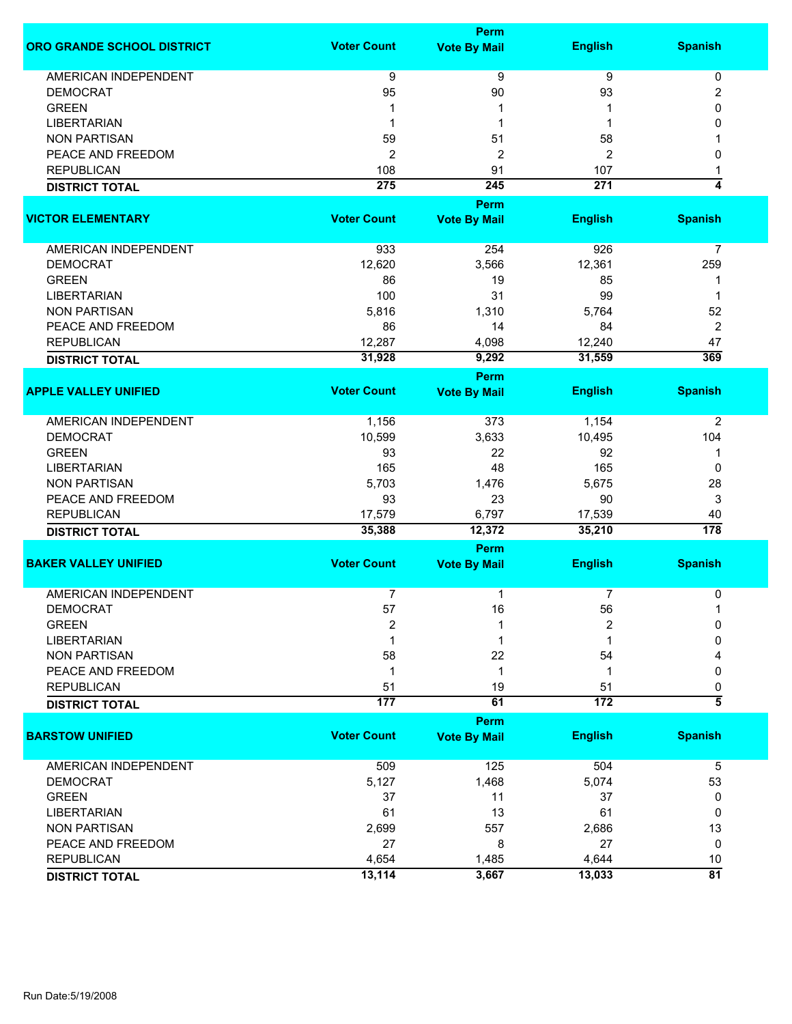|                             | <b>Perm</b>        |                     |                |                         |  |
|-----------------------------|--------------------|---------------------|----------------|-------------------------|--|
| ORO GRANDE SCHOOL DISTRICT  | <b>Voter Count</b> | <b>Vote By Mail</b> | <b>English</b> | <b>Spanish</b>          |  |
| AMERICAN INDEPENDENT        | 9                  | 9                   | 9              | 0                       |  |
| <b>DEMOCRAT</b>             | 95                 | 90                  | 93             | 2                       |  |
| <b>GREEN</b>                | 1                  | 1                   |                | 0                       |  |
| <b>LIBERTARIAN</b>          | 1                  | 1                   | 1              | 0                       |  |
|                             |                    |                     |                |                         |  |
| <b>NON PARTISAN</b>         | 59                 | 51                  | 58             |                         |  |
| PEACE AND FREEDOM           | $\overline{2}$     | $\overline{c}$      | 2              | 0                       |  |
| <b>REPUBLICAN</b>           | 108                | 91                  | 107            |                         |  |
| <b>DISTRICT TOTAL</b>       | 275                | 245                 | 271            | 4                       |  |
|                             |                    | Perm                |                |                         |  |
| <b>VICTOR ELEMENTARY</b>    | <b>Voter Count</b> | <b>Vote By Mail</b> | <b>English</b> | <b>Spanish</b>          |  |
|                             |                    |                     |                |                         |  |
| AMERICAN INDEPENDENT        | 933                | 254                 | 926            | 7                       |  |
| <b>DEMOCRAT</b>             | 12,620             | 3,566               | 12,361         | 259                     |  |
| <b>GREEN</b>                | 86                 | 19                  | 85             | -1                      |  |
| <b>LIBERTARIAN</b>          | 100                | 31                  | 99             | 1                       |  |
| <b>NON PARTISAN</b>         | 5,816              | 1,310               | 5,764          | 52                      |  |
| PEACE AND FREEDOM           | 86                 | 14                  | 84             | 2                       |  |
| <b>REPUBLICAN</b>           | 12,287             | 4,098               | 12,240         | 47                      |  |
| <b>DISTRICT TOTAL</b>       | 31,928             | 9,292               | 31,559         | 369                     |  |
|                             |                    | Perm                |                |                         |  |
| <b>APPLE VALLEY UNIFIED</b> | <b>Voter Count</b> | <b>Vote By Mail</b> | <b>English</b> | <b>Spanish</b>          |  |
|                             |                    |                     |                |                         |  |
| <b>AMERICAN INDEPENDENT</b> | 1,156              | 373                 | 1,154          | 2                       |  |
| <b>DEMOCRAT</b>             | 10,599             | 3,633               | 10,495         | 104                     |  |
| <b>GREEN</b>                | 93                 | 22                  | 92             | 1                       |  |
| <b>LIBERTARIAN</b>          | 165                | 48                  | 165            | 0                       |  |
| <b>NON PARTISAN</b>         | 5,703              | 1,476               | 5,675          | 28                      |  |
| PEACE AND FREEDOM           | 93                 | 23                  | 90             | 3                       |  |
| <b>REPUBLICAN</b>           | 17,579             | 6,797               | 17,539         | 40                      |  |
| <b>DISTRICT TOTAL</b>       | 35,388             | 12,372              | 35,210         | $\overline{178}$        |  |
|                             |                    | Perm                |                |                         |  |
| <b>BAKER VALLEY UNIFIED</b> | <b>Voter Count</b> | <b>Vote By Mail</b> | <b>English</b> | <b>Spanish</b>          |  |
|                             |                    |                     |                |                         |  |
| <b>AMERICAN INDEPENDENT</b> | $\overline{7}$     | $\mathbf 1$         | $\overline{7}$ | 0                       |  |
| <b>DEMOCRAT</b>             | 57                 | 16                  | 56             | 1                       |  |
| <b>GREEN</b>                | $\boldsymbol{2}$   | 1                   | 2              | 0                       |  |
| <b>LIBERTARIAN</b>          | 1                  | 1                   |                | 0                       |  |
| <b>NON PARTISAN</b>         | 58                 | 22                  | 54             | 4                       |  |
| PEACE AND FREEDOM           | 1                  | 1                   | -1             | 0                       |  |
| <b>REPUBLICAN</b>           | 51                 | 19                  | 51             | 0                       |  |
| <b>DISTRICT TOTAL</b>       | 177                | 61                  | 172            | $\overline{\bf 5}$      |  |
|                             |                    | <b>Perm</b>         |                |                         |  |
| <b>BARSTOW UNIFIED</b>      | <b>Voter Count</b> | <b>Vote By Mail</b> | <b>English</b> | <b>Spanish</b>          |  |
| <b>AMERICAN INDEPENDENT</b> | 509                | 125                 | 504            | $\overline{5}$          |  |
| <b>DEMOCRAT</b>             | 5,127              | 1,468               | 5,074          | 53                      |  |
| <b>GREEN</b>                | 37                 | 11                  | 37             | 0                       |  |
| <b>LIBERTARIAN</b>          | 61                 | 13                  | 61             | 0                       |  |
| <b>NON PARTISAN</b>         | 2,699              | 557                 | 2,686          | 13                      |  |
| PEACE AND FREEDOM           | 27                 | 8                   | 27             | 0                       |  |
| <b>REPUBLICAN</b>           |                    |                     |                |                         |  |
|                             | 4,654              | 1,485               | 4,644          | $10$<br>$\overline{81}$ |  |
| <b>DISTRICT TOTAL</b>       | 13,114             | 3,667               | 13,033         |                         |  |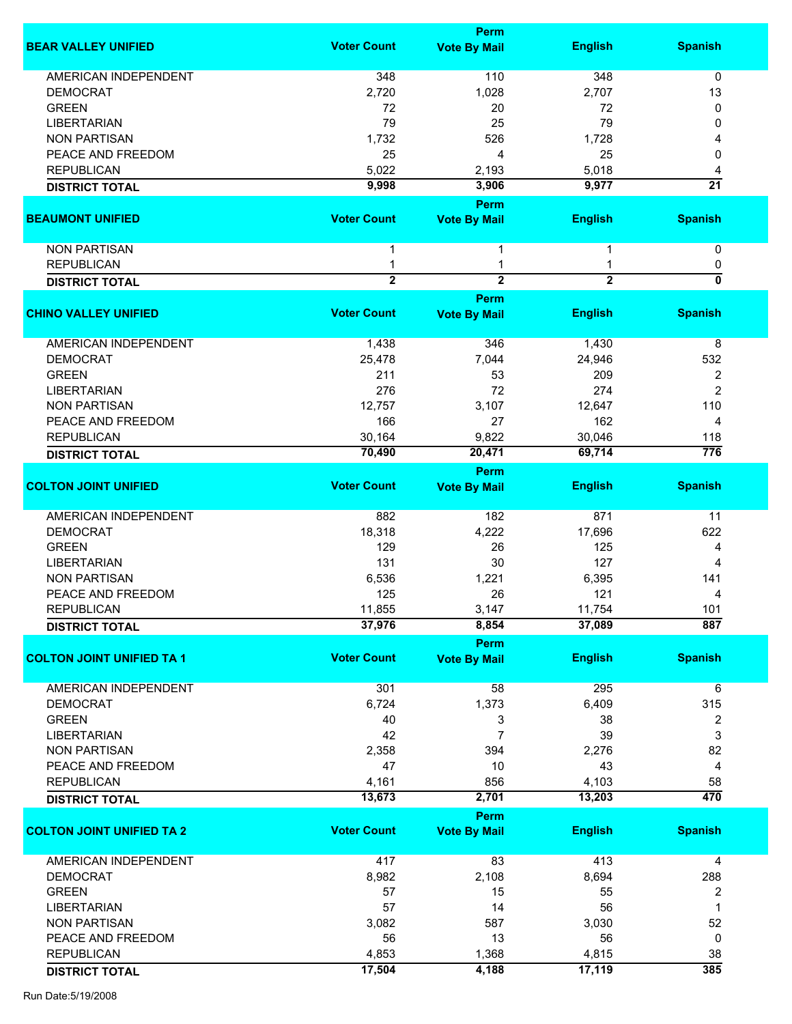|                                  |                     | <b>Perm</b>                 |                |                 |
|----------------------------------|---------------------|-----------------------------|----------------|-----------------|
| <b>BEAR VALLEY UNIFIED</b>       | <b>Voter Count</b>  | <b>Vote By Mail</b>         | <b>English</b> | <b>Spanish</b>  |
| <b>AMERICAN INDEPENDENT</b>      | 348                 | 110                         | 348            | 0               |
| <b>DEMOCRAT</b>                  | 2,720               | 1,028                       | 2,707          | 13              |
| <b>GREEN</b>                     | 72                  | 20                          | 72             | 0               |
| <b>LIBERTARIAN</b>               | 79                  |                             | 79             | 0               |
|                                  |                     | 25                          |                |                 |
| <b>NON PARTISAN</b>              | 1,732               | 526                         | 1,728          |                 |
| PEACE AND FREEDOM                | 25                  | 4                           | 25             | 0               |
| <b>REPUBLICAN</b>                | 5,022               | 2,193                       | 5,018          |                 |
| <b>DISTRICT TOTAL</b>            | 9,998               | 3,906                       | 9,977          | $\overline{21}$ |
| <b>BEAUMONT UNIFIED</b>          | <b>Voter Count</b>  | Perm<br><b>Vote By Mail</b> | <b>English</b> | <b>Spanish</b>  |
|                                  |                     |                             |                |                 |
| <b>NON PARTISAN</b>              | 1                   | 1                           |                | 0               |
| <b>REPUBLICAN</b>                | 1<br>$\overline{2}$ | 1<br>$\overline{2}$         | $\overline{2}$ | 0<br>0          |
| <b>DISTRICT TOTAL</b>            |                     | Perm                        |                |                 |
| <b>CHINO VALLEY UNIFIED</b>      | <b>Voter Count</b>  | <b>Vote By Mail</b>         | <b>English</b> | <b>Spanish</b>  |
| <b>AMERICAN INDEPENDENT</b>      | 1,438               | 346                         | 1,430          | 8               |
| <b>DEMOCRAT</b>                  | 25,478              | 7,044                       | 24,946         | 532             |
|                                  |                     |                             |                |                 |
| <b>GREEN</b>                     | 211                 | 53                          | 209            | 2               |
| <b>LIBERTARIAN</b>               | 276                 | 72                          | 274            | $\overline{2}$  |
| <b>NON PARTISAN</b>              | 12,757              | 3,107                       | 12,647         | 110             |
| PEACE AND FREEDOM                | 166                 | 27                          | 162            | 4               |
| <b>REPUBLICAN</b>                | 30,164              | 9,822                       | 30,046         | 118             |
| <b>DISTRICT TOTAL</b>            | 70,490              | 20,471                      | 69,714         | 776             |
|                                  |                     | Perm                        |                |                 |
| <b>COLTON JOINT UNIFIED</b>      | <b>Voter Count</b>  | <b>Vote By Mail</b>         | <b>English</b> | <b>Spanish</b>  |
| AMERICAN INDEPENDENT             | 882                 | 182                         | 871            | 11              |
| <b>DEMOCRAT</b>                  | 18,318              | 4,222                       | 17,696         | 622             |
| <b>GREEN</b>                     | 129                 | 26                          | 125            | 4               |
| <b>LIBERTARIAN</b>               | 131                 | 30                          | 127            | 4               |
|                                  |                     |                             |                |                 |
| <b>NON PARTISAN</b>              | 6,536               | 1,221                       | 6,395          | 141             |
| PEACE AND FREEDOM                | 125                 | 26                          | 121            | 4               |
| <b>REPUBLICAN</b>                | 11,855              | 3,147                       | 11,754         | 101             |
| <b>DISTRICT TOTAL</b>            | 37,976              | 8,854                       | 37,089         | 887             |
|                                  |                     | Perm                        |                |                 |
| <b>COLTON JOINT UNIFIED TA 1</b> | <b>Voter Count</b>  | <b>Vote By Mail</b>         | <b>English</b> | <b>Spanish</b>  |
| <b>AMERICAN INDEPENDENT</b>      | 301                 | 58                          | 295            | 6               |
| <b>DEMOCRAT</b>                  | 6,724               | 1,373                       | 6,409          | 315             |
| <b>GREEN</b>                     | 40                  | 3                           | 38             | 2               |
| <b>LIBERTARIAN</b>               | 42                  | $\overline{7}$              | 39             | 3               |
| <b>NON PARTISAN</b>              | 2,358               | 394                         | 2,276          | 82              |
| PEACE AND FREEDOM                | 47                  | 10                          | 43             | 4               |
| <b>REPUBLICAN</b>                | 4,161               | 856                         | 4,103          | 58              |
| <b>DISTRICT TOTAL</b>            | 13,673              | 2,701                       | 13,203         | 470             |
|                                  |                     | Perm                        |                |                 |
| <b>COLTON JOINT UNIFIED TA 2</b> | <b>Voter Count</b>  | <b>Vote By Mail</b>         | <b>English</b> | <b>Spanish</b>  |
| <b>AMERICAN INDEPENDENT</b>      | 417                 | 83                          | 413            | 4               |
|                                  |                     |                             |                |                 |
| <b>DEMOCRAT</b>                  | 8,982               | 2,108                       | 8,694          | 288             |
| <b>GREEN</b>                     | 57                  | 15                          | 55             | 2               |
| <b>LIBERTARIAN</b>               | 57                  | 14                          | 56             | 1               |
| <b>NON PARTISAN</b>              | 3,082               | 587                         | 3,030          | 52              |
| PEACE AND FREEDOM                | 56                  | 13                          | 56             | 0               |
| <b>REPUBLICAN</b>                | 4,853               | 1,368                       | 4,815          | 38              |
| <b>DISTRICT TOTAL</b>            | 17,504              | 4,188                       | 17,119         | 385             |
|                                  |                     |                             |                |                 |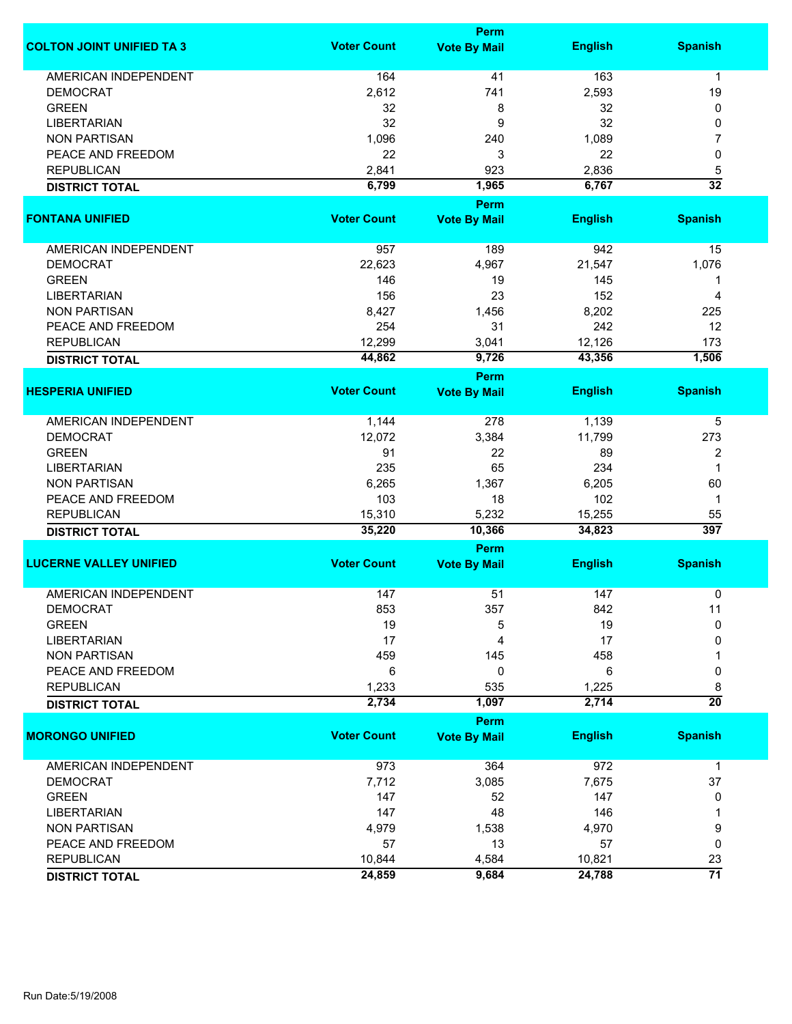|                                  |                    | <b>Perm</b>         |                |                       |
|----------------------------------|--------------------|---------------------|----------------|-----------------------|
| <b>COLTON JOINT UNIFIED TA 3</b> | <b>Voter Count</b> | <b>Vote By Mail</b> | <b>English</b> | <b>Spanish</b>        |
| <b>AMERICAN INDEPENDENT</b>      | 164                | 41                  | 163            | 1                     |
| <b>DEMOCRAT</b>                  | 2,612              | 741                 | 2,593          | 19                    |
| <b>GREEN</b>                     | 32                 | 8                   | 32             | 0                     |
| <b>LIBERTARIAN</b>               | 32                 | 9                   | 32             | 0                     |
| <b>NON PARTISAN</b>              | 1,096              | 240                 | 1,089          | 7                     |
|                                  |                    |                     |                |                       |
| PEACE AND FREEDOM                | 22                 | 3                   | 22             | 0                     |
| <b>REPUBLICAN</b>                | 2,841              | 923                 | 2,836          | 5                     |
| <b>DISTRICT TOTAL</b>            | 6,799              | 1,965               | 6,767          | $\overline{32}$       |
|                                  |                    | <b>Perm</b>         |                |                       |
| <b>FONTANA UNIFIED</b>           | <b>Voter Count</b> | <b>Vote By Mail</b> | <b>English</b> | <b>Spanish</b>        |
| AMERICAN INDEPENDENT             | 957                | 189                 | 942            | 15                    |
| <b>DEMOCRAT</b>                  | 22,623             | 4,967               | 21,547         | 1,076                 |
| <b>GREEN</b>                     | 146                | 19                  | 145            | 1                     |
| <b>LIBERTARIAN</b>               | 156                | 23                  | 152            | 4                     |
| <b>NON PARTISAN</b>              | 8,427              | 1,456               | 8,202          | 225                   |
| PEACE AND FREEDOM                | 254                | 31                  | 242            | 12                    |
|                                  |                    |                     |                |                       |
| <b>REPUBLICAN</b>                | 12,299             | 3,041               | 12,126         | 173                   |
| <b>DISTRICT TOTAL</b>            | 44,862             | 9,726               | 43,356         | 1,506                 |
| <b>HESPERIA UNIFIED</b>          | <b>Voter Count</b> | <b>Perm</b>         | <b>English</b> | <b>Spanish</b>        |
|                                  |                    | <b>Vote By Mail</b> |                |                       |
| <b>AMERICAN INDEPENDENT</b>      | 1,144              | 278                 | 1,139          | 5                     |
| <b>DEMOCRAT</b>                  | 12,072             | 3,384               | 11,799         | 273                   |
| <b>GREEN</b>                     | 91                 | 22                  | 89             | 2                     |
| <b>LIBERTARIAN</b>               | 235                | 65                  | 234            | 1                     |
| <b>NON PARTISAN</b>              | 6,265              | 1,367               | 6,205          | 60                    |
| PEACE AND FREEDOM                | 103                | 18                  | 102            | $\mathbf 1$           |
| <b>REPUBLICAN</b>                | 15,310             | 5,232               | 15,255         | 55                    |
| <b>DISTRICT TOTAL</b>            | 35,220             | 10,366              | 34,823         | 397                   |
|                                  |                    | <b>Perm</b>         |                |                       |
| <b>LUCERNE VALLEY UNIFIED</b>    | <b>Voter Count</b> | <b>Vote By Mail</b> | <b>English</b> | <b>Spanish</b>        |
| <b>AMERICAN INDEPENDENT</b>      |                    | 51                  |                |                       |
|                                  | 147                |                     | 147            | 0                     |
| <b>DEMOCRAT</b>                  | 853                | 357                 | 842            | 11                    |
| <b>GREEN</b>                     | 19                 | 5                   | 19             | 0                     |
| <b>LIBERTARIAN</b>               | 17                 | 4                   | 17             | 0                     |
| <b>NON PARTISAN</b>              | 459                | 145                 | 458            |                       |
| PEACE AND FREEDOM                | 6                  | 0                   | 6              | 0                     |
| <b>REPUBLICAN</b>                | 1,233              | 535                 | 1,225          | 8                     |
| <b>DISTRICT TOTAL</b>            | 2,734              | 1,097               | 2,714          | $\overline{20}$       |
|                                  |                    | Perm                |                |                       |
| <b>MORONGO UNIFIED</b>           | <b>Voter Count</b> | <b>Vote By Mail</b> | <b>English</b> | <b>Spanish</b>        |
| <b>AMERICAN INDEPENDENT</b>      | 973                | 364                 | 972            | $\mathbf 1$           |
| <b>DEMOCRAT</b>                  | 7,712              | 3,085               | 7,675          | 37                    |
| <b>GREEN</b>                     | 147                | 52                  | 147            | 0                     |
| <b>LIBERTARIAN</b>               | 147                | 48                  | 146            | 1                     |
| <b>NON PARTISAN</b>              | 4,979              | 1,538               | 4,970          | 9                     |
| PEACE AND FREEDOM                | 57                 | 13                  | 57             | 0                     |
| <b>REPUBLICAN</b>                | 10,844             | 4,584               | 10,821         |                       |
|                                  |                    |                     |                | 23<br>$\overline{71}$ |
| <b>DISTRICT TOTAL</b>            | 24,859             | 9,684               | 24,788         |                       |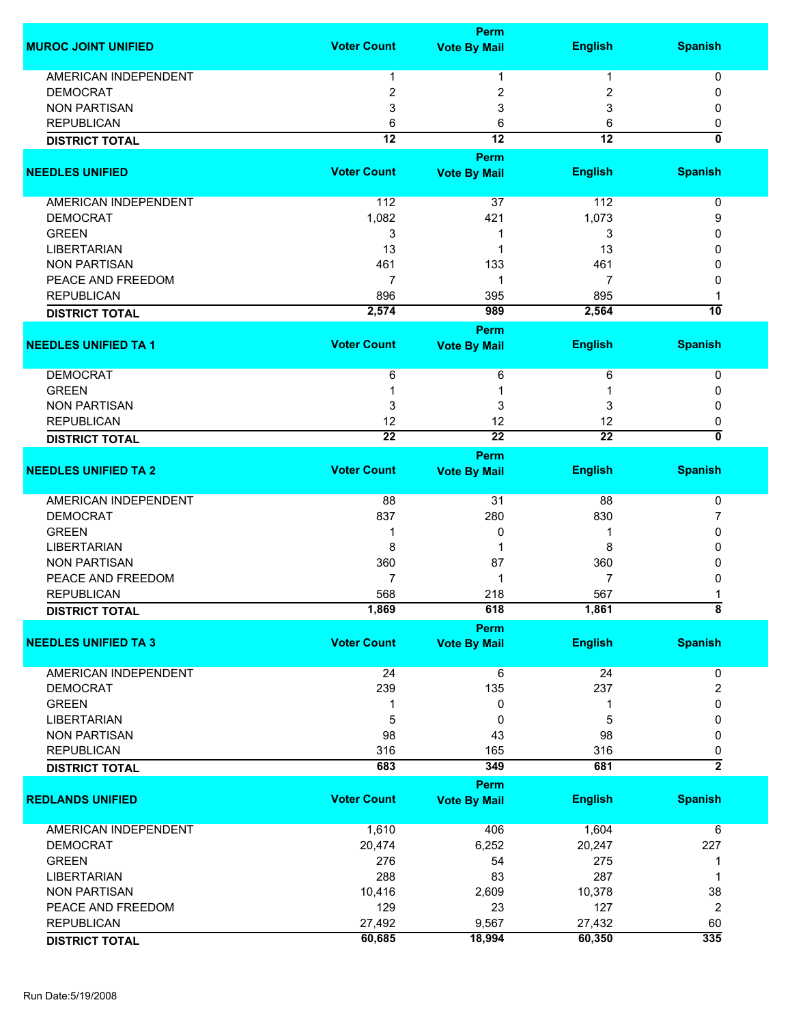|                             |                    | <b>Perm</b>                 |                 |                               |
|-----------------------------|--------------------|-----------------------------|-----------------|-------------------------------|
| <b>MUROC JOINT UNIFIED</b>  | <b>Voter Count</b> | <b>Vote By Mail</b>         | <b>English</b>  | <b>Spanish</b>                |
| AMERICAN INDEPENDENT        | 1                  | 1                           | 1               | 0                             |
| <b>DEMOCRAT</b>             | 2                  | 2                           | 2               | 0                             |
| <b>NON PARTISAN</b>         | 3                  | 3                           | 3               | 0                             |
| <b>REPUBLICAN</b>           | 6                  | 6                           | 6               | 0                             |
|                             | $\overline{12}$    | $\overline{12}$             | $\overline{12}$ | $\mathbf{0}$                  |
| <b>DISTRICT TOTAL</b>       |                    |                             |                 |                               |
|                             |                    | Perm                        |                 |                               |
| <b>NEEDLES UNIFIED</b>      | <b>Voter Count</b> | <b>Vote By Mail</b>         | <b>English</b>  | <b>Spanish</b>                |
| AMERICAN INDEPENDENT        | 112                | 37                          | 112             | 0                             |
| <b>DEMOCRAT</b>             | 1,082              | 421                         | 1,073           | 9                             |
| <b>GREEN</b>                | 3                  | 1                           | 3               | 0                             |
| <b>LIBERTARIAN</b>          | 13                 | 1                           | 13              | 0                             |
| <b>NON PARTISAN</b>         | 461                | 133                         | 461             | 0                             |
| PEACE AND FREEDOM           | $\overline{7}$     | 1                           | 7               | 0                             |
| <b>REPUBLICAN</b>           | 896                | 395                         | 895             | 1                             |
| <b>DISTRICT TOTAL</b>       | 2,574              | 989                         | 2,564           | $\overline{10}$               |
|                             |                    |                             |                 |                               |
| <b>NEEDLES UNIFIED TA 1</b> | <b>Voter Count</b> | Perm<br><b>Vote By Mail</b> | <b>English</b>  | <b>Spanish</b>                |
|                             |                    |                             |                 |                               |
| <b>DEMOCRAT</b>             | 6                  | 6                           | 6               | 0                             |
| <b>GREEN</b>                |                    | 1                           |                 | 0                             |
| <b>NON PARTISAN</b>         | 3                  | 3                           | 3               | 0                             |
| <b>REPUBLICAN</b>           | 12                 | 12                          | 12              | 0                             |
| <b>DISTRICT TOTAL</b>       | $\overline{22}$    | $\overline{22}$             | $\overline{22}$ | 0                             |
|                             |                    | Perm                        |                 |                               |
| <b>NEEDLES UNIFIED TA 2</b> | <b>Voter Count</b> | <b>Vote By Mail</b>         | <b>English</b>  | <b>Spanish</b>                |
|                             |                    |                             |                 |                               |
| AMERICAN INDEPENDENT        | 88                 | 31                          | 88              | 0                             |
| <b>DEMOCRAT</b>             | 837                | 280                         | 830             | 7                             |
| <b>GREEN</b>                | 1                  | 0                           |                 | 0                             |
| <b>LIBERTARIAN</b>          | 8                  |                             | 8               | 0                             |
| <b>NON PARTISAN</b>         | 360                | 87                          | 360             | 0                             |
| PEACE AND FREEDOM           | $\overline{7}$     | 1                           | $\overline{7}$  | 0                             |
| <b>REPUBLICAN</b>           | 568                | 218                         | 567             |                               |
| <b>DISTRICT TOTAL</b>       | 1,869              | 618                         | 1,861           | ŏ                             |
|                             |                    | <b>Perm</b>                 |                 |                               |
| <b>NEEDLES UNIFIED TA 3</b> | <b>Voter Count</b> | <b>Vote By Mail</b>         | <b>English</b>  | <b>Spanish</b>                |
| AMERICAN INDEPENDENT        | 24                 |                             | 24              |                               |
| <b>DEMOCRAT</b>             | 239                | 6<br>135                    | 237             | 0                             |
|                             |                    |                             |                 | $\overline{2}$<br>$\mathbf 0$ |
| <b>GREEN</b>                | 1                  | 0                           | 1               |                               |
| <b>LIBERTARIAN</b>          | 5                  | 0                           | 5               | 0                             |
| <b>NON PARTISAN</b>         | 98                 | 43                          | 98              | 0                             |
| <b>REPUBLICAN</b>           | 316                | 165                         | 316             | 0                             |
| <b>DISTRICT TOTAL</b>       | 683                | 349                         | 681             | $\overline{2}$                |
|                             |                    | Perm                        |                 |                               |
| <b>REDLANDS UNIFIED</b>     | <b>Voter Count</b> | <b>Vote By Mail</b>         | <b>English</b>  | <b>Spanish</b>                |
| AMERICAN INDEPENDENT        | 1,610              | 406                         | 1,604           | 6                             |
| <b>DEMOCRAT</b>             | 20,474             | 6,252                       | 20,247          | 227                           |
| <b>GREEN</b>                | 276                | 54                          | 275             | 1                             |
| <b>LIBERTARIAN</b>          | 288                | 83                          | 287             | 1                             |
| <b>NON PARTISAN</b>         | 10,416             | 2,609                       | 10,378          | 38                            |
| PEACE AND FREEDOM           | 129                | 23                          | 127             |                               |
|                             | 27,492             |                             |                 | 2                             |
| <b>REPUBLICAN</b>           |                    | 9,567                       | 27,432          | 60<br>335                     |
| <b>DISTRICT TOTAL</b>       | 60,685             | 18,994                      | 60,350          |                               |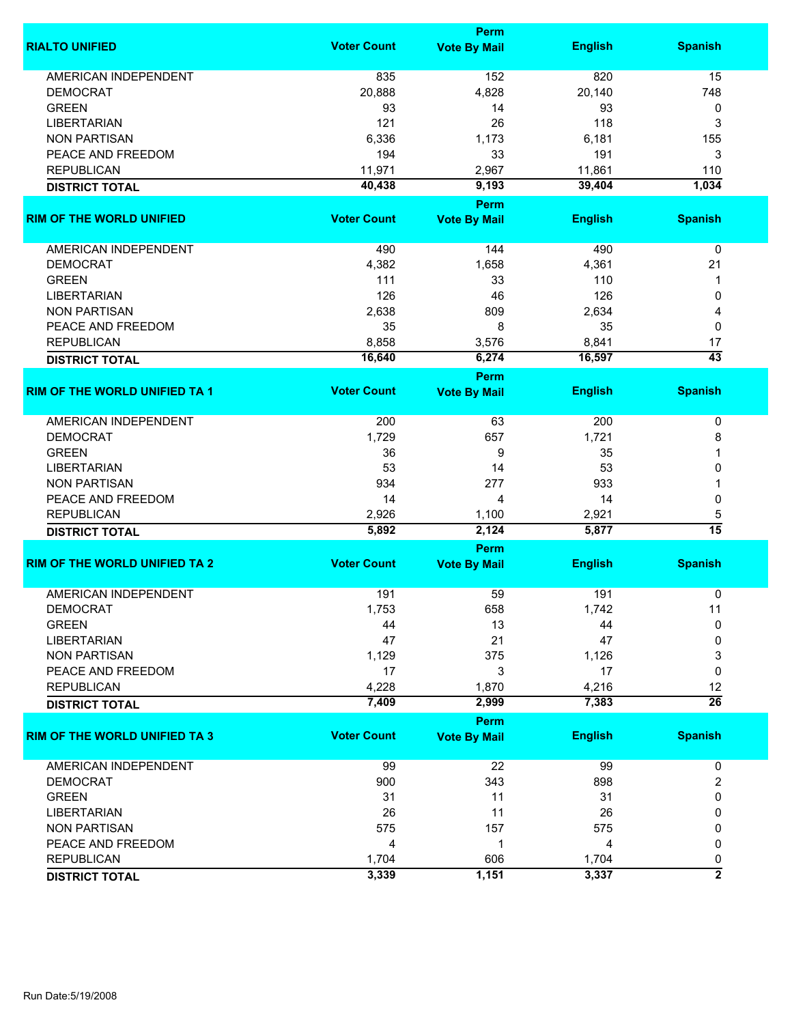|                                      | Perm               |                             |                |                      |
|--------------------------------------|--------------------|-----------------------------|----------------|----------------------|
| <b>RIALTO UNIFIED</b>                | <b>Voter Count</b> | <b>Vote By Mail</b>         | <b>English</b> | <b>Spanish</b>       |
| <b>AMERICAN INDEPENDENT</b>          | 835                | 152                         | 820            | 15                   |
| <b>DEMOCRAT</b>                      | 20,888             | 4,828                       | 20,140         | 748                  |
| <b>GREEN</b>                         | 93                 | 14                          | 93             | 0                    |
| <b>LIBERTARIAN</b>                   | 121                | 26                          | 118            | 3                    |
| <b>NON PARTISAN</b>                  | 6,336              | 1,173                       | 6,181          | 155                  |
| PEACE AND FREEDOM                    |                    |                             |                |                      |
|                                      | 194                | 33                          | 191            | 3                    |
| <b>REPUBLICAN</b>                    | 11,971             | 2,967                       | 11,861         | 110                  |
| <b>DISTRICT TOTAL</b>                | 40,438             | 9,193<br>Perm               | 39,404         | 1,034                |
| <b>RIM OF THE WORLD UNIFIED</b>      | <b>Voter Count</b> | <b>Vote By Mail</b>         | <b>English</b> | <b>Spanish</b>       |
|                                      |                    |                             |                |                      |
| AMERICAN INDEPENDENT                 | 490                | 144                         | 490            | 0                    |
| <b>DEMOCRAT</b>                      | 4,382              | 1,658                       | 4,361          | 21                   |
| <b>GREEN</b>                         | 111                | 33                          | 110            | 1                    |
| <b>LIBERTARIAN</b>                   | 126                | 46                          | 126            | 0                    |
| <b>NON PARTISAN</b>                  | 2,638              | 809                         | 2,634          | 4                    |
| PEACE AND FREEDOM                    | 35                 | 8                           | 35             | 0                    |
| <b>REPUBLICAN</b>                    | 8,858              | 3,576                       | 8,841          | 17                   |
| <b>DISTRICT TOTAL</b>                | 16,640             | 6,274                       | 16,597         | $\overline{43}$      |
|                                      |                    | <b>Perm</b>                 |                |                      |
| <b>RIM OF THE WORLD UNIFIED TA 1</b> | <b>Voter Count</b> | <b>Vote By Mail</b>         | <b>English</b> | <b>Spanish</b>       |
| <b>AMERICAN INDEPENDENT</b>          | 200                | 63                          | 200            | 0                    |
| <b>DEMOCRAT</b>                      | 1,729              | 657                         | 1,721          | 8                    |
| <b>GREEN</b>                         | 36                 | 9                           | 35             | 1                    |
| <b>LIBERTARIAN</b>                   | 53                 | 14                          | 53             | 0                    |
| <b>NON PARTISAN</b>                  | 934                | 277                         | 933            |                      |
| PEACE AND FREEDOM                    | 14                 | 4                           | 14             | 0                    |
| <b>REPUBLICAN</b>                    | 2,926              | 1,100                       | 2,921          |                      |
|                                      | 5,892              | 2,124                       | 5,877          | 5<br>$\overline{15}$ |
| <b>DISTRICT TOTAL</b>                |                    |                             |                |                      |
| <b>RIM OF THE WORLD UNIFIED TA 2</b> | <b>Voter Count</b> | Perm<br><b>Vote By Mail</b> | <b>English</b> | <b>Spanish</b>       |
|                                      |                    |                             |                |                      |
| <b>AMERICAN INDEPENDENT</b>          | 191                | 59                          | 191            | 0                    |
| <b>DEMOCRAT</b>                      | 1,753              | 658                         | 1,742          | 11                   |
| <b>GREEN</b>                         | 44                 | 13                          | 44             | 0                    |
| <b>LIBERTARIAN</b>                   | 47                 | 21                          | 47             | 0                    |
| <b>NON PARTISAN</b>                  | 1,129              | 375                         | 1,126          | 3                    |
| PEACE AND FREEDOM                    | 17                 | 3                           | 17             | 0                    |
| <b>REPUBLICAN</b>                    | 4,228              | 1,870                       | 4,216          | 12                   |
| <b>DISTRICT TOTAL</b>                | 7,409              | 2,999                       | 7,383          | $\overline{26}$      |
|                                      |                    | <b>Perm</b>                 |                |                      |
| <b>RIM OF THE WORLD UNIFIED TA 3</b> | <b>Voter Count</b> | <b>Vote By Mail</b>         | <b>English</b> | <b>Spanish</b>       |
| <b>AMERICAN INDEPENDENT</b>          | 99                 | 22                          | 99             | 0                    |
| <b>DEMOCRAT</b>                      | 900                | 343                         | 898            | 2                    |
| <b>GREEN</b>                         | 31                 | 11                          | 31             | 0                    |
| <b>LIBERTARIAN</b>                   | 26                 | 11                          | 26             | 0                    |
| <b>NON PARTISAN</b>                  | 575                | 157                         | 575            | 0                    |
| PEACE AND FREEDOM                    | 4                  | -1                          | 4              | 0                    |
| <b>REPUBLICAN</b>                    | 1,704              | 606                         | 1,704          | 0                    |
| <b>DISTRICT TOTAL</b>                | 3,339              | 1,151                       | 3,337          | $\overline{2}$       |
|                                      |                    |                             |                |                      |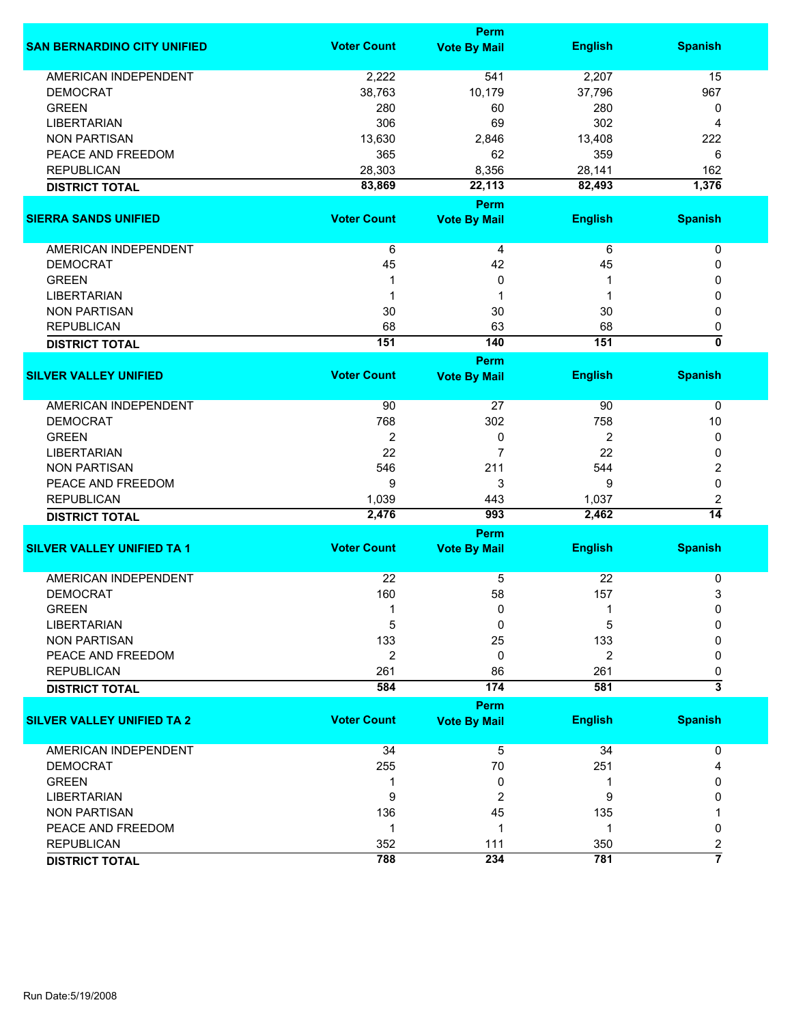| <b>Voter Count</b><br><b>English</b><br><b>Spanish</b><br><b>Vote By Mail</b><br><b>AMERICAN INDEPENDENT</b><br>541<br>2,222<br>2,207<br>15<br><b>DEMOCRAT</b><br>38,763<br>10,179<br>37,796<br>967<br><b>GREEN</b><br>280<br>280<br>60<br>0<br>302<br><b>LIBERTARIAN</b><br>306<br>69<br>4<br><b>NON PARTISAN</b><br>13,630<br>13,408<br>222<br>2,846<br>PEACE AND FREEDOM<br>365<br>359<br>62<br>6<br><b>REPUBLICAN</b><br>28,303<br>8,356<br>28,141<br>162<br>1,376<br>83,869<br>22,113<br>82,493<br><b>DISTRICT TOTAL</b><br>Perm<br><b>Voter Count</b><br><b>English</b><br><b>Spanish</b><br><b>Vote By Mail</b><br>AMERICAN INDEPENDENT<br>6<br>6<br>4<br>0<br><b>DEMOCRAT</b><br>45<br>42<br>45<br>0<br><b>GREEN</b><br>0<br>0<br>1<br>1<br><b>LIBERTARIAN</b><br>1<br>0<br>1<br>1<br><b>NON PARTISAN</b><br>30<br>30<br>30<br>0<br><b>REPUBLICAN</b><br>68<br>63<br>68<br>0<br>$\overline{\mathfrak{o}}$<br>151<br>140<br>151<br><b>DISTRICT TOTAL</b><br>Perm<br><b>Voter Count</b><br><b>English</b><br><b>Spanish</b><br><b>Vote By Mail</b><br><b>AMERICAN INDEPENDENT</b><br>90<br>27<br>90<br>0<br><b>DEMOCRAT</b><br>768<br>302<br>758<br>10<br><b>GREEN</b><br>2<br>$\overline{2}$<br>0<br>0<br>22<br>$\overline{7}$<br>22<br><b>LIBERTARIAN</b><br>0<br><b>NON PARTISAN</b><br>546<br>211<br>544<br>2<br>PEACE AND FREEDOM<br>9<br>9<br>3<br>0<br><b>REPUBLICAN</b><br>1,039<br>1,037<br>443<br>2<br>$\overline{14}$<br>2,476<br>993<br>2,462<br><b>DISTRICT TOTAL</b><br>Perm<br><b>Voter Count</b><br><b>English</b><br><b>Spanish</b><br><b>Vote By Mail</b><br><b>AMERICAN INDEPENDENT</b><br>22<br>22<br>5<br>0<br>160<br>58<br>157<br>3<br><b>DEMOCRAT</b><br><b>GREEN</b><br>0<br>0<br>1<br>1<br>5<br><b>LIBERTARIAN</b><br>0<br>5<br>O<br>133<br>133<br><b>NON PARTISAN</b><br>25<br>O<br>2<br>$\overline{2}$<br>PEACE AND FREEDOM<br>0<br>0<br><b>REPUBLICAN</b><br>261<br>86<br>261<br>0<br>$\overline{\overline{3}}$<br>584<br>174<br>581<br><b>DISTRICT TOTAL</b><br>Perm<br><b>Voter Count</b><br><b>Spanish</b><br><b>English</b><br><b>Vote By Mail</b><br>AMERICAN INDEPENDENT<br>34<br>5<br>34<br>0<br><b>DEMOCRAT</b><br>255<br>70<br>251<br>4<br><b>GREEN</b><br>0<br>1<br>1<br>0<br>9<br><b>LIBERTARIAN</b><br>2<br>9<br>0 |                                    | Perm |  |  |  |  |
|------------------------------------------------------------------------------------------------------------------------------------------------------------------------------------------------------------------------------------------------------------------------------------------------------------------------------------------------------------------------------------------------------------------------------------------------------------------------------------------------------------------------------------------------------------------------------------------------------------------------------------------------------------------------------------------------------------------------------------------------------------------------------------------------------------------------------------------------------------------------------------------------------------------------------------------------------------------------------------------------------------------------------------------------------------------------------------------------------------------------------------------------------------------------------------------------------------------------------------------------------------------------------------------------------------------------------------------------------------------------------------------------------------------------------------------------------------------------------------------------------------------------------------------------------------------------------------------------------------------------------------------------------------------------------------------------------------------------------------------------------------------------------------------------------------------------------------------------------------------------------------------------------------------------------------------------------------------------------------------------------------------------------------------------------------------------------------------------------------------------------------------------------------------------------------------------------------------------------------------------------------------|------------------------------------|------|--|--|--|--|
|                                                                                                                                                                                                                                                                                                                                                                                                                                                                                                                                                                                                                                                                                                                                                                                                                                                                                                                                                                                                                                                                                                                                                                                                                                                                                                                                                                                                                                                                                                                                                                                                                                                                                                                                                                                                                                                                                                                                                                                                                                                                                                                                                                                                                                                                  | <b>SAN BERNARDINO CITY UNIFIED</b> |      |  |  |  |  |
| <b>SIERRA SANDS UNIFIED</b><br><b>SILVER VALLEY UNIFIED</b><br><b>SILVER VALLEY UNIFIED TA 1</b><br><b>SILVER VALLEY UNIFIED TA 2</b>                                                                                                                                                                                                                                                                                                                                                                                                                                                                                                                                                                                                                                                                                                                                                                                                                                                                                                                                                                                                                                                                                                                                                                                                                                                                                                                                                                                                                                                                                                                                                                                                                                                                                                                                                                                                                                                                                                                                                                                                                                                                                                                            |                                    |      |  |  |  |  |
|                                                                                                                                                                                                                                                                                                                                                                                                                                                                                                                                                                                                                                                                                                                                                                                                                                                                                                                                                                                                                                                                                                                                                                                                                                                                                                                                                                                                                                                                                                                                                                                                                                                                                                                                                                                                                                                                                                                                                                                                                                                                                                                                                                                                                                                                  |                                    |      |  |  |  |  |
|                                                                                                                                                                                                                                                                                                                                                                                                                                                                                                                                                                                                                                                                                                                                                                                                                                                                                                                                                                                                                                                                                                                                                                                                                                                                                                                                                                                                                                                                                                                                                                                                                                                                                                                                                                                                                                                                                                                                                                                                                                                                                                                                                                                                                                                                  |                                    |      |  |  |  |  |
|                                                                                                                                                                                                                                                                                                                                                                                                                                                                                                                                                                                                                                                                                                                                                                                                                                                                                                                                                                                                                                                                                                                                                                                                                                                                                                                                                                                                                                                                                                                                                                                                                                                                                                                                                                                                                                                                                                                                                                                                                                                                                                                                                                                                                                                                  |                                    |      |  |  |  |  |
|                                                                                                                                                                                                                                                                                                                                                                                                                                                                                                                                                                                                                                                                                                                                                                                                                                                                                                                                                                                                                                                                                                                                                                                                                                                                                                                                                                                                                                                                                                                                                                                                                                                                                                                                                                                                                                                                                                                                                                                                                                                                                                                                                                                                                                                                  |                                    |      |  |  |  |  |
|                                                                                                                                                                                                                                                                                                                                                                                                                                                                                                                                                                                                                                                                                                                                                                                                                                                                                                                                                                                                                                                                                                                                                                                                                                                                                                                                                                                                                                                                                                                                                                                                                                                                                                                                                                                                                                                                                                                                                                                                                                                                                                                                                                                                                                                                  |                                    |      |  |  |  |  |
|                                                                                                                                                                                                                                                                                                                                                                                                                                                                                                                                                                                                                                                                                                                                                                                                                                                                                                                                                                                                                                                                                                                                                                                                                                                                                                                                                                                                                                                                                                                                                                                                                                                                                                                                                                                                                                                                                                                                                                                                                                                                                                                                                                                                                                                                  |                                    |      |  |  |  |  |
|                                                                                                                                                                                                                                                                                                                                                                                                                                                                                                                                                                                                                                                                                                                                                                                                                                                                                                                                                                                                                                                                                                                                                                                                                                                                                                                                                                                                                                                                                                                                                                                                                                                                                                                                                                                                                                                                                                                                                                                                                                                                                                                                                                                                                                                                  |                                    |      |  |  |  |  |
|                                                                                                                                                                                                                                                                                                                                                                                                                                                                                                                                                                                                                                                                                                                                                                                                                                                                                                                                                                                                                                                                                                                                                                                                                                                                                                                                                                                                                                                                                                                                                                                                                                                                                                                                                                                                                                                                                                                                                                                                                                                                                                                                                                                                                                                                  |                                    |      |  |  |  |  |
|                                                                                                                                                                                                                                                                                                                                                                                                                                                                                                                                                                                                                                                                                                                                                                                                                                                                                                                                                                                                                                                                                                                                                                                                                                                                                                                                                                                                                                                                                                                                                                                                                                                                                                                                                                                                                                                                                                                                                                                                                                                                                                                                                                                                                                                                  |                                    |      |  |  |  |  |
|                                                                                                                                                                                                                                                                                                                                                                                                                                                                                                                                                                                                                                                                                                                                                                                                                                                                                                                                                                                                                                                                                                                                                                                                                                                                                                                                                                                                                                                                                                                                                                                                                                                                                                                                                                                                                                                                                                                                                                                                                                                                                                                                                                                                                                                                  |                                    |      |  |  |  |  |
|                                                                                                                                                                                                                                                                                                                                                                                                                                                                                                                                                                                                                                                                                                                                                                                                                                                                                                                                                                                                                                                                                                                                                                                                                                                                                                                                                                                                                                                                                                                                                                                                                                                                                                                                                                                                                                                                                                                                                                                                                                                                                                                                                                                                                                                                  |                                    |      |  |  |  |  |
|                                                                                                                                                                                                                                                                                                                                                                                                                                                                                                                                                                                                                                                                                                                                                                                                                                                                                                                                                                                                                                                                                                                                                                                                                                                                                                                                                                                                                                                                                                                                                                                                                                                                                                                                                                                                                                                                                                                                                                                                                                                                                                                                                                                                                                                                  |                                    |      |  |  |  |  |
|                                                                                                                                                                                                                                                                                                                                                                                                                                                                                                                                                                                                                                                                                                                                                                                                                                                                                                                                                                                                                                                                                                                                                                                                                                                                                                                                                                                                                                                                                                                                                                                                                                                                                                                                                                                                                                                                                                                                                                                                                                                                                                                                                                                                                                                                  |                                    |      |  |  |  |  |
|                                                                                                                                                                                                                                                                                                                                                                                                                                                                                                                                                                                                                                                                                                                                                                                                                                                                                                                                                                                                                                                                                                                                                                                                                                                                                                                                                                                                                                                                                                                                                                                                                                                                                                                                                                                                                                                                                                                                                                                                                                                                                                                                                                                                                                                                  |                                    |      |  |  |  |  |
|                                                                                                                                                                                                                                                                                                                                                                                                                                                                                                                                                                                                                                                                                                                                                                                                                                                                                                                                                                                                                                                                                                                                                                                                                                                                                                                                                                                                                                                                                                                                                                                                                                                                                                                                                                                                                                                                                                                                                                                                                                                                                                                                                                                                                                                                  |                                    |      |  |  |  |  |
|                                                                                                                                                                                                                                                                                                                                                                                                                                                                                                                                                                                                                                                                                                                                                                                                                                                                                                                                                                                                                                                                                                                                                                                                                                                                                                                                                                                                                                                                                                                                                                                                                                                                                                                                                                                                                                                                                                                                                                                                                                                                                                                                                                                                                                                                  |                                    |      |  |  |  |  |
|                                                                                                                                                                                                                                                                                                                                                                                                                                                                                                                                                                                                                                                                                                                                                                                                                                                                                                                                                                                                                                                                                                                                                                                                                                                                                                                                                                                                                                                                                                                                                                                                                                                                                                                                                                                                                                                                                                                                                                                                                                                                                                                                                                                                                                                                  |                                    |      |  |  |  |  |
|                                                                                                                                                                                                                                                                                                                                                                                                                                                                                                                                                                                                                                                                                                                                                                                                                                                                                                                                                                                                                                                                                                                                                                                                                                                                                                                                                                                                                                                                                                                                                                                                                                                                                                                                                                                                                                                                                                                                                                                                                                                                                                                                                                                                                                                                  |                                    |      |  |  |  |  |
|                                                                                                                                                                                                                                                                                                                                                                                                                                                                                                                                                                                                                                                                                                                                                                                                                                                                                                                                                                                                                                                                                                                                                                                                                                                                                                                                                                                                                                                                                                                                                                                                                                                                                                                                                                                                                                                                                                                                                                                                                                                                                                                                                                                                                                                                  |                                    |      |  |  |  |  |
|                                                                                                                                                                                                                                                                                                                                                                                                                                                                                                                                                                                                                                                                                                                                                                                                                                                                                                                                                                                                                                                                                                                                                                                                                                                                                                                                                                                                                                                                                                                                                                                                                                                                                                                                                                                                                                                                                                                                                                                                                                                                                                                                                                                                                                                                  |                                    |      |  |  |  |  |
|                                                                                                                                                                                                                                                                                                                                                                                                                                                                                                                                                                                                                                                                                                                                                                                                                                                                                                                                                                                                                                                                                                                                                                                                                                                                                                                                                                                                                                                                                                                                                                                                                                                                                                                                                                                                                                                                                                                                                                                                                                                                                                                                                                                                                                                                  |                                    |      |  |  |  |  |
|                                                                                                                                                                                                                                                                                                                                                                                                                                                                                                                                                                                                                                                                                                                                                                                                                                                                                                                                                                                                                                                                                                                                                                                                                                                                                                                                                                                                                                                                                                                                                                                                                                                                                                                                                                                                                                                                                                                                                                                                                                                                                                                                                                                                                                                                  |                                    |      |  |  |  |  |
|                                                                                                                                                                                                                                                                                                                                                                                                                                                                                                                                                                                                                                                                                                                                                                                                                                                                                                                                                                                                                                                                                                                                                                                                                                                                                                                                                                                                                                                                                                                                                                                                                                                                                                                                                                                                                                                                                                                                                                                                                                                                                                                                                                                                                                                                  |                                    |      |  |  |  |  |
|                                                                                                                                                                                                                                                                                                                                                                                                                                                                                                                                                                                                                                                                                                                                                                                                                                                                                                                                                                                                                                                                                                                                                                                                                                                                                                                                                                                                                                                                                                                                                                                                                                                                                                                                                                                                                                                                                                                                                                                                                                                                                                                                                                                                                                                                  |                                    |      |  |  |  |  |
|                                                                                                                                                                                                                                                                                                                                                                                                                                                                                                                                                                                                                                                                                                                                                                                                                                                                                                                                                                                                                                                                                                                                                                                                                                                                                                                                                                                                                                                                                                                                                                                                                                                                                                                                                                                                                                                                                                                                                                                                                                                                                                                                                                                                                                                                  |                                    |      |  |  |  |  |
|                                                                                                                                                                                                                                                                                                                                                                                                                                                                                                                                                                                                                                                                                                                                                                                                                                                                                                                                                                                                                                                                                                                                                                                                                                                                                                                                                                                                                                                                                                                                                                                                                                                                                                                                                                                                                                                                                                                                                                                                                                                                                                                                                                                                                                                                  |                                    |      |  |  |  |  |
|                                                                                                                                                                                                                                                                                                                                                                                                                                                                                                                                                                                                                                                                                                                                                                                                                                                                                                                                                                                                                                                                                                                                                                                                                                                                                                                                                                                                                                                                                                                                                                                                                                                                                                                                                                                                                                                                                                                                                                                                                                                                                                                                                                                                                                                                  |                                    |      |  |  |  |  |
|                                                                                                                                                                                                                                                                                                                                                                                                                                                                                                                                                                                                                                                                                                                                                                                                                                                                                                                                                                                                                                                                                                                                                                                                                                                                                                                                                                                                                                                                                                                                                                                                                                                                                                                                                                                                                                                                                                                                                                                                                                                                                                                                                                                                                                                                  |                                    |      |  |  |  |  |
|                                                                                                                                                                                                                                                                                                                                                                                                                                                                                                                                                                                                                                                                                                                                                                                                                                                                                                                                                                                                                                                                                                                                                                                                                                                                                                                                                                                                                                                                                                                                                                                                                                                                                                                                                                                                                                                                                                                                                                                                                                                                                                                                                                                                                                                                  |                                    |      |  |  |  |  |
|                                                                                                                                                                                                                                                                                                                                                                                                                                                                                                                                                                                                                                                                                                                                                                                                                                                                                                                                                                                                                                                                                                                                                                                                                                                                                                                                                                                                                                                                                                                                                                                                                                                                                                                                                                                                                                                                                                                                                                                                                                                                                                                                                                                                                                                                  |                                    |      |  |  |  |  |
|                                                                                                                                                                                                                                                                                                                                                                                                                                                                                                                                                                                                                                                                                                                                                                                                                                                                                                                                                                                                                                                                                                                                                                                                                                                                                                                                                                                                                                                                                                                                                                                                                                                                                                                                                                                                                                                                                                                                                                                                                                                                                                                                                                                                                                                                  |                                    |      |  |  |  |  |
|                                                                                                                                                                                                                                                                                                                                                                                                                                                                                                                                                                                                                                                                                                                                                                                                                                                                                                                                                                                                                                                                                                                                                                                                                                                                                                                                                                                                                                                                                                                                                                                                                                                                                                                                                                                                                                                                                                                                                                                                                                                                                                                                                                                                                                                                  |                                    |      |  |  |  |  |
|                                                                                                                                                                                                                                                                                                                                                                                                                                                                                                                                                                                                                                                                                                                                                                                                                                                                                                                                                                                                                                                                                                                                                                                                                                                                                                                                                                                                                                                                                                                                                                                                                                                                                                                                                                                                                                                                                                                                                                                                                                                                                                                                                                                                                                                                  |                                    |      |  |  |  |  |
|                                                                                                                                                                                                                                                                                                                                                                                                                                                                                                                                                                                                                                                                                                                                                                                                                                                                                                                                                                                                                                                                                                                                                                                                                                                                                                                                                                                                                                                                                                                                                                                                                                                                                                                                                                                                                                                                                                                                                                                                                                                                                                                                                                                                                                                                  |                                    |      |  |  |  |  |
|                                                                                                                                                                                                                                                                                                                                                                                                                                                                                                                                                                                                                                                                                                                                                                                                                                                                                                                                                                                                                                                                                                                                                                                                                                                                                                                                                                                                                                                                                                                                                                                                                                                                                                                                                                                                                                                                                                                                                                                                                                                                                                                                                                                                                                                                  |                                    |      |  |  |  |  |
|                                                                                                                                                                                                                                                                                                                                                                                                                                                                                                                                                                                                                                                                                                                                                                                                                                                                                                                                                                                                                                                                                                                                                                                                                                                                                                                                                                                                                                                                                                                                                                                                                                                                                                                                                                                                                                                                                                                                                                                                                                                                                                                                                                                                                                                                  |                                    |      |  |  |  |  |
|                                                                                                                                                                                                                                                                                                                                                                                                                                                                                                                                                                                                                                                                                                                                                                                                                                                                                                                                                                                                                                                                                                                                                                                                                                                                                                                                                                                                                                                                                                                                                                                                                                                                                                                                                                                                                                                                                                                                                                                                                                                                                                                                                                                                                                                                  |                                    |      |  |  |  |  |
|                                                                                                                                                                                                                                                                                                                                                                                                                                                                                                                                                                                                                                                                                                                                                                                                                                                                                                                                                                                                                                                                                                                                                                                                                                                                                                                                                                                                                                                                                                                                                                                                                                                                                                                                                                                                                                                                                                                                                                                                                                                                                                                                                                                                                                                                  |                                    |      |  |  |  |  |
|                                                                                                                                                                                                                                                                                                                                                                                                                                                                                                                                                                                                                                                                                                                                                                                                                                                                                                                                                                                                                                                                                                                                                                                                                                                                                                                                                                                                                                                                                                                                                                                                                                                                                                                                                                                                                                                                                                                                                                                                                                                                                                                                                                                                                                                                  |                                    |      |  |  |  |  |
|                                                                                                                                                                                                                                                                                                                                                                                                                                                                                                                                                                                                                                                                                                                                                                                                                                                                                                                                                                                                                                                                                                                                                                                                                                                                                                                                                                                                                                                                                                                                                                                                                                                                                                                                                                                                                                                                                                                                                                                                                                                                                                                                                                                                                                                                  |                                    |      |  |  |  |  |
|                                                                                                                                                                                                                                                                                                                                                                                                                                                                                                                                                                                                                                                                                                                                                                                                                                                                                                                                                                                                                                                                                                                                                                                                                                                                                                                                                                                                                                                                                                                                                                                                                                                                                                                                                                                                                                                                                                                                                                                                                                                                                                                                                                                                                                                                  |                                    |      |  |  |  |  |
|                                                                                                                                                                                                                                                                                                                                                                                                                                                                                                                                                                                                                                                                                                                                                                                                                                                                                                                                                                                                                                                                                                                                                                                                                                                                                                                                                                                                                                                                                                                                                                                                                                                                                                                                                                                                                                                                                                                                                                                                                                                                                                                                                                                                                                                                  |                                    |      |  |  |  |  |
|                                                                                                                                                                                                                                                                                                                                                                                                                                                                                                                                                                                                                                                                                                                                                                                                                                                                                                                                                                                                                                                                                                                                                                                                                                                                                                                                                                                                                                                                                                                                                                                                                                                                                                                                                                                                                                                                                                                                                                                                                                                                                                                                                                                                                                                                  |                                    |      |  |  |  |  |
|                                                                                                                                                                                                                                                                                                                                                                                                                                                                                                                                                                                                                                                                                                                                                                                                                                                                                                                                                                                                                                                                                                                                                                                                                                                                                                                                                                                                                                                                                                                                                                                                                                                                                                                                                                                                                                                                                                                                                                                                                                                                                                                                                                                                                                                                  |                                    |      |  |  |  |  |
|                                                                                                                                                                                                                                                                                                                                                                                                                                                                                                                                                                                                                                                                                                                                                                                                                                                                                                                                                                                                                                                                                                                                                                                                                                                                                                                                                                                                                                                                                                                                                                                                                                                                                                                                                                                                                                                                                                                                                                                                                                                                                                                                                                                                                                                                  |                                    |      |  |  |  |  |
| 45<br>135<br><b>NON PARTISAN</b><br>136                                                                                                                                                                                                                                                                                                                                                                                                                                                                                                                                                                                                                                                                                                                                                                                                                                                                                                                                                                                                                                                                                                                                                                                                                                                                                                                                                                                                                                                                                                                                                                                                                                                                                                                                                                                                                                                                                                                                                                                                                                                                                                                                                                                                                          |                                    |      |  |  |  |  |
| PEACE AND FREEDOM<br>1<br>$\mathbf{1}$<br>0<br>1                                                                                                                                                                                                                                                                                                                                                                                                                                                                                                                                                                                                                                                                                                                                                                                                                                                                                                                                                                                                                                                                                                                                                                                                                                                                                                                                                                                                                                                                                                                                                                                                                                                                                                                                                                                                                                                                                                                                                                                                                                                                                                                                                                                                                 |                                    |      |  |  |  |  |
| <b>REPUBLICAN</b><br>350<br>352<br>111<br>2                                                                                                                                                                                                                                                                                                                                                                                                                                                                                                                                                                                                                                                                                                                                                                                                                                                                                                                                                                                                                                                                                                                                                                                                                                                                                                                                                                                                                                                                                                                                                                                                                                                                                                                                                                                                                                                                                                                                                                                                                                                                                                                                                                                                                      |                                    |      |  |  |  |  |
| $\overline{7}$<br>788<br>234<br>781                                                                                                                                                                                                                                                                                                                                                                                                                                                                                                                                                                                                                                                                                                                                                                                                                                                                                                                                                                                                                                                                                                                                                                                                                                                                                                                                                                                                                                                                                                                                                                                                                                                                                                                                                                                                                                                                                                                                                                                                                                                                                                                                                                                                                              | <b>DISTRICT TOTAL</b>              |      |  |  |  |  |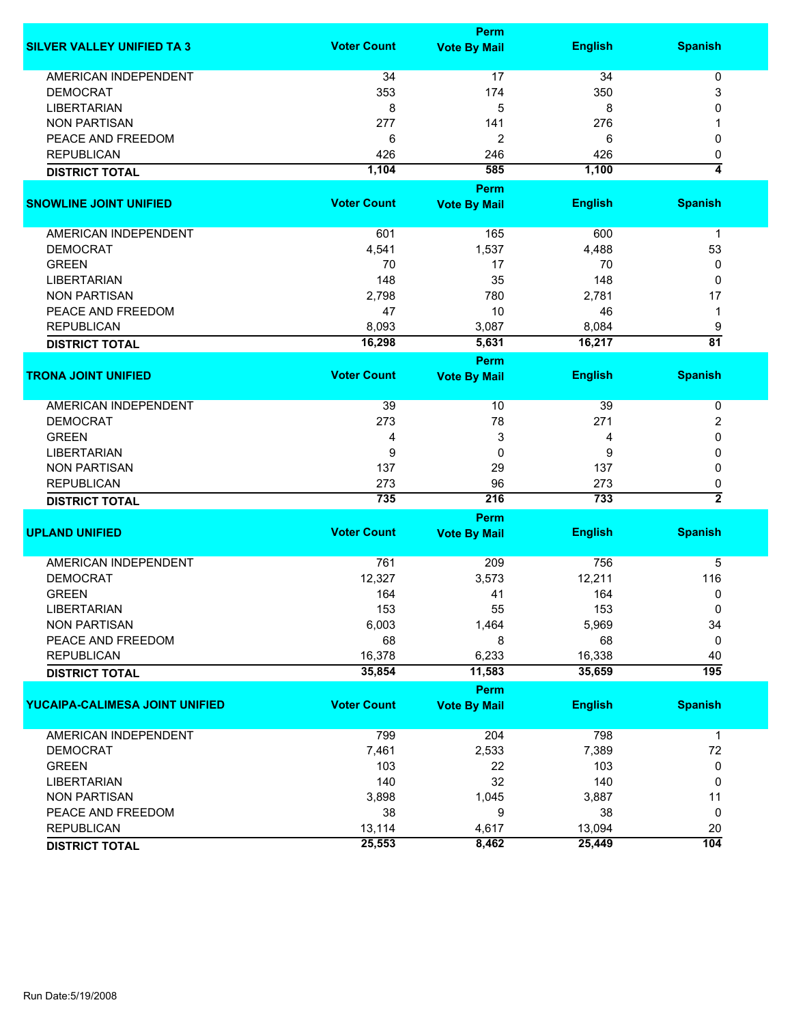|                                   |                    | Perm                |                |                         |
|-----------------------------------|--------------------|---------------------|----------------|-------------------------|
| <b>SILVER VALLEY UNIFIED TA 3</b> | <b>Voter Count</b> | <b>Vote By Mail</b> | <b>English</b> | <b>Spanish</b>          |
| <b>AMERICAN INDEPENDENT</b>       | 34                 | 17                  | 34             | 0                       |
| <b>DEMOCRAT</b>                   | 353                | 174                 | 350            | 3                       |
| <b>LIBERTARIAN</b>                | 8                  | 5                   | 8              | 0                       |
| <b>NON PARTISAN</b>               | 277                | 141                 | 276            |                         |
| PEACE AND FREEDOM                 | 6                  | 2                   | 6              | 0                       |
| <b>REPUBLICAN</b>                 | 426                | 246                 | 426            | 0                       |
|                                   | 1,104              | 585                 | 1,100          | 4                       |
| <b>DISTRICT TOTAL</b>             |                    |                     |                |                         |
|                                   |                    | Perm                |                |                         |
| <b>SNOWLINE JOINT UNIFIED</b>     | <b>Voter Count</b> | <b>Vote By Mail</b> | <b>English</b> | <b>Spanish</b>          |
|                                   |                    |                     |                |                         |
| AMERICAN INDEPENDENT              | 601                | 165                 | 600            | $\mathbf 1$             |
| <b>DEMOCRAT</b>                   | 4,541              | 1,537               | 4,488          | 53                      |
| <b>GREEN</b>                      | 70                 | 17                  | 70             | 0                       |
| <b>LIBERTARIAN</b>                | 148                | 35                  | 148            | 0                       |
| <b>NON PARTISAN</b>               | 2,798              | 780                 | 2,781          | 17                      |
| PEACE AND FREEDOM                 | 47                 | 10                  | 46             | $\mathbf 1$             |
| <b>REPUBLICAN</b>                 | 8,093              | 3,087               | 8,084          | 9                       |
| <b>DISTRICT TOTAL</b>             | 16,298             | 5,631               | 16,217         | $\overline{81}$         |
|                                   |                    | Perm                |                |                         |
| <b>TRONA JOINT UNIFIED</b>        | <b>Voter Count</b> | <b>Vote By Mail</b> | <b>English</b> | <b>Spanish</b>          |
|                                   |                    |                     |                |                         |
| AMERICAN INDEPENDENT              | 39                 | 10                  | 39             | 0                       |
| <b>DEMOCRAT</b>                   | 273                | 78                  | 271            | $\overline{2}$          |
| <b>GREEN</b>                      | 4                  | 3                   | 4              | 0                       |
| <b>LIBERTARIAN</b>                | 9                  | 0                   | 9              | $\Omega$                |
| <b>NON PARTISAN</b>               | 137                | 29                  | 137            | $\Omega$                |
| <b>REPUBLICAN</b>                 | 273                | 96                  | 273            | 0                       |
| <b>DISTRICT TOTAL</b>             | 735                | 216                 | 733            | $\overline{\mathbf{2}}$ |
|                                   |                    | Perm                |                |                         |
| <b>UPLAND UNIFIED</b>             | <b>Voter Count</b> | <b>Vote By Mail</b> | <b>English</b> | <b>Spanish</b>          |
|                                   |                    |                     |                |                         |
| <b>AMERICAN INDEPENDENT</b>       | 761                | 209                 | 756            | 5                       |
| <b>DEMOCRAT</b>                   | 12,327             | 3,573               | 12,211         | 116                     |
| <b>GREEN</b>                      | 164                | 41                  | 164            | 0                       |
| <b>LIBERTARIAN</b>                | 153                | 55                  | 153            | 0                       |
| <b>NON PARTISAN</b>               | 6,003              | 1,464               | 5,969          | 34                      |
| PEACE AND FREEDOM                 | 68                 | 8                   | 68             | 0                       |
| <b>REPUBLICAN</b>                 | 16,378             | 6,233               | 16,338         | 40                      |
| <b>DISTRICT TOTAL</b>             | 35,854             | 11,583              | 35,659         | 195                     |
|                                   |                    | Perm                |                |                         |
| YUCAIPA-CALIMESA JOINT UNIFIED    | <b>Voter Count</b> | <b>Vote By Mail</b> | <b>English</b> | <b>Spanish</b>          |
|                                   |                    |                     |                |                         |
| AMERICAN INDEPENDENT              | 799                | 204                 | 798            | $\mathbf{1}$            |
| <b>DEMOCRAT</b>                   | 7,461              | 2,533               | 7,389          | 72                      |
| <b>GREEN</b>                      | 103                | 22                  | 103            | 0                       |
| <b>LIBERTARIAN</b>                | 140                | 32                  | 140            | 0                       |
| <b>NON PARTISAN</b>               | 3,898              | 1,045               | 3,887          | 11                      |
| PEACE AND FREEDOM                 | 38                 | 9                   | 38             | 0                       |
| <b>REPUBLICAN</b>                 | 13,114             | 4,617               | 13,094         | 20                      |
| <b>DISTRICT TOTAL</b>             | 25,553             | 8,462               | 25,449         | 104                     |
|                                   |                    |                     |                |                         |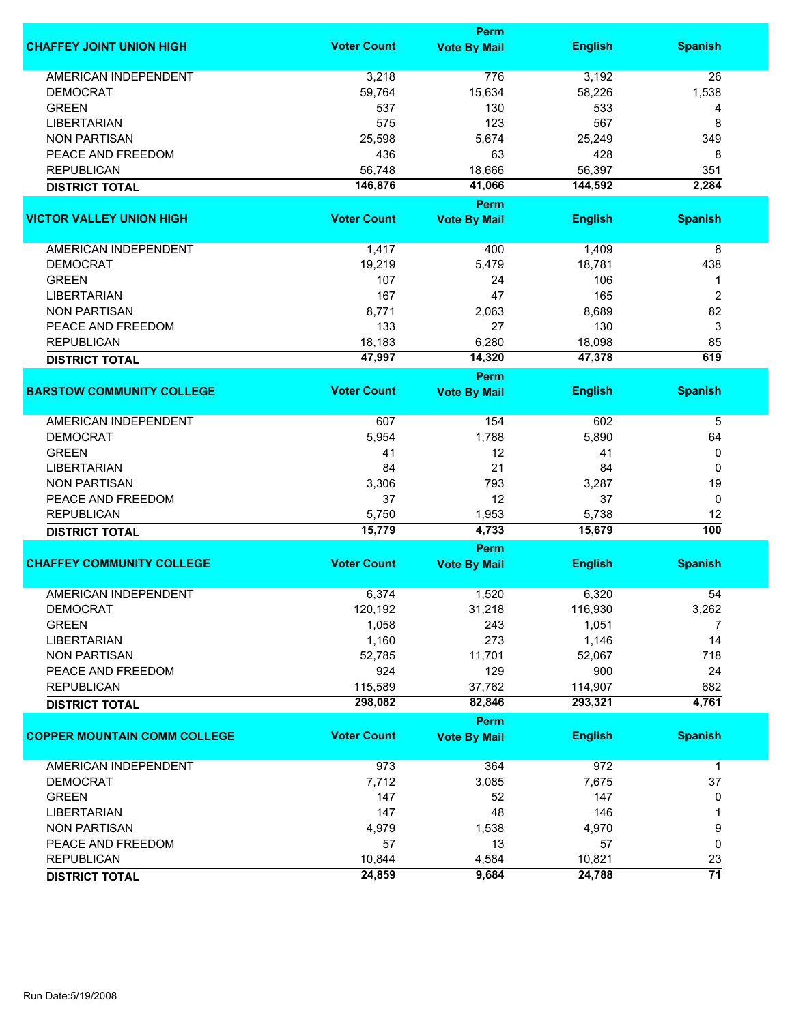|                                     | Perm               |                             |                |                  |  |
|-------------------------------------|--------------------|-----------------------------|----------------|------------------|--|
| <b>CHAFFEY JOINT UNION HIGH</b>     | <b>Voter Count</b> | <b>Vote By Mail</b>         | <b>English</b> | <b>Spanish</b>   |  |
| <b>AMERICAN INDEPENDENT</b>         | 3,218              | 776                         | 3,192          | 26               |  |
| <b>DEMOCRAT</b>                     | 59,764             | 15,634                      | 58,226         | 1,538            |  |
| <b>GREEN</b>                        | 537                | 130                         | 533            | 4                |  |
| <b>LIBERTARIAN</b>                  | 575                | 123                         | 567            | 8                |  |
| <b>NON PARTISAN</b>                 |                    |                             |                |                  |  |
|                                     | 25,598             | 5,674                       | 25,249         | 349              |  |
| PEACE AND FREEDOM                   | 436                | 63                          | 428            | 8                |  |
| <b>REPUBLICAN</b>                   | 56,748             | 18,666                      | 56,397         | 351              |  |
| <b>DISTRICT TOTAL</b>               | 146,876            | 41,066                      | 144,592        | 2,284            |  |
| <b>VICTOR VALLEY UNION HIGH</b>     | <b>Voter Count</b> | Perm<br><b>Vote By Mail</b> | <b>English</b> | <b>Spanish</b>   |  |
|                                     |                    |                             |                |                  |  |
| AMERICAN INDEPENDENT                | 1,417              | 400                         | 1,409          | 8                |  |
| <b>DEMOCRAT</b>                     | 19,219             | 5,479                       | 18,781         | 438              |  |
| <b>GREEN</b>                        | 107                | 24                          | 106            | 1                |  |
| <b>LIBERTARIAN</b>                  | 167                | 47                          | 165            | $\overline{2}$   |  |
| <b>NON PARTISAN</b>                 | 8,771              | 2,063                       | 8,689          | 82               |  |
| PEACE AND FREEDOM                   | 133                | 27                          | 130            | 3                |  |
| <b>REPUBLICAN</b>                   | 18,183             | 6,280                       | 18,098         | 85               |  |
|                                     |                    |                             |                | 619              |  |
| <b>DISTRICT TOTAL</b>               | 47,997             | 14,320<br>Perm              | 47,378         |                  |  |
| <b>BARSTOW COMMUNITY COLLEGE</b>    | <b>Voter Count</b> | <b>Vote By Mail</b>         | <b>English</b> | <b>Spanish</b>   |  |
|                                     |                    |                             |                |                  |  |
| <b>AMERICAN INDEPENDENT</b>         | 607                | 154                         | 602            | 5                |  |
| <b>DEMOCRAT</b>                     | 5,954              | 1,788                       | 5,890          | 64               |  |
| <b>GREEN</b>                        | 41                 | 12                          | 41             | 0                |  |
| <b>LIBERTARIAN</b>                  | 84                 | 21                          | 84             | 0                |  |
| <b>NON PARTISAN</b>                 | 3,306              | 793                         | 3,287          | 19               |  |
| PEACE AND FREEDOM                   | 37                 | 12                          | 37             | 0                |  |
| <b>REPUBLICAN</b>                   | 5,750              | 1,953                       | 5,738          | 12               |  |
| <b>DISTRICT TOTAL</b>               | 15,779             | 4,733                       | 15,679         | $\overline{100}$ |  |
|                                     |                    | Perm                        |                |                  |  |
| <b>CHAFFEY COMMUNITY COLLEGE</b>    | <b>Voter Count</b> | <b>Vote By Mail</b>         | <b>English</b> | <b>Spanish</b>   |  |
| AMERICAN INDEPENDENT                | 6,374              | 1,520                       | 6,320          | 54               |  |
| <b>DEMOCRAT</b>                     | 120,192            |                             |                |                  |  |
|                                     |                    | 31,218                      | 116,930        | 3,262            |  |
| <b>GREEN</b>                        | 1,058              | 243                         | 1,051          | 7                |  |
| <b>LIBERTARIAN</b>                  | 1,160              | 273                         | 1,146          | 14               |  |
| <b>NON PARTISAN</b>                 | 52,785             | 11,701                      | 52,067         | 718              |  |
| PEACE AND FREEDOM                   | 924                | 129                         | 900            | 24               |  |
| <b>REPUBLICAN</b>                   | 115,589            | 37,762                      | 114,907        | 682              |  |
| <b>DISTRICT TOTAL</b>               | 298,082            | 82,846                      | 293,321        | 4,761            |  |
|                                     |                    | <b>Perm</b>                 |                |                  |  |
| <b>COPPER MOUNTAIN COMM COLLEGE</b> | <b>Voter Count</b> | <b>Vote By Mail</b>         | <b>English</b> | <b>Spanish</b>   |  |
| <b>AMERICAN INDEPENDENT</b>         | 973                | 364                         | 972            | $\mathbf{1}$     |  |
| <b>DEMOCRAT</b>                     | 7,712              | 3,085                       | 7,675          | 37               |  |
| <b>GREEN</b>                        | 147                | 52                          | 147            | 0                |  |
| <b>LIBERTARIAN</b>                  | 147                | 48                          | 146            | 1                |  |
| <b>NON PARTISAN</b>                 | 4,979              | 1,538                       | 4,970          | 9                |  |
| PEACE AND FREEDOM                   | 57                 | 13                          | 57             | 0                |  |
| <b>REPUBLICAN</b>                   | 10,844             | 4,584                       | 10,821         | 23               |  |
|                                     |                    |                             |                | 71               |  |
| <b>DISTRICT TOTAL</b>               | 24,859             | 9,684                       | 24,788         |                  |  |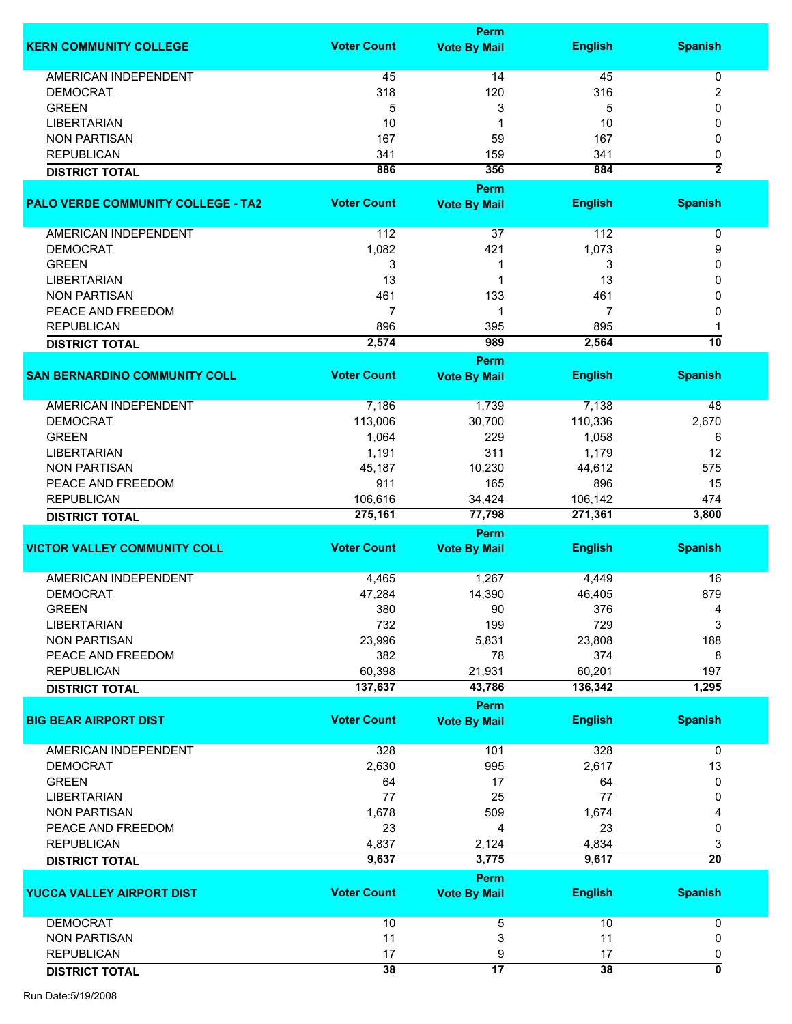|                                           |                    | Perm                        |                |                     |
|-------------------------------------------|--------------------|-----------------------------|----------------|---------------------|
| <b>KERN COMMUNITY COLLEGE</b>             | <b>Voter Count</b> | <b>Vote By Mail</b>         | <b>English</b> | <b>Spanish</b>      |
| AMERICAN INDEPENDENT                      | 45                 | 14                          | 45             | 0                   |
| <b>DEMOCRAT</b>                           | 318                | 120                         | 316            | 2                   |
| <b>GREEN</b>                              | 5                  | 3                           | 5              | 0                   |
| LIBERTARIAN                               | 10                 |                             | 10             | 0                   |
| <b>NON PARTISAN</b>                       | 167                | 59                          | 167            | 0                   |
|                                           |                    |                             |                |                     |
| <b>REPUBLICAN</b>                         | 341                | 159                         | 341            | 0<br>$\overline{2}$ |
| <b>DISTRICT TOTAL</b>                     | 886                | 356                         | 884            |                     |
|                                           |                    | Perm                        |                |                     |
| <b>PALO VERDE COMMUNITY COLLEGE - TA2</b> | <b>Voter Count</b> | <b>Vote By Mail</b>         | <b>English</b> | <b>Spanish</b>      |
| AMERICAN INDEPENDENT                      | 112                | 37                          | 112            | 0                   |
| <b>DEMOCRAT</b>                           | 1,082              | 421                         | 1,073          | 9                   |
| <b>GREEN</b>                              | 3                  |                             | 3              | 0                   |
| <b>LIBERTARIAN</b>                        | 13                 |                             | 13             | 0                   |
| <b>NON PARTISAN</b>                       | 461                | 133                         | 461            | 0                   |
| PEACE AND FREEDOM                         | 7                  |                             | 7              | 0                   |
|                                           |                    |                             | 895            |                     |
| <b>REPUBLICAN</b>                         | 896<br>2,574       | 395<br>989                  | 2,564          | 10                  |
| <b>DISTRICT TOTAL</b>                     |                    | Perm                        |                |                     |
| <b>SAN BERNARDINO COMMUNITY COLL</b>      | <b>Voter Count</b> | <b>Vote By Mail</b>         | <b>English</b> | <b>Spanish</b>      |
| <b>AMERICAN INDEPENDENT</b>               | 7,186              | 1,739                       | 7,138          | 48                  |
| <b>DEMOCRAT</b>                           | 113,006            | 30,700                      | 110,336        | 2,670               |
| <b>GREEN</b>                              | 1,064              | 229                         | 1,058          | 6                   |
| <b>LIBERTARIAN</b>                        | 1,191              | 311                         | 1,179          | 12                  |
| <b>NON PARTISAN</b>                       | 45,187             | 10,230                      | 44,612         | 575                 |
| PEACE AND FREEDOM                         | 911                | 165                         | 896            | 15                  |
|                                           |                    |                             |                |                     |
| <b>REPUBLICAN</b>                         | 106,616            | 34,424                      | 106,142        | 474                 |
| <b>DISTRICT TOTAL</b>                     | 275,161            | 77,798                      | 271,361        | 3,800               |
| <b>VICTOR VALLEY COMMUNITY COLL</b>       | <b>Voter Count</b> | Perm<br><b>Vote By Mail</b> | <b>English</b> | <b>Spanish</b>      |
|                                           |                    |                             |                |                     |
| <b>AMERICAN INDEPENDENT</b>               | 4,465              | 1,267                       | 4,449          | 16                  |
| <b>DEMOCRAT</b>                           | 47,284             | 14,390                      | 46,405         | 879                 |
| <b>GREEN</b>                              | 380                | 90                          | 376            | 4                   |
| <b>LIBERTARIAN</b>                        | 732                | 199                         | 729            | 3                   |
| <b>NON PARTISAN</b>                       | 23,996             | 5,831                       | 23,808         | 188                 |
| PEACE AND FREEDOM                         | 382                | 78                          | 374            | 8                   |
| <b>REPUBLICAN</b>                         | 60,398             | 21,931                      | 60,201         | 197                 |
| <b>DISTRICT TOTAL</b>                     | 137,637            | 43,786                      | 136,342        | 1,295               |
|                                           |                    | <b>Perm</b>                 |                |                     |
| <b>BIG BEAR AIRPORT DIST</b>              | <b>Voter Count</b> | <b>Vote By Mail</b>         | <b>English</b> | <b>Spanish</b>      |
| <b>AMERICAN INDEPENDENT</b>               | 328                | 101                         | 328            | $\mathbf 0$         |
| <b>DEMOCRAT</b>                           | 2,630              | 995                         | 2,617          | 13                  |
| <b>GREEN</b>                              | 64                 | 17                          | 64             | 0                   |
| <b>LIBERTARIAN</b>                        | 77                 | 25                          | 77             | 0                   |
| <b>NON PARTISAN</b>                       | 1,678              | 509                         | 1,674          | 4                   |
| PEACE AND FREEDOM                         | 23                 | 4                           | 23             | 0                   |
| <b>REPUBLICAN</b>                         | 4,837              | 2,124                       | 4,834          | 3                   |
| <b>DISTRICT TOTAL</b>                     | 9,637              | 3,775                       | 9,617          | $\overline{20}$     |
|                                           |                    | Perm                        |                |                     |
| YUCCA VALLEY AIRPORT DIST                 | <b>Voter Count</b> | <b>Vote By Mail</b>         | <b>English</b> | <b>Spanish</b>      |
| <b>DEMOCRAT</b>                           | 10                 | 5                           | 10             | 0                   |
| <b>NON PARTISAN</b>                       | 11                 | 3                           | 11             | 0                   |
| <b>REPUBLICAN</b>                         | 17                 | 9                           | 17             | 0                   |
| <b>DISTRICT TOTAL</b>                     | 38                 | 17                          | 38             | 0                   |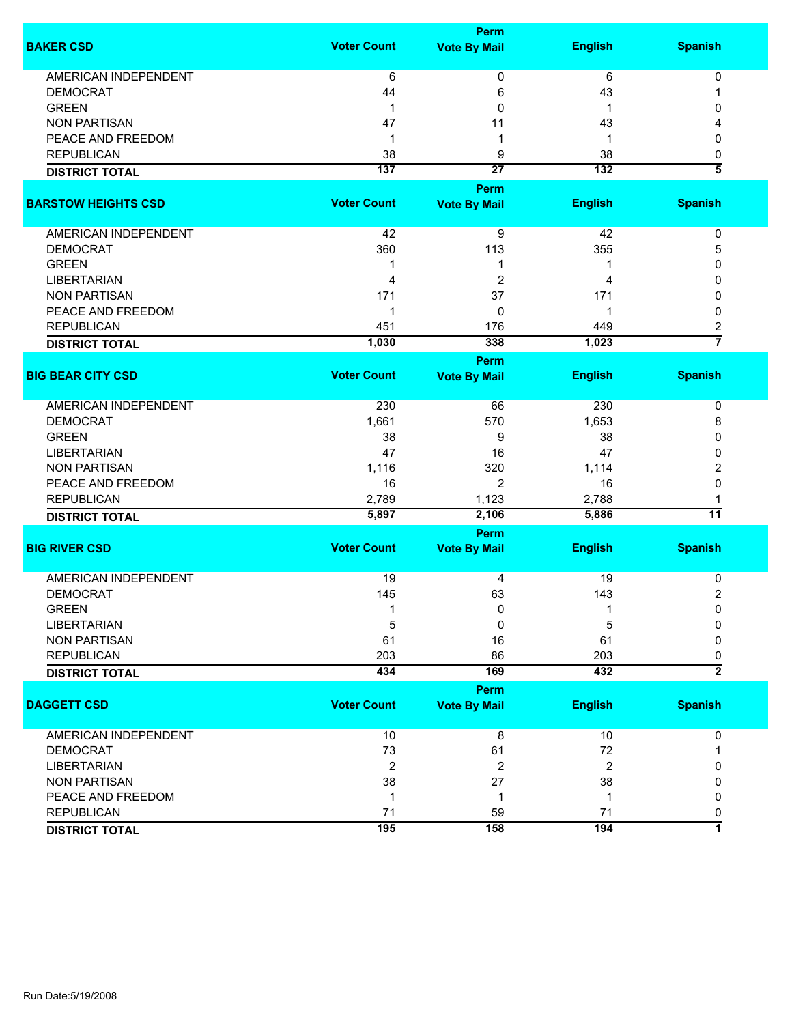|                             |                    | Perm                        |                  |                         |
|-----------------------------|--------------------|-----------------------------|------------------|-------------------------|
| <b>BAKER CSD</b>            | <b>Voter Count</b> | <b>Vote By Mail</b>         | <b>English</b>   | <b>Spanish</b>          |
| AMERICAN INDEPENDENT        | 6                  | 0                           | 6                | 0                       |
| <b>DEMOCRAT</b>             | 44                 | 6                           | 43               | 1                       |
| <b>GREEN</b>                | 1                  | 0                           | 1                | 0                       |
| <b>NON PARTISAN</b>         | 47                 | 11                          | 43               | 4                       |
| PEACE AND FREEDOM           | 1                  | -1                          | -1               | 0                       |
| <b>REPUBLICAN</b>           | 38                 | 9                           | 38               | 0                       |
| <b>DISTRICT TOTAL</b>       | 137                | $\overline{27}$             | $\overline{132}$ | $\overline{\bf{5}}$     |
|                             |                    | Perm                        |                  |                         |
| <b>BARSTOW HEIGHTS CSD</b>  | <b>Voter Count</b> | <b>Vote By Mail</b>         | <b>English</b>   | <b>Spanish</b>          |
| AMERICAN INDEPENDENT        | 42                 | 9                           | 42               | 0                       |
| <b>DEMOCRAT</b>             | 360                | 113                         | 355              | 5                       |
| <b>GREEN</b>                | 1                  | 1                           |                  | 0                       |
| <b>LIBERTARIAN</b>          | 4                  | 2                           | 4                | 0                       |
| <b>NON PARTISAN</b>         | 171                | 37                          | 171              | 0                       |
| PEACE AND FREEDOM           | 1                  | $\mathbf{0}$                |                  | $\mathbf{0}$            |
| <b>REPUBLICAN</b>           | 451                | 176                         | 449              | 2                       |
|                             | 1,030              | 338                         | 1,023            | $\overline{7}$          |
| <b>DISTRICT TOTAL</b>       |                    |                             |                  |                         |
| <b>BIG BEAR CITY CSD</b>    | <b>Voter Count</b> | Perm<br><b>Vote By Mail</b> | <b>English</b>   | <b>Spanish</b>          |
|                             |                    |                             |                  |                         |
| <b>AMERICAN INDEPENDENT</b> | 230                | 66                          | 230              | 0                       |
| <b>DEMOCRAT</b>             | 1,661              | 570                         | 1,653            | 8                       |
| <b>GREEN</b>                | 38                 | 9                           | 38               | 0                       |
| <b>LIBERTARIAN</b>          | 47                 | 16                          | 47               | 0                       |
| <b>NON PARTISAN</b>         | 1,116              | 320                         | 1,114            | 2                       |
| PEACE AND FREEDOM           | 16                 | 2                           | 16               | 0                       |
| <b>REPUBLICAN</b>           | 2,789              | 1,123                       | 2,788            | 1                       |
| <b>DISTRICT TOTAL</b>       | 5,897              | 2,106                       | 5,886            | 11                      |
|                             |                    | Perm                        |                  |                         |
| <b>BIG RIVER CSD</b>        | <b>Voter Count</b> | <b>Vote By Mail</b>         | <b>English</b>   | <b>Spanish</b>          |
|                             |                    |                             |                  |                         |
| <b>AMERICAN INDEPENDENT</b> | 19                 | 4                           | 19               | 0                       |
| <b>DEMOCRAT</b>             | 145                | 63                          | 143              | $\overline{\mathbf{c}}$ |
| <b>GREEN</b>                | 1                  | 0                           | 1                | 0                       |
| <b>LIBERTARIAN</b>          | 5                  | 0                           | 5                | 0                       |
| <b>NON PARTISAN</b>         | 61                 | 16                          | 61               | 0                       |
| <b>REPUBLICAN</b>           | 203                | 86                          | 203              | 0                       |
| <b>DISTRICT TOTAL</b>       | 434                | 169                         | 432              | $\overline{2}$          |
|                             |                    | <b>Perm</b>                 |                  |                         |
| <b>DAGGETT CSD</b>          | <b>Voter Count</b> | <b>Vote By Mail</b>         | <b>English</b>   | <b>Spanish</b>          |
|                             |                    |                             |                  |                         |
| <b>AMERICAN INDEPENDENT</b> | 10                 | 8                           | 10               | 0                       |
| <b>DEMOCRAT</b>             | 73                 | 61                          | 72               | 1                       |
| <b>LIBERTARIAN</b>          | $\overline{2}$     | $\overline{2}$              | $\overline{2}$   | 0                       |
| <b>NON PARTISAN</b>         | 38                 | 27                          | 38               | 0                       |
| PEACE AND FREEDOM           | $\mathbf 1$        | 1                           | -1               | 0                       |
| <b>REPUBLICAN</b>           | 71                 | 59                          | 71               | 0                       |
| <b>DISTRICT TOTAL</b>       | 195                | 158                         | 194              | 7                       |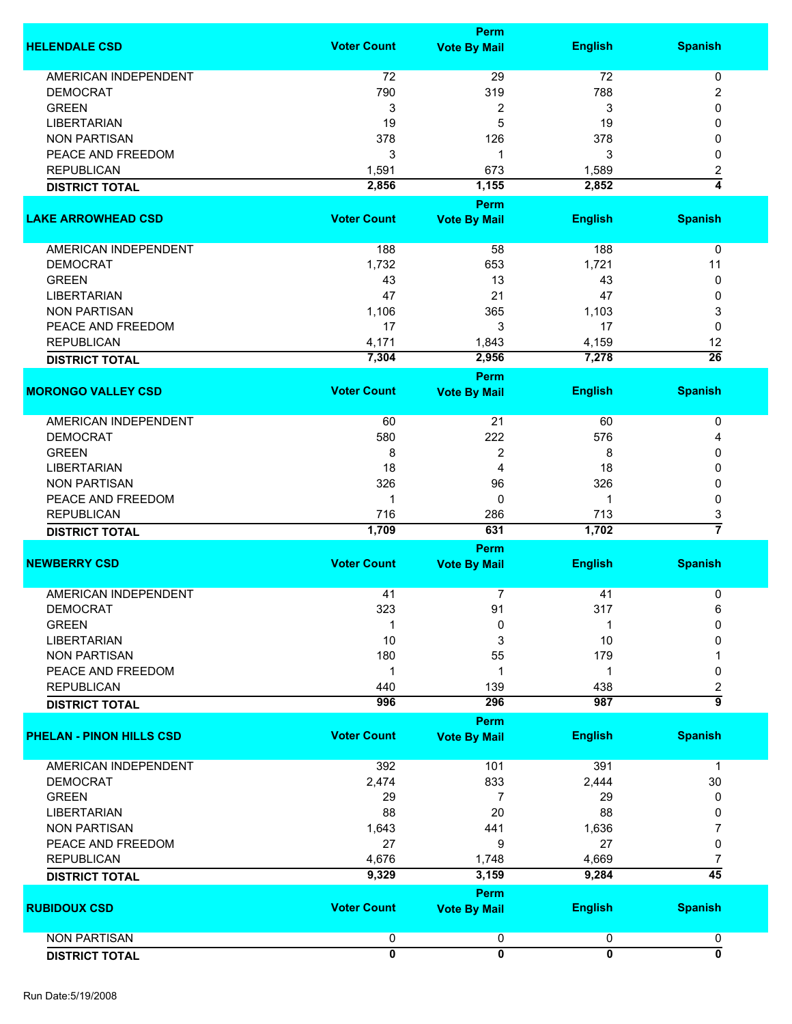|                                 |                         | Perm                        |                         |                           |
|---------------------------------|-------------------------|-----------------------------|-------------------------|---------------------------|
| <b>HELENDALE CSD</b>            | <b>Voter Count</b>      | <b>Vote By Mail</b>         | <b>English</b>          | <b>Spanish</b>            |
| <b>AMERICAN INDEPENDENT</b>     | 72                      | 29                          | 72                      | 0                         |
| <b>DEMOCRAT</b>                 | 790                     | 319                         | 788                     | $\overline{2}$            |
|                                 |                         |                             |                         |                           |
| <b>GREEN</b>                    | 3                       | $\overline{\mathbf{c}}$     | 3                       | 0                         |
| <b>LIBERTARIAN</b>              | 19                      | 5                           | 19                      | 0                         |
| <b>NON PARTISAN</b>             | 378                     | 126                         | 378                     | 0                         |
| PEACE AND FREEDOM               | 3                       | 1                           | 3                       | 0                         |
| <b>REPUBLICAN</b>               | 1,591                   | 673                         | 1,589                   | 2                         |
| <b>DISTRICT TOTAL</b>           | 2,856                   | 1,155                       | 2,852                   | 4                         |
|                                 |                         | Perm                        |                         |                           |
| <b>LAKE ARROWHEAD CSD</b>       | <b>Voter Count</b>      | <b>Vote By Mail</b>         | <b>English</b>          | <b>Spanish</b>            |
| AMERICAN INDEPENDENT            | 188                     | 58                          | 188                     | 0                         |
| <b>DEMOCRAT</b>                 | 1,732                   | 653                         | 1,721                   | 11                        |
| <b>GREEN</b>                    | 43                      | 13                          | 43                      | 0                         |
| <b>LIBERTARIAN</b>              | 47                      | 21                          | 47                      | 0                         |
| <b>NON PARTISAN</b>             | 1,106                   | 365                         | 1,103                   | 3                         |
| PEACE AND FREEDOM               | 17                      | 3                           | 17                      | 0                         |
| <b>REPUBLICAN</b>               | 4,171                   | 1,843                       | 4,159                   | 12                        |
|                                 | 7,304                   | 2,956                       | 7,278                   | $\overline{26}$           |
| <b>DISTRICT TOTAL</b>           |                         |                             |                         |                           |
|                                 |                         | Perm                        |                         |                           |
| <b>MORONGO VALLEY CSD</b>       | <b>Voter Count</b>      | <b>Vote By Mail</b>         | <b>English</b>          | <b>Spanish</b>            |
| AMERICAN INDEPENDENT            | 60                      | 21                          | 60                      | 0                         |
| <b>DEMOCRAT</b>                 | 580                     | 222                         | 576                     | 4                         |
| <b>GREEN</b>                    | 8                       | 2                           | 8                       | 0                         |
| <b>LIBERTARIAN</b>              | 18                      | 4                           | 18                      | 0                         |
|                                 | 326                     |                             | 326                     |                           |
| <b>NON PARTISAN</b>             |                         | 96                          |                         | 0                         |
| PEACE AND FREEDOM               | 1                       | 0                           |                         | 0                         |
| <b>REPUBLICAN</b>               | 716                     | 286                         | 713                     | 3                         |
| <b>DISTRICT TOTAL</b>           | 1,709                   | 631                         | 1,702                   | $\overline{7}$            |
|                                 |                         | <b>Perm</b>                 |                         |                           |
| <b>NEWBERRY CSD</b>             | <b>Voter Count</b>      | <b>Vote By Mail</b>         | <b>English</b>          | <b>Spanish</b>            |
| <b>AMERICAN INDEPENDENT</b>     | 41                      | 7                           | 41                      | 0                         |
| <b>DEMOCRAT</b>                 | 323                     | 91                          | 317                     | 6                         |
| <b>GREEN</b>                    | 1                       | 0                           |                         | $\mathbf{0}$              |
| <b>LIBERTARIAN</b>              | 10                      | 3                           | 10                      | 0                         |
|                                 |                         | 55                          | 179                     |                           |
| <b>NON PARTISAN</b>             | 180                     |                             |                         |                           |
| PEACE AND FREEDOM               | 1                       | 1                           | 1                       | 0                         |
| <b>REPUBLICAN</b>               | 440                     | 139                         | 438                     | 2                         |
| <b>DISTRICT TOTAL</b>           | 996                     | 296                         | 987                     | $\overline{9}$            |
| <b>PHELAN - PINON HILLS CSD</b> | <b>Voter Count</b>      | Perm<br><b>Vote By Mail</b> | <b>English</b>          | <b>Spanish</b>            |
|                                 |                         |                             |                         |                           |
| <b>AMERICAN INDEPENDENT</b>     | 392                     | 101                         | 391                     | 1                         |
| <b>DEMOCRAT</b>                 | 2,474                   | 833                         | 2,444                   | 30                        |
| <b>GREEN</b>                    | 29                      | 7                           | 29                      | 0                         |
| <b>LIBERTARIAN</b>              | 88                      | 20                          | 88                      | 0                         |
| <b>NON PARTISAN</b>             | 1,643                   | 441                         | 1,636                   | 7                         |
| PEACE AND FREEDOM               | 27                      | 9                           | 27                      | 0                         |
| <b>REPUBLICAN</b>               | 4,676                   | 1,748                       | 4,669                   | 7                         |
|                                 | 9,329                   | 3,159                       | 9,284                   | $\overline{45}$           |
| <b>DISTRICT TOTAL</b>           |                         |                             |                         |                           |
|                                 |                         | Perm                        |                         |                           |
| <b>RUBIDOUX CSD</b>             | <b>Voter Count</b>      | <b>Vote By Mail</b>         | <b>English</b>          | <b>Spanish</b>            |
| <b>NON PARTISAN</b>             | 0                       | 0                           | 0                       | 0                         |
| <b>DISTRICT TOTAL</b>           | $\overline{\mathbf{0}}$ | $\overline{\mathbf{0}}$     | $\overline{\mathbf{0}}$ | $\overline{\mathfrak{o}}$ |
|                                 |                         |                             |                         |                           |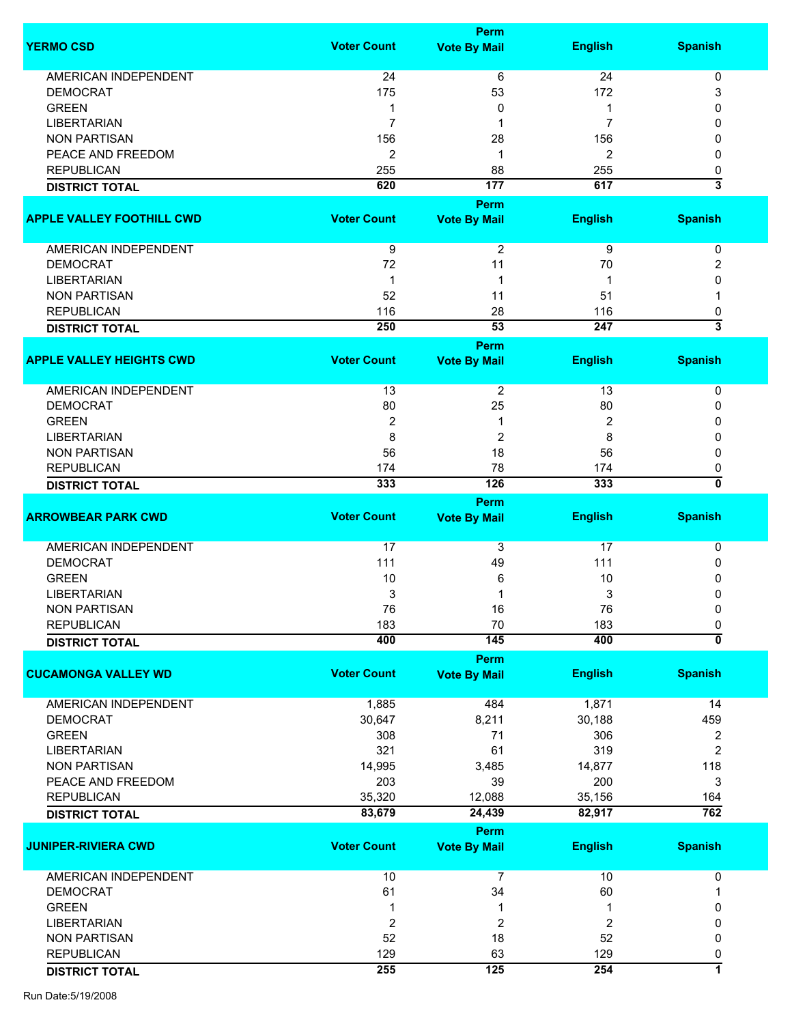|                                  |                    | Perm                |                |                           |
|----------------------------------|--------------------|---------------------|----------------|---------------------------|
| <b>YERMO CSD</b>                 | <b>Voter Count</b> | <b>Vote By Mail</b> | <b>English</b> | <b>Spanish</b>            |
| <b>AMERICAN INDEPENDENT</b>      | 24                 | 6                   | 24             | 0                         |
| <b>DEMOCRAT</b>                  | 175                | 53                  | 172            | 3                         |
| <b>GREEN</b>                     | 1                  | 0                   | 1              | $\Omega$                  |
| <b>LIBERTARIAN</b>               | 7                  | 1                   | 7              | 0                         |
| <b>NON PARTISAN</b>              | 156                | 28                  | 156            | 0                         |
| PEACE AND FREEDOM                | $\overline{2}$     | 1                   | 2              | 0                         |
| <b>REPUBLICAN</b>                | 255                | 88                  | 255            | 0                         |
| <b>DISTRICT TOTAL</b>            | 620                | 177                 | 617            | $\overline{\mathbf{3}}$   |
|                                  |                    | Perm                |                |                           |
| <b>APPLE VALLEY FOOTHILL CWD</b> | <b>Voter Count</b> | <b>Vote By Mail</b> | <b>English</b> | <b>Spanish</b>            |
| AMERICAN INDEPENDENT             | 9                  | 2                   | 9              | 0                         |
| <b>DEMOCRAT</b>                  | 72                 | 11                  | 70             | 2                         |
| <b>LIBERTARIAN</b>               | 1                  | 1                   | 1              | 0                         |
| <b>NON PARTISAN</b>              | 52                 | 11                  | 51             | 1                         |
| <b>REPUBLICAN</b>                | 116                | 28                  | 116            | 0                         |
| <b>DISTRICT TOTAL</b>            | 250                | 53                  | 247            | 3                         |
|                                  |                    | Perm                |                |                           |
| <b>APPLE VALLEY HEIGHTS CWD</b>  | <b>Voter Count</b> | <b>Vote By Mail</b> | <b>English</b> | <b>Spanish</b>            |
| AMERICAN INDEPENDENT             | 13                 | $\overline{2}$      | 13             | 0                         |
| <b>DEMOCRAT</b>                  | 80                 | 25                  | 80             | 0                         |
| <b>GREEN</b>                     | 2                  | 1                   | 2              | 0                         |
| LIBERTARIAN                      | 8                  | $\overline{2}$      | 8              | 0                         |
| <b>NON PARTISAN</b>              | 56                 | 18                  | 56             | 0                         |
| <b>REPUBLICAN</b>                | 174                | 78                  | 174            | 0                         |
| <b>DISTRICT TOTAL</b>            | 333                | 126                 | 333            | 0                         |
|                                  |                    | Perm                |                |                           |
| <b>ARROWBEAR PARK CWD</b>        | <b>Voter Count</b> | <b>Vote By Mail</b> | <b>English</b> | <b>Spanish</b>            |
| AMERICAN INDEPENDENT             | 17                 | 3                   | 17             | 0                         |
| <b>DEMOCRAT</b>                  | 111                | 49                  | 111            | 0                         |
| <b>GREEN</b>                     | 10                 | 6                   | 10             | 0                         |
| <b>LIBERTARIAN</b>               | 3                  | 1                   | 3              | 0                         |
| <b>NON PARTISAN</b>              | 76                 | 16                  | 76             | 0                         |
| <b>REPUBLICAN</b>                | 183                | 70                  | 183            | 0                         |
| <b>DISTRICT TOTAL</b>            | 400                | 145                 | 400            | $\overline{\mathfrak{o}}$ |
|                                  |                    | Perm                |                |                           |
| <b>CUCAMONGA VALLEY WD</b>       | <b>Voter Count</b> | <b>Vote By Mail</b> | <b>English</b> | <b>Spanish</b>            |
| <b>AMERICAN INDEPENDENT</b>      | 1,885              | 484                 | 1,871          | 14                        |
| <b>DEMOCRAT</b>                  | 30,647             | 8,211               | 30,188         | 459                       |
| <b>GREEN</b>                     | 308                | 71                  | 306            | 2                         |
| <b>LIBERTARIAN</b>               | 321                | 61                  | 319            | 2                         |
| <b>NON PARTISAN</b>              | 14,995             | 3,485               | 14,877         | 118                       |
| PEACE AND FREEDOM                | 203                | 39                  | 200            | 3                         |
| <b>REPUBLICAN</b>                | 35,320             | 12,088              | 35,156         | 164                       |
| <b>DISTRICT TOTAL</b>            | 83,679             | 24,439              | 82,917         | 762                       |
|                                  |                    | Perm                |                |                           |
| <b>JUNIPER-RIVIERA CWD</b>       | <b>Voter Count</b> | <b>Vote By Mail</b> | <b>English</b> | <b>Spanish</b>            |
| AMERICAN INDEPENDENT             | 10                 | 7                   | 10             | 0                         |
| <b>DEMOCRAT</b>                  | 61                 | 34                  | 60             |                           |
| <b>GREEN</b>                     |                    | 1                   |                | 0                         |
|                                  | 1                  |                     |                |                           |
| <b>LIBERTARIAN</b>               | 2                  | 2                   | 2              | 0                         |
| <b>NON PARTISAN</b>              | 52                 | 18                  | 52             | 0                         |
| <b>REPUBLICAN</b>                | 129                | 63                  | 129            | 0                         |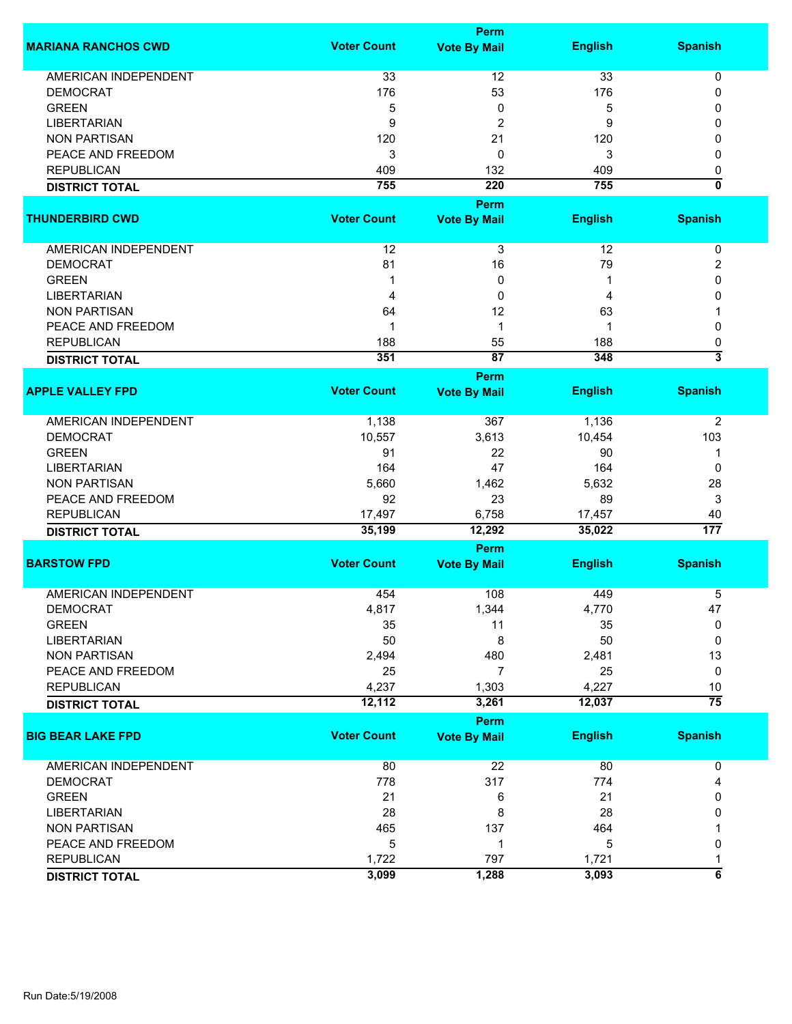|                             |                    | <b>Perm</b>                        |                |                           |
|-----------------------------|--------------------|------------------------------------|----------------|---------------------------|
| <b>MARIANA RANCHOS CWD</b>  | <b>Voter Count</b> | <b>Vote By Mail</b>                | <b>English</b> | <b>Spanish</b>            |
| <b>AMERICAN INDEPENDENT</b> | 33                 | 12                                 | 33             | $\pmb{0}$                 |
| <b>DEMOCRAT</b>             | 176                | 53                                 | 176            | 0                         |
| <b>GREEN</b>                | 5                  | 0                                  | 5              | 0                         |
| <b>LIBERTARIAN</b>          | 9                  | 2                                  | 9              | 0                         |
| <b>NON PARTISAN</b>         | 120                | 21                                 | 120            | 0                         |
| PEACE AND FREEDOM           | 3                  | 0                                  | 3              | 0                         |
| <b>REPUBLICAN</b>           |                    | 132                                |                |                           |
|                             | 409<br>755         | 220                                | 409<br>755     | 0<br>0                    |
| <b>DISTRICT TOTAL</b>       |                    |                                    |                |                           |
|                             |                    | Perm                               |                |                           |
| <b>THUNDERBIRD CWD</b>      | <b>Voter Count</b> | <b>Vote By Mail</b>                | <b>English</b> | <b>Spanish</b>            |
| AMERICAN INDEPENDENT        | 12                 | 3                                  | 12             | 0                         |
| <b>DEMOCRAT</b>             | 81                 | 16                                 | 79             | 2                         |
| <b>GREEN</b>                | 1                  | 0                                  | 1              | 0                         |
| <b>LIBERTARIAN</b>          | 4                  | 0                                  | 4              | 0                         |
| <b>NON PARTISAN</b>         | 64                 | 12                                 | 63             |                           |
| PEACE AND FREEDOM           | 1                  | 1                                  | 1              | 0                         |
| <b>REPUBLICAN</b>           | 188                | 55                                 | 188            | 0                         |
|                             | 351                | 87                                 | 348            | $\overline{\overline{3}}$ |
| <b>DISTRICT TOTAL</b>       |                    | <b>Perm</b>                        |                |                           |
| <b>APPLE VALLEY FPD</b>     | <b>Voter Count</b> | <b>Vote By Mail</b>                | <b>English</b> | <b>Spanish</b>            |
| <b>AMERICAN INDEPENDENT</b> | 1,138              | 367                                | 1,136          | 2                         |
| <b>DEMOCRAT</b>             | 10,557             | 3,613                              | 10,454         | 103                       |
| <b>GREEN</b>                | 91                 | 22                                 | 90             | 1                         |
| <b>LIBERTARIAN</b>          | 164                | 47                                 | 164            | $\Omega$                  |
| <b>NON PARTISAN</b>         | 5,660              | 1,462                              | 5,632          | 28                        |
|                             | 92                 | 23                                 |                |                           |
| PEACE AND FREEDOM           |                    |                                    | 89             | 3                         |
| <b>REPUBLICAN</b>           | 17,497<br>35,199   | 6,758<br>12,292                    | 17,457         | 40<br>$\overline{177}$    |
| <b>DISTRICT TOTAL</b>       |                    |                                    | 35,022         |                           |
|                             |                    | Perm                               |                |                           |
| <b>BARSTOW FPD</b>          | <b>Voter Count</b> | <b>Vote By Mail</b>                | <b>English</b> | <b>Spanish</b>            |
| <b>AMERICAN INDEPENDENT</b> | 454                | 108                                | 449            | 5                         |
| <b>DEMOCRAT</b>             | 4,817              | 1,344                              | 4,770          | 47                        |
| <b>GREEN</b>                | 35                 | 11                                 | 35             | 0                         |
| <b>LIBERTARIAN</b>          | 50                 | 8                                  | 50             | 0                         |
| <b>NON PARTISAN</b>         | 2,494              | 480                                | 2,481          | 13                        |
| PEACE AND FREEDOM           | 25                 | 7                                  | 25             | 0                         |
| <b>REPUBLICAN</b>           | 4,237              | 1,303                              | 4,227          | 10                        |
|                             | 12,112             | 3,261                              | 12,037         | $\overline{75}$           |
| <b>DISTRICT TOTAL</b>       |                    |                                    |                |                           |
| <b>BIG BEAR LAKE FPD</b>    | <b>Voter Count</b> | <b>Perm</b><br><b>Vote By Mail</b> | <b>English</b> | <b>Spanish</b>            |
|                             |                    |                                    |                |                           |
| AMERICAN INDEPENDENT        | 80                 | 22                                 | 80             | 0                         |
| <b>DEMOCRAT</b>             | 778                | 317                                | 774            | 4                         |
| <b>GREEN</b>                | 21                 | 6                                  | 21             | 0                         |
| <b>LIBERTARIAN</b>          | 28                 | 8                                  | 28             | 0                         |
| <b>NON PARTISAN</b>         | 465                | 137                                | 464            |                           |
| PEACE AND FREEDOM           | 5                  | 1                                  | 5              | 0                         |
| <b>REPUBLICAN</b>           | 1,722              | 797                                | 1,721          | 1                         |
| <b>DISTRICT TOTAL</b>       | 3,099              | 1,288                              | 3,093          | $\overline{6}$            |
|                             |                    |                                    |                |                           |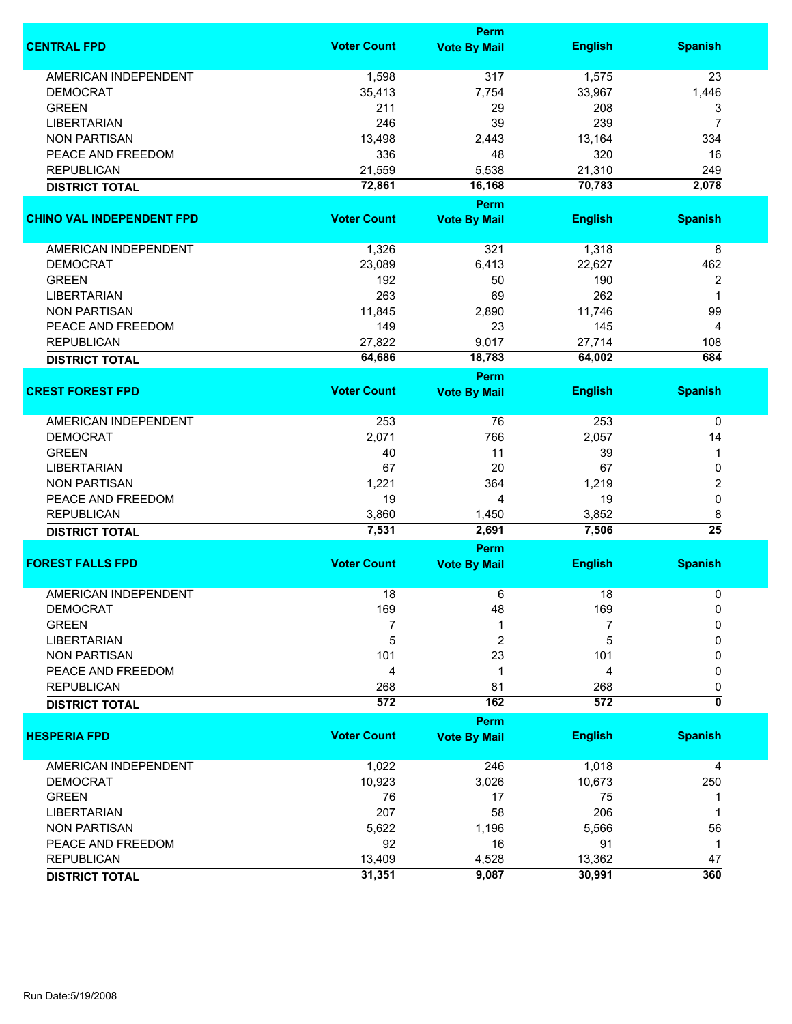|                                  |                    | Perm                        |                |                           |
|----------------------------------|--------------------|-----------------------------|----------------|---------------------------|
| <b>CENTRAL FPD</b>               | <b>Voter Count</b> | <b>Vote By Mail</b>         | <b>English</b> | <b>Spanish</b>            |
| <b>AMERICAN INDEPENDENT</b>      | 1,598              | 317                         | 1,575          | 23                        |
| <b>DEMOCRAT</b>                  | 35,413             | 7,754                       | 33,967         | 1,446                     |
| <b>GREEN</b>                     | 211                | 29                          | 208            | 3                         |
| <b>LIBERTARIAN</b>               | 246                | 39                          | 239            | 7                         |
| <b>NON PARTISAN</b>              | 13,498             | 2,443                       | 13,164         | 334                       |
| PEACE AND FREEDOM                |                    |                             | 320            |                           |
|                                  | 336                | 48                          |                | 16                        |
| <b>REPUBLICAN</b>                | 21,559             | 5,538                       | 21,310         | 249                       |
| <b>DISTRICT TOTAL</b>            | 72,861             | 16,168                      | 70,783         | 2,078                     |
| <b>CHINO VAL INDEPENDENT FPD</b> | <b>Voter Count</b> | Perm<br><b>Vote By Mail</b> | <b>English</b> | <b>Spanish</b>            |
|                                  |                    |                             |                |                           |
| <b>AMERICAN INDEPENDENT</b>      | 1,326              | 321                         | 1,318          | 8                         |
| <b>DEMOCRAT</b>                  | 23,089             | 6,413                       | 22,627         | 462                       |
| <b>GREEN</b>                     | 192                | 50                          | 190            | 2                         |
| <b>LIBERTARIAN</b>               | 263                | 69                          | 262            | 1                         |
| <b>NON PARTISAN</b>              | 11,845             | 2,890                       | 11,746         | 99                        |
| PEACE AND FREEDOM                | 149                | 23                          | 145            | 4                         |
| <b>REPUBLICAN</b>                | 27,822             | 9,017                       | 27,714         | 108                       |
| <b>DISTRICT TOTAL</b>            | 64,686             | 18,783                      | 64,002         | 684                       |
|                                  |                    | <b>Perm</b>                 |                |                           |
| <b>CREST FOREST FPD</b>          | <b>Voter Count</b> | <b>Vote By Mail</b>         | <b>English</b> | <b>Spanish</b>            |
| <b>AMERICAN INDEPENDENT</b>      | 253                | 76                          | 253            | 0                         |
| <b>DEMOCRAT</b>                  | 2,071              | 766                         | 2,057          | 14                        |
| <b>GREEN</b>                     | 40                 | 11                          | 39             | 1                         |
| <b>LIBERTARIAN</b>               | 67                 | 20                          | 67             | 0                         |
| <b>NON PARTISAN</b>              | 1,221              | 364                         | 1,219          | 2                         |
| PEACE AND FREEDOM                | 19                 | 4                           | 19             | 0                         |
| <b>REPUBLICAN</b>                | 3,860              | 1,450                       | 3,852          | 8                         |
| <b>DISTRICT TOTAL</b>            | 7,531              | 2,691                       | 7,506          | $\overline{25}$           |
|                                  |                    | Perm                        |                |                           |
| <b>FOREST FALLS FPD</b>          | <b>Voter Count</b> | <b>Vote By Mail</b>         | <b>English</b> | <b>Spanish</b>            |
| <b>AMERICAN INDEPENDENT</b>      | 18                 | 6                           | 18             | 0                         |
| DEMOCRAT                         | 169                | 48                          | 169            | 0                         |
| <b>GREEN</b>                     | 7                  |                             | 7              | 0                         |
| <b>LIBERTARIAN</b>               | 5                  | 2                           | 5              | 0                         |
| <b>NON PARTISAN</b>              | 101                | 23                          | 101            | 0                         |
| PEACE AND FREEDOM                | 4                  | 1                           | 4              | 0                         |
| <b>REPUBLICAN</b>                | 268                | 81                          | 268            | 0                         |
| <b>DISTRICT TOTAL</b>            | 572                | 162                         | 572            | $\overline{\mathfrak{o}}$ |
|                                  |                    | Perm                        |                |                           |
| <b>HESPERIA FPD</b>              | <b>Voter Count</b> | <b>Vote By Mail</b>         | <b>English</b> | <b>Spanish</b>            |
| <b>AMERICAN INDEPENDENT</b>      | 1,022              | 246                         | 1,018          | 4                         |
| <b>DEMOCRAT</b>                  | 10,923             | 3,026                       | 10,673         | 250                       |
| <b>GREEN</b>                     | 76                 | 17                          | 75             | 1                         |
| <b>LIBERTARIAN</b>               | 207                | 58                          | 206            | 1                         |
| <b>NON PARTISAN</b>              | 5,622              | 1,196                       | 5,566          | 56                        |
| PEACE AND FREEDOM                | 92                 | 16                          | 91             | $\mathbf 1$               |
| <b>REPUBLICAN</b>                | 13,409             | 4,528                       | 13,362         | 47                        |
|                                  |                    |                             |                |                           |
| <b>DISTRICT TOTAL</b>            | 31,351             | 9,087                       | 30,991         | 360                       |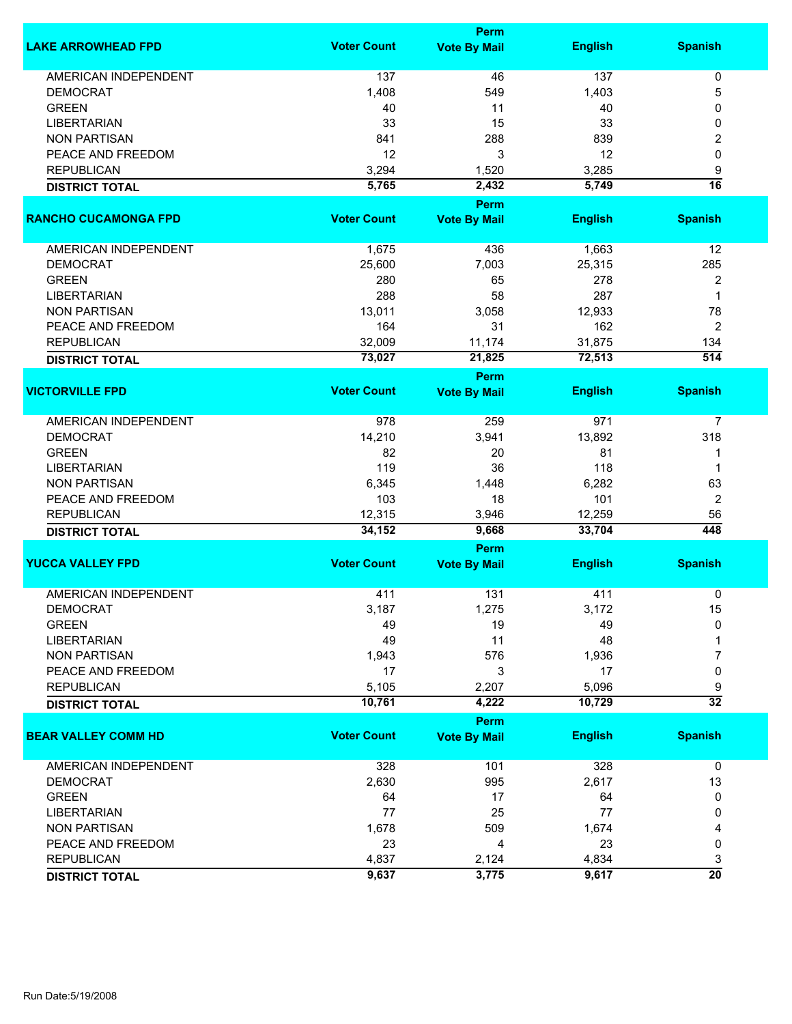|                             | Perm               |                       |                |                         |  |
|-----------------------------|--------------------|-----------------------|----------------|-------------------------|--|
| <b>LAKE ARROWHEAD FPD</b>   | <b>Voter Count</b> | <b>Vote By Mail</b>   | <b>English</b> | <b>Spanish</b>          |  |
| <b>AMERICAN INDEPENDENT</b> | 137                | 46                    | 137            | 0                       |  |
| <b>DEMOCRAT</b>             | 1,408              | 549                   | 1,403          | 5                       |  |
| <b>GREEN</b>                | 40                 | 11                    | 40             | 0                       |  |
| <b>LIBERTARIAN</b>          | 33                 | 15                    | 33             | 0                       |  |
| <b>NON PARTISAN</b>         | 841                | 288                   | 839            | 2                       |  |
| PEACE AND FREEDOM           | 12                 | 3                     | 12             | 0                       |  |
| <b>REPUBLICAN</b>           | 3,294              | 1,520                 | 3,285          |                         |  |
|                             | 5,765              | 2,432                 | 5,749          | 9<br>16                 |  |
| <b>DISTRICT TOTAL</b>       |                    | Perm                  |                |                         |  |
| <b>RANCHO CUCAMONGA FPD</b> | <b>Voter Count</b> | <b>Vote By Mail</b>   | <b>English</b> | <b>Spanish</b>          |  |
| <b>AMERICAN INDEPENDENT</b> | 1,675              | 436                   | 1,663          | 12                      |  |
| <b>DEMOCRAT</b>             | 25,600             | 7,003                 | 25,315         | 285                     |  |
| <b>GREEN</b>                | 280                | 65                    | 278            | 2                       |  |
| <b>LIBERTARIAN</b>          | 288                | 58                    | 287            | 1                       |  |
| <b>NON PARTISAN</b>         | 13,011             | 3,058                 | 12,933         | 78                      |  |
| PEACE AND FREEDOM           | 164                | 31                    | 162            | 2                       |  |
| <b>REPUBLICAN</b>           |                    |                       |                |                         |  |
|                             | 32,009             | 11,174                | 31,875         | 134<br>$\overline{514}$ |  |
| <b>DISTRICT TOTAL</b>       | 73,027             | 21,825<br><b>Perm</b> | 72,513         |                         |  |
| <b>VICTORVILLE FPD</b>      | <b>Voter Count</b> | <b>Vote By Mail</b>   | <b>English</b> | <b>Spanish</b>          |  |
| <b>AMERICAN INDEPENDENT</b> | 978                | 259                   | 971            | 7                       |  |
| <b>DEMOCRAT</b>             | 14,210             | 3,941                 | 13,892         | 318                     |  |
| <b>GREEN</b>                | 82                 |                       | 81             |                         |  |
|                             |                    | 20                    |                | 1                       |  |
| <b>LIBERTARIAN</b>          | 119                | 36                    | 118            | $\mathbf 1$             |  |
| <b>NON PARTISAN</b>         | 6,345              | 1,448                 | 6,282          | 63                      |  |
| PEACE AND FREEDOM           | 103                | 18                    | 101            | $\overline{2}$          |  |
| <b>REPUBLICAN</b>           | 12,315             | 3,946                 | 12,259         | 56                      |  |
| <b>DISTRICT TOTAL</b>       | 34,152             | 9,668                 | 33,704         | 448                     |  |
|                             | <b>Voter Count</b> | Perm                  | <b>English</b> |                         |  |
| <b>YUCCA VALLEY FPD</b>     |                    | <b>Vote By Mail</b>   |                | <b>Spanish</b>          |  |
| <b>AMERICAN INDEPENDENT</b> | 411                | 131                   | 411            | 0                       |  |
| DEMOCRAT                    | 3,187              | 1,275                 | 3,172          | 15                      |  |
| <b>GREEN</b>                | 49                 | 19                    | 49             | 0                       |  |
| <b>LIBERTARIAN</b>          | 49                 | 11                    | 48             |                         |  |
| <b>NON PARTISAN</b>         | 1,943              | 576                   | 1,936          | 7                       |  |
| PEACE AND FREEDOM           | 17                 | 3                     | 17             | 0                       |  |
| <b>REPUBLICAN</b>           | 5,105              | 2,207                 | 5,096          | 9                       |  |
| <b>DISTRICT TOTAL</b>       | 10,761             | 4,222                 | 10,729         | $\overline{32}$         |  |
|                             |                    | Perm                  |                |                         |  |
| <b>BEAR VALLEY COMM HD</b>  | <b>Voter Count</b> | <b>Vote By Mail</b>   | <b>English</b> | <b>Spanish</b>          |  |
| <b>AMERICAN INDEPENDENT</b> | 328                | 101                   | 328            | $\mathbf 0$             |  |
| <b>DEMOCRAT</b>             | 2,630              | 995                   | 2,617          | 13                      |  |
| <b>GREEN</b>                | 64                 | 17                    | 64             | 0                       |  |
| <b>LIBERTARIAN</b>          | 77                 | 25                    | 77             | 0                       |  |
| <b>NON PARTISAN</b>         | 1,678              | 509                   | 1,674          | 4                       |  |
| PEACE AND FREEDOM           | 23                 | 4                     | 23             | 0                       |  |
| <b>REPUBLICAN</b>           | 4,837              | 2,124                 | 4,834          | 3                       |  |
| <b>DISTRICT TOTAL</b>       | 9,637              | 3,775                 | 9,617          | $\overline{20}$         |  |
|                             |                    |                       |                |                         |  |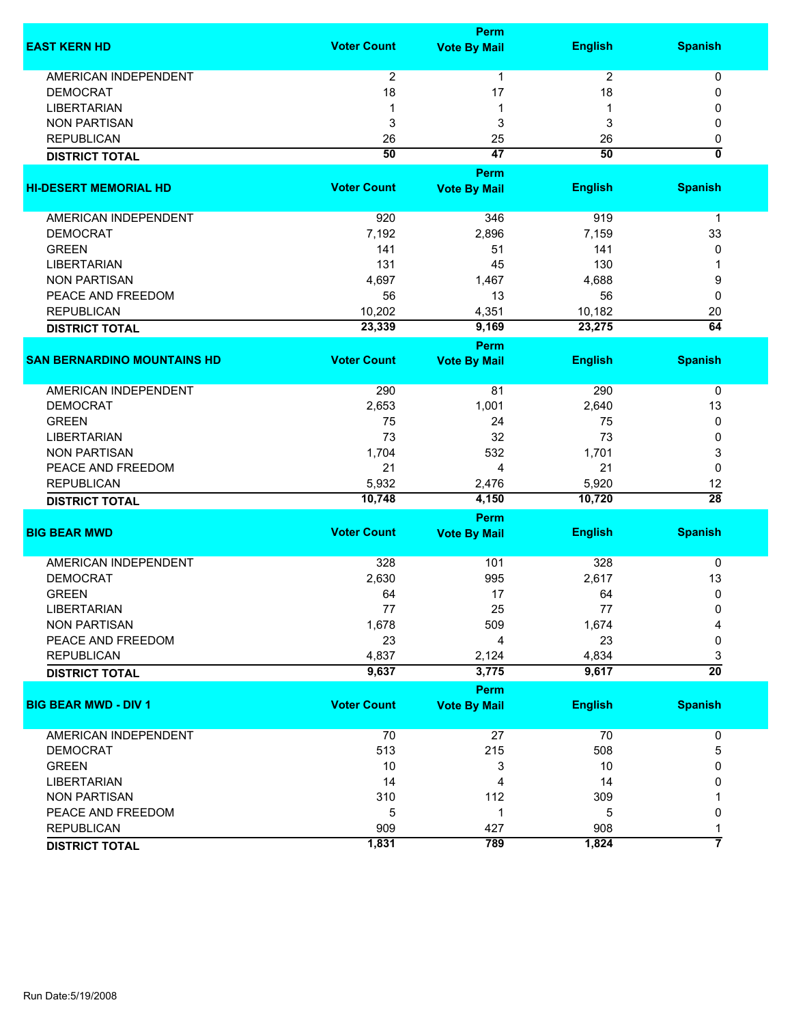|                                    |                    | Perm                        |                |                         |
|------------------------------------|--------------------|-----------------------------|----------------|-------------------------|
| <b>EAST KERN HD</b>                | <b>Voter Count</b> | <b>Vote By Mail</b>         | <b>English</b> | <b>Spanish</b>          |
| <b>AMERICAN INDEPENDENT</b>        | $\overline{2}$     | 1                           | $\overline{2}$ | 0                       |
| <b>DEMOCRAT</b>                    | 18                 | 17                          | 18             | 0                       |
| <b>LIBERTARIAN</b>                 | 1                  | 1                           |                | 0                       |
| <b>NON PARTISAN</b>                | 3                  | 3                           | 3              | 0                       |
| <b>REPUBLICAN</b>                  | 26                 | 25                          | 26             | 0                       |
|                                    | 50                 | $\overline{47}$             | 50             | $\overline{\mathbf{0}}$ |
| <b>DISTRICT TOTAL</b>              |                    |                             |                |                         |
|                                    |                    | Perm                        |                |                         |
| <b>HI-DESERT MEMORIAL HD</b>       | <b>Voter Count</b> | <b>Vote By Mail</b>         | <b>English</b> | <b>Spanish</b>          |
| AMERICAN INDEPENDENT               | 920                | 346                         | 919            | $\mathbf 1$             |
| <b>DEMOCRAT</b>                    | 7,192              | 2,896                       | 7,159          | 33                      |
| <b>GREEN</b>                       | 141                | 51                          | 141            | 0                       |
| <b>LIBERTARIAN</b>                 | 131                | 45                          | 130            | 1                       |
| <b>NON PARTISAN</b>                | 4,697              | 1,467                       | 4,688          | 9                       |
| PEACE AND FREEDOM                  | 56                 | 13                          | 56             | 0                       |
| <b>REPUBLICAN</b>                  | 10,202             | 4,351                       | 10,182         | 20                      |
|                                    | 23,339             | 9,169                       | 23,275         | $\overline{64}$         |
| <b>DISTRICT TOTAL</b>              |                    |                             |                |                         |
| <b>SAN BERNARDINO MOUNTAINS HD</b> |                    | Perm                        |                |                         |
|                                    | <b>Voter Count</b> | <b>Vote By Mail</b>         | <b>English</b> | <b>Spanish</b>          |
| <b>AMERICAN INDEPENDENT</b>        | 290                | 81                          | 290            | 0                       |
| <b>DEMOCRAT</b>                    | 2,653              | 1,001                       | 2,640          | 13                      |
| <b>GREEN</b>                       | 75                 | 24                          | 75             | 0                       |
| <b>LIBERTARIAN</b>                 | 73                 | 32                          | 73             | 0                       |
| <b>NON PARTISAN</b>                | 1,704              | 532                         | 1,701          | 3                       |
| PEACE AND FREEDOM                  | 21                 | 4                           | 21             | 0                       |
| <b>REPUBLICAN</b>                  | 5,932              | 2,476                       | 5,920          | 12                      |
| <b>DISTRICT TOTAL</b>              | 10,748             | 4,150                       | 10,720         | $\overline{28}$         |
|                                    |                    |                             |                |                         |
| <b>BIG BEAR MWD</b>                | <b>Voter Count</b> | Perm<br><b>Vote By Mail</b> | <b>English</b> | <b>Spanish</b>          |
|                                    |                    |                             |                |                         |
| <b>AMERICAN INDEPENDENT</b>        | 328                | 101                         | 328            | 0                       |
| <b>DEMOCRAT</b>                    | 2,630              | 995                         | 2,617          | 13                      |
| <b>GREEN</b>                       | 64                 | 17                          | 64             | 0                       |
| LIBERTARIAN                        | 77                 | 25                          | 77             | 0                       |
| <b>NON PARTISAN</b>                | 1,678              | 509                         | 1,674          |                         |
| PEACE AND FREEDOM                  | 23                 | 4                           | 23             | 0                       |
| <b>REPUBLICAN</b>                  | 4,837              | 2,124                       | 4,834          | 3                       |
| <b>DISTRICT TOTAL</b>              | 9,637              | 3,775                       | 9,617          | $\overline{20}$         |
|                                    |                    | Perm                        |                |                         |
| <b>BIG BEAR MWD - DIV 1</b>        | <b>Voter Count</b> | <b>Vote By Mail</b>         | <b>English</b> | <b>Spanish</b>          |
|                                    |                    |                             |                |                         |
| AMERICAN INDEPENDENT               | 70                 | 27                          | 70             | 0                       |
| <b>DEMOCRAT</b>                    | 513                | 215                         | 508            | 5                       |
| <b>GREEN</b>                       | 10                 | 3                           | 10             | 0                       |
| <b>LIBERTARIAN</b>                 | 14                 | 4                           | 14             | 0                       |
| <b>NON PARTISAN</b>                | 310                | 112                         | 309            |                         |
| PEACE AND FREEDOM                  | 5                  | 1                           | 5              | 0                       |
| <b>REPUBLICAN</b>                  | 909                | 427                         | 908            | 1                       |
| <b>DISTRICT TOTAL</b>              | 1,831              | 789                         | 1,824          | 7                       |
|                                    |                    |                             |                |                         |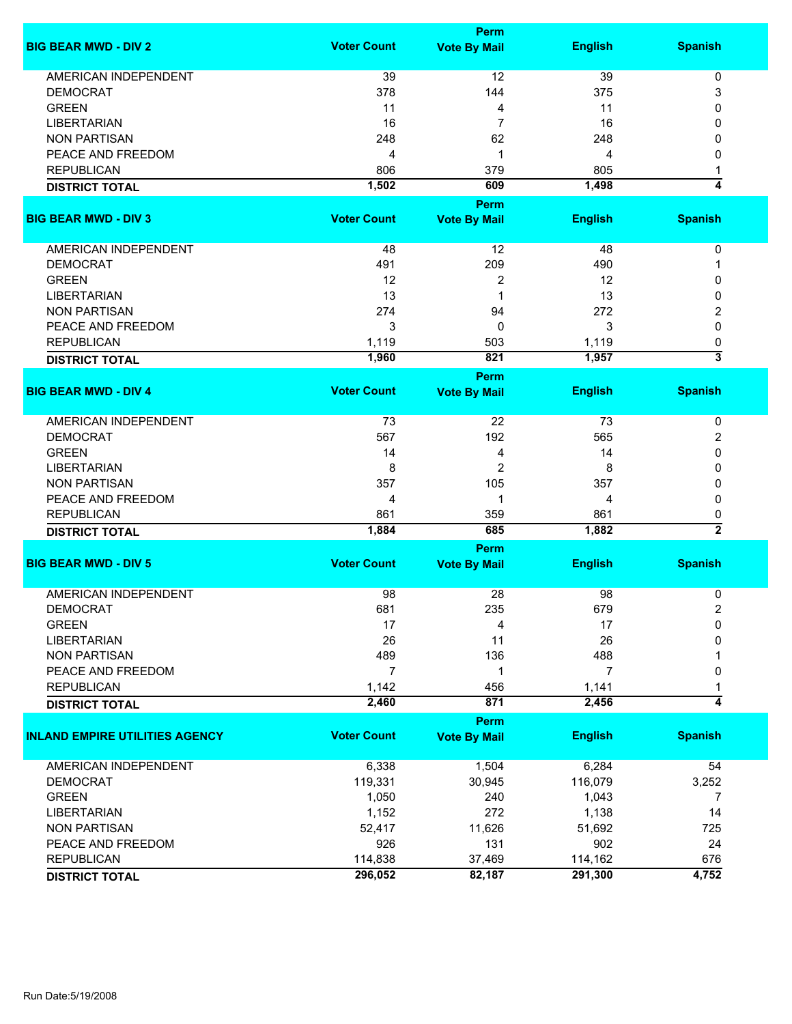|                                       |                    | <b>Perm</b>         |                |                                |
|---------------------------------------|--------------------|---------------------|----------------|--------------------------------|
| <b>BIG BEAR MWD - DIV 2</b>           | <b>Voter Count</b> | <b>Vote By Mail</b> | <b>English</b> | <b>Spanish</b>                 |
| <b>AMERICAN INDEPENDENT</b>           | 39                 | 12                  | 39             | 0                              |
| <b>DEMOCRAT</b>                       | 378                | 144                 | 375            | 3                              |
| <b>GREEN</b>                          | 11                 | 4                   | 11             | 0                              |
| <b>LIBERTARIAN</b>                    | 16                 | $\overline{7}$      | 16             | 0                              |
| <b>NON PARTISAN</b>                   | 248                | 62                  | 248            | 0                              |
| PEACE AND FREEDOM                     | 4                  | 1                   | 4              | 0                              |
|                                       |                    |                     |                |                                |
| <b>REPUBLICAN</b>                     | 806                | 379                 | 805            | 1                              |
| <b>DISTRICT TOTAL</b>                 | 1,502              | 609                 | 1,498          | 4                              |
|                                       |                    | <b>Perm</b>         |                |                                |
| <b>BIG BEAR MWD - DIV 3</b>           | <b>Voter Count</b> | <b>Vote By Mail</b> | <b>English</b> | <b>Spanish</b>                 |
| AMERICAN INDEPENDENT                  | 48                 | 12                  | 48             | $\pmb{0}$                      |
| <b>DEMOCRAT</b>                       | 491                | 209                 | 490            | 1                              |
| <b>GREEN</b>                          | 12                 | 2                   | 12             | 0                              |
| <b>LIBERTARIAN</b>                    | 13                 | 1                   | 13             | 0                              |
| <b>NON PARTISAN</b>                   | 274                | 94                  | 272            | 2                              |
| PEACE AND FREEDOM                     | 3                  | 0                   | 3              | 0                              |
| <b>REPUBLICAN</b>                     |                    | 503                 | 1,119          |                                |
|                                       | 1,119              | 821                 | 1,957          | 0<br>$\overline{\overline{3}}$ |
| <b>DISTRICT TOTAL</b>                 | 1,960              |                     |                |                                |
| <b>BIG BEAR MWD - DIV 4</b>           | <b>Voter Count</b> | <b>Perm</b>         | <b>English</b> | <b>Spanish</b>                 |
|                                       |                    | <b>Vote By Mail</b> |                |                                |
| <b>AMERICAN INDEPENDENT</b>           | 73                 | 22                  | 73             | 0                              |
| <b>DEMOCRAT</b>                       | 567                | 192                 | 565            | 2                              |
| <b>GREEN</b>                          | 14                 | 4                   | 14             | 0                              |
| <b>LIBERTARIAN</b>                    | 8                  | 2                   | 8              | 0                              |
| <b>NON PARTISAN</b>                   | 357                | 105                 | 357            | 0                              |
| PEACE AND FREEDOM                     | 4                  | 1                   | 4              | 0                              |
| <b>REPUBLICAN</b>                     | 861                | 359                 | 861            | 0                              |
| <b>DISTRICT TOTAL</b>                 | 1,884              | 685                 | 1,882          | $\overline{2}$                 |
|                                       |                    | <b>Perm</b>         |                |                                |
| <b>BIG BEAR MWD - DIV 5</b>           | <b>Voter Count</b> | <b>Vote By Mail</b> | <b>English</b> | <b>Spanish</b>                 |
|                                       |                    |                     |                |                                |
| <b>AMERICAN INDEPENDENT</b>           | 98                 | 28                  | 98             | 0                              |
| <b>DEMOCRAT</b>                       | 681                | 235                 | 679            | 2                              |
| <b>GREEN</b>                          | 17                 | 4                   | 17             | 0                              |
| <b>LIBERTARIAN</b>                    | 26                 | 11                  | 26             | 0                              |
| <b>NON PARTISAN</b>                   | 489                | 136                 | 488            |                                |
| PEACE AND FREEDOM                     | 7                  | 1                   | 7              | 0                              |
| <b>REPUBLICAN</b>                     | 1,142              | 456                 | 1,141          |                                |
| <b>DISTRICT TOTAL</b>                 | 2,460              | 871                 | 2,456          | 4                              |
|                                       |                    | <b>Perm</b>         |                |                                |
| <b>INLAND EMPIRE UTILITIES AGENCY</b> | <b>Voter Count</b> | <b>Vote By Mail</b> | <b>English</b> | <b>Spanish</b>                 |
| <b>AMERICAN INDEPENDENT</b>           | 6,338              | 1,504               | 6,284          | 54                             |
| <b>DEMOCRAT</b>                       | 119,331            | 30,945              | 116,079        | 3,252                          |
| <b>GREEN</b>                          | 1,050              | 240                 | 1,043          | 7                              |
| <b>LIBERTARIAN</b>                    | 1,152              | 272                 | 1,138          | 14                             |
| <b>NON PARTISAN</b>                   | 52,417             | 11,626              | 51,692         | 725                            |
| PEACE AND FREEDOM                     | 926                | 131                 | 902            | 24                             |
| <b>REPUBLICAN</b>                     | 114,838            | 37,469              | 114,162        | 676                            |
| <b>DISTRICT TOTAL</b>                 | 296,052            | 82,187              | 291,300        | 4,752                          |
|                                       |                    |                     |                |                                |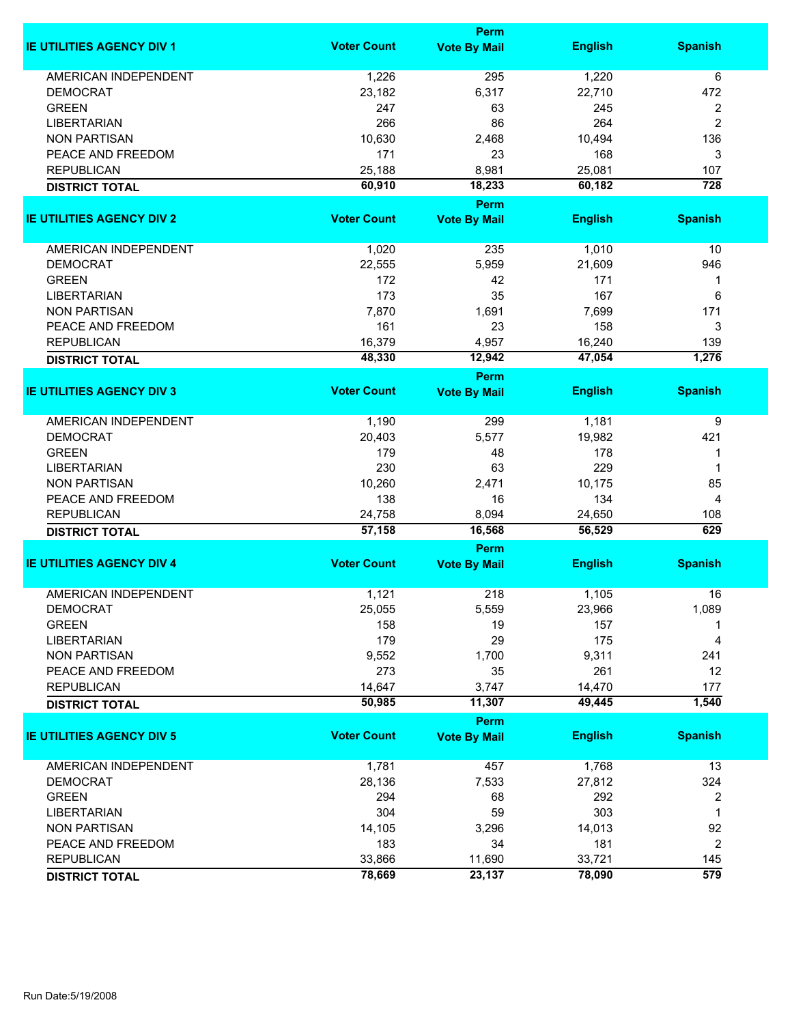|                                  |                    | Perm                |                |                  |
|----------------------------------|--------------------|---------------------|----------------|------------------|
| <b>IE UTILITIES AGENCY DIV 1</b> | <b>Voter Count</b> | <b>Vote By Mail</b> | <b>English</b> | <b>Spanish</b>   |
| <b>AMERICAN INDEPENDENT</b>      | 1,226              | 295                 | 1,220          | 6                |
| <b>DEMOCRAT</b>                  | 23,182             | 6,317               | 22,710         | 472              |
| <b>GREEN</b>                     | 247                | 63                  | 245            | 2                |
| <b>LIBERTARIAN</b>               | 266                | 86                  | 264            | $\overline{c}$   |
| <b>NON PARTISAN</b>              | 10,630             | 2,468               | 10,494         | 136              |
| PEACE AND FREEDOM                | 171                | 23                  | 168            | 3                |
| <b>REPUBLICAN</b>                | 25,188             | 8,981               | 25,081         | 107              |
| <b>DISTRICT TOTAL</b>            | 60,910             | 18,233              | 60,182         | $\overline{728}$ |
|                                  |                    | Perm                |                |                  |
| <b>IE UTILITIES AGENCY DIV 2</b> | <b>Voter Count</b> | <b>Vote By Mail</b> | <b>English</b> | <b>Spanish</b>   |
|                                  |                    |                     |                |                  |
| AMERICAN INDEPENDENT             | 1,020              | 235                 | 1,010          | 10               |
| <b>DEMOCRAT</b>                  | 22,555             | 5,959               | 21,609         | 946              |
| <b>GREEN</b>                     | 172                | 42                  | 171            | 1                |
| <b>LIBERTARIAN</b>               | 173                | 35                  | 167            | 6                |
| <b>NON PARTISAN</b>              | 7,870              | 1,691               | 7,699          | 171              |
| PEACE AND FREEDOM                | 161                | 23                  | 158            | 3                |
| <b>REPUBLICAN</b>                | 16,379             | 4,957               | 16,240         | 139              |
| <b>DISTRICT TOTAL</b>            | 48,330             | 12,942              | 47,054         | 1,276            |
|                                  |                    | Perm                |                |                  |
| <b>IE UTILITIES AGENCY DIV 3</b> | <b>Voter Count</b> | <b>Vote By Mail</b> | <b>English</b> | <b>Spanish</b>   |
| <b>AMERICAN INDEPENDENT</b>      | 1,190              | 299                 | 1,181          | 9                |
| <b>DEMOCRAT</b>                  | 20,403             | 5,577               | 19,982         | 421              |
| <b>GREEN</b>                     | 179                | 48                  | 178            | 1                |
| <b>LIBERTARIAN</b>               | 230                | 63                  | 229            | 1                |
| <b>NON PARTISAN</b>              | 10,260             | 2,471               | 10,175         | 85               |
| PEACE AND FREEDOM                | 138                | 16                  | 134            | 4                |
| <b>REPUBLICAN</b>                | 24,758             | 8,094               | 24,650         | 108              |
| <b>DISTRICT TOTAL</b>            | 57,158             | 16,568              | 56,529         | 629              |
|                                  |                    | Perm                |                |                  |
| <b>IE UTILITIES AGENCY DIV 4</b> | <b>Voter Count</b> | <b>Vote By Mail</b> | <b>English</b> | <b>Spanish</b>   |
| <b>AMERICAN INDEPENDENT</b>      | 1,121              | 218                 | 1,105          | 16               |
| <b>DEMOCRAT</b>                  | 25,055             | 5,559               | 23,966         | 1,089            |
| <b>GREEN</b>                     | 158                | 19                  | 157            |                  |
| <b>LIBERTARIAN</b>               | 179                | 29                  | 175            | 4                |
| <b>NON PARTISAN</b>              | 9,552              | 1,700               | 9,311          | 241              |
| PEACE AND FREEDOM                | 273                | 35                  | 261            | 12               |
| <b>REPUBLICAN</b>                | 14,647             | 3,747               | 14,470         | 177              |
| <b>DISTRICT TOTAL</b>            | 50,985             | 11,307              | 49,445         | 1,540            |
|                                  |                    | Perm                |                |                  |
| <b>IE UTILITIES AGENCY DIV 5</b> | <b>Voter Count</b> | <b>Vote By Mail</b> | <b>English</b> | <b>Spanish</b>   |
| <b>AMERICAN INDEPENDENT</b>      | 1,781              | 457                 | 1,768          | 13               |
| <b>DEMOCRAT</b>                  | 28,136             | 7,533               | 27,812         | 324              |
| <b>GREEN</b>                     | 294                | 68                  | 292            | 2                |
| <b>LIBERTARIAN</b>               | 304                | 59                  | 303            | 1                |
| <b>NON PARTISAN</b>              | 14,105             |                     | 14,013         | 92               |
|                                  |                    | 3,296               |                |                  |
| PEACE AND FREEDOM                | 183                | 34                  | 181            | $\overline{2}$   |
| <b>REPUBLICAN</b>                | 33,866             | 11,690              | 33,721         | 145              |
| <b>DISTRICT TOTAL</b>            | 78,669             | 23,137              | 78,090         | 579              |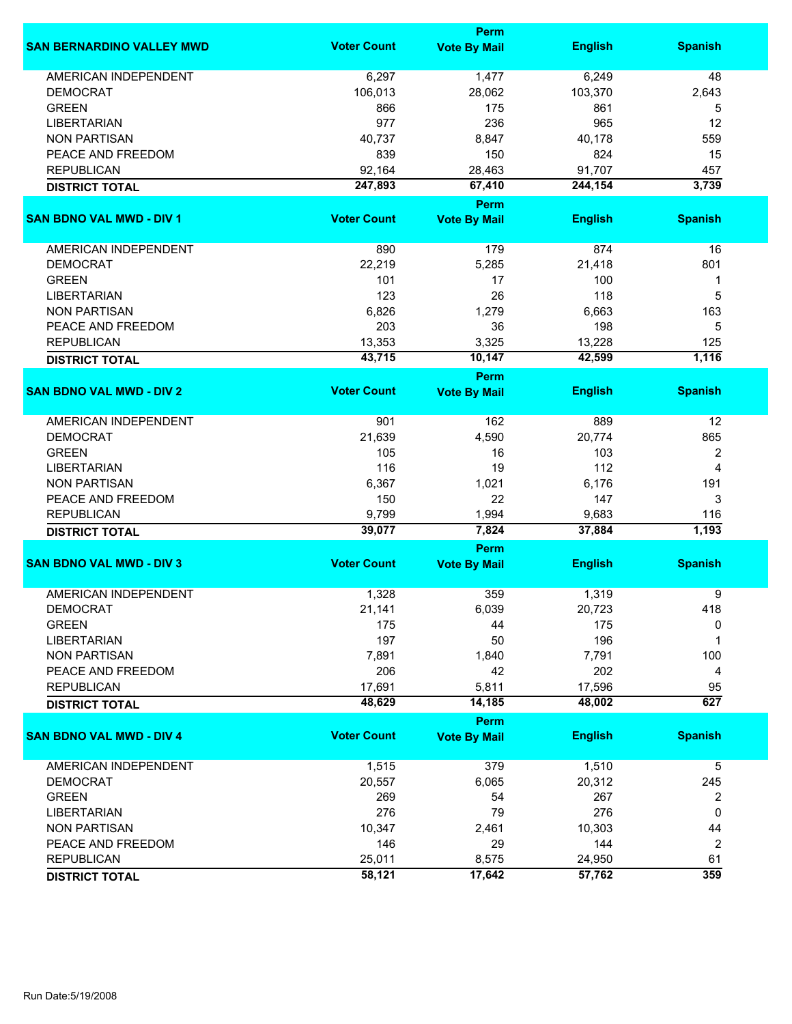|                                  |                    | Perm                        |                 |                |
|----------------------------------|--------------------|-----------------------------|-----------------|----------------|
| <b>SAN BERNARDINO VALLEY MWD</b> | <b>Voter Count</b> | <b>Vote By Mail</b>         | <b>English</b>  | <b>Spanish</b> |
| <b>AMERICAN INDEPENDENT</b>      | 6,297              | 1,477                       | 6,249           | 48             |
| <b>DEMOCRAT</b>                  | 106,013            | 28,062                      | 103,370         | 2,643          |
| <b>GREEN</b>                     | 866                | 175                         | 861             | 5              |
| <b>LIBERTARIAN</b>               | 977                | 236                         | 965             | 12             |
| <b>NON PARTISAN</b>              | 40,737             | 8,847                       | 40,178          | 559            |
|                                  |                    |                             |                 |                |
| PEACE AND FREEDOM                | 839                | 150                         | 824             | 15             |
| <b>REPUBLICAN</b>                | 92,164             | 28,463                      | 91,707          | 457            |
| <b>DISTRICT TOTAL</b>            | 247,893            | 67,410                      | 244,154         | 3,739          |
| <b>SAN BDNO VAL MWD - DIV 1</b>  | <b>Voter Count</b> | Perm<br><b>Vote By Mail</b> | <b>English</b>  | <b>Spanish</b> |
|                                  |                    |                             |                 |                |
| AMERICAN INDEPENDENT             | 890                | 179                         | 874             | 16             |
| <b>DEMOCRAT</b>                  | 22,219             | 5,285                       | 21,418          | 801            |
| <b>GREEN</b>                     | 101                | 17                          | 100             | 1              |
| <b>LIBERTARIAN</b>               | 123                | 26                          | 118             | 5              |
| <b>NON PARTISAN</b>              | 6,826              | 1,279                       | 6,663           | 163            |
| PEACE AND FREEDOM                | 203                | 36                          | 198             | 5              |
| <b>REPUBLICAN</b>                | 13,353             | 3,325                       | 13,228          | 125            |
| <b>DISTRICT TOTAL</b>            | 43,715             | 10,147                      | 42,599          | 1,116          |
|                                  |                    | <b>Perm</b>                 |                 |                |
| <b>SAN BDNO VAL MWD - DIV 2</b>  | <b>Voter Count</b> | <b>Vote By Mail</b>         | <b>English</b>  | <b>Spanish</b> |
| <b>AMERICAN INDEPENDENT</b>      | 901                | 162                         | 889             | 12             |
| <b>DEMOCRAT</b>                  | 21,639             | 4,590                       | 20,774          | 865            |
| <b>GREEN</b>                     | 105                | 16                          | 103             | 2              |
| <b>LIBERTARIAN</b>               | 116                | 19                          | 112             | $\overline{4}$ |
| <b>NON PARTISAN</b>              | 6,367              | 1,021                       | 6,176           | 191            |
| PEACE AND FREEDOM                | 150                | 22                          | 147             | 3              |
|                                  |                    |                             |                 |                |
| <b>REPUBLICAN</b>                | 9,799<br>39,077    | 1,994<br>7,824              | 9,683<br>37,884 | 116<br>1,193   |
| <b>DISTRICT TOTAL</b>            |                    | Perm                        |                 |                |
| <b>SAN BDNO VAL MWD - DIV 3</b>  | <b>Voter Count</b> | <b>Vote By Mail</b>         | <b>English</b>  | <b>Spanish</b> |
|                                  |                    |                             |                 |                |
| <b>AMERICAN INDEPENDENT</b>      | 1,328              | 359                         | 1,319           | 9              |
| <b>DEMOCRAT</b>                  | 21,141             | 6,039                       | 20,723          | 418            |
| <b>GREEN</b>                     | 175                | 44                          | 175             | 0              |
| <b>LIBERTARIAN</b>               | 197                | 50                          | 196             | 1              |
| <b>NON PARTISAN</b>              | 7,891              | 1,840                       | 7,791           | 100            |
| PEACE AND FREEDOM                | 206                | 42                          | 202             | 4              |
| <b>REPUBLICAN</b>                | 17,691             | 5,811                       | 17,596          | 95             |
| <b>DISTRICT TOTAL</b>            | 48,629             | 14,185                      | 48,002          | 627            |
|                                  |                    | <b>Perm</b>                 |                 |                |
| <b>SAN BDNO VAL MWD - DIV 4</b>  | <b>Voter Count</b> | <b>Vote By Mail</b>         | <b>English</b>  | <b>Spanish</b> |
| <b>AMERICAN INDEPENDENT</b>      | 1,515              | 379                         | 1,510           | 5              |
| <b>DEMOCRAT</b>                  | 20,557             | 6,065                       | 20,312          | 245            |
| <b>GREEN</b>                     | 269                | 54                          | 267             | 2              |
| <b>LIBERTARIAN</b>               | 276                | 79                          | 276             | 0              |
| <b>NON PARTISAN</b>              | 10,347             | 2,461                       | 10,303          | 44             |
| PEACE AND FREEDOM                | 146                | 29                          | 144             | 2              |
| <b>REPUBLICAN</b>                | 25,011             | 8,575                       | 24,950          | 61             |
|                                  | 58,121             | 17,642                      | 57,762          | 359            |
| <b>DISTRICT TOTAL</b>            |                    |                             |                 |                |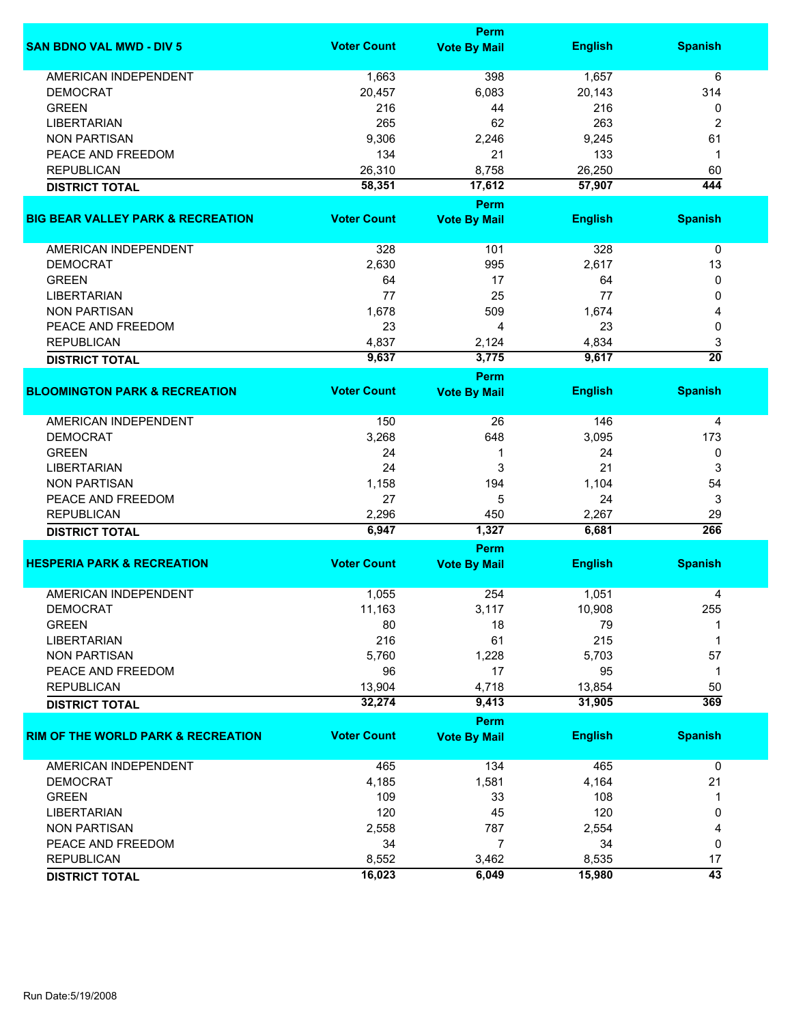|                                               |                    | <b>Perm</b>         |                |                 |
|-----------------------------------------------|--------------------|---------------------|----------------|-----------------|
| <b>SAN BDNO VAL MWD - DIV 5</b>               | <b>Voter Count</b> | <b>Vote By Mail</b> | <b>English</b> | <b>Spanish</b>  |
| AMERICAN INDEPENDENT                          | 1,663              | 398                 | 1,657          | 6               |
| <b>DEMOCRAT</b>                               | 20,457             | 6,083               | 20,143         | 314             |
| <b>GREEN</b>                                  | 216                | 44                  | 216            | 0               |
| <b>LIBERTARIAN</b>                            | 265                | 62                  | 263            | $\overline{2}$  |
| <b>NON PARTISAN</b>                           | 9,306              | 2,246               | 9,245          | 61              |
| PEACE AND FREEDOM                             |                    |                     | 133            |                 |
|                                               | 134                | 21                  |                | 1               |
| <b>REPUBLICAN</b>                             | 26,310             | 8,758               | 26,250         | 60              |
| <b>DISTRICT TOTAL</b>                         | 58,351             | 17,612              | 57,907         | 444             |
|                                               |                    | Perm                |                |                 |
| <b>BIG BEAR VALLEY PARK &amp; RECREATION</b>  | <b>Voter Count</b> | <b>Vote By Mail</b> | <b>English</b> | <b>Spanish</b>  |
| AMERICAN INDEPENDENT                          | 328                | 101                 | 328            | $\pmb{0}$       |
| <b>DEMOCRAT</b>                               | 2,630              | 995                 | 2,617          | 13              |
| <b>GREEN</b>                                  | 64                 | 17                  | 64             | 0               |
| <b>LIBERTARIAN</b>                            | 77                 | 25                  | 77             | 0               |
| <b>NON PARTISAN</b>                           | 1,678              | 509                 | 1,674          | 4               |
| PEACE AND FREEDOM                             | 23                 | 4                   | 23             | 0               |
| <b>REPUBLICAN</b>                             | 4,837              | 2,124               | 4,834          | 3               |
|                                               | 9,637              | 3,775               | 9,617          | $\overline{20}$ |
| <b>DISTRICT TOTAL</b>                         |                    | Perm                |                |                 |
| <b>BLOOMINGTON PARK &amp; RECREATION</b>      | <b>Voter Count</b> | <b>Vote By Mail</b> | <b>English</b> | <b>Spanish</b>  |
| <b>AMERICAN INDEPENDENT</b>                   | 150                | 26                  | 146            | 4               |
| <b>DEMOCRAT</b>                               | 3,268              | 648                 | 3,095          | 173             |
| <b>GREEN</b>                                  | 24                 | 1                   | 24             | 0               |
| <b>LIBERTARIAN</b>                            | 24                 | 3                   | 21             | 3               |
| <b>NON PARTISAN</b>                           | 1,158              |                     |                |                 |
|                                               |                    | 194                 | 1,104          | 54              |
| PEACE AND FREEDOM                             | 27                 | 5                   | 24             | 3               |
| <b>REPUBLICAN</b>                             | 2,296              | 450                 | 2,267          | 29              |
| <b>DISTRICT TOTAL</b>                         | 6,947              | 1,327               | 6,681          | 266             |
|                                               |                    | Perm                |                |                 |
| <b>HESPERIA PARK &amp; RECREATION</b>         | <b>Voter Count</b> | <b>Vote By Mail</b> | <b>English</b> | <b>Spanish</b>  |
| <b>AMERICAN INDEPENDENT</b>                   | 1,055              | 254                 | 1,051          | 4               |
| <b>DEMOCRAT</b>                               | 11,163             | 3,117               | 10,908         | 255             |
| <b>GREEN</b>                                  | 80                 | 18                  | 79             |                 |
| <b>LIBERTARIAN</b>                            | 216                | 61                  | 215            | 1               |
| <b>NON PARTISAN</b>                           | 5,760              | 1,228               | 5,703          | 57              |
| PEACE AND FREEDOM                             | 96                 | 17                  | 95             | 1               |
| <b>REPUBLICAN</b>                             | 13,904             | 4,718               | 13,854         | 50              |
| <b>DISTRICT TOTAL</b>                         | 32,274             | 9,413               | 31,905         | 369             |
|                                               |                    | Perm                |                |                 |
| <b>RIM OF THE WORLD PARK &amp; RECREATION</b> | <b>Voter Count</b> | <b>Vote By Mail</b> | <b>English</b> | <b>Spanish</b>  |
| AMERICAN INDEPENDENT                          | 465                | 134                 | 465            | 0               |
| <b>DEMOCRAT</b>                               | 4,185              | 1,581               | 4,164          | 21              |
| <b>GREEN</b>                                  | 109                | 33                  | 108            | 1               |
| <b>LIBERTARIAN</b>                            | 120                | 45                  | 120            | 0               |
| <b>NON PARTISAN</b>                           | 2,558              | 787                 | 2,554          | 4               |
| PEACE AND FREEDOM                             | 34                 | $\overline{7}$      | 34             | 0               |
|                                               |                    |                     |                |                 |
| <b>REPUBLICAN</b>                             | 8,552              | 3,462               | 8,535          | 17              |
| <b>DISTRICT TOTAL</b>                         | 16,023             | 6,049               | 15,980         | $\overline{43}$ |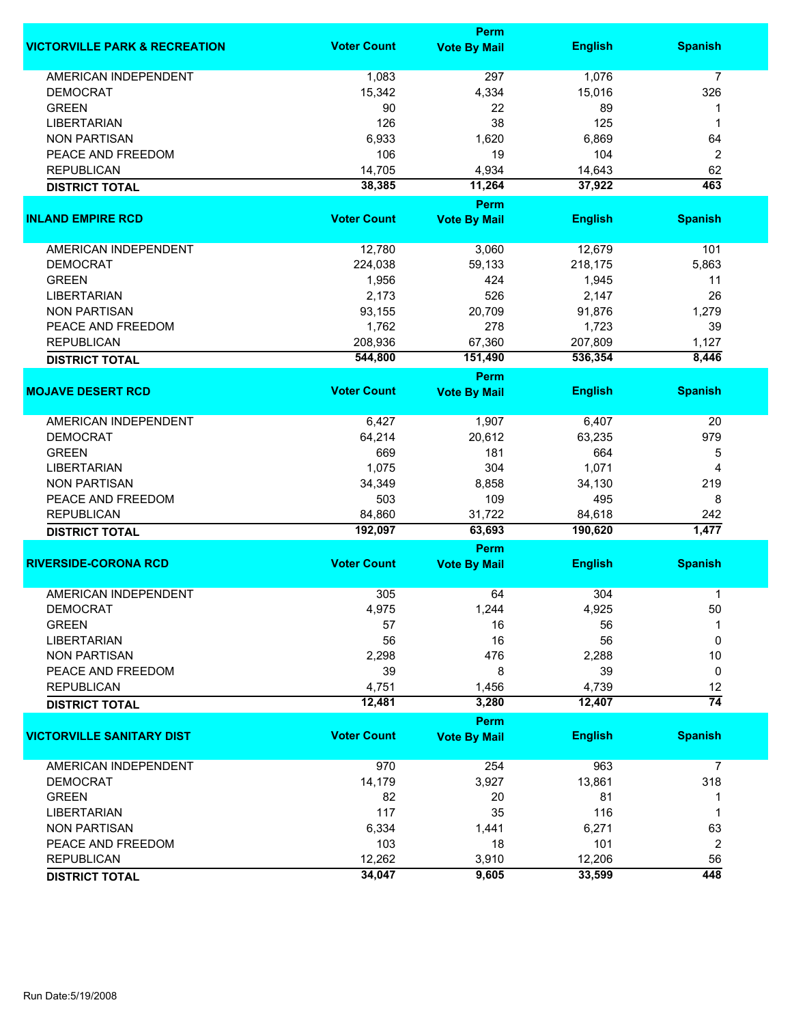|                                          |                    | Perm                        |                |                 |
|------------------------------------------|--------------------|-----------------------------|----------------|-----------------|
| <b>VICTORVILLE PARK &amp; RECREATION</b> | <b>Voter Count</b> | <b>Vote By Mail</b>         | <b>English</b> | <b>Spanish</b>  |
| <b>AMERICAN INDEPENDENT</b>              | 1,083              | 297                         | 1,076          | $\overline{7}$  |
| <b>DEMOCRAT</b>                          | 15,342             | 4,334                       | 15,016         | 326             |
| <b>GREEN</b>                             | 90                 | 22                          | 89             |                 |
| <b>LIBERTARIAN</b>                       | 126                | 38                          | 125            | 1               |
| <b>NON PARTISAN</b>                      | 6,933              | 1,620                       | 6,869          | 64              |
| PEACE AND FREEDOM                        | 106                | 19                          | 104            |                 |
|                                          |                    |                             |                | $\overline{2}$  |
| <b>REPUBLICAN</b>                        | 14,705             | 4,934                       | 14,643         | 62              |
| <b>DISTRICT TOTAL</b>                    | 38,385             | 11,264                      | 37,922         | 463             |
| <b>INLAND EMPIRE RCD</b>                 | <b>Voter Count</b> | Perm<br><b>Vote By Mail</b> | <b>English</b> | <b>Spanish</b>  |
|                                          |                    |                             |                |                 |
| AMERICAN INDEPENDENT                     | 12,780             | 3,060                       | 12,679         | 101             |
| <b>DEMOCRAT</b>                          | 224,038            | 59,133                      | 218,175        | 5,863           |
| <b>GREEN</b>                             | 1,956              | 424                         | 1,945          | 11              |
| <b>LIBERTARIAN</b>                       | 2,173              | 526                         | 2,147          | 26              |
| <b>NON PARTISAN</b>                      | 93,155             | 20,709                      | 91,876         | 1,279           |
| PEACE AND FREEDOM                        | 1,762              | 278                         | 1,723          | 39              |
| <b>REPUBLICAN</b>                        | 208,936            | 67,360                      | 207,809        | 1,127           |
|                                          |                    | 151,490                     |                | 8,446           |
| <b>DISTRICT TOTAL</b>                    | 544,800            |                             | 536,354        |                 |
| <b>MOJAVE DESERT RCD</b>                 | <b>Voter Count</b> | Perm<br><b>Vote By Mail</b> | <b>English</b> | <b>Spanish</b>  |
|                                          |                    |                             |                |                 |
| <b>AMERICAN INDEPENDENT</b>              | 6,427              | 1,907                       | 6,407          | 20              |
| <b>DEMOCRAT</b>                          | 64,214             | 20,612                      | 63,235         | 979             |
| <b>GREEN</b>                             | 669                | 181                         | 664            | 5               |
| <b>LIBERTARIAN</b>                       | 1,075              | 304                         | 1,071          | 4               |
| <b>NON PARTISAN</b>                      | 34,349             | 8,858                       | 34,130         | 219             |
| PEACE AND FREEDOM                        | 503                | 109                         | 495            | 8               |
| <b>REPUBLICAN</b>                        | 84,860             | 31,722                      | 84,618         | 242             |
| <b>DISTRICT TOTAL</b>                    | 192,097            | 63,693                      | 190,620        | 1,477           |
|                                          |                    | Perm                        |                |                 |
| <b>RIVERSIDE-CORONA RCD</b>              | <b>Voter Count</b> | <b>Vote By Mail</b>         | <b>English</b> | <b>Spanish</b>  |
|                                          |                    |                             |                |                 |
| <b>AMERICAN INDEPENDENT</b>              | 305                | 64                          | 304            | 1               |
| <b>DEMOCRAT</b>                          | 4,975              | 1,244                       | 4,925          | 50              |
| <b>GREEN</b>                             | 57                 | 16                          | 56             | 1               |
| <b>LIBERTARIAN</b>                       | 56                 | 16                          | 56             | 0               |
| <b>NON PARTISAN</b>                      | 2,298              | 476                         | 2,288          | 10              |
| PEACE AND FREEDOM                        | 39                 | 8                           | 39             | 0               |
| <b>REPUBLICAN</b>                        | 4,751              | 1,456                       | 4,739          | 12              |
| <b>DISTRICT TOTAL</b>                    | 12,481             | 3,280                       | 12,407         | $\overline{74}$ |
|                                          |                    | Perm                        |                |                 |
| <b>VICTORVILLE SANITARY DIST</b>         | <b>Voter Count</b> | <b>Vote By Mail</b>         | <b>English</b> | <b>Spanish</b>  |
| AMERICAN INDEPENDENT                     | 970                | 254                         | 963            | 7               |
| <b>DEMOCRAT</b>                          | 14,179             | 3,927                       | 13,861         | 318             |
| <b>GREEN</b>                             | 82                 | 20                          | 81             | 1               |
| <b>LIBERTARIAN</b>                       | 117                | 35                          | 116            | 1               |
| <b>NON PARTISAN</b>                      | 6,334              | 1,441                       | 6,271          | 63              |
| PEACE AND FREEDOM                        | 103                | 18                          | 101            | 2               |
| <b>REPUBLICAN</b>                        | 12,262             | 3,910                       | 12,206         | 56              |
|                                          | 34,047             | 9,605                       | 33,599         | 448             |
| <b>DISTRICT TOTAL</b>                    |                    |                             |                |                 |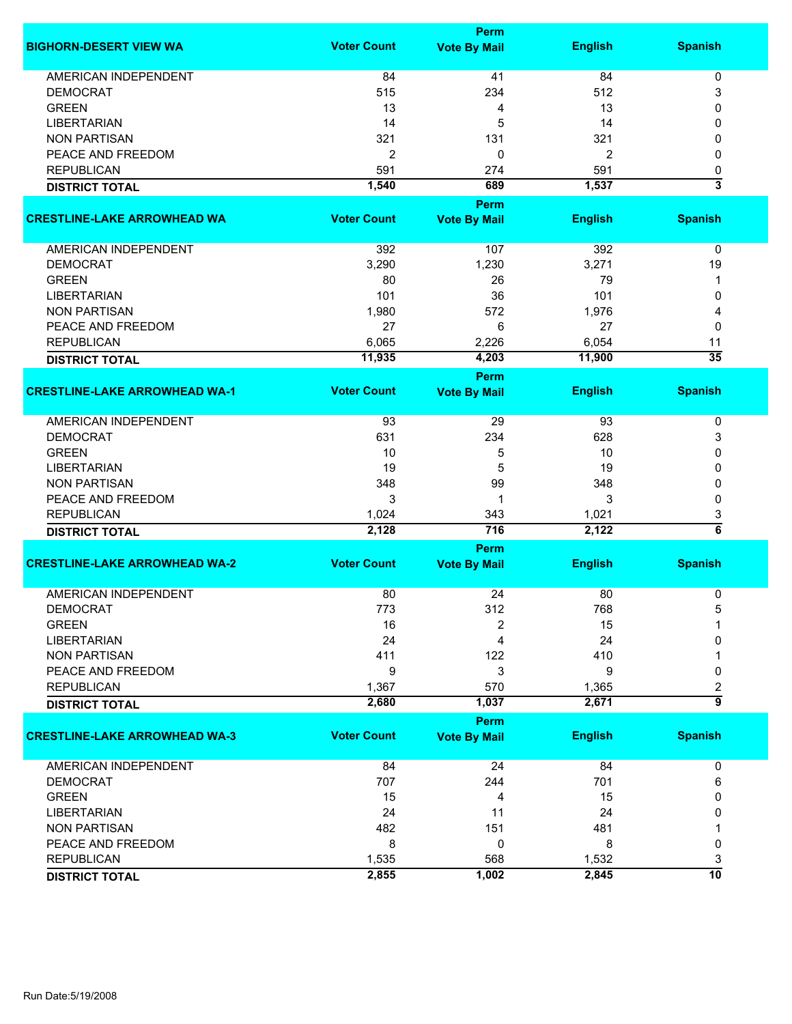|                                      |                    | <b>Perm</b>         |                |                         |
|--------------------------------------|--------------------|---------------------|----------------|-------------------------|
| <b>BIGHORN-DESERT VIEW WA</b>        | <b>Voter Count</b> | <b>Vote By Mail</b> | <b>English</b> | <b>Spanish</b>          |
| <b>AMERICAN INDEPENDENT</b>          | 84                 | 41                  | 84             | 0                       |
| <b>DEMOCRAT</b>                      | 515                | 234                 | 512            | 3                       |
| <b>GREEN</b>                         | 13                 | 4                   | 13             | 0                       |
| <b>LIBERTARIAN</b>                   | 14                 | 5                   | 14             | 0                       |
| <b>NON PARTISAN</b>                  | 321                | 131                 | 321            | 0                       |
| PEACE AND FREEDOM                    |                    |                     |                |                         |
|                                      | 2                  | 0                   | 2              | 0                       |
| <b>REPUBLICAN</b>                    | 591                | 274                 | 591            | 0                       |
| <b>DISTRICT TOTAL</b>                | 1,540              | 689                 | 1,537          | $\overline{\mathbf{3}}$ |
|                                      |                    | Perm                |                |                         |
| <b>CRESTLINE-LAKE ARROWHEAD WA</b>   | <b>Voter Count</b> | <b>Vote By Mail</b> | <b>English</b> | <b>Spanish</b>          |
| AMERICAN INDEPENDENT                 | 392                | 107                 | 392            | $\pmb{0}$               |
| <b>DEMOCRAT</b>                      | 3,290              | 1,230               | 3,271          | 19                      |
| <b>GREEN</b>                         | 80                 | 26                  | 79             | 1                       |
| <b>LIBERTARIAN</b>                   | 101                | 36                  | 101            | 0                       |
| <b>NON PARTISAN</b>                  | 1,980              | 572                 | 1,976          | 4                       |
| PEACE AND FREEDOM                    | 27                 | 6                   | 27             | 0                       |
|                                      |                    |                     |                |                         |
| <b>REPUBLICAN</b>                    | 6,065              | 2,226               | 6,054          | 11                      |
| <b>DISTRICT TOTAL</b>                | 11,935             | 4,203               | 11,900         | $\overline{35}$         |
|                                      |                    | Perm                |                |                         |
| <b>CRESTLINE-LAKE ARROWHEAD WA-1</b> | <b>Voter Count</b> | <b>Vote By Mail</b> | <b>English</b> | <b>Spanish</b>          |
| <b>AMERICAN INDEPENDENT</b>          | 93                 | 29                  | 93             | 0                       |
| <b>DEMOCRAT</b>                      | 631                | 234                 | 628            | 3                       |
| <b>GREEN</b>                         | 10                 | 5                   | 10             | 0                       |
| <b>LIBERTARIAN</b>                   | 19                 | 5                   | 19             | 0                       |
| <b>NON PARTISAN</b>                  | 348                | 99                  | 348            | 0                       |
| PEACE AND FREEDOM                    | 3                  | 1                   | 3              | 0                       |
|                                      |                    |                     |                |                         |
| <b>REPUBLICAN</b>                    | 1,024<br>2,128     | 343<br>716          | 1,021<br>2,122 | 3<br>$\overline{6}$     |
| <b>DISTRICT TOTAL</b>                |                    |                     |                |                         |
|                                      |                    | Perm                |                |                         |
| <b>CRESTLINE-LAKE ARROWHEAD WA-2</b> | <b>Voter Count</b> | <b>Vote By Mail</b> | <b>English</b> | <b>Spanish</b>          |
| <b>AMERICAN INDEPENDENT</b>          | 80                 | 24                  | 80             | 0                       |
| <b>DEMOCRAT</b>                      | 773                | 312                 | 768            | 5                       |
| <b>GREEN</b>                         | 16                 | 2                   | 15             |                         |
| <b>LIBERTARIAN</b>                   | 24                 | 4                   | 24             | 0                       |
| <b>NON PARTISAN</b>                  | 411                | 122                 | 410            |                         |
| PEACE AND FREEDOM                    | 9                  | 3                   | 9              | 0                       |
| <b>REPUBLICAN</b>                    | 1,367              | 570                 | 1,365          | 2                       |
| <b>DISTRICT TOTAL</b>                | 2,680              | 1,037               | 2,671          | $\overline{9}$          |
|                                      |                    | Perm                |                |                         |
| <b>CRESTLINE-LAKE ARROWHEAD WA-3</b> | <b>Voter Count</b> | <b>Vote By Mail</b> | <b>English</b> | <b>Spanish</b>          |
| <b>AMERICAN INDEPENDENT</b>          | 84                 | 24                  | 84             | 0                       |
| <b>DEMOCRAT</b>                      | 707                | 244                 | 701            | 6                       |
| <b>GREEN</b>                         | 15                 | 4                   | 15             | 0                       |
| <b>LIBERTARIAN</b>                   | 24                 | 11                  | 24             | 0                       |
|                                      |                    | 151                 | 481            |                         |
| <b>NON PARTISAN</b>                  | 482                |                     |                |                         |
| PEACE AND FREEDOM                    | 8                  | 0                   | 8              | 0                       |
| <b>REPUBLICAN</b>                    | 1,535              | 568                 | 1,532          | 3                       |
| <b>DISTRICT TOTAL</b>                | 2,855              | 1,002               | 2,845          | 10                      |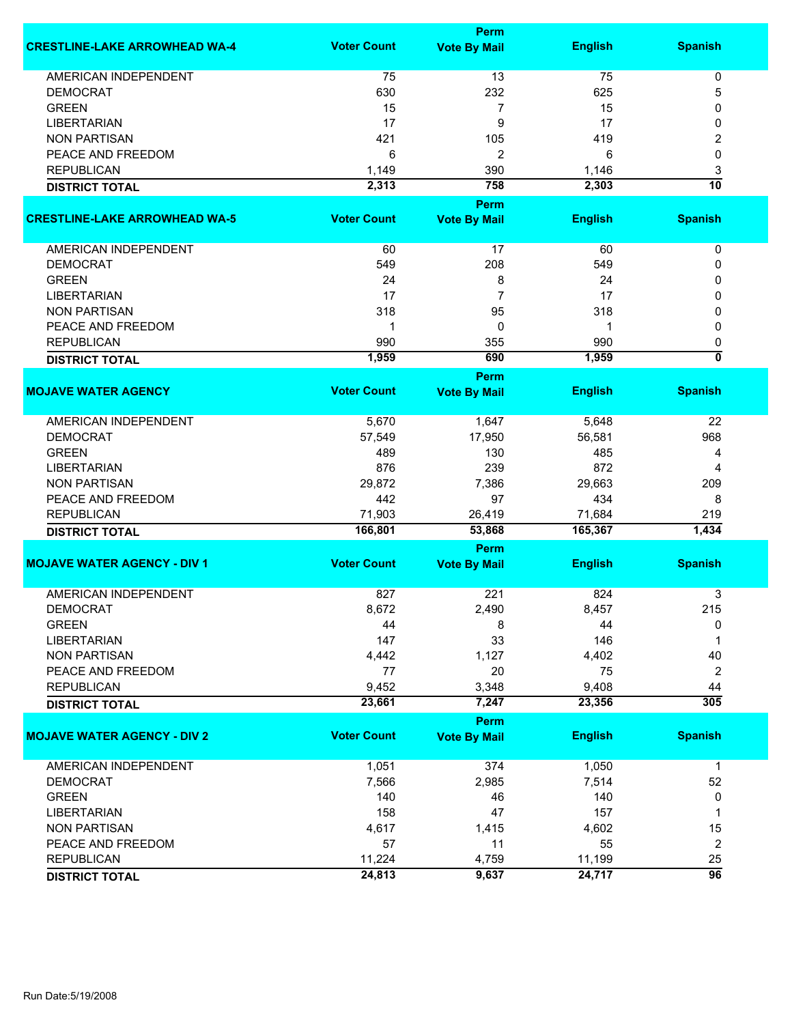|                                      |                    | Perm                        |                |                           |
|--------------------------------------|--------------------|-----------------------------|----------------|---------------------------|
| <b>CRESTLINE-LAKE ARROWHEAD WA-4</b> | <b>Voter Count</b> | <b>Vote By Mail</b>         | <b>English</b> | <b>Spanish</b>            |
| <b>AMERICAN INDEPENDENT</b>          | 75                 | 13                          | 75             | 0                         |
| <b>DEMOCRAT</b>                      | 630                | 232                         | 625            | 5                         |
| <b>GREEN</b>                         | 15                 | 7                           | 15             | 0                         |
| <b>LIBERTARIAN</b>                   | 17                 | 9                           | 17             | 0                         |
| <b>NON PARTISAN</b>                  | 421                | 105                         | 419            | 2                         |
|                                      |                    |                             | 6              | 0                         |
| PEACE AND FREEDOM                    | 6                  | 2                           |                |                           |
| <b>REPUBLICAN</b>                    | 1,149              | 390                         | 1,146          | 3                         |
| <b>DISTRICT TOTAL</b>                | 2,313              | 758                         | 2,303          | $\overline{10}$           |
|                                      |                    | Perm                        |                |                           |
| <b>CRESTLINE-LAKE ARROWHEAD WA-5</b> | <b>Voter Count</b> | <b>Vote By Mail</b>         | <b>English</b> | <b>Spanish</b>            |
| AMERICAN INDEPENDENT                 | 60                 | 17                          | 60             | 0                         |
| <b>DEMOCRAT</b>                      | 549                | 208                         | 549            | 0                         |
| <b>GREEN</b>                         | 24                 | 8                           | 24             | 0                         |
| <b>LIBERTARIAN</b>                   | 17                 | 7                           | 17             | 0                         |
| <b>NON PARTISAN</b>                  | 318                | 95                          | 318            | 0                         |
| PEACE AND FREEDOM                    | 1                  | 0                           | 1              | 0                         |
| <b>REPUBLICAN</b>                    | 990                | 355                         | 990            | 0                         |
|                                      | 1,959              | 690                         | 1,959          | $\overline{\mathfrak{o}}$ |
| <b>DISTRICT TOTAL</b>                |                    |                             |                |                           |
| <b>MOJAVE WATER AGENCY</b>           | <b>Voter Count</b> | Perm<br><b>Vote By Mail</b> | <b>English</b> | <b>Spanish</b>            |
|                                      |                    |                             |                |                           |
| <b>AMERICAN INDEPENDENT</b>          | 5,670              | 1,647                       | 5,648          | 22                        |
| <b>DEMOCRAT</b>                      | 57,549             | 17,950                      | 56,581         | 968                       |
| <b>GREEN</b>                         | 489                | 130                         | 485            | 4                         |
| <b>LIBERTARIAN</b>                   | 876                | 239                         | 872            | 4                         |
| <b>NON PARTISAN</b>                  | 29,872             | 7,386                       | 29,663         | 209                       |
| PEACE AND FREEDOM                    | 442                | 97                          | 434            | 8                         |
| <b>REPUBLICAN</b>                    | 71,903             | 26,419                      | 71,684         | 219                       |
| <b>DISTRICT TOTAL</b>                | 166,801            | 53,868                      | 165,367        | 1,434                     |
|                                      |                    | Perm                        |                |                           |
| <b>MOJAVE WATER AGENCY - DIV 1</b>   | <b>Voter Count</b> | <b>Vote By Mail</b>         | <b>English</b> | <b>Spanish</b>            |
| <b>AMERICAN INDEPENDENT</b>          | 827                | 221                         | 824            | 3                         |
| <b>DEMOCRAT</b>                      | 8,672              | 2,490                       | 8,457          | 215                       |
| <b>GREEN</b>                         | 44                 | 8                           | 44             | 0                         |
| <b>LIBERTARIAN</b>                   | 147                | 33                          | 146            | 1                         |
| <b>NON PARTISAN</b>                  | 4,442              | 1,127                       | 4,402          | 40                        |
| PEACE AND FREEDOM                    | 77                 | 20                          | 75             | $\overline{2}$            |
| <b>REPUBLICAN</b>                    | 9,452              |                             | 9,408          | 44                        |
|                                      | 23,661             | 3,348                       |                | 305                       |
| <b>DISTRICT TOTAL</b>                |                    | 7,247                       | 23,356         |                           |
| <b>MOJAVE WATER AGENCY - DIV 2</b>   | <b>Voter Count</b> | Perm                        | <b>English</b> | <b>Spanish</b>            |
|                                      |                    | <b>Vote By Mail</b>         |                |                           |
| <b>AMERICAN INDEPENDENT</b>          | 1,051              | 374                         | 1,050          | $\mathbf{1}$              |
| <b>DEMOCRAT</b>                      | 7,566              | 2,985                       | 7,514          | 52                        |
| <b>GREEN</b>                         | 140                | 46                          | 140            | 0                         |
| <b>LIBERTARIAN</b>                   | 158                | 47                          | 157            | 1                         |
| <b>NON PARTISAN</b>                  | 4,617              | 1,415                       | 4,602          | 15                        |
| PEACE AND FREEDOM                    | 57                 | 11                          | 55             | $\overline{c}$            |
| <b>REPUBLICAN</b>                    | 11,224             | 4,759                       | 11,199         | 25                        |
| <b>DISTRICT TOTAL</b>                | 24,813             | 9,637                       | 24,717         | $\overline{96}$           |
|                                      |                    |                             |                |                           |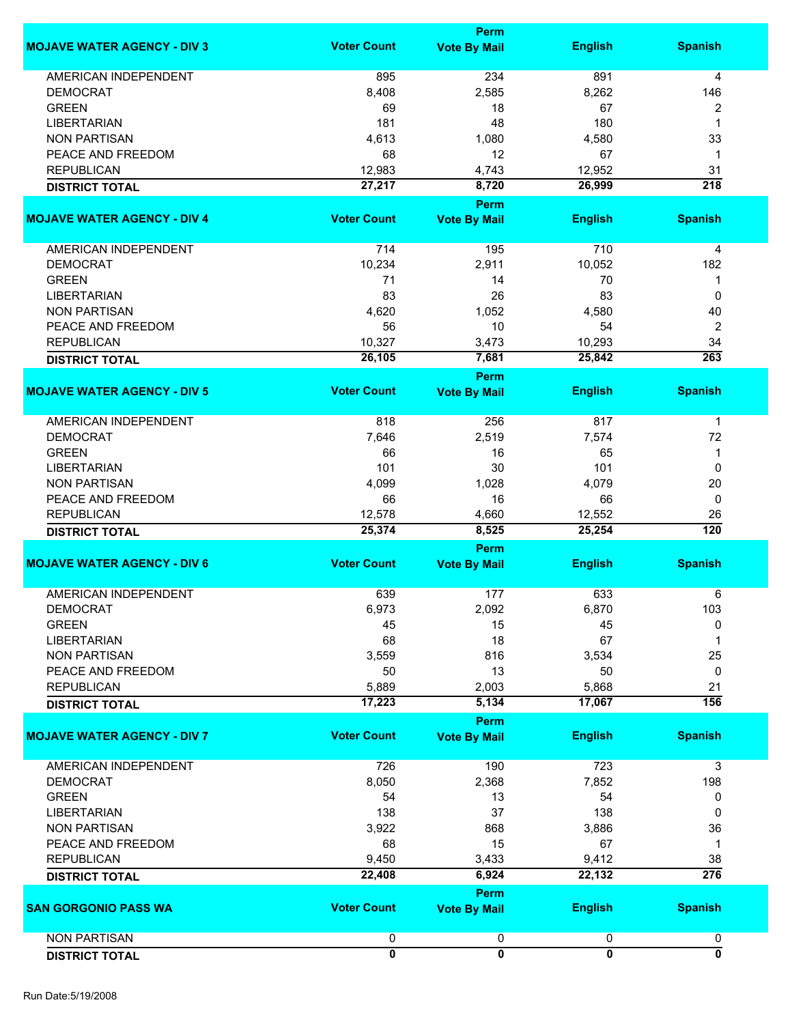|                                    |                         | <b>Perm</b>             |                         |                           |
|------------------------------------|-------------------------|-------------------------|-------------------------|---------------------------|
| <b>MOJAVE WATER AGENCY - DIV 3</b> | <b>Voter Count</b>      | <b>Vote By Mail</b>     | <b>English</b>          | <b>Spanish</b>            |
| <b>AMERICAN INDEPENDENT</b>        | 895                     | 234                     | 891                     | 4                         |
| <b>DEMOCRAT</b>                    | 8,408                   | 2,585                   | 8,262                   | 146                       |
| <b>GREEN</b>                       | 69                      | 18                      | 67                      | 2                         |
| <b>LIBERTARIAN</b>                 | 181                     | 48                      | 180                     | 1                         |
| <b>NON PARTISAN</b>                | 4,613                   | 1,080                   | 4,580                   | 33                        |
| PEACE AND FREEDOM                  | 68                      | 12                      | 67                      | 1                         |
| <b>REPUBLICAN</b>                  | 12,983                  | 4,743                   | 12,952                  | 31                        |
| <b>DISTRICT TOTAL</b>              | 27,217                  | 8,720                   | 26,999                  | $\overline{218}$          |
|                                    |                         | <b>Perm</b>             |                         |                           |
| <b>MOJAVE WATER AGENCY - DIV 4</b> | <b>Voter Count</b>      | <b>Vote By Mail</b>     | <b>English</b>          | <b>Spanish</b>            |
| AMERICAN INDEPENDENT               | 714                     | 195                     | 710                     | 4                         |
| <b>DEMOCRAT</b>                    | 10,234                  | 2,911                   | 10,052                  | 182                       |
| <b>GREEN</b>                       | 71                      | 14                      | 70                      | 1                         |
| <b>LIBERTARIAN</b>                 | 83                      | 26                      | 83                      | 0                         |
| <b>NON PARTISAN</b>                | 4,620                   | 1,052                   | 4,580                   | 40                        |
| PEACE AND FREEDOM                  | 56                      | 10                      | 54                      | $\boldsymbol{2}$          |
| <b>REPUBLICAN</b>                  | 10,327                  | 3,473                   | 10,293                  | 34                        |
| <b>DISTRICT TOTAL</b>              | 26,105                  | 7,681                   | 25,842                  | 263                       |
|                                    |                         | <b>Perm</b>             |                         |                           |
| <b>MOJAVE WATER AGENCY - DIV 5</b> | <b>Voter Count</b>      | <b>Vote By Mail</b>     | <b>English</b>          | <b>Spanish</b>            |
|                                    |                         |                         |                         |                           |
| AMERICAN INDEPENDENT               | 818                     | 256                     | 817                     | $\mathbf 1$               |
| <b>DEMOCRAT</b>                    | 7,646                   | 2,519                   | 7,574                   | 72                        |
| <b>GREEN</b>                       | 66                      | 16                      | 65                      | 1                         |
| <b>LIBERTARIAN</b>                 | 101                     | 30                      | 101                     | 0                         |
| <b>NON PARTISAN</b>                | 4,099                   | 1,028                   | 4,079                   | 20                        |
| PEACE AND FREEDOM                  | 66                      | 16                      | 66                      | 0                         |
| <b>REPUBLICAN</b>                  | 12,578                  | 4,660                   | 12,552                  | 26                        |
| <b>DISTRICT TOTAL</b>              | 25,374                  | 8,525                   | 25,254                  | $\overline{120}$          |
|                                    |                         | Perm                    |                         |                           |
| <b>MOJAVE WATER AGENCY - DIV 6</b> | <b>Voter Count</b>      | <b>Vote By Mail</b>     | <b>English</b>          | <b>Spanish</b>            |
| AMERICAN INDEPENDENT               | 639                     | 177                     | 633                     | 6                         |
| <b>DEMOCRAT</b>                    | 6,973                   | 2,092                   | 6,870                   | 103                       |
| <b>GREEN</b>                       | 45                      | 15                      | 45                      | 0                         |
| <b>LIBERTARIAN</b>                 | 68                      | 18                      | 67                      | 1                         |
| <b>NON PARTISAN</b>                | 3,559                   | 816                     | 3,534                   | 25                        |
| PEACE AND FREEDOM                  | 50                      | 13                      | 50                      | 0                         |
| <b>REPUBLICAN</b>                  | 5,889                   | 2,003                   | 5,868                   | 21                        |
| <b>DISTRICT TOTAL</b>              | 17,223                  | 5,134                   | 17,067                  | 156                       |
|                                    |                         | Perm                    |                         |                           |
| <b>MOJAVE WATER AGENCY - DIV 7</b> | <b>Voter Count</b>      | <b>Vote By Mail</b>     | <b>English</b>          | <b>Spanish</b>            |
| <b>AMERICAN INDEPENDENT</b>        | 726                     | 190                     | 723                     | 3                         |
| <b>DEMOCRAT</b>                    | 8,050                   | 2,368                   | 7,852                   | 198                       |
| <b>GREEN</b>                       | 54                      | 13                      | 54                      | 0                         |
| <b>LIBERTARIAN</b>                 | 138                     | 37                      | 138                     | 0                         |
| <b>NON PARTISAN</b>                | 3,922                   | 868                     | 3,886                   | 36                        |
| PEACE AND FREEDOM                  | 68                      | 15                      | 67                      | 1                         |
| <b>REPUBLICAN</b>                  | 9,450                   | 3,433                   | 9,412                   | 38                        |
| <b>DISTRICT TOTAL</b>              | 22,408                  | 6,924                   | 22,132                  | $\overline{276}$          |
|                                    |                         | Perm                    |                         |                           |
| <b>SAN GORGONIO PASS WA</b>        | <b>Voter Count</b>      | <b>Vote By Mail</b>     | <b>English</b>          | <b>Spanish</b>            |
| <b>NON PARTISAN</b>                | 0                       | 0                       | 0                       | 0                         |
| <b>DISTRICT TOTAL</b>              | $\overline{\mathbf{0}}$ | $\overline{\mathbf{0}}$ | $\overline{\mathbf{0}}$ | $\overline{\mathfrak{o}}$ |
|                                    |                         |                         |                         |                           |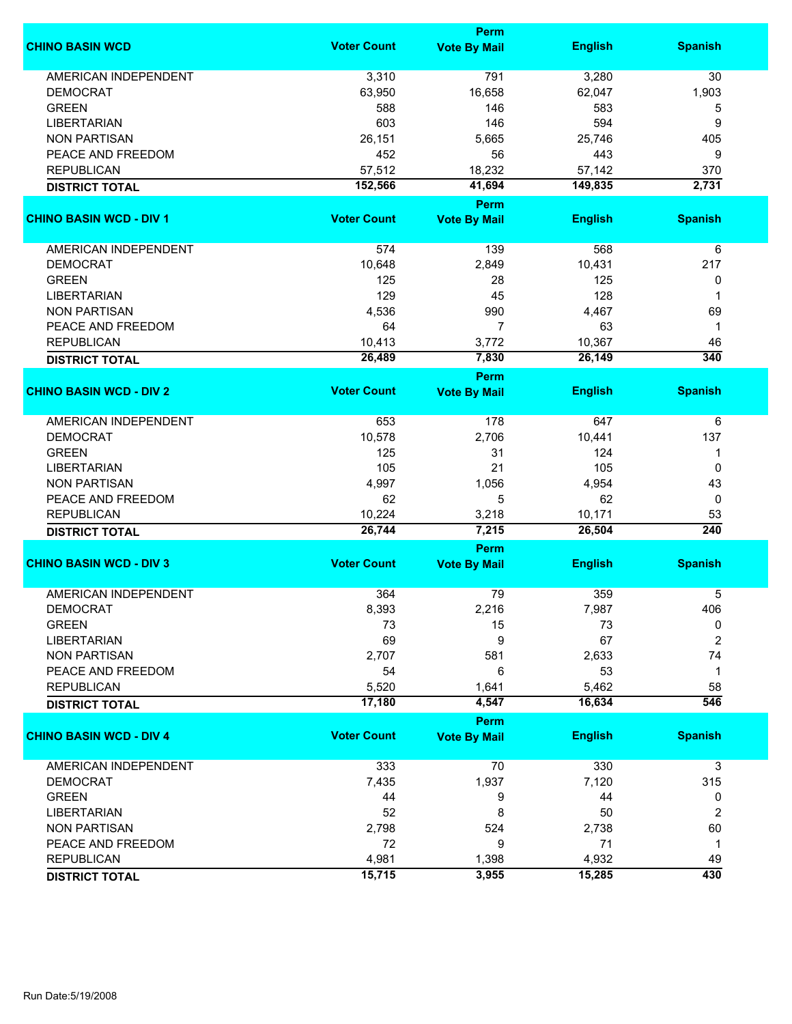|                                            |                    | Perm                        |                  |                |
|--------------------------------------------|--------------------|-----------------------------|------------------|----------------|
| <b>CHINO BASIN WCD</b>                     | <b>Voter Count</b> | <b>Vote By Mail</b>         | <b>English</b>   | <b>Spanish</b> |
| <b>AMERICAN INDEPENDENT</b>                | 3,310              | 791                         | 3,280            | 30             |
| <b>DEMOCRAT</b>                            | 63,950             | 16,658                      | 62,047           | 1,903          |
| <b>GREEN</b>                               | 588                | 146                         | 583              | 5              |
| <b>LIBERTARIAN</b>                         | 603                | 146                         | 594              | 9              |
| <b>NON PARTISAN</b>                        | 26,151             | 5,665                       | 25,746           | 405            |
|                                            |                    |                             |                  |                |
| PEACE AND FREEDOM                          | 452                | 56                          | 443              | 9              |
| <b>REPUBLICAN</b>                          | 57,512             | 18,232                      | 57,142           | 370            |
| <b>DISTRICT TOTAL</b>                      | 152,566            | 41,694                      | 149,835          | 2,731          |
| <b>CHINO BASIN WCD - DIV 1</b>             | <b>Voter Count</b> | Perm<br><b>Vote By Mail</b> | <b>English</b>   | <b>Spanish</b> |
|                                            |                    |                             |                  |                |
| AMERICAN INDEPENDENT                       | 574                | 139                         | 568              | 6              |
| <b>DEMOCRAT</b>                            | 10,648             | 2,849                       | 10,431           | 217            |
| <b>GREEN</b>                               | 125                | 28                          | 125              | 0              |
| <b>LIBERTARIAN</b>                         | 129                | 45                          | 128              | 1              |
| <b>NON PARTISAN</b>                        | 4,536              | 990                         | 4,467            | 69             |
| PEACE AND FREEDOM                          | 64                 | $\overline{7}$              | 63               | $\mathbf{1}$   |
| <b>REPUBLICAN</b>                          | 10,413             | 3,772                       | 10,367           | 46             |
|                                            |                    |                             |                  |                |
| <b>DISTRICT TOTAL</b>                      | 26,489             | 7,830                       | 26,149           | 340            |
| <b>CHINO BASIN WCD - DIV 2</b>             | <b>Voter Count</b> | Perm<br><b>Vote By Mail</b> | <b>English</b>   | <b>Spanish</b> |
|                                            |                    |                             |                  |                |
| <b>AMERICAN INDEPENDENT</b>                | 653                | 178                         | 647              | 6              |
| <b>DEMOCRAT</b>                            | 10,578             | 2,706                       | 10,441           | 137            |
| <b>GREEN</b>                               | 125                | 31                          | 124              | 1              |
| <b>LIBERTARIAN</b>                         | 105                | 21                          | 105              | 0              |
| <b>NON PARTISAN</b>                        | 4,997              | 1,056                       | 4,954            | 43             |
| PEACE AND FREEDOM                          | 62                 | 5                           | 62               | 0              |
|                                            | 10,224             |                             |                  |                |
| <b>REPUBLICAN</b><br><b>DISTRICT TOTAL</b> | 26,744             | 3,218<br>7,215              | 10,171<br>26,504 | 53<br>240      |
|                                            |                    | Perm                        |                  |                |
| <b>CHINO BASIN WCD - DIV 3</b>             | <b>Voter Count</b> | <b>Vote By Mail</b>         | <b>English</b>   | <b>Spanish</b> |
|                                            |                    |                             |                  |                |
| <b>AMERICAN INDEPENDENT</b>                | 364                | 79                          | 359              | 5              |
| <b>DEMOCRAT</b>                            | 8,393              | 2,216                       | 7,987            | 406            |
| <b>GREEN</b>                               | 73                 | 15                          | 73               | 0              |
| <b>LIBERTARIAN</b>                         | 69                 | 9                           | 67               | $\overline{2}$ |
| <b>NON PARTISAN</b>                        | 2,707              | 581                         | 2,633            | 74             |
| PEACE AND FREEDOM                          | 54                 | 6                           | 53               | $\mathbf{1}$   |
| <b>REPUBLICAN</b>                          | 5,520              | 1,641                       | 5,462            | 58             |
| <b>DISTRICT TOTAL</b>                      | 17,180             | 4,547                       | 16,634           | 546            |
|                                            |                    | Perm                        |                  |                |
| <b>CHINO BASIN WCD - DIV 4</b>             | <b>Voter Count</b> | <b>Vote By Mail</b>         | <b>English</b>   | <b>Spanish</b> |
| <b>AMERICAN INDEPENDENT</b>                | 333                | 70                          | 330              | 3              |
| <b>DEMOCRAT</b>                            | 7,435              | 1,937                       | 7,120            | 315            |
| <b>GREEN</b>                               | 44                 | 9                           | 44               | 0              |
| <b>LIBERTARIAN</b>                         | 52                 | 8                           | 50               | $\overline{2}$ |
| <b>NON PARTISAN</b>                        | 2,798              | 524                         | 2,738            | 60             |
| PEACE AND FREEDOM                          | 72                 | 9                           | 71               | $\mathbf{1}$   |
|                                            |                    |                             |                  |                |
| <b>REPUBLICAN</b>                          | 4,981              | 1,398                       | 4,932            | 49             |
| <b>DISTRICT TOTAL</b>                      | 15,715             | 3,955                       | 15,285           | 430            |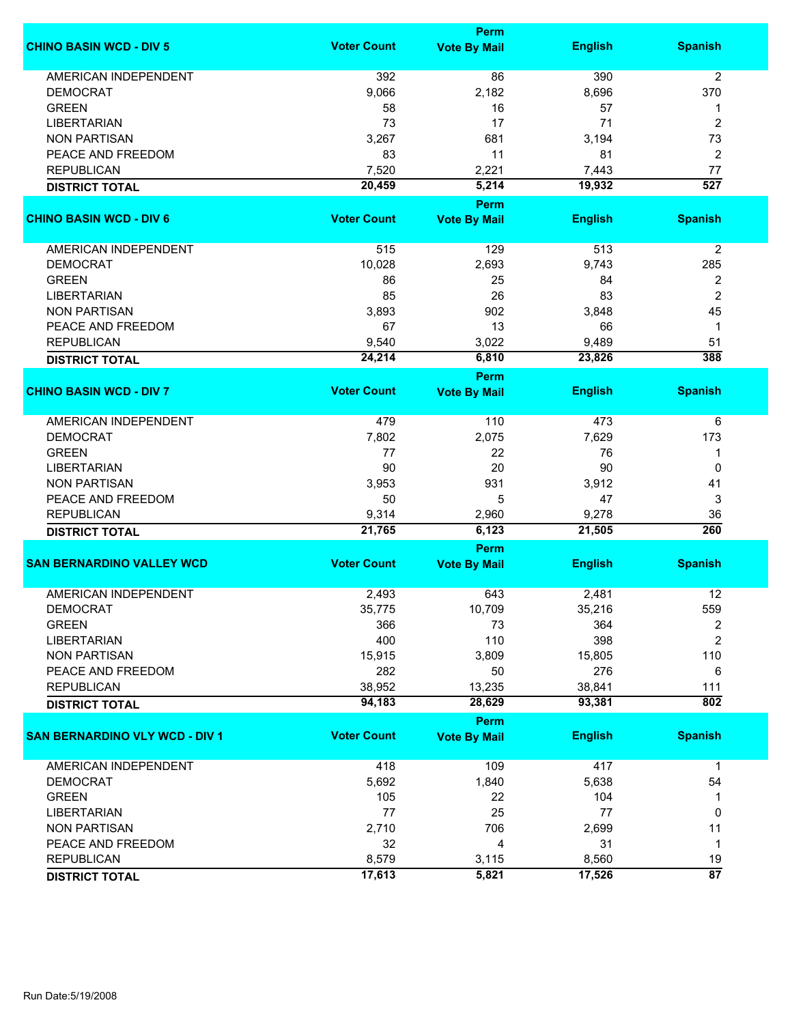|                                       |                    | Perm                        |                |                            |
|---------------------------------------|--------------------|-----------------------------|----------------|----------------------------|
| <b>CHINO BASIN WCD - DIV 5</b>        | <b>Voter Count</b> | <b>Vote By Mail</b>         | <b>English</b> | <b>Spanish</b>             |
| <b>AMERICAN INDEPENDENT</b>           | 392                | 86                          | 390            | $\overline{2}$             |
| <b>DEMOCRAT</b>                       | 9,066              | 2,182                       | 8,696          | 370                        |
| <b>GREEN</b>                          | 58                 | 16                          | 57             | 1                          |
| <b>LIBERTARIAN</b>                    | 73                 | 17                          | 71             | $\overline{2}$             |
| <b>NON PARTISAN</b>                   | 3,267              | 681                         | 3,194          | 73                         |
| PEACE AND FREEDOM                     |                    |                             |                |                            |
|                                       | 83                 | 11                          | 81             | 2                          |
| <b>REPUBLICAN</b>                     | 7,520              | 2,221                       | 7,443          | 77                         |
| <b>DISTRICT TOTAL</b>                 | 20,459             | 5,214                       | 19,932         | 527                        |
| <b>CHINO BASIN WCD - DIV 6</b>        | <b>Voter Count</b> | Perm<br><b>Vote By Mail</b> | <b>English</b> | <b>Spanish</b>             |
|                                       |                    |                             |                |                            |
| AMERICAN INDEPENDENT                  | 515                | 129                         | 513            | $\overline{2}$             |
| <b>DEMOCRAT</b>                       | 10,028             | 2,693                       | 9,743          | 285                        |
| <b>GREEN</b>                          | 86                 | 25                          | 84             | 2                          |
| <b>LIBERTARIAN</b>                    | 85                 | 26                          | 83             | $\overline{2}$             |
| <b>NON PARTISAN</b>                   | 3,893              | 902                         | 3,848          | 45                         |
| PEACE AND FREEDOM                     | 67                 | 13                          | 66             | 1                          |
| <b>REPUBLICAN</b>                     | 9,540              | 3,022                       | 9,489          | 51                         |
|                                       |                    |                             |                | 388                        |
| <b>DISTRICT TOTAL</b>                 | 24,214             | 6,810<br><b>Perm</b>        | 23,826         |                            |
| <b>CHINO BASIN WCD - DIV 7</b>        | <b>Voter Count</b> | <b>Vote By Mail</b>         | <b>English</b> | <b>Spanish</b>             |
|                                       |                    |                             |                |                            |
| <b>AMERICAN INDEPENDENT</b>           | 479                | 110                         | 473            | 6                          |
| <b>DEMOCRAT</b>                       | 7,802              | 2,075                       | 7,629          | 173                        |
| <b>GREEN</b>                          | 77                 | 22                          | 76             | 1                          |
| <b>LIBERTARIAN</b>                    | 90                 | 20                          | 90             | 0                          |
| <b>NON PARTISAN</b>                   | 3,953              | 931                         | 3,912          | 41                         |
| PEACE AND FREEDOM                     | 50                 | 5                           | 47             | 3                          |
| <b>REPUBLICAN</b>                     | 9,314              | 2,960                       | 9,278          | 36                         |
|                                       | 21,765             | 6,123                       | 21,505         | 260                        |
| <b>DISTRICT TOTAL</b>                 |                    | Perm                        |                |                            |
| <b>SAN BERNARDINO VALLEY WCD</b>      | <b>Voter Count</b> | <b>Vote By Mail</b>         | <b>English</b> | <b>Spanish</b>             |
|                                       |                    |                             |                |                            |
| <b>AMERICAN INDEPENDENT</b>           | 2,493              | 643                         | 2,481          | 12                         |
| <b>DEMOCRAT</b>                       | 35,775             | 10,709                      | 35,216         | 559                        |
| <b>GREEN</b>                          | 366                | 73                          | 364            | 2                          |
| <b>LIBERTARIAN</b>                    | 400                | 110                         | 398            | $\overline{2}$             |
| <b>NON PARTISAN</b>                   | 15,915             | 3,809                       | 15,805         | 110                        |
| PEACE AND FREEDOM                     | 282                | 50                          | 276            | 6                          |
| <b>REPUBLICAN</b>                     | 38,952             | 13,235                      | 38,841         | 111                        |
| <b>DISTRICT TOTAL</b>                 | 94,183             | 28,629                      | 93,381         | 802                        |
|                                       |                    | Perm                        |                |                            |
| <b>SAN BERNARDINO VLY WCD - DIV 1</b> | <b>Voter Count</b> | <b>Vote By Mail</b>         | <b>English</b> | <b>Spanish</b>             |
| AMERICAN INDEPENDENT                  | 418                | 109                         | 417            | $\mathbf 1$                |
| <b>DEMOCRAT</b>                       | 5,692              | 1,840                       | 5,638          | 54                         |
| <b>GREEN</b>                          | 105                | 22                          | 104            | 1                          |
| <b>LIBERTARIAN</b>                    | 77                 | 25                          | 77             | 0                          |
| <b>NON PARTISAN</b>                   | 2,710              | 706                         | 2,699          | 11                         |
| PEACE AND FREEDOM                     | 32                 | 4                           | 31             | $\mathbf{1}$               |
|                                       |                    |                             |                |                            |
| <b>REPUBLICAN</b>                     | 8,579              | 3,115                       | 8,560          | 19                         |
| <b>DISTRICT TOTAL</b>                 | 17,613             | 5,821                       | 17,526         | $\overline{\overline{87}}$ |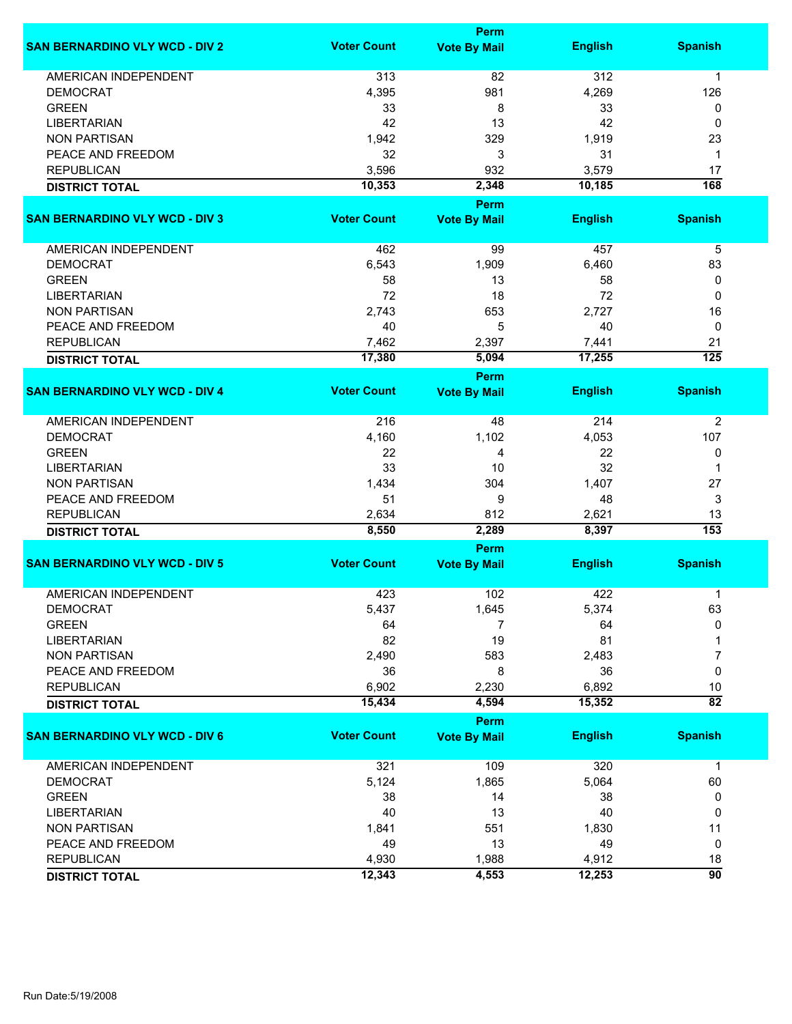|                                       | <b>Perm</b>        |                             |                |                        |  |
|---------------------------------------|--------------------|-----------------------------|----------------|------------------------|--|
| <b>SAN BERNARDINO VLY WCD - DIV 2</b> | <b>Voter Count</b> | <b>Vote By Mail</b>         | <b>English</b> | <b>Spanish</b>         |  |
| AMERICAN INDEPENDENT                  | 313                | 82                          | 312            | 1                      |  |
| <b>DEMOCRAT</b>                       | 4,395              | 981                         | 4,269          | 126                    |  |
| <b>GREEN</b>                          | 33                 | 8                           | 33             | 0                      |  |
| <b>LIBERTARIAN</b>                    | 42                 | 13                          | 42             | 0                      |  |
| <b>NON PARTISAN</b>                   | 1,942              | 329                         | 1,919          | 23                     |  |
| PEACE AND FREEDOM                     | 32                 | 3                           | 31             | 1                      |  |
|                                       |                    |                             |                |                        |  |
| <b>REPUBLICAN</b>                     | 3,596              | 932                         | 3,579          | 17                     |  |
| <b>DISTRICT TOTAL</b>                 | 10,353             | 2,348                       | 10,185         | $\overline{168}$       |  |
|                                       |                    | <b>Perm</b>                 |                |                        |  |
| <b>SAN BERNARDINO VLY WCD - DIV 3</b> | <b>Voter Count</b> | <b>Vote By Mail</b>         | <b>English</b> | <b>Spanish</b>         |  |
| AMERICAN INDEPENDENT                  | 462                | 99                          | 457            | 5                      |  |
| <b>DEMOCRAT</b>                       | 6,543              | 1,909                       | 6,460          | 83                     |  |
| <b>GREEN</b>                          | 58                 | 13                          | 58             | 0                      |  |
| <b>LIBERTARIAN</b>                    | 72                 | 18                          | 72             | 0                      |  |
| <b>NON PARTISAN</b>                   | 2,743              | 653                         | 2,727          | 16                     |  |
|                                       |                    |                             |                |                        |  |
| PEACE AND FREEDOM                     | 40                 | 5                           | 40             | 0                      |  |
| <b>REPUBLICAN</b>                     | 7,462              | 2,397                       | 7,441          | 21                     |  |
| <b>DISTRICT TOTAL</b>                 | 17,380             | 5,094                       | 17,255         | $\overline{125}$       |  |
|                                       |                    | Perm                        |                |                        |  |
| <b>SAN BERNARDINO VLY WCD - DIV 4</b> | <b>Voter Count</b> | <b>Vote By Mail</b>         | <b>English</b> | <b>Spanish</b>         |  |
| <b>AMERICAN INDEPENDENT</b>           | 216                | 48                          | 214            | $\overline{2}$         |  |
| <b>DEMOCRAT</b>                       | 4,160              | 1,102                       | 4,053          | 107                    |  |
| <b>GREEN</b>                          | 22                 | 4                           | 22             | 0                      |  |
| <b>LIBERTARIAN</b>                    | 33                 | 10                          | 32             | 1                      |  |
| <b>NON PARTISAN</b>                   | 1,434              | 304                         | 1,407          | 27                     |  |
| PEACE AND FREEDOM                     | 51                 | 9                           | 48             | 3                      |  |
|                                       |                    |                             |                |                        |  |
| <b>REPUBLICAN</b>                     | 2,634              | 812                         | 2,621          | 13<br>$\overline{153}$ |  |
| <b>DISTRICT TOTAL</b>                 | 8,550              | 2,289                       | 8,397          |                        |  |
|                                       |                    | <b>Perm</b>                 |                |                        |  |
| <b>SAN BERNARDINO VLY WCD - DIV 5</b> | <b>Voter Count</b> | <b>Vote By Mail</b>         | <b>English</b> | <b>Spanish</b>         |  |
| <b>AMERICAN INDEPENDENT</b>           | 423                | 102                         | 422            | 1                      |  |
| <b>DEMOCRAT</b>                       | 5,437              | 1,645                       | 5,374          | 63                     |  |
| <b>GREEN</b>                          | 64                 | 7                           | 64             | $\mathbf{0}$           |  |
| <b>LIBERTARIAN</b>                    | 82                 | 19                          | 81             |                        |  |
| <b>NON PARTISAN</b>                   | 2,490              | 583                         | 2,483          | 7                      |  |
| PEACE AND FREEDOM                     | 36                 | 8                           | 36             | 0                      |  |
| <b>REPUBLICAN</b>                     | 6,902              | 2,230                       | 6,892          | 10                     |  |
| <b>DISTRICT TOTAL</b>                 | 15,434             | 4,594                       | 15,352         | $\overline{82}$        |  |
|                                       |                    |                             |                |                        |  |
| <b>SAN BERNARDINO VLY WCD - DIV 6</b> | <b>Voter Count</b> | Perm<br><b>Vote By Mail</b> | <b>English</b> | <b>Spanish</b>         |  |
|                                       |                    |                             |                |                        |  |
| <b>AMERICAN INDEPENDENT</b>           | 321                | 109                         | 320            | $\mathbf 1$            |  |
| <b>DEMOCRAT</b>                       | 5,124              | 1,865                       | 5,064          | 60                     |  |
| <b>GREEN</b>                          | 38                 | 14                          | 38             | 0                      |  |
| <b>LIBERTARIAN</b>                    | 40                 | 13                          | 40             | 0                      |  |
| <b>NON PARTISAN</b>                   | 1,841              | 551                         | 1,830          | 11                     |  |
| PEACE AND FREEDOM                     | 49                 | 13                          | 49             | 0                      |  |
| <b>REPUBLICAN</b>                     | 4,930              | 1,988                       | 4,912          | 18                     |  |
|                                       | 12,343             | 4,553                       | 12,253         | 90                     |  |
| <b>DISTRICT TOTAL</b>                 |                    |                             |                |                        |  |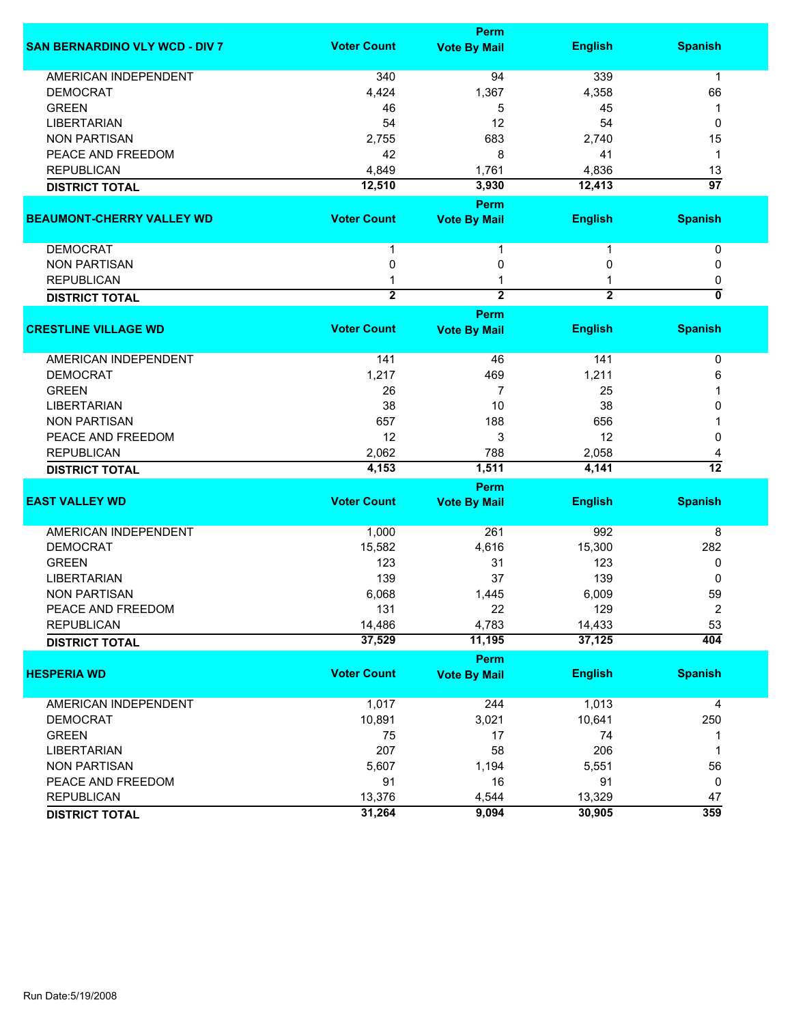|                                       |                    | Perm                |                |                           |
|---------------------------------------|--------------------|---------------------|----------------|---------------------------|
| <b>SAN BERNARDINO VLY WCD - DIV 7</b> | <b>Voter Count</b> | <b>Vote By Mail</b> | <b>English</b> | <b>Spanish</b>            |
| <b>AMERICAN INDEPENDENT</b>           | 340                | 94                  | 339            | $\mathbf 1$               |
| <b>DEMOCRAT</b>                       | 4,424              | 1,367               | 4,358          | 66                        |
| <b>GREEN</b>                          | 46                 | 5                   | 45             | 1                         |
| <b>LIBERTARIAN</b>                    | 54                 | 12                  | 54             | 0                         |
| <b>NON PARTISAN</b>                   | 2,755              | 683                 | 2,740          | 15                        |
| PEACE AND FREEDOM                     | 42                 | 8                   | 41             | 1                         |
| <b>REPUBLICAN</b>                     | 4,849              | 1,761               | 4,836          | 13                        |
| <b>DISTRICT TOTAL</b>                 | 12,510             | 3,930               | 12,413         | 97                        |
|                                       |                    | Perm                |                |                           |
| <b>BEAUMONT-CHERRY VALLEY WD</b>      | <b>Voter Count</b> | <b>Vote By Mail</b> | <b>English</b> | <b>Spanish</b>            |
| <b>DEMOCRAT</b>                       | 1                  | 1                   | 1              | 0                         |
| <b>NON PARTISAN</b>                   | 0                  | 0                   | 0              | 0                         |
| <b>REPUBLICAN</b>                     |                    |                     |                | 0                         |
| <b>DISTRICT TOTAL</b>                 | $\overline{2}$     | $\overline{2}$      | $\overline{2}$ | $\overline{\mathfrak{o}}$ |
|                                       |                    | Perm                |                |                           |
| <b>CRESTLINE VILLAGE WD</b>           | <b>Voter Count</b> | <b>Vote By Mail</b> | <b>English</b> | <b>Spanish</b>            |
| AMERICAN INDEPENDENT                  | 141                | 46                  | 141            | 0                         |
| <b>DEMOCRAT</b>                       | 1,217              | 469                 | 1,211          | 6                         |
| <b>GREEN</b>                          | 26                 | 7                   | 25             |                           |
| <b>LIBERTARIAN</b>                    | 38                 | 10                  | 38             | 0                         |
| <b>NON PARTISAN</b>                   | 657                | 188                 | 656            |                           |
| PEACE AND FREEDOM                     | 12                 | 3                   | 12             | 0                         |
| <b>REPUBLICAN</b>                     | 2,062              | 788                 | 2,058          | 4                         |
|                                       | 4,153              | 1,511               | 4,141          | $\overline{12}$           |
| <b>DISTRICT TOTAL</b>                 |                    | Perm                |                |                           |
| <b>EAST VALLEY WD</b>                 | <b>Voter Count</b> | <b>Vote By Mail</b> | <b>English</b> | <b>Spanish</b>            |
| <b>AMERICAN INDEPENDENT</b>           | 1,000              | 261                 | 992            | 8                         |
| <b>DEMOCRAT</b>                       | 15,582             | 4,616               | 15,300         | 282                       |
| <b>GREEN</b>                          | 123                | 31                  | 123            | 0                         |
| <b>LIBERTARIAN</b>                    | 139                | 37                  | 139            | 0                         |
| <b>NON PARTISAN</b>                   | 6,068              | 1,445               | 6,009          | 59                        |
| PEACE AND FREEDOM                     | 131                | 22                  | 129            | 2                         |
| <b>REPUBLICAN</b>                     | 14,486             | 4,783               | 14,433         | 53                        |
| <b>DISTRICT TOTAL</b>                 | 37,529             | 11,195              | 37,125         | 404                       |
|                                       |                    | <b>Perm</b>         |                |                           |
| <b>HESPERIA WD</b>                    | <b>Voter Count</b> | <b>Vote By Mail</b> | <b>English</b> | <b>Spanish</b>            |
| AMERICAN INDEPENDENT                  | 1,017              | 244                 | 1,013          | 4                         |
| <b>DEMOCRAT</b>                       | 10,891             | 3,021               | 10,641         | 250                       |
| <b>GREEN</b>                          | 75                 | 17                  | 74             | 1                         |
| <b>LIBERTARIAN</b>                    | 207                | 58                  | 206            | 1                         |
| <b>NON PARTISAN</b>                   | 5,607              | 1,194               | 5,551          | 56                        |
| PEACE AND FREEDOM                     | 91                 | 16                  | 91             | 0                         |
| <b>REPUBLICAN</b>                     | 13,376             | 4,544               | 13,329         | 47                        |
| <b>DISTRICT TOTAL</b>                 | 31,264             | 9,094               | 30,905         | 359                       |
|                                       |                    |                     |                |                           |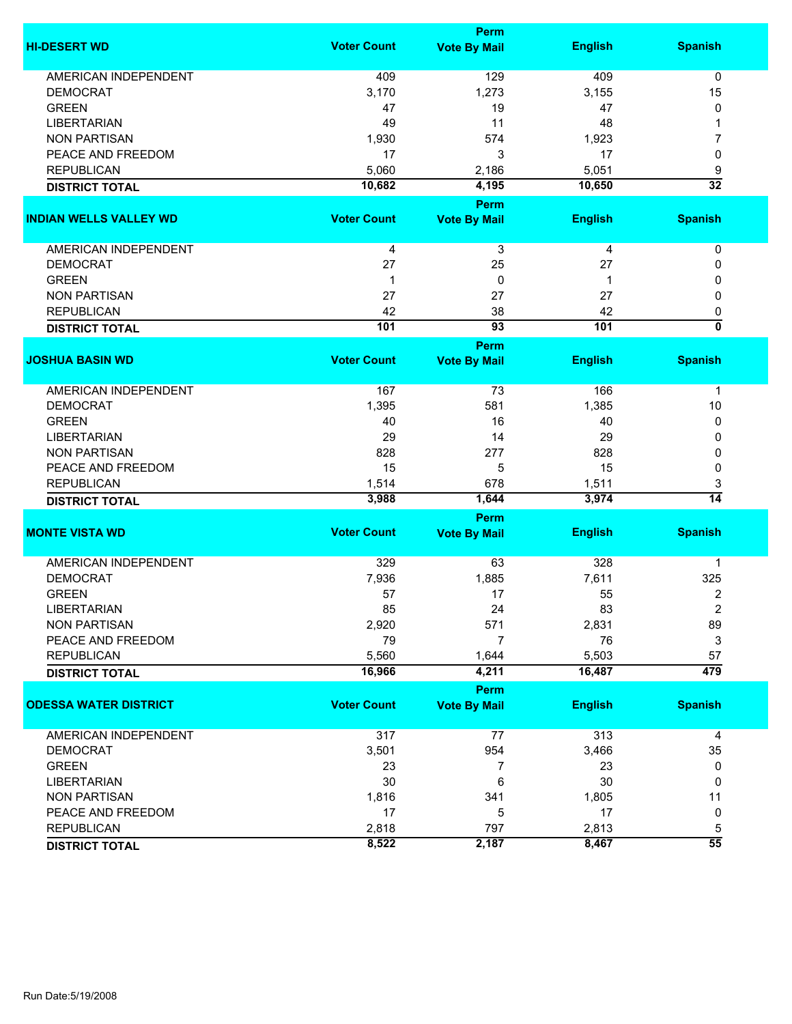|                               |                    | Perm                |                |                           |
|-------------------------------|--------------------|---------------------|----------------|---------------------------|
| <b>HI-DESERT WD</b>           | <b>Voter Count</b> | <b>Vote By Mail</b> | <b>English</b> | <b>Spanish</b>            |
| <b>AMERICAN INDEPENDENT</b>   | 409                | 129                 | 409            | 0                         |
| <b>DEMOCRAT</b>               | 3,170              | 1,273               | 3,155          | 15                        |
| <b>GREEN</b>                  | 47                 | 19                  | 47             | 0                         |
| <b>LIBERTARIAN</b>            | 49                 | 11                  | 48             | 1                         |
| <b>NON PARTISAN</b>           | 1,930              | 574                 | 1,923          | 7                         |
| PEACE AND FREEDOM             | 17                 | 3                   |                |                           |
|                               |                    |                     | 17             | 0                         |
| <b>REPUBLICAN</b>             | 5,060              | 2,186               | 5,051          | 9                         |
| <b>DISTRICT TOTAL</b>         | 10,682             | 4,195               | 10,650         | $\overline{32}$           |
|                               |                    | Perm                |                |                           |
| <b>INDIAN WELLS VALLEY WD</b> | <b>Voter Count</b> | <b>Vote By Mail</b> | <b>English</b> | <b>Spanish</b>            |
| AMERICAN INDEPENDENT          | 4                  | 3                   | 4              | 0                         |
| <b>DEMOCRAT</b>               | 27                 | 25                  | 27             | 0                         |
| <b>GREEN</b>                  | $\mathbf 1$        | $\mathbf 0$         | 1              | 0                         |
| <b>NON PARTISAN</b>           | 27                 | 27                  | 27             | 0                         |
| <b>REPUBLICAN</b>             | 42                 | 38                  | 42             | 0                         |
|                               | 101                | $\overline{93}$     | 101            | $\overline{\mathfrak{o}}$ |
| <b>DISTRICT TOTAL</b>         |                    |                     |                |                           |
|                               | <b>Voter Count</b> | Perm                |                |                           |
| <b>JOSHUA BASIN WD</b>        |                    | <b>Vote By Mail</b> | <b>English</b> | <b>Spanish</b>            |
| AMERICAN INDEPENDENT          | 167                | 73                  | 166            | 1                         |
| <b>DEMOCRAT</b>               | 1,395              | 581                 | 1,385          | 10                        |
| <b>GREEN</b>                  | 40                 | 16                  | 40             | 0                         |
| <b>LIBERTARIAN</b>            | 29                 | 14                  | 29             | 0                         |
| <b>NON PARTISAN</b>           | 828                | 277                 | 828            | 0                         |
| PEACE AND FREEDOM             | 15                 | 5                   | 15             | 0                         |
| <b>REPUBLICAN</b>             | 1,514              | 678                 | 1,511          | 3                         |
| <b>DISTRICT TOTAL</b>         | 3,988              | 1,644               | 3,974          | $\overline{14}$           |
|                               |                    | Perm                |                |                           |
| <b>MONTE VISTA WD</b>         | <b>Voter Count</b> | <b>Vote By Mail</b> | <b>English</b> | <b>Spanish</b>            |
|                               |                    |                     |                |                           |
| <b>AMERICAN INDEPENDENT</b>   | 329                | 63                  | 328            | 1                         |
| <b>DEMOCRAT</b>               | 7,936              | 1,885               | 7,611          | 325                       |
| <b>GREEN</b>                  | 57                 | 17                  | 55             | $\overline{2}$            |
| LIBERTARIAN                   | 85                 | 24                  | 83             | 2                         |
| <b>NON PARTISAN</b>           | 2,920              | 571                 | 2,831          | 89                        |
| PEACE AND FREEDOM             | 79                 | $\overline{7}$      | 76             | 3                         |
| <b>REPUBLICAN</b>             | 5,560              | 1,644               | 5,503          | 57                        |
| <b>DISTRICT TOTAL</b>         | 16,966             | 4,211               | 16,487         | 479                       |
|                               |                    | Perm                |                |                           |
| <b>ODESSA WATER DISTRICT</b>  | <b>Voter Count</b> | <b>Vote By Mail</b> | <b>English</b> | <b>Spanish</b>            |
|                               |                    |                     |                |                           |
| AMERICAN INDEPENDENT          | 317                | 77                  | 313            | 4                         |
| <b>DEMOCRAT</b>               | 3,501              | 954                 | 3,466          | 35                        |
| <b>GREEN</b>                  | 23                 | 7                   | 23             | 0                         |
| <b>LIBERTARIAN</b>            | 30                 | 6                   | 30             | 0                         |
| <b>NON PARTISAN</b>           | 1,816              | 341                 | 1,805          | 11                        |
| PEACE AND FREEDOM             | 17                 | 5                   | 17             | 0                         |
| <b>REPUBLICAN</b>             | 2,818              | 797                 | 2,813          | 5                         |
| <b>DISTRICT TOTAL</b>         | 8,522              | 2,187               | 8,467          | $\overline{55}$           |
|                               |                    |                     |                |                           |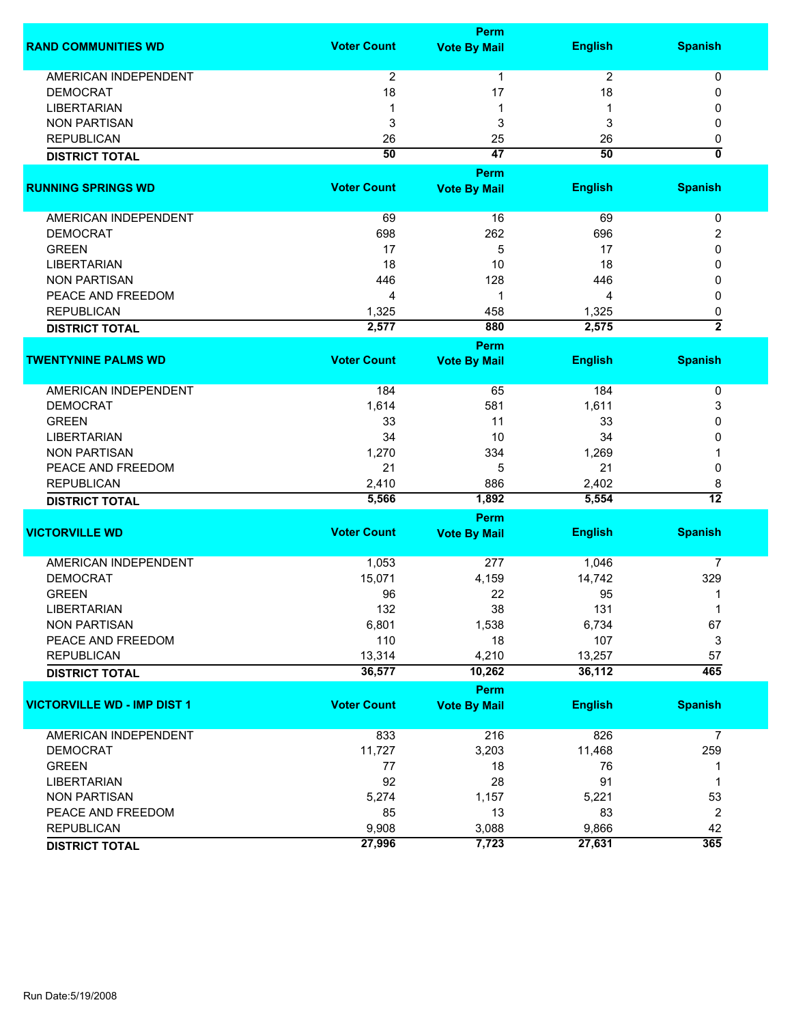|                                    |                    | <b>Perm</b>         |                |                              |
|------------------------------------|--------------------|---------------------|----------------|------------------------------|
| <b>RAND COMMUNITIES WD</b>         | <b>Voter Count</b> | <b>Vote By Mail</b> | <b>English</b> | <b>Spanish</b>               |
| <b>AMERICAN INDEPENDENT</b>        | $\overline{2}$     | $\mathbf{1}$        | 2              | 0                            |
| <b>DEMOCRAT</b>                    | 18                 | 17                  | 18             | 0                            |
| <b>LIBERTARIAN</b>                 | -1                 | 1                   |                | 0                            |
| <b>NON PARTISAN</b>                | 3                  | 3                   | 3              | 0                            |
|                                    |                    |                     |                |                              |
| <b>REPUBLICAN</b>                  | 26                 | 25                  | 26             | 0<br>$\overline{\mathbf{0}}$ |
| <b>DISTRICT TOTAL</b>              | 50                 | $\overline{47}$     | 50             |                              |
|                                    |                    | <b>Perm</b>         |                |                              |
| <b>RUNNING SPRINGS WD</b>          | <b>Voter Count</b> | <b>Vote By Mail</b> | <b>English</b> | <b>Spanish</b>               |
| AMERICAN INDEPENDENT               | 69                 | 16                  | 69             | 0                            |
| <b>DEMOCRAT</b>                    | 698                | 262                 | 696            | 2                            |
| <b>GREEN</b>                       | 17                 | 5                   | 17             | 0                            |
| <b>LIBERTARIAN</b>                 | 18                 | 10                  | 18             | 0                            |
| <b>NON PARTISAN</b>                | 446                | 128                 | 446            | 0                            |
| PEACE AND FREEDOM                  | 4                  | 1                   | 4              | 0                            |
| <b>REPUBLICAN</b>                  | 1,325              | 458                 | 1,325          | 0                            |
|                                    | 2,577              | 880                 | 2,575          | $\overline{2}$               |
| <b>DISTRICT TOTAL</b>              |                    |                     |                |                              |
|                                    |                    | Perm                |                |                              |
| <b>TWENTYNINE PALMS WD</b>         | <b>Voter Count</b> | <b>Vote By Mail</b> | <b>English</b> | <b>Spanish</b>               |
| AMERICAN INDEPENDENT               | 184                | 65                  | 184            | 0                            |
| <b>DEMOCRAT</b>                    | 1,614              | 581                 | 1,611          | 3                            |
| <b>GREEN</b>                       | 33                 | 11                  | 33             | 0                            |
| <b>LIBERTARIAN</b>                 | 34                 | 10                  | 34             | 0                            |
| <b>NON PARTISAN</b>                | 1,270              | 334                 | 1,269          |                              |
| PEACE AND FREEDOM                  | 21                 | 5                   | 21             | 0                            |
| <b>REPUBLICAN</b>                  | 2,410              | 886                 | 2,402          | 8                            |
|                                    | 5,566              | 1,892               | 5,554          | $\overline{12}$              |
| <b>DISTRICT TOTAL</b>              |                    |                     |                |                              |
|                                    |                    | Perm                |                |                              |
| <b>VICTORVILLE WD</b>              | <b>Voter Count</b> | <b>Vote By Mail</b> | <b>English</b> | <b>Spanish</b>               |
| <b>AMERICAN INDEPENDENT</b>        | 1,053              | 277                 | 1,046          | 7                            |
| <b>DEMOCRAT</b>                    | 15,071             | 4,159               | 14,742         | 329                          |
| <b>GREEN</b>                       | 96                 | 22                  | 95             | 1                            |
| LIBERTARIAN                        | 132                | 38                  | 131            | 1                            |
| <b>NON PARTISAN</b>                | 6,801              | 1,538               | 6,734          | 67                           |
| PEACE AND FREEDOM                  | 110                | 18                  | 107            | 3                            |
| <b>REPUBLICAN</b>                  | 13,314             | 4,210               | 13,257         | 57                           |
| <b>DISTRICT TOTAL</b>              | 36,577             | 10,262              | 36,112         | 465                          |
|                                    |                    | <b>Perm</b>         |                |                              |
| <b>VICTORVILLE WD - IMP DIST 1</b> | <b>Voter Count</b> | <b>Vote By Mail</b> | <b>English</b> | <b>Spanish</b>               |
|                                    |                    |                     |                |                              |
| <b>AMERICAN INDEPENDENT</b>        | 833                | 216                 | 826            | $\overline{7}$               |
| <b>DEMOCRAT</b>                    | 11,727             | 3,203               | 11,468         | 259                          |
| <b>GREEN</b>                       | 77                 | 18                  | 76             | 1                            |
| <b>LIBERTARIAN</b>                 | 92                 | 28                  | 91             | 1                            |
| <b>NON PARTISAN</b>                | 5,274              | 1,157               | 5,221          | 53                           |
| PEACE AND FREEDOM                  | 85                 | 13                  | 83             | $\overline{2}$               |
| <b>REPUBLICAN</b>                  | 9,908              | 3,088               | 9,866          | 42                           |
| <b>DISTRICT TOTAL</b>              | 27,996             | 7,723               | 27,631         | 365                          |
|                                    |                    |                     |                |                              |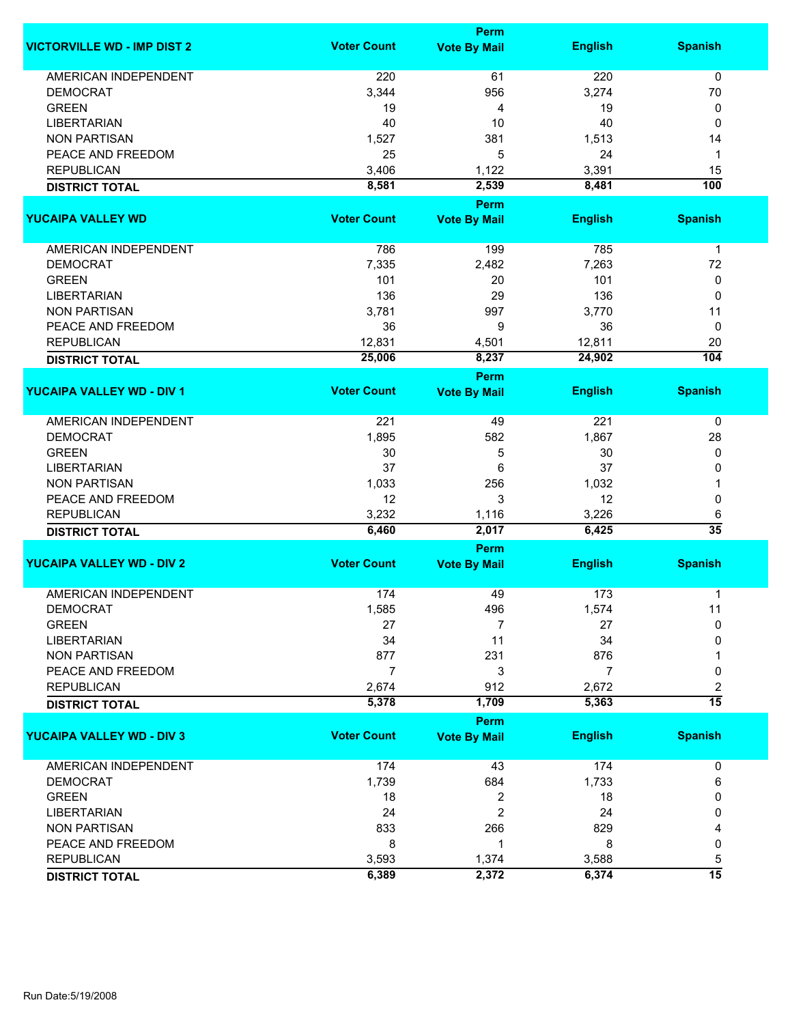|                                    | Perm               |                             |                |                      |  |
|------------------------------------|--------------------|-----------------------------|----------------|----------------------|--|
| <b>VICTORVILLE WD - IMP DIST 2</b> | <b>Voter Count</b> | <b>Vote By Mail</b>         | <b>English</b> | <b>Spanish</b>       |  |
| <b>AMERICAN INDEPENDENT</b>        | 220                | 61                          | 220            | $\mathbf 0$          |  |
| <b>DEMOCRAT</b>                    | 3,344              | 956                         | 3,274          | 70                   |  |
| <b>GREEN</b>                       | 19                 | 4                           | 19             | 0                    |  |
| <b>LIBERTARIAN</b>                 | 40                 | 10                          | 40             | 0                    |  |
| <b>NON PARTISAN</b>                | 1,527              | 381                         | 1,513          | 14                   |  |
| PEACE AND FREEDOM                  | 25                 | 5                           | 24             | 1                    |  |
|                                    |                    |                             |                |                      |  |
| <b>REPUBLICAN</b>                  | 3,406              | 1,122                       | 3,391          | 15                   |  |
| <b>DISTRICT TOTAL</b>              | 8,581              | 2,539                       | 8,481          | $\overline{100}$     |  |
| <b>YUCAIPA VALLEY WD</b>           | <b>Voter Count</b> | Perm                        | <b>English</b> | <b>Spanish</b>       |  |
|                                    |                    | <b>Vote By Mail</b>         |                |                      |  |
| AMERICAN INDEPENDENT               | 786                | 199                         | 785            | $\mathbf{1}$         |  |
| <b>DEMOCRAT</b>                    | 7,335              | 2,482                       | 7,263          | 72                   |  |
| <b>GREEN</b>                       | 101                | 20                          | 101            | 0                    |  |
| <b>LIBERTARIAN</b>                 | 136                | 29                          | 136            | $\mathbf 0$          |  |
| <b>NON PARTISAN</b>                | 3,781              | 997                         | 3,770          | 11                   |  |
| PEACE AND FREEDOM                  | 36                 | 9                           | 36             | 0                    |  |
| <b>REPUBLICAN</b>                  | 12,831             |                             | 12,811         | 20                   |  |
|                                    |                    | 4,501                       |                |                      |  |
| <b>DISTRICT TOTAL</b>              | 25,006             | 8,237                       | 24,902         | 104                  |  |
| <b>YUCAIPA VALLEY WD - DIV 1</b>   | <b>Voter Count</b> | Perm<br><b>Vote By Mail</b> | <b>English</b> | <b>Spanish</b>       |  |
|                                    |                    |                             |                |                      |  |
| <b>AMERICAN INDEPENDENT</b>        | 221                | 49                          | 221            | 0                    |  |
| <b>DEMOCRAT</b>                    | 1,895              | 582                         | 1,867          | 28                   |  |
| <b>GREEN</b>                       | 30                 | 5                           | 30             | 0                    |  |
| <b>LIBERTARIAN</b>                 | 37                 | 6                           | 37             | 0                    |  |
| <b>NON PARTISAN</b>                | 1,033              | 256                         | 1,032          |                      |  |
| PEACE AND FREEDOM                  | 12                 | 3                           | 12             | 0                    |  |
| <b>REPUBLICAN</b>                  |                    |                             | 3,226          |                      |  |
|                                    | 3,232<br>6,460     | 1,116<br>2,017              | 6,425          | 6<br>$\overline{35}$ |  |
| <b>DISTRICT TOTAL</b>              |                    | Perm                        |                |                      |  |
| <b>YUCAIPA VALLEY WD - DIV 2</b>   | <b>Voter Count</b> | <b>Vote By Mail</b>         | <b>English</b> | <b>Spanish</b>       |  |
|                                    |                    |                             |                |                      |  |
| <b>AMERICAN INDEPENDENT</b>        | 174                | 49                          | 173            | 1                    |  |
| <b>DEMOCRAT</b>                    | 1,585              | 496                         | 1,574          | 11                   |  |
| <b>GREEN</b>                       | 27                 | 7                           | 27             | 0                    |  |
| <b>LIBERTARIAN</b>                 | 34                 | 11                          | 34             | 0                    |  |
| <b>NON PARTISAN</b>                | 877                | 231                         | 876            |                      |  |
| PEACE AND FREEDOM                  | 7                  | 3                           | 7              | 0                    |  |
| <b>REPUBLICAN</b>                  | 2,674              | 912                         | 2,672          | 2                    |  |
| <b>DISTRICT TOTAL</b>              | 5,378              | 1,709                       | 5,363          | $\overline{15}$      |  |
|                                    |                    | Perm                        |                |                      |  |
| <b>YUCAIPA VALLEY WD - DIV 3</b>   | <b>Voter Count</b> | <b>Vote By Mail</b>         | <b>English</b> | <b>Spanish</b>       |  |
| AMERICAN INDEPENDENT               | 174                | 43                          | 174            | 0                    |  |
| <b>DEMOCRAT</b>                    | 1,739              | 684                         | 1,733          | 6                    |  |
| <b>GREEN</b>                       | 18                 | 2                           | 18             | 0                    |  |
| <b>LIBERTARIAN</b>                 | 24                 | 2                           | 24             | 0                    |  |
| <b>NON PARTISAN</b>                | 833                | 266                         | 829            | 4                    |  |
| PEACE AND FREEDOM                  | 8                  | 1                           | 8              | 0                    |  |
|                                    |                    |                             |                |                      |  |
| <b>REPUBLICAN</b>                  | 3,593              | 1,374                       | 3,588          | 5<br>$\overline{15}$ |  |
| <b>DISTRICT TOTAL</b>              | 6,389              | 2,372                       | 6,374          |                      |  |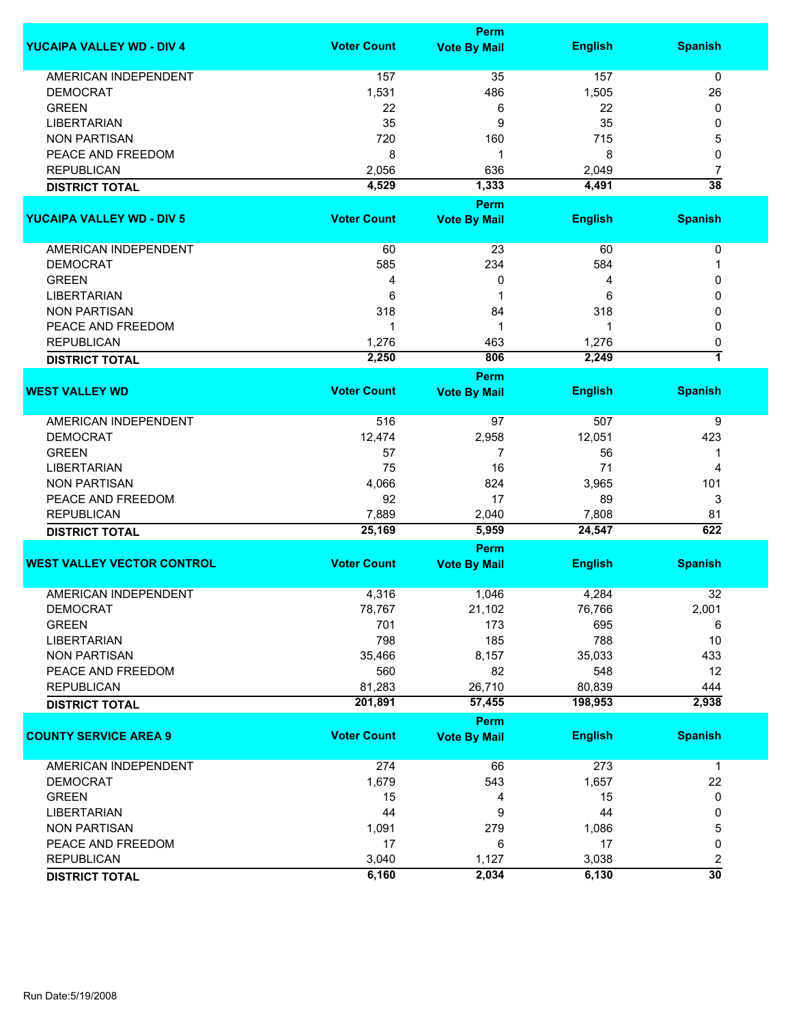|                                   | Perm               |                                    |                |                         |  |
|-----------------------------------|--------------------|------------------------------------|----------------|-------------------------|--|
| <b>YUCAIPA VALLEY WD - DIV 4</b>  | <b>Voter Count</b> | <b>Vote By Mail</b>                | <b>English</b> | <b>Spanish</b>          |  |
| AMERICAN INDEPENDENT              | 157                | 35                                 | 157            | 0                       |  |
| <b>DEMOCRAT</b>                   | 1,531              | 486                                | 1,505          | 26                      |  |
| <b>GREEN</b>                      | 22                 | 6                                  | 22             | 0                       |  |
| <b>LIBERTARIAN</b>                | 35                 | 9                                  | 35             | 0                       |  |
| <b>NON PARTISAN</b>               | 720                | 160                                | 715            | 5                       |  |
| PEACE AND FREEDOM                 | 8                  | 1                                  | 8              | 0                       |  |
| <b>REPUBLICAN</b>                 | 2,056              | 636                                | 2,049          | 7                       |  |
|                                   | 4,529              | 1,333                              | 4,491          | $\overline{38}$         |  |
| <b>DISTRICT TOTAL</b>             |                    |                                    |                |                         |  |
|                                   |                    | Perm                               |                |                         |  |
| <b>YUCAIPA VALLEY WD - DIV 5</b>  | <b>Voter Count</b> | <b>Vote By Mail</b>                | <b>English</b> | <b>Spanish</b>          |  |
| AMERICAN INDEPENDENT              | 60                 | 23                                 | 60             | 0                       |  |
| <b>DEMOCRAT</b>                   | 585                | 234                                | 584            | 1                       |  |
| <b>GREEN</b>                      | 4                  | 0                                  | 4              | 0                       |  |
| <b>LIBERTARIAN</b>                | 6                  | 1                                  | 6              | 0                       |  |
| <b>NON PARTISAN</b>               | 318                | 84                                 | 318            | 0                       |  |
| PEACE AND FREEDOM                 | 1                  | 1                                  | 1              | 0                       |  |
| <b>REPUBLICAN</b>                 | 1,276              | 463                                | 1,276          | 0                       |  |
| <b>DISTRICT TOTAL</b>             | 2,250              | 806                                | 2,249          | 7                       |  |
|                                   |                    | Perm                               |                |                         |  |
| <b>WEST VALLEY WD</b>             | <b>Voter Count</b> | <b>Vote By Mail</b>                | <b>English</b> | <b>Spanish</b>          |  |
| <b>AMERICAN INDEPENDENT</b>       | 516                | 97                                 | 507            | 9                       |  |
| <b>DEMOCRAT</b>                   | 12,474             | 2,958                              | 12,051         | 423                     |  |
| <b>GREEN</b>                      | 57                 | 7                                  | 56             | 1                       |  |
| <b>LIBERTARIAN</b>                | 75                 | 16                                 | 71             | 4                       |  |
| <b>NON PARTISAN</b>               | 4,066              | 824                                | 3,965          | 101                     |  |
| PEACE AND FREEDOM                 | 92                 | 17                                 | 89             | 3                       |  |
| <b>REPUBLICAN</b>                 | 7,889              | 2,040                              | 7,808          | 81                      |  |
| <b>DISTRICT TOTAL</b>             | 25,169             | 5,959                              | 24,547         | 622                     |  |
|                                   |                    | Perm                               |                |                         |  |
| <b>WEST VALLEY VECTOR CONTROL</b> | <b>Voter Count</b> | <b>Vote By Mail</b>                | <b>English</b> | <b>Spanish</b>          |  |
| <b>AMERICAN INDEPENDENT</b>       | 4,316              | 1,046                              | 4,284          | 32                      |  |
| <b>DEMOCRAT</b>                   | 78,767             | 21,102                             | 76,766         | 2,001                   |  |
| <b>GREEN</b>                      | 701                | 173                                | 695            | 6                       |  |
| <b>LIBERTARIAN</b>                | 798                | 185                                | 788            | 10                      |  |
| <b>NON PARTISAN</b>               | 35,466             | 8,157                              | 35,033         | 433                     |  |
| PEACE AND FREEDOM                 |                    | 82                                 | 548            | 12                      |  |
|                                   | 560                |                                    |                |                         |  |
| <b>REPUBLICAN</b>                 | 81,283             | 26,710                             | 80,839         | 444                     |  |
| <b>DISTRICT TOTAL</b>             | 201,891            | 57,455                             | 198,953        | 2,938                   |  |
| <b>COUNTY SERVICE AREA 9</b>      | <b>Voter Count</b> | <b>Perm</b><br><b>Vote By Mail</b> | <b>English</b> | <b>Spanish</b>          |  |
| <b>AMERICAN INDEPENDENT</b>       | 274                | 66                                 | 273            | $\mathbf 1$             |  |
| <b>DEMOCRAT</b>                   | 1,679              | 543                                | 1,657          | 22                      |  |
| <b>GREEN</b>                      | 15                 | 4                                  | 15             | 0                       |  |
| <b>LIBERTARIAN</b>                | 44                 | 9                                  | 44             | 0                       |  |
| <b>NON PARTISAN</b>               | 1,091              | 279                                | 1,086          | 5                       |  |
| PEACE AND FREEDOM                 | 17                 | 6                                  | 17             | 0                       |  |
| <b>REPUBLICAN</b>                 | 3,040              | 1,127                              | 3,038          | $\overline{\mathbf{c}}$ |  |
| <b>DISTRICT TOTAL</b>             | 6,160              | 2,034                              | 6,130          | $\overline{30}$         |  |
|                                   |                    |                                    |                |                         |  |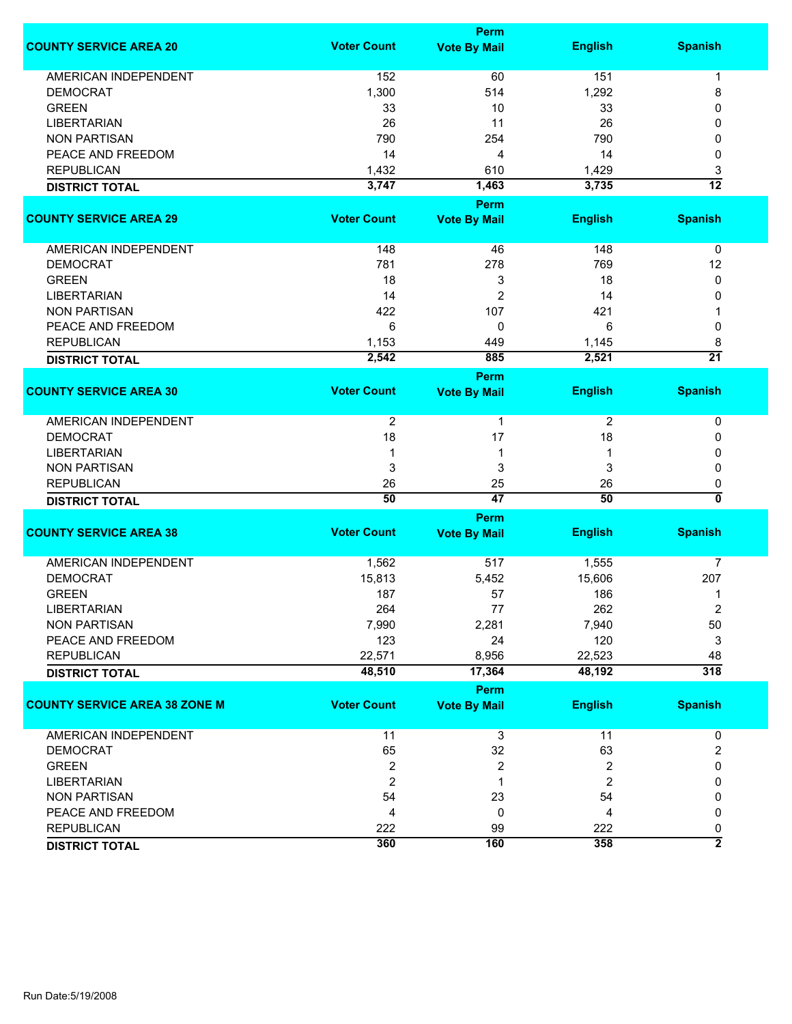|                                      |                    | <b>Perm</b>         |                |                      |
|--------------------------------------|--------------------|---------------------|----------------|----------------------|
| <b>COUNTY SERVICE AREA 20</b>        | <b>Voter Count</b> | <b>Vote By Mail</b> | <b>English</b> | <b>Spanish</b>       |
| <b>AMERICAN INDEPENDENT</b>          | 152                | 60                  | 151            | 1                    |
| <b>DEMOCRAT</b>                      | 1,300              | 514                 | 1,292          | 8                    |
| <b>GREEN</b>                         | 33                 | 10                  | 33             | 0                    |
| <b>LIBERTARIAN</b>                   | 26                 | 11                  | 26             | 0                    |
| <b>NON PARTISAN</b>                  | 790                | 254                 | 790            | 0                    |
| PEACE AND FREEDOM                    | 14                 | 4                   | 14             | 0                    |
| <b>REPUBLICAN</b>                    | 1,432              |                     | 1,429          |                      |
|                                      |                    | 610                 |                | 3<br>$\overline{12}$ |
| <b>DISTRICT TOTAL</b>                | 3,747              | 1,463               | 3,735          |                      |
|                                      |                    | <b>Perm</b>         |                |                      |
| <b>COUNTY SERVICE AREA 29</b>        | <b>Voter Count</b> | <b>Vote By Mail</b> | <b>English</b> | <b>Spanish</b>       |
| AMERICAN INDEPENDENT                 | 148                | 46                  | 148            | 0                    |
| <b>DEMOCRAT</b>                      | 781                | 278                 | 769            | 12                   |
| <b>GREEN</b>                         | 18                 | 3                   | 18             | $\mathbf 0$          |
| <b>LIBERTARIAN</b>                   | 14                 | $\overline{2}$      | 14             | 0                    |
| <b>NON PARTISAN</b>                  | 422                | 107                 | 421            |                      |
| PEACE AND FREEDOM                    | 6                  | 0                   | 6              | 0                    |
| <b>REPUBLICAN</b>                    | 1,153              | 449                 | 1,145          | 8                    |
|                                      | 2,542              | 885                 | 2,521          | $\overline{21}$      |
| <b>DISTRICT TOTAL</b>                |                    |                     |                |                      |
|                                      |                    | <b>Perm</b>         |                |                      |
| <b>COUNTY SERVICE AREA 30</b>        | <b>Voter Count</b> | <b>Vote By Mail</b> | <b>English</b> | <b>Spanish</b>       |
| <b>AMERICAN INDEPENDENT</b>          | 2                  | 1                   | $\overline{2}$ | 0                    |
| <b>DEMOCRAT</b>                      | 18                 | 17                  | 18             | 0                    |
| <b>LIBERTARIAN</b>                   | 1                  | 1                   | 1              | 0                    |
| <b>NON PARTISAN</b>                  | 3                  | 3                   | 3              | 0                    |
| <b>REPUBLICAN</b>                    | 26                 | 25                  | 26             | 0                    |
| <b>DISTRICT TOTAL</b>                | 50                 | $\overline{47}$     | 50             | 0                    |
|                                      |                    | <b>Perm</b>         |                |                      |
| <b>COUNTY SERVICE AREA 38</b>        | <b>Voter Count</b> | <b>Vote By Mail</b> | <b>English</b> | <b>Spanish</b>       |
|                                      |                    |                     |                |                      |
| <b>AMERICAN INDEPENDENT</b>          | 1,562              | 517                 | 1,555          | 7                    |
| <b>DEMOCRAT</b>                      | 15,813             | 5,452               | 15,606         | 207                  |
| <b>GREEN</b>                         | 187                | 57                  | 186            | 1                    |
| LIBERTARIAN                          | 264                | 77                  | 262            | 2                    |
| <b>NON PARTISAN</b>                  | 7,990              | 2,281               | 7,940          | 50                   |
| PEACE AND FREEDOM                    | 123                | 24                  | 120            | 3                    |
| <b>REPUBLICAN</b>                    | 22,571             | 8,956               | 22,523         | 48                   |
| <b>DISTRICT TOTAL</b>                | 48,510             | 17,364              | 48,192         | $\overline{318}$     |
|                                      |                    |                     |                |                      |
|                                      |                    | Perm                |                |                      |
| <b>COUNTY SERVICE AREA 38 ZONE M</b> | <b>Voter Count</b> | <b>Vote By Mail</b> | <b>English</b> | <b>Spanish</b>       |
| <b>AMERICAN INDEPENDENT</b>          | 11                 | 3                   | 11             | 0                    |
| <b>DEMOCRAT</b>                      | 65                 | 32                  | 63             | 2                    |
| <b>GREEN</b>                         | $\overline{c}$     | 2                   | 2              | 0                    |
| <b>LIBERTARIAN</b>                   | $\overline{2}$     | 1                   | $\overline{2}$ | 0                    |
| <b>NON PARTISAN</b>                  | 54                 | 23                  | 54             | 0                    |
| PEACE AND FREEDOM                    | 4                  | 0                   | 4              | 0                    |
| <b>REPUBLICAN</b>                    | 222                | 99                  | 222            | 0                    |
| <b>DISTRICT TOTAL</b>                | 360                | 160                 | 358            | $\overline{2}$       |
|                                      |                    |                     |                |                      |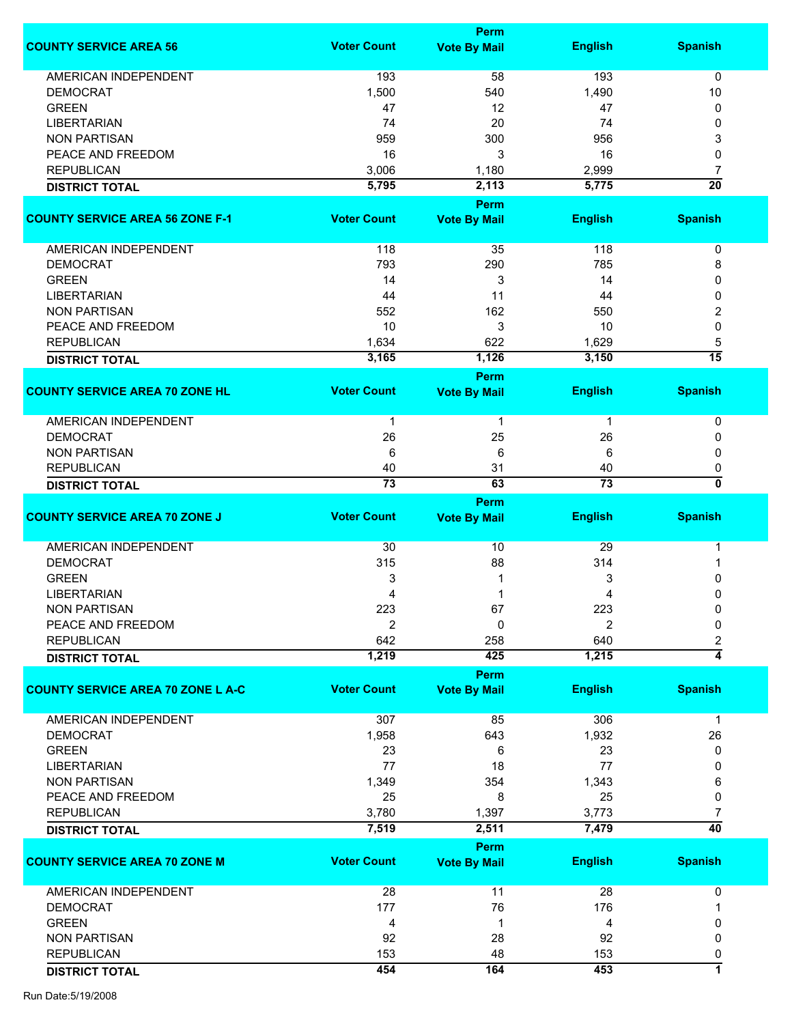|                                          |                       | Perm                        |                       |                      |
|------------------------------------------|-----------------------|-----------------------------|-----------------------|----------------------|
| <b>COUNTY SERVICE AREA 56</b>            | <b>Voter Count</b>    | <b>Vote By Mail</b>         | <b>English</b>        | <b>Spanish</b>       |
| <b>AMERICAN INDEPENDENT</b>              | 193                   | 58                          | 193                   | $\mathbf 0$          |
| <b>DEMOCRAT</b>                          | 1,500                 | 540                         | 1,490                 | 10                   |
| <b>GREEN</b>                             | 47                    | 12                          | 47                    | 0                    |
| <b>LIBERTARIAN</b>                       | 74                    | 20                          | 74                    | 0                    |
| <b>NON PARTISAN</b>                      | 959                   | 300                         | 956                   | 3                    |
| PEACE AND FREEDOM                        | 16                    | 3                           | 16                    | 0                    |
| <b>REPUBLICAN</b>                        |                       |                             |                       |                      |
|                                          | 3,006<br>5,795        | 1,180<br>2,113              | 2,999<br>5,775        | 7<br>$\overline{20}$ |
| <b>DISTRICT TOTAL</b>                    |                       |                             |                       |                      |
| <b>COUNTY SERVICE AREA 56 ZONE F-1</b>   | <b>Voter Count</b>    | Perm<br><b>Vote By Mail</b> | <b>English</b>        | <b>Spanish</b>       |
|                                          |                       |                             |                       |                      |
| <b>AMERICAN INDEPENDENT</b>              | 118                   | 35                          | 118                   | 0                    |
| <b>DEMOCRAT</b>                          | 793                   | 290                         | 785                   | 8                    |
| <b>GREEN</b>                             | 14                    | 3                           | 14                    | 0                    |
| <b>LIBERTARIAN</b>                       | 44                    | 11                          | 44                    | 0                    |
| <b>NON PARTISAN</b>                      | 552                   | 162                         | 550                   | 2                    |
| PEACE AND FREEDOM                        | 10                    | 3                           | 10                    | 0                    |
| <b>REPUBLICAN</b>                        | 1,634                 | 622                         | 1,629                 | 5                    |
| <b>DISTRICT TOTAL</b>                    | 3,165                 | 1,126                       | 3,150                 | $\overline{15}$      |
|                                          |                       | <b>Perm</b>                 |                       |                      |
| <b>COUNTY SERVICE AREA 70 ZONE HL</b>    | <b>Voter Count</b>    | <b>Vote By Mail</b>         | <b>English</b>        | <b>Spanish</b>       |
| <b>AMERICAN INDEPENDENT</b>              | $\mathbf{1}$          | $\mathbf{1}$                | $\mathbf{1}$          | 0                    |
| <b>DEMOCRAT</b>                          | 26                    | 25                          | 26                    | 0                    |
| <b>NON PARTISAN</b>                      | 6                     | 6                           | 6                     | 0                    |
|                                          |                       |                             |                       |                      |
| <b>REPUBLICAN</b>                        | 40<br>$\overline{73}$ | 31<br>63                    | 40<br>$\overline{73}$ | 0<br>0               |
| <b>DISTRICT TOTAL</b>                    |                       |                             |                       |                      |
| <b>COUNTY SERVICE AREA 70 ZONE J</b>     | <b>Voter Count</b>    | Perm                        | <b>English</b>        | <b>Spanish</b>       |
|                                          |                       | <b>Vote By Mail</b>         |                       |                      |
| <b>AMERICAN INDEPENDENT</b>              | 30                    | 10                          | 29                    | 1                    |
| <b>DEMOCRAT</b>                          | 315                   | 88                          | 314                   | 1                    |
| <b>GREEN</b>                             | 3                     |                             | 3                     | 0                    |
| <b>LIBERTARIAN</b>                       | 4                     | 1                           | 4                     | 0                    |
| <b>NON PARTISAN</b>                      | 223                   | 67                          | 223                   | 0                    |
| PEACE AND FREEDOM                        | $\overline{2}$        | 0                           | 2                     | 0                    |
| <b>REPUBLICAN</b>                        | 642                   | 258                         | 640                   | 2                    |
| <b>DISTRICT TOTAL</b>                    | 1,219                 | 425                         | 1,215                 | $\overline{4}$       |
|                                          |                       | <b>Perm</b>                 |                       |                      |
| <b>COUNTY SERVICE AREA 70 ZONE L A-C</b> | <b>Voter Count</b>    | <b>Vote By Mail</b>         | <b>English</b>        | <b>Spanish</b>       |
| <b>AMERICAN INDEPENDENT</b>              | 307                   | 85                          | 306                   | $\mathbf 1$          |
| <b>DEMOCRAT</b>                          | 1,958                 | 643                         | 1,932                 | 26                   |
| <b>GREEN</b>                             | 23                    | 6                           | 23                    | 0                    |
| <b>LIBERTARIAN</b>                       | 77                    | 18                          | 77                    | 0                    |
| <b>NON PARTISAN</b>                      | 1,349                 | 354                         | 1,343                 | 6                    |
|                                          |                       |                             |                       |                      |
| PEACE AND FREEDOM                        | 25                    | 8                           | 25                    | 0                    |
| <b>REPUBLICAN</b>                        | 3,780                 | 1,397                       | 3,773                 | 7                    |
| <b>DISTRICT TOTAL</b>                    | 7,519                 | 2,511                       | 7,479                 | $\overline{40}$      |
|                                          |                       | Perm                        |                       |                      |
| <b>COUNTY SERVICE AREA 70 ZONE M</b>     | <b>Voter Count</b>    | <b>Vote By Mail</b>         | <b>English</b>        | <b>Spanish</b>       |
| <b>AMERICAN INDEPENDENT</b>              | 28                    | 11                          | 28                    | 0                    |
| <b>DEMOCRAT</b>                          | 177                   | 76                          | 176                   |                      |
| <b>GREEN</b>                             | 4                     | 1                           | 4                     | 0                    |
| <b>NON PARTISAN</b>                      | 92                    | 28                          | 92                    | 0                    |
| <b>REPUBLICAN</b>                        | 153                   | 48                          | 153                   | 0                    |
| <b>DISTRICT TOTAL</b>                    | 454                   | 164                         | 453                   | 7                    |
|                                          |                       |                             |                       |                      |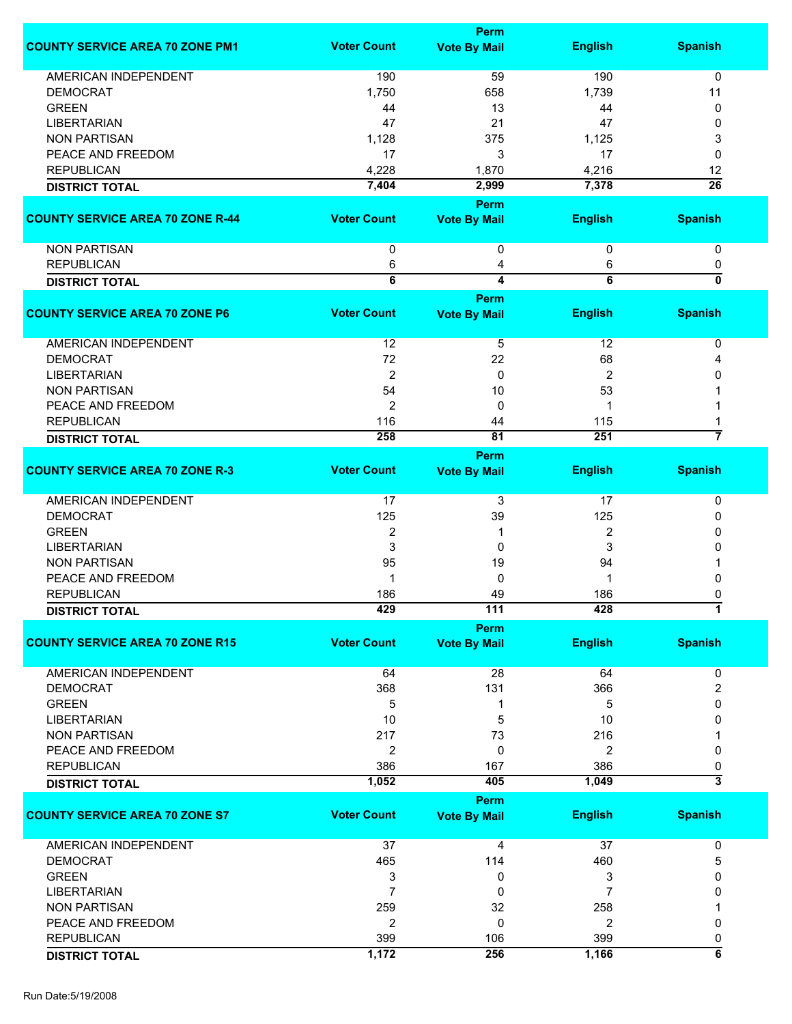|                                         |                    | <b>Perm</b>                        |                |                           |
|-----------------------------------------|--------------------|------------------------------------|----------------|---------------------------|
| <b>COUNTY SERVICE AREA 70 ZONE PM1</b>  | <b>Voter Count</b> | <b>Vote By Mail</b>                | <b>English</b> | <b>Spanish</b>            |
| AMERICAN INDEPENDENT                    | 190                | 59                                 | 190            | 0                         |
| <b>DEMOCRAT</b>                         | 1,750              | 658                                | 1,739          | 11                        |
| <b>GREEN</b>                            | 44                 | 13                                 | 44             | 0                         |
| <b>LIBERTARIAN</b>                      | 47                 | 21                                 | 47             | 0                         |
|                                         |                    |                                    |                |                           |
| <b>NON PARTISAN</b>                     | 1,128              | 375                                | 1,125          | 3                         |
| PEACE AND FREEDOM                       | 17                 | 3                                  | 17             | 0                         |
| <b>REPUBLICAN</b>                       | 4,228              | 1,870                              | 4,216          | 12                        |
| <b>DISTRICT TOTAL</b>                   | 7,404              | 2,999                              | 7,378          | $\overline{26}$           |
|                                         |                    | Perm                               |                |                           |
| <b>COUNTY SERVICE AREA 70 ZONE R-44</b> | <b>Voter Count</b> | <b>Vote By Mail</b>                | <b>English</b> | <b>Spanish</b>            |
| <b>NON PARTISAN</b>                     | 0                  | 0                                  | 0              | 0                         |
| <b>REPUBLICAN</b>                       | 6                  | 4                                  | 6              | 0                         |
| <b>DISTRICT TOTAL</b>                   | $\overline{6}$     | $\overline{\mathbf{4}}$            | $\overline{6}$ | $\overline{\mathfrak{o}}$ |
|                                         |                    | Perm                               |                |                           |
| <b>COUNTY SERVICE AREA 70 ZONE P6</b>   | <b>Voter Count</b> | <b>Vote By Mail</b>                | <b>English</b> | <b>Spanish</b>            |
| <b>AMERICAN INDEPENDENT</b>             | 12                 | 5                                  | 12             | 0                         |
| <b>DEMOCRAT</b>                         | 72                 | 22                                 | 68             | 4                         |
| <b>LIBERTARIAN</b>                      | $\boldsymbol{2}$   | 0                                  | 2              | 0                         |
| <b>NON PARTISAN</b>                     | 54                 | 10                                 | 53             |                           |
| PEACE AND FREEDOM                       | $\overline{2}$     | 0                                  | 1              |                           |
| <b>REPUBLICAN</b>                       | 116                | 44                                 | 115            |                           |
|                                         | 258                | 81                                 | 251            | 7                         |
| <b>DISTRICT TOTAL</b>                   |                    |                                    |                |                           |
| <b>COUNTY SERVICE AREA 70 ZONE R-3</b>  | <b>Voter Count</b> | <b>Perm</b><br><b>Vote By Mail</b> | <b>English</b> | <b>Spanish</b>            |
| <b>AMERICAN INDEPENDENT</b>             | 17                 | 3                                  | 17             | 0                         |
| <b>DEMOCRAT</b>                         | 125                | 39                                 | 125            | 0                         |
| <b>GREEN</b>                            | $\overline{2}$     | 1                                  | $\overline{2}$ | 0                         |
| <b>LIBERTARIAN</b>                      | 3                  | 0                                  | 3              | 0                         |
| <b>NON PARTISAN</b>                     | 95                 | 19                                 | 94             |                           |
| PEACE AND FREEDOM                       | -1                 | 0                                  |                | 0                         |
|                                         |                    |                                    |                |                           |
| <b>REPUBLICAN</b>                       | 186                | 49                                 | 186            | 0                         |
| <b>DISTRICT TOTAL</b>                   | 429                | 111                                | 428            |                           |
|                                         |                    | <b>Perm</b>                        |                |                           |
| <b>COUNTY SERVICE AREA 70 ZONE R15</b>  | <b>Voter Count</b> | <b>Vote By Mail</b>                | <b>English</b> | <b>Spanish</b>            |
| <b>AMERICAN INDEPENDENT</b>             | 64                 | 28                                 | 64             | 0                         |
| <b>DEMOCRAT</b>                         | 368                | 131                                | 366            | 2                         |
| <b>GREEN</b>                            | 5                  | 1                                  | 5              | 0                         |
| <b>LIBERTARIAN</b>                      | 10                 | 5                                  | 10             | 0                         |
| <b>NON PARTISAN</b>                     | 217                | 73                                 | 216            |                           |
| PEACE AND FREEDOM                       | $\overline{2}$     | 0                                  | 2              | 0                         |
| <b>REPUBLICAN</b>                       | 386                | 167                                | 386            | 0                         |
|                                         | 1,052              | 405                                | 1,049          | 3                         |
| <b>DISTRICT TOTAL</b>                   |                    |                                    |                |                           |
| <b>COUNTY SERVICE AREA 70 ZONE S7</b>   | <b>Voter Count</b> | <b>Perm</b><br><b>Vote By Mail</b> | <b>English</b> | <b>Spanish</b>            |
|                                         |                    |                                    |                |                           |
| <b>AMERICAN INDEPENDENT</b>             | 37                 | 4                                  | 37             | 0                         |
| <b>DEMOCRAT</b>                         | 465                | 114                                | 460            | 5                         |
| <b>GREEN</b>                            | 3                  | 0                                  | 3              | 0                         |
| <b>LIBERTARIAN</b>                      | 7                  | 0                                  | 7              | 0                         |
| <b>NON PARTISAN</b>                     | 259                | 32                                 | 258            |                           |
| PEACE AND FREEDOM                       | 2                  | 0                                  | $\overline{c}$ | 0                         |
|                                         |                    |                                    | 399            |                           |
| <b>REPUBLICAN</b>                       | 399                | 106                                |                | 0<br>$\overline{\bf 6}$   |
| <b>DISTRICT TOTAL</b>                   | 1,172              | 256                                | 1,166          |                           |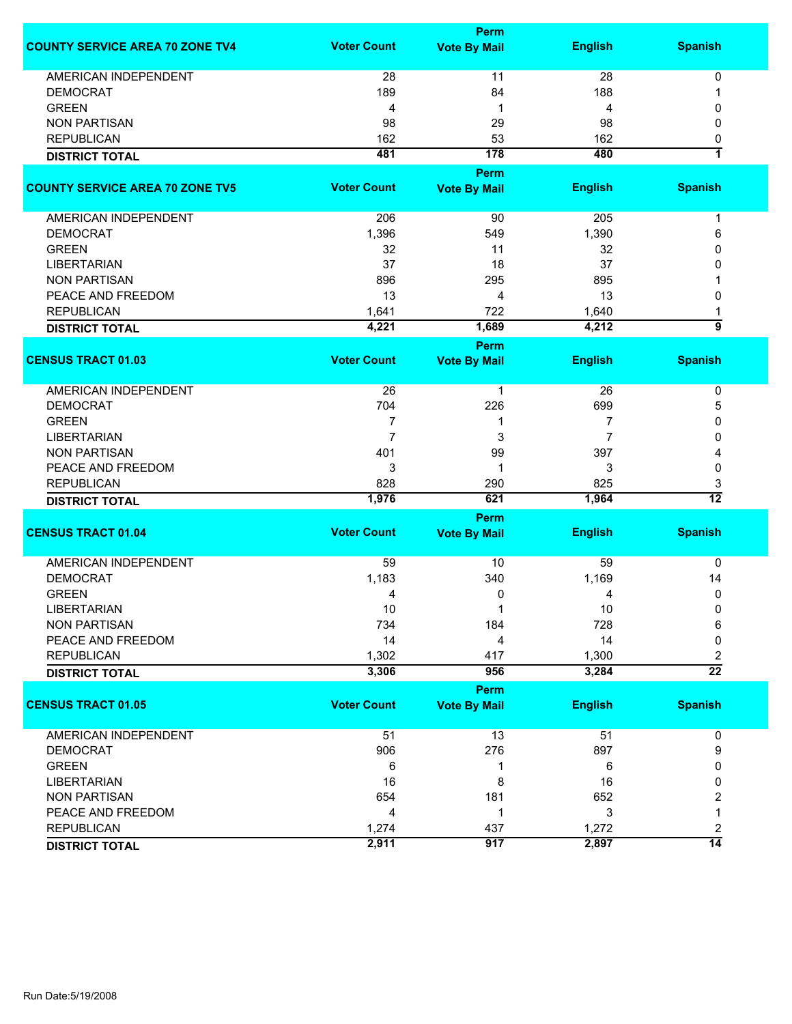|                                        | Perm               |                     |                |                 |  |
|----------------------------------------|--------------------|---------------------|----------------|-----------------|--|
| <b>COUNTY SERVICE AREA 70 ZONE TV4</b> | <b>Voter Count</b> | <b>Vote By Mail</b> | <b>English</b> | <b>Spanish</b>  |  |
| <b>AMERICAN INDEPENDENT</b>            | 28                 | 11                  | 28             | 0               |  |
| <b>DEMOCRAT</b>                        | 189                | 84                  | 188            | 1               |  |
| <b>GREEN</b>                           | 4                  | 1                   | 4              | 0               |  |
| <b>NON PARTISAN</b>                    | 98                 | 29                  | 98             | $\mathbf{0}$    |  |
| <b>REPUBLICAN</b>                      | 162                | 53                  | 162            |                 |  |
|                                        | 481                | 178                 | 480            | 0<br>1          |  |
| <b>DISTRICT TOTAL</b>                  |                    |                     |                |                 |  |
|                                        |                    | Perm                |                |                 |  |
| <b>COUNTY SERVICE AREA 70 ZONE TV5</b> | <b>Voter Count</b> | <b>Vote By Mail</b> | <b>English</b> | <b>Spanish</b>  |  |
| AMERICAN INDEPENDENT                   | 206                | 90                  | 205            | $\mathbf 1$     |  |
| <b>DEMOCRAT</b>                        | 1,396              | 549                 | 1,390          | 6               |  |
| <b>GREEN</b>                           | 32                 | 11                  | 32             | 0               |  |
| <b>LIBERTARIAN</b>                     | 37                 | 18                  | 37             | 0               |  |
| <b>NON PARTISAN</b>                    | 896                | 295                 | 895            |                 |  |
| PEACE AND FREEDOM                      | 13                 | 4                   | 13             | 0               |  |
| <b>REPUBLICAN</b>                      | 1,641              | 722                 | 1,640          |                 |  |
|                                        | 4,221              | 1,689               | 4,212          | 5               |  |
| <b>DISTRICT TOTAL</b>                  |                    |                     |                |                 |  |
|                                        |                    | Perm                |                |                 |  |
| <b>CENSUS TRACT 01.03</b>              | <b>Voter Count</b> | <b>Vote By Mail</b> | <b>English</b> | <b>Spanish</b>  |  |
| AMERICAN INDEPENDENT                   | 26                 | 1                   | 26             | 0               |  |
| <b>DEMOCRAT</b>                        | 704                | 226                 | 699            | 5               |  |
| <b>GREEN</b>                           | 7                  | 1                   | 7              | 0               |  |
| <b>LIBERTARIAN</b>                     | $\overline{7}$     | 3                   | $\overline{7}$ | 0               |  |
| <b>NON PARTISAN</b>                    | 401                | 99                  | 397            | 4               |  |
| PEACE AND FREEDOM                      | 3                  | 1                   | 3              | 0               |  |
| <b>REPUBLICAN</b>                      | 828                | 290                 | 825            | 3               |  |
| <b>DISTRICT TOTAL</b>                  | 1,976              | 621                 | 1,964          | $\overline{12}$ |  |
|                                        |                    | Perm                |                |                 |  |
| <b>CENSUS TRACT 01.04</b>              | <b>Voter Count</b> |                     | <b>English</b> | <b>Spanish</b>  |  |
|                                        |                    | <b>Vote By Mail</b> |                |                 |  |
| <b>AMERICAN INDEPENDENT</b>            | 59                 | 10                  | 59             | 0               |  |
| <b>DEMOCRAT</b>                        | 1,183              | 340                 | 1,169          | 14              |  |
| <b>GREEN</b>                           | 4                  | 0                   | 4              | 0               |  |
| LIBERTARIAN                            | 10                 | 1                   | 10             | 0               |  |
| <b>NON PARTISAN</b>                    | 734                | 184                 | 728            | 6               |  |
| PEACE AND FREEDOM                      | 14                 | 4                   | 14             | 0               |  |
| <b>REPUBLICAN</b>                      | 1,302              | 417                 | 1,300          | 2               |  |
| <b>DISTRICT TOTAL</b>                  | 3,306              | 956                 | 3,284          | $\overline{22}$ |  |
|                                        |                    |                     |                |                 |  |
| <b>CENSUS TRACT 01.05</b>              |                    | Perm                |                |                 |  |
|                                        | <b>Voter Count</b> | <b>Vote By Mail</b> | <b>English</b> | <b>Spanish</b>  |  |
| AMERICAN INDEPENDENT                   | 51                 | 13                  | 51             | 0               |  |
| <b>DEMOCRAT</b>                        | 906                | 276                 | 897            | 9               |  |
| <b>GREEN</b>                           | 6                  | 1                   | 6              | 0               |  |
| <b>LIBERTARIAN</b>                     | 16                 | 8                   | 16             | 0               |  |
| <b>NON PARTISAN</b>                    | 654                | 181                 | 652            | 2               |  |
| PEACE AND FREEDOM                      | 4                  | 1                   | 3              | 1               |  |
| <b>REPUBLICAN</b>                      | 1,274              | 437                 | 1,272          | 2               |  |
| <b>DISTRICT TOTAL</b>                  | 2,911              | 917                 | 2,897          | $\overline{14}$ |  |
|                                        |                    |                     |                |                 |  |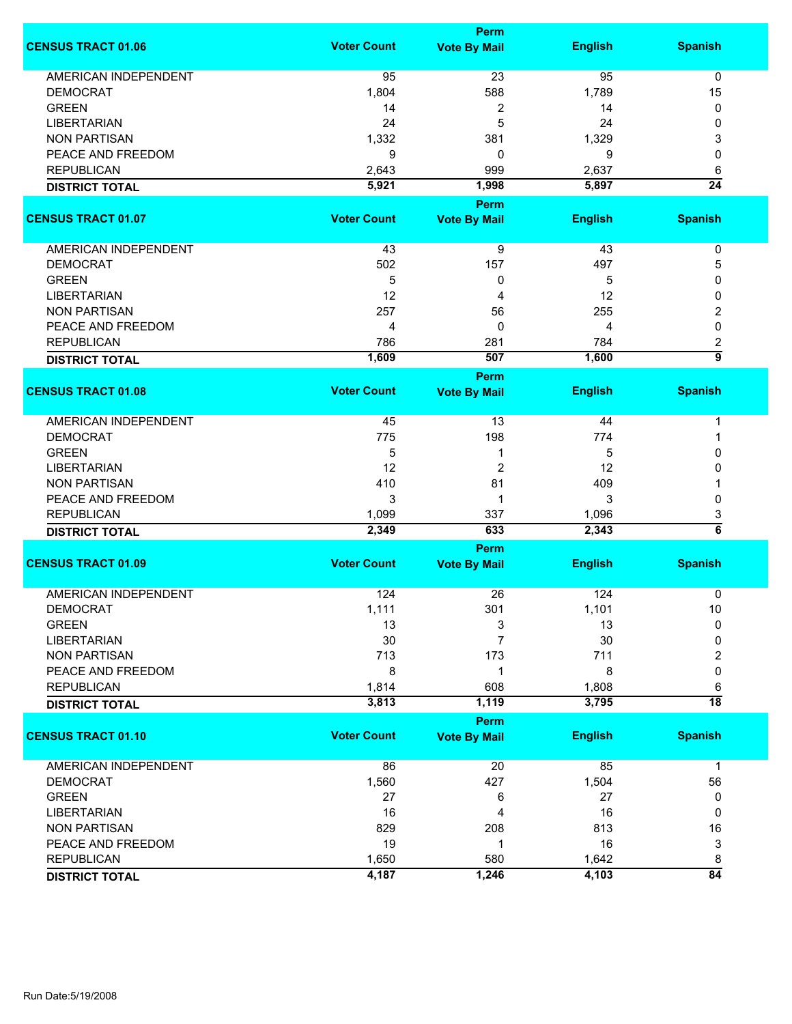|                             |                    | <b>Perm</b>          |                |                          |
|-----------------------------|--------------------|----------------------|----------------|--------------------------|
| <b>CENSUS TRACT 01.06</b>   | <b>Voter Count</b> | <b>Vote By Mail</b>  | <b>English</b> | <b>Spanish</b>           |
| <b>AMERICAN INDEPENDENT</b> | 95                 | 23                   | 95             | 0                        |
| <b>DEMOCRAT</b>             | 1,804              | 588                  | 1,789          | 15                       |
| <b>GREEN</b>                | 14                 | 2                    | 14             | 0                        |
| <b>LIBERTARIAN</b>          | 24                 | 5                    | 24             | 0                        |
| <b>NON PARTISAN</b>         | 1,332              | 381                  | 1,329          | 3                        |
| PEACE AND FREEDOM           | 9                  | 0                    | 9              | 0                        |
| <b>REPUBLICAN</b>           | 2,643              | 999                  | 2,637          |                          |
|                             |                    |                      |                | 6<br>$\overline{24}$     |
| <b>DISTRICT TOTAL</b>       | 5,921              | 1,998<br><b>Perm</b> | 5,897          |                          |
| <b>CENSUS TRACT 01.07</b>   | <b>Voter Count</b> | <b>Vote By Mail</b>  | <b>English</b> | <b>Spanish</b>           |
| AMERICAN INDEPENDENT        | 43                 | 9                    | 43             | 0                        |
| <b>DEMOCRAT</b>             | 502                | 157                  | 497            | 5                        |
| <b>GREEN</b>                | 5                  | 0                    | 5              | 0                        |
| <b>LIBERTARIAN</b>          | 12                 | 4                    | 12             | 0                        |
| <b>NON PARTISAN</b>         | 257                | 56                   | 255            | 2                        |
| PEACE AND FREEDOM           | 4                  | 0                    | 4              | 0                        |
|                             |                    |                      |                |                          |
| <b>REPUBLICAN</b>           | 786                | 281<br>507           | 784            | 2<br>$\overline{9}$      |
| <b>DISTRICT TOTAL</b>       | 1,609              | <b>Perm</b>          | 1,600          |                          |
| <b>CENSUS TRACT 01.08</b>   | <b>Voter Count</b> | <b>Vote By Mail</b>  | <b>English</b> | <b>Spanish</b>           |
| AMERICAN INDEPENDENT        | 45                 | 13                   | 44             | 1                        |
| <b>DEMOCRAT</b>             | 775                | 198                  | 774            | 1                        |
| <b>GREEN</b>                | 5                  | 1                    | 5              | 0                        |
| <b>LIBERTARIAN</b>          | 12                 | $\overline{c}$       | 12             | 0                        |
| <b>NON PARTISAN</b>         | 410                | 81                   | 409            |                          |
| PEACE AND FREEDOM           | 3                  | 1                    | 3              | 0                        |
|                             |                    |                      |                |                          |
| <b>REPUBLICAN</b>           | 1,099              | 337<br>633           | 1,096          | 3<br>$\overline{\bf{6}}$ |
| <b>DISTRICT TOTAL</b>       | 2,349              |                      | 2,343          |                          |
|                             |                    | Perm                 |                |                          |
| <b>CENSUS TRACT 01.09</b>   | <b>Voter Count</b> | <b>Vote By Mail</b>  | <b>English</b> | <b>Spanish</b>           |
| <b>AMERICAN INDEPENDENT</b> | 124                | 26                   | 124            | 0                        |
| <b>DEMOCRAT</b>             | 1,111              | 301                  | 1,101          | 10                       |
| <b>GREEN</b>                | 13                 | 3                    | 13             | 0                        |
| <b>LIBERTARIAN</b>          | 30                 | 7                    | 30             | 0                        |
| <b>NON PARTISAN</b>         | 713                | 173                  | 711            | 2                        |
| PEACE AND FREEDOM           | 8                  | 1                    | 8              | $\mathbf 0$              |
| <b>REPUBLICAN</b>           | 1,814              | 608                  | 1,808          | 6                        |
| <b>DISTRICT TOTAL</b>       | 3,813              | 1,119                | 3,795          | $\overline{18}$          |
|                             |                    | <b>Perm</b>          |                |                          |
| <b>CENSUS TRACT 01.10</b>   | <b>Voter Count</b> | <b>Vote By Mail</b>  | <b>English</b> | <b>Spanish</b>           |
| <b>AMERICAN INDEPENDENT</b> | 86                 | 20                   | 85             | $\mathbf 1$              |
| <b>DEMOCRAT</b>             | 1,560              | 427                  | 1,504          | 56                       |
| <b>GREEN</b>                | 27                 | 6                    | 27             | 0                        |
| <b>LIBERTARIAN</b>          | 16                 | 4                    | 16             | 0                        |
| <b>NON PARTISAN</b>         | 829                | 208                  | 813            | 16                       |
| PEACE AND FREEDOM           | 19                 | 1                    | 16             | 3                        |
| <b>REPUBLICAN</b>           | 1,650              | 580                  | 1,642          | 8                        |
| <b>DISTRICT TOTAL</b>       | 4,187              | 1,246                | 4,103          | $\overline{84}$          |
|                             |                    |                      |                |                          |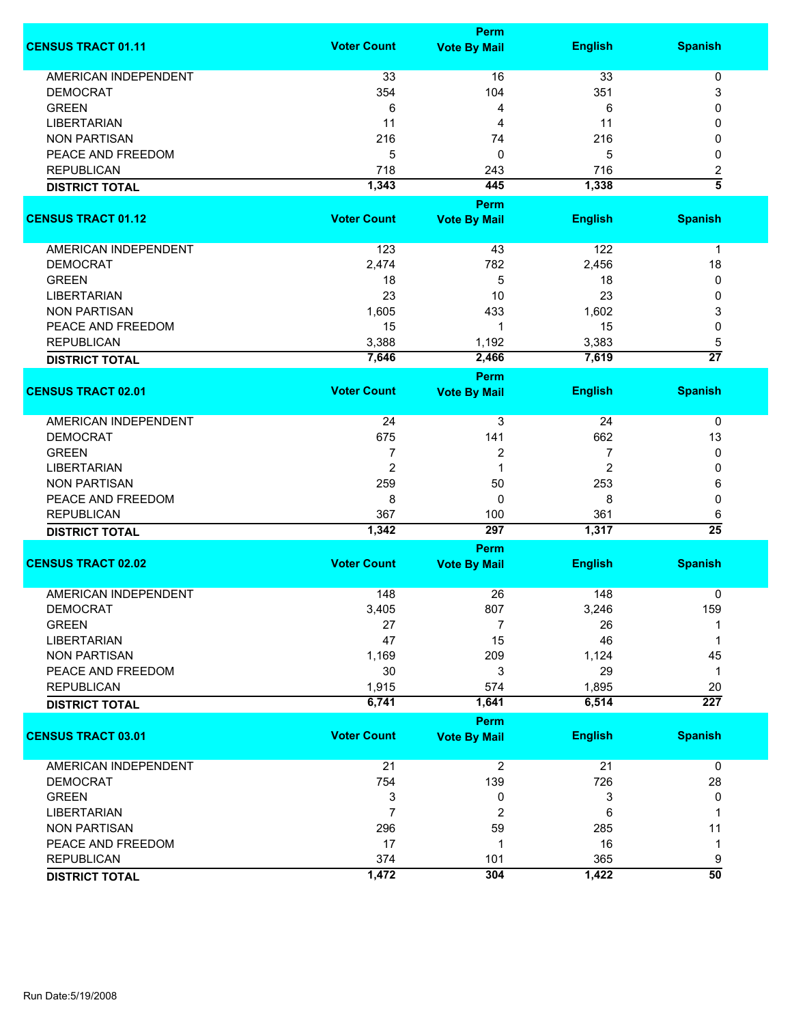|                             |                    | <b>Perm</b>         |                |                          |
|-----------------------------|--------------------|---------------------|----------------|--------------------------|
| <b>CENSUS TRACT 01.11</b>   | <b>Voter Count</b> | <b>Vote By Mail</b> | <b>English</b> | <b>Spanish</b>           |
| <b>AMERICAN INDEPENDENT</b> | 33                 | 16                  | 33             | $\pmb{0}$                |
| <b>DEMOCRAT</b>             | 354                | 104                 | 351            | 3                        |
| <b>GREEN</b>                | 6                  | 4                   | 6              | 0                        |
| <b>LIBERTARIAN</b>          | 11                 | 4                   | 11             | 0                        |
| <b>NON PARTISAN</b>         | 216                | 74                  | 216            | 0                        |
|                             |                    | 0                   |                |                          |
| PEACE AND FREEDOM           | 5                  |                     | 5              | 0                        |
| <b>REPUBLICAN</b>           | 718                | 243                 | 716            | 2<br>$\overline{\bf{5}}$ |
| <b>DISTRICT TOTAL</b>       | 1,343              | 445                 | 1,338          |                          |
|                             |                    | Perm                |                |                          |
| <b>CENSUS TRACT 01.12</b>   | <b>Voter Count</b> | <b>Vote By Mail</b> | <b>English</b> | <b>Spanish</b>           |
| AMERICAN INDEPENDENT        | 123                | 43                  | 122            | 1                        |
| <b>DEMOCRAT</b>             | 2,474              | 782                 | 2,456          | 18                       |
| <b>GREEN</b>                | 18                 | 5                   | 18             | 0                        |
| <b>LIBERTARIAN</b>          | 23                 | 10                  | 23             | 0                        |
| <b>NON PARTISAN</b>         | 1,605              | 433                 | 1,602          | 3                        |
| PEACE AND FREEDOM           | 15                 | 1                   | 15             | 0                        |
| <b>REPUBLICAN</b>           | 3,388              | 1,192               | 3,383          | 5                        |
| <b>DISTRICT TOTAL</b>       | 7,646              | 2,466               | 7,619          | $\overline{27}$          |
|                             |                    | Perm                |                |                          |
| <b>CENSUS TRACT 02.01</b>   | <b>Voter Count</b> | <b>Vote By Mail</b> | <b>English</b> | <b>Spanish</b>           |
| <b>AMERICAN INDEPENDENT</b> | 24                 | 3                   | 24             | 0                        |
| <b>DEMOCRAT</b>             | 675                | 141                 | 662            | 13                       |
| <b>GREEN</b>                | 7                  | 2                   | 7              | 0                        |
| <b>LIBERTARIAN</b>          | $\overline{2}$     | 1                   | 2              | 0                        |
| <b>NON PARTISAN</b>         | 259                | 50                  | 253            | 6                        |
| PEACE AND FREEDOM           | 8                  | 0                   | 8              | 0                        |
| <b>REPUBLICAN</b>           | 367                | 100                 | 361            | 6                        |
| <b>DISTRICT TOTAL</b>       | 1,342              | 297                 | 1,317          | $\overline{25}$          |
|                             |                    | <b>Perm</b>         |                |                          |
| <b>CENSUS TRACT 02.02</b>   | <b>Voter Count</b> | <b>Vote By Mail</b> | <b>English</b> | <b>Spanish</b>           |
| <b>AMERICAN INDEPENDENT</b> | 148                | 26                  | 148            | 0                        |
| <b>DEMOCRAT</b>             | 3,405              | 807                 | 3,246          | 159                      |
| <b>GREEN</b>                | 27                 | $\overline{7}$      | 26             | 1                        |
| <b>LIBERTARIAN</b>          | 47                 | 15                  | 46             | 1                        |
| <b>NON PARTISAN</b>         | 1,169              | 209                 | 1,124          | 45                       |
| PEACE AND FREEDOM           | 30                 | 3                   | 29             | $\mathbf 1$              |
| <b>REPUBLICAN</b>           | 1,915              | 574                 | 1,895          | 20                       |
| <b>DISTRICT TOTAL</b>       | 6,741              | 1,641               | 6,514          | $\overline{227}$         |
|                             |                    | <b>Perm</b>         |                |                          |
| <b>CENSUS TRACT 03.01</b>   | <b>Voter Count</b> | <b>Vote By Mail</b> | <b>English</b> | <b>Spanish</b>           |
| <b>AMERICAN INDEPENDENT</b> | 21                 | $\overline{2}$      | 21             | 0                        |
| <b>DEMOCRAT</b>             | 754                | 139                 | 726            | 28                       |
| <b>GREEN</b>                | 3                  | 0                   | 3              | 0                        |
| <b>LIBERTARIAN</b>          | $\overline{7}$     | $\overline{c}$      | 6              | 1                        |
| <b>NON PARTISAN</b>         | 296                | 59                  | 285            | 11                       |
| PEACE AND FREEDOM           | 17                 | 1                   | 16             | 1                        |
| <b>REPUBLICAN</b>           | 374                | 101                 | 365            | 9                        |
| <b>DISTRICT TOTAL</b>       | 1,472              | 304                 | 1,422          | $\overline{50}$          |
|                             |                    |                     |                |                          |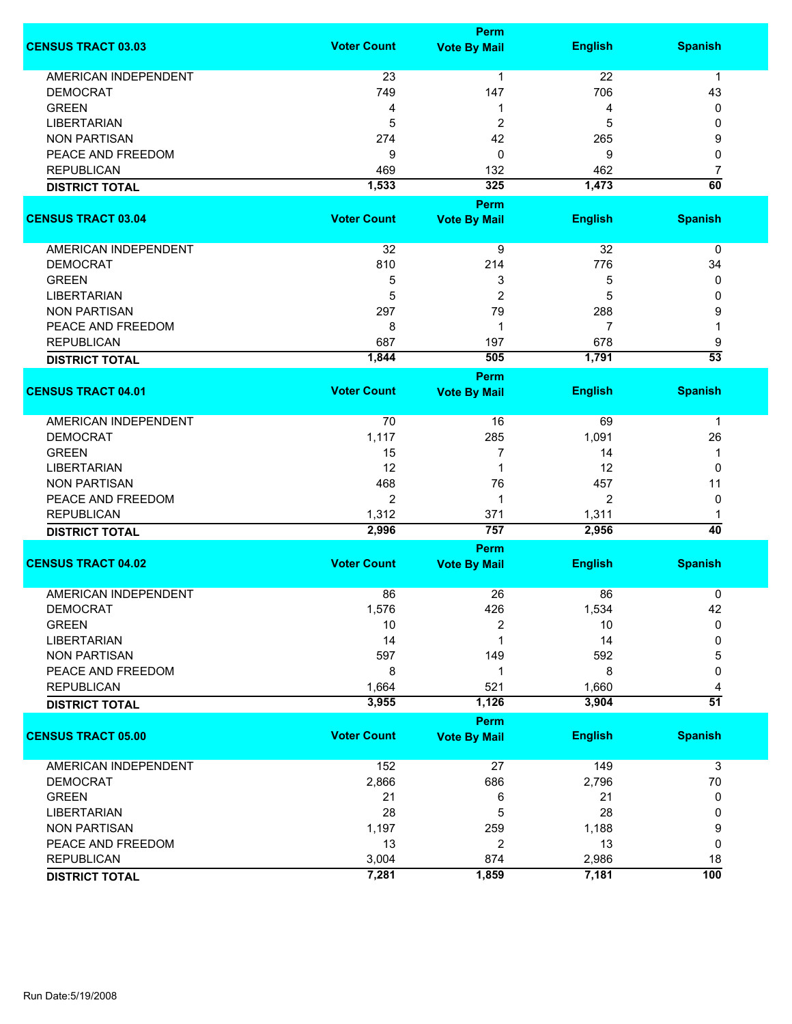|                             |                    | <b>Perm</b>                 |                |                 |
|-----------------------------|--------------------|-----------------------------|----------------|-----------------|
| <b>CENSUS TRACT 03.03</b>   | <b>Voter Count</b> | <b>Vote By Mail</b>         | <b>English</b> | <b>Spanish</b>  |
| <b>AMERICAN INDEPENDENT</b> | 23                 | $\mathbf{1}$                | 22             | $\mathbf{1}$    |
| <b>DEMOCRAT</b>             | 749                | 147                         | 706            | 43              |
| <b>GREEN</b>                | 4                  | 1                           | 4              | 0               |
| <b>LIBERTARIAN</b>          | 5                  | 2                           | 5              | 0               |
| <b>NON PARTISAN</b>         | 274                | 42                          | 265            | 9               |
|                             |                    |                             |                |                 |
| PEACE AND FREEDOM           | 9                  | 0                           | 9              | 0               |
| <b>REPUBLICAN</b>           | 469                | 132                         | 462            | 7               |
| <b>DISTRICT TOTAL</b>       | 1,533              | 325                         | 1,473          | $\overline{60}$ |
|                             |                    | <b>Perm</b>                 |                |                 |
| <b>CENSUS TRACT 03.04</b>   | <b>Voter Count</b> | <b>Vote By Mail</b>         | <b>English</b> | <b>Spanish</b>  |
| AMERICAN INDEPENDENT        | 32                 | 9                           | 32             | 0               |
| <b>DEMOCRAT</b>             | 810                | 214                         | 776            | 34              |
| <b>GREEN</b>                | 5                  | 3                           | 5              | 0               |
| <b>LIBERTARIAN</b>          | 5                  | $\overline{2}$              | 5              | 0               |
| <b>NON PARTISAN</b>         | 297                | 79                          | 288            | 9               |
| PEACE AND FREEDOM           | 8                  | 1                           | 7              | 1               |
| <b>REPUBLICAN</b>           | 687                | 197                         | 678            | 9               |
|                             | 1,844              | 505                         | 1,791          | $\overline{53}$ |
| <b>DISTRICT TOTAL</b>       |                    |                             |                |                 |
| <b>CENSUS TRACT 04.01</b>   | <b>Voter Count</b> | Perm<br><b>Vote By Mail</b> | <b>English</b> | <b>Spanish</b>  |
|                             |                    |                             |                |                 |
| <b>AMERICAN INDEPENDENT</b> | 70                 | 16                          | 69             | 1               |
| <b>DEMOCRAT</b>             | 1,117              | 285                         | 1,091          | 26              |
| <b>GREEN</b>                | 15                 | 7                           | 14             | 1               |
| <b>LIBERTARIAN</b>          | 12                 | $\mathbf 1$                 | 12             | 0               |
| <b>NON PARTISAN</b>         | 468                | 76                          | 457            | 11              |
| PEACE AND FREEDOM           | 2                  | 1                           | 2              | 0               |
| <b>REPUBLICAN</b>           | 1,312              | 371                         | 1,311          | 1               |
| <b>DISTRICT TOTAL</b>       | 2,996              | 757                         | 2,956          | $\overline{40}$ |
|                             |                    | <b>Perm</b>                 |                |                 |
| <b>CENSUS TRACT 04.02</b>   | <b>Voter Count</b> | <b>Vote By Mail</b>         | <b>English</b> | <b>Spanish</b>  |
|                             |                    |                             |                |                 |
| <b>AMERICAN INDEPENDENT</b> | 86                 | 26                          | 86             | 0               |
| <b>DEMOCRAT</b>             | 1,576              | 426                         | 1,534          | 42              |
| <b>GREEN</b>                | 10                 | 2                           | 10             | 0               |
| <b>LIBERTARIAN</b>          | 14                 | 1                           | 14             | 0               |
| <b>NON PARTISAN</b>         | 597                | 149                         | 592            | 5               |
| PEACE AND FREEDOM           | 8                  | 1                           | 8              | 0               |
| <b>REPUBLICAN</b>           | 1,664              | 521                         | 1,660          | 4               |
| <b>DISTRICT TOTAL</b>       | 3,955              | 1,126                       | 3,904          | $\overline{51}$ |
|                             |                    | <b>Perm</b>                 |                |                 |
| <b>CENSUS TRACT 05.00</b>   | <b>Voter Count</b> | <b>Vote By Mail</b>         | <b>English</b> | <b>Spanish</b>  |
| <b>AMERICAN INDEPENDENT</b> | 152                | 27                          | 149            | 3               |
| <b>DEMOCRAT</b>             | 2,866              | 686                         | 2,796          | 70              |
| <b>GREEN</b>                | 21                 | 6                           | 21             | 0               |
| <b>LIBERTARIAN</b>          | 28                 | 5                           | 28             | 0               |
| <b>NON PARTISAN</b>         | 1,197              | 259                         | 1,188          |                 |
|                             |                    |                             |                | 9               |
| PEACE AND FREEDOM           | 13                 | $\overline{2}$              | 13             | 0               |
| <b>REPUBLICAN</b>           | 3,004              | 874                         | 2,986          | 18              |
| <b>DISTRICT TOTAL</b>       | 7,281              | 1,859                       | 7,181          | 100             |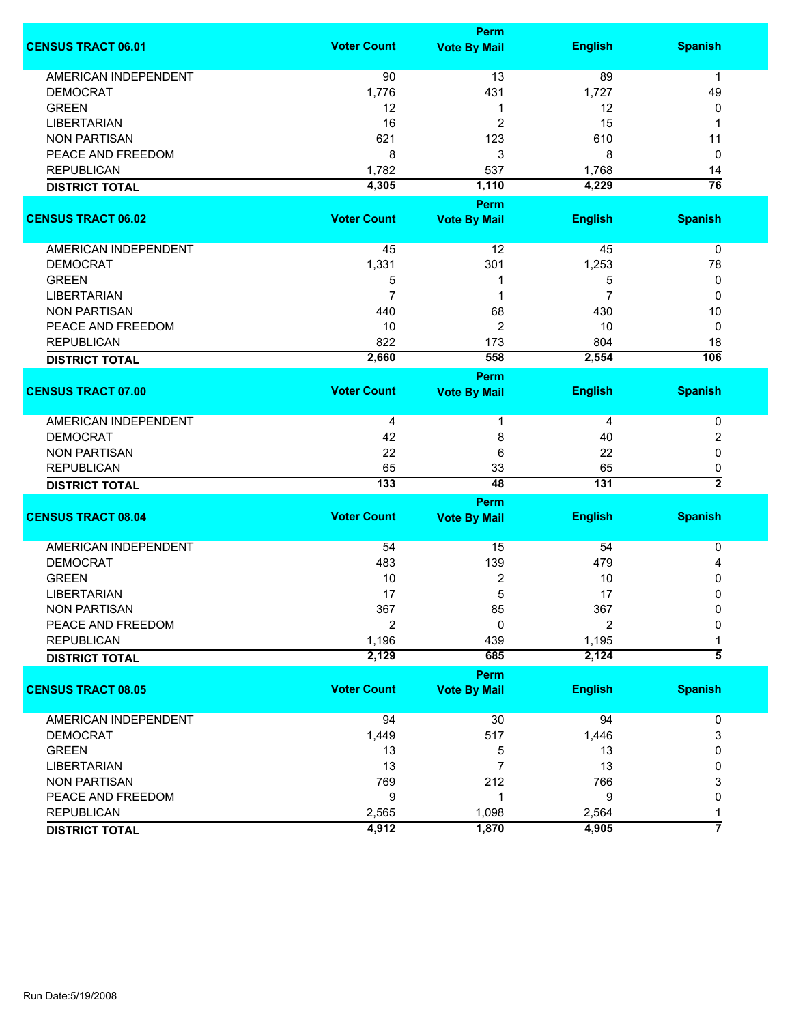|                             |                    | Perm                |                |                    |
|-----------------------------|--------------------|---------------------|----------------|--------------------|
| <b>CENSUS TRACT 06.01</b>   | <b>Voter Count</b> | <b>Vote By Mail</b> | <b>English</b> | <b>Spanish</b>     |
| AMERICAN INDEPENDENT        | 90                 | 13                  | 89             | 1                  |
| <b>DEMOCRAT</b>             | 1,776              | 431                 | 1,727          | 49                 |
| <b>GREEN</b>                | 12                 | 1                   | 12             | 0                  |
| <b>LIBERTARIAN</b>          | 16                 | $\overline{c}$      | 15             | 1                  |
| <b>NON PARTISAN</b>         | 621                | 123                 | 610            | 11                 |
| PEACE AND FREEDOM           | 8                  | 3                   | 8              | 0                  |
| <b>REPUBLICAN</b>           | 1,782              | 537                 | 1,768          | 14                 |
| <b>DISTRICT TOTAL</b>       | 4,305              | 1,110               | 4,229          | $\overline{76}$    |
|                             |                    |                     |                |                    |
|                             |                    | Perm                |                |                    |
| <b>CENSUS TRACT 06.02</b>   | <b>Voter Count</b> | <b>Vote By Mail</b> | <b>English</b> | <b>Spanish</b>     |
| AMERICAN INDEPENDENT        | 45                 | 12                  | 45             | 0                  |
| <b>DEMOCRAT</b>             | 1,331              | 301                 | 1,253          | 78                 |
| <b>GREEN</b>                | 5                  |                     | 5              | 0                  |
| <b>LIBERTARIAN</b>          | $\overline{7}$     | 1                   | $\overline{7}$ | 0                  |
| <b>NON PARTISAN</b>         | 440                | 68                  | 430            | 10                 |
| PEACE AND FREEDOM           | 10                 | $\overline{2}$      | 10             | 0                  |
| <b>REPUBLICAN</b>           | 822                | 173                 | 804            | 18                 |
| <b>DISTRICT TOTAL</b>       | 2,660              | 558                 | 2,554          | 106                |
|                             |                    | Perm                |                |                    |
| <b>CENSUS TRACT 07.00</b>   | <b>Voter Count</b> | <b>Vote By Mail</b> | <b>English</b> | <b>Spanish</b>     |
| <b>AMERICAN INDEPENDENT</b> | 4                  |                     | 4              | 0                  |
| <b>DEMOCRAT</b>             | 42                 | 8                   | 40             | 2                  |
| <b>NON PARTISAN</b>         | 22                 | 6                   | 22             | 0                  |
| <b>REPUBLICAN</b>           | 65                 | 33                  | 65             | 0                  |
| <b>DISTRICT TOTAL</b>       | $\overline{133}$   | 48                  | 131            | $\overline{2}$     |
|                             |                    | Perm                |                |                    |
| <b>CENSUS TRACT 08.04</b>   | <b>Voter Count</b> | <b>Vote By Mail</b> | <b>English</b> | <b>Spanish</b>     |
|                             |                    |                     |                |                    |
| <b>AMERICAN INDEPENDENT</b> | 54                 | 15                  | 54             | 0                  |
| <b>DEMOCRAT</b>             | 483                | 139                 | 479            | 4                  |
| <b>GREEN</b>                | 10                 | 2                   | 10             | 0                  |
| <b>LIBERTARIAN</b>          | 17                 | 5                   | 17             | 0                  |
| <b>NON PARTISAN</b>         | 367                | 85                  | 367            | 0                  |
| PEACE AND FREEDOM           | $\overline{2}$     | 0                   | 2              | 0                  |
| <b>REPUBLICAN</b>           | 1,196              | 439                 | 1,195          |                    |
| <b>DISTRICT TOTAL</b>       | 2,129              | 685                 | 2,124          | $\overline{\bf 5}$ |
|                             |                    | Perm                |                |                    |
| <b>CENSUS TRACT 08.05</b>   | <b>Voter Count</b> | <b>Vote By Mail</b> | <b>English</b> | <b>Spanish</b>     |
|                             |                    |                     |                |                    |
| AMERICAN INDEPENDENT        | 94                 | 30                  | 94             | 0                  |
| <b>DEMOCRAT</b>             | 1,449              | 517                 | 1,446          | 3                  |
| <b>GREEN</b>                | 13                 | 5                   | 13             | 0                  |
| <b>LIBERTARIAN</b>          | 13                 | 7                   | 13             | 0                  |
| <b>NON PARTISAN</b>         | 769                | 212                 | 766            | 3                  |
| PEACE AND FREEDOM           | 9                  | 1                   | 9              | 0                  |
| <b>REPUBLICAN</b>           | 2,565              | 1,098               | 2,564          | 1                  |
| <b>DISTRICT TOTAL</b>       | 4,912              | 1,870               | 4,905          | 7                  |
|                             |                    |                     |                |                    |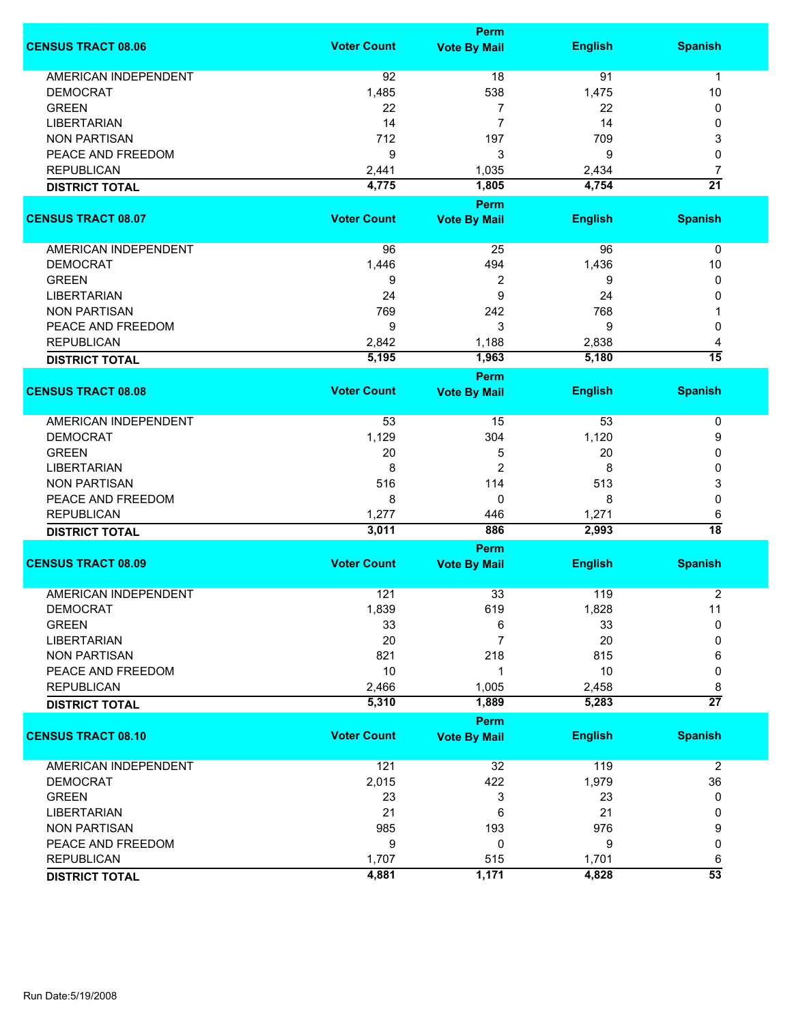|                                                |                    | <b>Perm</b>                        |                |                 |
|------------------------------------------------|--------------------|------------------------------------|----------------|-----------------|
| <b>CENSUS TRACT 08.06</b>                      | <b>Voter Count</b> | <b>Vote By Mail</b>                | <b>English</b> | <b>Spanish</b>  |
| <b>AMERICAN INDEPENDENT</b>                    | 92                 | 18                                 | 91             | $\mathbf{1}$    |
| <b>DEMOCRAT</b>                                | 1,485              | 538                                | 1,475          | 10              |
| <b>GREEN</b>                                   | 22                 | 7                                  | 22             | 0               |
| <b>LIBERTARIAN</b>                             | 14                 | 7                                  | 14             | 0               |
| <b>NON PARTISAN</b>                            | 712                | 197                                | 709            | 3               |
|                                                |                    |                                    |                |                 |
| PEACE AND FREEDOM                              | 9                  | 3                                  | 9              | 0               |
| <b>REPUBLICAN</b>                              | 2,441              | 1,035                              | 2,434          | 7               |
| <b>DISTRICT TOTAL</b>                          | 4,775              | 1,805                              | 4,754          | $\overline{21}$ |
| <b>CENSUS TRACT 08.07</b>                      | <b>Voter Count</b> | <b>Perm</b><br><b>Vote By Mail</b> | <b>English</b> | <b>Spanish</b>  |
|                                                |                    |                                    |                |                 |
| AMERICAN INDEPENDENT                           | 96                 | 25                                 | 96             | 0               |
| <b>DEMOCRAT</b>                                | 1,446              | 494                                | 1,436          | 10              |
| <b>GREEN</b>                                   | 9                  | 2                                  | 9              | 0               |
| <b>LIBERTARIAN</b>                             | 24                 | 9                                  | 24             | 0               |
| <b>NON PARTISAN</b>                            | 769                | 242                                | 768            |                 |
| PEACE AND FREEDOM                              | 9                  | 3                                  | 9              | 0               |
| <b>REPUBLICAN</b>                              | 2,842              | 1,188                              | 2,838          | 4               |
|                                                | 5,195              | 1,963                              | 5,180          | $\overline{15}$ |
| <b>DISTRICT TOTAL</b>                          |                    | <b>Perm</b>                        |                |                 |
| <b>CENSUS TRACT 08.08</b>                      | <b>Voter Count</b> | <b>Vote By Mail</b>                | <b>English</b> | <b>Spanish</b>  |
|                                                |                    |                                    |                |                 |
| <b>AMERICAN INDEPENDENT</b>                    | 53                 | 15                                 | 53             | 0               |
| <b>DEMOCRAT</b>                                | 1,129              | 304                                | 1,120          | 9               |
| <b>GREEN</b>                                   | 20                 | 5                                  | 20             | 0               |
| <b>LIBERTARIAN</b>                             | 8                  | 2                                  | 8              | 0               |
| <b>NON PARTISAN</b>                            | 516                | 114                                | 513            | 3               |
| PEACE AND FREEDOM                              | 8                  | 0                                  | 8              | 0               |
| <b>REPUBLICAN</b>                              | 1,277              | 446                                | 1,271          | 6               |
| <b>DISTRICT TOTAL</b>                          | 3,011              | 886                                | 2,993          | $\overline{18}$ |
|                                                |                    | Perm                               |                |                 |
| <b>CENSUS TRACT 08.09</b>                      | <b>Voter Count</b> | <b>Vote By Mail</b>                | <b>English</b> | <b>Spanish</b>  |
|                                                |                    |                                    |                |                 |
| <b>AMERICAN INDEPENDENT</b><br><b>DEMOCRAT</b> | 121                | 33                                 | 119            | $\overline{2}$  |
|                                                | 1,839              | 619                                | 1,828          | 11              |
| <b>GREEN</b>                                   | 33                 | 6                                  | 33             | 0               |
| <b>LIBERTARIAN</b>                             | 20                 | 7                                  | 20             | 0               |
| <b>NON PARTISAN</b>                            | 821                | 218                                | 815            | 6               |
| PEACE AND FREEDOM                              | 10                 | 1                                  | 10             | 0               |
| <b>REPUBLICAN</b>                              | 2,466              | 1,005                              | 2,458          | 8               |
| <b>DISTRICT TOTAL</b>                          | 5,310              | 1,889                              | 5,283          | $\overline{27}$ |
|                                                |                    | Perm                               |                |                 |
| <b>CENSUS TRACT 08.10</b>                      | <b>Voter Count</b> | <b>Vote By Mail</b>                | <b>English</b> | <b>Spanish</b>  |
| AMERICAN INDEPENDENT                           | 121                | 32                                 | 119            | $\overline{2}$  |
| <b>DEMOCRAT</b>                                | 2,015              | 422                                | 1,979          | 36              |
| <b>GREEN</b>                                   | 23                 | 3                                  | 23             | 0               |
| <b>LIBERTARIAN</b>                             | 21                 | 6                                  | 21             | 0               |
| <b>NON PARTISAN</b>                            |                    |                                    | 976            |                 |
|                                                | 985                | 193                                |                | 9               |
| PEACE AND FREEDOM                              | 9                  | 0                                  | 9              | 0               |
| <b>REPUBLICAN</b>                              | 1,707              | 515                                | 1,701          | 6               |
| <b>DISTRICT TOTAL</b>                          | 4,881              | 1,171                              | 4,828          | $\overline{53}$ |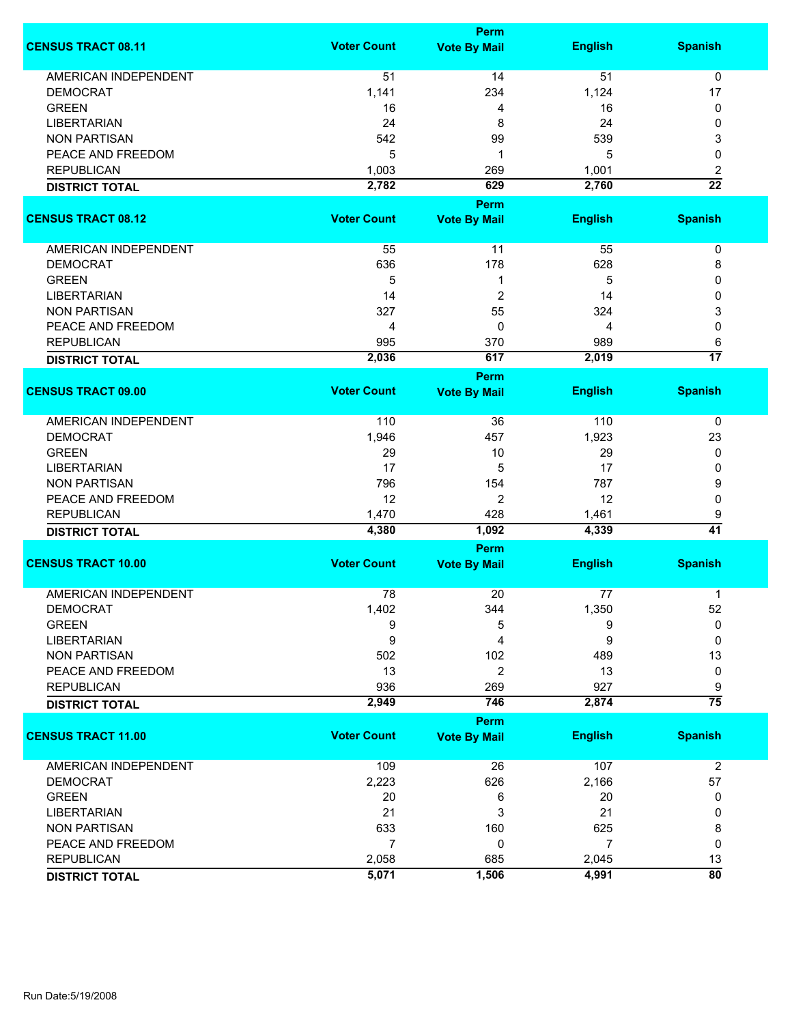|                             |                    | <b>Perm</b>                        |                |                       |
|-----------------------------|--------------------|------------------------------------|----------------|-----------------------|
| <b>CENSUS TRACT 08.11</b>   | <b>Voter Count</b> | <b>Vote By Mail</b>                | <b>English</b> | <b>Spanish</b>        |
| <b>AMERICAN INDEPENDENT</b> | 51                 | 14                                 | 51             | 0                     |
| <b>DEMOCRAT</b>             | 1,141              | 234                                | 1,124          | 17                    |
| <b>GREEN</b>                | 16                 | 4                                  | 16             | 0                     |
| <b>LIBERTARIAN</b>          | 24                 | 8                                  | 24             | 0                     |
|                             |                    |                                    |                |                       |
| <b>NON PARTISAN</b>         | 542                | 99                                 | 539            | 3                     |
| PEACE AND FREEDOM           | 5                  | 1                                  | 5              | 0                     |
| <b>REPUBLICAN</b>           | 1,003              | 269                                | 1,001          | $\overline{c}$        |
| <b>DISTRICT TOTAL</b>       | 2,782              | 629                                | 2,760          | $\overline{22}$       |
|                             |                    | <b>Perm</b>                        |                |                       |
| <b>CENSUS TRACT 08.12</b>   | <b>Voter Count</b> | <b>Vote By Mail</b>                | <b>English</b> | <b>Spanish</b>        |
| <b>AMERICAN INDEPENDENT</b> | 55                 | 11                                 | 55             | 0                     |
| <b>DEMOCRAT</b>             | 636                | 178                                | 628            | 8                     |
| <b>GREEN</b>                | 5                  | 1                                  | 5              | 0                     |
| <b>LIBERTARIAN</b>          | 14                 | $\overline{c}$                     | 14             | 0                     |
| <b>NON PARTISAN</b>         | 327                | 55                                 | 324            | 3                     |
|                             | 4                  | 0                                  |                | 0                     |
| PEACE AND FREEDOM           |                    |                                    | 4              |                       |
| <b>REPUBLICAN</b>           | 995                | 370                                | 989            | 6                     |
| <b>DISTRICT TOTAL</b>       | 2,036              | 617                                | 2,019          | $\overline{17}$       |
|                             |                    | <b>Perm</b>                        |                |                       |
| <b>CENSUS TRACT 09.00</b>   | <b>Voter Count</b> | <b>Vote By Mail</b>                | <b>English</b> | <b>Spanish</b>        |
| <b>AMERICAN INDEPENDENT</b> | 110                | 36                                 | 110            | 0                     |
| <b>DEMOCRAT</b>             | 1,946              | 457                                | 1,923          | 23                    |
| <b>GREEN</b>                | 29                 | 10                                 | 29             | 0                     |
| <b>LIBERTARIAN</b>          | 17                 | 5                                  | 17             | 0                     |
| <b>NON PARTISAN</b>         | 796                | 154                                | 787            | 9                     |
| PEACE AND FREEDOM           | 12                 | 2                                  | 12             | 0                     |
| <b>REPUBLICAN</b>           | 1,470              | 428                                | 1,461          | 9                     |
|                             | 4,380              | 1,092                              | 4,339          | 41                    |
| <b>DISTRICT TOTAL</b>       |                    |                                    |                |                       |
| <b>CENSUS TRACT 10.00</b>   | <b>Voter Count</b> | <b>Perm</b><br><b>Vote By Mail</b> | <b>English</b> | <b>Spanish</b>        |
|                             |                    |                                    |                |                       |
| <b>AMERICAN INDEPENDENT</b> | 78                 | 20                                 | 77             | 1                     |
| <b>DEMOCRAT</b>             | 1,402              | 344                                | 1,350          | 52                    |
| <b>GREEN</b>                | 9                  | 5                                  | 9              | 0                     |
| <b>LIBERTARIAN</b>          | 9                  | 4                                  | 9              | 0                     |
| <b>NON PARTISAN</b>         | 502                | 102                                | 489            | 13                    |
| PEACE AND FREEDOM           | 13                 | 2                                  | 13             | 0                     |
| <b>REPUBLICAN</b>           | 936                | 269                                | 927            | 9                     |
| <b>DISTRICT TOTAL</b>       | 2,949              | 746                                | 2,874          | $\overline{75}$       |
|                             |                    | <b>Perm</b>                        |                |                       |
| <b>CENSUS TRACT 11.00</b>   | <b>Voter Count</b> | <b>Vote By Mail</b>                | <b>English</b> | <b>Spanish</b>        |
| AMERICAN INDEPENDENT        | 109                | 26                                 | 107            | $\overline{2}$        |
| <b>DEMOCRAT</b>             | 2,223              | 626                                | 2,166          | 57                    |
| <b>GREEN</b>                | 20                 | 6                                  | 20             | 0                     |
| <b>LIBERTARIAN</b>          | 21                 | 3                                  | 21             | 0                     |
| <b>NON PARTISAN</b>         | 633                | 160                                | 625            | 8                     |
| PEACE AND FREEDOM           | $\overline{7}$     | 0                                  | 7              | 0                     |
| <b>REPUBLICAN</b>           |                    |                                    |                |                       |
|                             | 2,058              | 685                                | 2,045          | 13<br>$\overline{80}$ |
| <b>DISTRICT TOTAL</b>       | 5,071              | 1,506                              | 4,991          |                       |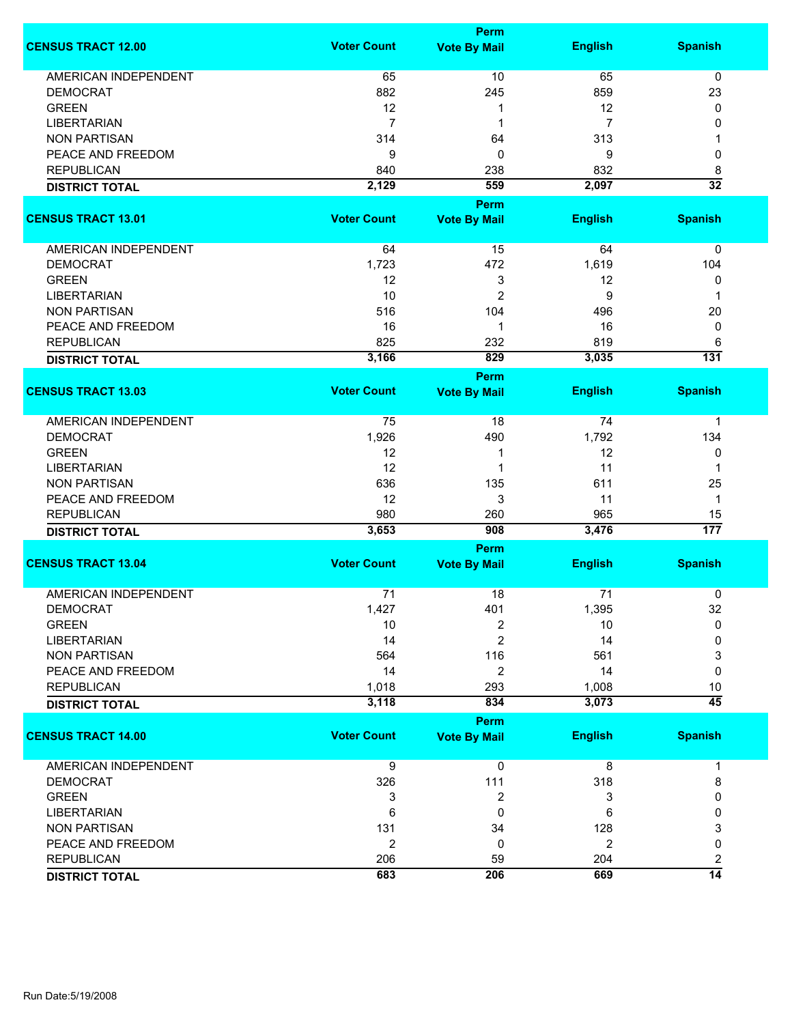|                             |                    | <b>Perm</b>         |                |                         |
|-----------------------------|--------------------|---------------------|----------------|-------------------------|
| <b>CENSUS TRACT 12.00</b>   | <b>Voter Count</b> | <b>Vote By Mail</b> | <b>English</b> | <b>Spanish</b>          |
| <b>AMERICAN INDEPENDENT</b> | 65                 | 10                  | 65             | 0                       |
| <b>DEMOCRAT</b>             | 882                | 245                 | 859            | 23                      |
| <b>GREEN</b>                | 12                 | 1                   | 12             | 0                       |
| <b>LIBERTARIAN</b>          | $\overline{7}$     | 1                   | 7              | 0                       |
| <b>NON PARTISAN</b>         | 314                | 64                  | 313            | 1                       |
| PEACE AND FREEDOM           | 9                  | 0                   | 9              | 0                       |
| <b>REPUBLICAN</b>           | 840                | 238                 | 832            | 8                       |
| <b>DISTRICT TOTAL</b>       | 2,129              | 559                 | 2,097          | $\overline{32}$         |
|                             |                    | Perm                |                |                         |
| <b>CENSUS TRACT 13.01</b>   | <b>Voter Count</b> | <b>Vote By Mail</b> | <b>English</b> | <b>Spanish</b>          |
|                             |                    |                     |                |                         |
| AMERICAN INDEPENDENT        | 64                 | 15                  | 64             | 0                       |
| <b>DEMOCRAT</b>             | 1,723              | 472                 | 1,619          | 104                     |
| <b>GREEN</b>                | 12                 | 3                   | 12             | 0                       |
| <b>LIBERTARIAN</b>          | 10                 | $\overline{2}$      | 9              | 1                       |
| <b>NON PARTISAN</b>         | 516                | 104                 | 496            | 20                      |
| PEACE AND FREEDOM           | 16                 | 1                   | 16             | 0                       |
| <b>REPUBLICAN</b>           | 825                | 232                 | 819            | 6                       |
| <b>DISTRICT TOTAL</b>       | 3,166              | 829                 | 3,035          | 131                     |
|                             |                    | Perm                |                |                         |
| <b>CENSUS TRACT 13.03</b>   | <b>Voter Count</b> | <b>Vote By Mail</b> | <b>English</b> | <b>Spanish</b>          |
| <b>AMERICAN INDEPENDENT</b> | 75                 | 18                  | 74             | 1                       |
| <b>DEMOCRAT</b>             | 1,926              | 490                 | 1,792          | 134                     |
| <b>GREEN</b>                | 12                 | 1                   | 12             | 0                       |
| <b>LIBERTARIAN</b>          | 12                 | 1                   | 11             | 1                       |
| <b>NON PARTISAN</b>         | 636                | 135                 | 611            | 25                      |
| PEACE AND FREEDOM           | 12                 | 3                   | 11             | 1                       |
| <b>REPUBLICAN</b>           | 980                | 260                 | 965            | 15                      |
| <b>DISTRICT TOTAL</b>       | 3,653              | 908                 | 3,476          | 177                     |
|                             |                    | <b>Perm</b>         |                |                         |
| <b>CENSUS TRACT 13.04</b>   | <b>Voter Count</b> | <b>Vote By Mail</b> | <b>English</b> | <b>Spanish</b>          |
| <b>AMERICAN INDEPENDENT</b> | 71                 | 18                  | 71             | 0                       |
| <b>DEMOCRAT</b>             | 1,427              | 401                 | 1,395          | 32                      |
| <b>GREEN</b>                | 10                 | 2                   | 10             | 0                       |
| <b>LIBERTARIAN</b>          | 14                 | 2                   | 14             | 0                       |
| <b>NON PARTISAN</b>         | 564                | 116                 | 561            | 3                       |
| PEACE AND FREEDOM           | 14                 | $\overline{2}$      | 14             | 0                       |
| <b>REPUBLICAN</b>           | 1,018              | 293                 | 1,008          | 10                      |
| <b>DISTRICT TOTAL</b>       | 3,118              | 834                 | 3,073          | $\overline{45}$         |
|                             |                    | <b>Perm</b>         |                |                         |
| <b>CENSUS TRACT 14.00</b>   | <b>Voter Count</b> | <b>Vote By Mail</b> | <b>English</b> | <b>Spanish</b>          |
| <b>AMERICAN INDEPENDENT</b> | 9                  | 0                   | 8              | 1                       |
| <b>DEMOCRAT</b>             | 326                | 111                 | 318            | 8                       |
| <b>GREEN</b>                | 3                  | 2                   | 3              | 0                       |
| <b>LIBERTARIAN</b>          | 6                  | 0                   | 6              | 0                       |
| <b>NON PARTISAN</b>         | 131                | 34                  | 128            | 3                       |
| PEACE AND FREEDOM           | $\overline{2}$     | 0                   | $\overline{2}$ | 0                       |
| <b>REPUBLICAN</b>           | 206                | 59                  | 204            | $\overline{\mathbf{c}}$ |
| <b>DISTRICT TOTAL</b>       | 683                | 206                 | 669            | $\overline{14}$         |
|                             |                    |                     |                |                         |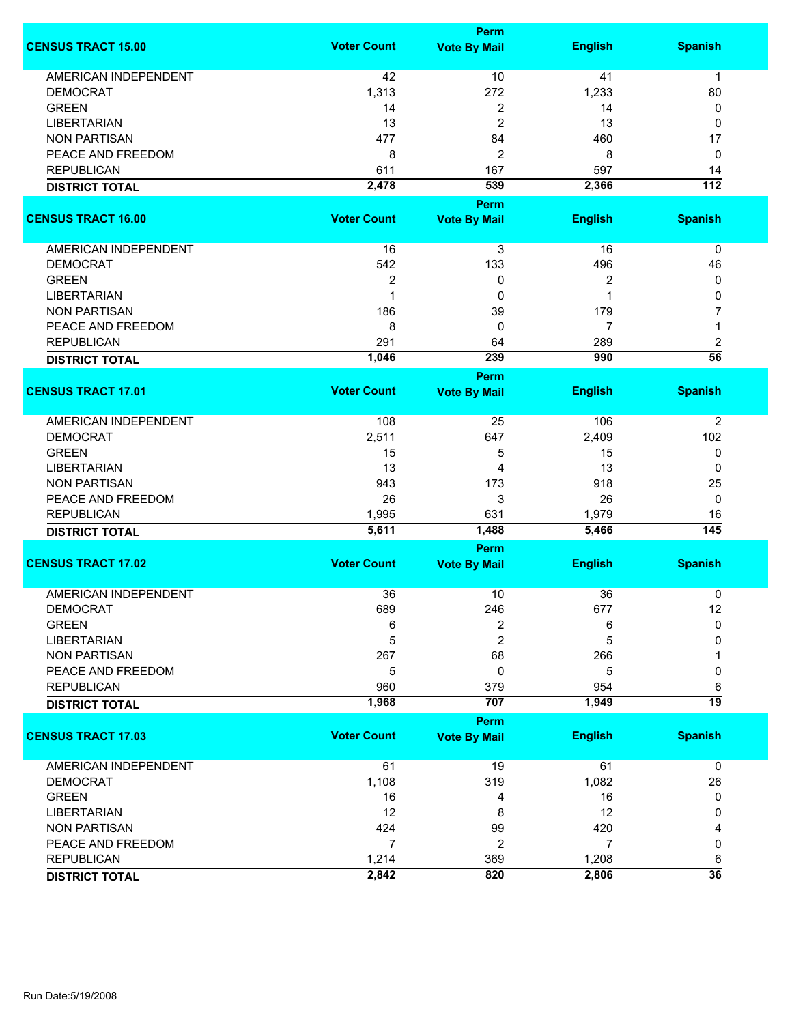|                             |                    | <b>Perm</b>                        |                |                        |
|-----------------------------|--------------------|------------------------------------|----------------|------------------------|
| <b>CENSUS TRACT 15.00</b>   | <b>Voter Count</b> | <b>Vote By Mail</b>                | <b>English</b> | <b>Spanish</b>         |
| <b>AMERICAN INDEPENDENT</b> | 42                 | 10                                 | 41             | $\mathbf 1$            |
| <b>DEMOCRAT</b>             | 1,313              | 272                                | 1,233          | 80                     |
| <b>GREEN</b>                | 14                 | 2                                  | 14             | 0                      |
| <b>LIBERTARIAN</b>          | 13                 | $\overline{c}$                     | 13             | 0                      |
| <b>NON PARTISAN</b>         | 477                | 84                                 | 460            | 17                     |
| PEACE AND FREEDOM           | 8                  | 2                                  | 8              | 0                      |
|                             |                    |                                    |                |                        |
| <b>REPUBLICAN</b>           | 611                | 167                                | 597            | 14<br>$\overline{112}$ |
| <b>DISTRICT TOTAL</b>       | 2,478              | 539                                | 2,366          |                        |
|                             |                    | Perm                               |                |                        |
| <b>CENSUS TRACT 16.00</b>   | <b>Voter Count</b> | <b>Vote By Mail</b>                | <b>English</b> | <b>Spanish</b>         |
| AMERICAN INDEPENDENT        | 16                 | 3                                  | 16             | 0                      |
| <b>DEMOCRAT</b>             | 542                | 133                                | 496            | 46                     |
| <b>GREEN</b>                | $\overline{2}$     | 0                                  | 2              | 0                      |
| <b>LIBERTARIAN</b>          | $\mathbf 1$        | 0                                  | 1              | 0                      |
| <b>NON PARTISAN</b>         | 186                | 39                                 | 179            | 7                      |
| PEACE AND FREEDOM           | 8                  | 0                                  | 7              | 1                      |
| <b>REPUBLICAN</b>           | 291                | 64                                 | 289            | 2                      |
|                             | 1,046              | 239                                | 990            | $\overline{56}$        |
| <b>DISTRICT TOTAL</b>       |                    |                                    |                |                        |
| <b>CENSUS TRACT 17.01</b>   | <b>Voter Count</b> | <b>Perm</b><br><b>Vote By Mail</b> | <b>English</b> | <b>Spanish</b>         |
|                             |                    |                                    |                |                        |
| <b>AMERICAN INDEPENDENT</b> | 108                | 25                                 | 106            | 2                      |
| <b>DEMOCRAT</b>             | 2,511              | 647                                | 2,409          | 102                    |
| <b>GREEN</b>                | 15                 | 5                                  | 15             | 0                      |
| <b>LIBERTARIAN</b>          | 13                 | 4                                  | 13             | 0                      |
| <b>NON PARTISAN</b>         | 943                | 173                                | 918            | 25                     |
| PEACE AND FREEDOM           | 26                 | 3                                  | 26             | 0                      |
| <b>REPUBLICAN</b>           | 1,995              | 631                                | 1,979          | 16                     |
| <b>DISTRICT TOTAL</b>       | 5,611              | 1,488                              | 5,466          | $\overline{145}$       |
|                             |                    | <b>Perm</b>                        |                |                        |
| <b>CENSUS TRACT 17.02</b>   | <b>Voter Count</b> | <b>Vote By Mail</b>                | <b>English</b> | <b>Spanish</b>         |
|                             |                    |                                    |                |                        |
| <b>AMERICAN INDEPENDENT</b> | 36                 | 10                                 | 36             | 0                      |
| <b>DEMOCRAT</b>             | 689                | 246                                | 677            | 12                     |
| <b>GREEN</b>                | 6                  | $\overline{2}$                     | 6              | $\mathbf 0$            |
| <b>LIBERTARIAN</b>          | 5                  | $\overline{2}$                     | 5              | 0                      |
| <b>NON PARTISAN</b>         | 267                | 68                                 | 266            |                        |
| PEACE AND FREEDOM           | 5                  | 0                                  | 5              | 0                      |
| <b>REPUBLICAN</b>           | 960                | 379                                | 954            | 6                      |
| <b>DISTRICT TOTAL</b>       | 1,968              | 707                                | 1,949          | 19                     |
|                             |                    | <b>Perm</b>                        |                |                        |
| <b>CENSUS TRACT 17.03</b>   | <b>Voter Count</b> | <b>Vote By Mail</b>                | <b>English</b> | <b>Spanish</b>         |
| <b>AMERICAN INDEPENDENT</b> | 61                 | 19                                 | 61             | $\mathbf 0$            |
| <b>DEMOCRAT</b>             | 1,108              | 319                                | 1,082          | 26                     |
| <b>GREEN</b>                | 16                 | 4                                  | 16             | 0                      |
| <b>LIBERTARIAN</b>          | 12                 | 8                                  | 12             | 0                      |
| <b>NON PARTISAN</b>         | 424                | 99                                 | 420            | 4                      |
| PEACE AND FREEDOM           | $\overline{7}$     | $\boldsymbol{2}$                   | $\overline{7}$ | 0                      |
| <b>REPUBLICAN</b>           | 1,214              | 369                                | 1,208          | 6                      |
| <b>DISTRICT TOTAL</b>       | 2,842              | 820                                | 2,806          | $\overline{36}$        |
|                             |                    |                                    |                |                        |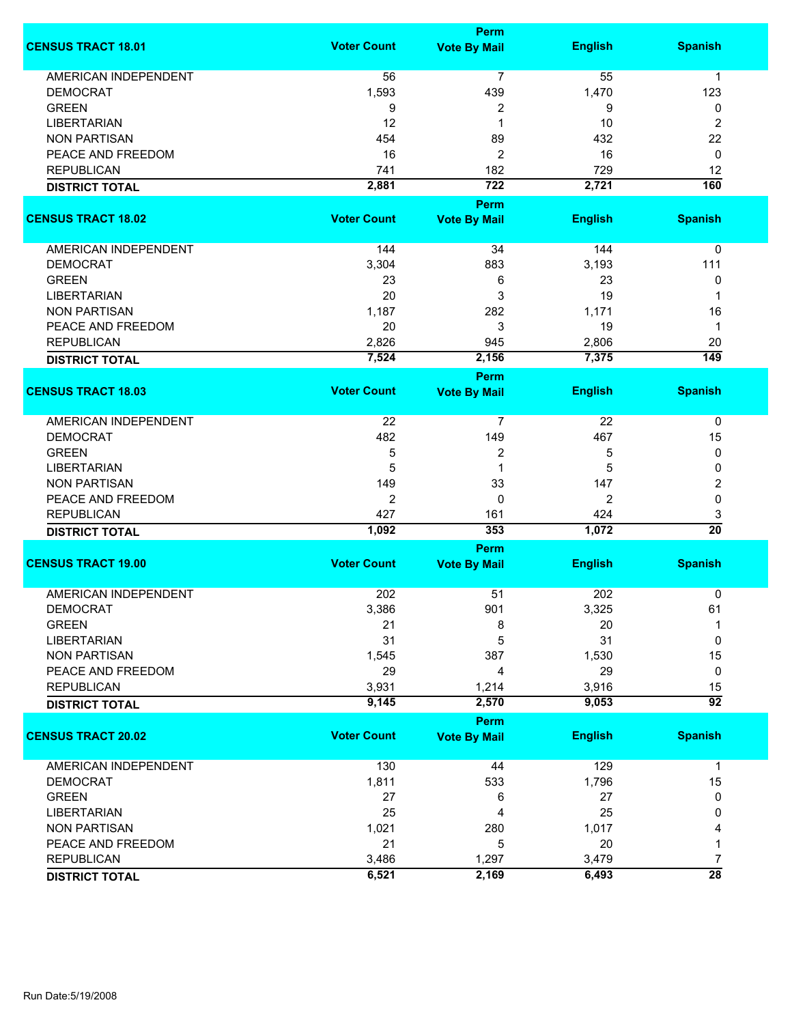|                             | <b>Perm</b>        |                                    |                |                      |
|-----------------------------|--------------------|------------------------------------|----------------|----------------------|
| <b>CENSUS TRACT 18.01</b>   | <b>Voter Count</b> | <b>Vote By Mail</b>                | <b>English</b> | <b>Spanish</b>       |
| <b>AMERICAN INDEPENDENT</b> | 56                 | 7                                  | 55             | $\mathbf{1}$         |
| <b>DEMOCRAT</b>             | 1,593              | 439                                | 1,470          | 123                  |
| <b>GREEN</b>                | 9                  | 2                                  | 9              | 0                    |
| <b>LIBERTARIAN</b>          | 12                 | 1                                  | 10             | 2                    |
| <b>NON PARTISAN</b>         | 454                | 89                                 | 432            | 22                   |
|                             |                    |                                    |                |                      |
| PEACE AND FREEDOM           | 16                 | 2                                  | 16             | 0                    |
| <b>REPUBLICAN</b>           | 741                | 182                                | 729            | 12                   |
| <b>DISTRICT TOTAL</b>       | 2,881              | $\overline{722}$                   | 2,721          | 160                  |
| <b>CENSUS TRACT 18.02</b>   | <b>Voter Count</b> | <b>Perm</b><br><b>Vote By Mail</b> | <b>English</b> | <b>Spanish</b>       |
| AMERICAN INDEPENDENT        | 144                | 34                                 | 144            | 0                    |
| <b>DEMOCRAT</b>             | 3,304              | 883                                | 3,193          | 111                  |
| <b>GREEN</b>                | 23                 | 6                                  | 23             | 0                    |
| <b>LIBERTARIAN</b>          | 20                 | 3                                  | 19             | 1                    |
| <b>NON PARTISAN</b>         | 1,187              | 282                                | 1,171          | 16                   |
|                             |                    |                                    |                |                      |
| PEACE AND FREEDOM           | 20                 | 3                                  | 19             | 1                    |
| <b>REPUBLICAN</b>           | 2,826              | 945                                | 2,806          | 20                   |
| <b>DISTRICT TOTAL</b>       | 7,524              | 2,156                              | 7,375          | $\overline{149}$     |
|                             |                    | <b>Perm</b>                        |                |                      |
| <b>CENSUS TRACT 18.03</b>   | <b>Voter Count</b> | <b>Vote By Mail</b>                | <b>English</b> | <b>Spanish</b>       |
| AMERICAN INDEPENDENT        | 22                 | 7                                  | 22             | 0                    |
| <b>DEMOCRAT</b>             | 482                | 149                                | 467            | 15                   |
| <b>GREEN</b>                | 5                  | 2                                  | 5              | 0                    |
| <b>LIBERTARIAN</b>          | 5                  | 1                                  | 5              | 0                    |
| <b>NON PARTISAN</b>         | 149                | 33                                 | 147            | 2                    |
| PEACE AND FREEDOM           | $\overline{2}$     | $\mathbf 0$                        | 2              | 0                    |
| <b>REPUBLICAN</b>           | 427                |                                    | 424            |                      |
|                             | 1,092              | 161<br>353                         | 1,072          | 3<br>$\overline{20}$ |
| <b>DISTRICT TOTAL</b>       |                    |                                    |                |                      |
| <b>CENSUS TRACT 19.00</b>   | <b>Voter Count</b> | Perm<br><b>Vote By Mail</b>        | <b>English</b> | <b>Spanish</b>       |
|                             |                    |                                    |                |                      |
| <b>AMERICAN INDEPENDENT</b> | 202                | 51                                 | 202            | 0                    |
| DEMOCRAT                    | 3,386              | 901                                | 3,325          | 61                   |
| <b>GREEN</b>                | 21                 | 8                                  | 20             | 1                    |
| <b>LIBERTARIAN</b>          | 31                 | 5                                  | 31             | 0                    |
| <b>NON PARTISAN</b>         | 1,545              | 387                                | 1,530          | 15                   |
| PEACE AND FREEDOM           | 29                 | 4                                  | 29             | 0                    |
| <b>REPUBLICAN</b>           | 3,931              | 1,214                              | 3,916          | 15                   |
| <b>DISTRICT TOTAL</b>       | 9,145              | 2,570                              | 9,053          | $\overline{92}$      |
|                             |                    | <b>Perm</b>                        |                |                      |
| <b>CENSUS TRACT 20.02</b>   | <b>Voter Count</b> | <b>Vote By Mail</b>                | <b>English</b> | <b>Spanish</b>       |
| <b>AMERICAN INDEPENDENT</b> | 130                | 44                                 | 129            | $\mathbf 1$          |
| <b>DEMOCRAT</b>             | 1,811              | 533                                | 1,796          | 15                   |
| <b>GREEN</b>                | 27                 | 6                                  | 27             | 0                    |
| <b>LIBERTARIAN</b>          | 25                 | 4                                  | 25             | 0                    |
| <b>NON PARTISAN</b>         | 1,021              | 280                                | 1,017          | 4                    |
| PEACE AND FREEDOM           | 21                 | 5                                  | 20             | 1                    |
| <b>REPUBLICAN</b>           | 3,486              | 1,297                              | 3,479          | 7                    |
|                             | 6,521              | 2,169                              | 6,493          | $\overline{28}$      |
| <b>DISTRICT TOTAL</b>       |                    |                                    |                |                      |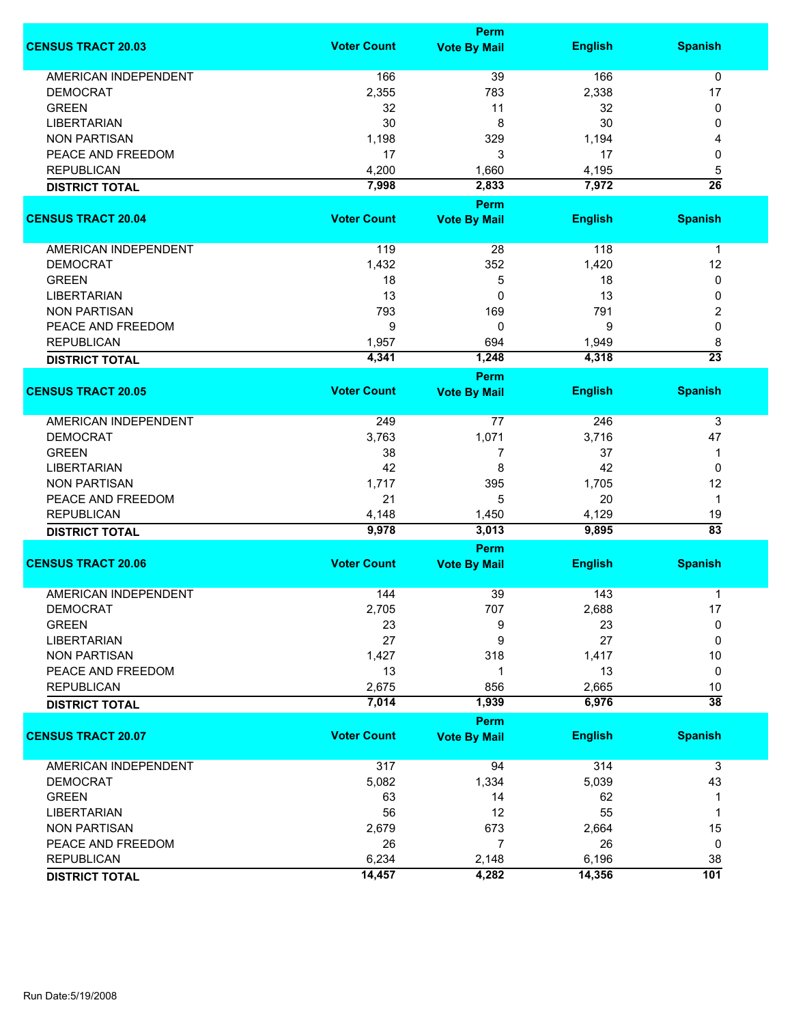|                             |                    | Perm                        |                |                 |
|-----------------------------|--------------------|-----------------------------|----------------|-----------------|
| <b>CENSUS TRACT 20.03</b>   | <b>Voter Count</b> | <b>Vote By Mail</b>         | <b>English</b> | <b>Spanish</b>  |
| <b>AMERICAN INDEPENDENT</b> | 166                | 39                          | 166            | $\mathbf 0$     |
| <b>DEMOCRAT</b>             | 2,355              | 783                         | 2,338          | 17              |
| <b>GREEN</b>                | 32                 | 11                          | 32             | 0               |
| <b>LIBERTARIAN</b>          | 30                 | 8                           | 30             | 0               |
| <b>NON PARTISAN</b>         | 1,198              | 329                         | 1,194          | 4               |
| PEACE AND FREEDOM           | 17                 | 3                           | 17             | 0               |
|                             |                    |                             |                |                 |
| <b>REPUBLICAN</b>           | 4,200              | 1,660                       | 4,195          | 5               |
| <b>DISTRICT TOTAL</b>       | 7,998              | 2,833                       | 7,972          | $\overline{26}$ |
| <b>CENSUS TRACT 20.04</b>   | <b>Voter Count</b> | Perm<br><b>Vote By Mail</b> | <b>English</b> | <b>Spanish</b>  |
|                             |                    |                             |                |                 |
| AMERICAN INDEPENDENT        | 119                | 28                          | 118            | $\mathbf{1}$    |
| <b>DEMOCRAT</b>             | 1,432              | 352                         | 1,420          | 12              |
| <b>GREEN</b>                | 18                 | 5                           | 18             | 0               |
| <b>LIBERTARIAN</b>          | 13                 | 0                           | 13             | 0               |
| <b>NON PARTISAN</b>         | 793                | 169                         | 791            | 2               |
| PEACE AND FREEDOM           | 9                  | 0                           | 9              | 0               |
| <b>REPUBLICAN</b>           | 1,957              | 694                         | 1,949          | 8               |
|                             | 4,341              | 1,248                       | 4,318          | $\overline{23}$ |
| <b>DISTRICT TOTAL</b>       |                    | <b>Perm</b>                 |                |                 |
| <b>CENSUS TRACT 20.05</b>   | <b>Voter Count</b> | <b>Vote By Mail</b>         | <b>English</b> | <b>Spanish</b>  |
| <b>AMERICAN INDEPENDENT</b> | 249                | 77                          | 246            |                 |
|                             |                    |                             |                | 3               |
| <b>DEMOCRAT</b>             | 3,763              | 1,071                       | 3,716          | 47              |
| <b>GREEN</b>                | 38                 | 7                           | 37             | $\mathbf 1$     |
| <b>LIBERTARIAN</b>          | 42                 | 8                           | 42             | 0               |
| <b>NON PARTISAN</b>         | 1,717              | 395                         | 1,705          | 12              |
| PEACE AND FREEDOM           | 21                 | 5                           | 20             | $\mathbf{1}$    |
| <b>REPUBLICAN</b>           | 4,148              | 1,450                       | 4,129          | 19              |
| <b>DISTRICT TOTAL</b>       | 9,978              | 3,013                       | 9,895          | $\overline{83}$ |
|                             |                    | Perm                        |                |                 |
| <b>CENSUS TRACT 20.06</b>   | <b>Voter Count</b> | <b>Vote By Mail</b>         | <b>English</b> | <b>Spanish</b>  |
| <b>AMERICAN INDEPENDENT</b> | 144                | 39                          | 143            | 1               |
| <b>DEMOCRAT</b>             | 2,705              | 707                         | 2,688          | 17              |
| <b>GREEN</b>                | 23                 | 9                           | 23             | 0               |
| <b>LIBERTARIAN</b>          | 27                 | 9                           | 27             | 0               |
| <b>NON PARTISAN</b>         | 1,427              | 318                         | 1,417          | 10              |
| PEACE AND FREEDOM           | 13                 | 1                           | 13             | 0               |
| <b>REPUBLICAN</b>           | 2,675              | 856                         | 2,665          | 10              |
|                             | 7,014              |                             | 6,976          | $\overline{38}$ |
| <b>DISTRICT TOTAL</b>       |                    | 1,939                       |                |                 |
| <b>CENSUS TRACT 20.07</b>   | <b>Voter Count</b> | Perm<br><b>Vote By Mail</b> | <b>English</b> | <b>Spanish</b>  |
| <b>AMERICAN INDEPENDENT</b> |                    |                             |                |                 |
|                             | 317                | 94                          | 314            | 3               |
| <b>DEMOCRAT</b>             | 5,082              | 1,334                       | 5,039          | 43              |
| <b>GREEN</b>                | 63                 | 14                          | 62             | 1               |
| <b>LIBERTARIAN</b>          | 56                 | 12                          | 55             | $\mathbf 1$     |
| <b>NON PARTISAN</b>         | 2,679              | 673                         | 2,664          | 15              |
| PEACE AND FREEDOM           | 26                 | $\overline{7}$              | 26             | 0               |
| <b>REPUBLICAN</b>           | 6,234              | 2,148                       | 6,196          | 38              |
| <b>DISTRICT TOTAL</b>       | 14,457             | 4,282                       | 14,356         | 101             |
|                             |                    |                             |                |                 |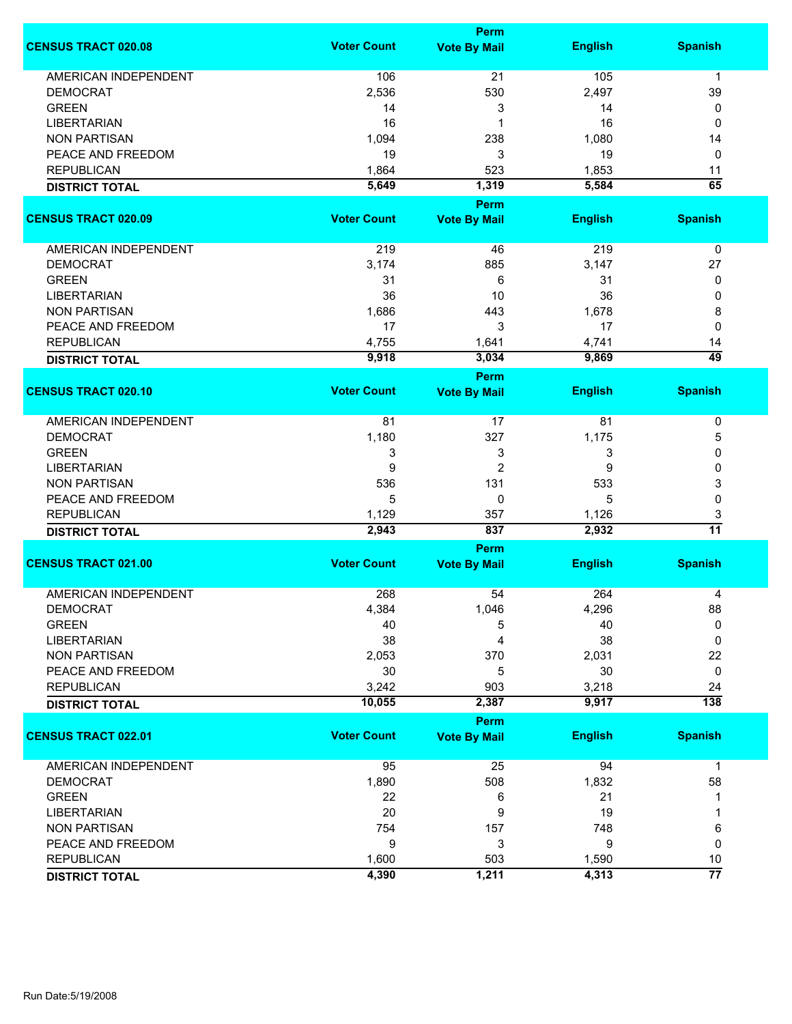|                             | Perm               |                     |                |                      |  |
|-----------------------------|--------------------|---------------------|----------------|----------------------|--|
| <b>CENSUS TRACT 020.08</b>  | <b>Voter Count</b> | <b>Vote By Mail</b> | <b>English</b> | <b>Spanish</b>       |  |
| <b>AMERICAN INDEPENDENT</b> | 106                | 21                  | 105            | $\mathbf{1}$         |  |
| <b>DEMOCRAT</b>             | 2,536              | 530                 | 2,497          | 39                   |  |
| <b>GREEN</b>                | 14                 | 3                   | 14             | 0                    |  |
| <b>LIBERTARIAN</b>          | 16                 | 1                   | 16             | 0                    |  |
| <b>NON PARTISAN</b>         | 1,094              | 238                 | 1,080          | 14                   |  |
| PEACE AND FREEDOM           | 19                 | 3                   | 19             | 0                    |  |
| <b>REPUBLICAN</b>           |                    |                     |                |                      |  |
|                             | 1,864              | 523                 | 1,853          | 11                   |  |
| <b>DISTRICT TOTAL</b>       | 5,649              | 1,319<br>Perm       | 5,584          | 65                   |  |
| <b>CENSUS TRACT 020.09</b>  | <b>Voter Count</b> | <b>Vote By Mail</b> | <b>English</b> | <b>Spanish</b>       |  |
|                             |                    |                     |                |                      |  |
| AMERICAN INDEPENDENT        | 219                | 46                  | 219            | $\pmb{0}$            |  |
| <b>DEMOCRAT</b>             | 3,174              | 885                 | 3,147          | 27                   |  |
| <b>GREEN</b>                | 31                 | 6                   | 31             | 0                    |  |
| <b>LIBERTARIAN</b>          | 36                 | 10                  | 36             | 0                    |  |
| <b>NON PARTISAN</b>         | 1,686              | 443                 | 1,678          | 8                    |  |
| PEACE AND FREEDOM           | 17                 | 3                   | 17             | 0                    |  |
| <b>REPUBLICAN</b>           | 4,755              | 1,641               | 4,741          | 14                   |  |
| <b>DISTRICT TOTAL</b>       | 9,918              | 3,034               | 9,869          | 49                   |  |
|                             |                    | <b>Perm</b>         |                |                      |  |
| <b>CENSUS TRACT 020.10</b>  | <b>Voter Count</b> | <b>Vote By Mail</b> | <b>English</b> | <b>Spanish</b>       |  |
| <b>AMERICAN INDEPENDENT</b> | 81                 | 17                  | 81             | 0                    |  |
| <b>DEMOCRAT</b>             | 1,180              | 327                 | 1,175          | 5                    |  |
| <b>GREEN</b>                | 3                  | 3                   | 3              | 0                    |  |
| <b>LIBERTARIAN</b>          | 9                  | $\overline{2}$      | 9              | 0                    |  |
| <b>NON PARTISAN</b>         | 536                | 131                 | 533            | 3                    |  |
| PEACE AND FREEDOM           | 5                  | 0                   | 5              | 0                    |  |
|                             |                    |                     |                |                      |  |
| <b>REPUBLICAN</b>           | 1,129<br>2,943     | 357<br>837          | 1,126<br>2,932 | 3<br>$\overline{11}$ |  |
| <b>DISTRICT TOTAL</b>       |                    | <b>Perm</b>         |                |                      |  |
| <b>CENSUS TRACT 021.00</b>  | <b>Voter Count</b> | <b>Vote By Mail</b> | <b>English</b> | <b>Spanish</b>       |  |
|                             |                    |                     |                |                      |  |
| <b>AMERICAN INDEPENDENT</b> | 268                | 54                  | 264            | 4                    |  |
| <b>DEMOCRAT</b>             | 4,384              | 1,046               | 4,296          | 88                   |  |
| <b>GREEN</b>                | 40                 | 5                   | 40             | 0                    |  |
| <b>LIBERTARIAN</b>          | 38                 | 4                   | 38             | 0                    |  |
| <b>NON PARTISAN</b>         | 2,053              | 370                 | 2,031          | 22                   |  |
| PEACE AND FREEDOM           | 30                 | 5                   | 30             | 0                    |  |
| <b>REPUBLICAN</b>           | 3,242              | 903                 | 3,218          | 24                   |  |
| <b>DISTRICT TOTAL</b>       | 10,055             | 2,387               | 9,917          | $\overline{138}$     |  |
|                             |                    | Perm                |                |                      |  |
| <b>CENSUS TRACT 022.01</b>  | <b>Voter Count</b> | <b>Vote By Mail</b> | <b>English</b> | <b>Spanish</b>       |  |
| AMERICAN INDEPENDENT        | 95                 | 25                  | 94             | $\mathbf{1}$         |  |
| <b>DEMOCRAT</b>             | 1,890              | 508                 | 1,832          | 58                   |  |
| <b>GREEN</b>                | 22                 | 6                   | 21             | 1                    |  |
| <b>LIBERTARIAN</b>          | 20                 | 9                   | 19             | 1                    |  |
| <b>NON PARTISAN</b>         | 754                | 157                 | 748            | 6                    |  |
| PEACE AND FREEDOM           | 9                  | 3                   | 9              | 0                    |  |
| <b>REPUBLICAN</b>           | 1,600              | 503                 | 1,590          | 10                   |  |
| <b>DISTRICT TOTAL</b>       | 4,390              | 1,211               | 4,313          | $\overline{77}$      |  |
|                             |                    |                     |                |                      |  |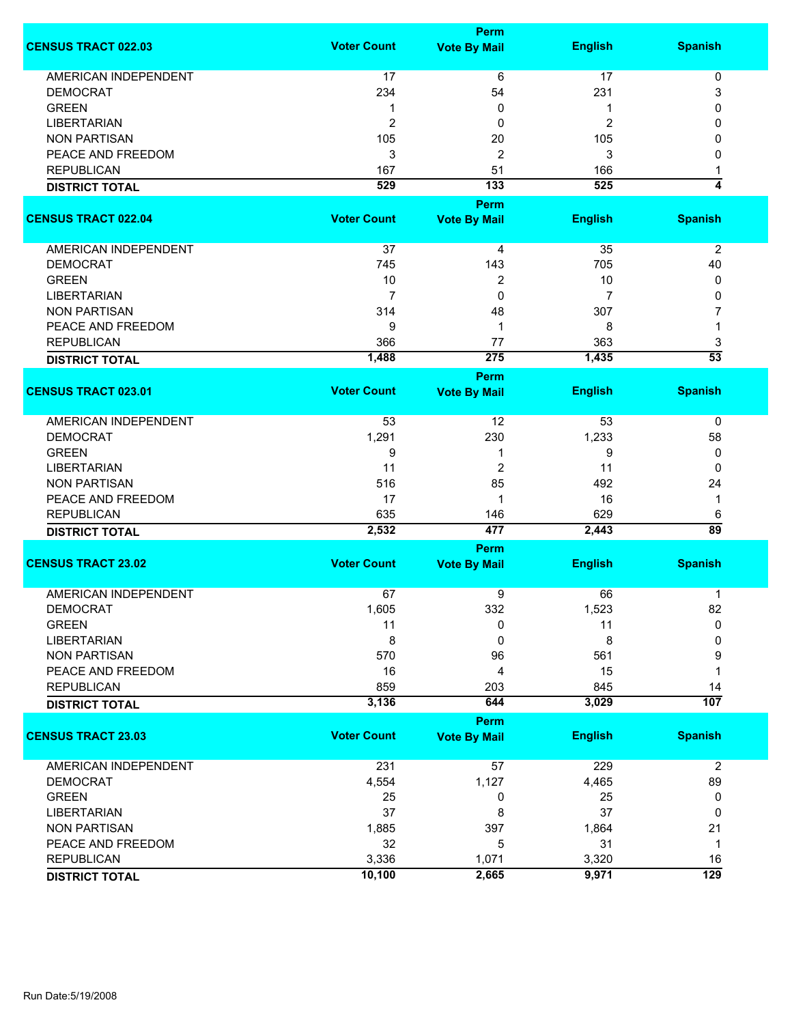|                             |                    | <b>Perm</b>         |                |                  |
|-----------------------------|--------------------|---------------------|----------------|------------------|
| <b>CENSUS TRACT 022.03</b>  | <b>Voter Count</b> | <b>Vote By Mail</b> | <b>English</b> | <b>Spanish</b>   |
| <b>AMERICAN INDEPENDENT</b> | 17                 | 6                   | 17             | $\pmb{0}$        |
| <b>DEMOCRAT</b>             | 234                | 54                  | 231            | 3                |
| <b>GREEN</b>                |                    | 0                   | 1              | 0                |
|                             | 1                  |                     |                |                  |
| <b>LIBERTARIAN</b>          | $\overline{2}$     | 0                   | $\overline{c}$ | 0                |
| <b>NON PARTISAN</b>         | 105                | 20                  | 105            | 0                |
| PEACE AND FREEDOM           | 3                  | 2                   | 3              | 0                |
| <b>REPUBLICAN</b>           | 167                | 51                  | 166            | 1                |
| <b>DISTRICT TOTAL</b>       | 529                | 133                 | 525            | 4                |
|                             |                    | Perm                |                |                  |
| <b>CENSUS TRACT 022.04</b>  | <b>Voter Count</b> | <b>Vote By Mail</b> | <b>English</b> | <b>Spanish</b>   |
| AMERICAN INDEPENDENT        | 37                 | 4                   | 35             | $\overline{2}$   |
| <b>DEMOCRAT</b>             | 745                | 143                 | 705            | 40               |
| <b>GREEN</b>                | 10                 | 2                   | 10             | 0                |
| <b>LIBERTARIAN</b>          | $\overline{7}$     | 0                   | 7              | 0                |
| <b>NON PARTISAN</b>         | 314                | 48                  | 307            | 7                |
|                             |                    |                     |                |                  |
| PEACE AND FREEDOM           | 9                  | 1                   | 8              | 1                |
| <b>REPUBLICAN</b>           | 366                | 77                  | 363            | 3                |
| <b>DISTRICT TOTAL</b>       | 1,488              | 275                 | 1,435          | $\overline{53}$  |
|                             |                    | Perm                |                |                  |
| <b>CENSUS TRACT 023.01</b>  | <b>Voter Count</b> | <b>Vote By Mail</b> | <b>English</b> | <b>Spanish</b>   |
| <b>AMERICAN INDEPENDENT</b> | 53                 | 12                  | 53             | 0                |
| <b>DEMOCRAT</b>             | 1,291              | 230                 | 1,233          | 58               |
| <b>GREEN</b>                | 9                  | 1                   | 9              | 0                |
| <b>LIBERTARIAN</b>          | 11                 | 2                   | 11             | 0                |
| <b>NON PARTISAN</b>         | 516                | 85                  | 492            | 24               |
| PEACE AND FREEDOM           | 17                 | 1                   | 16             | 1                |
| <b>REPUBLICAN</b>           | 635                | 146                 | 629            | 6                |
| <b>DISTRICT TOTAL</b>       | 2,532              | 477                 | 2,443          | $\overline{89}$  |
|                             |                    | <b>Perm</b>         |                |                  |
| <b>CENSUS TRACT 23.02</b>   | <b>Voter Count</b> | <b>Vote By Mail</b> | <b>English</b> | <b>Spanish</b>   |
|                             |                    |                     |                |                  |
| <b>AMERICAN INDEPENDENT</b> | 67                 | 9                   | 66             | 1                |
| <b>DEMOCRAT</b>             | 1,605              | 332                 | 1,523          | 82               |
| <b>GREEN</b>                | 11                 | 0                   | 11             | 0                |
| <b>LIBERTARIAN</b>          | 8                  | 0                   | 8              | 0                |
| <b>NON PARTISAN</b>         | 570                | 96                  | 561            | 9                |
| PEACE AND FREEDOM           | 16                 | 4                   | 15             | 1                |
| <b>REPUBLICAN</b>           | 859                | 203                 | 845            | 14               |
| <b>DISTRICT TOTAL</b>       | 3,136              | 644                 | 3,029          | 107              |
|                             |                    | <b>Perm</b>         |                |                  |
| <b>CENSUS TRACT 23.03</b>   | <b>Voter Count</b> | <b>Vote By Mail</b> | <b>English</b> | <b>Spanish</b>   |
| <b>AMERICAN INDEPENDENT</b> | 231                | 57                  | 229            | $\overline{2}$   |
| <b>DEMOCRAT</b>             | 4,554              | 1,127               | 4,465          | 89               |
| <b>GREEN</b>                | 25                 | 0                   | 25             | 0                |
| <b>LIBERTARIAN</b>          | 37                 | 8                   | 37             | 0                |
| <b>NON PARTISAN</b>         | 1,885              | 397                 | 1,864          | 21               |
| PEACE AND FREEDOM           | 32                 | 5                   | 31             | 1                |
| <b>REPUBLICAN</b>           | 3,336              | 1,071               | 3,320          | 16               |
|                             | 10,100             |                     |                | $\overline{129}$ |
| <b>DISTRICT TOTAL</b>       |                    | 2,665               | 9,971          |                  |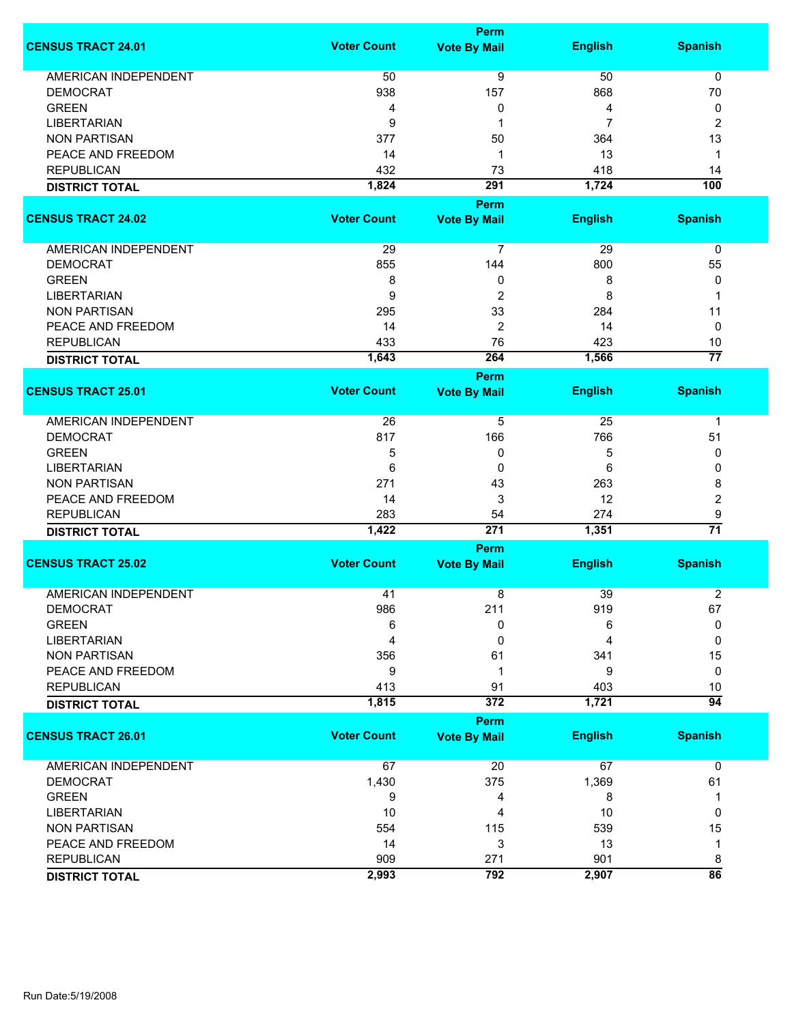|                             |                    | Perm                |                |                 |
|-----------------------------|--------------------|---------------------|----------------|-----------------|
| <b>CENSUS TRACT 24.01</b>   | <b>Voter Count</b> | <b>Vote By Mail</b> | <b>English</b> | <b>Spanish</b>  |
| <b>AMERICAN INDEPENDENT</b> | 50                 | $\overline{9}$      | 50             | 0               |
| <b>DEMOCRAT</b>             | 938                | 157                 | 868            | 70              |
| <b>GREEN</b>                | 4                  | 0                   | 4              | 0               |
| <b>LIBERTARIAN</b>          | 9                  | 1                   | $\overline{7}$ | $\overline{c}$  |
| <b>NON PARTISAN</b>         | 377                | 50                  | 364            | 13              |
| PEACE AND FREEDOM           | 14                 |                     |                | $\mathbf 1$     |
|                             |                    | 1                   | 13             |                 |
| <b>REPUBLICAN</b>           | 432                | 73                  | 418            | 14              |
| <b>DISTRICT TOTAL</b>       | 1,824              | 291                 | 1,724          | 100             |
|                             |                    | Perm                |                |                 |
| <b>CENSUS TRACT 24.02</b>   | <b>Voter Count</b> | <b>Vote By Mail</b> | <b>English</b> | <b>Spanish</b>  |
| AMERICAN INDEPENDENT        | 29                 | $\overline{7}$      | 29             | 0               |
| <b>DEMOCRAT</b>             | 855                | 144                 | 800            | 55              |
| <b>GREEN</b>                | 8                  | 0                   | 8              | 0               |
| <b>LIBERTARIAN</b>          | 9                  | $\overline{c}$      | 8              | 1               |
| <b>NON PARTISAN</b>         | 295                | 33                  | 284            | 11              |
| PEACE AND FREEDOM           | 14                 | $\overline{c}$      | 14             | 0               |
| <b>REPUBLICAN</b>           | 433                | 76                  | 423            | 10              |
|                             | 1,643              | 264                 | 1,566          | $\overline{77}$ |
| <b>DISTRICT TOTAL</b>       |                    |                     |                |                 |
| <b>CENSUS TRACT 25.01</b>   | <b>Voter Count</b> | Perm                |                |                 |
|                             |                    | <b>Vote By Mail</b> | <b>English</b> | <b>Spanish</b>  |
| <b>AMERICAN INDEPENDENT</b> | 26                 | 5                   | 25             | $\mathbf 1$     |
| <b>DEMOCRAT</b>             | 817                | 166                 | 766            | 51              |
| <b>GREEN</b>                | 5                  | 0                   | 5              | 0               |
| <b>LIBERTARIAN</b>          | 6                  | 0                   | 6              | 0               |
| <b>NON PARTISAN</b>         | 271                | 43                  | 263            | 8               |
| PEACE AND FREEDOM           | 14                 | 3                   | 12             | 2               |
| <b>REPUBLICAN</b>           | 283                | 54                  | 274            | 9               |
| <b>DISTRICT TOTAL</b>       | 1,422              | 271                 | 1,351          | $\overline{71}$ |
|                             |                    | <b>Perm</b>         |                |                 |
| <b>CENSUS TRACT 25.02</b>   | <b>Voter Count</b> | <b>Vote By Mail</b> | <b>English</b> | <b>Spanish</b>  |
|                             |                    |                     |                |                 |
| <b>AMERICAN INDEPENDENT</b> | 41                 | 8                   | 39             | $\overline{2}$  |
| <b>DEMOCRAT</b>             | 986                | 211                 | 919            | 67              |
| <b>GREEN</b>                | 6                  | 0                   | 6              | 0               |
| <b>LIBERTARIAN</b>          | 4                  | 0                   | 4              | 0               |
| <b>NON PARTISAN</b>         | 356                | 61                  | 341            | 15              |
| PEACE AND FREEDOM           | 9                  | 1                   | 9              | 0               |
| <b>REPUBLICAN</b>           | 413                | 91                  | 403            | 10              |
| <b>DISTRICT TOTAL</b>       | 1,815              | 372                 | 1,721          | $\overline{94}$ |
|                             |                    | Perm                |                |                 |
| <b>CENSUS TRACT 26.01</b>   | <b>Voter Count</b> | <b>Vote By Mail</b> | <b>English</b> | <b>Spanish</b>  |
| <b>AMERICAN INDEPENDENT</b> | 67                 | 20                  | 67             | $\mathbf 0$     |
| <b>DEMOCRAT</b>             | 1,430              | 375                 | 1,369          | 61              |
| <b>GREEN</b>                | 9                  | 4                   | 8              | 1               |
| <b>LIBERTARIAN</b>          | 10                 | 4                   | 10             | 0               |
| <b>NON PARTISAN</b>         | 554                | 115                 | 539            | 15              |
| PEACE AND FREEDOM           | 14                 | 3                   | 13             | 1               |
| <b>REPUBLICAN</b>           | 909                | 271                 | 901            | 8               |
| <b>DISTRICT TOTAL</b>       | 2,993              | 792                 | 2,907          | $\overline{86}$ |
|                             |                    |                     |                |                 |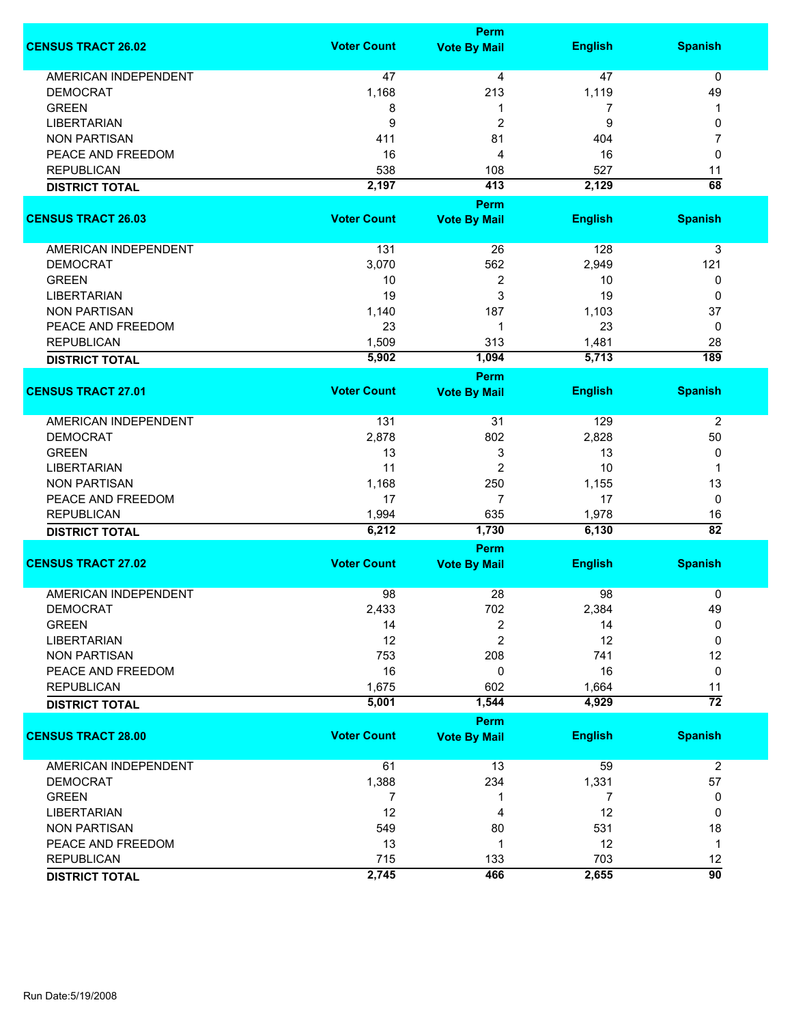|                             | Perm               |                     |                |                 |  |
|-----------------------------|--------------------|---------------------|----------------|-----------------|--|
| <b>CENSUS TRACT 26.02</b>   | <b>Voter Count</b> | <b>Vote By Mail</b> | <b>English</b> | <b>Spanish</b>  |  |
| <b>AMERICAN INDEPENDENT</b> | 47                 | 4                   | 47             | $\mathbf 0$     |  |
| <b>DEMOCRAT</b>             | 1,168              | 213                 | 1,119          | 49              |  |
| <b>GREEN</b>                | 8                  | 1                   | 7              | 1               |  |
| <b>LIBERTARIAN</b>          | 9                  | $\overline{c}$      | 9              | 0               |  |
| <b>NON PARTISAN</b>         | 411                | 81                  | 404            | 7               |  |
| PEACE AND FREEDOM           | 16                 | 4                   | 16             | 0               |  |
| <b>REPUBLICAN</b>           | 538                | 108                 | 527            | 11              |  |
|                             | 2,197              | 413                 | 2,129          | 68              |  |
| <b>DISTRICT TOTAL</b>       |                    | Perm                |                |                 |  |
| <b>CENSUS TRACT 26.03</b>   | <b>Voter Count</b> | <b>Vote By Mail</b> | <b>English</b> | <b>Spanish</b>  |  |
| AMERICAN INDEPENDENT        | 131                | 26                  | 128            | 3               |  |
| <b>DEMOCRAT</b>             | 3,070              | 562                 | 2,949          | 121             |  |
| <b>GREEN</b>                | 10                 | $\overline{2}$      | 10             | 0               |  |
| <b>LIBERTARIAN</b>          | 19                 | 3                   | 19             | 0               |  |
| <b>NON PARTISAN</b>         | 1,140              | 187                 | 1,103          | 37              |  |
| PEACE AND FREEDOM           |                    | 1                   | 23             |                 |  |
|                             | 23                 |                     |                | 0               |  |
| <b>REPUBLICAN</b>           | 1,509              | 313                 | 1,481          | 28              |  |
| <b>DISTRICT TOTAL</b>       | 5,902              | 1,094               | 5,713          | 189             |  |
|                             | <b>Voter Count</b> | <b>Perm</b>         |                |                 |  |
| <b>CENSUS TRACT 27.01</b>   |                    | <b>Vote By Mail</b> | <b>English</b> | <b>Spanish</b>  |  |
| AMERICAN INDEPENDENT        | 131                | 31                  | 129            | 2               |  |
| <b>DEMOCRAT</b>             | 2,878              | 802                 | 2,828          | 50              |  |
| <b>GREEN</b>                | 13                 | 3                   | 13             | 0               |  |
| <b>LIBERTARIAN</b>          | 11                 | $\overline{2}$      | 10             | 1               |  |
| <b>NON PARTISAN</b>         | 1,168              | 250                 | 1,155          | 13              |  |
| PEACE AND FREEDOM           | 17                 | $\overline{7}$      | 17             | 0               |  |
| <b>REPUBLICAN</b>           | 1,994              | 635                 | 1,978          | 16              |  |
| <b>DISTRICT TOTAL</b>       | 6,212              | 1,730               | 6,130          | $\overline{82}$ |  |
|                             |                    | Perm                |                |                 |  |
| <b>CENSUS TRACT 27.02</b>   | <b>Voter Count</b> | <b>Vote By Mail</b> | <b>English</b> | <b>Spanish</b>  |  |
|                             |                    |                     |                |                 |  |
| <b>AMERICAN INDEPENDENT</b> | 98                 | 28                  | 98             | 0               |  |
| DEMOCRAT                    | 2,433              | 702                 | 2,384          | 49              |  |
| <b>GREEN</b>                | 14                 | 2                   | 14             | 0               |  |
| <b>LIBERTARIAN</b>          | 12                 | $\overline{2}$      | 12             | 0               |  |
| <b>NON PARTISAN</b>         | 753                | 208                 | 741            | 12              |  |
| PEACE AND FREEDOM           | 16                 | 0                   | 16             | $\mathbf 0$     |  |
| <b>REPUBLICAN</b>           | 1,675              | 602                 | 1,664          | 11              |  |
| <b>DISTRICT TOTAL</b>       | 5,001              | 1,544               | 4,929          | $\overline{72}$ |  |
|                             |                    | Perm                |                |                 |  |
| <b>CENSUS TRACT 28.00</b>   | <b>Voter Count</b> | <b>Vote By Mail</b> | <b>English</b> | <b>Spanish</b>  |  |
| <b>AMERICAN INDEPENDENT</b> | 61                 | 13                  | 59             | $\overline{2}$  |  |
| <b>DEMOCRAT</b>             | 1,388              | 234                 | 1,331          | 57              |  |
| <b>GREEN</b>                | 7                  | 1                   | $\overline{7}$ | 0               |  |
| <b>LIBERTARIAN</b>          | 12                 | 4                   | 12             | 0               |  |
| <b>NON PARTISAN</b>         | 549                | 80                  | 531            | 18              |  |
| PEACE AND FREEDOM           | 13                 | $\mathbf 1$         | 12             | $\mathbf{1}$    |  |
| <b>REPUBLICAN</b>           | 715                | 133                 | 703            | 12              |  |
| <b>DISTRICT TOTAL</b>       | 2,745              | 466                 | 2,655          | 90              |  |
|                             |                    |                     |                |                 |  |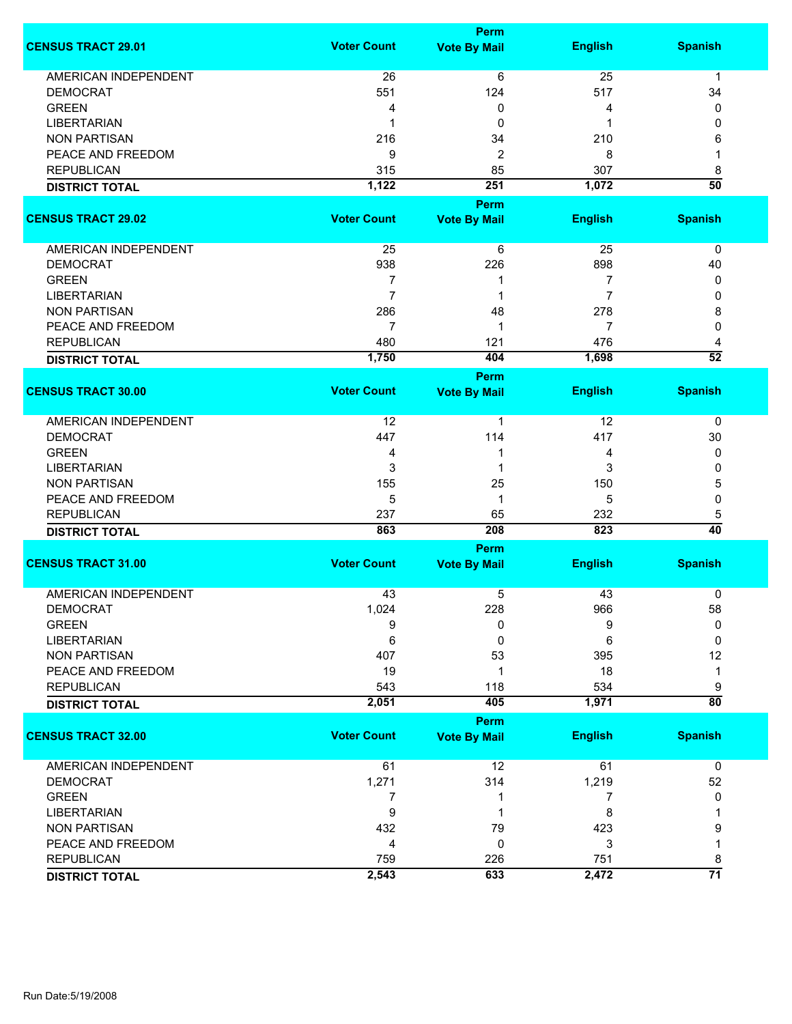|                             |                    | Perm                |                |                 |
|-----------------------------|--------------------|---------------------|----------------|-----------------|
| <b>CENSUS TRACT 29.01</b>   | <b>Voter Count</b> | <b>Vote By Mail</b> | <b>English</b> | <b>Spanish</b>  |
| AMERICAN INDEPENDENT        | 26                 | 6                   | 25             | 1               |
| <b>DEMOCRAT</b>             | 551                | 124                 | 517            | 34              |
| <b>GREEN</b>                | 4                  | 0                   | 4              | 0               |
| <b>LIBERTARIAN</b>          | -1                 | 0                   | 1              | 0               |
|                             |                    |                     |                |                 |
| <b>NON PARTISAN</b>         | 216                | 34                  | 210            | 6               |
| PEACE AND FREEDOM           | 9                  | $\overline{c}$      | 8              | 1               |
| <b>REPUBLICAN</b>           | 315                | 85                  | 307            | 8               |
| <b>DISTRICT TOTAL</b>       | 1,122              | 251                 | 1,072          | $\overline{50}$ |
|                             |                    | <b>Perm</b>         |                |                 |
| <b>CENSUS TRACT 29.02</b>   | <b>Voter Count</b> | <b>Vote By Mail</b> | <b>English</b> | <b>Spanish</b>  |
| AMERICAN INDEPENDENT        | 25                 | 6                   | 25             | 0               |
| <b>DEMOCRAT</b>             | 938                | 226                 | 898            | 40              |
| <b>GREEN</b>                | 7                  | 1                   | 7              | 0               |
| <b>LIBERTARIAN</b>          | $\overline{7}$     | 1                   | $\overline{7}$ | 0               |
|                             |                    |                     |                |                 |
| <b>NON PARTISAN</b>         | 286                | 48                  | 278            | 8               |
| PEACE AND FREEDOM           | 7                  | 1                   | 7              | 0               |
| <b>REPUBLICAN</b>           | 480                | 121                 | 476            | 4               |
| <b>DISTRICT TOTAL</b>       | 1,750              | 404                 | 1,698          | $\overline{52}$ |
|                             |                    | Perm                |                |                 |
| <b>CENSUS TRACT 30.00</b>   | <b>Voter Count</b> | <b>Vote By Mail</b> | <b>English</b> | <b>Spanish</b>  |
| <b>AMERICAN INDEPENDENT</b> | 12                 | 1                   | 12             | $\mathbf 0$     |
| <b>DEMOCRAT</b>             | 447                | 114                 | 417            | 30              |
| <b>GREEN</b>                | 4                  | 1                   | 4              | 0               |
| <b>LIBERTARIAN</b>          | 3                  | 1                   | 3              | 0               |
| <b>NON PARTISAN</b>         | 155                | 25                  | 150            | 5               |
| PEACE AND FREEDOM           | 5                  | 1                   | 5              | 0               |
| <b>REPUBLICAN</b>           | 237                | 65                  | 232            | 5               |
|                             | 863                | 208                 | 823            | 40              |
| <b>DISTRICT TOTAL</b>       |                    |                     |                |                 |
|                             |                    | <b>Perm</b>         |                |                 |
| <b>CENSUS TRACT 31.00</b>   | <b>Voter Count</b> | <b>Vote By Mail</b> | <b>English</b> | <b>Spanish</b>  |
| <b>AMERICAN INDEPENDENT</b> | 43                 | 5                   | 43             | 0               |
| <b>DEMOCRAT</b>             | 1,024              | 228                 | 966            | 58              |
| <b>GREEN</b>                | 9                  | 0                   | 9              | 0               |
| <b>LIBERTARIAN</b>          | 6                  | 0                   | 6              | 0               |
| <b>NON PARTISAN</b>         | 407                | 53                  | 395            | 12              |
| PEACE AND FREEDOM           |                    |                     | 18             |                 |
|                             | 19                 | 1                   |                | 1               |
| <b>REPUBLICAN</b>           | 543                | 118                 | 534            | 9               |
| <b>DISTRICT TOTAL</b>       | 2,051              | 405                 | 1,971          | $\overline{80}$ |
|                             |                    | <b>Perm</b>         |                |                 |
| <b>CENSUS TRACT 32.00</b>   | <b>Voter Count</b> | <b>Vote By Mail</b> | <b>English</b> | <b>Spanish</b>  |
| AMERICAN INDEPENDENT        | 61                 | 12                  | 61             | $\mathbf 0$     |
| <b>DEMOCRAT</b>             | 1,271              | 314                 | 1,219          | 52              |
| <b>GREEN</b>                | 7                  | 1                   | 7              | 0               |
| <b>LIBERTARIAN</b>          | 9                  | 1                   | 8              | 1               |
| <b>NON PARTISAN</b>         | 432                | 79                  | 423            | 9               |
| PEACE AND FREEDOM           | 4                  | 0                   | 3              | 1               |
| <b>REPUBLICAN</b>           | 759                | 226                 | 751            | 8               |
|                             | 2,543              | 633                 | 2,472          | $\overline{71}$ |
| <b>DISTRICT TOTAL</b>       |                    |                     |                |                 |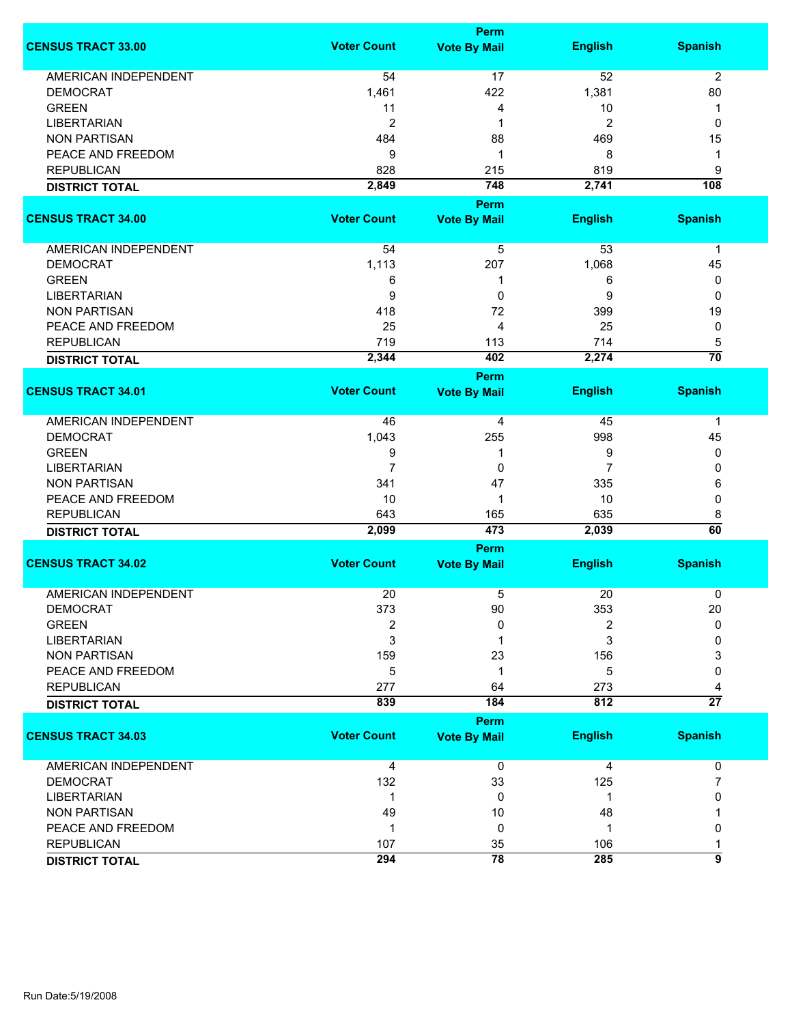|                             |                    | <b>Perm</b>         |                |                  |
|-----------------------------|--------------------|---------------------|----------------|------------------|
| <b>CENSUS TRACT 33.00</b>   | <b>Voter Count</b> | <b>Vote By Mail</b> | <b>English</b> | <b>Spanish</b>   |
| <b>AMERICAN INDEPENDENT</b> | 54                 | 17                  | 52             | $\overline{2}$   |
| <b>DEMOCRAT</b>             | 1,461              | 422                 | 1,381          | 80               |
| <b>GREEN</b>                | 11                 | 4                   | 10             | 1                |
| <b>LIBERTARIAN</b>          | $\overline{2}$     | 1                   | $\overline{c}$ | 0                |
| <b>NON PARTISAN</b>         |                    |                     |                |                  |
|                             | 484                | 88                  | 469            | 15               |
| PEACE AND FREEDOM           | 9                  | 1                   | 8              | 1                |
| <b>REPUBLICAN</b>           | 828                | 215                 | 819            | 9                |
| <b>DISTRICT TOTAL</b>       | 2,849              | 748                 | 2,741          | $\overline{108}$ |
|                             |                    | <b>Perm</b>         |                |                  |
| <b>CENSUS TRACT 34.00</b>   | <b>Voter Count</b> | <b>Vote By Mail</b> | <b>English</b> | <b>Spanish</b>   |
| AMERICAN INDEPENDENT        | 54                 | 5                   | 53             | $\mathbf 1$      |
| <b>DEMOCRAT</b>             | 1,113              | 207                 | 1,068          | 45               |
| <b>GREEN</b>                | 6                  | 1                   | 6              | 0                |
| <b>LIBERTARIAN</b>          | 9                  | 0                   | 9              | 0                |
|                             |                    |                     |                |                  |
| <b>NON PARTISAN</b>         | 418                | 72                  | 399            | 19               |
| PEACE AND FREEDOM           | 25                 | 4                   | 25             | 0                |
| <b>REPUBLICAN</b>           | 719                | 113                 | 714            | 5                |
| <b>DISTRICT TOTAL</b>       | 2,344              | 402                 | 2,274          | $\overline{70}$  |
|                             |                    | <b>Perm</b>         |                |                  |
| <b>CENSUS TRACT 34.01</b>   | <b>Voter Count</b> | <b>Vote By Mail</b> | <b>English</b> | <b>Spanish</b>   |
| <b>AMERICAN INDEPENDENT</b> | 46                 | 4                   | 45             | $\mathbf 1$      |
| <b>DEMOCRAT</b>             | 1,043              | 255                 | 998            | 45               |
| <b>GREEN</b>                | 9                  | 1                   | 9              | 0                |
| <b>LIBERTARIAN</b>          | $\overline{7}$     | 0                   | 7              | 0                |
| <b>NON PARTISAN</b>         | 341                | 47                  | 335            | 6                |
| PEACE AND FREEDOM           | 10                 | 1                   | 10             | 0                |
| <b>REPUBLICAN</b>           | 643                | 165                 | 635            | 8                |
|                             | 2,099              | 473                 | 2,039          | $\overline{60}$  |
| <b>DISTRICT TOTAL</b>       |                    | <b>Perm</b>         |                |                  |
| <b>CENSUS TRACT 34.02</b>   | <b>Voter Count</b> | <b>Vote By Mail</b> | <b>English</b> | <b>Spanish</b>   |
| <b>AMERICAN INDEPENDENT</b> | 20                 | 5                   | 20             | 0                |
|                             |                    |                     |                |                  |
| <b>DEMOCRAT</b>             | 373                | 90                  | 353            | 20               |
| <b>GREEN</b>                | $\overline{2}$     | 0                   | 2              | $\mathbf{0}$     |
| <b>LIBERTARIAN</b>          | 3                  |                     | 3              | 0                |
| <b>NON PARTISAN</b>         | 159                | 23                  | 156            | 3                |
| PEACE AND FREEDOM           | 5                  | 1                   | 5              | 0                |
| <b>REPUBLICAN</b>           | 277                | 64                  | 273            |                  |
| <b>DISTRICT TOTAL</b>       | 839                | 184                 | 812            | $\overline{27}$  |
|                             |                    | <b>Perm</b>         |                |                  |
| <b>CENSUS TRACT 34.03</b>   | <b>Voter Count</b> | <b>Vote By Mail</b> | <b>English</b> | <b>Spanish</b>   |
| <b>AMERICAN INDEPENDENT</b> | 4                  | 0                   | 4              | 0                |
| <b>DEMOCRAT</b>             | 132                | 33                  | 125            | 7                |
| <b>LIBERTARIAN</b>          | $\mathbf 1$        | 0                   | 1              | 0                |
| <b>NON PARTISAN</b>         | 49                 | 10                  | 48             |                  |
| PEACE AND FREEDOM           | 1                  | 0                   | 1              | 0                |
| <b>REPUBLICAN</b>           |                    |                     |                |                  |
|                             | 107                | 35                  | 106            | 1<br>9           |
| <b>DISTRICT TOTAL</b>       | 294                | 78                  | 285            |                  |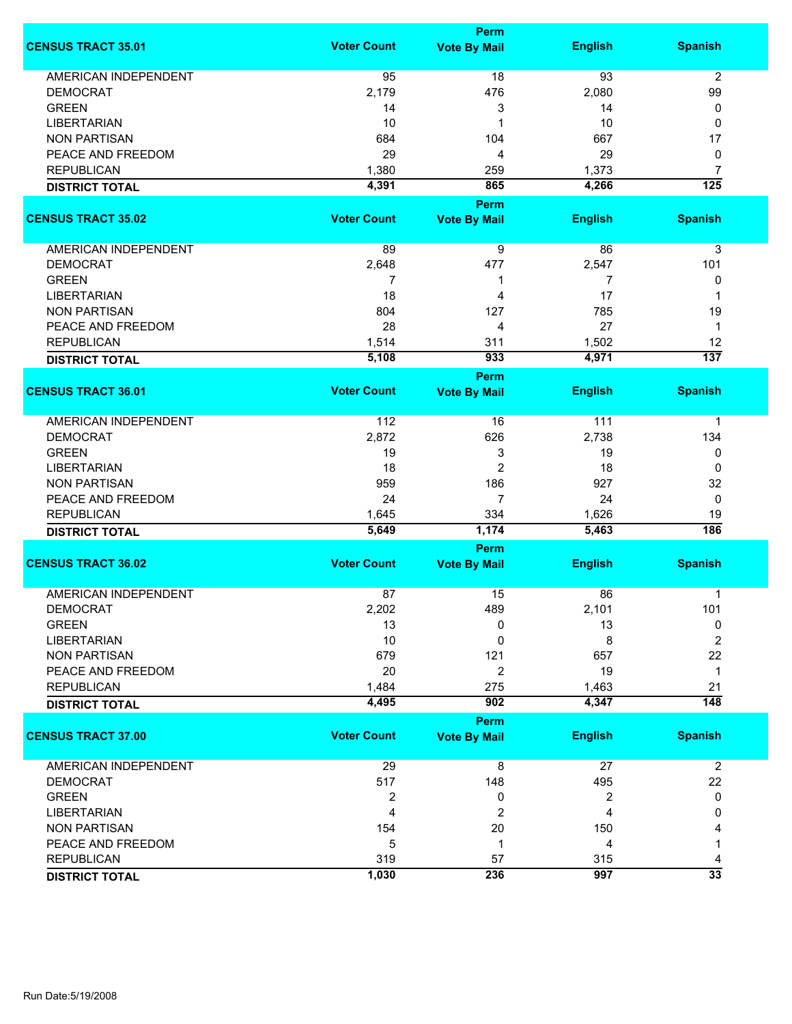|                             | <b>Perm</b>        |                                    |                |                  |  |
|-----------------------------|--------------------|------------------------------------|----------------|------------------|--|
| <b>CENSUS TRACT 35.01</b>   | <b>Voter Count</b> | <b>Vote By Mail</b>                | <b>English</b> | <b>Spanish</b>   |  |
| <b>AMERICAN INDEPENDENT</b> | 95                 | 18                                 | 93             | $\overline{2}$   |  |
| <b>DEMOCRAT</b>             | 2,179              | 476                                | 2,080          | 99               |  |
| <b>GREEN</b>                | 14                 | 3                                  | 14             | 0                |  |
| <b>LIBERTARIAN</b>          | 10                 | 1                                  | 10             | 0                |  |
| <b>NON PARTISAN</b>         | 684                | 104                                | 667            | 17               |  |
| PEACE AND FREEDOM           | 29                 |                                    | 29             |                  |  |
|                             |                    | 4                                  |                | 0                |  |
| <b>REPUBLICAN</b>           | 1,380              | 259                                | 1,373          | 7                |  |
| <b>DISTRICT TOTAL</b>       | 4,391              | 865<br><b>Perm</b>                 | 4,266          | $\overline{125}$ |  |
| <b>CENSUS TRACT 35.02</b>   | <b>Voter Count</b> | <b>Vote By Mail</b>                | <b>English</b> | <b>Spanish</b>   |  |
| AMERICAN INDEPENDENT        | 89                 | 9                                  | 86             | 3                |  |
| <b>DEMOCRAT</b>             | 2,648              | 477                                | 2,547          | 101              |  |
| <b>GREEN</b>                | 7                  | 1                                  | 7              | 0                |  |
| <b>LIBERTARIAN</b>          | 18                 | 4                                  | 17             | 1                |  |
| <b>NON PARTISAN</b>         | 804                | 127                                | 785            | 19               |  |
| PEACE AND FREEDOM           | 28                 | 4                                  | 27             | 1                |  |
|                             |                    |                                    |                |                  |  |
| <b>REPUBLICAN</b>           | 1,514              | 311                                | 1,502          | 12               |  |
| <b>DISTRICT TOTAL</b>       | 5,108              | 933                                | 4,971          | 137              |  |
| <b>CENSUS TRACT 36.01</b>   | <b>Voter Count</b> | <b>Perm</b><br><b>Vote By Mail</b> | <b>English</b> | <b>Spanish</b>   |  |
|                             |                    |                                    |                |                  |  |
| AMERICAN INDEPENDENT        | 112                | 16                                 | $111$          | 1                |  |
| <b>DEMOCRAT</b>             | 2,872              | 626                                | 2,738          | 134              |  |
| <b>GREEN</b>                | 19                 | 3                                  | 19             | 0                |  |
| <b>LIBERTARIAN</b>          | 18                 | $\overline{2}$                     | 18             | 0                |  |
| <b>NON PARTISAN</b>         | 959                | 186                                | 927            | 32               |  |
| PEACE AND FREEDOM           | 24                 | $\overline{7}$                     | 24             | 0                |  |
| <b>REPUBLICAN</b>           | 1,645              | 334                                | 1,626          | 19               |  |
| <b>DISTRICT TOTAL</b>       | 5,649              | 1,174                              | 5,463          | 186              |  |
|                             |                    | <b>Perm</b>                        |                |                  |  |
| <b>CENSUS TRACT 36.02</b>   | <b>Voter Count</b> | <b>Vote By Mail</b>                | <b>English</b> | <b>Spanish</b>   |  |
|                             |                    |                                    |                |                  |  |
| <b>AMERICAN INDEPENDENT</b> | 87                 | 15                                 | 86             | 1                |  |
| DEMOCRAT                    | 2,202              | 489                                | 2,101          | 101              |  |
| <b>GREEN</b>                | 13                 | 0                                  | 13             | 0                |  |
| <b>LIBERTARIAN</b>          | 10                 | 0                                  | 8              | $\overline{2}$   |  |
| <b>NON PARTISAN</b>         | 679                | 121                                | 657            | 22               |  |
| PEACE AND FREEDOM           | 20                 | $\overline{c}$                     | 19             | $\mathbf 1$      |  |
| <b>REPUBLICAN</b>           | 1,484              | 275                                | 1,463          | 21               |  |
| <b>DISTRICT TOTAL</b>       | 4,495              | 902                                | 4,347          | $\overline{148}$ |  |
|                             |                    | Perm                               |                |                  |  |
| <b>CENSUS TRACT 37.00</b>   | <b>Voter Count</b> | <b>Vote By Mail</b>                | <b>English</b> | <b>Spanish</b>   |  |
| <b>AMERICAN INDEPENDENT</b> | 29                 | 8                                  | 27             | $\overline{2}$   |  |
| <b>DEMOCRAT</b>             | 517                | 148                                | 495            | 22               |  |
| <b>GREEN</b>                | $\overline{2}$     | 0                                  | 2              | 0                |  |
| <b>LIBERTARIAN</b>          | 4                  | $\overline{2}$                     | 4              | 0                |  |
| <b>NON PARTISAN</b>         | 154                | 20                                 | 150            |                  |  |
| PEACE AND FREEDOM           | 5                  | 1                                  | 4              | 1                |  |
| <b>REPUBLICAN</b>           | 319                | 57                                 | 315            | 4                |  |
|                             | 1,030              | 236                                | 997            | $\overline{33}$  |  |
| <b>DISTRICT TOTAL</b>       |                    |                                    |                |                  |  |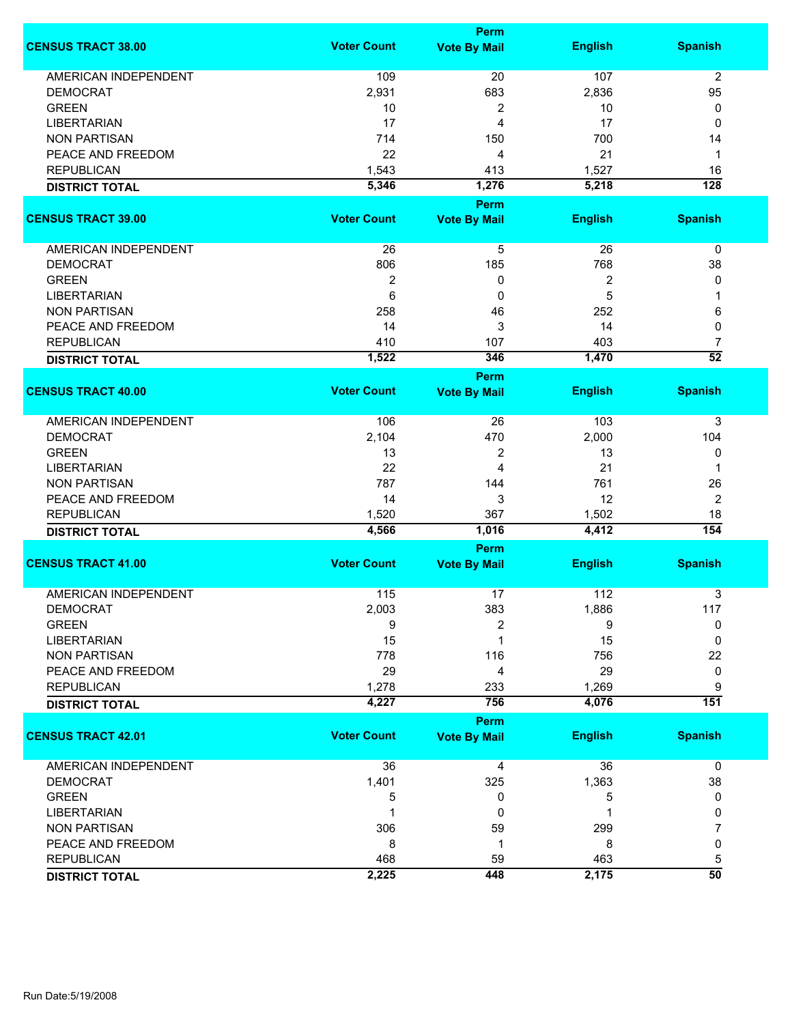|                             |                    | <b>Perm</b>         |                  |                  |
|-----------------------------|--------------------|---------------------|------------------|------------------|
| <b>CENSUS TRACT 38.00</b>   | <b>Voter Count</b> | <b>Vote By Mail</b> | <b>English</b>   | <b>Spanish</b>   |
| <b>AMERICAN INDEPENDENT</b> | 109                | 20                  | 107              | $\overline{2}$   |
| <b>DEMOCRAT</b>             | 2,931              | 683                 | 2,836            | 95               |
| <b>GREEN</b>                | 10                 | 2                   | 10               | 0                |
| <b>LIBERTARIAN</b>          | 17                 | 4                   | 17               | 0                |
| <b>NON PARTISAN</b>         | 714                | 150                 | 700              | 14               |
|                             |                    |                     |                  |                  |
| PEACE AND FREEDOM           | 22                 | 4                   | 21               | 1                |
| <b>REPUBLICAN</b>           | 1,543              | 413                 | 1,527            | 16               |
| <b>DISTRICT TOTAL</b>       | 5,346              | 1,276               | 5,218            | $\overline{128}$ |
| <b>CENSUS TRACT 39.00</b>   | <b>Voter Count</b> | <b>Perm</b>         | <b>English</b>   | <b>Spanish</b>   |
|                             |                    | <b>Vote By Mail</b> |                  |                  |
| AMERICAN INDEPENDENT        | 26                 | 5                   | 26               | 0                |
| <b>DEMOCRAT</b>             | 806                | 185                 | 768              | 38               |
| <b>GREEN</b>                | $\boldsymbol{2}$   | 0                   | $\boldsymbol{2}$ | 0                |
| <b>LIBERTARIAN</b>          | 6                  | 0                   | 5                | 1                |
| <b>NON PARTISAN</b>         | 258                | 46                  | 252              | 6                |
| PEACE AND FREEDOM           | 14                 | 3                   | 14               | 0                |
| <b>REPUBLICAN</b>           | 410                | 107                 | 403              | 7                |
|                             | 1,522              | 346                 | 1,470            | $\overline{52}$  |
| <b>DISTRICT TOTAL</b>       |                    | <b>Perm</b>         |                  |                  |
| <b>CENSUS TRACT 40.00</b>   | <b>Voter Count</b> | <b>Vote By Mail</b> | <b>English</b>   | <b>Spanish</b>   |
| <b>AMERICAN INDEPENDENT</b> | 106                | 26                  | 103              | 3                |
| <b>DEMOCRAT</b>             | 2,104              | 470                 | 2,000            | 104              |
| <b>GREEN</b>                | 13                 | 2                   | 13               | 0                |
| <b>LIBERTARIAN</b>          | 22                 | 4                   | 21               | 1                |
|                             | 787                |                     | 761              |                  |
| <b>NON PARTISAN</b>         |                    | 144                 |                  | 26               |
| PEACE AND FREEDOM           | 14                 | 3                   | 12               | $\overline{2}$   |
| <b>REPUBLICAN</b>           | 1,520              | 367                 | 1,502            | 18               |
| <b>DISTRICT TOTAL</b>       | 4,566              | 1,016               | 4,412            | 154              |
|                             |                    | Perm                |                  |                  |
| <b>CENSUS TRACT 41.00</b>   | <b>Voter Count</b> | <b>Vote By Mail</b> | <b>English</b>   | <b>Spanish</b>   |
| <b>AMERICAN INDEPENDENT</b> | 115                | 17                  | 112              | 3                |
| <b>DEMOCRAT</b>             | 2,003              | 383                 | 1,886            | 117              |
| <b>GREEN</b>                | 9                  | 2                   | 9                | 0                |
| <b>LIBERTARIAN</b>          | 15                 | 1                   | 15               | 0                |
| <b>NON PARTISAN</b>         | 778                | 116                 | 756              | 22               |
| PEACE AND FREEDOM           | 29                 | 4                   | 29               | 0                |
| <b>REPUBLICAN</b>           | 1,278              | 233                 | 1,269            | 9                |
| <b>DISTRICT TOTAL</b>       | 4,227              | 756                 | 4,076            | $\overline{151}$ |
|                             |                    | Perm                |                  |                  |
| <b>CENSUS TRACT 42.01</b>   | <b>Voter Count</b> | <b>Vote By Mail</b> | <b>English</b>   | <b>Spanish</b>   |
| AMERICAN INDEPENDENT        | 36                 | 4                   | 36               | $\mathbf 0$      |
| <b>DEMOCRAT</b>             | 1,401              | 325                 | 1,363            | 38               |
| <b>GREEN</b>                | 5                  | 0                   | 5                | 0                |
| <b>LIBERTARIAN</b>          |                    | 0                   |                  | 0                |
| <b>NON PARTISAN</b>         | 306                | 59                  | 299              | 7                |
| PEACE AND FREEDOM           | 8                  | 1                   | 8                | 0                |
| <b>REPUBLICAN</b>           | 468                | 59                  | 463              | 5                |
| <b>DISTRICT TOTAL</b>       | 2,225              | 448                 | 2,175            | $\overline{50}$  |
|                             |                    |                     |                  |                  |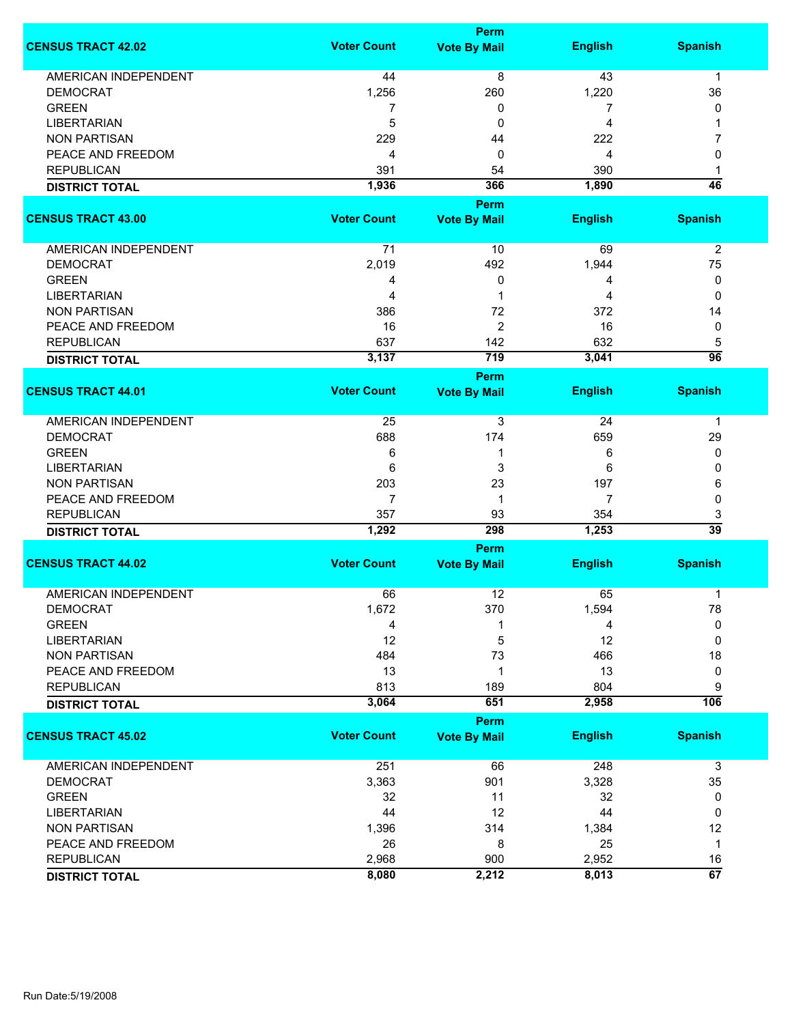|                             |                    | <b>Perm</b>                        |                |                 |
|-----------------------------|--------------------|------------------------------------|----------------|-----------------|
| <b>CENSUS TRACT 42.02</b>   | <b>Voter Count</b> | <b>Vote By Mail</b>                | <b>English</b> | <b>Spanish</b>  |
| <b>AMERICAN INDEPENDENT</b> | 44                 | 8                                  | 43             | $\mathbf{1}$    |
| <b>DEMOCRAT</b>             | 1,256              | 260                                | 1,220          | 36              |
| <b>GREEN</b>                | 7                  | 0                                  | 7              | 0               |
| <b>LIBERTARIAN</b>          | 5                  | 0                                  | 4              | 1               |
| <b>NON PARTISAN</b>         | 229                | 44                                 | 222            | 7               |
| PEACE AND FREEDOM           | 4                  | 0                                  | 4              | 0               |
|                             |                    |                                    |                |                 |
| <b>REPUBLICAN</b>           | 391                | 54                                 | 390            | 1               |
| <b>DISTRICT TOTAL</b>       | 1,936              | 366                                | 1,890          | $\overline{46}$ |
|                             |                    | <b>Perm</b>                        |                |                 |
| <b>CENSUS TRACT 43.00</b>   | <b>Voter Count</b> | <b>Vote By Mail</b>                | <b>English</b> | <b>Spanish</b>  |
| <b>AMERICAN INDEPENDENT</b> | 71                 | 10                                 | 69             | $\overline{2}$  |
| <b>DEMOCRAT</b>             | 2,019              | 492                                | 1,944          | 75              |
| <b>GREEN</b>                | 4                  | 0                                  | 4              | 0               |
| <b>LIBERTARIAN</b>          | 4                  | 1                                  | 4              | 0               |
| <b>NON PARTISAN</b>         | 386                | 72                                 | 372            | 14              |
| PEACE AND FREEDOM           | 16                 | 2                                  | 16             | 0               |
| <b>REPUBLICAN</b>           | 637                | 142                                | 632            | 5               |
|                             | 3,137              | 719                                | 3,041          | $\overline{96}$ |
| <b>DISTRICT TOTAL</b>       |                    |                                    |                |                 |
| <b>CENSUS TRACT 44.01</b>   | <b>Voter Count</b> | <b>Perm</b><br><b>Vote By Mail</b> | <b>English</b> | <b>Spanish</b>  |
| <b>AMERICAN INDEPENDENT</b> | 25                 | 3                                  | 24             | 1               |
| <b>DEMOCRAT</b>             | 688                | 174                                | 659            | 29              |
| <b>GREEN</b>                | 6                  | 1                                  | 6              | 0               |
| <b>LIBERTARIAN</b>          | 6                  | 3                                  | 6              | 0               |
| <b>NON PARTISAN</b>         | 203                | 23                                 | 197            | 6               |
| PEACE AND FREEDOM           | 7                  | 1                                  | 7              | 0               |
| <b>REPUBLICAN</b>           | 357                | 93                                 | 354            | 3               |
| <b>DISTRICT TOTAL</b>       | 1,292              | 298                                | 1,253          | $\overline{39}$ |
|                             |                    | <b>Perm</b>                        |                |                 |
| <b>CENSUS TRACT 44.02</b>   | <b>Voter Count</b> | <b>Vote By Mail</b>                | <b>English</b> | <b>Spanish</b>  |
| <b>AMERICAN INDEPENDENT</b> | 66                 | 12                                 | 65             | 1               |
| <b>DEMOCRAT</b>             | 1,672              | 370                                | 1,594          | 78              |
| <b>GREEN</b>                | 4                  | 1                                  | 4              | 0               |
| <b>LIBERTARIAN</b>          | 12                 | 5                                  | 12             | 0               |
| <b>NON PARTISAN</b>         | 484                | 73                                 | 466            | 18              |
| PEACE AND FREEDOM           |                    |                                    |                |                 |
|                             | 13                 | 1                                  | 13             | 0               |
| <b>REPUBLICAN</b>           | 813<br>3,064       | 189<br>651                         | 804<br>2,958   | 9<br>106        |
| <b>DISTRICT TOTAL</b>       |                    |                                    |                |                 |
| <b>CENSUS TRACT 45.02</b>   | <b>Voter Count</b> | <b>Perm</b><br><b>Vote By Mail</b> | <b>English</b> | <b>Spanish</b>  |
| <b>AMERICAN INDEPENDENT</b> | 251                | 66                                 | 248            | 3               |
| <b>DEMOCRAT</b>             | 3,363              | 901                                | 3,328          | 35              |
| <b>GREEN</b>                | 32                 | 11                                 | 32             | 0               |
| <b>LIBERTARIAN</b>          | 44                 | 12                                 | 44             | 0               |
| <b>NON PARTISAN</b>         | 1,396              | 314                                | 1,384          | 12              |
| PEACE AND FREEDOM           | 26                 | 8                                  | 25             | $\mathbf 1$     |
| <b>REPUBLICAN</b>           | 2,968              | 900                                | 2,952          | 16              |
|                             | 8,080              | 2,212                              | 8,013          | $\overline{67}$ |
| <b>DISTRICT TOTAL</b>       |                    |                                    |                |                 |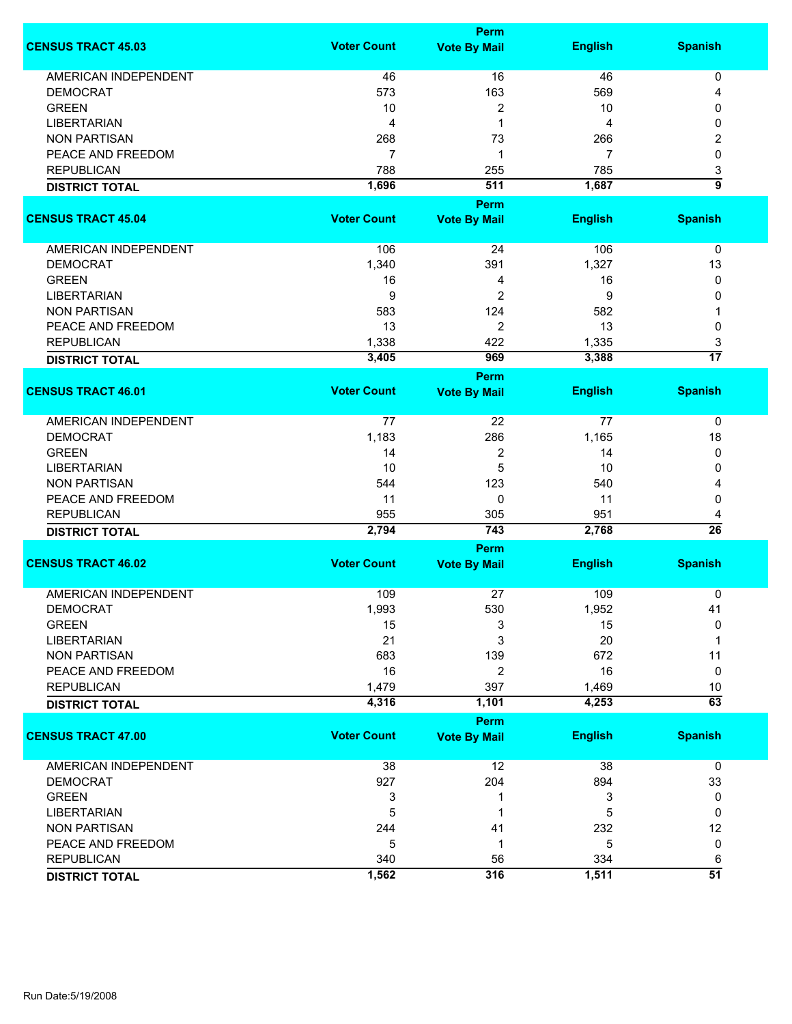|                             | Perm               |                             |                |                      |  |
|-----------------------------|--------------------|-----------------------------|----------------|----------------------|--|
| <b>CENSUS TRACT 45.03</b>   | <b>Voter Count</b> | <b>Vote By Mail</b>         | <b>English</b> | <b>Spanish</b>       |  |
| <b>AMERICAN INDEPENDENT</b> | 46                 | 16                          | 46             | 0                    |  |
| <b>DEMOCRAT</b>             | 573                | 163                         | 569            | 4                    |  |
| <b>GREEN</b>                | 10                 | 2                           | 10             | 0                    |  |
| <b>LIBERTARIAN</b>          | $\overline{4}$     | 1                           | 4              | 0                    |  |
|                             |                    |                             |                |                      |  |
| <b>NON PARTISAN</b>         | 268                | 73                          | 266            | 2                    |  |
| PEACE AND FREEDOM           | 7                  | 1                           | 7              | 0                    |  |
| <b>REPUBLICAN</b>           | 788                | 255                         | 785            | 3                    |  |
| <b>DISTRICT TOTAL</b>       | 1,696              | 511                         | 1,687          | 5                    |  |
|                             |                    | <b>Perm</b>                 |                |                      |  |
| <b>CENSUS TRACT 45.04</b>   | <b>Voter Count</b> | <b>Vote By Mail</b>         | <b>English</b> | <b>Spanish</b>       |  |
| AMERICAN INDEPENDENT        | 106                | 24                          | 106            | 0                    |  |
| <b>DEMOCRAT</b>             | 1,340              | 391                         | 1,327          | 13                   |  |
| <b>GREEN</b>                | 16                 | 4                           | 16             | 0                    |  |
| <b>LIBERTARIAN</b>          | 9                  | $\overline{2}$              | 9              | 0                    |  |
| <b>NON PARTISAN</b>         | 583                | 124                         | 582            | 1                    |  |
| PEACE AND FREEDOM           | 13                 | $\overline{2}$              | 13             | 0                    |  |
| <b>REPUBLICAN</b>           | 1,338              | 422                         | 1,335          |                      |  |
|                             |                    |                             |                | 3<br>$\overline{17}$ |  |
| <b>DISTRICT TOTAL</b>       | 3,405              | 969                         | 3,388          |                      |  |
| <b>CENSUS TRACT 46.01</b>   | <b>Voter Count</b> | Perm<br><b>Vote By Mail</b> | <b>English</b> | <b>Spanish</b>       |  |
|                             |                    |                             |                |                      |  |
| <b>AMERICAN INDEPENDENT</b> | 77                 | 22                          | 77             | 0                    |  |
| <b>DEMOCRAT</b>             | 1,183              | 286                         | 1,165          | 18                   |  |
| <b>GREEN</b>                | 14                 | $\overline{c}$              | 14             | 0                    |  |
| <b>LIBERTARIAN</b>          | 10                 | 5                           | 10             | 0                    |  |
| <b>NON PARTISAN</b>         | 544                | 123                         | 540            | 4                    |  |
| PEACE AND FREEDOM           | 11                 | 0                           | 11             | 0                    |  |
|                             |                    |                             |                |                      |  |
| <b>REPUBLICAN</b>           | 955<br>2,794       | 305<br>743                  | 951<br>2,768   | 4<br>$\overline{26}$ |  |
| <b>DISTRICT TOTAL</b>       |                    | Perm                        |                |                      |  |
| <b>CENSUS TRACT 46.02</b>   | <b>Voter Count</b> | <b>Vote By Mail</b>         | <b>English</b> | <b>Spanish</b>       |  |
|                             |                    |                             |                |                      |  |
| AMERICAN INDEPENDENT        | 109                | 27                          | 109            | 0                    |  |
| <b>DEMOCRAT</b>             | 1,993              | 530                         | 1,952          | 41                   |  |
| <b>GREEN</b>                | 15                 | 3                           | 15             | 0                    |  |
| <b>LIBERTARIAN</b>          | 21                 | 3                           | 20             | 1                    |  |
| <b>NON PARTISAN</b>         | 683                | 139                         | 672            | 11                   |  |
| PEACE AND FREEDOM           | 16                 | 2                           | 16             | 0                    |  |
| <b>REPUBLICAN</b>           | 1,479              | 397                         | 1,469          | 10                   |  |
| <b>DISTRICT TOTAL</b>       | 4,316              | 1,101                       | 4,253          | $\overline{63}$      |  |
|                             |                    | <b>Perm</b>                 |                |                      |  |
| <b>CENSUS TRACT 47.00</b>   | <b>Voter Count</b> | <b>Vote By Mail</b>         | <b>English</b> | <b>Spanish</b>       |  |
| <b>AMERICAN INDEPENDENT</b> | 38                 | 12                          | 38             | 0                    |  |
| <b>DEMOCRAT</b>             | 927                | 204                         | 894            | 33                   |  |
| <b>GREEN</b>                | 3                  | 1                           | 3              | 0                    |  |
| <b>LIBERTARIAN</b>          | 5                  | 1                           | 5              | 0                    |  |
| <b>NON PARTISAN</b>         | 244                | 41                          | 232            | 12                   |  |
| PEACE AND FREEDOM           | 5                  | 1                           | 5              | 0                    |  |
| <b>REPUBLICAN</b>           | 340                | 56                          | 334            | 6                    |  |
|                             | 1,562              | 316                         | 1,511          | $\overline{51}$      |  |
| <b>DISTRICT TOTAL</b>       |                    |                             |                |                      |  |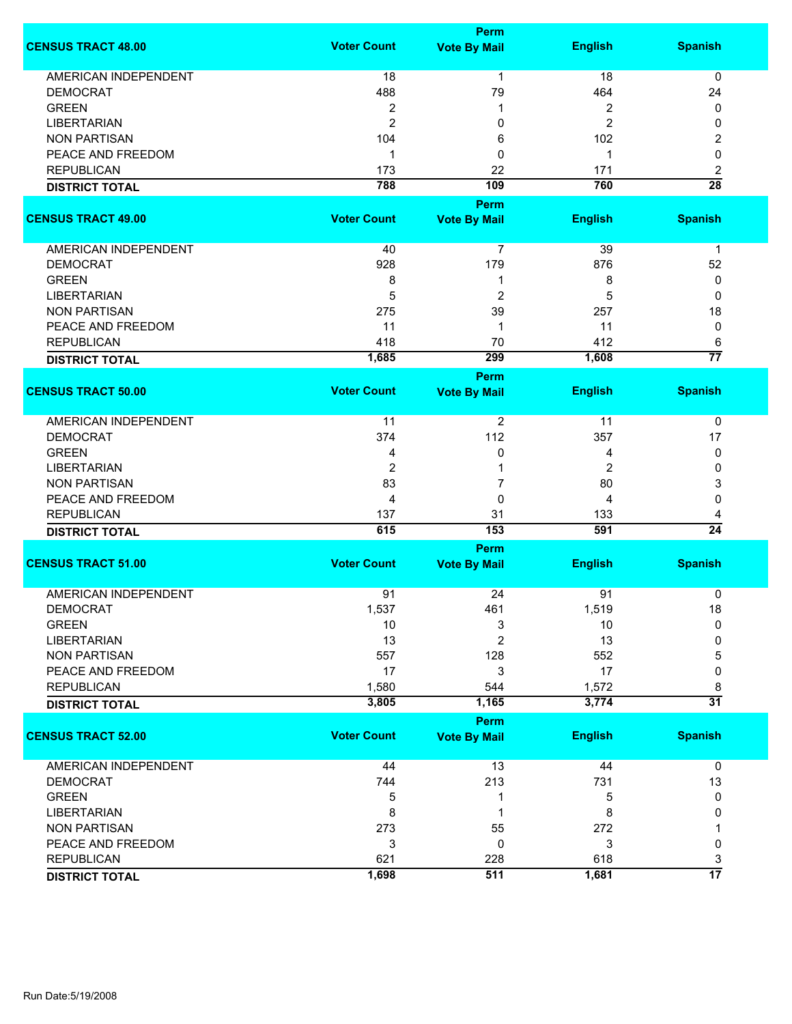|                             |                    | <b>Perm</b>                 |                |                 |
|-----------------------------|--------------------|-----------------------------|----------------|-----------------|
| <b>CENSUS TRACT 48.00</b>   | <b>Voter Count</b> | <b>Vote By Mail</b>         | <b>English</b> | <b>Spanish</b>  |
| <b>AMERICAN INDEPENDENT</b> | 18                 | $\mathbf 1$                 | 18             | 0               |
| <b>DEMOCRAT</b>             | 488                | 79                          | 464            | 24              |
| <b>GREEN</b>                | 2                  | 1                           | 2              | 0               |
| <b>LIBERTARIAN</b>          | $\overline{2}$     | 0                           | 2              | 0               |
|                             |                    |                             |                |                 |
| <b>NON PARTISAN</b>         | 104                | 6                           | 102            | 2               |
| PEACE AND FREEDOM           | 1                  | 0                           | 1              | 0               |
| <b>REPUBLICAN</b>           | 173                | 22                          | 171            | 2               |
| <b>DISTRICT TOTAL</b>       | 788                | 109                         | 760            | $\overline{28}$ |
|                             |                    | <b>Perm</b>                 |                |                 |
| <b>CENSUS TRACT 49.00</b>   | <b>Voter Count</b> | <b>Vote By Mail</b>         | <b>English</b> | <b>Spanish</b>  |
| AMERICAN INDEPENDENT        | 40                 | $\overline{7}$              | 39             | 1               |
| <b>DEMOCRAT</b>             | 928                | 179                         | 876            | 52              |
| <b>GREEN</b>                | 8                  | 1                           | 8              | 0               |
| <b>LIBERTARIAN</b>          | 5                  | $\overline{\mathbf{c}}$     | 5              | 0               |
| <b>NON PARTISAN</b>         | 275                | 39                          | 257            | 18              |
| PEACE AND FREEDOM           | 11                 | 1                           | 11             | 0               |
| <b>REPUBLICAN</b>           | 418                | 70                          | 412            | 6               |
|                             | 1,685              | 299                         | 1,608          | $\overline{77}$ |
| <b>DISTRICT TOTAL</b>       |                    |                             |                |                 |
| <b>CENSUS TRACT 50.00</b>   | <b>Voter Count</b> | Perm<br><b>Vote By Mail</b> | <b>English</b> | <b>Spanish</b>  |
|                             |                    |                             |                |                 |
| <b>AMERICAN INDEPENDENT</b> | 11                 | 2                           | 11             | 0               |
| <b>DEMOCRAT</b>             | 374                | 112                         | 357            | 17              |
| <b>GREEN</b>                | 4                  | 0                           | 4              | 0               |
| <b>LIBERTARIAN</b>          | $\overline{2}$     | 1                           | $\overline{2}$ | 0               |
| <b>NON PARTISAN</b>         | 83                 | 7                           | 80             | 3               |
| PEACE AND FREEDOM           | 4                  | 0                           | 4              | 0               |
| <b>REPUBLICAN</b>           | 137                | 31                          | 133            | 4               |
| <b>DISTRICT TOTAL</b>       | 615                | 153                         | 591            | $\overline{24}$ |
|                             |                    | Perm                        |                |                 |
| <b>CENSUS TRACT 51.00</b>   | <b>Voter Count</b> | <b>Vote By Mail</b>         | <b>English</b> | <b>Spanish</b>  |
|                             |                    |                             |                |                 |
| <b>AMERICAN INDEPENDENT</b> | 91                 | 24                          | 91             | 0               |
| <b>DEMOCRAT</b>             | 1,537              | 461                         | 1,519          | 18              |
| <b>GREEN</b>                | 10                 | 3                           | 10             | 0               |
| <b>LIBERTARIAN</b>          | 13                 | 2                           | 13             | 0               |
| <b>NON PARTISAN</b>         | 557                | 128                         | 552            | 5               |
| PEACE AND FREEDOM           | 17                 | 3                           | 17             | 0               |
| <b>REPUBLICAN</b>           | 1,580              | 544                         | 1,572          | 8               |
| <b>DISTRICT TOTAL</b>       | 3,805              | 1,165                       | 3,774          | $\overline{31}$ |
|                             |                    | Perm                        |                |                 |
| <b>CENSUS TRACT 52.00</b>   | <b>Voter Count</b> | <b>Vote By Mail</b>         | <b>English</b> | <b>Spanish</b>  |
| AMERICAN INDEPENDENT        | 44                 | 13                          | 44             | 0               |
| <b>DEMOCRAT</b>             | 744                | 213                         | 731            | 13              |
| <b>GREEN</b>                | 5                  | 1                           | 5              | 0               |
| <b>LIBERTARIAN</b>          | 8                  | 1                           | 8              | 0               |
| <b>NON PARTISAN</b>         | 273                | 55                          | 272            |                 |
| PEACE AND FREEDOM           | 3                  | 0                           | 3              | 0               |
| <b>REPUBLICAN</b>           | 621                | 228                         | 618            | 3               |
|                             | 1,698              | 511                         | 1,681          | $\overline{17}$ |
| <b>DISTRICT TOTAL</b>       |                    |                             |                |                 |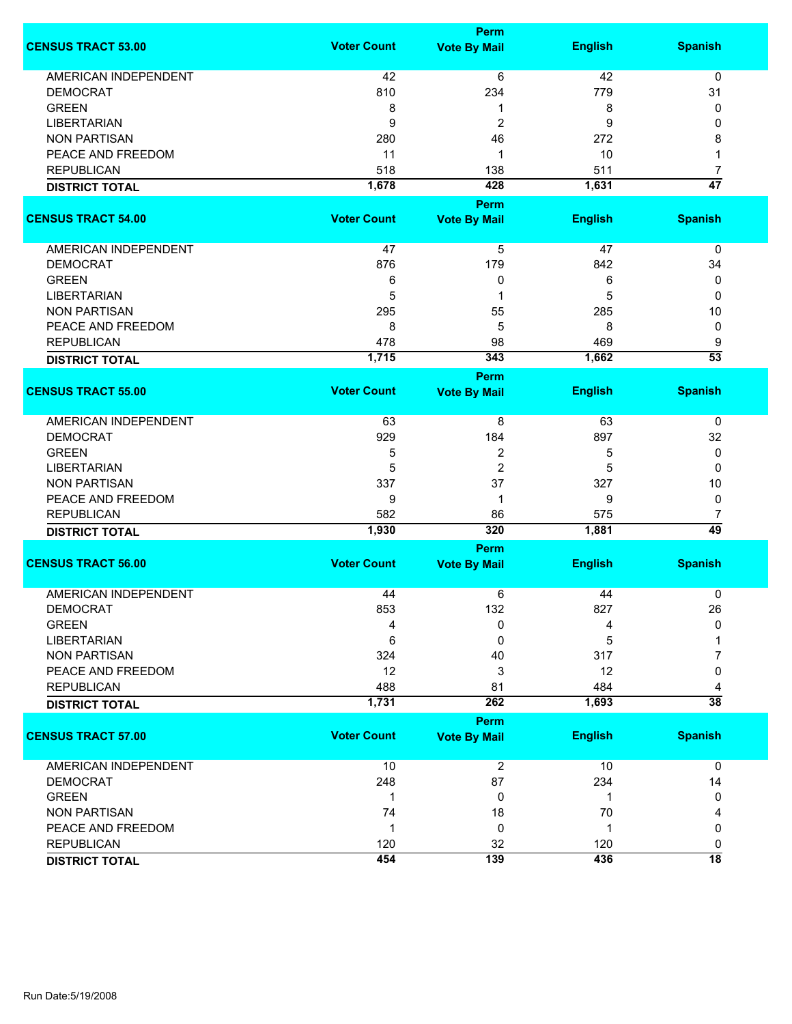|                             |                    | Perm                |                |                 |
|-----------------------------|--------------------|---------------------|----------------|-----------------|
| <b>CENSUS TRACT 53.00</b>   | <b>Voter Count</b> | <b>Vote By Mail</b> | <b>English</b> | <b>Spanish</b>  |
| <b>AMERICAN INDEPENDENT</b> | 42                 | 6                   | 42             | 0               |
| <b>DEMOCRAT</b>             | 810                | 234                 | 779            | 31              |
|                             |                    |                     |                |                 |
| <b>GREEN</b>                | 8                  | 1                   | 8              | 0               |
| <b>LIBERTARIAN</b>          | 9                  | $\overline{2}$      | 9              | 0               |
| <b>NON PARTISAN</b>         | 280                | 46                  | 272            | 8               |
| PEACE AND FREEDOM           | 11                 | 1                   | 10             | $\mathbf 1$     |
| <b>REPUBLICAN</b>           | 518                | 138                 | 511            | $\overline{7}$  |
| <b>DISTRICT TOTAL</b>       | 1,678              | 428                 | 1,631          | $\overline{47}$ |
|                             |                    | Perm                |                |                 |
| <b>CENSUS TRACT 54.00</b>   | <b>Voter Count</b> | <b>Vote By Mail</b> | <b>English</b> | <b>Spanish</b>  |
|                             |                    |                     |                |                 |
| AMERICAN INDEPENDENT        | 47                 | 5                   | 47             | 0               |
| <b>DEMOCRAT</b>             | 876                | 179                 | 842            | 34              |
| <b>GREEN</b>                | 6                  | 0                   | 6              |                 |
|                             |                    |                     |                | 0               |
| <b>LIBERTARIAN</b>          | 5                  | 1                   | 5              | 0               |
| <b>NON PARTISAN</b>         | 295                | 55                  | 285            | 10              |
| PEACE AND FREEDOM           | 8                  | 5                   | 8              | 0               |
| <b>REPUBLICAN</b>           | 478                | 98                  | 469            | 9               |
| <b>DISTRICT TOTAL</b>       | 1,715              | 343                 | 1,662          | $\overline{53}$ |
|                             |                    | Perm                |                |                 |
| <b>CENSUS TRACT 55.00</b>   | <b>Voter Count</b> | <b>Vote By Mail</b> | <b>English</b> | <b>Spanish</b>  |
|                             |                    |                     |                |                 |
| <b>AMERICAN INDEPENDENT</b> | 63                 | 8                   | 63             | 0               |
| <b>DEMOCRAT</b>             | 929                | 184                 | 897            | 32              |
| <b>GREEN</b>                | 5                  | 2                   | 5              | 0               |
| <b>LIBERTARIAN</b>          | 5                  | $\overline{c}$      | 5              | $\Omega$        |
| <b>NON PARTISAN</b>         | 337                | 37                  | 327            | 10              |
| PEACE AND FREEDOM           | 9                  | 1                   | 9              | 0               |
| <b>REPUBLICAN</b>           | 582                | 86                  | 575            | 7               |
| <b>DISTRICT TOTAL</b>       | 1,930              | 320                 | 1,881          | 49              |
|                             |                    |                     |                |                 |
|                             |                    | Perm                |                |                 |
| <b>CENSUS TRACT 56.00</b>   | <b>Voter Count</b> | <b>Vote By Mail</b> | <b>English</b> | <b>Spanish</b>  |
| <b>AMERICAN INDEPENDENT</b> | 44                 | 6                   | 44             | 0               |
| <b>DEMOCRAT</b>             |                    |                     | 827            |                 |
|                             | 853                | 132                 |                | 26              |
| <b>GREEN</b>                | 4                  | 0                   | 4              | 0               |
| <b>LIBERTARIAN</b>          | 6                  | 0                   | 5              |                 |
| <b>NON PARTISAN</b>         | 324                | 40                  | 317            | 7               |
| PEACE AND FREEDOM           | 12                 | 3                   | 12             | 0               |
| <b>REPUBLICAN</b>           | 488                | 81                  | 484            | 4               |
| <b>DISTRICT TOTAL</b>       | 1,731              | 262                 | 1,693          | $\overline{38}$ |
|                             |                    | Perm                |                |                 |
| <b>CENSUS TRACT 57.00</b>   | <b>Voter Count</b> | <b>Vote By Mail</b> | <b>English</b> | <b>Spanish</b>  |
|                             |                    |                     |                |                 |
| AMERICAN INDEPENDENT        | 10                 | $\overline{2}$      | 10             | $\mathbf 0$     |
| <b>DEMOCRAT</b>             | 248                | 87                  | 234            | 14              |
| <b>GREEN</b>                | 1                  | 0                   | -1             | 0               |
| <b>NON PARTISAN</b>         | 74                 | 18                  | 70             |                 |
|                             |                    |                     |                | 4               |
| PEACE AND FREEDOM           | $\mathbf 1$        | $\mathbf 0$         | 1              | 0               |
| <b>REPUBLICAN</b>           | 120                | 32                  | 120            | 0               |
| <b>DISTRICT TOTAL</b>       | 454                | 139                 | 436            | $\overline{18}$ |
|                             |                    |                     |                |                 |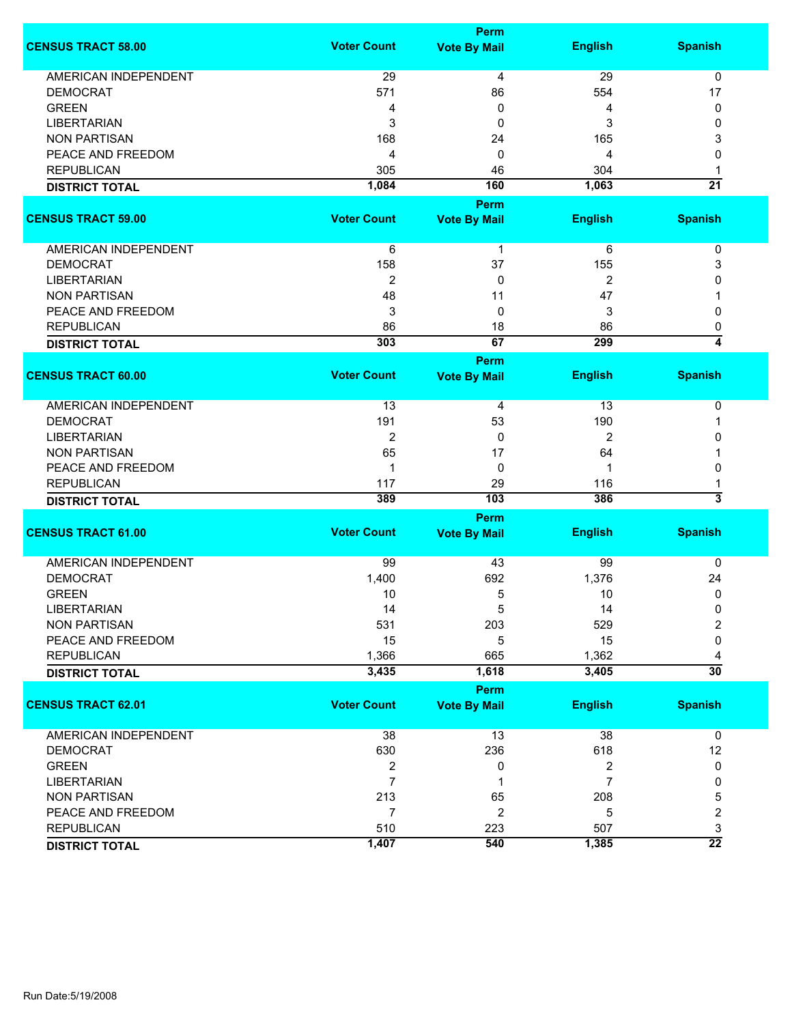|                             |                    | <b>Perm</b>         |                |                          |
|-----------------------------|--------------------|---------------------|----------------|--------------------------|
| <b>CENSUS TRACT 58.00</b>   | <b>Voter Count</b> | <b>Vote By Mail</b> | <b>English</b> | <b>Spanish</b>           |
| <b>AMERICAN INDEPENDENT</b> | 29                 | 4                   | 29             | 0                        |
| <b>DEMOCRAT</b>             | 571                | 86                  | 554            | 17                       |
| <b>GREEN</b>                | 4                  | 0                   | 4              | 0                        |
| <b>LIBERTARIAN</b>          | 3                  | 0                   | 3              | 0                        |
| <b>NON PARTISAN</b>         | 168                | 24                  | 165            | 3                        |
|                             |                    |                     |                |                          |
| PEACE AND FREEDOM           | 4                  | 0                   | 4              | 0                        |
| <b>REPUBLICAN</b>           | 305                | 46                  | 304            | 1                        |
| <b>DISTRICT TOTAL</b>       | 1,084              | 160                 | 1,063          | $\overline{21}$          |
|                             |                    | Perm                |                |                          |
| <b>CENSUS TRACT 59.00</b>   | <b>Voter Count</b> | <b>Vote By Mail</b> | <b>English</b> | <b>Spanish</b>           |
| AMERICAN INDEPENDENT        | 6                  | $\mathbf{1}$        | 6              | 0                        |
| <b>DEMOCRAT</b>             | 158                | 37                  | 155            | 3                        |
| <b>LIBERTARIAN</b>          | $\overline{2}$     | 0                   | 2              | 0                        |
| <b>NON PARTISAN</b>         | 48                 | 11                  | 47             | 1                        |
| PEACE AND FREEDOM           | 3                  | 0                   | 3              | 0                        |
| <b>REPUBLICAN</b>           |                    |                     | 86             |                          |
|                             | 86<br>303          | 18<br>67            | 299            | 0<br>$\overline{\bf{4}}$ |
| <b>DISTRICT TOTAL</b>       |                    |                     |                |                          |
|                             |                    | <b>Perm</b>         |                |                          |
| <b>CENSUS TRACT 60.00</b>   | <b>Voter Count</b> | <b>Vote By Mail</b> | <b>English</b> | <b>Spanish</b>           |
| <b>AMERICAN INDEPENDENT</b> | 13                 | 4                   | 13             | 0                        |
| <b>DEMOCRAT</b>             | 191                | 53                  | 190            | 1                        |
| <b>LIBERTARIAN</b>          | 2                  | 0                   | $\overline{2}$ | 0                        |
| <b>NON PARTISAN</b>         | 65                 | 17                  | 64             |                          |
| PEACE AND FREEDOM           | $\mathbf{1}$       | 0                   | 1              | 0                        |
| <b>REPUBLICAN</b>           | 117                | 29                  | 116            | 1                        |
|                             | 389                | 103                 | 386            | $\overline{\mathbf{3}}$  |
| <b>DISTRICT TOTAL</b>       |                    |                     |                |                          |
|                             |                    | <b>Perm</b>         |                |                          |
| <b>CENSUS TRACT 61.00</b>   | <b>Voter Count</b> | <b>Vote By Mail</b> | <b>English</b> | <b>Spanish</b>           |
| <b>AMERICAN INDEPENDENT</b> | 99                 | 43                  | 99             | 0                        |
| <b>DEMOCRAT</b>             | 1,400              | 692                 | 1,376          | 24                       |
| <b>GREEN</b>                | 10                 | 5                   | 10             | 0                        |
| LIBERTARIAN                 | 14                 | 5                   | 14             | 0                        |
| <b>NON PARTISAN</b>         | 531                | 203                 | 529            | $\overline{2}$           |
| PEACE AND FREEDOM           | 15                 | 5                   | 15             | 0                        |
| <b>REPUBLICAN</b>           | 1,366              | 665                 | 1,362          | 4                        |
| <b>DISTRICT TOTAL</b>       | 3,435              | 1,618               | 3,405          | $\overline{30}$          |
|                             |                    |                     |                |                          |
| <b>CENSUS TRACT 62.01</b>   | <b>Voter Count</b> | <b>Perm</b>         |                | <b>Spanish</b>           |
|                             |                    | <b>Vote By Mail</b> | <b>English</b> |                          |
| <b>AMERICAN INDEPENDENT</b> | 38                 | 13                  | 38             | 0                        |
| <b>DEMOCRAT</b>             | 630                | 236                 | 618            | 12                       |
| <b>GREEN</b>                | $\overline{c}$     | 0                   | 2              | 0                        |
| <b>LIBERTARIAN</b>          | $\overline{7}$     | 1                   | 7              | 0                        |
| <b>NON PARTISAN</b>         | 213                | 65                  | 208            | 5                        |
| PEACE AND FREEDOM           | $\overline{7}$     | $\overline{2}$      | 5              | 2                        |
| <b>REPUBLICAN</b>           | 510                | 223                 | 507            | 3                        |
| <b>DISTRICT TOTAL</b>       | 1,407              | 540                 | 1,385          | $\overline{22}$          |
|                             |                    |                     |                |                          |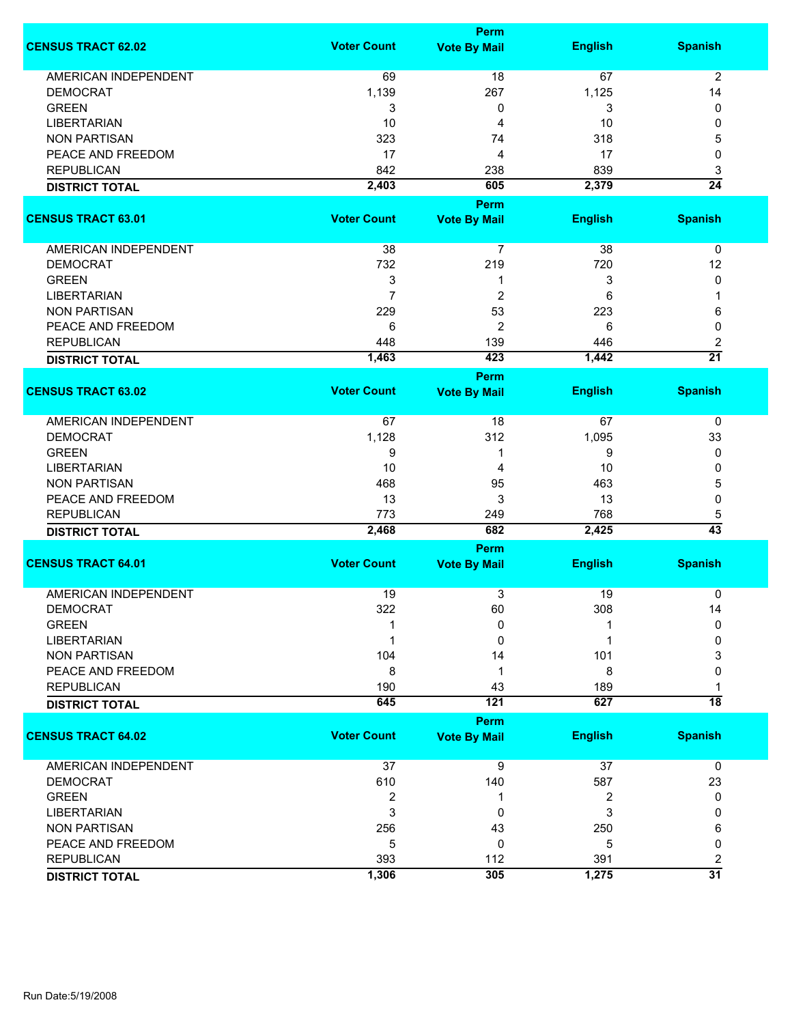|                             |                    | <b>Perm</b>         |                |                 |
|-----------------------------|--------------------|---------------------|----------------|-----------------|
| <b>CENSUS TRACT 62.02</b>   | <b>Voter Count</b> | <b>Vote By Mail</b> | <b>English</b> | <b>Spanish</b>  |
| <b>AMERICAN INDEPENDENT</b> | 69                 | 18                  | 67             | $\overline{2}$  |
| <b>DEMOCRAT</b>             | 1,139              | 267                 | 1,125          | 14              |
| <b>GREEN</b>                | 3                  | 0                   | 3              | 0               |
| <b>LIBERTARIAN</b>          | 10                 | 4                   | 10             | 0               |
| <b>NON PARTISAN</b>         | 323                | 74                  | 318            | 5               |
| PEACE AND FREEDOM           | 17                 | 4                   | 17             | 0               |
|                             |                    |                     |                |                 |
| <b>REPUBLICAN</b>           | 842                | 238                 | 839            | 3               |
| <b>DISTRICT TOTAL</b>       | 2,403              | 605<br><b>Perm</b>  | 2,379          | $\overline{24}$ |
| <b>CENSUS TRACT 63.01</b>   | <b>Voter Count</b> | <b>Vote By Mail</b> | <b>English</b> | <b>Spanish</b>  |
|                             |                    |                     |                |                 |
| AMERICAN INDEPENDENT        | 38                 | $\overline{7}$      | 38             | 0               |
| <b>DEMOCRAT</b>             | 732                | 219                 | 720            | 12              |
| <b>GREEN</b>                | 3                  | 1                   | 3              | 0               |
| <b>LIBERTARIAN</b>          | $\overline{7}$     | $\overline{c}$      | 6              | 1               |
| <b>NON PARTISAN</b>         | 229                | 53                  | 223            | 6               |
| PEACE AND FREEDOM           | 6                  | 2                   | 6              | 0               |
| <b>REPUBLICAN</b>           | 448                | 139                 | 446            | 2               |
| <b>DISTRICT TOTAL</b>       | 1,463              | 423                 | 1,442          | $\overline{21}$ |
|                             |                    | <b>Perm</b>         |                |                 |
| <b>CENSUS TRACT 63.02</b>   | <b>Voter Count</b> | <b>Vote By Mail</b> | <b>English</b> | <b>Spanish</b>  |
| AMERICAN INDEPENDENT        | 67                 | 18                  | 67             | 0               |
| <b>DEMOCRAT</b>             | 1,128              | 312                 | 1,095          | 33              |
| <b>GREEN</b>                | 9                  | 1                   | 9              | 0               |
| <b>LIBERTARIAN</b>          | 10                 | 4                   | 10             | 0               |
| <b>NON PARTISAN</b>         | 468                | 95                  | 463            | 5               |
| PEACE AND FREEDOM           | 13                 | 3                   | 13             | 0               |
| <b>REPUBLICAN</b>           | 773                | 249                 | 768            | 5               |
| <b>DISTRICT TOTAL</b>       | 2,468              | 682                 | 2,425          | $\overline{43}$ |
|                             |                    | <b>Perm</b>         |                |                 |
| <b>CENSUS TRACT 64.01</b>   | <b>Voter Count</b> | <b>Vote By Mail</b> | <b>English</b> | <b>Spanish</b>  |
| <b>AMERICAN INDEPENDENT</b> | 19                 | 3                   | 19             | 0               |
| <b>DEMOCRAT</b>             | 322                | 60                  | 308            | 14              |
| <b>GREEN</b>                |                    | 0                   |                | $\mathbf{0}$    |
| <b>LIBERTARIAN</b>          |                    | 0                   |                | 0               |
| <b>NON PARTISAN</b>         | 104                | 14                  | 101            | 3               |
| PEACE AND FREEDOM           | 8                  | 1                   | 8              | 0               |
| <b>REPUBLICAN</b>           | 190                | 43                  | 189            |                 |
| <b>DISTRICT TOTAL</b>       | 645                | 121                 | 627            | $\overline{18}$ |
|                             |                    | Perm                |                |                 |
| <b>CENSUS TRACT 64.02</b>   | <b>Voter Count</b> | <b>Vote By Mail</b> | <b>English</b> | <b>Spanish</b>  |
| <b>AMERICAN INDEPENDENT</b> | 37                 | 9                   | 37             | 0               |
| <b>DEMOCRAT</b>             | 610                | 140                 | 587            | 23              |
| <b>GREEN</b>                | $\boldsymbol{2}$   | 1                   | 2              | 0               |
| <b>LIBERTARIAN</b>          | 3                  | 0                   | 3              | 0               |
| <b>NON PARTISAN</b>         | 256                | 43                  | 250            | 6               |
| PEACE AND FREEDOM           | 5                  | 0                   | 5              | 0               |
| <b>REPUBLICAN</b>           | 393                | 112                 | 391            | 2               |
| <b>DISTRICT TOTAL</b>       | 1,306              | 305                 | 1,275          | $\overline{31}$ |
|                             |                    |                     |                |                 |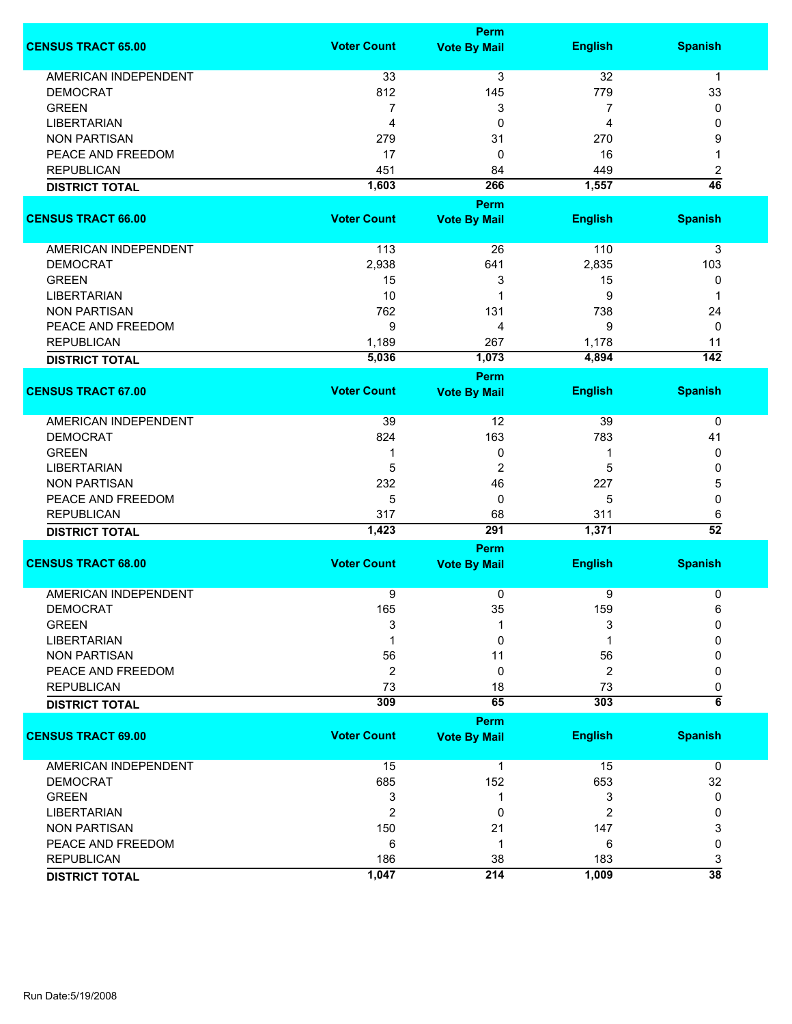|                             |                    | <b>Perm</b>                 |                |                      |  |  |
|-----------------------------|--------------------|-----------------------------|----------------|----------------------|--|--|
| <b>CENSUS TRACT 65.00</b>   | <b>Voter Count</b> | <b>Vote By Mail</b>         | <b>English</b> | <b>Spanish</b>       |  |  |
| <b>AMERICAN INDEPENDENT</b> | 33                 | $\overline{3}$              | 32             | $\mathbf 1$          |  |  |
| <b>DEMOCRAT</b>             | 812                | 145                         | 779            | 33                   |  |  |
| <b>GREEN</b>                | $\overline{7}$     | 3                           | 7              | 0                    |  |  |
| <b>LIBERTARIAN</b>          | $\overline{4}$     | 0                           | 4              | 0                    |  |  |
| <b>NON PARTISAN</b>         | 279                | 31                          | 270            | 9                    |  |  |
| PEACE AND FREEDOM           | 17                 | 0                           | 16             | 1                    |  |  |
|                             |                    |                             |                |                      |  |  |
| <b>REPUBLICAN</b>           | 451                | 84                          | 449            | 2<br>$\overline{46}$ |  |  |
| <b>DISTRICT TOTAL</b>       | 1,603              | 266                         | 1,557          |                      |  |  |
|                             |                    | Perm                        |                |                      |  |  |
| <b>CENSUS TRACT 66.00</b>   | <b>Voter Count</b> | <b>Vote By Mail</b>         | <b>English</b> | <b>Spanish</b>       |  |  |
| AMERICAN INDEPENDENT        | 113                | 26                          | 110            | 3                    |  |  |
| <b>DEMOCRAT</b>             | 2,938              | 641                         | 2,835          | 103                  |  |  |
| <b>GREEN</b>                | 15                 | 3                           | 15             | 0                    |  |  |
| <b>LIBERTARIAN</b>          | 10                 | 1                           | 9              | 1                    |  |  |
| <b>NON PARTISAN</b>         | 762                | 131                         | 738            | 24                   |  |  |
| PEACE AND FREEDOM           | 9                  | 4                           | 9              | 0                    |  |  |
| <b>REPUBLICAN</b>           | 1,189              | 267                         | 1,178          | 11                   |  |  |
|                             | 5,036              | 1,073                       | 4,894          | $\overline{142}$     |  |  |
| <b>DISTRICT TOTAL</b>       |                    |                             |                |                      |  |  |
| <b>CENSUS TRACT 67.00</b>   | <b>Voter Count</b> | Perm<br><b>Vote By Mail</b> | <b>English</b> | <b>Spanish</b>       |  |  |
|                             |                    |                             |                |                      |  |  |
| <b>AMERICAN INDEPENDENT</b> | 39                 | 12                          | 39             | 0                    |  |  |
| <b>DEMOCRAT</b>             | 824                | 163                         | 783            | 41                   |  |  |
| <b>GREEN</b>                | 1                  | 0                           | 1              | 0                    |  |  |
| <b>LIBERTARIAN</b>          | 5                  | 2                           | 5              | 0                    |  |  |
| <b>NON PARTISAN</b>         | 232                | 46                          | 227            | 5                    |  |  |
| PEACE AND FREEDOM           | 5                  | 0                           | 5              | 0                    |  |  |
| <b>REPUBLICAN</b>           | 317                | 68                          | 311            | 6                    |  |  |
| <b>DISTRICT TOTAL</b>       | 1,423              | 291                         | 1,371          | $\overline{52}$      |  |  |
|                             | Perm               |                             |                |                      |  |  |
| <b>CENSUS TRACT 68.00</b>   | <b>Voter Count</b> | <b>Vote By Mail</b>         | <b>English</b> | <b>Spanish</b>       |  |  |
| <b>AMERICAN INDEPENDENT</b> | 9                  | 0                           | 9              | 0                    |  |  |
| <b>DEMOCRAT</b>             | 165                | 35                          | 159            | 6                    |  |  |
| <b>GREEN</b>                | 3                  | 1                           | 3              | 0                    |  |  |
| <b>LIBERTARIAN</b>          |                    | 0                           |                | 0                    |  |  |
| <b>NON PARTISAN</b>         | 56                 | 11                          | 56             | 0                    |  |  |
| PEACE AND FREEDOM           | $\overline{2}$     | 0                           | $\overline{2}$ | 0                    |  |  |
| <b>REPUBLICAN</b>           | 73                 | 18                          | 73             | 0                    |  |  |
|                             | 309                | 65                          | 303            | $\overline{\bf 6}$   |  |  |
| <b>DISTRICT TOTAL</b>       |                    |                             |                |                      |  |  |
| <b>CENSUS TRACT 69.00</b>   | <b>Voter Count</b> | <b>Perm</b>                 |                |                      |  |  |
|                             |                    | <b>Vote By Mail</b>         | <b>English</b> | <b>Spanish</b>       |  |  |
| <b>AMERICAN INDEPENDENT</b> | 15                 | 1                           | 15             | 0                    |  |  |
| <b>DEMOCRAT</b>             | 685                | 152                         | 653            | 32                   |  |  |
| <b>GREEN</b>                | 3                  | 1                           | 3              | 0                    |  |  |
| <b>LIBERTARIAN</b>          | 2                  | 0                           | 2              | 0                    |  |  |
| <b>NON PARTISAN</b>         | 150                | 21                          | 147            | 3                    |  |  |
| PEACE AND FREEDOM           | 6                  | 1                           | 6              | 0                    |  |  |
| <b>REPUBLICAN</b>           | 186                | 38                          | 183            | 3                    |  |  |
| <b>DISTRICT TOTAL</b>       | 1,047              | 214                         | 1,009          | $\overline{38}$      |  |  |
|                             |                    |                             |                |                      |  |  |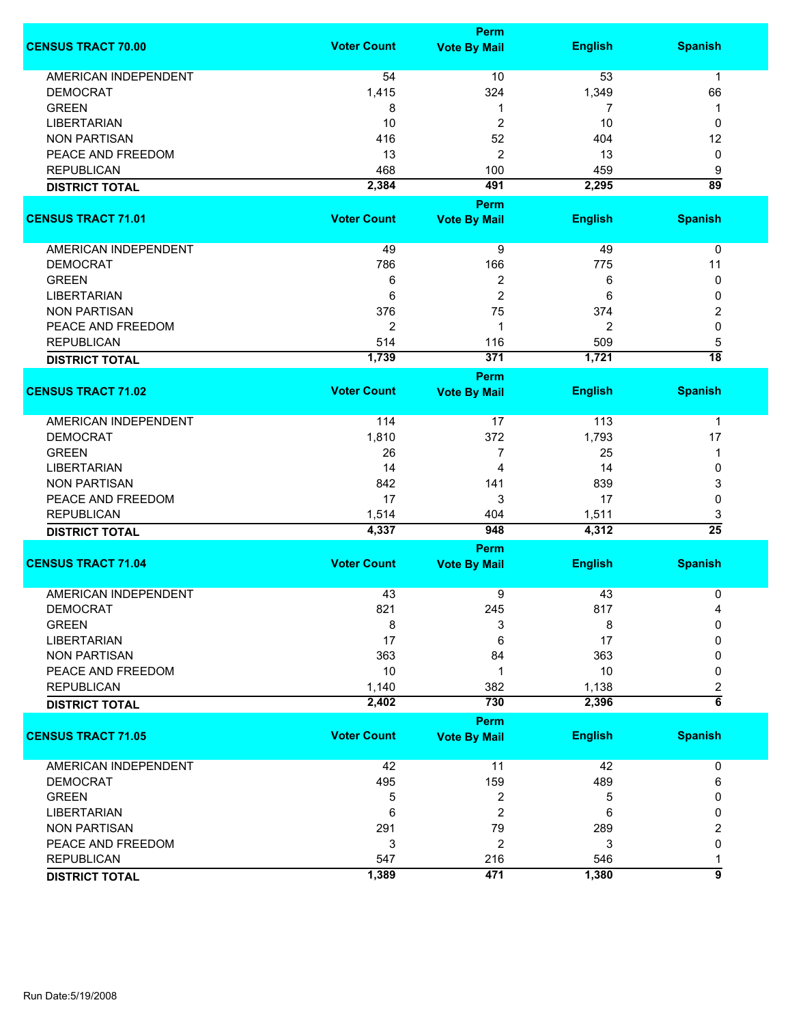|                                                |                    | <b>Perm</b>                 |                |                 |
|------------------------------------------------|--------------------|-----------------------------|----------------|-----------------|
| <b>CENSUS TRACT 70.00</b>                      | <b>Voter Count</b> | <b>Vote By Mail</b>         | <b>English</b> | <b>Spanish</b>  |
| <b>AMERICAN INDEPENDENT</b>                    | 54                 | 10                          | 53             | $\mathbf 1$     |
| <b>DEMOCRAT</b>                                | 1,415              | 324                         | 1,349          | 66              |
| <b>GREEN</b>                                   | 8                  | 1                           | 7              | 1               |
| <b>LIBERTARIAN</b>                             | 10                 | 2                           | 10             | 0               |
| <b>NON PARTISAN</b>                            | 416                | 52                          | 404            | 12              |
|                                                |                    |                             |                |                 |
| PEACE AND FREEDOM                              | 13                 | $\overline{c}$              | 13             | 0               |
| <b>REPUBLICAN</b>                              | 468                | 100                         | 459            | 9               |
| <b>DISTRICT TOTAL</b>                          | 2,384              | 491                         | 2,295          | $\overline{89}$ |
|                                                |                    | Perm                        |                |                 |
| <b>CENSUS TRACT 71.01</b>                      | <b>Voter Count</b> | <b>Vote By Mail</b>         | <b>English</b> | <b>Spanish</b>  |
| AMERICAN INDEPENDENT                           | 49                 | 9                           | 49             | 0               |
| <b>DEMOCRAT</b>                                | 786                | 166                         | 775            | 11              |
| <b>GREEN</b>                                   | 6                  | 2                           | 6              | 0               |
| <b>LIBERTARIAN</b>                             | 6                  | $\overline{2}$              | 6              | 0               |
| <b>NON PARTISAN</b>                            | 376                | 75                          | 374            | 2               |
| PEACE AND FREEDOM                              | $\overline{2}$     | 1                           | 2              | $\mathbf 0$     |
| <b>REPUBLICAN</b>                              | 514                | 116                         | 509            | 5               |
|                                                |                    | 371                         | 1,721          | $\overline{18}$ |
| <b>DISTRICT TOTAL</b>                          | 1,739              |                             |                |                 |
| <b>CENSUS TRACT 71.02</b>                      | <b>Voter Count</b> | Perm<br><b>Vote By Mail</b> | <b>English</b> | <b>Spanish</b>  |
|                                                |                    |                             |                |                 |
| <b>AMERICAN INDEPENDENT</b>                    | 114                | 17                          | 113            | 1               |
| <b>DEMOCRAT</b>                                | 1,810              | 372                         | 1,793          | 17              |
| <b>GREEN</b>                                   | 26                 | 7                           | 25             | 1               |
| <b>LIBERTARIAN</b>                             | 14                 | 4                           | 14             | 0               |
| <b>NON PARTISAN</b>                            | 842                | 141                         | 839            | 3               |
| PEACE AND FREEDOM                              | 17                 | 3                           | 17             | 0               |
| <b>REPUBLICAN</b>                              | 1,514              | 404                         | 1,511          | 3               |
| <b>DISTRICT TOTAL</b>                          | 4,337              | 948                         | 4,312          | $\overline{25}$ |
|                                                |                    | <b>Perm</b>                 |                |                 |
| <b>CENSUS TRACT 71.04</b>                      | <b>Voter Count</b> | <b>Vote By Mail</b>         | <b>English</b> | <b>Spanish</b>  |
|                                                |                    |                             |                |                 |
| <b>AMERICAN INDEPENDENT</b><br><b>DEMOCRAT</b> | 43<br>821          | 9<br>245                    | 43<br>817      | 0<br>4          |
| <b>GREEN</b>                                   |                    |                             |                | 0               |
|                                                | 8                  | 3                           | 8              |                 |
| <b>LIBERTARIAN</b>                             | 17                 | 6                           | 17             | 0               |
| <b>NON PARTISAN</b>                            | 363                | 84                          | 363            | 0               |
| PEACE AND FREEDOM                              | 10                 | 1                           | 10             | 0               |
| <b>REPUBLICAN</b>                              | 1,140              | 382                         | 1,138          | 2               |
| <b>DISTRICT TOTAL</b>                          | 2,402              | 730                         | 2,396          | $\overline{6}$  |
|                                                |                    | <b>Perm</b>                 |                |                 |
| <b>CENSUS TRACT 71.05</b>                      | <b>Voter Count</b> | <b>Vote By Mail</b>         | <b>English</b> | <b>Spanish</b>  |
| <b>AMERICAN INDEPENDENT</b>                    | 42                 | 11                          | 42             | 0               |
| <b>DEMOCRAT</b>                                | 495                | 159                         | 489            | 6               |
| <b>GREEN</b>                                   | 5                  | 2                           | 5              | 0               |
| <b>LIBERTARIAN</b>                             | 6                  | 2                           | 6              | 0               |
| <b>NON PARTISAN</b>                            | 291                | 79                          | 289            | 2               |
| PEACE AND FREEDOM                              | 3                  | $\overline{2}$              | 3              | 0               |
| <b>REPUBLICAN</b>                              | 547                | 216                         | 546            | 1               |
|                                                | 1,389              | 471                         | 1,380          | $\overline{9}$  |
| <b>DISTRICT TOTAL</b>                          |                    |                             |                |                 |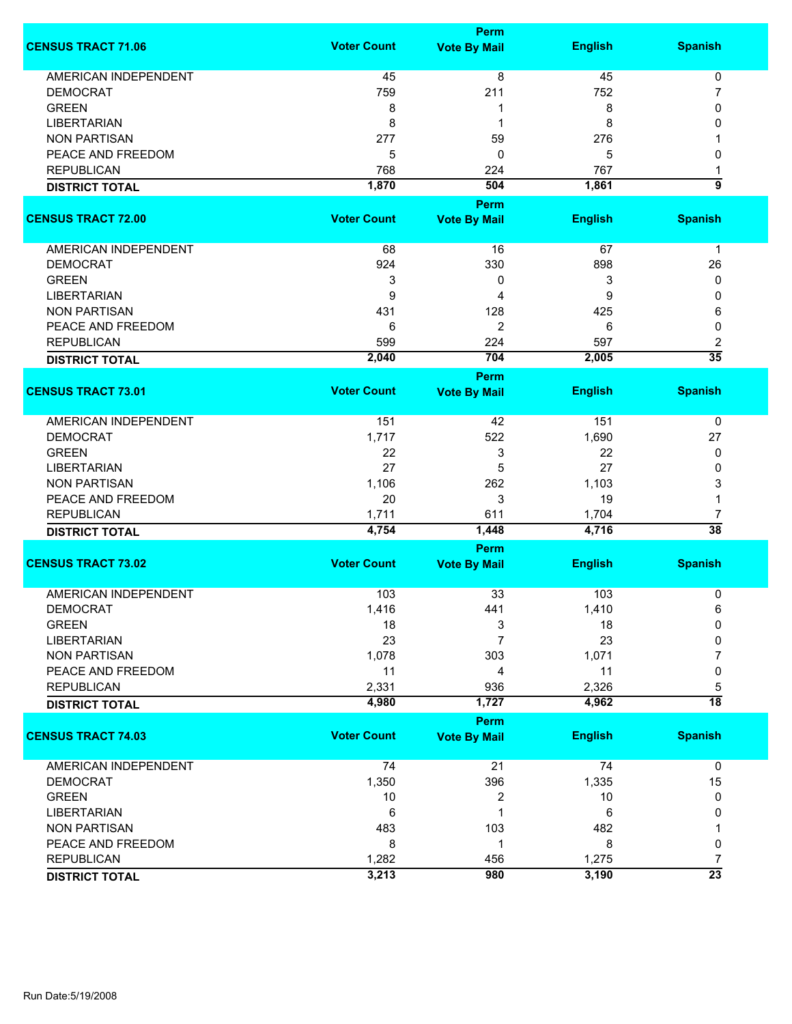|                             |                    | <b>Perm</b>                 |                |                      |
|-----------------------------|--------------------|-----------------------------|----------------|----------------------|
| <b>CENSUS TRACT 71.06</b>   | <b>Voter Count</b> | <b>Vote By Mail</b>         | <b>English</b> | <b>Spanish</b>       |
| <b>AMERICAN INDEPENDENT</b> | 45                 | $\overline{8}$              | 45             | 0                    |
| <b>DEMOCRAT</b>             | 759                | 211                         | 752            | 7                    |
| <b>GREEN</b>                | 8                  | 1                           | 8              | 0                    |
| <b>LIBERTARIAN</b>          | 8                  | 1                           | 8              | 0                    |
| <b>NON PARTISAN</b>         | 277                | 59                          | 276            |                      |
|                             |                    |                             |                |                      |
| PEACE AND FREEDOM           | 5                  | 0                           | 5              | 0                    |
| <b>REPUBLICAN</b>           | 768                | 224                         | 767            | 1                    |
| <b>DISTRICT TOTAL</b>       | 1,870              | 504                         | 1,861          | 5                    |
|                             |                    | <b>Perm</b>                 |                |                      |
| <b>CENSUS TRACT 72.00</b>   | <b>Voter Count</b> | <b>Vote By Mail</b>         | <b>English</b> | <b>Spanish</b>       |
| AMERICAN INDEPENDENT        | 68                 | 16                          | 67             | 1                    |
| <b>DEMOCRAT</b>             | 924                | 330                         | 898            | 26                   |
| <b>GREEN</b>                | 3                  | 0                           | 3              | 0                    |
| <b>LIBERTARIAN</b>          | 9                  | 4                           | 9              | 0                    |
| <b>NON PARTISAN</b>         | 431                | 128                         | 425            | 6                    |
| PEACE AND FREEDOM           | 6                  | $\overline{2}$              | 6              | 0                    |
|                             |                    |                             |                |                      |
| <b>REPUBLICAN</b>           | 599                | 224                         | 597            | 2<br>$\overline{35}$ |
| <b>DISTRICT TOTAL</b>       | 2,040              | 704                         | 2,005          |                      |
| <b>CENSUS TRACT 73.01</b>   | <b>Voter Count</b> | Perm<br><b>Vote By Mail</b> | <b>English</b> | <b>Spanish</b>       |
|                             |                    |                             |                |                      |
| <b>AMERICAN INDEPENDENT</b> | 151                | 42                          | 151            | 0                    |
| <b>DEMOCRAT</b>             | 1,717              | 522                         | 1,690          | 27                   |
| <b>GREEN</b>                | 22                 | 3                           | 22             | 0                    |
| <b>LIBERTARIAN</b>          | 27                 | 5                           | 27             | 0                    |
| <b>NON PARTISAN</b>         | 1,106              | 262                         | 1,103          | 3                    |
| PEACE AND FREEDOM           | 20                 | 3                           | 19             | 1                    |
| <b>REPUBLICAN</b>           | 1,711              | 611                         | 1,704          | 7                    |
|                             | 4,754              | 1,448                       | 4,716          | $\overline{38}$      |
| <b>DISTRICT TOTAL</b>       |                    | <b>Perm</b>                 |                |                      |
| <b>CENSUS TRACT 73.02</b>   | <b>Voter Count</b> | <b>Vote By Mail</b>         | <b>English</b> | <b>Spanish</b>       |
|                             |                    |                             |                |                      |
| <b>AMERICAN INDEPENDENT</b> | 103                | 33                          | 103            | 0                    |
| <b>DEMOCRAT</b>             | 1,416              | 441                         | 1,410          | 6                    |
| <b>GREEN</b>                | 18                 | 3                           | 18             | 0                    |
| <b>LIBERTARIAN</b>          | 23                 | 7                           | 23             | 0                    |
| <b>NON PARTISAN</b>         | 1,078              | 303                         | 1,071          | 7                    |
| PEACE AND FREEDOM           | 11                 | 4                           | 11             | 0                    |
| <b>REPUBLICAN</b>           | 2,331              | 936                         | 2,326          | 5                    |
| <b>DISTRICT TOTAL</b>       | 4,980              | 1,727                       | 4,962          | $\overline{18}$      |
|                             |                    | <b>Perm</b>                 |                |                      |
| <b>CENSUS TRACT 74.03</b>   | <b>Voter Count</b> | <b>Vote By Mail</b>         | <b>English</b> | <b>Spanish</b>       |
| <b>AMERICAN INDEPENDENT</b> | 74                 | 21                          | 74             | 0                    |
| <b>DEMOCRAT</b>             | 1,350              | 396                         | 1,335          | 15                   |
| <b>GREEN</b>                | 10                 | 2                           | 10             | 0                    |
| <b>LIBERTARIAN</b>          | 6                  | 1                           | 6              | 0                    |
| <b>NON PARTISAN</b>         | 483                | 103                         | 482            |                      |
| PEACE AND FREEDOM           | 8                  | 1                           | 8              | 0                    |
| <b>REPUBLICAN</b>           | 1,282              | 456                         | 1,275          | 7                    |
|                             | 3,213              | 980                         | 3,190          | $\overline{23}$      |
| <b>DISTRICT TOTAL</b>       |                    |                             |                |                      |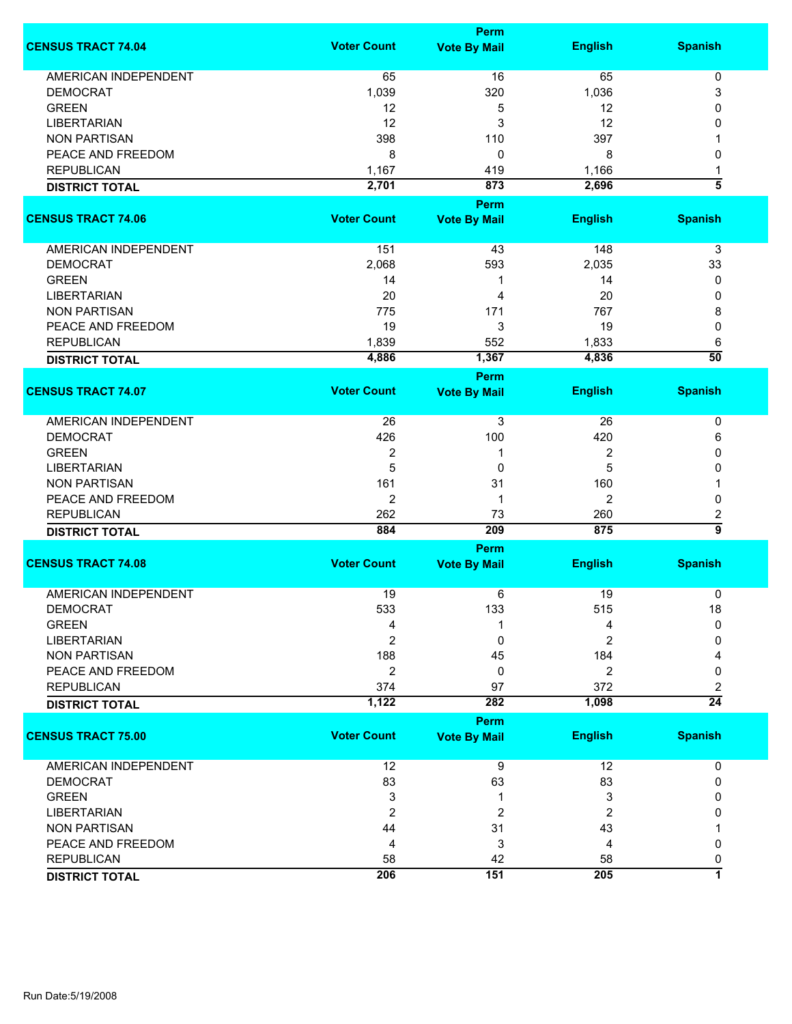|                             |                    | Perm                |                |                 |  |  |
|-----------------------------|--------------------|---------------------|----------------|-----------------|--|--|
| <b>CENSUS TRACT 74.04</b>   | <b>Voter Count</b> | <b>Vote By Mail</b> | <b>English</b> | <b>Spanish</b>  |  |  |
| <b>AMERICAN INDEPENDENT</b> | 65                 | 16                  | 65             | 0               |  |  |
| <b>DEMOCRAT</b>             | 1,039              | 320                 | 1,036          | 3               |  |  |
| <b>GREEN</b>                | 12                 |                     | 12             | $\mathbf{0}$    |  |  |
|                             |                    | 5                   |                |                 |  |  |
| <b>LIBERTARIAN</b>          | 12                 | 3                   | 12             | 0               |  |  |
| <b>NON PARTISAN</b>         | 398                | 110                 | 397            |                 |  |  |
| PEACE AND FREEDOM           | 8                  | 0                   | 8              | 0               |  |  |
| <b>REPUBLICAN</b>           | 1,167              | 419                 | 1,166          | 1               |  |  |
| <b>DISTRICT TOTAL</b>       | 2,701              | 873                 | 2,696          | 3               |  |  |
|                             |                    | Perm                |                |                 |  |  |
| <b>CENSUS TRACT 74.06</b>   | <b>Voter Count</b> | <b>Vote By Mail</b> | <b>English</b> | <b>Spanish</b>  |  |  |
| AMERICAN INDEPENDENT        | 151                | 43                  | 148            | 3               |  |  |
| <b>DEMOCRAT</b>             | 2,068              | 593                 | 2,035          | 33              |  |  |
| <b>GREEN</b>                | 14                 | 1                   | 14             | 0               |  |  |
| <b>LIBERTARIAN</b>          | 20                 | 4                   | 20             | 0               |  |  |
|                             |                    |                     |                |                 |  |  |
| <b>NON PARTISAN</b>         | 775                | 171                 | 767            | 8               |  |  |
| PEACE AND FREEDOM           | 19                 | 3                   | 19             | 0               |  |  |
| <b>REPUBLICAN</b>           | 1,839              | 552                 | 1,833          | 6               |  |  |
| <b>DISTRICT TOTAL</b>       | 4,886              | 1,367               | 4,836          | $\overline{50}$ |  |  |
|                             |                    | Perm                |                |                 |  |  |
| <b>CENSUS TRACT 74.07</b>   | <b>Voter Count</b> | <b>Vote By Mail</b> | <b>English</b> | <b>Spanish</b>  |  |  |
| AMERICAN INDEPENDENT        | 26                 | 3                   | 26             | 0               |  |  |
| <b>DEMOCRAT</b>             | 426                | 100                 | 420            | 6               |  |  |
|                             |                    |                     |                | 0               |  |  |
| <b>GREEN</b>                | 2                  | 1                   | 2              |                 |  |  |
| <b>LIBERTARIAN</b>          | 5                  | 0                   | 5              | 0               |  |  |
| <b>NON PARTISAN</b>         | 161                | 31                  | 160            |                 |  |  |
| PEACE AND FREEDOM           | 2                  | 1                   | 2              | 0               |  |  |
| <b>REPUBLICAN</b>           | 262                | 73                  | 260            | 2               |  |  |
| <b>DISTRICT TOTAL</b>       | 884                | 209                 | 875            | $\overline{9}$  |  |  |
|                             | Perm               |                     |                |                 |  |  |
| <b>CENSUS TRACT 74.08</b>   | <b>Voter Count</b> | <b>Vote By Mail</b> | <b>English</b> | <b>Spanish</b>  |  |  |
| <b>AMERICAN INDEPENDENT</b> | 19                 | 6                   | 19             | 0               |  |  |
| <b>DEMOCRAT</b>             | 533                | 133                 | 515            | 18              |  |  |
| <b>GREEN</b>                | 4                  |                     | 4              | $\mathbf{0}$    |  |  |
| <b>LIBERTARIAN</b>          | 2                  | 0                   | 2              | 0               |  |  |
|                             |                    |                     |                |                 |  |  |
| <b>NON PARTISAN</b>         | 188                | 45                  | 184            |                 |  |  |
| PEACE AND FREEDOM           | $\overline{2}$     | 0                   | $\overline{2}$ | 0               |  |  |
| <b>REPUBLICAN</b>           | 374                | 97                  | 372            | 2               |  |  |
| <b>DISTRICT TOTAL</b>       | 1,122              | 282                 | 1,098          | $\overline{24}$ |  |  |
|                             |                    | Perm                |                |                 |  |  |
| <b>CENSUS TRACT 75.00</b>   | <b>Voter Count</b> | <b>Vote By Mail</b> | <b>English</b> | <b>Spanish</b>  |  |  |
| <b>AMERICAN INDEPENDENT</b> | 12                 | 9                   | 12             | 0               |  |  |
| <b>DEMOCRAT</b>             | 83                 | 63                  | 83             | 0               |  |  |
| <b>GREEN</b>                | 3                  | 1                   | 3              | 0               |  |  |
| <b>LIBERTARIAN</b>          | $\overline{2}$     | 2                   | 2              | 0               |  |  |
|                             |                    |                     |                |                 |  |  |
| <b>NON PARTISAN</b>         | 44                 | 31                  | 43             |                 |  |  |
| PEACE AND FREEDOM           | 4                  | 3                   | 4              | 0               |  |  |
| <b>REPUBLICAN</b>           | 58                 | 42                  | 58             | 0               |  |  |
| <b>DISTRICT TOTAL</b>       | 206                | 151                 | 205            | 7               |  |  |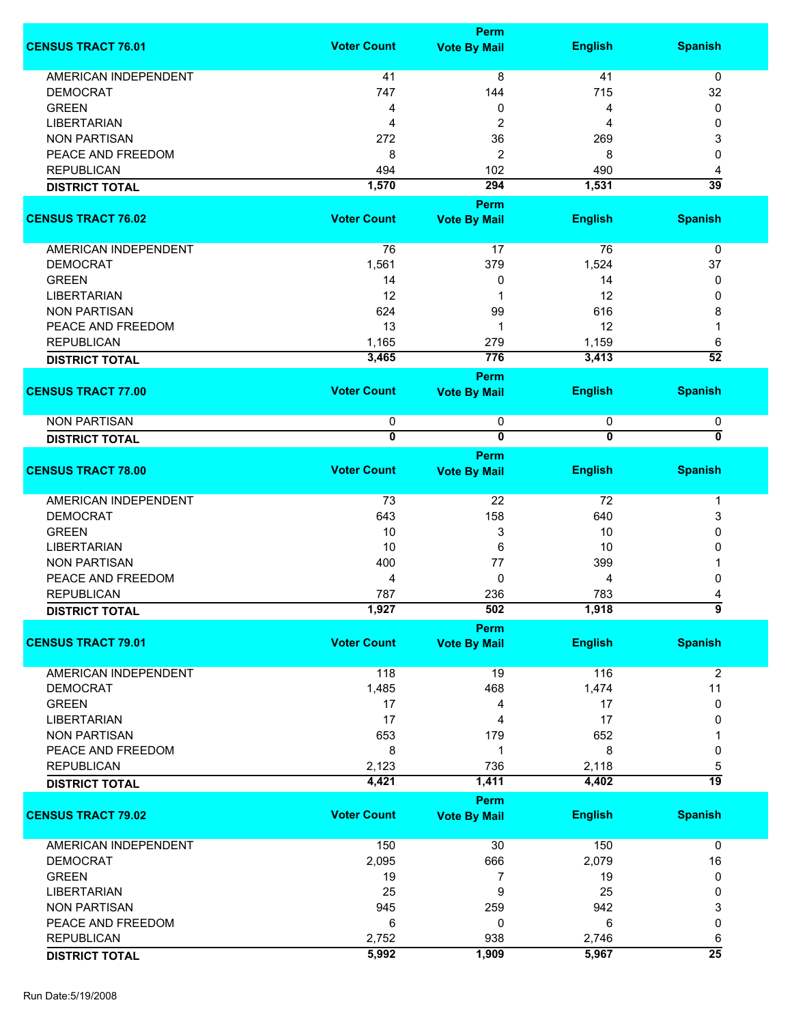| <b>CENSUS TRACT 76.01</b> | <b>Voter Count</b>      | <b>Perm</b><br><b>Vote By Mail</b> | <b>English</b> | <b>Spanish</b>  |
|---------------------------|-------------------------|------------------------------------|----------------|-----------------|
| AMERICAN INDEPENDENT      | 41                      | 8                                  | 41             | 0               |
| <b>DEMOCRAT</b>           | 747                     | 144                                | 715            | 32              |
|                           |                         |                                    |                |                 |
| <b>GREEN</b>              | 4                       | 0                                  | 4              | 0               |
| <b>LIBERTARIAN</b>        | 4                       | 2                                  | 4              | 0               |
| <b>NON PARTISAN</b>       | 272                     | 36                                 | 269            | 3               |
| PEACE AND FREEDOM         | 8                       | 2                                  | 8              | 0               |
| <b>REPUBLICAN</b>         | 494                     | 102                                | 490            | 4               |
| <b>DISTRICT TOTAL</b>     | 1,570                   | 294                                | 1,531          | $\overline{39}$ |
|                           |                         | Perm                               |                |                 |
| <b>CENSUS TRACT 76.02</b> | <b>Voter Count</b>      | <b>Vote By Mail</b>                | <b>English</b> | <b>Spanish</b>  |
| AMERICAN INDEPENDENT      | 76                      | 17                                 | 76             | $\mathbf 0$     |
| <b>DEMOCRAT</b>           | 1,561                   | 379                                | 1,524          | 37              |
| <b>GREEN</b>              | 14                      | 0                                  | 14             | 0               |
| <b>LIBERTARIAN</b>        | 12                      | 1                                  | 12             | 0               |
|                           |                         |                                    |                |                 |
| <b>NON PARTISAN</b>       | 624                     | 99                                 | 616            | 8               |
| PEACE AND FREEDOM         | 13                      | 1                                  | 12             |                 |
| <b>REPUBLICAN</b>         | 1,165                   | 279                                | 1,159          | 6               |
| <b>DISTRICT TOTAL</b>     | 3,465                   | 776                                | 3,413          | $\overline{52}$ |
|                           |                         | Perm                               |                |                 |
| <b>CENSUS TRACT 77.00</b> | <b>Voter Count</b>      | <b>Vote By Mail</b>                | <b>English</b> | <b>Spanish</b>  |
| <b>NON PARTISAN</b>       | 0                       | 0                                  | 0              | 0               |
| <b>DISTRICT TOTAL</b>     | $\overline{\mathbf{0}}$ | $\overline{\mathbf{0}}$            | $\overline{0}$ | 0               |
|                           |                         | Perm                               |                |                 |
| <b>CENSUS TRACT 78.00</b> | <b>Voter Count</b>      | <b>Vote By Mail</b>                | <b>English</b> | <b>Spanish</b>  |
| AMERICAN INDEPENDENT      | 73                      | 22                                 | 72             | $\mathbf 1$     |
| <b>DEMOCRAT</b>           | 643                     | 158                                | 640            | 3               |
| <b>GREEN</b>              | 10                      | 3                                  | 10             | 0               |
| <b>LIBERTARIAN</b>        | 10                      | 6                                  | 10             | 0               |
| <b>NON PARTISAN</b>       | 400                     | 77                                 | 399            |                 |
|                           |                         |                                    |                |                 |
| PEACE AND FREEDOM         | 4                       | 0                                  | 4              | 0               |
| <b>REPUBLICAN</b>         | 787                     | 236                                | 783            |                 |
| <b>DISTRICT TOTAL</b>     | 1,927                   | 502                                | 1,918          | A               |
|                           |                         | <b>Perm</b>                        |                |                 |
| <b>CENSUS TRACT 79.01</b> | <b>Voter Count</b>      | <b>Vote By Mail</b>                | <b>English</b> | <b>Spanish</b>  |
| AMERICAN INDEPENDENT      | 118                     | 19                                 | 116            | $\overline{2}$  |
| <b>DEMOCRAT</b>           | 1,485                   | 468                                | 1,474          | 11              |
| <b>GREEN</b>              | 17                      | 4                                  | 17             | 0               |
| <b>LIBERTARIAN</b>        | 17                      | 4                                  | 17             | 0               |
| <b>NON PARTISAN</b>       | 653                     | 179                                | 652            |                 |
| PEACE AND FREEDOM         | 8                       | 1                                  | 8              | 0               |
| <b>REPUBLICAN</b>         | 2,123                   | 736                                | 2,118          | 5               |
|                           | 4,421                   | 1,411                              | 4,402          | $\overline{19}$ |
| <b>DISTRICT TOTAL</b>     |                         | Perm                               |                |                 |
| <b>CENSUS TRACT 79.02</b> | <b>Voter Count</b>      | <b>Vote By Mail</b>                | <b>English</b> | <b>Spanish</b>  |
|                           |                         |                                    |                |                 |
| AMERICAN INDEPENDENT      | 150                     | 30                                 | 150            | $\mathbf 0$     |
| <b>DEMOCRAT</b>           | 2,095                   | 666                                | 2,079          | 16              |
| <b>GREEN</b>              | 19                      | 7                                  | 19             | 0               |
| <b>LIBERTARIAN</b>        | 25                      | 9                                  | 25             | 0               |
| <b>NON PARTISAN</b>       | 945                     | 259                                | 942            | 3               |
| PEACE AND FREEDOM         | 6                       | 0                                  | 6              | 0               |
|                           |                         |                                    |                |                 |
| <b>REPUBLICAN</b>         | 2,752                   | 938                                | 2,746          | 6               |
| <b>DISTRICT TOTAL</b>     | 5,992                   | 1,909                              | 5,967          | $\overline{25}$ |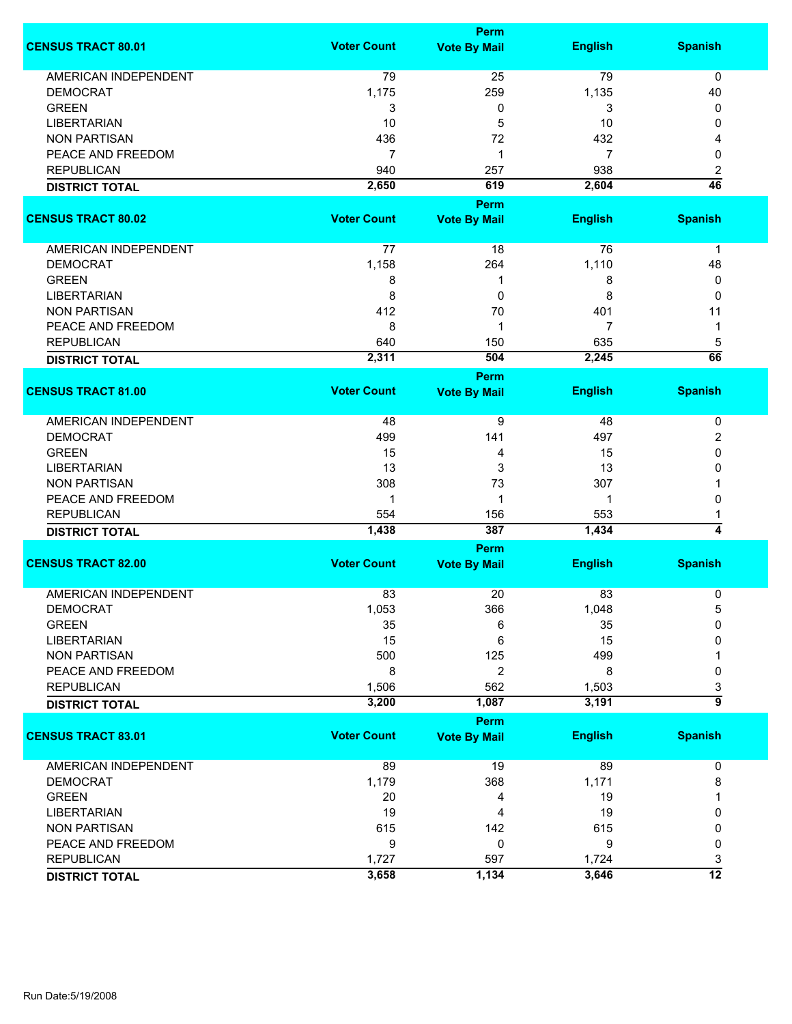|                                          |                    | <b>Perm</b>                        |                |                     |
|------------------------------------------|--------------------|------------------------------------|----------------|---------------------|
| <b>CENSUS TRACT 80.01</b>                | <b>Voter Count</b> | <b>Vote By Mail</b>                | <b>English</b> | <b>Spanish</b>      |
| <b>AMERICAN INDEPENDENT</b>              | 79                 | 25                                 | 79             | $\mathbf 0$         |
| <b>DEMOCRAT</b>                          | 1,175              | 259                                | 1,135          | 40                  |
| <b>GREEN</b>                             | 3                  | 0                                  | 3              | 0                   |
| <b>LIBERTARIAN</b>                       | 10                 | 5                                  | 10             | 0                   |
| <b>NON PARTISAN</b>                      | 436                | 72                                 | 432            | 4                   |
| PEACE AND FREEDOM                        | $\overline{7}$     | 1                                  | 7              | 0                   |
| <b>REPUBLICAN</b>                        | 940                | 257                                | 938            | 2                   |
| <b>DISTRICT TOTAL</b>                    | 2,650              | 619                                | 2,604          | $\overline{46}$     |
|                                          |                    | Perm                               |                |                     |
| <b>CENSUS TRACT 80.02</b>                | <b>Voter Count</b> |                                    | <b>English</b> | <b>Spanish</b>      |
|                                          |                    | <b>Vote By Mail</b>                |                |                     |
| <b>AMERICAN INDEPENDENT</b>              | 77                 | 18                                 | 76             | 1                   |
| <b>DEMOCRAT</b>                          | 1,158              | 264                                | 1,110          | 48                  |
| <b>GREEN</b>                             | 8                  | 1                                  | 8              | 0                   |
| <b>LIBERTARIAN</b>                       | 8                  | 0                                  | 8              | 0                   |
| <b>NON PARTISAN</b>                      | 412                | 70                                 | 401            | 11                  |
| PEACE AND FREEDOM                        | 8                  | 1                                  | 7              | 1                   |
| <b>REPUBLICAN</b>                        | 640                | 150                                | 635            | 5                   |
| <b>DISTRICT TOTAL</b>                    | 2,311              | 504                                | 2,245          | 66                  |
|                                          |                    | <b>Perm</b>                        |                |                     |
| <b>CENSUS TRACT 81.00</b>                | <b>Voter Count</b> | <b>Vote By Mail</b>                | <b>English</b> | <b>Spanish</b>      |
| <b>AMERICAN INDEPENDENT</b>              | 48                 | 9                                  | 48             | 0                   |
| <b>DEMOCRAT</b>                          | 499                | 141                                | 497            | 2                   |
| <b>GREEN</b>                             | 15                 | 4                                  | 15             | 0                   |
| <b>LIBERTARIAN</b>                       | 13                 | 3                                  | 13             | 0                   |
| <b>NON PARTISAN</b>                      | 308                | 73                                 | 307            |                     |
| PEACE AND FREEDOM                        | -1                 | 1                                  | -1             | 0                   |
| <b>REPUBLICAN</b>                        | 554                | 156                                | 553            | 1                   |
| <b>DISTRICT TOTAL</b>                    | 1,438              | 387                                | 1,434          | 4                   |
|                                          |                    | <b>Perm</b>                        |                |                     |
| <b>CENSUS TRACT 82.00</b>                | <b>Voter Count</b> | <b>Vote By Mail</b>                | <b>English</b> | <b>Spanish</b>      |
| <b>AMERICAN INDEPENDENT</b>              | 83                 | 20                                 | 83             | 0                   |
| <b>DEMOCRAT</b>                          | 1,053              | 366                                | 1,048          | 5                   |
| <b>GREEN</b>                             | 35                 | 6                                  | 35             | $\Omega$            |
| <b>LIBERTARIAN</b>                       | 15                 | 6                                  | 15             | 0                   |
|                                          | 500                |                                    |                |                     |
| <b>NON PARTISAN</b><br>PEACE AND FREEDOM |                    | 125                                | 499            |                     |
|                                          | 8                  | 2                                  | 8              | 0                   |
| <b>REPUBLICAN</b>                        | 1,506              | 562                                | 1,503          | 3<br>$\overline{9}$ |
| <b>DISTRICT TOTAL</b>                    | 3,200              | 1,087                              | 3,191          |                     |
| <b>CENSUS TRACT 83.01</b>                | <b>Voter Count</b> | <b>Perm</b><br><b>Vote By Mail</b> | <b>English</b> | <b>Spanish</b>      |
|                                          |                    |                                    |                |                     |
| <b>AMERICAN INDEPENDENT</b>              | 89                 | 19                                 | 89             | 0                   |
| <b>DEMOCRAT</b>                          | 1,179              | 368                                | 1,171          | 8                   |
| <b>GREEN</b>                             | 20                 | 4                                  | 19             |                     |
| <b>LIBERTARIAN</b>                       | 19                 | 4                                  | 19             | 0                   |
| <b>NON PARTISAN</b>                      | 615                | 142                                | 615            | 0                   |
| PEACE AND FREEDOM                        | 9                  | 0                                  | 9              | 0                   |
| <b>REPUBLICAN</b>                        | 1,727              | 597                                | 1,724          | 3                   |
| <b>DISTRICT TOTAL</b>                    | 3,658              | 1,134                              | 3,646          | $\overline{12}$     |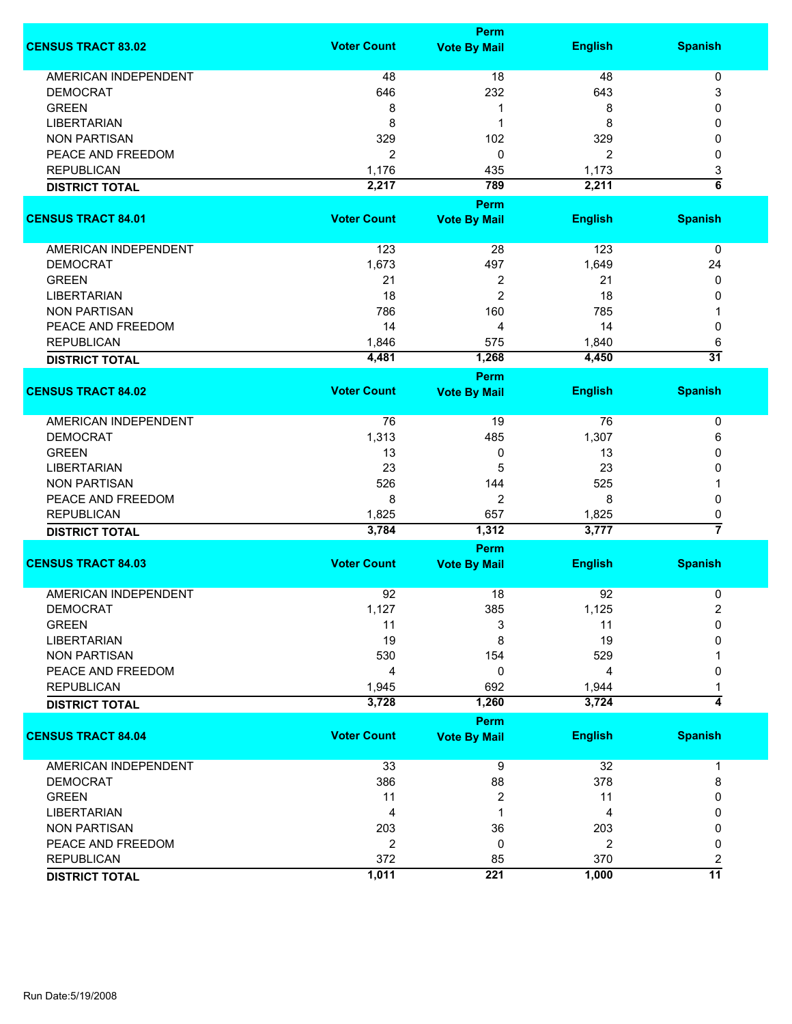|                             | <b>Perm</b>        |                     |                |                    |  |
|-----------------------------|--------------------|---------------------|----------------|--------------------|--|
| <b>CENSUS TRACT 83.02</b>   | <b>Voter Count</b> | <b>Vote By Mail</b> | <b>English</b> | <b>Spanish</b>     |  |
| <b>AMERICAN INDEPENDENT</b> | 48                 | 18                  | 48             | 0                  |  |
| <b>DEMOCRAT</b>             | 646                | 232                 | 643            | 3                  |  |
| <b>GREEN</b>                | 8                  | 1                   | 8              | 0                  |  |
| <b>LIBERTARIAN</b>          | 8                  | 1                   | 8              | 0                  |  |
| <b>NON PARTISAN</b>         | 329                | 102                 | 329            | 0                  |  |
| PEACE AND FREEDOM           | $\overline{2}$     | 0                   |                | 0                  |  |
|                             |                    |                     | 2              |                    |  |
| <b>REPUBLICAN</b>           | 1,176              | 435                 | 1,173          | 3                  |  |
| <b>DISTRICT TOTAL</b>       | 2,217              | 789                 | 2,211          | $\overline{\bf 6}$ |  |
|                             | <b>Voter Count</b> | <b>Perm</b>         |                |                    |  |
| <b>CENSUS TRACT 84.01</b>   |                    | <b>Vote By Mail</b> | <b>English</b> | <b>Spanish</b>     |  |
| AMERICAN INDEPENDENT        | 123                | 28                  | 123            | 0                  |  |
| <b>DEMOCRAT</b>             | 1,673              | 497                 | 1,649          | 24                 |  |
| <b>GREEN</b>                | 21                 | $\overline{2}$      | 21             | 0                  |  |
| <b>LIBERTARIAN</b>          | 18                 | $\overline{2}$      | 18             | 0                  |  |
| <b>NON PARTISAN</b>         | 786                | 160                 | 785            |                    |  |
| PEACE AND FREEDOM           | 14                 | 4                   | 14             | 0                  |  |
| <b>REPUBLICAN</b>           | 1,846              | 575                 | 1,840          | 6                  |  |
|                             | 4,481              | 1,268               | 4,450          | $\overline{31}$    |  |
| <b>DISTRICT TOTAL</b>       |                    | <b>Perm</b>         |                |                    |  |
| <b>CENSUS TRACT 84.02</b>   | <b>Voter Count</b> | <b>Vote By Mail</b> | <b>English</b> | <b>Spanish</b>     |  |
|                             |                    |                     |                |                    |  |
| <b>AMERICAN INDEPENDENT</b> | 76                 | 19                  | 76             | 0                  |  |
| <b>DEMOCRAT</b>             | 1,313              | 485                 | 1,307          | 6                  |  |
| <b>GREEN</b>                | 13                 | 0                   | 13             | 0                  |  |
| <b>LIBERTARIAN</b>          | 23                 | 5                   | 23             | 0                  |  |
| <b>NON PARTISAN</b>         | 526                | 144                 | 525            |                    |  |
| PEACE AND FREEDOM           | 8                  | $\overline{2}$      | 8              | 0                  |  |
| <b>REPUBLICAN</b>           | 1,825              | 657                 | 1,825          | 0                  |  |
| <b>DISTRICT TOTAL</b>       | 3,784              | 1,312               | 3,777          | 7                  |  |
|                             |                    | Perm                |                |                    |  |
| <b>CENSUS TRACT 84.03</b>   | <b>Voter Count</b> | <b>Vote By Mail</b> | <b>English</b> | <b>Spanish</b>     |  |
| <b>AMERICAN INDEPENDENT</b> | 92                 | 18                  | 92             | 0                  |  |
| <b>DEMOCRAT</b>             | 1,127              | 385                 | 1,125          | 2                  |  |
| <b>GREEN</b>                | 11                 | 3                   | 11             | 0                  |  |
| <b>LIBERTARIAN</b>          | 19                 | 8                   | 19             | 0                  |  |
| <b>NON PARTISAN</b>         | 530                | 154                 | 529            |                    |  |
| PEACE AND FREEDOM           | 4                  | 0                   | 4              | 0                  |  |
| <b>REPUBLICAN</b>           | 1,945              | 692                 | 1,944          |                    |  |
|                             | 3,728              | 1,260               | 3,724          | 4                  |  |
| <b>DISTRICT TOTAL</b>       |                    | <b>Perm</b>         |                |                    |  |
| <b>CENSUS TRACT 84.04</b>   | <b>Voter Count</b> | <b>Vote By Mail</b> | <b>English</b> | <b>Spanish</b>     |  |
|                             |                    |                     |                |                    |  |
| <b>AMERICAN INDEPENDENT</b> | 33                 | 9                   | 32             | 1                  |  |
| <b>DEMOCRAT</b>             | 386                | 88                  | 378            | 8                  |  |
| <b>GREEN</b>                | 11                 | 2                   | 11             | 0                  |  |
| <b>LIBERTARIAN</b>          | 4                  | 1                   | 4              | 0                  |  |
| <b>NON PARTISAN</b>         | 203                | 36                  | 203            | 0                  |  |
| PEACE AND FREEDOM           | $\overline{2}$     | 0                   | $\overline{2}$ | 0                  |  |
| <b>REPUBLICAN</b>           | 372                | 85                  | 370            | 2                  |  |
| <b>DISTRICT TOTAL</b>       | 1,011              | 221                 | 1,000          | $\overline{11}$    |  |
|                             |                    |                     |                |                    |  |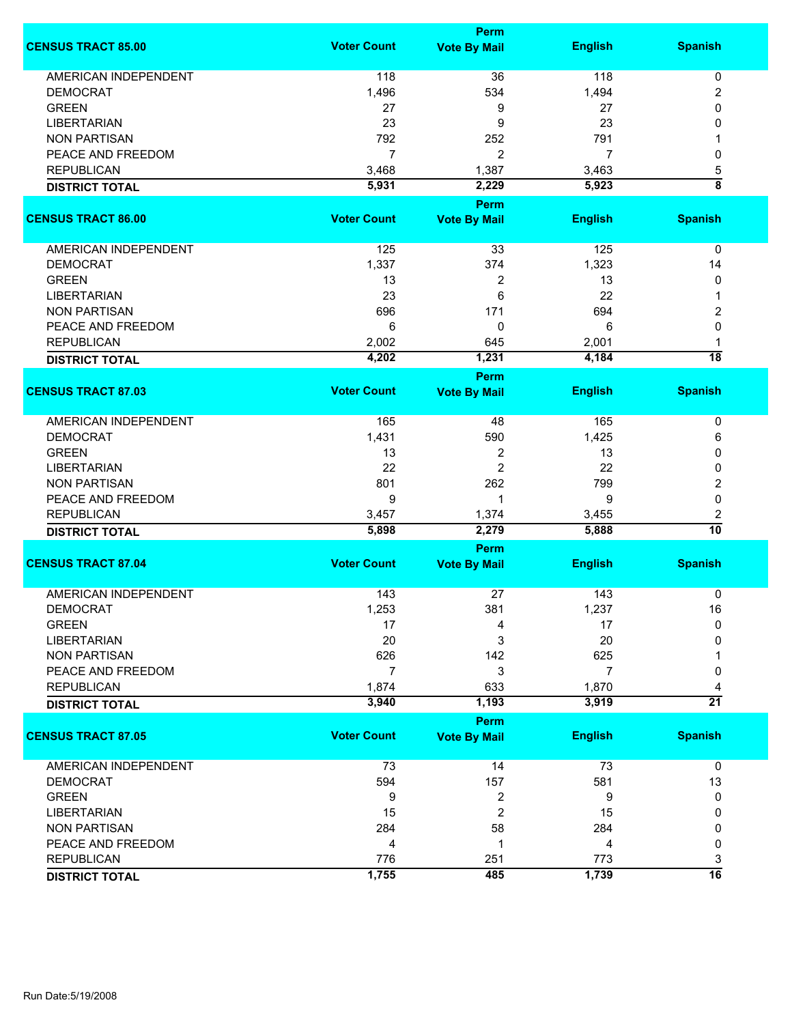|                             | Perm               |                             |                |                    |
|-----------------------------|--------------------|-----------------------------|----------------|--------------------|
| <b>CENSUS TRACT 85.00</b>   | <b>Voter Count</b> | <b>Vote By Mail</b>         | <b>English</b> | <b>Spanish</b>     |
| <b>AMERICAN INDEPENDENT</b> | 118                | 36                          | 118            | 0                  |
| <b>DEMOCRAT</b>             | 1,496              | 534                         | 1,494          | 2                  |
| <b>GREEN</b>                | 27                 | 9                           | 27             | 0                  |
| <b>LIBERTARIAN</b>          | 23                 | 9                           | 23             | 0                  |
| <b>NON PARTISAN</b>         | 792                | 252                         | 791            |                    |
| PEACE AND FREEDOM           | $\overline{7}$     |                             | 7              |                    |
|                             |                    | 2                           |                | 0                  |
| <b>REPUBLICAN</b>           | 3,468              | 1,387                       | 3,463          | 5                  |
| <b>DISTRICT TOTAL</b>       | 5,931              | 2,229                       | 5,923          | $\overline{\bf 8}$ |
| <b>CENSUS TRACT 86.00</b>   | <b>Voter Count</b> | Perm<br><b>Vote By Mail</b> | <b>English</b> | <b>Spanish</b>     |
|                             |                    |                             |                |                    |
| <b>AMERICAN INDEPENDENT</b> | 125                | 33                          | 125            | 0                  |
| <b>DEMOCRAT</b>             | 1,337              | 374                         | 1,323          | 14                 |
| <b>GREEN</b>                | 13                 | 2                           | 13             | 0                  |
| <b>LIBERTARIAN</b>          | 23                 | 6                           | 22             | 1                  |
| <b>NON PARTISAN</b>         | 696                | 171                         | 694            | 2                  |
| PEACE AND FREEDOM           | 6                  | 0                           | 6              | 0                  |
| <b>REPUBLICAN</b>           | 2,002              | 645                         | 2,001          | 1                  |
| <b>DISTRICT TOTAL</b>       | 4,202              | 1,231                       | 4,184          | $\overline{18}$    |
|                             |                    | <b>Perm</b>                 |                |                    |
| <b>CENSUS TRACT 87.03</b>   | <b>Voter Count</b> | <b>Vote By Mail</b>         | <b>English</b> | <b>Spanish</b>     |
| AMERICAN INDEPENDENT        | 165                | 48                          | 165            | 0                  |
| <b>DEMOCRAT</b>             | 1,431              | 590                         | 1,425          | 6                  |
| <b>GREEN</b>                | 13                 | 2                           | 13             | 0                  |
| <b>LIBERTARIAN</b>          | 22                 | $\overline{c}$              | 22             | 0                  |
| <b>NON PARTISAN</b>         | 801                | 262                         | 799            | 2                  |
|                             |                    |                             |                |                    |
| PEACE AND FREEDOM           | 9                  | 1                           | 9              | 0                  |
| <b>REPUBLICAN</b>           | 3,457              | 1,374                       | 3,455          | 2                  |
| <b>DISTRICT TOTAL</b>       | 5,898              | 2,279                       | 5,888          | $\overline{10}$    |
| <b>CENSUS TRACT 87.04</b>   | <b>Voter Count</b> | Perm<br><b>Vote By Mail</b> | <b>English</b> | <b>Spanish</b>     |
|                             |                    |                             |                |                    |
| <b>AMERICAN INDEPENDENT</b> | 143                | 27                          | 143            | 0                  |
| DEMOCRAT                    | 1,253              | 381                         | 1,237          | 16                 |
| <b>GREEN</b>                | 17                 | 4                           | 17             | $\mathbf 0$        |
| <b>LIBERTARIAN</b>          | 20                 | 3                           | 20             | 0                  |
| <b>NON PARTISAN</b>         | 626                | 142                         | 625            |                    |
| PEACE AND FREEDOM           | $\overline{7}$     | 3                           | 7              | 0                  |
| <b>REPUBLICAN</b>           | 1,874              | 633                         | 1,870          | 4                  |
| <b>DISTRICT TOTAL</b>       | 3,940              | 1,193                       | 3,919          | $\overline{21}$    |
|                             |                    | Perm                        |                |                    |
| <b>CENSUS TRACT 87.05</b>   | <b>Voter Count</b> | <b>Vote By Mail</b>         | <b>English</b> | <b>Spanish</b>     |
| <b>AMERICAN INDEPENDENT</b> | 73                 | 14                          | 73             | $\mathbf 0$        |
| <b>DEMOCRAT</b>             | 594                | 157                         | 581            | 13                 |
| <b>GREEN</b>                | 9                  | 2                           | 9              | 0                  |
| <b>LIBERTARIAN</b>          | 15                 | 2                           | 15             | 0                  |
| <b>NON PARTISAN</b>         | 284                | 58                          | 284            | 0                  |
| PEACE AND FREEDOM           | 4                  | 1                           | 4              | 0                  |
| <b>REPUBLICAN</b>           | 776                | 251                         | 773            | 3                  |
|                             | 1,755              | 485                         | 1,739          | $\overline{16}$    |
| <b>DISTRICT TOTAL</b>       |                    |                             |                |                    |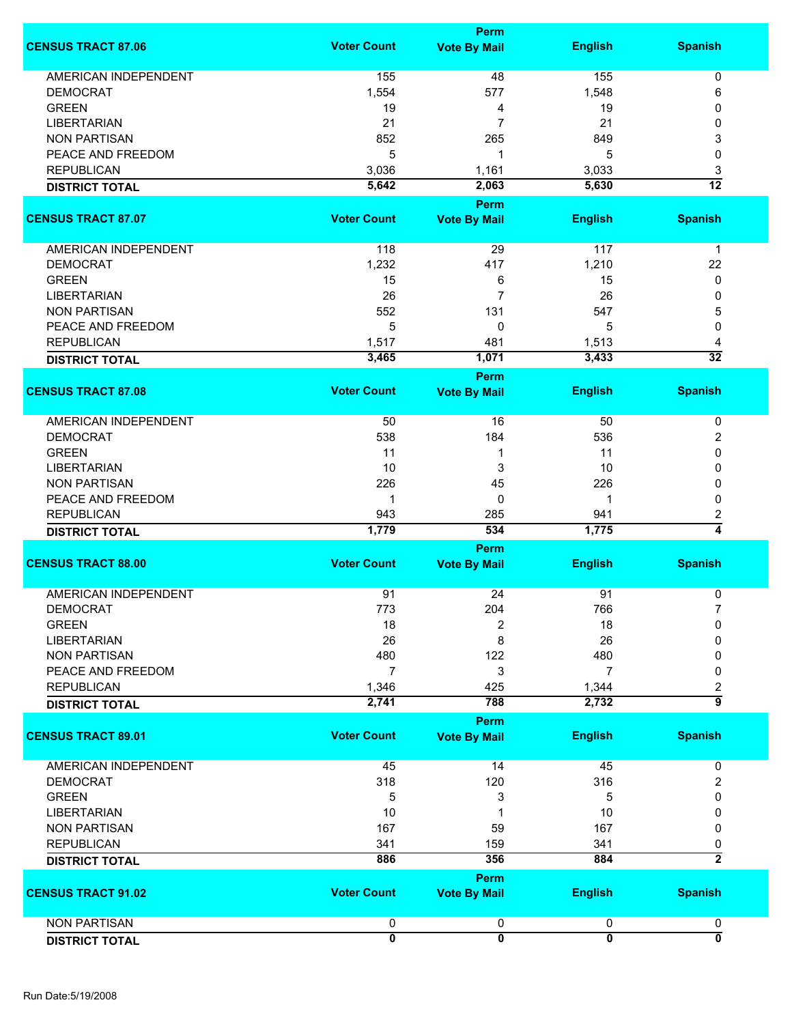|                             |                    | <b>Perm</b>         |                |                         |
|-----------------------------|--------------------|---------------------|----------------|-------------------------|
| <b>CENSUS TRACT 87.06</b>   | <b>Voter Count</b> | <b>Vote By Mail</b> | <b>English</b> | <b>Spanish</b>          |
| <b>AMERICAN INDEPENDENT</b> | 155                | 48                  | 155            | 0                       |
| <b>DEMOCRAT</b>             | 1,554              | 577                 | 1,548          | 6                       |
| <b>GREEN</b>                | 19                 | 4                   | 19             | 0                       |
| <b>LIBERTARIAN</b>          | 21                 | 7                   |                |                         |
|                             |                    |                     | 21             | 0                       |
| <b>NON PARTISAN</b>         | 852                | 265                 | 849            | 3                       |
| PEACE AND FREEDOM           | 5                  | 1                   | 5              | 0                       |
| <b>REPUBLICAN</b>           | 3,036              | 1,161               | 3,033          | 3                       |
| <b>DISTRICT TOTAL</b>       | 5,642              | 2,063               | 5,630          | $\overline{12}$         |
|                             |                    | Perm                |                |                         |
| <b>CENSUS TRACT 87.07</b>   | <b>Voter Count</b> | <b>Vote By Mail</b> | <b>English</b> | <b>Spanish</b>          |
| AMERICAN INDEPENDENT        | 118                | 29                  | 117            | $\mathbf 1$             |
| <b>DEMOCRAT</b>             | 1,232              | 417                 | 1,210          | 22                      |
| <b>GREEN</b>                | 15                 | 6                   | 15             | 0                       |
| <b>LIBERTARIAN</b>          | 26                 | 7                   |                |                         |
|                             |                    |                     | 26             | 0                       |
| <b>NON PARTISAN</b>         | 552                | 131                 | 547            | 5                       |
| PEACE AND FREEDOM           | 5                  | 0                   | 5              | 0                       |
| <b>REPUBLICAN</b>           | 1,517              | 481                 | 1,513          | 4                       |
| <b>DISTRICT TOTAL</b>       | 3,465              | 1,071               | 3,433          | $\overline{32}$         |
|                             |                    | Perm                |                |                         |
| <b>CENSUS TRACT 87.08</b>   | <b>Voter Count</b> | <b>Vote By Mail</b> | <b>English</b> | <b>Spanish</b>          |
|                             |                    |                     |                |                         |
| AMERICAN INDEPENDENT        | 50                 | 16                  | 50             | 0                       |
| <b>DEMOCRAT</b>             | 538                | 184                 | 536            | 2                       |
| <b>GREEN</b>                | 11                 | 1                   | 11             | 0                       |
| <b>LIBERTARIAN</b>          | 10                 | 3                   | 10             | 0                       |
| <b>NON PARTISAN</b>         | 226                | 45                  | 226            | 0                       |
| PEACE AND FREEDOM           | 1                  | 0                   |                | 0                       |
| <b>REPUBLICAN</b>           | 943                | 285                 | 941            | 2                       |
| <b>DISTRICT TOTAL</b>       | 1,779              | 534                 | 1,775          | 4                       |
|                             |                    | Perm                |                |                         |
| <b>CENSUS TRACT 88.00</b>   | <b>Voter Count</b> | <b>Vote By Mail</b> | <b>English</b> | <b>Spanish</b>          |
| AMERICAN INDEPENDENT        | 91                 | 24                  | 91             |                         |
|                             |                    |                     |                | 0                       |
| <b>DEMOCRAT</b>             | 773                | 204                 | 766            | $\overline{7}$          |
| <b>GREEN</b>                | 18                 | 2                   | 18             | 0                       |
| <b>LIBERTARIAN</b>          | 26                 | 8                   | 26             | 0                       |
| <b>NON PARTISAN</b>         | 480                | 122                 | 480            | 0                       |
| PEACE AND FREEDOM           | $\overline{7}$     | 3                   | $\overline{7}$ | 0                       |
| <b>REPUBLICAN</b>           | 1,346              | 425                 | 1,344          | $\overline{\mathbf{c}}$ |
| <b>DISTRICT TOTAL</b>       | 2,741              | 788                 | 2,732          | $\overline{9}$          |
|                             |                    | Perm                |                |                         |
| <b>CENSUS TRACT 89.01</b>   | <b>Voter Count</b> | <b>Vote By Mail</b> | <b>English</b> | <b>Spanish</b>          |
|                             |                    |                     |                |                         |
| AMERICAN INDEPENDENT        | 45                 | 14                  | 45             | 0                       |
| <b>DEMOCRAT</b>             | 318                | 120                 | 316            | 2                       |
| <b>GREEN</b>                | 5                  | 3                   | 5              | 0                       |
| <b>LIBERTARIAN</b>          | 10                 |                     | 10             | 0                       |
| <b>NON PARTISAN</b>         | 167                | 59                  | 167            | 0                       |
| <b>REPUBLICAN</b>           | 341                | 159                 | 341            | 0                       |
| <b>DISTRICT TOTAL</b>       | 886                | 356                 | 884            | $\overline{2}$          |
|                             |                    |                     |                |                         |
|                             |                    | Perm                |                |                         |
| <b>CENSUS TRACT 91.02</b>   | <b>Voter Count</b> | <b>Vote By Mail</b> | <b>English</b> | <b>Spanish</b>          |
| <b>NON PARTISAN</b>         | $\pmb{0}$          | 0                   | 0              | 0                       |
| <b>DISTRICT TOTAL</b>       | $\overline{0}$     | $\overline{0}$      | $\overline{0}$ | ō                       |
|                             |                    |                     |                |                         |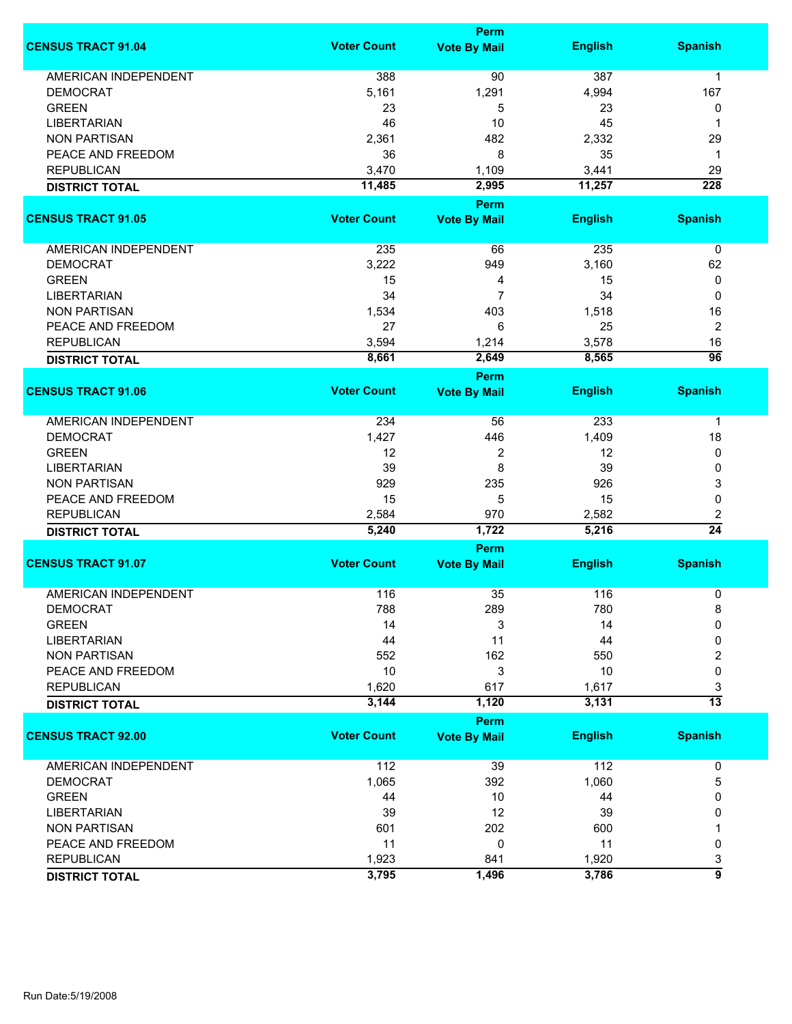|                             |                    | Perm                        |                |                  |
|-----------------------------|--------------------|-----------------------------|----------------|------------------|
| <b>CENSUS TRACT 91.04</b>   | <b>Voter Count</b> | <b>Vote By Mail</b>         | <b>English</b> | <b>Spanish</b>   |
| <b>AMERICAN INDEPENDENT</b> | 388                | 90                          | 387            | 1                |
| <b>DEMOCRAT</b>             | 5,161              | 1,291                       | 4,994          | 167              |
| <b>GREEN</b>                | 23                 | 5                           | 23             | 0                |
| <b>LIBERTARIAN</b>          | 46                 | 10                          | 45             | 1                |
| <b>NON PARTISAN</b>         | 2,361              | 482                         | 2,332          | 29               |
|                             |                    |                             |                |                  |
| PEACE AND FREEDOM           | 36                 | 8                           | 35             | 1                |
| <b>REPUBLICAN</b>           | 3,470              | 1,109                       | 3,441          | 29               |
| <b>DISTRICT TOTAL</b>       | 11,485             | 2,995                       | 11,257         | $\overline{228}$ |
| <b>CENSUS TRACT 91.05</b>   | <b>Voter Count</b> | Perm<br><b>Vote By Mail</b> | <b>English</b> | <b>Spanish</b>   |
|                             |                    |                             |                |                  |
| AMERICAN INDEPENDENT        | 235                | 66                          | 235            | $\pmb{0}$        |
| <b>DEMOCRAT</b>             | 3,222              | 949                         | 3,160          | 62               |
| <b>GREEN</b>                | 15                 | 4                           | 15             | 0                |
| <b>LIBERTARIAN</b>          | 34                 | $\overline{7}$              | 34             | 0                |
| <b>NON PARTISAN</b>         | 1,534              | 403                         | 1,518          | 16               |
| PEACE AND FREEDOM           | 27                 | 6                           | 25             | $\overline{2}$   |
| <b>REPUBLICAN</b>           | 3,594              |                             | 3,578          | 16               |
|                             |                    | 1,214                       |                | $\overline{96}$  |
| <b>DISTRICT TOTAL</b>       | 8,661              | 2,649<br><b>Perm</b>        | 8,565          |                  |
| <b>CENSUS TRACT 91.06</b>   | <b>Voter Count</b> | <b>Vote By Mail</b>         | <b>English</b> | <b>Spanish</b>   |
|                             |                    |                             |                |                  |
| <b>AMERICAN INDEPENDENT</b> | 234                | 56                          | 233            | $\mathbf 1$      |
| <b>DEMOCRAT</b>             | 1,427              | 446                         | 1,409          | 18               |
| <b>GREEN</b>                | 12                 | 2                           | 12             | 0                |
| <b>LIBERTARIAN</b>          | 39                 | 8                           | 39             | 0                |
| <b>NON PARTISAN</b>         | 929                | 235                         | 926            | 3                |
| PEACE AND FREEDOM           | 15                 | 5                           | 15             | 0                |
| <b>REPUBLICAN</b>           | 2,584              | 970                         | 2,582          | 2                |
| <b>DISTRICT TOTAL</b>       | 5,240              | 1,722                       | 5,216          | $\overline{24}$  |
|                             |                    | Perm                        |                |                  |
| <b>CENSUS TRACT 91.07</b>   | <b>Voter Count</b> | <b>Vote By Mail</b>         | <b>English</b> | <b>Spanish</b>   |
| <b>AMERICAN INDEPENDENT</b> | 116                | 35                          | 116            | 0                |
| <b>DEMOCRAT</b>             | 788                | 289                         | 780            | 8                |
| <b>GREEN</b>                | 14                 | 3                           | 14             | $\Omega$         |
| <b>LIBERTARIAN</b>          | 44                 | 11                          | 44             | 0                |
| <b>NON PARTISAN</b>         | 552                | 162                         | 550            | 2                |
|                             | 10                 |                             | 10             |                  |
| PEACE AND FREEDOM           |                    | 3                           |                | 0                |
| <b>REPUBLICAN</b>           | 1,620              | 617                         | 1,617          | 3                |
| <b>DISTRICT TOTAL</b>       | 3,144              | 1,120                       | 3,131          | $\overline{13}$  |
| <b>CENSUS TRACT 92.00</b>   | <b>Voter Count</b> | Perm<br><b>Vote By Mail</b> | <b>English</b> | <b>Spanish</b>   |
|                             |                    |                             |                |                  |
| <b>AMERICAN INDEPENDENT</b> | 112                | 39                          | 112            | 0                |
| <b>DEMOCRAT</b>             | 1,065              | 392                         | 1,060          | 5                |
| <b>GREEN</b>                | 44                 | 10                          | 44             | 0                |
| <b>LIBERTARIAN</b>          | 39                 | 12                          | 39             | 0                |
| <b>NON PARTISAN</b>         | 601                | 202                         | 600            |                  |
| PEACE AND FREEDOM           | 11                 | 0                           | 11             | 0                |
| <b>REPUBLICAN</b>           | 1,923              | 841                         | 1,920          | 3                |
|                             | 3,795              | 1,496                       | 3,786          | $\overline{9}$   |
| <b>DISTRICT TOTAL</b>       |                    |                             |                |                  |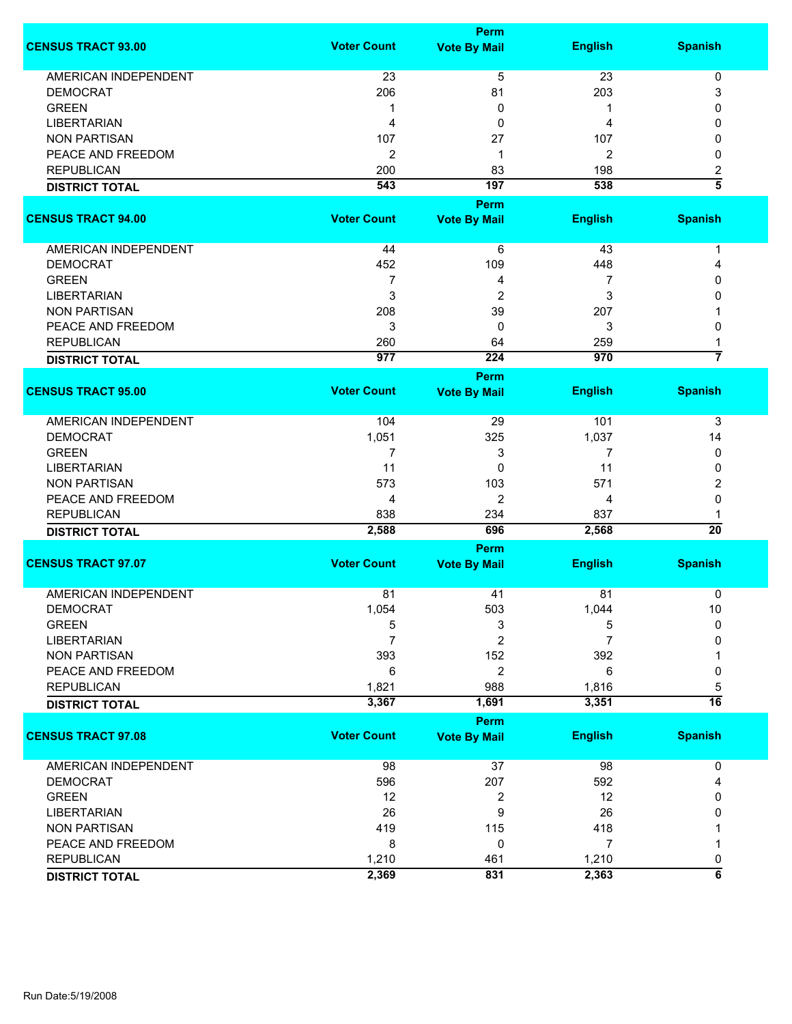|                                           |                    | Perm                |                |                         |
|-------------------------------------------|--------------------|---------------------|----------------|-------------------------|
| <b>CENSUS TRACT 93.00</b>                 | <b>Voter Count</b> | <b>Vote By Mail</b> | <b>English</b> | <b>Spanish</b>          |
| <b>AMERICAN INDEPENDENT</b>               | 23                 | 5                   | 23             | $\pmb{0}$               |
| <b>DEMOCRAT</b>                           | 206                | 81                  | 203            | 3                       |
| <b>GREEN</b>                              | 1                  | 0                   | 1              | 0                       |
| <b>LIBERTARIAN</b>                        | 4                  | 0                   | 4              | 0                       |
|                                           |                    |                     |                |                         |
| <b>NON PARTISAN</b>                       | 107                | 27                  | 107            | 0                       |
| PEACE AND FREEDOM                         | $\overline{2}$     | 1                   | $\overline{2}$ | 0                       |
| <b>REPUBLICAN</b>                         | 200                | 83                  | 198            | 2                       |
| <b>DISTRICT TOTAL</b>                     | 543                | 197                 | 538            | $\overline{\bf 5}$      |
|                                           |                    | <b>Perm</b>         |                |                         |
| <b>CENSUS TRACT 94.00</b>                 | <b>Voter Count</b> | <b>Vote By Mail</b> | <b>English</b> | <b>Spanish</b>          |
| AMERICAN INDEPENDENT                      | 44                 | 6                   | 43             | 1                       |
| <b>DEMOCRAT</b>                           | 452                | 109                 | 448            | 4                       |
| <b>GREEN</b>                              | 7                  | 4                   | 7              | 0                       |
|                                           | 3                  |                     | 3              |                         |
| <b>LIBERTARIAN</b><br><b>NON PARTISAN</b> |                    | 2                   |                | 0                       |
|                                           | 208                | 39                  | 207            |                         |
| PEACE AND FREEDOM                         | 3                  | 0                   | 3              | 0                       |
| <b>REPUBLICAN</b>                         | 260                | 64                  | 259            |                         |
| <b>DISTRICT TOTAL</b>                     | 977                | 224                 | 970            | 7                       |
|                                           |                    | <b>Perm</b>         |                |                         |
| <b>CENSUS TRACT 95.00</b>                 | <b>Voter Count</b> | <b>Vote By Mail</b> | <b>English</b> | <b>Spanish</b>          |
| <b>AMERICAN INDEPENDENT</b>               | 104                | 29                  | 101            | 3                       |
| <b>DEMOCRAT</b>                           | 1,051              | 325                 | 1,037          | 14                      |
| <b>GREEN</b>                              | 7                  | 3                   | 7              | 0                       |
| <b>LIBERTARIAN</b>                        | 11                 | 0                   | 11             | 0                       |
| <b>NON PARTISAN</b>                       | 573                | 103                 | 571            | 2                       |
| PEACE AND FREEDOM                         | 4                  | 2                   | 4              | 0                       |
| <b>REPUBLICAN</b>                         | 838                | 234                 | 837            |                         |
| <b>DISTRICT TOTAL</b>                     | 2,588              | 696                 | 2,568          | $\overline{20}$         |
|                                           |                    | Perm                |                |                         |
| <b>CENSUS TRACT 97.07</b>                 | <b>Voter Count</b> | <b>Vote By Mail</b> | <b>English</b> | <b>Spanish</b>          |
|                                           |                    |                     |                |                         |
| <b>AMERICAN INDEPENDENT</b>               | 81                 | 41                  | 81             | 0                       |
| <b>DEMOCRAT</b>                           | 1,054              | 503                 | 1,044          | $10$                    |
| <b>GREEN</b>                              | 5                  | 3                   | 5              | $\mathbf 0$             |
| <b>LIBERTARIAN</b>                        | 7                  | $\overline{c}$      | 7              | 0                       |
| <b>NON PARTISAN</b>                       | 393                | 152                 | 392            |                         |
| PEACE AND FREEDOM                         | 6                  | 2                   | 6              | 0                       |
| <b>REPUBLICAN</b>                         | 1,821              | 988                 | 1,816          | 5                       |
| <b>DISTRICT TOTAL</b>                     | 3,367              | 1,691               | 3,351          | $\overline{16}$         |
|                                           |                    | <b>Perm</b>         |                |                         |
| <b>CENSUS TRACT 97.08</b>                 | <b>Voter Count</b> | <b>Vote By Mail</b> | <b>English</b> | <b>Spanish</b>          |
| AMERICAN INDEPENDENT                      | 98                 | 37                  | 98             | 0                       |
| <b>DEMOCRAT</b>                           | 596                | 207                 | 592            | 4                       |
| <b>GREEN</b>                              | 12                 | $\overline{c}$      | 12             | 0                       |
| <b>LIBERTARIAN</b>                        | 26                 | 9                   | 26             | 0                       |
| <b>NON PARTISAN</b>                       | 419                | 115                 | 418            |                         |
| PEACE AND FREEDOM                         | 8                  | 0                   | $\overline{7}$ |                         |
| <b>REPUBLICAN</b>                         | 1,210              | 461                 | 1,210          | 0                       |
|                                           | 2,369              | 831                 | 2,363          | $\overline{\mathbf{6}}$ |
| <b>DISTRICT TOTAL</b>                     |                    |                     |                |                         |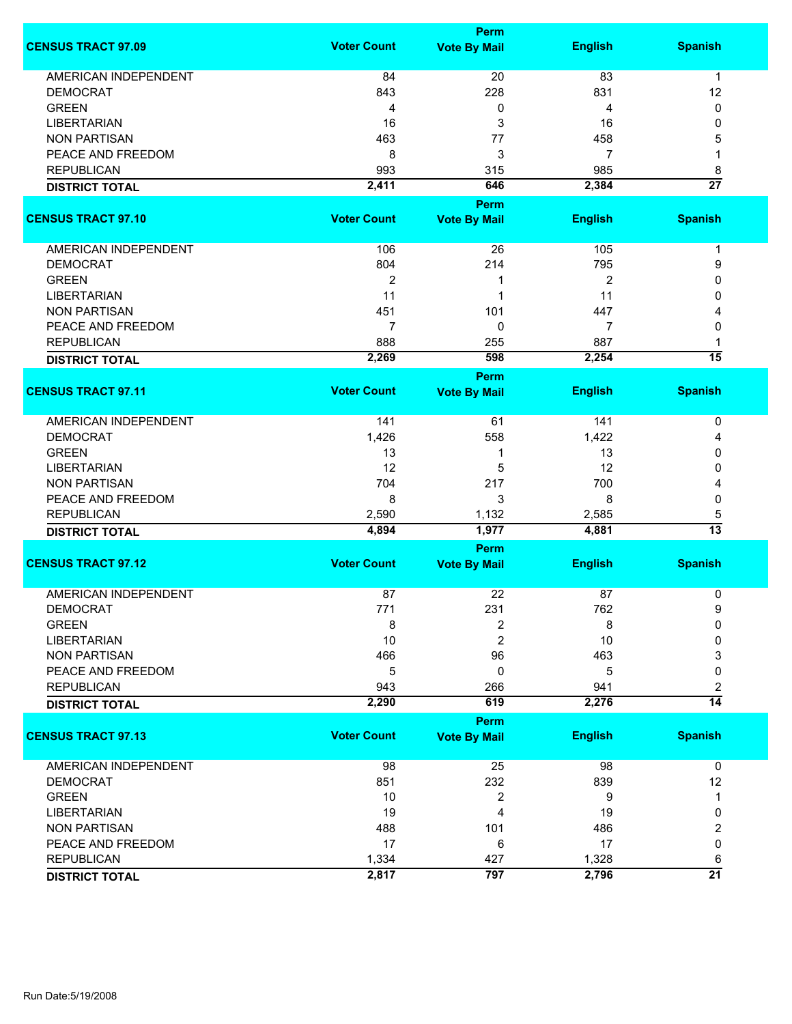|                             |                    | <b>Perm</b>         |                |                 |
|-----------------------------|--------------------|---------------------|----------------|-----------------|
| <b>CENSUS TRACT 97.09</b>   | <b>Voter Count</b> | <b>Vote By Mail</b> | <b>English</b> | <b>Spanish</b>  |
| <b>AMERICAN INDEPENDENT</b> | 84                 | 20                  | 83             | $\mathbf{1}$    |
| <b>DEMOCRAT</b>             | 843                | 228                 | 831            | 12              |
| <b>GREEN</b>                | 4                  | 0                   | 4              | 0               |
| <b>LIBERTARIAN</b>          | 16                 | 3                   | 16             | 0               |
| <b>NON PARTISAN</b>         |                    | 77                  |                |                 |
|                             | 463                |                     | 458            | 5               |
| PEACE AND FREEDOM           | 8                  | 3                   | 7              | 1               |
| <b>REPUBLICAN</b>           | 993                | 315                 | 985            | 8               |
| <b>DISTRICT TOTAL</b>       | 2,411              | 646                 | 2,384          | $\overline{27}$ |
|                             |                    | <b>Perm</b>         |                |                 |
| <b>CENSUS TRACT 97.10</b>   | <b>Voter Count</b> | <b>Vote By Mail</b> | <b>English</b> | <b>Spanish</b>  |
| AMERICAN INDEPENDENT        | 106                | 26                  | 105            | $\mathbf 1$     |
| <b>DEMOCRAT</b>             | 804                | 214                 | 795            | 9               |
| <b>GREEN</b>                | $\overline{2}$     | 1                   | 2              | 0               |
| <b>LIBERTARIAN</b>          | 11                 | 1                   | 11             | 0               |
| <b>NON PARTISAN</b>         | 451                | 101                 | 447            | 4               |
| PEACE AND FREEDOM           | $\overline{7}$     | 0                   | 7              | 0               |
|                             |                    |                     |                |                 |
| <b>REPUBLICAN</b>           | 888                | 255                 | 887            | 1               |
| <b>DISTRICT TOTAL</b>       | 2,269              | 598                 | 2,254          | $\overline{15}$ |
| <b>CENSUS TRACT 97.11</b>   | <b>Voter Count</b> | <b>Perm</b>         | <b>English</b> | <b>Spanish</b>  |
|                             |                    | <b>Vote By Mail</b> |                |                 |
| <b>AMERICAN INDEPENDENT</b> | 141                | 61                  | 141            | 0               |
| <b>DEMOCRAT</b>             | 1,426              | 558                 | 1,422          | 4               |
| <b>GREEN</b>                | 13                 | 1                   | 13             | 0               |
| <b>LIBERTARIAN</b>          | 12                 | 5                   | 12             | 0               |
| <b>NON PARTISAN</b>         | 704                | 217                 | 700            | 4               |
| PEACE AND FREEDOM           | 8                  | 3                   | 8              | 0               |
| <b>REPUBLICAN</b>           | 2,590              | 1,132               | 2,585          | 5               |
| <b>DISTRICT TOTAL</b>       | 4,894              | 1,977               | 4,881          | 13              |
|                             |                    | Perm                |                |                 |
| <b>CENSUS TRACT 97.12</b>   | <b>Voter Count</b> | <b>Vote By Mail</b> | <b>English</b> | <b>Spanish</b>  |
|                             |                    |                     |                |                 |
| <b>AMERICAN INDEPENDENT</b> | 87                 | 22                  | 87             | 0               |
| <b>DEMOCRAT</b>             | 771                | 231                 | 762            | 9               |
| <b>GREEN</b>                | 8                  | 2                   | 8              | 0               |
| <b>LIBERTARIAN</b>          | 10                 | 2                   | 10             | 0               |
| <b>NON PARTISAN</b>         | 466                | 96                  | 463            | 3               |
| PEACE AND FREEDOM           | 5                  | 0                   | 5              | 0               |
| <b>REPUBLICAN</b>           | 943                | 266                 | 941            | 2               |
| <b>DISTRICT TOTAL</b>       | 2,290              | 619                 | 2,276          | $\overline{14}$ |
|                             |                    | Perm                |                |                 |
| <b>CENSUS TRACT 97.13</b>   | <b>Voter Count</b> | <b>Vote By Mail</b> | <b>English</b> | <b>Spanish</b>  |
| AMERICAN INDEPENDENT        | 98                 | 25                  | 98             | 0               |
| <b>DEMOCRAT</b>             | 851                | 232                 | 839            | 12              |
| <b>GREEN</b>                | 10                 | 2                   | 9              | 1               |
| <b>LIBERTARIAN</b>          | 19                 | 4                   | 19             | 0               |
| <b>NON PARTISAN</b>         | 488                | 101                 | 486            | 2               |
| PEACE AND FREEDOM           | 17                 | 6                   | 17             | 0               |
| <b>REPUBLICAN</b>           | 1,334              | 427                 | 1,328          | 6               |
|                             | 2,817              | 797                 | 2,796          | $\overline{21}$ |
| <b>DISTRICT TOTAL</b>       |                    |                     |                |                 |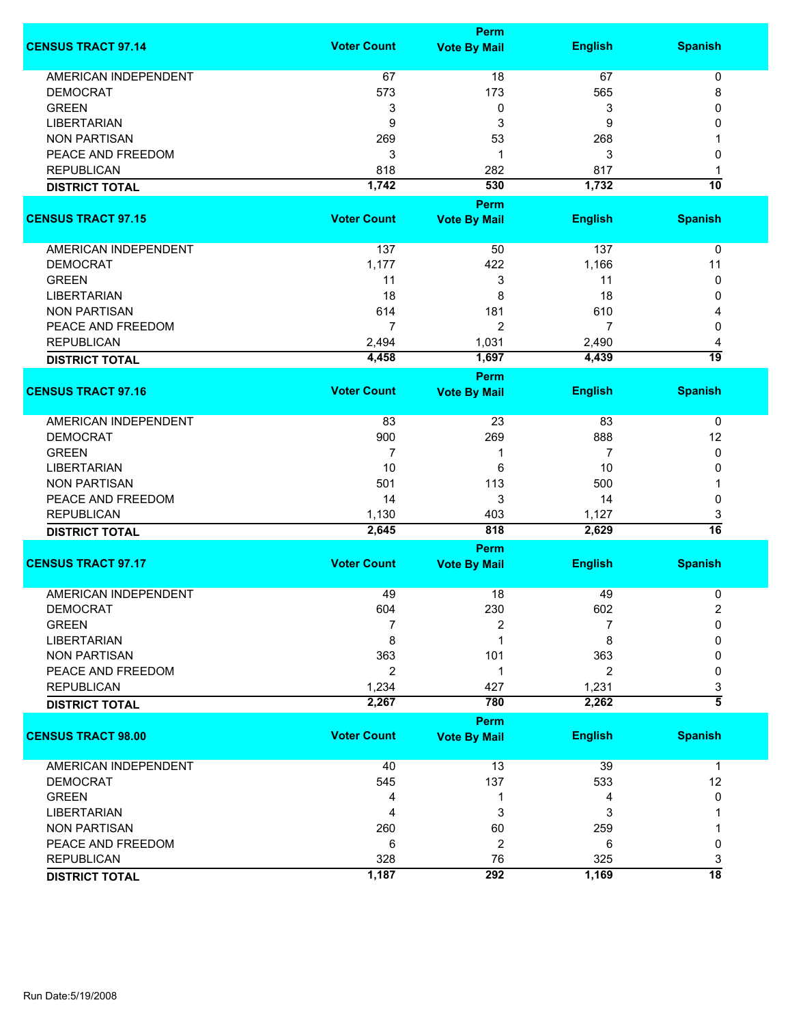|                             |                    | <b>Perm</b>                        |                |                     |
|-----------------------------|--------------------|------------------------------------|----------------|---------------------|
| <b>CENSUS TRACT 97.14</b>   | <b>Voter Count</b> | <b>Vote By Mail</b>                | <b>English</b> | <b>Spanish</b>      |
| <b>AMERICAN INDEPENDENT</b> | 67                 | 18                                 | 67             | 0                   |
| <b>DEMOCRAT</b>             | 573                | 173                                | 565            | 8                   |
| <b>GREEN</b>                | 3                  | 0                                  | 3              | 0                   |
| <b>LIBERTARIAN</b>          | 9                  | 3                                  | 9              | 0                   |
| <b>NON PARTISAN</b>         | 269                | 53                                 | 268            | 1                   |
|                             |                    | 1                                  |                |                     |
| PEACE AND FREEDOM           | 3                  |                                    | 3              | 0                   |
| <b>REPUBLICAN</b>           | 818                | 282                                | 817            | 1                   |
| <b>DISTRICT TOTAL</b>       | 1,742              | 530                                | 1,732          | 10                  |
|                             |                    | Perm                               |                |                     |
| <b>CENSUS TRACT 97.15</b>   | <b>Voter Count</b> | <b>Vote By Mail</b>                | <b>English</b> | <b>Spanish</b>      |
| AMERICAN INDEPENDENT        | 137                | 50                                 | 137            | 0                   |
| <b>DEMOCRAT</b>             | 1,177              | 422                                | 1,166          | 11                  |
| <b>GREEN</b>                | 11                 | 3                                  | 11             | 0                   |
| <b>LIBERTARIAN</b>          | 18                 | 8                                  | 18             | 0                   |
| <b>NON PARTISAN</b>         | 614                | 181                                | 610            |                     |
|                             |                    |                                    |                | 4                   |
| PEACE AND FREEDOM           | $\overline{7}$     | $\overline{2}$                     | 7              | 0                   |
| <b>REPUBLICAN</b>           | 2,494              | 1,031                              | 2,490          | 4                   |
| <b>DISTRICT TOTAL</b>       | 4,458              | 1,697                              | 4,439          | 19                  |
|                             |                    | Perm                               |                |                     |
| <b>CENSUS TRACT 97.16</b>   | <b>Voter Count</b> | <b>Vote By Mail</b>                | <b>English</b> | <b>Spanish</b>      |
| <b>AMERICAN INDEPENDENT</b> | 83                 | 23                                 | 83             | 0                   |
| <b>DEMOCRAT</b>             | 900                | 269                                | 888            | 12                  |
| <b>GREEN</b>                | 7                  | 1                                  | 7              | 0                   |
| <b>LIBERTARIAN</b>          | 10                 | 6                                  | 10             | 0                   |
| <b>NON PARTISAN</b>         | 501                | 113                                | 500            | 1                   |
|                             |                    |                                    |                |                     |
| PEACE AND FREEDOM           | 14                 | 3                                  | 14             | 0                   |
| <b>REPUBLICAN</b>           | 1,130              | 403                                | 1,127          | 3<br>16             |
| <b>DISTRICT TOTAL</b>       | 2,645              | 818                                | 2,629          |                     |
|                             |                    | <b>Perm</b>                        |                |                     |
| <b>CENSUS TRACT 97.17</b>   | <b>Voter Count</b> | <b>Vote By Mail</b>                | <b>English</b> | <b>Spanish</b>      |
| <b>AMERICAN INDEPENDENT</b> | 49                 | 18                                 | 49             | 0                   |
| <b>DEMOCRAT</b>             | 604                | 230                                | 602            | 2                   |
| <b>GREEN</b>                | 7                  | 2                                  |                | 0                   |
| <b>LIBERTARIAN</b>          | 8                  | 1                                  | 8              | 0                   |
| <b>NON PARTISAN</b>         | 363                | 101                                | 363            | 0                   |
| PEACE AND FREEDOM           | $\overline{2}$     | 1                                  | 2              | 0                   |
| <b>REPUBLICAN</b>           | 1,234              | 427                                | 1,231          | 3                   |
| <b>DISTRICT TOTAL</b>       | 2,267              | 780                                | 2,262          | $\overline{\bf{5}}$ |
|                             |                    |                                    |                |                     |
| <b>CENSUS TRACT 98.00</b>   | <b>Voter Count</b> | <b>Perm</b><br><b>Vote By Mail</b> | <b>English</b> | <b>Spanish</b>      |
|                             |                    |                                    |                |                     |
| <b>AMERICAN INDEPENDENT</b> | 40                 | 13                                 | 39             | $\mathbf 1$         |
| <b>DEMOCRAT</b>             | 545                | 137                                | 533            | 12                  |
| <b>GREEN</b>                | 4                  | 1                                  | 4              | 0                   |
| <b>LIBERTARIAN</b>          | 4                  | 3                                  | 3              |                     |
| <b>NON PARTISAN</b>         | 260                | 60                                 | 259            |                     |
| PEACE AND FREEDOM           | 6                  | $\overline{2}$                     | 6              | 0                   |
| <b>REPUBLICAN</b>           | 328                | 76                                 | 325            | 3                   |
| <b>DISTRICT TOTAL</b>       | 1,187              | 292                                | 1,169          | 18                  |
|                             |                    |                                    |                |                     |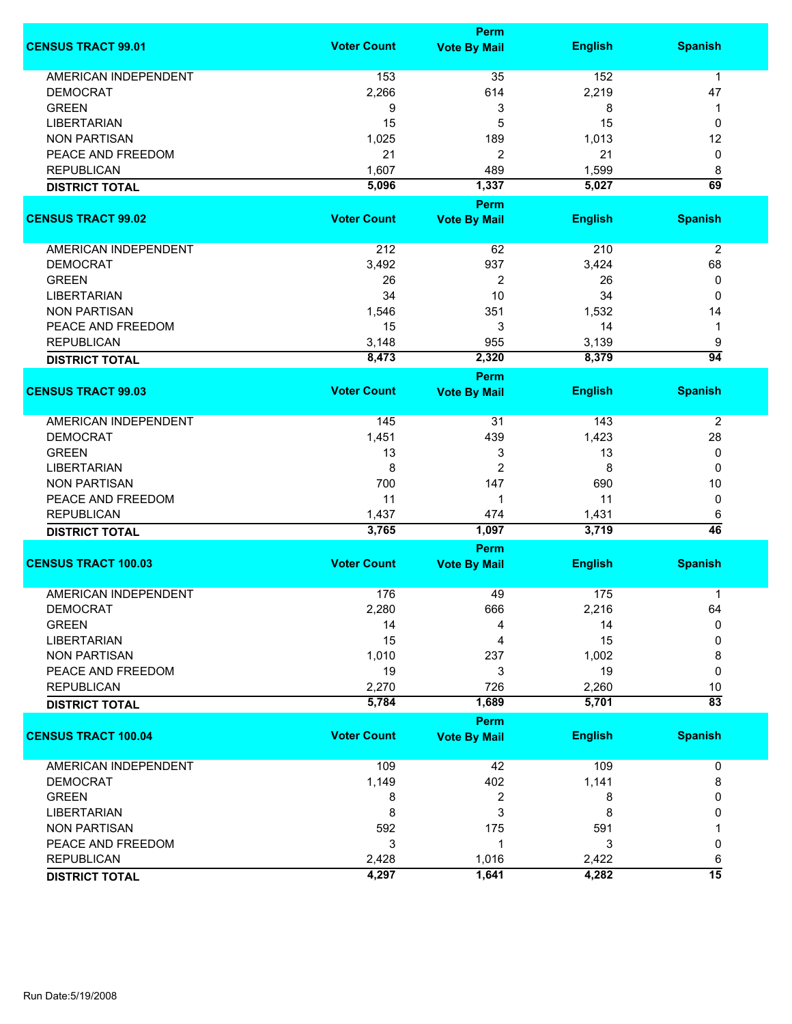|                             | Perm               |                                    |                |                      |  |
|-----------------------------|--------------------|------------------------------------|----------------|----------------------|--|
| <b>CENSUS TRACT 99.01</b>   | <b>Voter Count</b> | <b>Vote By Mail</b>                | <b>English</b> | <b>Spanish</b>       |  |
| <b>AMERICAN INDEPENDENT</b> | 153                | 35                                 | 152            | $\mathbf{1}$         |  |
| <b>DEMOCRAT</b>             | 2,266              | 614                                | 2,219          | 47                   |  |
| <b>GREEN</b>                | 9                  | 3                                  | 8              | 1                    |  |
| <b>LIBERTARIAN</b>          | 15                 | 5                                  | 15             | 0                    |  |
| <b>NON PARTISAN</b>         | 1,025              | 189                                | 1,013          | 12                   |  |
| PEACE AND FREEDOM           | 21                 | $\overline{c}$                     | 21             | 0                    |  |
| <b>REPUBLICAN</b>           | 1,607              | 489                                | 1,599          |                      |  |
|                             |                    |                                    |                | 8<br>$\overline{69}$ |  |
| <b>DISTRICT TOTAL</b>       | 5,096              | 1,337<br>Perm                      | 5,027          |                      |  |
| <b>CENSUS TRACT 99.02</b>   | <b>Voter Count</b> | <b>Vote By Mail</b>                | <b>English</b> | <b>Spanish</b>       |  |
| <b>AMERICAN INDEPENDENT</b> | 212                | 62                                 | 210            | $\overline{2}$       |  |
| <b>DEMOCRAT</b>             | 3,492              | 937                                | 3,424          | 68                   |  |
| <b>GREEN</b>                | 26                 | 2                                  | 26             | 0                    |  |
| <b>LIBERTARIAN</b>          | 34                 | 10                                 | 34             | 0                    |  |
|                             |                    |                                    |                |                      |  |
| <b>NON PARTISAN</b>         | 1,546              | 351                                | 1,532          | 14                   |  |
| PEACE AND FREEDOM           | 15                 | 3                                  | 14             | 1                    |  |
| <b>REPUBLICAN</b>           | 3,148              | 955                                | 3,139          | 9                    |  |
| <b>DISTRICT TOTAL</b>       | 8,473              | 2,320                              | 8,379          | $\overline{94}$      |  |
| <b>CENSUS TRACT 99.03</b>   | <b>Voter Count</b> | <b>Perm</b><br><b>Vote By Mail</b> | <b>English</b> | <b>Spanish</b>       |  |
| AMERICAN INDEPENDENT        | 145                | 31                                 | 143            | $\overline{2}$       |  |
| <b>DEMOCRAT</b>             | 1,451              | 439                                | 1,423          | 28                   |  |
| <b>GREEN</b>                | 13                 | 3                                  | 13             | 0                    |  |
| <b>LIBERTARIAN</b>          | 8                  | $\overline{c}$                     | 8              | 0                    |  |
| <b>NON PARTISAN</b>         | 700                | 147                                | 690            | 10                   |  |
| PEACE AND FREEDOM           | 11                 | 1                                  | 11             | 0                    |  |
| <b>REPUBLICAN</b>           | 1,437              | 474                                |                |                      |  |
|                             | 3,765              | 1,097                              | 1,431<br>3,719 | 6<br>$\overline{46}$ |  |
| <b>DISTRICT TOTAL</b>       |                    | Perm                               |                |                      |  |
| <b>CENSUS TRACT 100.03</b>  | <b>Voter Count</b> | <b>Vote By Mail</b>                | <b>English</b> | <b>Spanish</b>       |  |
| <b>AMERICAN INDEPENDENT</b> | 176                | 49                                 | 175            | 1                    |  |
| DEMOCRAT                    | 2,280              | 666                                | 2,216          | 64                   |  |
| <b>GREEN</b>                | 14                 | 4                                  | 14             | 0                    |  |
| <b>LIBERTARIAN</b>          | 15                 | 4                                  | 15             | 0                    |  |
| <b>NON PARTISAN</b>         | 1,010              | 237                                | 1,002          | 8                    |  |
| PEACE AND FREEDOM           | 19                 | 3                                  | 19             | $\mathbf 0$          |  |
| <b>REPUBLICAN</b>           | 2,270              | 726                                | 2,260          | 10                   |  |
|                             | 5,784              | 1,689                              | 5,701          | $\overline{83}$      |  |
| <b>DISTRICT TOTAL</b>       |                    | Perm                               |                |                      |  |
| <b>CENSUS TRACT 100.04</b>  | <b>Voter Count</b> | <b>Vote By Mail</b>                | <b>English</b> | <b>Spanish</b>       |  |
| <b>AMERICAN INDEPENDENT</b> | 109                | 42                                 | 109            | 0                    |  |
| <b>DEMOCRAT</b>             | 1,149              | 402                                | 1,141          | 8                    |  |
| <b>GREEN</b>                | 8                  | 2                                  | 8              | 0                    |  |
| <b>LIBERTARIAN</b>          | 8                  | 3                                  | 8              | 0                    |  |
| <b>NON PARTISAN</b>         | 592                | 175                                | 591            |                      |  |
| PEACE AND FREEDOM           | 3                  | 1                                  | 3              | 0                    |  |
| <b>REPUBLICAN</b>           | 2,428              | 1,016                              | 2,422          | 6                    |  |
|                             | 4,297              | 1,641                              | 4,282          | $\overline{15}$      |  |
| <b>DISTRICT TOTAL</b>       |                    |                                    |                |                      |  |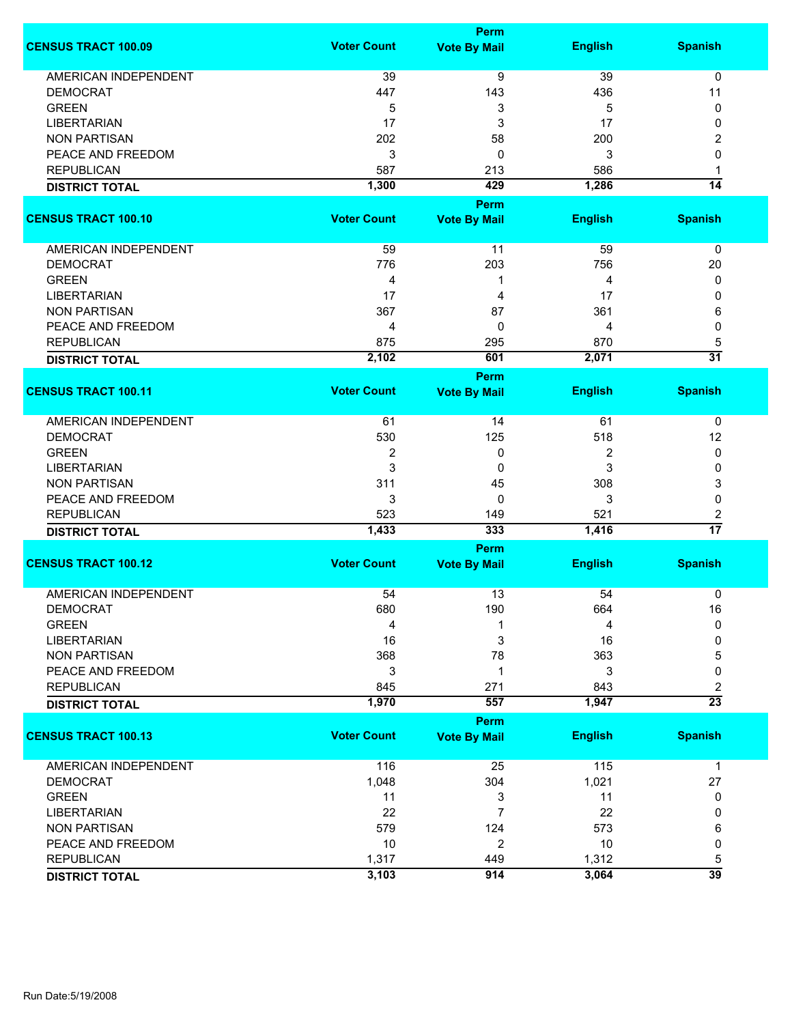|                             |                    | <b>Perm</b>                 |                |                      |
|-----------------------------|--------------------|-----------------------------|----------------|----------------------|
| <b>CENSUS TRACT 100.09</b>  | <b>Voter Count</b> | <b>Vote By Mail</b>         | <b>English</b> | <b>Spanish</b>       |
| <b>AMERICAN INDEPENDENT</b> | 39                 | 9                           | 39             | 0                    |
| <b>DEMOCRAT</b>             | 447                | 143                         | 436            | 11                   |
| <b>GREEN</b>                |                    |                             |                |                      |
|                             | 5                  | 3                           | 5              | 0                    |
| <b>LIBERTARIAN</b>          | 17                 | 3                           | 17             | 0                    |
| <b>NON PARTISAN</b>         | 202                | 58                          | 200            | 2                    |
| PEACE AND FREEDOM           | 3                  | 0                           | 3              | 0                    |
| <b>REPUBLICAN</b>           | 587                | 213                         | 586            | 1                    |
| <b>DISTRICT TOTAL</b>       | 1,300              | 429                         | 1,286          | $\overline{14}$      |
|                             |                    | <b>Perm</b>                 |                |                      |
| <b>CENSUS TRACT 100.10</b>  | <b>Voter Count</b> | <b>Vote By Mail</b>         | <b>English</b> | <b>Spanish</b>       |
| AMERICAN INDEPENDENT        | 59                 | 11                          | 59             | $\mathbf 0$          |
| <b>DEMOCRAT</b>             | 776                | 203                         | 756            | 20                   |
| <b>GREEN</b>                | 4                  | 1                           | 4              | 0                    |
| <b>LIBERTARIAN</b>          | 17                 | 4                           | 17             | 0                    |
| <b>NON PARTISAN</b>         | 367                | 87                          |                |                      |
|                             |                    |                             | 361            | 6                    |
| PEACE AND FREEDOM           | 4                  | 0                           | 4              | 0                    |
| <b>REPUBLICAN</b>           | 875                | 295                         | 870            | 5                    |
| <b>DISTRICT TOTAL</b>       | 2,102              | 601                         | 2,071          | $\overline{31}$      |
|                             |                    | <b>Perm</b>                 |                |                      |
| <b>CENSUS TRACT 100.11</b>  | <b>Voter Count</b> | <b>Vote By Mail</b>         | <b>English</b> | <b>Spanish</b>       |
| <b>AMERICAN INDEPENDENT</b> | 61                 | 14                          | 61             | 0                    |
| <b>DEMOCRAT</b>             | 530                | 125                         | 518            | 12                   |
| <b>GREEN</b>                | 2                  | 0                           | 2              | 0                    |
| <b>LIBERTARIAN</b>          | 3                  | 0                           | 3              | 0                    |
| <b>NON PARTISAN</b>         | 311                | 45                          | 308            | 3                    |
| PEACE AND FREEDOM           | 3                  | $\mathbf{0}$                | 3              | 0                    |
| <b>REPUBLICAN</b>           | 523                | 149                         | 521            |                      |
|                             | 1,433              | 333                         | 1,416          | 2<br>$\overline{17}$ |
| <b>DISTRICT TOTAL</b>       |                    |                             |                |                      |
| <b>CENSUS TRACT 100.12</b>  | <b>Voter Count</b> | Perm<br><b>Vote By Mail</b> | <b>English</b> | <b>Spanish</b>       |
|                             |                    |                             |                |                      |
| <b>AMERICAN INDEPENDENT</b> | 54                 | 13                          | 54             | 0                    |
| <b>DEMOCRAT</b>             | 680                | 190                         | 664            | 16                   |
| <b>GREEN</b>                | 4                  |                             | 4              | 0                    |
| <b>LIBERTARIAN</b>          | 16                 | 3                           | 16             | 0                    |
| <b>NON PARTISAN</b>         | 368                | 78                          | 363            | 5                    |
| PEACE AND FREEDOM           | 3                  | 1                           | 3              | 0                    |
| <b>REPUBLICAN</b>           | 845                | 271                         | 843            | 2                    |
| <b>DISTRICT TOTAL</b>       | 1,970              | 557                         | 1,947          | $\overline{23}$      |
|                             |                    | Perm                        |                |                      |
| <b>CENSUS TRACT 100.13</b>  | <b>Voter Count</b> | <b>Vote By Mail</b>         | <b>English</b> | <b>Spanish</b>       |
| AMERICAN INDEPENDENT        | 116                | 25                          | 115            | $\mathbf 1$          |
| <b>DEMOCRAT</b>             | 1,048              | 304                         | 1,021          | 27                   |
| <b>GREEN</b>                | 11                 | 3                           | 11             | 0                    |
| <b>LIBERTARIAN</b>          | 22                 | $\overline{7}$              | 22             | 0                    |
| <b>NON PARTISAN</b>         | 579                | 124                         | 573            | 6                    |
| PEACE AND FREEDOM           | 10                 | 2                           | 10             | 0                    |
| <b>REPUBLICAN</b>           | 1,317              | 449                         | 1,312          | 5                    |
|                             | 3,103              | 914                         | 3,064          | $\overline{39}$      |
| <b>DISTRICT TOTAL</b>       |                    |                             |                |                      |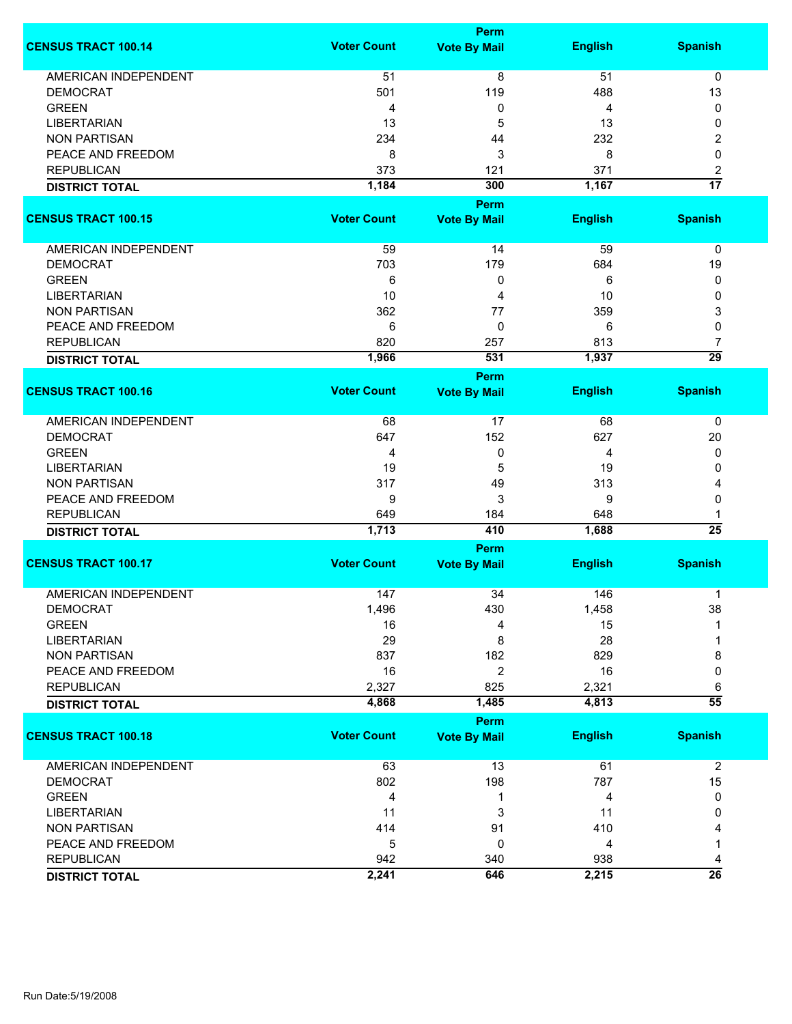|                             |                    | Perm                |                |                 |
|-----------------------------|--------------------|---------------------|----------------|-----------------|
| <b>CENSUS TRACT 100.14</b>  | <b>Voter Count</b> | <b>Vote By Mail</b> | <b>English</b> | <b>Spanish</b>  |
| <b>AMERICAN INDEPENDENT</b> | 51                 | $\overline{8}$      | 51             | 0               |
| <b>DEMOCRAT</b>             | 501                | 119                 | 488            | 13              |
| <b>GREEN</b>                | 4                  | 0                   | 4              | 0               |
| <b>LIBERTARIAN</b>          | 13                 | 5                   | 13             | 0               |
| <b>NON PARTISAN</b>         | 234                | 44                  | 232            | 2               |
|                             |                    |                     |                |                 |
| PEACE AND FREEDOM           | 8                  | 3                   | 8              | 0               |
| <b>REPUBLICAN</b>           | 373                | 121                 | 371            | 2               |
| <b>DISTRICT TOTAL</b>       | 1,184              | 300                 | 1,167          | $\overline{17}$ |
|                             |                    | Perm                |                |                 |
| <b>CENSUS TRACT 100.15</b>  | <b>Voter Count</b> | <b>Vote By Mail</b> | <b>English</b> | <b>Spanish</b>  |
| AMERICAN INDEPENDENT        | 59                 | 14                  | 59             | 0               |
| <b>DEMOCRAT</b>             | 703                | 179                 | 684            | 19              |
| <b>GREEN</b>                | 6                  | 0                   | 6              | 0               |
| <b>LIBERTARIAN</b>          | 10                 | 4                   | 10             | 0               |
|                             |                    |                     |                |                 |
| <b>NON PARTISAN</b>         | 362                | 77                  | 359            | 3               |
| PEACE AND FREEDOM           | 6                  | 0                   | 6              | 0               |
| <b>REPUBLICAN</b>           | 820                | 257                 | 813            | 7               |
| <b>DISTRICT TOTAL</b>       | 1,966              | 531                 | 1,937          | $\overline{29}$ |
|                             |                    | Perm                |                |                 |
| <b>CENSUS TRACT 100.16</b>  | <b>Voter Count</b> | <b>Vote By Mail</b> | <b>English</b> | <b>Spanish</b>  |
| <b>AMERICAN INDEPENDENT</b> | 68                 | 17                  | 68             | 0               |
| <b>DEMOCRAT</b>             | 647                | 152                 | 627            | 20              |
| <b>GREEN</b>                | 4                  | 0                   | 4              | 0               |
| <b>LIBERTARIAN</b>          | 19                 | 5                   | 19             | 0               |
| <b>NON PARTISAN</b>         | 317                | 49                  | 313            | 4               |
| PEACE AND FREEDOM           | 9                  | 3                   | 9              | 0               |
| <b>REPUBLICAN</b>           | 649                | 184                 | 648            | 1               |
| <b>DISTRICT TOTAL</b>       | 1,713              | 410                 | 1,688          | $\overline{25}$ |
|                             |                    | Perm                |                |                 |
| <b>CENSUS TRACT 100.17</b>  | <b>Voter Count</b> | <b>Vote By Mail</b> | <b>English</b> | <b>Spanish</b>  |
|                             |                    |                     |                |                 |
| <b>AMERICAN INDEPENDENT</b> | 147                | 34                  | 146            | $\mathbf 1$     |
| <b>DEMOCRAT</b>             | 1,496              | 430                 | 1,458          | 38              |
| <b>GREEN</b>                | 16                 | 4                   | 15             |                 |
| <b>LIBERTARIAN</b>          | 29                 | 8                   | 28             |                 |
| <b>NON PARTISAN</b>         | 837                | 182                 | 829            | 8               |
| PEACE AND FREEDOM           | 16                 | 2                   | 16             | 0               |
| <b>REPUBLICAN</b>           | 2,327              | 825                 | 2,321          | 6               |
| <b>DISTRICT TOTAL</b>       | 4,868              | 1,485               | 4,813          | $\overline{55}$ |
|                             |                    | Perm                |                |                 |
| <b>CENSUS TRACT 100.18</b>  | <b>Voter Count</b> | <b>Vote By Mail</b> | <b>English</b> | <b>Spanish</b>  |
| <b>AMERICAN INDEPENDENT</b> | 63                 | 13                  | 61             | $\overline{2}$  |
| <b>DEMOCRAT</b>             | 802                | 198                 | 787            | 15              |
| <b>GREEN</b>                | 4                  | 1                   | 4              | 0               |
| <b>LIBERTARIAN</b>          | 11                 | 3                   | 11             | 0               |
| <b>NON PARTISAN</b>         | 414                | 91                  | 410            | 4               |
| PEACE AND FREEDOM           | 5                  | 0                   | 4              |                 |
| <b>REPUBLICAN</b>           | 942                | 340                 | 938            | 4               |
| <b>DISTRICT TOTAL</b>       | 2,241              | 646                 | 2,215          | $\overline{26}$ |
|                             |                    |                     |                |                 |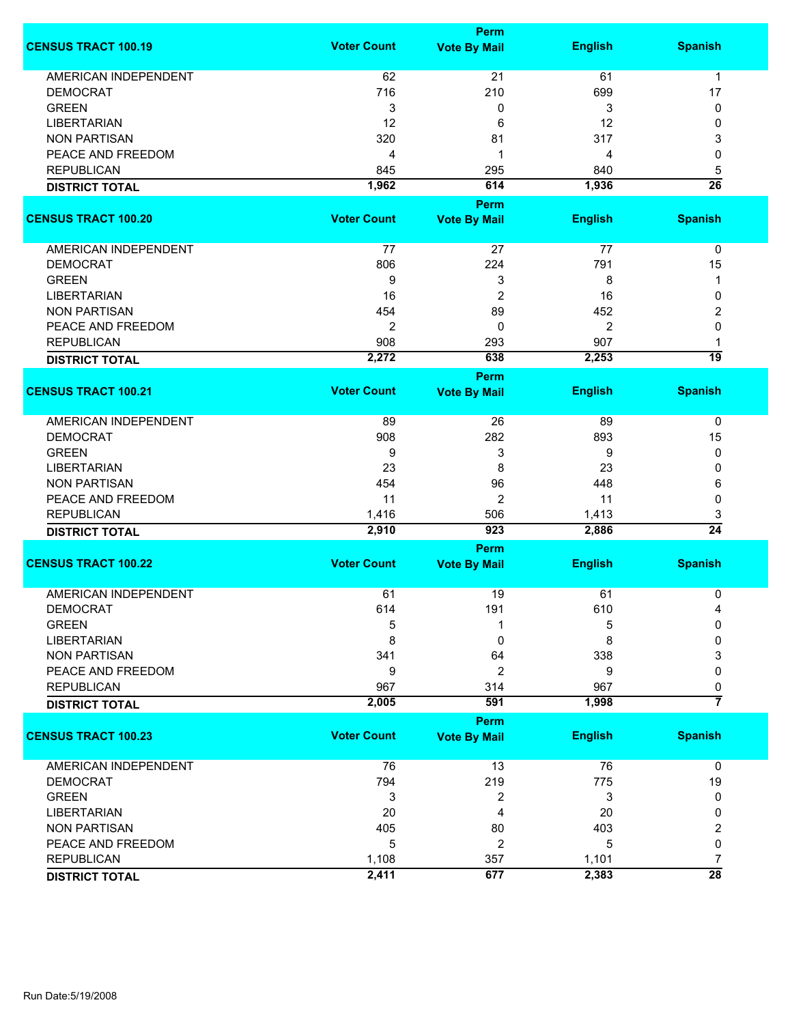|                             |                    | <b>Perm</b>         |                |                      |
|-----------------------------|--------------------|---------------------|----------------|----------------------|
| <b>CENSUS TRACT 100.19</b>  | <b>Voter Count</b> | <b>Vote By Mail</b> | <b>English</b> | <b>Spanish</b>       |
| <b>AMERICAN INDEPENDENT</b> | 62                 | 21                  | 61             | $\mathbf{1}$         |
| <b>DEMOCRAT</b>             | 716                | 210                 | 699            | 17                   |
| <b>GREEN</b>                | 3                  | 0                   | 3              | 0                    |
| <b>LIBERTARIAN</b>          | 12                 | 6                   | 12             | 0                    |
| <b>NON PARTISAN</b>         | 320                | 81                  | 317            | 3                    |
| PEACE AND FREEDOM           | 4                  | 1                   | 4              | 0                    |
| <b>REPUBLICAN</b>           |                    |                     |                |                      |
|                             | 845                | 295                 | 840            | 5<br>$\overline{26}$ |
| <b>DISTRICT TOTAL</b>       | 1,962              | 614                 | 1,936          |                      |
|                             |                    | <b>Perm</b>         |                |                      |
| <b>CENSUS TRACT 100.20</b>  | <b>Voter Count</b> | <b>Vote By Mail</b> | <b>English</b> | <b>Spanish</b>       |
| AMERICAN INDEPENDENT        | 77                 | 27                  | 77             | 0                    |
| <b>DEMOCRAT</b>             | 806                | 224                 | 791            | 15                   |
| <b>GREEN</b>                | 9                  | 3                   | 8              | 1                    |
| <b>LIBERTARIAN</b>          | 16                 | $\overline{2}$      | 16             | 0                    |
| <b>NON PARTISAN</b>         | 454                | 89                  | 452            | 2                    |
| PEACE AND FREEDOM           | $\overline{2}$     | 0                   | $\overline{2}$ | 0                    |
| <b>REPUBLICAN</b>           | 908                | 293                 | 907            | 1                    |
|                             | 2,272              | 638                 | 2,253          | 19                   |
| <b>DISTRICT TOTAL</b>       |                    |                     |                |                      |
|                             |                    | <b>Perm</b>         |                |                      |
| <b>CENSUS TRACT 100.21</b>  | <b>Voter Count</b> | <b>Vote By Mail</b> | <b>English</b> | <b>Spanish</b>       |
| <b>AMERICAN INDEPENDENT</b> | 89                 | 26                  | 89             | 0                    |
| <b>DEMOCRAT</b>             | 908                | 282                 | 893            | 15                   |
| <b>GREEN</b>                | 9                  | 3                   | 9              | 0                    |
| <b>LIBERTARIAN</b>          | 23                 | 8                   | 23             | 0                    |
| <b>NON PARTISAN</b>         | 454                | 96                  | 448            | 6                    |
| PEACE AND FREEDOM           | 11                 | $\overline{2}$      | 11             | 0                    |
| <b>REPUBLICAN</b>           | 1,416              | 506                 | 1,413          | 3                    |
| <b>DISTRICT TOTAL</b>       | 2,910              | 923                 | 2,886          | $\overline{24}$      |
|                             |                    | <b>Perm</b>         |                |                      |
| <b>CENSUS TRACT 100.22</b>  | <b>Voter Count</b> | <b>Vote By Mail</b> | <b>English</b> | <b>Spanish</b>       |
|                             |                    |                     |                |                      |
| <b>AMERICAN INDEPENDENT</b> | 61                 | 19                  | 61             | 0                    |
| <b>DEMOCRAT</b>             | 614                | 191                 | 610            | 4                    |
| <b>GREEN</b>                | 5                  | 1                   | 5              | 0                    |
| <b>LIBERTARIAN</b>          | 8                  | 0                   | 8              | 0                    |
| <b>NON PARTISAN</b>         | 341                | 64                  | 338            | 3                    |
| PEACE AND FREEDOM           | 9                  | 2                   | 9              | 0                    |
| <b>REPUBLICAN</b>           | 967                | 314                 | 967            | 0                    |
| <b>DISTRICT TOTAL</b>       | 2,005              | 591                 | 1,998          | $\overline{7}$       |
|                             |                    | <b>Perm</b>         |                |                      |
| <b>CENSUS TRACT 100.23</b>  | <b>Voter Count</b> | <b>Vote By Mail</b> | <b>English</b> | <b>Spanish</b>       |
| <b>AMERICAN INDEPENDENT</b> | 76                 | 13                  | 76             | 0                    |
| <b>DEMOCRAT</b>             | 794                | 219                 | 775            | 19                   |
| <b>GREEN</b>                | 3                  | 2                   | 3              | 0                    |
| <b>LIBERTARIAN</b>          | 20                 | 4                   | 20             | 0                    |
| <b>NON PARTISAN</b>         | 405                | 80                  | 403            | 2                    |
| PEACE AND FREEDOM           | 5                  | 2                   | 5              | 0                    |
| <b>REPUBLICAN</b>           | 1,108              | 357                 | 1,101          | 7                    |
|                             | 2,411              | 677                 | 2,383          | $\overline{28}$      |
| <b>DISTRICT TOTAL</b>       |                    |                     |                |                      |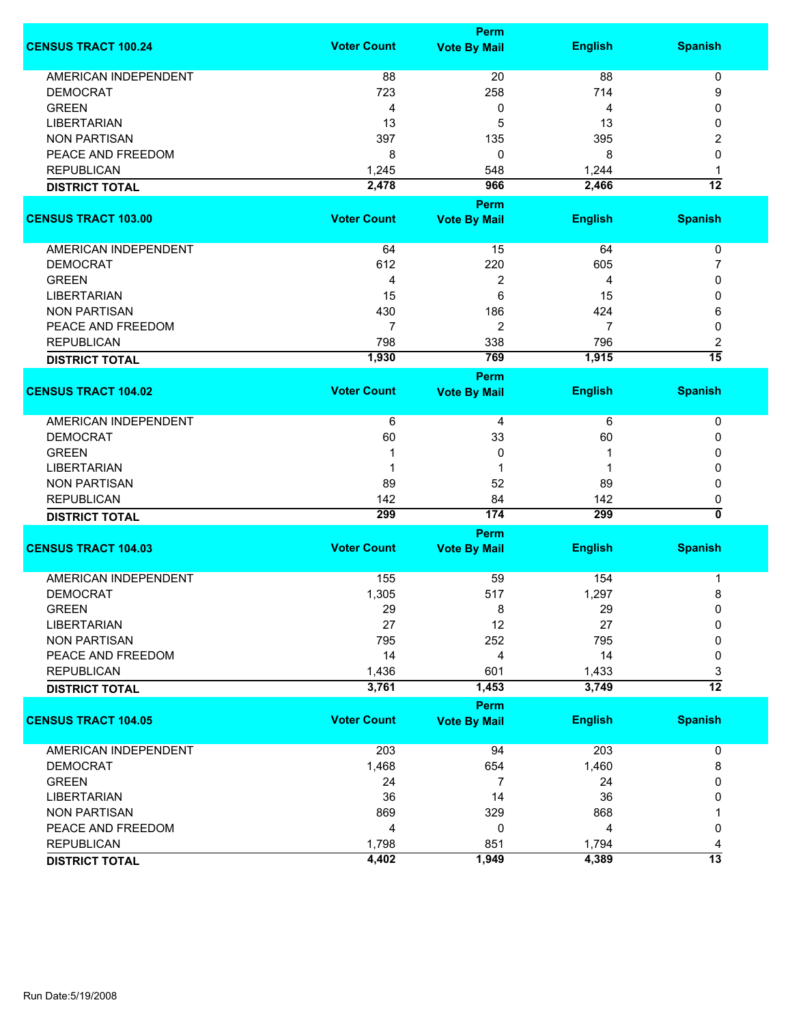|                             |                    | Perm                |                |                 |
|-----------------------------|--------------------|---------------------|----------------|-----------------|
| <b>CENSUS TRACT 100.24</b>  | <b>Voter Count</b> | <b>Vote By Mail</b> | <b>English</b> | <b>Spanish</b>  |
| AMERICAN INDEPENDENT        | 88                 | 20                  | 88             | 0               |
| <b>DEMOCRAT</b>             | 723                | 258                 | 714            | 9               |
| <b>GREEN</b>                | 4                  | 0                   | 4              | 0               |
| <b>LIBERTARIAN</b>          | 13                 | 5                   | 13             | 0               |
| <b>NON PARTISAN</b>         | 397                | 135                 | 395            |                 |
| PEACE AND FREEDOM           |                    |                     |                | 2               |
|                             | 8                  | 0                   | 8              | 0               |
| <b>REPUBLICAN</b>           | 1,245              | 548                 | 1,244          | 1               |
| <b>DISTRICT TOTAL</b>       | 2,478              | 966                 | 2,466          | $\overline{12}$ |
|                             |                    | Perm                |                |                 |
| <b>CENSUS TRACT 103.00</b>  | <b>Voter Count</b> | <b>Vote By Mail</b> | <b>English</b> | <b>Spanish</b>  |
| AMERICAN INDEPENDENT        | 64                 | 15                  | 64             | 0               |
| <b>DEMOCRAT</b>             | 612                | 220                 | 605            | 7               |
| <b>GREEN</b>                | 4                  | 2                   | 4              | 0               |
| <b>LIBERTARIAN</b>          | 15                 | 6                   | 15             | 0               |
| <b>NON PARTISAN</b>         | 430                | 186                 | 424            | 6               |
| PEACE AND FREEDOM           | $\overline{7}$     | 2                   | $\overline{7}$ | 0               |
| <b>REPUBLICAN</b>           | 798                | 338                 | 796            | 2               |
| <b>DISTRICT TOTAL</b>       | 1,930              | 769                 | 1,915          | $\overline{15}$ |
|                             |                    | Perm                |                |                 |
| <b>CENSUS TRACT 104.02</b>  | <b>Voter Count</b> | <b>Vote By Mail</b> | <b>English</b> | <b>Spanish</b>  |
|                             |                    |                     |                |                 |
| AMERICAN INDEPENDENT        | 6                  | 4                   | 6              | 0               |
| <b>DEMOCRAT</b>             | 60                 | 33                  | 60             | 0               |
| <b>GREEN</b>                | 1                  | 0                   | 1              | 0               |
| <b>LIBERTARIAN</b>          |                    | 1                   | 1              | 0               |
| <b>NON PARTISAN</b>         | 89                 | 52                  | 89             | 0               |
| <b>REPUBLICAN</b>           | 142                | 84                  | 142            | 0               |
| <b>DISTRICT TOTAL</b>       | 299                | 174                 | 299            | 0               |
|                             |                    | Perm                |                |                 |
| <b>CENSUS TRACT 104.03</b>  | <b>Voter Count</b> | <b>Vote By Mail</b> | <b>English</b> | <b>Spanish</b>  |
| <b>AMERICAN INDEPENDENT</b> | 155                | 59                  | 154            | 1               |
| <b>DEMOCRAT</b>             | 1,305              | 517                 | 1,297          | 8               |
| <b>GREEN</b>                | 29                 | 8                   | 29             | 0               |
| <b>LIBERTARIAN</b>          | 27                 | 12                  | 27             | 0               |
| <b>NON PARTISAN</b>         | 795                | 252                 | 795            | 0               |
| PEACE AND FREEDOM           | 14                 | 4                   | 14             | 0               |
| <b>REPUBLICAN</b>           | 1,436              | 601                 | 1,433          | 3               |
| <b>DISTRICT TOTAL</b>       | 3,761              | 1,453               | 3,749          | $\overline{12}$ |
|                             |                    | Perm                |                |                 |
| <b>CENSUS TRACT 104.05</b>  | <b>Voter Count</b> | <b>Vote By Mail</b> | <b>English</b> | <b>Spanish</b>  |
|                             |                    |                     |                |                 |
| AMERICAN INDEPENDENT        | 203                | 94                  | 203            | 0               |
| <b>DEMOCRAT</b>             | 1,468              | 654                 | 1,460          | 8               |
| <b>GREEN</b>                | 24                 | 7                   | 24             | 0               |
| <b>LIBERTARIAN</b>          | 36                 | 14                  | 36             | 0               |
| <b>NON PARTISAN</b>         | 869                | 329                 | 868            |                 |
| PEACE AND FREEDOM           | 4                  | 0                   | 4              | 0               |
| <b>REPUBLICAN</b>           | 1,798              | 851                 | 1,794          | 4               |
| <b>DISTRICT TOTAL</b>       | 4,402              | 1,949               | 4,389          | $\overline{13}$ |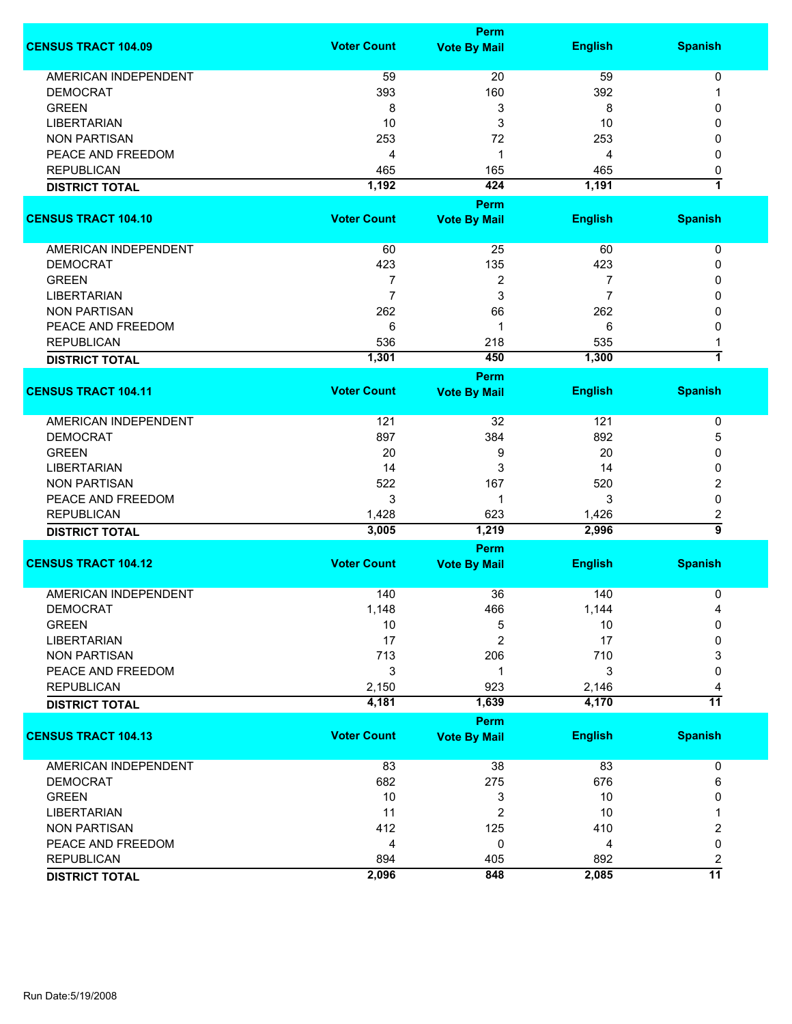|                             |                    | <b>Perm</b>         |                |                         |
|-----------------------------|--------------------|---------------------|----------------|-------------------------|
| <b>CENSUS TRACT 104.09</b>  | <b>Voter Count</b> | <b>Vote By Mail</b> | <b>English</b> | <b>Spanish</b>          |
| <b>AMERICAN INDEPENDENT</b> | 59                 | 20                  | 59             | $\pmb{0}$               |
| <b>DEMOCRAT</b>             | 393                | 160                 | 392            | 1                       |
| <b>GREEN</b>                | 8                  | 3                   | 8              | 0                       |
| <b>LIBERTARIAN</b>          | 10                 | 3                   | 10             | 0                       |
|                             |                    |                     |                |                         |
| <b>NON PARTISAN</b>         | 253                | 72                  | 253            | 0                       |
| PEACE AND FREEDOM           | 4                  | 1                   | 4              | 0                       |
| <b>REPUBLICAN</b>           | 465                | 165                 | 465            | 0                       |
| <b>DISTRICT TOTAL</b>       | 1,192              | 424                 | 1,191          | $\overline{\mathbf{1}}$ |
|                             |                    | Perm                |                |                         |
| <b>CENSUS TRACT 104.10</b>  | <b>Voter Count</b> | <b>Vote By Mail</b> | <b>English</b> | <b>Spanish</b>          |
| AMERICAN INDEPENDENT        | 60                 | 25                  | 60             | 0                       |
| <b>DEMOCRAT</b>             | 423                | 135                 | 423            | 0                       |
| <b>GREEN</b>                | 7                  | $\overline{c}$      | 7              | 0                       |
| <b>LIBERTARIAN</b>          | $\overline{7}$     |                     | 7              |                         |
|                             |                    | 3                   |                | 0                       |
| <b>NON PARTISAN</b>         | 262                | 66                  | 262            | 0                       |
| PEACE AND FREEDOM           | 6                  | 1                   | 6              | 0                       |
| <b>REPUBLICAN</b>           | 536                | 218                 | 535            | 1                       |
| <b>DISTRICT TOTAL</b>       | 1,301              | 450                 | 1,300          | $\overline{1}$          |
|                             |                    | Perm                |                |                         |
| <b>CENSUS TRACT 104.11</b>  | <b>Voter Count</b> | <b>Vote By Mail</b> | <b>English</b> | <b>Spanish</b>          |
| AMERICAN INDEPENDENT        | 121                | 32                  | 121            | 0                       |
| <b>DEMOCRAT</b>             | 897                | 384                 | 892            | 5                       |
| <b>GREEN</b>                | 20                 | 9                   | 20             | 0                       |
| <b>LIBERTARIAN</b>          | 14                 | 3                   | 14             | 0                       |
| <b>NON PARTISAN</b>         | 522                | 167                 | 520            | 2                       |
| PEACE AND FREEDOM           | 3                  | 1                   | 3              | $\mathbf 0$             |
| <b>REPUBLICAN</b>           | 1,428              | 623                 | 1,426          | 2                       |
|                             | 3,005              | 1,219               | 2,996          | $\overline{9}$          |
| <b>DISTRICT TOTAL</b>       |                    |                     |                |                         |
|                             |                    | Perm                |                |                         |
| <b>CENSUS TRACT 104.12</b>  | <b>Voter Count</b> | <b>Vote By Mail</b> | <b>English</b> | <b>Spanish</b>          |
| <b>AMERICAN INDEPENDENT</b> | 140                | 36                  | 140            | 0                       |
| <b>DEMOCRAT</b>             | 1,148              | 466                 | 1,144          | 4                       |
| <b>GREEN</b>                | 10                 | 5                   | 10             | 0                       |
| <b>LIBERTARIAN</b>          | 17                 | 2                   | 17             | 0                       |
| <b>NON PARTISAN</b>         | 713                | 206                 | 710            | 3                       |
| PEACE AND FREEDOM           | 3                  | 1                   | 3              | 0                       |
|                             |                    |                     |                |                         |
| <b>REPUBLICAN</b>           | 2,150              | 923                 | 2,146          | 4                       |
| <b>DISTRICT TOTAL</b>       | 4,181              | 1,639               | 4,170          | $\overline{11}$         |
|                             |                    | <b>Perm</b>         |                |                         |
| <b>CENSUS TRACT 104.13</b>  | <b>Voter Count</b> | <b>Vote By Mail</b> | <b>English</b> | <b>Spanish</b>          |
| AMERICAN INDEPENDENT        | 83                 | 38                  | 83             | 0                       |
| <b>DEMOCRAT</b>             | 682                | 275                 | 676            | 6                       |
| <b>GREEN</b>                | 10                 | 3                   | 10             | 0                       |
| <b>LIBERTARIAN</b>          | 11                 | $\overline{2}$      | 10             | 1                       |
| <b>NON PARTISAN</b>         | 412                | 125                 | 410            | 2                       |
| PEACE AND FREEDOM           | 4                  | 0                   | 4              | 0                       |
| <b>REPUBLICAN</b>           | 894                | 405                 | 892            | $\overline{2}$          |
|                             | 2,096              | 848                 | 2,085          | $\overline{11}$         |
| <b>DISTRICT TOTAL</b>       |                    |                     |                |                         |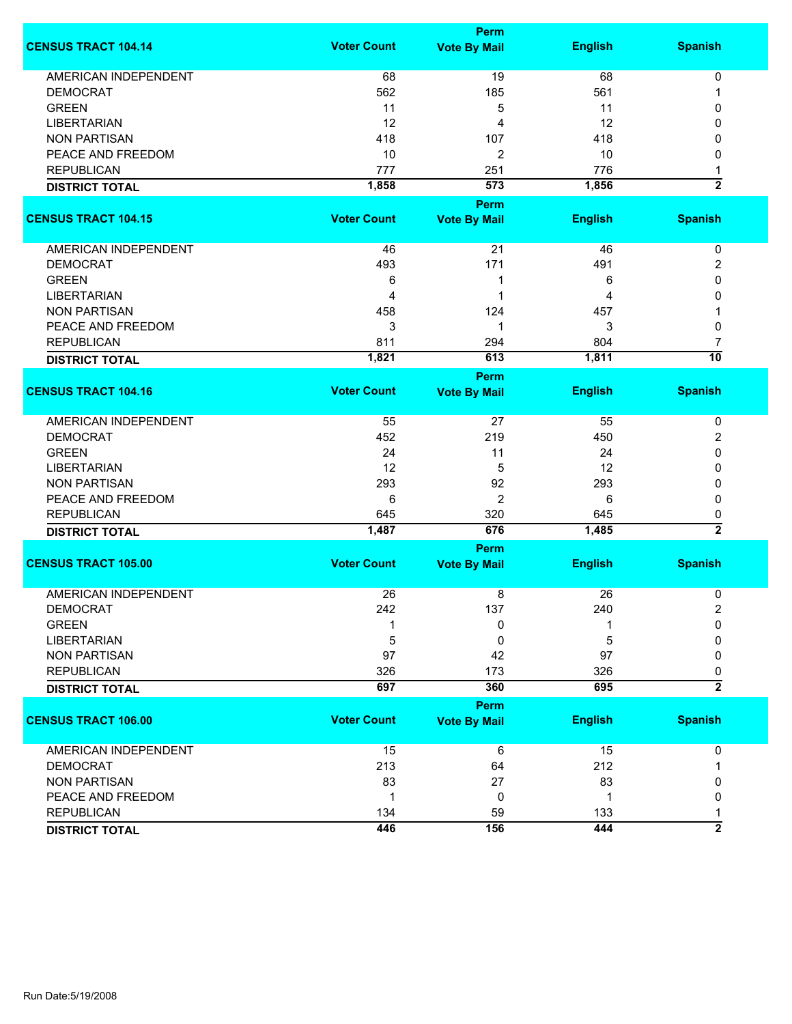|                             |                    | <b>Perm</b>         |                |                         |
|-----------------------------|--------------------|---------------------|----------------|-------------------------|
| <b>CENSUS TRACT 104.14</b>  | <b>Voter Count</b> | <b>Vote By Mail</b> | <b>English</b> | <b>Spanish</b>          |
| <b>AMERICAN INDEPENDENT</b> | 68                 | 19                  | 68             | $\pmb{0}$               |
| <b>DEMOCRAT</b>             | 562                | 185                 | 561            | 1                       |
| <b>GREEN</b>                | 11                 | 5                   | 11             | 0                       |
| <b>LIBERTARIAN</b>          | 12                 | 4                   | 12             | 0                       |
| <b>NON PARTISAN</b>         | 418                | 107                 | 418            | 0                       |
| PEACE AND FREEDOM           | 10                 | 2                   | 10             | 0                       |
| <b>REPUBLICAN</b>           | 777                | 251                 | 776            |                         |
|                             |                    | 573                 |                | $\overline{\mathbf{2}}$ |
| <b>DISTRICT TOTAL</b>       | 1,858              |                     | 1,856          |                         |
|                             |                    | Perm                |                |                         |
| <b>CENSUS TRACT 104.15</b>  | <b>Voter Count</b> | <b>Vote By Mail</b> | <b>English</b> | <b>Spanish</b>          |
| AMERICAN INDEPENDENT        | 46                 | 21                  | 46             | 0                       |
| <b>DEMOCRAT</b>             | 493                | 171                 | 491            | 2                       |
| <b>GREEN</b>                | 6                  | 1                   | 6              | 0                       |
| <b>LIBERTARIAN</b>          | 4                  | 1                   | 4              | 0                       |
| <b>NON PARTISAN</b>         | 458                | 124                 | 457            |                         |
| PEACE AND FREEDOM           | 3                  | 1                   | 3              | 0                       |
| <b>REPUBLICAN</b>           |                    |                     | 804            |                         |
|                             | 811                | 294                 |                | 7<br>$\overline{10}$    |
| <b>DISTRICT TOTAL</b>       | 1,821              | 613                 | 1,811          |                         |
|                             |                    | <b>Perm</b>         |                |                         |
| <b>CENSUS TRACT 104.16</b>  | <b>Voter Count</b> | <b>Vote By Mail</b> | <b>English</b> | <b>Spanish</b>          |
| <b>AMERICAN INDEPENDENT</b> | 55                 | 27                  | 55             | 0                       |
| <b>DEMOCRAT</b>             | 452                | 219                 | 450            | 2                       |
| <b>GREEN</b>                | 24                 | 11                  | 24             | 0                       |
| <b>LIBERTARIAN</b>          | 12                 | 5                   | 12             | 0                       |
| <b>NON PARTISAN</b>         | 293                | 92                  | 293            | 0                       |
| PEACE AND FREEDOM           | 6                  | $\overline{2}$      | 6              | 0                       |
| <b>REPUBLICAN</b>           | 645                | 320                 | 645            | 0                       |
| <b>DISTRICT TOTAL</b>       | 1,487              | 676                 | 1,485          | $\overline{2}$          |
|                             |                    | Perm                |                |                         |
| <b>CENSUS TRACT 105.00</b>  | <b>Voter Count</b> | <b>Vote By Mail</b> | <b>English</b> | <b>Spanish</b>          |
| <b>AMERICAN INDEPENDENT</b> | 26                 |                     | 26             |                         |
|                             |                    | 8                   |                | 0                       |
| <b>DEMOCRAT</b>             | 242                | 137                 | 240            | $\overline{\mathbf{c}}$ |
| <b>GREEN</b>                |                    | 0                   |                | 0                       |
| <b>LIBERTARIAN</b>          | 5                  | 0                   | 5              | 0                       |
| <b>NON PARTISAN</b>         | 97                 | 42                  | 97             | 0                       |
| <b>REPUBLICAN</b>           | 326                | 173                 | 326            | 0                       |
| <b>DISTRICT TOTAL</b>       | 697                | 360                 | 695            | $\overline{2}$          |
|                             |                    | <b>Perm</b>         |                |                         |
| <b>CENSUS TRACT 106.00</b>  | <b>Voter Count</b> | <b>Vote By Mail</b> | <b>English</b> | <b>Spanish</b>          |
| <b>AMERICAN INDEPENDENT</b> | 15                 | 6                   | 15             | 0                       |
| <b>DEMOCRAT</b>             | 213                | 64                  | 212            | 1                       |
| <b>NON PARTISAN</b>         | 83                 | 27                  | 83             | 0                       |
| PEACE AND FREEDOM           | $\mathbf 1$        | 0                   | 1              | 0                       |
| <b>REPUBLICAN</b>           | 134                | 59                  | 133            | 1                       |
| <b>DISTRICT TOTAL</b>       | 446                | 156                 | 444            | $\overline{2}$          |
|                             |                    |                     |                |                         |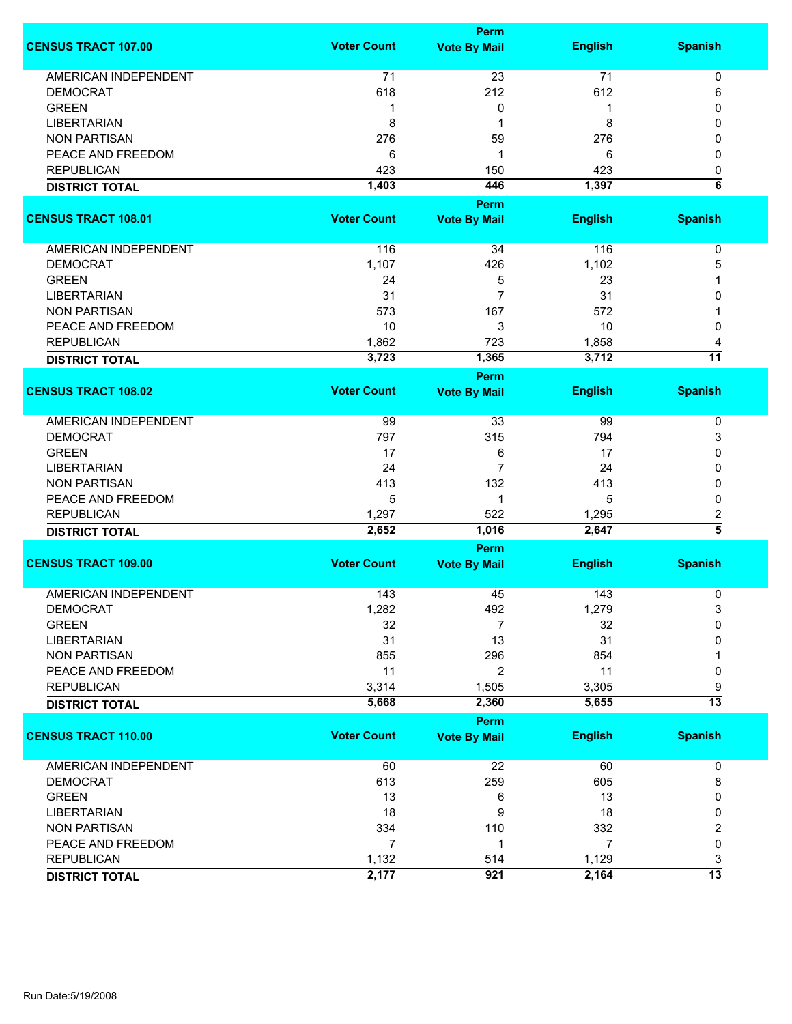|                             |                    | <b>Perm</b>                        |                |                      |
|-----------------------------|--------------------|------------------------------------|----------------|----------------------|
| <b>CENSUS TRACT 107.00</b>  | <b>Voter Count</b> | <b>Vote By Mail</b>                | <b>English</b> | <b>Spanish</b>       |
| <b>AMERICAN INDEPENDENT</b> | 71                 | 23                                 | 71             | 0                    |
| <b>DEMOCRAT</b>             | 618                | 212                                | 612            | 6                    |
| <b>GREEN</b>                | -1                 | 0                                  | 1              | 0                    |
| <b>LIBERTARIAN</b>          | 8                  | 1                                  | 8              | 0                    |
| <b>NON PARTISAN</b>         | 276                | 59                                 | 276            | 0                    |
|                             |                    |                                    |                |                      |
| PEACE AND FREEDOM           | 6                  | 1                                  | 6              | 0                    |
| <b>REPUBLICAN</b>           | 423                | 150                                | 423            | 0                    |
| <b>DISTRICT TOTAL</b>       | 1,403              | 446                                | 1,397          | $\overline{\bf 6}$   |
|                             |                    | <b>Perm</b>                        |                |                      |
| <b>CENSUS TRACT 108.01</b>  | <b>Voter Count</b> | <b>Vote By Mail</b>                | <b>English</b> | <b>Spanish</b>       |
| AMERICAN INDEPENDENT        | 116                | 34                                 | 116            | $\pmb{0}$            |
| <b>DEMOCRAT</b>             | 1,107              | 426                                | 1,102          | 5                    |
| <b>GREEN</b>                | 24                 | 5                                  | 23             | 1                    |
| <b>LIBERTARIAN</b>          | 31                 | $\overline{7}$                     | 31             | 0                    |
| <b>NON PARTISAN</b>         | 573                | 167                                | 572            |                      |
| PEACE AND FREEDOM           | 10                 | 3                                  | 10             | 0                    |
| <b>REPUBLICAN</b>           |                    | 723                                |                |                      |
|                             | 1,862              |                                    | 1,858          | 4<br>$\overline{11}$ |
| <b>DISTRICT TOTAL</b>       | 3,723              | 1,365                              | 3,712          |                      |
| <b>CENSUS TRACT 108.02</b>  | <b>Voter Count</b> | Perm                               |                |                      |
|                             |                    | <b>Vote By Mail</b>                | <b>English</b> | <b>Spanish</b>       |
| <b>AMERICAN INDEPENDENT</b> | 99                 | 33                                 | 99             | 0                    |
| <b>DEMOCRAT</b>             | 797                | 315                                | 794            | 3                    |
| <b>GREEN</b>                | 17                 | 6                                  | 17             | 0                    |
| <b>LIBERTARIAN</b>          | 24                 | $\overline{7}$                     | 24             | 0                    |
| <b>NON PARTISAN</b>         | 413                | 132                                | 413            | 0                    |
| PEACE AND FREEDOM           | 5                  | 1                                  | 5              | 0                    |
|                             |                    |                                    |                |                      |
| <b>REPUBLICAN</b>           | 1,297              | 522                                | 1,295<br>2,647 | 2<br>$\overline{5}$  |
| <b>DISTRICT TOTAL</b>       | 2,652              | 1,016                              |                |                      |
| <b>CENSUS TRACT 109.00</b>  | <b>Voter Count</b> | <b>Perm</b><br><b>Vote By Mail</b> | <b>English</b> | <b>Spanish</b>       |
|                             |                    |                                    |                |                      |
| <b>AMERICAN INDEPENDENT</b> | 143                | 45                                 | 143            | 0                    |
| <b>DEMOCRAT</b>             | 1,282              | 492                                | 1,279          | 3                    |
| <b>GREEN</b>                | 32                 | 7                                  | 32             | 0                    |
| <b>LIBERTARIAN</b>          | 31                 | 13                                 | 31             | 0                    |
| <b>NON PARTISAN</b>         | 855                | 296                                | 854            |                      |
| PEACE AND FREEDOM           | 11                 | 2                                  | 11             | 0                    |
| <b>REPUBLICAN</b>           | 3,314              | 1,505                              | 3,305          | 9                    |
| <b>DISTRICT TOTAL</b>       | 5,668              | 2,360                              | 5,655          | $\overline{13}$      |
|                             |                    | <b>Perm</b>                        |                |                      |
| <b>CENSUS TRACT 110.00</b>  | <b>Voter Count</b> | <b>Vote By Mail</b>                | <b>English</b> | <b>Spanish</b>       |
| <b>AMERICAN INDEPENDENT</b> | 60                 | 22                                 | 60             | 0                    |
| <b>DEMOCRAT</b>             | 613                | 259                                | 605            | 8                    |
| <b>GREEN</b>                | 13                 | 6                                  | 13             | 0                    |
| <b>LIBERTARIAN</b>          | 18                 | 9                                  | 18             | 0                    |
| <b>NON PARTISAN</b>         | 334                | 110                                | 332            | 2                    |
| PEACE AND FREEDOM           | $\overline{7}$     | 1                                  | 7              | 0                    |
| <b>REPUBLICAN</b>           | 1,132              | 514                                | 1,129          | 3                    |
|                             | 2,177              | 921                                | 2,164          | $\overline{13}$      |
| <b>DISTRICT TOTAL</b>       |                    |                                    |                |                      |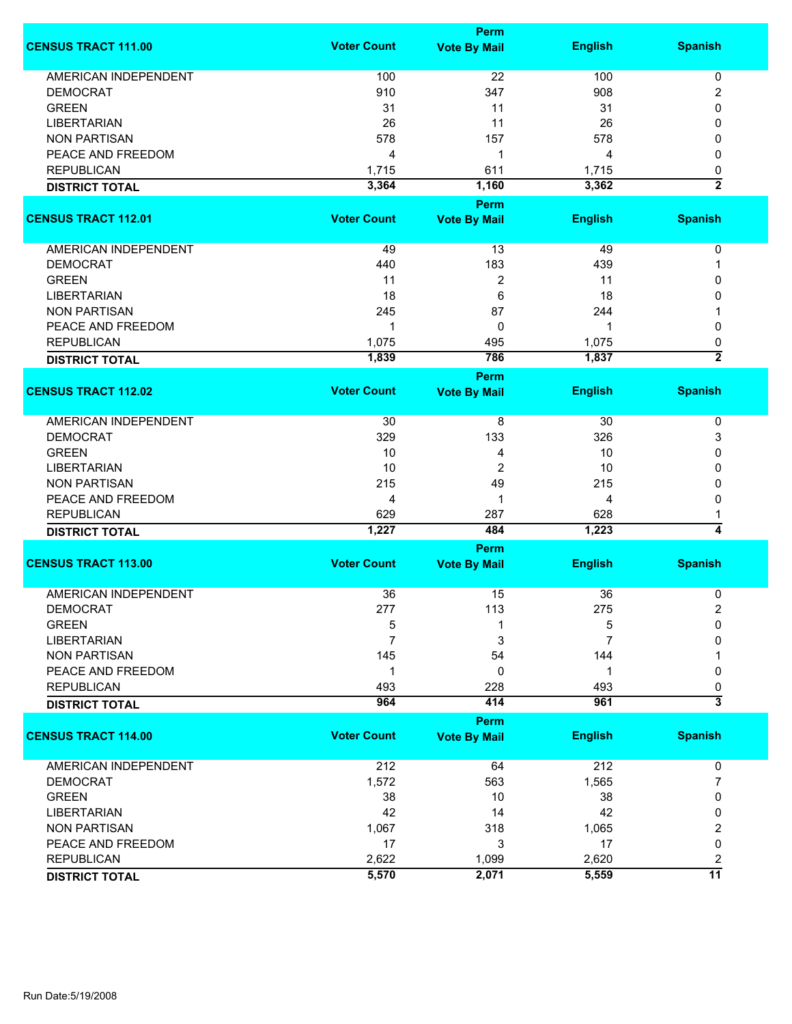|                             |                    | <b>Perm</b>         |                |                              |
|-----------------------------|--------------------|---------------------|----------------|------------------------------|
| <b>CENSUS TRACT 111.00</b>  | <b>Voter Count</b> | <b>Vote By Mail</b> | <b>English</b> | <b>Spanish</b>               |
| <b>AMERICAN INDEPENDENT</b> | 100                | 22                  | 100            | 0                            |
| <b>DEMOCRAT</b>             | 910                | 347                 | 908            | 2                            |
| <b>GREEN</b>                |                    | 11                  |                | 0                            |
|                             | 31                 |                     | 31             |                              |
| <b>LIBERTARIAN</b>          | 26                 | 11                  | 26             | 0                            |
| <b>NON PARTISAN</b>         | 578                | 157                 | 578            | 0                            |
| PEACE AND FREEDOM           | 4                  | 1                   | 4              | 0                            |
| <b>REPUBLICAN</b>           | 1,715              | 611                 | 1,715          | 0                            |
| <b>DISTRICT TOTAL</b>       | 3,364              | 1,160               | 3,362          | $\overline{2}$               |
|                             |                    | <b>Perm</b>         |                |                              |
| <b>CENSUS TRACT 112.01</b>  | <b>Voter Count</b> | <b>Vote By Mail</b> | <b>English</b> | <b>Spanish</b>               |
| AMERICAN INDEPENDENT        | 49                 | 13                  | 49             | 0                            |
| <b>DEMOCRAT</b>             | 440                | 183                 | 439            | 1                            |
| <b>GREEN</b>                | 11                 | 2                   | 11             | 0                            |
| <b>LIBERTARIAN</b>          | 18                 | 6                   | 18             | 0                            |
|                             |                    |                     |                |                              |
| <b>NON PARTISAN</b>         | 245                | 87                  | 244            |                              |
| PEACE AND FREEDOM           | 1                  | 0                   | 1              | 0                            |
| <b>REPUBLICAN</b>           | 1,075              | 495                 | 1,075          | 0                            |
| <b>DISTRICT TOTAL</b>       | 1,839              | 786                 | 1,837          | $\overline{2}$               |
|                             |                    | <b>Perm</b>         |                |                              |
| <b>CENSUS TRACT 112.02</b>  | <b>Voter Count</b> | <b>Vote By Mail</b> | <b>English</b> | <b>Spanish</b>               |
| <b>AMERICAN INDEPENDENT</b> | 30                 | 8                   | 30             | 0                            |
| <b>DEMOCRAT</b>             | 329                | 133                 | 326            | 3                            |
| <b>GREEN</b>                | 10                 | 4                   | 10             | 0                            |
| <b>LIBERTARIAN</b>          | 10                 | $\overline{2}$      | 10             | 0                            |
|                             |                    |                     |                |                              |
| <b>NON PARTISAN</b>         | 215                | 49                  | 215            | 0                            |
| PEACE AND FREEDOM           | 4                  | 1                   | 4              | 0                            |
| <b>REPUBLICAN</b>           | 629                | 287                 | 628            | 1                            |
| <b>DISTRICT TOTAL</b>       | 1,227              | 484                 | 1,223          | $\overline{4}$               |
|                             |                    | Perm                |                |                              |
| <b>CENSUS TRACT 113.00</b>  | <b>Voter Count</b> | <b>Vote By Mail</b> | <b>English</b> | <b>Spanish</b>               |
| <b>AMERICAN INDEPENDENT</b> | 36                 | 15                  | 36             | 0                            |
| <b>DEMOCRAT</b>             | 277                | 113                 | 275            | 2                            |
| <b>GREEN</b>                | 5                  |                     | 5              | 0                            |
| <b>LIBERTARIAN</b>          | 7                  | 3                   | 7              | 0                            |
| <b>NON PARTISAN</b>         | 145                | 54                  | 144            |                              |
| PEACE AND FREEDOM           | $\mathbf 1$        | 0                   | 1              | 0                            |
|                             |                    |                     |                |                              |
| <b>REPUBLICAN</b>           | 493<br>964         | 228<br>414          | 493<br>961     | 0<br>$\overline{\mathbf{3}}$ |
| <b>DISTRICT TOTAL</b>       |                    |                     |                |                              |
|                             |                    | Perm                |                |                              |
| <b>CENSUS TRACT 114.00</b>  | <b>Voter Count</b> | <b>Vote By Mail</b> | <b>English</b> | <b>Spanish</b>               |
| AMERICAN INDEPENDENT        | 212                | 64                  | 212            | 0                            |
| <b>DEMOCRAT</b>             | 1,572              | 563                 | 1,565          | 7                            |
| <b>GREEN</b>                | 38                 | 10                  | 38             | 0                            |
| <b>LIBERTARIAN</b>          | 42                 | 14                  | 42             | 0                            |
| <b>NON PARTISAN</b>         | 1,067              | 318                 | 1,065          | 2                            |
| PEACE AND FREEDOM           | 17                 | 3                   | 17             | 0                            |
| <b>REPUBLICAN</b>           |                    |                     |                |                              |
|                             | 2,622              | 1,099               | 2,620          | 2                            |
| <b>DISTRICT TOTAL</b>       | 5,570              | 2,071               | 5,559          | 11                           |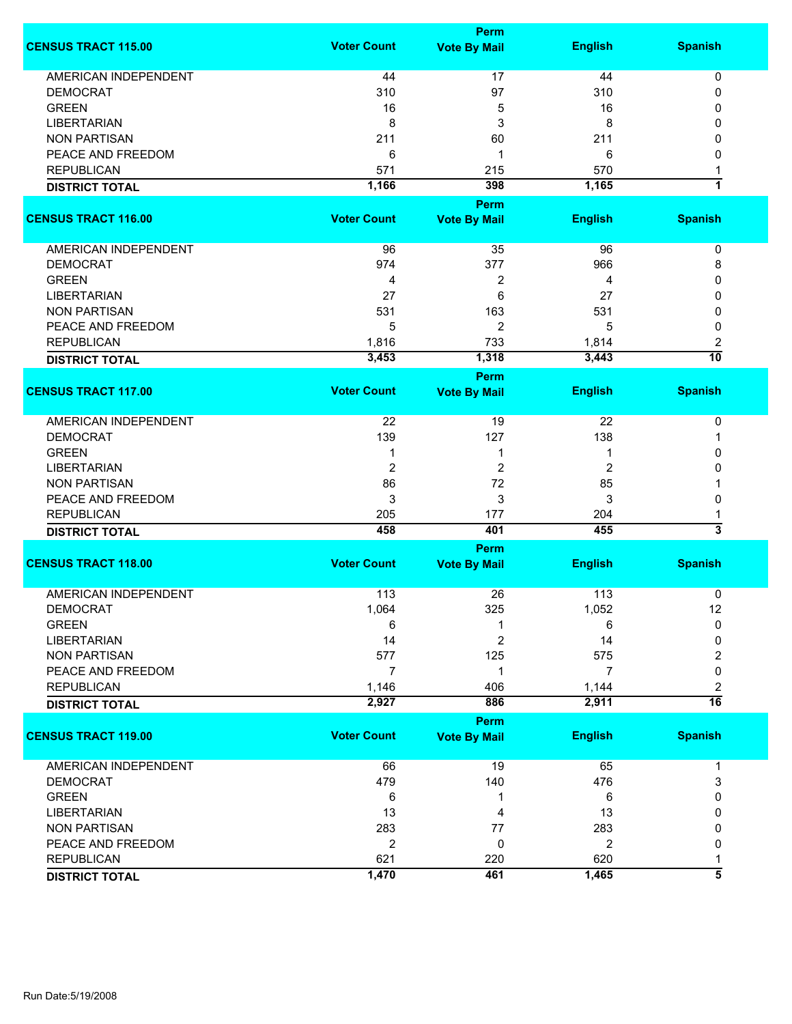|                             |                    | Perm                        |                         |                         |
|-----------------------------|--------------------|-----------------------------|-------------------------|-------------------------|
| <b>CENSUS TRACT 115.00</b>  | <b>Voter Count</b> | <b>Vote By Mail</b>         | <b>English</b>          | <b>Spanish</b>          |
| <b>AMERICAN INDEPENDENT</b> | 44                 | 17                          | 44                      | 0                       |
| <b>DEMOCRAT</b>             | 310                | 97                          | 310                     | 0                       |
| <b>GREEN</b>                | 16                 |                             | 16                      | 0                       |
|                             |                    | 5                           |                         |                         |
| <b>LIBERTARIAN</b>          | 8                  | 3                           | 8                       | 0                       |
| <b>NON PARTISAN</b>         | 211                | 60                          | 211                     | 0                       |
| PEACE AND FREEDOM           | 6                  | 1                           | 6                       | 0                       |
| <b>REPUBLICAN</b>           | 571                | 215                         | 570                     | 1                       |
| <b>DISTRICT TOTAL</b>       | 1,166              | 398                         | 1,165                   | $\overline{\mathbf{1}}$ |
|                             |                    | Perm                        |                         |                         |
| <b>CENSUS TRACT 116.00</b>  | <b>Voter Count</b> | <b>Vote By Mail</b>         | <b>English</b>          | <b>Spanish</b>          |
| AMERICAN INDEPENDENT        | 96                 | 35                          | 96                      | 0                       |
| <b>DEMOCRAT</b>             | 974                | 377                         | 966                     | 8                       |
| <b>GREEN</b>                | 4                  | 2                           | 4                       | 0                       |
| <b>LIBERTARIAN</b>          | 27                 | 6                           | 27                      | 0                       |
| <b>NON PARTISAN</b>         | 531                | 163                         | 531                     | 0                       |
| PEACE AND FREEDOM           | 5                  | 2                           | 5                       | 0                       |
|                             |                    | 733                         |                         |                         |
| <b>REPUBLICAN</b>           | 1,816              |                             | 1,814                   | 2<br>$\overline{10}$    |
| <b>DISTRICT TOTAL</b>       | 3,453              | 1,318                       | 3,443                   |                         |
|                             |                    | Perm                        |                         |                         |
| <b>CENSUS TRACT 117.00</b>  | <b>Voter Count</b> | <b>Vote By Mail</b>         | <b>English</b>          | <b>Spanish</b>          |
| <b>AMERICAN INDEPENDENT</b> | 22                 | 19                          | 22                      | 0                       |
| <b>DEMOCRAT</b>             | 139                | 127                         | 138                     | -1                      |
| <b>GREEN</b>                | 1                  | 1                           | 1                       | 0                       |
| <b>LIBERTARIAN</b>          | $\overline{2}$     | 2                           | 2                       | 0                       |
| <b>NON PARTISAN</b>         | 86                 | 72                          | 85                      | 1                       |
| PEACE AND FREEDOM           | 3                  | 3                           | 3                       | 0                       |
| <b>REPUBLICAN</b>           | 205                | 177                         | 204                     | 1                       |
| <b>DISTRICT TOTAL</b>       | 458                | 401                         | 455                     | 3                       |
|                             |                    |                             |                         |                         |
| <b>CENSUS TRACT 118.00</b>  | <b>Voter Count</b> | Perm<br><b>Vote By Mail</b> | <b>English</b>          | <b>Spanish</b>          |
|                             |                    |                             |                         |                         |
| <b>AMERICAN INDEPENDENT</b> | 113                | 26                          | 113                     | 0                       |
| <b>DEMOCRAT</b>             | 1,064              | 325                         | 1,052                   | 12                      |
| <b>GREEN</b>                | 6                  | 1                           | 6                       | 0                       |
| <b>LIBERTARIAN</b>          | 14                 | $\overline{2}$              | 14                      | 0                       |
| <b>NON PARTISAN</b>         | 577                | 125                         | 575                     | 2                       |
| PEACE AND FREEDOM           | $\overline{7}$     | 1                           | 7                       | 0                       |
| <b>REPUBLICAN</b>           | 1,146              | 406                         | 1,144                   | 2                       |
| <b>DISTRICT TOTAL</b>       | 2,927              | 886                         | 2,911                   | $\overline{16}$         |
|                             |                    | Perm                        |                         |                         |
| <b>CENSUS TRACT 119.00</b>  | <b>Voter Count</b> | <b>Vote By Mail</b>         | <b>English</b>          | <b>Spanish</b>          |
| <b>AMERICAN INDEPENDENT</b> | 66                 | 19                          | 65                      | 1                       |
| <b>DEMOCRAT</b>             | 479                | 140                         | 476                     | 3                       |
| <b>GREEN</b>                | 6                  | 1                           | 6                       | 0                       |
| <b>LIBERTARIAN</b>          | 13                 | 4                           | 13                      | 0                       |
| <b>NON PARTISAN</b>         | 283                | 77                          | 283                     | 0                       |
|                             |                    |                             |                         |                         |
| PEACE AND FREEDOM           | $\overline{2}$     | 0                           | $\overline{\mathbf{c}}$ | 0                       |
| <b>REPUBLICAN</b>           | 621                | 220                         | 620                     | 1                       |
| <b>DISTRICT TOTAL</b>       | 1,470              | 461                         | 1,465                   | $\overline{\bf{5}}$     |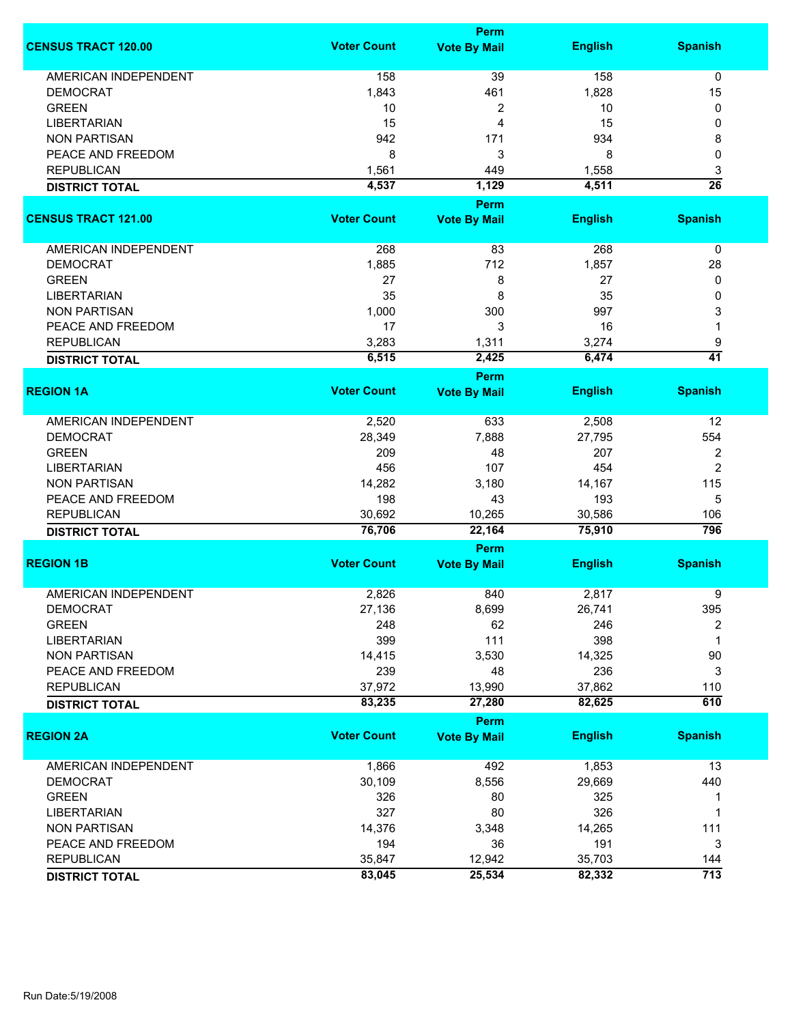|                             | <b>Perm</b>        |                                    |                |                         |  |
|-----------------------------|--------------------|------------------------------------|----------------|-------------------------|--|
| <b>CENSUS TRACT 120.00</b>  | <b>Voter Count</b> | <b>Vote By Mail</b>                | <b>English</b> | <b>Spanish</b>          |  |
| <b>AMERICAN INDEPENDENT</b> | 158                | 39                                 | 158            | 0                       |  |
| <b>DEMOCRAT</b>             | 1,843              | 461                                | 1,828          | 15                      |  |
| <b>GREEN</b>                | 10                 | 2                                  | 10             | 0                       |  |
| <b>LIBERTARIAN</b>          | 15                 | 4                                  | 15             | 0                       |  |
| <b>NON PARTISAN</b>         | 942                | 171                                | 934            | 8                       |  |
|                             |                    |                                    |                |                         |  |
| PEACE AND FREEDOM           | 8                  | 3                                  | 8              | 0                       |  |
| <b>REPUBLICAN</b>           | 1,561              | 449                                | 1,558          | 3                       |  |
| <b>DISTRICT TOTAL</b>       | 4,537              | 1,129                              | 4,511          | $\overline{26}$         |  |
|                             |                    | Perm                               |                |                         |  |
| <b>CENSUS TRACT 121.00</b>  | <b>Voter Count</b> | <b>Vote By Mail</b>                | <b>English</b> | <b>Spanish</b>          |  |
| AMERICAN INDEPENDENT        | 268                | 83                                 | 268            | $\mathbf 0$             |  |
| <b>DEMOCRAT</b>             | 1,885              | 712                                | 1,857          | 28                      |  |
| <b>GREEN</b>                | 27                 | 8                                  | 27             | 0                       |  |
| <b>LIBERTARIAN</b>          | 35                 | 8                                  | 35             | 0                       |  |
|                             |                    | 300                                | 997            |                         |  |
| <b>NON PARTISAN</b>         | 1,000              |                                    |                | 3                       |  |
| PEACE AND FREEDOM           | 17                 | 3                                  | 16             | 1                       |  |
| <b>REPUBLICAN</b>           | 3,283              | 1,311                              | 3,274          | 9                       |  |
| <b>DISTRICT TOTAL</b>       | 6,515              | 2,425                              | 6,474          | $\overline{41}$         |  |
|                             |                    | <b>Perm</b>                        |                |                         |  |
| <b>REGION 1A</b>            | <b>Voter Count</b> | <b>Vote By Mail</b>                | <b>English</b> | <b>Spanish</b>          |  |
| <b>AMERICAN INDEPENDENT</b> | 2,520              | 633                                | 2,508          | 12                      |  |
| <b>DEMOCRAT</b>             | 28,349             | 7,888                              | 27,795         | 554                     |  |
| <b>GREEN</b>                | 209                | 48                                 | 207            | $\overline{\mathbf{c}}$ |  |
| <b>LIBERTARIAN</b>          | 456                | 107                                | 454            | $\overline{2}$          |  |
| <b>NON PARTISAN</b>         | 14,282             | 3,180                              | 14,167         | 115                     |  |
|                             |                    |                                    |                |                         |  |
| PEACE AND FREEDOM           | 198                | 43                                 | 193            | 5                       |  |
| <b>REPUBLICAN</b>           | 30,692             | 10,265                             | 30,586         | 106                     |  |
| <b>DISTRICT TOTAL</b>       | 76,706             | 22,164                             | 75,910         | 796                     |  |
| <b>REGION 1B</b>            | <b>Voter Count</b> | <b>Perm</b><br><b>Vote By Mail</b> | <b>English</b> | <b>Spanish</b>          |  |
|                             |                    |                                    |                |                         |  |
| <b>AMERICAN INDEPENDENT</b> | 2,826              | 840                                | 2,817          | 9                       |  |
| <b>DEMOCRAT</b>             | 27,136             | 8,699                              | 26,741         | 395                     |  |
| <b>GREEN</b>                | 248                | 62                                 | 246            | 2                       |  |
| <b>LIBERTARIAN</b>          | 399                | 111                                | 398            | 1                       |  |
| <b>NON PARTISAN</b>         | 14,415             | 3,530                              | 14,325         | 90                      |  |
| PEACE AND FREEDOM           | 239                | 48                                 | 236            | 3                       |  |
| <b>REPUBLICAN</b>           | 37,972             | 13,990                             | 37,862         | 110                     |  |
| <b>DISTRICT TOTAL</b>       | 83,235             | 27,280                             | 82,625         | 610                     |  |
|                             |                    | Perm                               |                |                         |  |
| <b>REGION 2A</b>            | <b>Voter Count</b> | <b>Vote By Mail</b>                | <b>English</b> | <b>Spanish</b>          |  |
| <b>AMERICAN INDEPENDENT</b> | 1,866              | 492                                | 1,853          | 13                      |  |
| <b>DEMOCRAT</b>             | 30,109             | 8,556                              | 29,669         | 440                     |  |
| <b>GREEN</b>                | 326                | 80                                 | 325            | 1                       |  |
| <b>LIBERTARIAN</b>          | 327                | 80                                 | 326            | 1                       |  |
|                             |                    |                                    |                |                         |  |
| <b>NON PARTISAN</b>         | 14,376             | 3,348                              | 14,265         | 111                     |  |
| PEACE AND FREEDOM           | 194                | 36                                 | 191            | 3                       |  |
| <b>REPUBLICAN</b>           | 35,847             | 12,942                             | 35,703         | 144                     |  |
| <b>DISTRICT TOTAL</b>       | 83,045             | 25,534                             | 82,332         | $\overline{713}$        |  |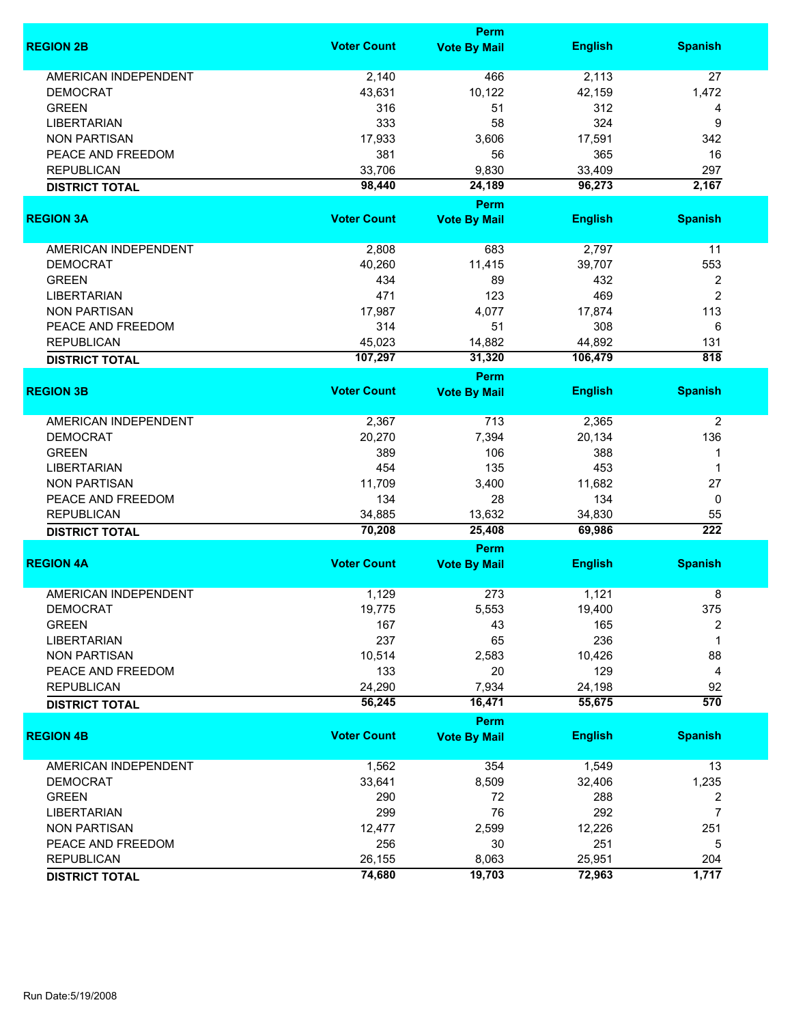|                             |                    | <b>Perm</b>                        |                |                         |
|-----------------------------|--------------------|------------------------------------|----------------|-------------------------|
| <b>REGION 2B</b>            | <b>Voter Count</b> | <b>Vote By Mail</b>                | <b>English</b> | <b>Spanish</b>          |
| <b>AMERICAN INDEPENDENT</b> | 2,140              | 466                                | 2,113          | 27                      |
| <b>DEMOCRAT</b>             | 43,631             | 10,122                             | 42,159         | 1,472                   |
| <b>GREEN</b>                | 316                | 51                                 | 312            | 4                       |
| <b>LIBERTARIAN</b>          | 333                | 58                                 | 324            | 9                       |
| <b>NON PARTISAN</b>         | 17,933             | 3,606                              | 17,591         | 342                     |
| PEACE AND FREEDOM           | 381                | 56                                 | 365            | 16                      |
|                             |                    |                                    |                |                         |
| <b>REPUBLICAN</b>           | 33,706             | 9,830                              | 33,409         | 297<br>2,167            |
| <b>DISTRICT TOTAL</b>       | 98,440             | 24,189                             | 96,273         |                         |
| <b>REGION 3A</b>            | <b>Voter Count</b> | <b>Perm</b>                        | <b>English</b> | <b>Spanish</b>          |
|                             |                    | <b>Vote By Mail</b>                |                |                         |
| AMERICAN INDEPENDENT        | 2,808              | 683                                | 2,797          | 11                      |
| <b>DEMOCRAT</b>             | 40,260             | 11,415                             | 39,707         | 553                     |
| <b>GREEN</b>                | 434                | 89                                 | 432            | $\overline{\mathbf{c}}$ |
| <b>LIBERTARIAN</b>          | 471                | 123                                | 469            | $\overline{c}$          |
| <b>NON PARTISAN</b>         | 17,987             | 4,077                              | 17,874         | 113                     |
|                             | 314                | 51                                 | 308            |                         |
| PEACE AND FREEDOM           |                    |                                    |                | 6                       |
| <b>REPUBLICAN</b>           | 45,023             | 14,882                             | 44,892         | 131                     |
| <b>DISTRICT TOTAL</b>       | 107,297            | 31,320                             | 106,479        | 818                     |
|                             |                    | Perm                               |                |                         |
| <b>REGION 3B</b>            | <b>Voter Count</b> | <b>Vote By Mail</b>                | <b>English</b> | <b>Spanish</b>          |
| <b>AMERICAN INDEPENDENT</b> | 2,367              | 713                                | 2,365          | $\overline{2}$          |
| <b>DEMOCRAT</b>             | 20,270             | 7,394                              | 20,134         | 136                     |
| <b>GREEN</b>                | 389                | 106                                | 388            | 1                       |
| <b>LIBERTARIAN</b>          | 454                | 135                                | 453            | 1                       |
| <b>NON PARTISAN</b>         | 11,709             | 3,400                              | 11,682         | 27                      |
|                             |                    |                                    |                |                         |
| PEACE AND FREEDOM           | 134                | 28                                 | 134            | 0                       |
| <b>REPUBLICAN</b>           | 34,885             | 13,632                             | 34,830         | 55                      |
| <b>DISTRICT TOTAL</b>       | 70,208             | 25,408                             | 69,986         | $\overline{222}$        |
| <b>REGION 4A</b>            | <b>Voter Count</b> | <b>Perm</b><br><b>Vote By Mail</b> | <b>English</b> | <b>Spanish</b>          |
|                             |                    |                                    |                |                         |
| <b>AMERICAN INDEPENDENT</b> | 1,129              | 273                                | 1,121          | 8                       |
| <b>DEMOCRAT</b>             | 19,775             | 5,553                              | 19,400         | 375                     |
| <b>GREEN</b>                | 167                | 43                                 | 165            | 2                       |
| <b>LIBERTARIAN</b>          | 237                | 65                                 | 236            | 1                       |
| <b>NON PARTISAN</b>         | 10,514             | 2,583                              | 10,426         | 88                      |
| PEACE AND FREEDOM           | 133                | 20                                 | 129            | 4                       |
| <b>REPUBLICAN</b>           | 24,290             | 7,934                              | 24,198         | 92                      |
| <b>DISTRICT TOTAL</b>       | 56,245             | 16,471                             | 55,675         | 570                     |
|                             |                    | <b>Perm</b>                        |                |                         |
| <b>REGION 4B</b>            | <b>Voter Count</b> | <b>Vote By Mail</b>                | <b>English</b> | <b>Spanish</b>          |
| <b>AMERICAN INDEPENDENT</b> | 1,562              | 354                                | 1,549          | 13                      |
| <b>DEMOCRAT</b>             | 33,641             | 8,509                              | 32,406         | 1,235                   |
| <b>GREEN</b>                | 290                | 72                                 | 288            | 2                       |
| <b>LIBERTARIAN</b>          | 299                | 76                                 | 292            | 7                       |
|                             |                    |                                    |                |                         |
| <b>NON PARTISAN</b>         | 12,477             | 2,599                              | 12,226         | 251                     |
| PEACE AND FREEDOM           | 256                | 30                                 | 251            | 5                       |
| <b>REPUBLICAN</b>           | 26,155             | 8,063                              | 25,951         | 204                     |
| <b>DISTRICT TOTAL</b>       | 74,680             | 19,703                             | 72,963         | 1,717                   |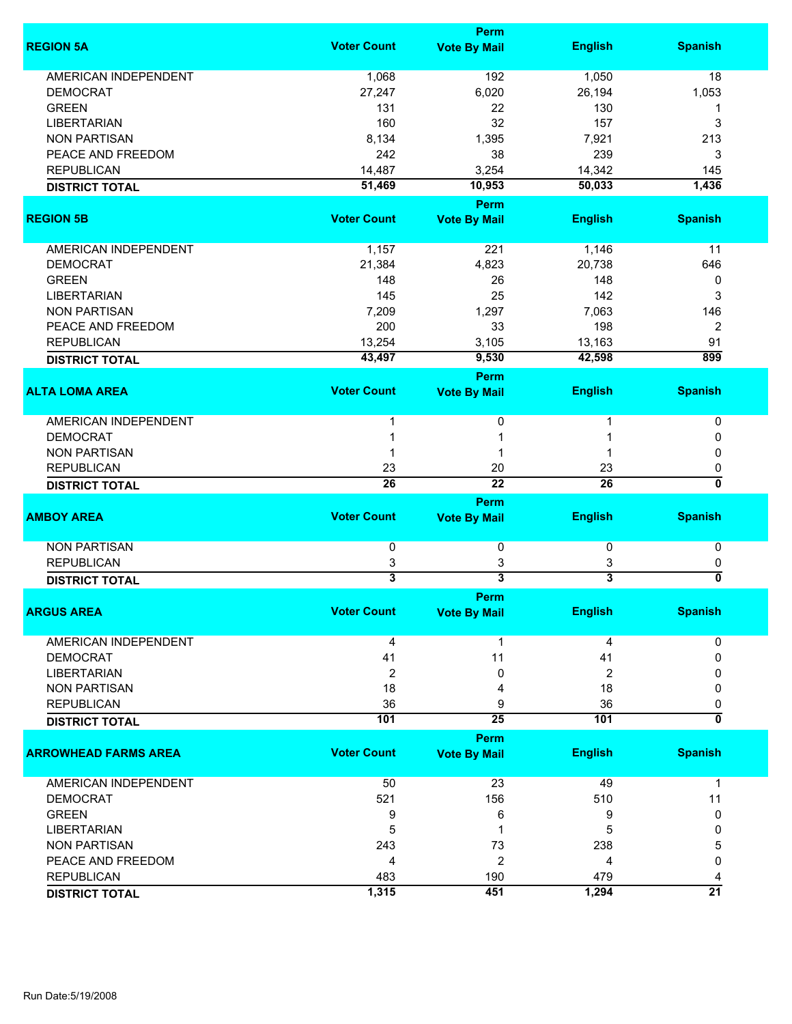|                             |                         | <b>Perm</b>                        |                         |                           |
|-----------------------------|-------------------------|------------------------------------|-------------------------|---------------------------|
| <b>REGION 5A</b>            | <b>Voter Count</b>      | <b>Vote By Mail</b>                | <b>English</b>          | <b>Spanish</b>            |
| <b>AMERICAN INDEPENDENT</b> | 1,068                   | 192                                | 1,050                   | 18                        |
| <b>DEMOCRAT</b>             | 27,247                  | 6,020                              | 26,194                  | 1,053                     |
| <b>GREEN</b>                | 131                     | 22                                 | 130                     | 1                         |
| <b>LIBERTARIAN</b>          | 160                     | 32                                 | 157                     | 3                         |
| <b>NON PARTISAN</b>         | 8,134                   | 1,395                              | 7,921                   | 213                       |
| PEACE AND FREEDOM           | 242                     | 38                                 | 239                     | 3                         |
| <b>REPUBLICAN</b>           |                         |                                    |                         |                           |
|                             | 14,487                  | 3,254                              | 14,342                  | 145                       |
| <b>DISTRICT TOTAL</b>       | 51,469                  | 10,953<br><b>Perm</b>              | 50,033                  | 1,436                     |
| <b>REGION 5B</b>            | <b>Voter Count</b>      | <b>Vote By Mail</b>                | <b>English</b>          | <b>Spanish</b>            |
| AMERICAN INDEPENDENT        | 1,157                   | 221                                | 1,146                   | 11                        |
| <b>DEMOCRAT</b>             | 21,384                  | 4,823                              | 20,738                  | 646                       |
| <b>GREEN</b>                | 148                     | 26                                 | 148                     | 0                         |
| <b>LIBERTARIAN</b>          | 145                     | 25                                 | 142                     | 3                         |
| <b>NON PARTISAN</b>         | 7,209                   | 1,297                              | 7,063                   | 146                       |
|                             | 200                     | 33                                 | 198                     |                           |
| PEACE AND FREEDOM           |                         |                                    |                         | $\overline{2}$            |
| <b>REPUBLICAN</b>           | 13,254                  | 3,105                              | 13,163                  | 91                        |
| <b>DISTRICT TOTAL</b>       | 43,497                  | 9,530                              | 42,598                  | 899                       |
| <b>ALTA LOMA AREA</b>       | <b>Voter Count</b>      | <b>Perm</b><br><b>Vote By Mail</b> | <b>English</b>          | <b>Spanish</b>            |
|                             |                         |                                    |                         |                           |
| AMERICAN INDEPENDENT        |                         | 0                                  |                         | 0                         |
| <b>DEMOCRAT</b>             |                         | 1                                  |                         | 0                         |
| <b>NON PARTISAN</b>         |                         | 1                                  |                         | 0                         |
| <b>REPUBLICAN</b>           | 23                      | 20                                 | 23                      | 0                         |
| <b>DISTRICT TOTAL</b>       | 26                      | $\overline{22}$                    | 26                      | $\overline{\mathfrak{o}}$ |
|                             |                         | <b>Perm</b>                        |                         |                           |
| <b>AMBOY AREA</b>           | <b>Voter Count</b>      | <b>Vote By Mail</b>                | <b>English</b>          | <b>Spanish</b>            |
| <b>NON PARTISAN</b>         | 0                       | 0                                  | 0                       | 0                         |
| <b>REPUBLICAN</b>           | 3                       | 3                                  | 3                       | 0                         |
| <b>DISTRICT TOTAL</b>       | $\overline{\mathbf{3}}$ | $\overline{\mathbf{3}}$            | $\overline{\mathbf{3}}$ | $\overline{\mathfrak{o}}$ |
|                             |                         | <b>Perm</b>                        |                         |                           |
| <b>ARGUS AREA</b>           | <b>Voter Count</b>      | <b>Vote By Mail</b>                | <b>English</b>          | <b>Spanish</b>            |
| <b>AMERICAN INDEPENDENT</b> | 4                       | $\mathbf{1}$                       | 4                       | 0                         |
| <b>DEMOCRAT</b>             | 41                      | 11                                 | 41                      | 0                         |
| <b>LIBERTARIAN</b>          | $\overline{2}$          | 0                                  | 2                       | 0                         |
| <b>NON PARTISAN</b>         | 18                      | 4                                  | 18                      | 0                         |
| <b>REPUBLICAN</b>           | 36                      | 9                                  | 36                      | 0                         |
| <b>DISTRICT TOTAL</b>       | 101                     | $\overline{25}$                    | 101                     | ō                         |
|                             |                         | Perm                               |                         |                           |
| <b>ARROWHEAD FARMS AREA</b> | <b>Voter Count</b>      | <b>Vote By Mail</b>                | <b>English</b>          | <b>Spanish</b>            |
| <b>AMERICAN INDEPENDENT</b> | 50                      | 23                                 | 49                      | 1                         |
| <b>DEMOCRAT</b>             | 521                     | 156                                | 510                     | 11                        |
| <b>GREEN</b>                | 9                       | 6                                  | 9                       | 0                         |
| <b>LIBERTARIAN</b>          | 5                       | 1                                  | 5                       | 0                         |
| <b>NON PARTISAN</b>         | 243                     | 73                                 | 238                     | 5                         |
| PEACE AND FREEDOM           | 4                       | 2                                  | 4                       | 0                         |
| <b>REPUBLICAN</b>           | 483                     | 190                                | 479                     | 4                         |
|                             | 1,315                   | 451                                | 1,294                   | $\overline{21}$           |
| <b>DISTRICT TOTAL</b>       |                         |                                    |                         |                           |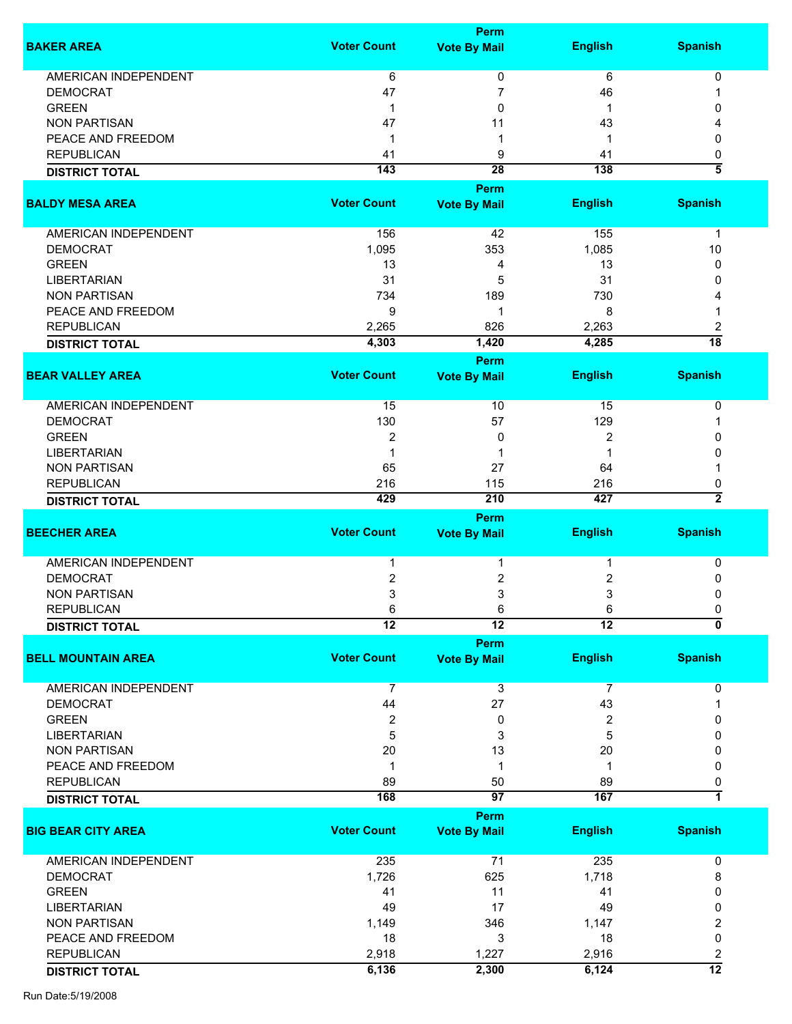|                             |                    | <b>Perm</b>                 |                  |                           |
|-----------------------------|--------------------|-----------------------------|------------------|---------------------------|
| <b>BAKER AREA</b>           | <b>Voter Count</b> | <b>Vote By Mail</b>         | <b>English</b>   | <b>Spanish</b>            |
|                             |                    |                             |                  |                           |
| <b>AMERICAN INDEPENDENT</b> | 6                  | 0                           | 6                | 0                         |
| <b>DEMOCRAT</b>             | 47                 | 7                           | 46               | 1                         |
| <b>GREEN</b>                | 1                  | 0                           | 1                | 0                         |
| <b>NON PARTISAN</b>         | 47                 | 11                          | 43               |                           |
| PEACE AND FREEDOM           | 1                  | 1                           | 1                | 0                         |
| <b>REPUBLICAN</b>           | 41                 | 9                           | 41               | 0                         |
| <b>DISTRICT TOTAL</b>       | 143                | $\overline{28}$             | $\overline{138}$ | $\overline{\bf 5}$        |
|                             |                    | <b>Perm</b>                 |                  |                           |
| <b>BALDY MESA AREA</b>      | <b>Voter Count</b> | <b>Vote By Mail</b>         | <b>English</b>   | <b>Spanish</b>            |
| AMERICAN INDEPENDENT        | 156                | 42                          | 155              | $\mathbf{1}$              |
| <b>DEMOCRAT</b>             | 1,095              | 353                         | 1,085            | 10                        |
| <b>GREEN</b>                | 13                 | 4                           | 13               | 0                         |
| <b>LIBERTARIAN</b>          | 31                 | 5                           | 31               | 0                         |
| <b>NON PARTISAN</b>         | 734                | 189                         | 730              | 4                         |
| PEACE AND FREEDOM           | 9                  | 1                           | 8                | 1                         |
| <b>REPUBLICAN</b>           | 2,265              | 826                         | 2,263            | 2                         |
| <b>DISTRICT TOTAL</b>       | 4,303              | 1,420                       | 4,285            | $\overline{18}$           |
|                             |                    |                             |                  |                           |
| <b>BEAR VALLEY AREA</b>     | <b>Voter Count</b> | Perm<br><b>Vote By Mail</b> | <b>English</b>   | <b>Spanish</b>            |
| <b>AMERICAN INDEPENDENT</b> | 15                 | 10                          | 15               | 0                         |
| <b>DEMOCRAT</b>             | 130                | 57                          | 129              | 1                         |
| <b>GREEN</b>                | $\overline{2}$     | 0                           | 2                | 0                         |
| <b>LIBERTARIAN</b>          | $\mathbf 1$        | 1                           | 1                | 0                         |
| <b>NON PARTISAN</b>         | 65                 | 27                          | 64               |                           |
|                             |                    |                             |                  |                           |
| <b>REPUBLICAN</b>           | 216                | 115                         | 216              | 0                         |
| <b>DISTRICT TOTAL</b>       | 429                | 210                         | 427              | $\overline{2}$            |
| <b>BEECHER AREA</b>         | <b>Voter Count</b> | <b>Perm</b>                 | <b>English</b>   | <b>Spanish</b>            |
|                             |                    | <b>Vote By Mail</b>         |                  |                           |
| <b>AMERICAN INDEPENDENT</b> | 1                  | 1                           | 1                | 0                         |
| <b>DEMOCRAT</b>             | 2                  | 2                           | 2                | 0                         |
| <b>NON PARTISAN</b>         | 3                  | 3                           | 3                | 0                         |
| <b>REPUBLICAN</b>           | 6                  | 6                           | 6                | 0                         |
| <b>DISTRICT TOTAL</b>       | $\overline{12}$    | $\overline{12}$             | $\overline{12}$  | $\overline{\mathfrak{o}}$ |
|                             |                    | <b>Perm</b>                 |                  |                           |
| <b>BELL MOUNTAIN AREA</b>   | <b>Voter Count</b> | <b>Vote By Mail</b>         | <b>English</b>   | <b>Spanish</b>            |
|                             |                    |                             |                  |                           |
| <b>AMERICAN INDEPENDENT</b> | $\overline{7}$     | 3                           | $\overline{7}$   | 0                         |
| <b>DEMOCRAT</b>             | 44                 | 27                          | 43               | 1                         |
| <b>GREEN</b>                | $\boldsymbol{2}$   | 0                           | 2                | 0                         |
| <b>LIBERTARIAN</b>          | 5                  | 3                           | 5                | 0                         |
| <b>NON PARTISAN</b>         | 20                 | 13                          | 20               | 0                         |
| PEACE AND FREEDOM           | $\mathbf{1}$       | 1                           | $\mathbf 1$      | 0                         |
| <b>REPUBLICAN</b>           | 89                 | 50                          | 89               | 0                         |
|                             | 168                | 97                          | 167              | 7                         |
| <b>DISTRICT TOTAL</b>       |                    | <b>Perm</b>                 |                  |                           |
| <b>BIG BEAR CITY AREA</b>   | <b>Voter Count</b> | <b>Vote By Mail</b>         | <b>English</b>   | <b>Spanish</b>            |
|                             |                    |                             |                  |                           |
| AMERICAN INDEPENDENT        | 235                | 71                          | 235              | 0                         |
| <b>DEMOCRAT</b>             | 1,726              | 625                         | 1,718            | 8                         |
| <b>GREEN</b>                | 41                 | 11                          | 41               | 0                         |
| <b>LIBERTARIAN</b>          | 49                 | 17                          | 49               | 0                         |
| <b>NON PARTISAN</b>         | 1,149              | 346                         | 1,147            | 2                         |
| PEACE AND FREEDOM           | 18                 | 3                           | 18               | 0                         |
| <b>REPUBLICAN</b>           | 2,918              | 1,227                       | 2,916            | 2                         |
| <b>DISTRICT TOTAL</b>       | 6,136              | 2,300                       | 6,124            | $\overline{12}$           |
|                             |                    |                             |                  |                           |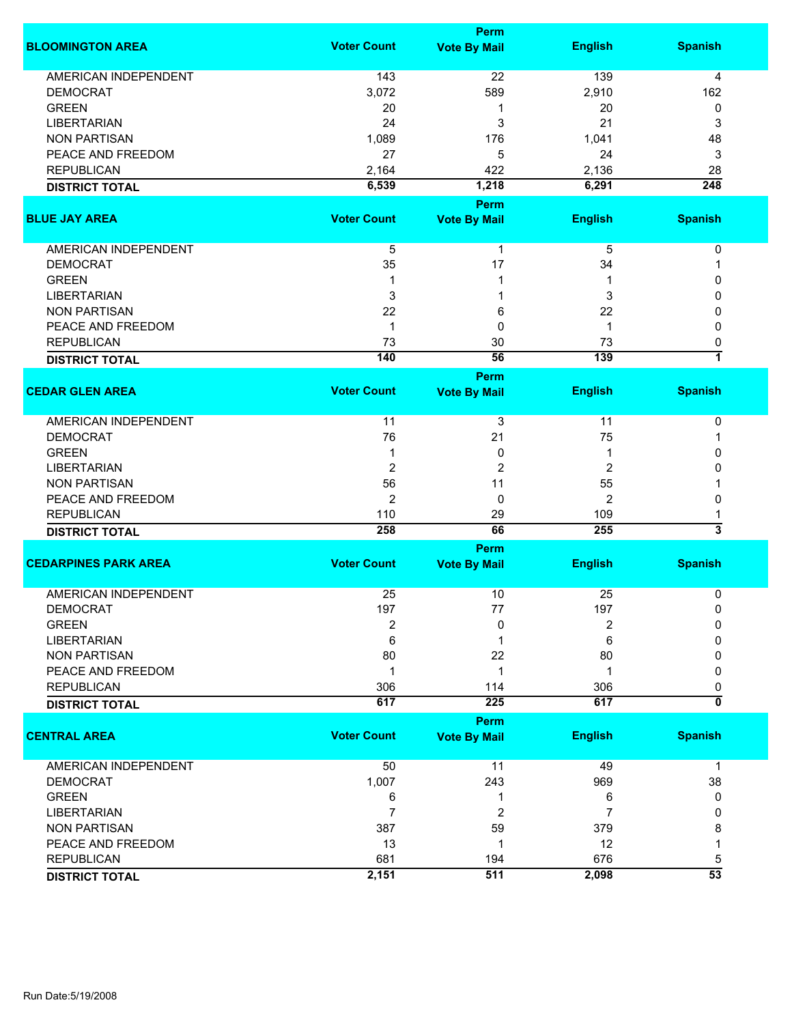|                             |                    | <b>Perm</b>                        |                |                           |
|-----------------------------|--------------------|------------------------------------|----------------|---------------------------|
| <b>BLOOMINGTON AREA</b>     | <b>Voter Count</b> | <b>Vote By Mail</b>                | <b>English</b> | <b>Spanish</b>            |
| <b>AMERICAN INDEPENDENT</b> | 143                | 22                                 | 139            | 4                         |
| <b>DEMOCRAT</b>             | 3,072              | 589                                | 2,910          | 162                       |
| <b>GREEN</b>                | 20                 | 1                                  | 20             | 0                         |
| <b>LIBERTARIAN</b>          | 24                 | 3                                  | 21             | 3                         |
|                             |                    |                                    |                |                           |
| <b>NON PARTISAN</b>         | 1,089              | 176                                | 1,041          | 48                        |
| PEACE AND FREEDOM           | 27                 | 5                                  | 24             | 3                         |
| <b>REPUBLICAN</b>           | 2,164              | 422                                | 2,136          | 28                        |
| <b>DISTRICT TOTAL</b>       | 6,539              | 1,218                              | 6,291          | $\frac{1}{248}$           |
|                             |                    | <b>Perm</b>                        |                |                           |
| <b>BLUE JAY AREA</b>        | <b>Voter Count</b> | <b>Vote By Mail</b>                | <b>English</b> | <b>Spanish</b>            |
| AMERICAN INDEPENDENT        | 5                  | $\mathbf{1}$                       | 5              | 0                         |
| <b>DEMOCRAT</b>             | 35                 | 17                                 | 34             | 1                         |
| <b>GREEN</b>                | 1                  | 1                                  | 1              | 0                         |
| <b>LIBERTARIAN</b>          | 3                  | 1                                  | 3              | 0                         |
| <b>NON PARTISAN</b>         | 22                 | 6                                  | 22             | 0                         |
|                             | $\mathbf{1}$       | 0                                  | $\mathbf 1$    | 0                         |
| PEACE AND FREEDOM           |                    |                                    |                |                           |
| <b>REPUBLICAN</b>           | 73                 | 30                                 | 73             | 0                         |
| <b>DISTRICT TOTAL</b>       | 140                | 56                                 | 139            | 7                         |
| <b>CEDAR GLEN AREA</b>      | <b>Voter Count</b> | <b>Perm</b><br><b>Vote By Mail</b> | <b>English</b> | <b>Spanish</b>            |
|                             |                    |                                    |                |                           |
| <b>AMERICAN INDEPENDENT</b> | 11                 | 3                                  | 11             | 0                         |
| <b>DEMOCRAT</b>             | 76                 | 21                                 | 75             | 1                         |
| <b>GREEN</b>                | 1                  | 0                                  | 1              | 0                         |
| <b>LIBERTARIAN</b>          | 2                  | 2                                  | $\overline{2}$ | 0                         |
| <b>NON PARTISAN</b>         | 56                 | 11                                 | 55             |                           |
| PEACE AND FREEDOM           | 2                  | 0                                  | $\overline{2}$ | 0                         |
| <b>REPUBLICAN</b>           | 110                | 29                                 | 109            | 1                         |
|                             | 258                | 66                                 | 255            | $\overline{\mathbf{3}}$   |
| <b>DISTRICT TOTAL</b>       |                    | <b>Perm</b>                        |                |                           |
| <b>CEDARPINES PARK AREA</b> | <b>Voter Count</b> | <b>Vote By Mail</b>                | <b>English</b> | <b>Spanish</b>            |
|                             |                    |                                    |                |                           |
| <b>AMERICAN INDEPENDENT</b> | 25                 | 10                                 | 25             | 0                         |
| <b>DEMOCRAT</b>             | 197                | 77                                 | 197            | 0                         |
| <b>GREEN</b>                | 2                  | 0                                  | 2              | 0                         |
| <b>LIBERTARIAN</b>          | 6                  | 1                                  | 6              | 0                         |
| <b>NON PARTISAN</b>         | 80                 | 22                                 | 80             | 0                         |
| PEACE AND FREEDOM           | $\mathbf 1$        | 1                                  | 1              | 0                         |
| <b>REPUBLICAN</b>           | 306                | 114                                | 306            | 0                         |
| <b>DISTRICT TOTAL</b>       | 617                | 225                                | 617            | $\overline{\mathfrak{o}}$ |
|                             |                    | <b>Perm</b>                        |                |                           |
| <b>CENTRAL AREA</b>         | <b>Voter Count</b> | <b>Vote By Mail</b>                | <b>English</b> | <b>Spanish</b>            |
| AMERICAN INDEPENDENT        | 50                 | 11                                 | 49             | $\mathbf 1$               |
| <b>DEMOCRAT</b>             | 1,007              | 243                                | 969            | 38                        |
| <b>GREEN</b>                | 6                  | 1                                  | 6              | 0                         |
| <b>LIBERTARIAN</b>          | $\overline{7}$     | 2                                  | 7              | 0                         |
| <b>NON PARTISAN</b>         | 387                | 59                                 | 379            | 8                         |
| PEACE AND FREEDOM           | 13                 | 1                                  | 12             | 1                         |
| <b>REPUBLICAN</b>           | 681                | 194                                | 676            | 5                         |
|                             | 2,151              | 511                                | 2,098          | $\overline{53}$           |
| <b>DISTRICT TOTAL</b>       |                    |                                    |                |                           |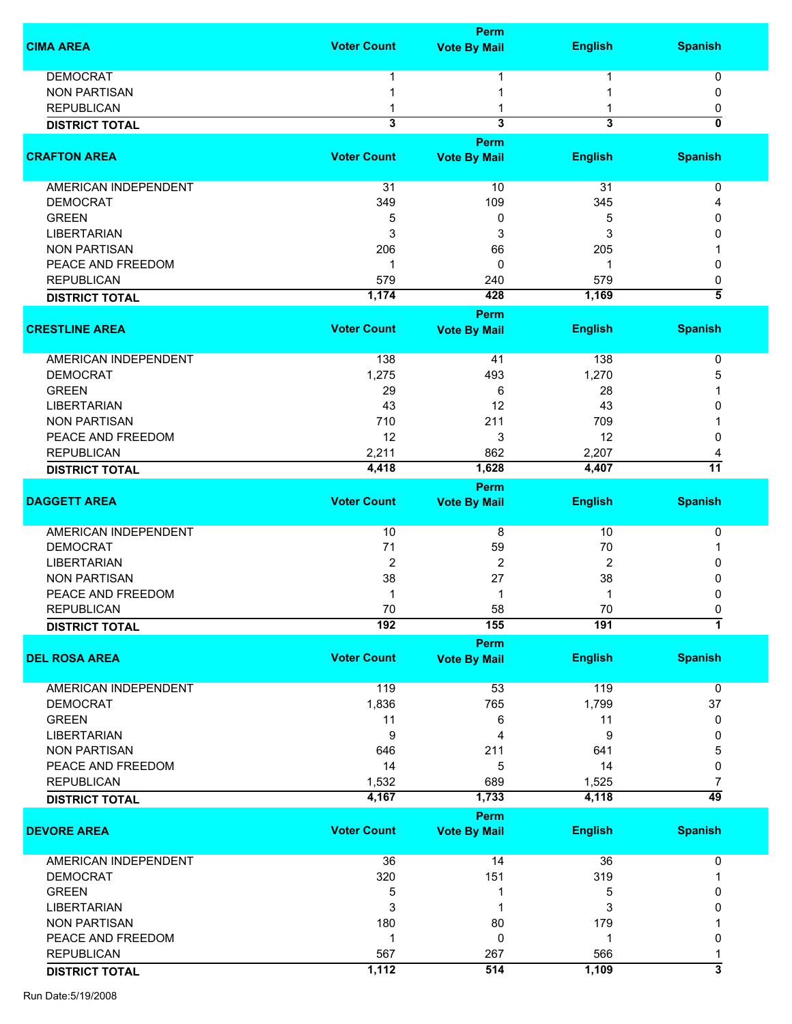|                             |                    | Perm                |                         |                              |
|-----------------------------|--------------------|---------------------|-------------------------|------------------------------|
| <b>CIMA AREA</b>            | <b>Voter Count</b> | <b>Vote By Mail</b> | <b>English</b>          | <b>Spanish</b>               |
| <b>DEMOCRAT</b>             |                    |                     |                         | 0                            |
| <b>NON PARTISAN</b>         |                    |                     |                         | $\mathbf{0}$                 |
| <b>REPUBLICAN</b>           |                    |                     |                         |                              |
|                             | 3                  | 3                   | $\overline{\mathbf{3}}$ | 0<br>$\overline{\mathbf{0}}$ |
| <b>DISTRICT TOTAL</b>       |                    | Perm                |                         |                              |
| <b>CRAFTON AREA</b>         | <b>Voter Count</b> | <b>Vote By Mail</b> | <b>English</b>          | <b>Spanish</b>               |
| <b>AMERICAN INDEPENDENT</b> | 31                 | 10                  | 31                      | 0                            |
| <b>DEMOCRAT</b>             | 349                | 109                 | 345                     | Δ                            |
| <b>GREEN</b>                | 5                  | 0                   | 5                       | 0                            |
| <b>LIBERTARIAN</b>          | 3                  | 3                   | 3                       | O                            |
| <b>NON PARTISAN</b>         | 206                | 66                  | 205                     |                              |
| PEACE AND FREEDOM           | 1                  | 0                   | 1                       | 0                            |
| <b>REPUBLICAN</b>           | 579                | 240                 | 579                     | 0                            |
|                             | 1,174              | 428                 | 1,169                   | $\overline{\bf 5}$           |
| <b>DISTRICT TOTAL</b>       |                    |                     |                         |                              |
| <b>CRESTLINE AREA</b>       | <b>Voter Count</b> | Perm                |                         | <b>Spanish</b>               |
|                             |                    | <b>Vote By Mail</b> | <b>English</b>          |                              |
| <b>AMERICAN INDEPENDENT</b> | 138                | 41                  | 138                     | 0                            |
| <b>DEMOCRAT</b>             | 1,275              | 493                 | 1,270                   | 5                            |
| <b>GREEN</b>                | 29                 | 6                   | 28                      |                              |
| <b>LIBERTARIAN</b>          | 43                 | 12                  | 43                      |                              |
| <b>NON PARTISAN</b>         | 710                | 211                 | 709                     |                              |
| PEACE AND FREEDOM           | 12                 | 3                   | 12                      | 0                            |
| <b>REPUBLICAN</b>           | 2,211              | 862                 | 2,207                   |                              |
|                             | 4,418              | 1,628               | 4,407                   | $\overline{11}$              |
| <b>DISTRICT TOTAL</b>       |                    |                     |                         |                              |
|                             |                    | Perm                |                         |                              |
| <b>DAGGETT AREA</b>         | <b>Voter Count</b> | <b>Vote By Mail</b> | <b>English</b>          | <b>Spanish</b>               |
| AMERICAN INDEPENDENT        | 10                 | 8                   | 10                      | 0                            |
| <b>DEMOCRAT</b>             | 71                 | 59                  | 70                      |                              |
| <b>LIBERTARIAN</b>          | $\overline{2}$     | 2                   | 2                       | 0                            |
| <b>NON PARTISAN</b>         | 38                 | 27                  | 38                      | 0                            |
| PEACE AND FREEDOM           | 1                  | 1                   | 1                       | 0                            |
| <b>REPUBLICAN</b>           | 70                 | 58                  | $70\,$                  | U                            |
| <b>DISTRICT TOTAL</b>       | 192                | 155                 | 191                     | $\overline{1}$               |
|                             |                    | Perm                |                         |                              |
| <b>DEL ROSA AREA</b>        | <b>Voter Count</b> | <b>Vote By Mail</b> | <b>English</b>          | <b>Spanish</b>               |
| <b>AMERICAN INDEPENDENT</b> | 119                | 53                  | 119                     | 0                            |
| <b>DEMOCRAT</b>             | 1,836              | 765                 | 1,799                   | 37                           |
| <b>GREEN</b>                | 11                 | 6                   | 11                      | 0                            |
| <b>LIBERTARIAN</b>          | 9                  | 4                   | 9                       | 0                            |
| <b>NON PARTISAN</b>         | 646                | 211                 | 641                     | 5                            |
| PEACE AND FREEDOM           | 14                 | 5                   | 14                      | 0                            |
| <b>REPUBLICAN</b>           | 1,532              | 689                 | 1,525                   | 7                            |
| <b>DISTRICT TOTAL</b>       | 4,167              | 1,733               | 4,118                   | $\overline{49}$              |
|                             |                    | Perm                |                         |                              |
| <b>DEVORE AREA</b>          | <b>Voter Count</b> | <b>Vote By Mail</b> | <b>English</b>          | <b>Spanish</b>               |
| AMERICAN INDEPENDENT        | 36                 | 14                  | 36                      | 0                            |
| <b>DEMOCRAT</b>             | 320                | 151                 | 319                     |                              |
| <b>GREEN</b>                | 5                  | 1                   | 5                       | 0                            |
| <b>LIBERTARIAN</b>          | 3                  | 1                   | 3                       | 0                            |
| <b>NON PARTISAN</b>         | 180                | 80                  | 179                     |                              |
| PEACE AND FREEDOM           | 1                  | 0                   | 1                       | 0                            |
| <b>REPUBLICAN</b>           | 567                | 267                 | 566                     |                              |
| <b>DISTRICT TOTAL</b>       | 1,112              | 514                 | 1,109                   | $\overline{\mathbf{3}}$      |
|                             |                    |                     |                         |                              |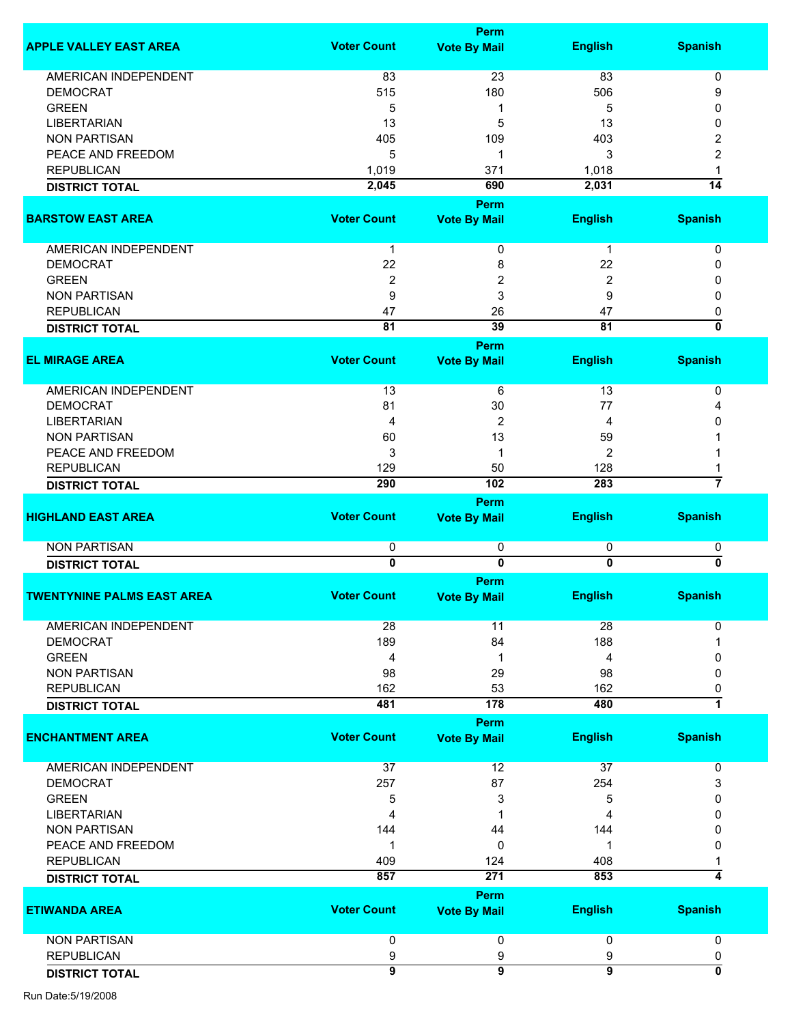|                                   |                    | Perm                        |                |                           |
|-----------------------------------|--------------------|-----------------------------|----------------|---------------------------|
| <b>APPLE VALLEY EAST AREA</b>     | <b>Voter Count</b> | <b>Vote By Mail</b>         | <b>English</b> | <b>Spanish</b>            |
|                                   |                    |                             |                |                           |
| <b>AMERICAN INDEPENDENT</b>       | 83                 | 23                          | 83             | 0                         |
| <b>DEMOCRAT</b>                   | 515                | 180                         | 506            | 9                         |
| <b>GREEN</b>                      | 5                  | 1                           | 5              | 0                         |
| <b>LIBERTARIAN</b>                | 13                 | 5                           | 13             | 0                         |
| <b>NON PARTISAN</b>               | 405                | 109                         | 403            | 2                         |
| PEACE AND FREEDOM                 | 5                  | 1                           | 3              | 2                         |
| <b>REPUBLICAN</b>                 | 1,019              | 371                         | 1,018          | 1                         |
| <b>DISTRICT TOTAL</b>             | 2,045              | 690                         | 2,031          | $\overline{14}$           |
|                                   |                    | <b>Perm</b>                 |                |                           |
| <b>BARSTOW EAST AREA</b>          | <b>Voter Count</b> | <b>Vote By Mail</b>         | <b>English</b> | <b>Spanish</b>            |
| AMERICAN INDEPENDENT              | 1                  | 0                           | 1              | 0                         |
| <b>DEMOCRAT</b>                   | 22                 | 8                           | 22             | 0                         |
| <b>GREEN</b>                      | 2                  | 2                           | 2              | 0                         |
| <b>NON PARTISAN</b>               | 9                  | 3                           | 9              | 0                         |
| <b>REPUBLICAN</b>                 | 47                 | 26                          | 47             | 0                         |
| <b>DISTRICT TOTAL</b>             | 81                 | 39                          | 81             | $\overline{\mathfrak{o}}$ |
|                                   |                    | Perm                        |                |                           |
| <b>EL MIRAGE AREA</b>             | <b>Voter Count</b> | <b>Vote By Mail</b>         | <b>English</b> | <b>Spanish</b>            |
|                                   |                    |                             |                |                           |
| AMERICAN INDEPENDENT              | 13                 | 6                           | 13             | 0                         |
| <b>DEMOCRAT</b>                   | 81                 | 30                          | 77             | 4                         |
| <b>LIBERTARIAN</b>                | 4                  | 2                           | 4              | 0                         |
| <b>NON PARTISAN</b>               | 60                 | 13                          | 59             |                           |
| PEACE AND FREEDOM                 | 3                  | 1                           | $\overline{2}$ |                           |
| <b>REPUBLICAN</b>                 | 129                | 50                          | 128            |                           |
| <b>DISTRICT TOTAL</b>             | 290                | 102                         | 283            | 7                         |
|                                   |                    | Perm                        |                |                           |
| <b>HIGHLAND EAST AREA</b>         | <b>Voter Count</b> | <b>Vote By Mail</b>         | <b>English</b> | <b>Spanish</b>            |
| <b>NON PARTISAN</b>               | 0                  | 0                           | 0              | 0                         |
| <b>DISTRICT TOTAL</b>             | $\overline{0}$     | $\overline{0}$              | $\overline{0}$ | $\overline{\mathbf{0}}$   |
|                                   |                    | Perm                        |                |                           |
| <b>TWENTYNINE PALMS EAST AREA</b> | <b>Voter Count</b> | <b>Vote By Mail</b>         | <b>English</b> | <b>Spanish</b>            |
| <b>AMERICAN INDEPENDENT</b>       | 28                 | 11                          | 28             | 0                         |
| <b>DEMOCRAT</b>                   | 189                | 84                          | 188            |                           |
| <b>GREEN</b>                      | 4                  | 1                           | 4              | 0                         |
| <b>NON PARTISAN</b>               | 98                 | 29                          | 98             | $\Omega$                  |
| <b>REPUBLICAN</b>                 | 162                | 53                          | 162            | 0                         |
| <b>DISTRICT TOTAL</b>             | 481                | 178                         | 480            | 1                         |
|                                   |                    | Perm                        |                |                           |
| <b>ENCHANTMENT AREA</b>           | <b>Voter Count</b> | <b>Vote By Mail</b>         | <b>English</b> | <b>Spanish</b>            |
| <b>AMERICAN INDEPENDENT</b>       | 37                 | 12                          | 37             | 0                         |
| <b>DEMOCRAT</b>                   | 257                | 87                          | 254            | 3                         |
| <b>GREEN</b>                      | 5                  | 3                           | 5              | 0                         |
| <b>LIBERTARIAN</b>                | 4                  | 1                           | 4              | 0                         |
| <b>NON PARTISAN</b>               | 144                | 44                          | 144            | 0                         |
| PEACE AND FREEDOM                 | 1                  | 0                           | 1              | 0                         |
| <b>REPUBLICAN</b>                 | 409                | 124                         | 408            |                           |
|                                   | 857                | $\overline{271}$            | 853            | 4                         |
| <b>DISTRICT TOTAL</b>             |                    |                             |                |                           |
| <b>ETIWANDA AREA</b>              | <b>Voter Count</b> | Perm<br><b>Vote By Mail</b> | <b>English</b> | <b>Spanish</b>            |
| <b>NON PARTISAN</b>               | 0                  | 0                           | 0              | $\mathbf 0$               |
| <b>REPUBLICAN</b>                 | 9                  |                             | 9              |                           |
|                                   | $\overline{9}$     | 9<br>$\overline{9}$         | $\overline{9}$ | 0<br>0                    |
| <b>DISTRICT TOTAL</b>             |                    |                             |                |                           |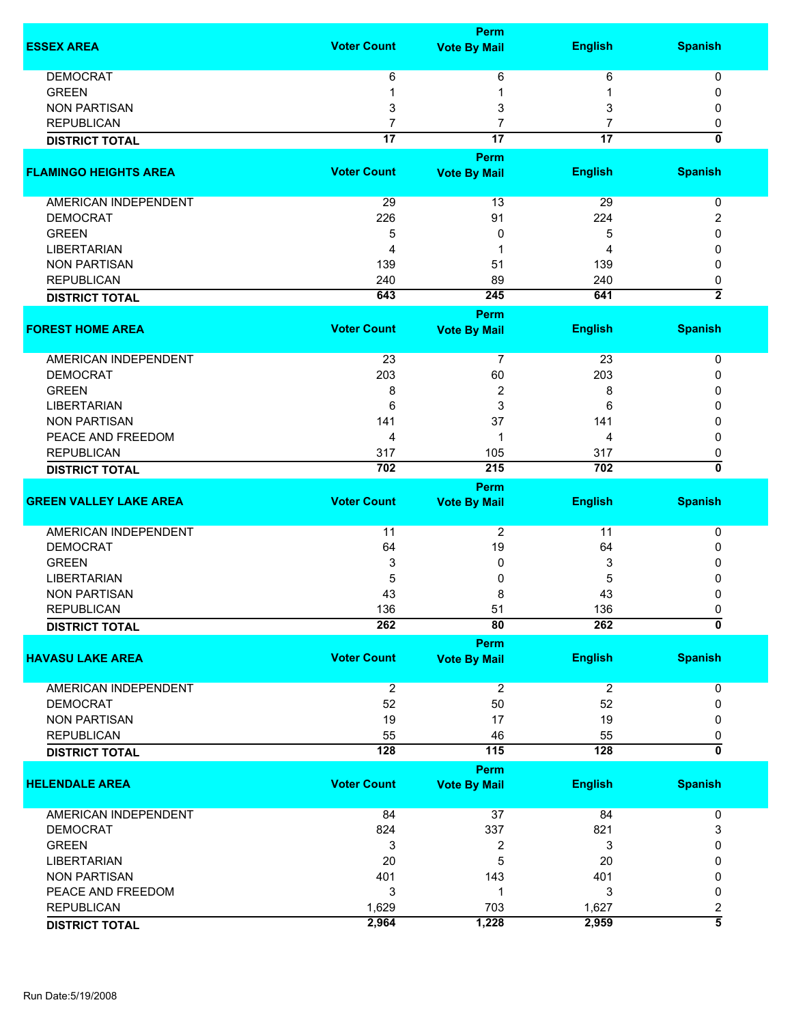|                               |                    | <b>Perm</b>             |                 |                           |
|-------------------------------|--------------------|-------------------------|-----------------|---------------------------|
| <b>ESSEX AREA</b>             | <b>Voter Count</b> | <b>Vote By Mail</b>     | <b>English</b>  | <b>Spanish</b>            |
| <b>DEMOCRAT</b>               | 6                  | 6                       | 6               | 0                         |
| <b>GREEN</b>                  |                    | 1                       |                 | 0                         |
| <b>NON PARTISAN</b>           | 3                  | 3                       | 3               | 0                         |
| <b>REPUBLICAN</b>             | 7                  | 7                       |                 | 0                         |
| <b>DISTRICT TOTAL</b>         | $\overline{17}$    | $\overline{17}$         | $\overline{17}$ | $\overline{\mathbf{0}}$   |
|                               |                    | <b>Perm</b>             |                 |                           |
| <b>FLAMINGO HEIGHTS AREA</b>  | <b>Voter Count</b> | <b>Vote By Mail</b>     | <b>English</b>  | <b>Spanish</b>            |
| AMERICAN INDEPENDENT          | 29                 | 13                      | 29              | 0                         |
| <b>DEMOCRAT</b>               | 226                | 91                      | 224             | 2                         |
| <b>GREEN</b>                  | 5                  | 0                       | 5               | 0                         |
| <b>LIBERTARIAN</b>            | 4                  | 1                       | 4               | 0                         |
| <b>NON PARTISAN</b>           | 139                | 51                      | 139             | 0                         |
| <b>REPUBLICAN</b>             | 240                | 89                      | 240             | 0                         |
| <b>DISTRICT TOTAL</b>         | 643                | 245                     | 641             | $\overline{2}$            |
|                               |                    | <b>Perm</b>             |                 |                           |
| <b>FOREST HOME AREA</b>       | <b>Voter Count</b> | <b>Vote By Mail</b>     | <b>English</b>  | <b>Spanish</b>            |
| <b>AMERICAN INDEPENDENT</b>   | 23                 | $\overline{7}$          | 23              | 0                         |
| <b>DEMOCRAT</b>               | 203                | 60                      | 203             | 0                         |
| <b>GREEN</b>                  | 8                  | 2                       | 8               | 0                         |
| <b>LIBERTARIAN</b>            | 6                  | 3                       | 6               | 0                         |
| <b>NON PARTISAN</b>           | 141                | 37                      | 141             | 0                         |
| PEACE AND FREEDOM             | 4                  | 1                       | 4               | 0                         |
| <b>REPUBLICAN</b>             | 317                | 105                     | 317             | 0                         |
| <b>DISTRICT TOTAL</b>         | 702                | 215                     | 702             | 0                         |
|                               |                    | <b>Perm</b>             |                 |                           |
| <b>GREEN VALLEY LAKE AREA</b> | <b>Voter Count</b> | <b>Vote By Mail</b>     | <b>English</b>  | <b>Spanish</b>            |
|                               |                    |                         |                 |                           |
| <b>AMERICAN INDEPENDENT</b>   | 11                 | 2                       | 11              | 0                         |
| <b>DEMOCRAT</b>               | 64                 | 19                      | 64              | 0                         |
| <b>GREEN</b>                  | 3                  | 0                       | 3               | 0                         |
| <b>LIBERTARIAN</b>            | 5                  | 0                       | 5               | 0                         |
| <b>NON PARTISAN</b>           | 43                 | 8                       | 43              | 0                         |
| <b>REPUBLICAN</b>             | 136                | 51                      | 136             | 0                         |
| <b>DISTRICT TOTAL</b>         | 262                | 80                      | 262             | $\overline{\mathfrak{o}}$ |
|                               |                    | <b>Perm</b>             |                 |                           |
| <b>HAVASU LAKE AREA</b>       | <b>Voter Count</b> | <b>Vote By Mail</b>     | <b>English</b>  | <b>Spanish</b>            |
| AMERICAN INDEPENDENT          | $\boldsymbol{2}$   | $\overline{\mathbf{c}}$ | $\overline{c}$  | 0                         |
| <b>DEMOCRAT</b>               | 52                 | 50                      | 52              | 0                         |
| <b>NON PARTISAN</b>           | 19                 | 17                      | 19              | 0                         |
| <b>REPUBLICAN</b>             | 55                 | 46                      | 55              | 0                         |
| <b>DISTRICT TOTAL</b>         | 128                | 115                     | 128             | ō                         |
|                               |                    | <b>Perm</b>             |                 |                           |
| <b>HELENDALE AREA</b>         | <b>Voter Count</b> | <b>Vote By Mail</b>     | <b>English</b>  | <b>Spanish</b>            |
| <b>AMERICAN INDEPENDENT</b>   | 84                 | 37                      | 84              | 0                         |
| <b>DEMOCRAT</b>               | 824                | 337                     | 821             |                           |
|                               |                    |                         |                 | 3                         |
| <b>GREEN</b>                  | 3                  | 2                       | 3               | 0                         |
| <b>LIBERTARIAN</b>            | 20                 | 5                       | 20              | 0                         |
| <b>NON PARTISAN</b>           | 401                | 143                     | 401             | 0                         |
| PEACE AND FREEDOM             | 3                  | 1                       | 3               | 0                         |
| <b>REPUBLICAN</b>             | 1,629              | 703                     | 1,627           | 2<br>$\overline{5}$       |
| <b>DISTRICT TOTAL</b>         | 2,964              | 1,228                   | 2,959           |                           |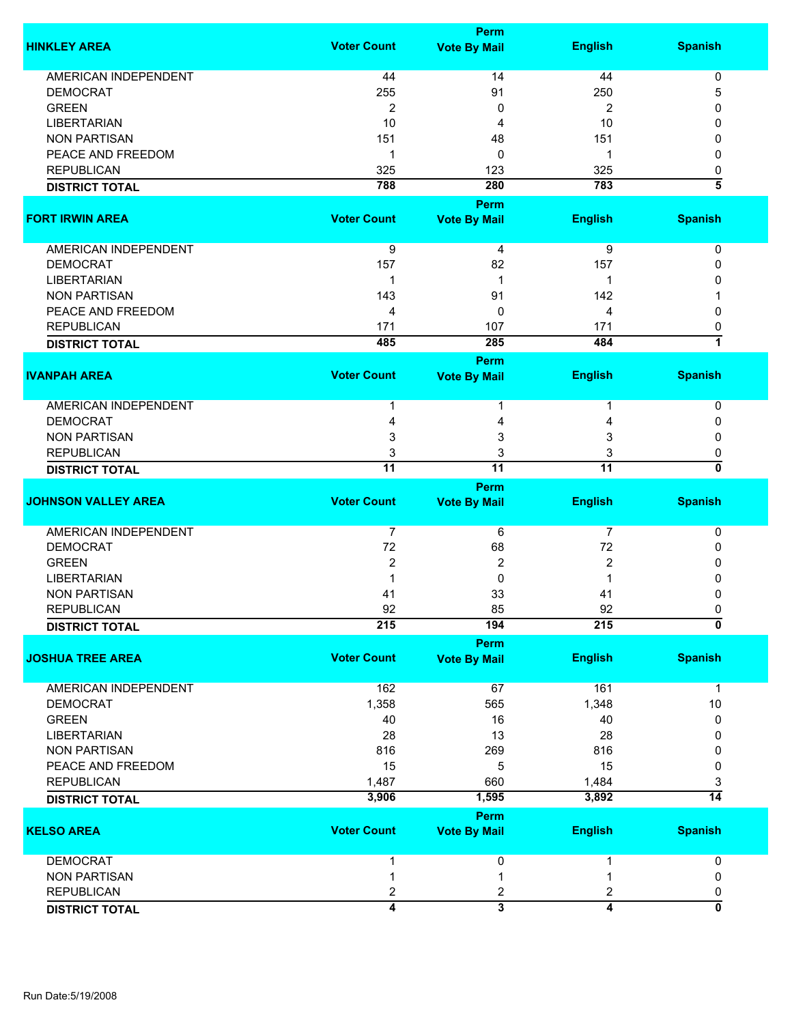|                             |                         | Perm                               |                 |                           |
|-----------------------------|-------------------------|------------------------------------|-----------------|---------------------------|
| <b>HINKLEY AREA</b>         | <b>Voter Count</b>      | <b>Vote By Mail</b>                | <b>English</b>  | <b>Spanish</b>            |
| AMERICAN INDEPENDENT        | 44                      | 14                                 | 44              | 0                         |
| <b>DEMOCRAT</b>             | 255                     | 91                                 | 250             | 5                         |
| <b>GREEN</b>                | 2                       | 0                                  | 2               | 0                         |
| <b>LIBERTARIAN</b>          | 10                      | 4                                  | 10              | 0                         |
| <b>NON PARTISAN</b>         | 151                     | 48                                 | 151             | 0                         |
| PEACE AND FREEDOM           | 1                       | 0                                  | 1               | 0                         |
| <b>REPUBLICAN</b>           | 325                     | 123                                | 325             | 0                         |
|                             | 788                     | 280                                | 783             | 3                         |
| <b>DISTRICT TOTAL</b>       |                         |                                    |                 |                           |
| <b>FORT IRWIN AREA</b>      | <b>Voter Count</b>      | <b>Perm</b><br><b>Vote By Mail</b> | <b>English</b>  | <b>Spanish</b>            |
|                             |                         |                                    |                 |                           |
| AMERICAN INDEPENDENT        | 9                       | 4                                  | 9               | 0                         |
| <b>DEMOCRAT</b>             | 157                     | 82                                 | 157             | 0                         |
| <b>LIBERTARIAN</b>          | 1                       | 1                                  | 1               | O                         |
| <b>NON PARTISAN</b>         | 143                     | 91                                 | 142             |                           |
| PEACE AND FREEDOM           | 4                       | 0                                  | 4               | 0                         |
| <b>REPUBLICAN</b>           | 171                     | 107                                | 171             | 0                         |
| <b>DISTRICT TOTAL</b>       | 485                     | 285                                | 484             | 1                         |
|                             |                         | Perm                               |                 |                           |
| <b>IVANPAH AREA</b>         | <b>Voter Count</b>      | <b>Vote By Mail</b>                | <b>English</b>  | <b>Spanish</b>            |
| AMERICAN INDEPENDENT        | 1                       | 1                                  |                 | 0                         |
| <b>DEMOCRAT</b>             | 4                       |                                    |                 | 0                         |
|                             | 3                       | 4                                  | 4               |                           |
| <b>NON PARTISAN</b>         |                         | 3                                  | 3               | 0                         |
| <b>REPUBLICAN</b>           | 3                       | 3                                  | 3               | 0<br>0                    |
| <b>DISTRICT TOTAL</b>       | $\overline{11}$         | $\overline{11}$                    | $\overline{11}$ |                           |
|                             | <b>Voter Count</b>      | Perm                               |                 |                           |
| <b>JOHNSON VALLEY AREA</b>  |                         | <b>Vote By Mail</b>                | <b>English</b>  | <b>Spanish</b>            |
| <b>AMERICAN INDEPENDENT</b> | $\overline{7}$          | 6                                  | $\overline{7}$  | 0                         |
| <b>DEMOCRAT</b>             | 72                      | 68                                 | 72              | 0                         |
| <b>GREEN</b>                | $\overline{2}$          | $\overline{2}$                     | 2               | 0                         |
| <b>LIBERTARIAN</b>          |                         | 0                                  |                 | 0                         |
| <b>NON PARTISAN</b>         | 41                      | 33                                 | 41              | 0                         |
| <b>REPUBLICAN</b>           | 92                      | 85                                 | 92              | 0                         |
| <b>DISTRICT TOTAL</b>       | 215                     | 194                                | 215             | $\overline{\mathfrak{o}}$ |
|                             |                         | <b>Perm</b>                        |                 |                           |
| <b>JOSHUA TREE AREA</b>     | <b>Voter Count</b>      | <b>Vote By Mail</b>                | <b>English</b>  | <b>Spanish</b>            |
| <b>AMERICAN INDEPENDENT</b> | 162                     | 67                                 | 161             | 1                         |
| <b>DEMOCRAT</b>             | 1,358                   | 565                                | 1,348           | 10                        |
| <b>GREEN</b>                | 40                      | 16                                 | 40              | 0                         |
| <b>LIBERTARIAN</b>          | 28                      | 13                                 | 28              | 0                         |
| <b>NON PARTISAN</b>         | 816                     | 269                                | 816             | 0                         |
|                             | 15                      |                                    | 15              |                           |
| PEACE AND FREEDOM           |                         | 5                                  |                 | 0                         |
| <b>REPUBLICAN</b>           | 1,487                   | 660                                | 1,484           | 3                         |
| <b>DISTRICT TOTAL</b>       | 3,906                   | 1,595                              | 3,892           | $\overline{14}$           |
|                             |                         | Perm                               |                 |                           |
| <b>KELSO AREA</b>           | <b>Voter Count</b>      | <b>Vote By Mail</b>                | <b>English</b>  | <b>Spanish</b>            |
| <b>DEMOCRAT</b>             | 1                       | 0                                  |                 | 0                         |
| <b>NON PARTISAN</b>         | 1                       | 1                                  |                 | 0                         |
| <b>REPUBLICAN</b>           | 2                       | 2                                  | 2               | 0                         |
|                             | $\overline{\mathbf{4}}$ | $\overline{\mathbf{3}}$            | 4               | $\overline{\mathfrak{o}}$ |
| <b>DISTRICT TOTAL</b>       |                         |                                    |                 |                           |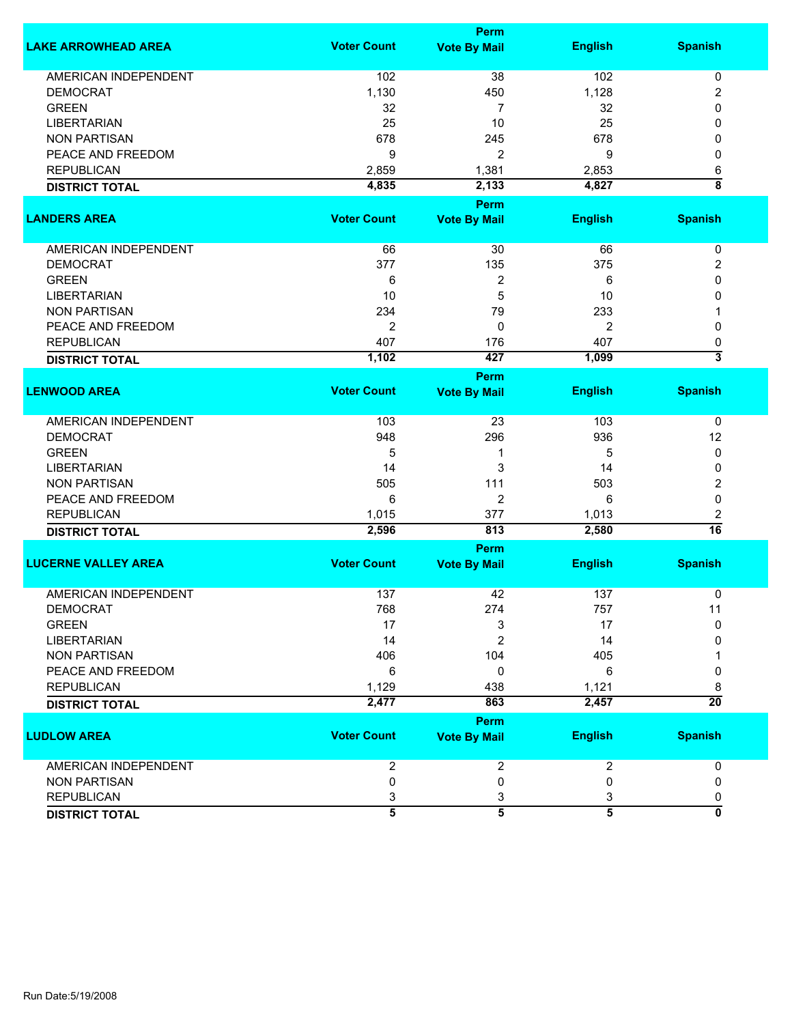|                             | <b>Perm</b>             |                         |                         |                           |  |
|-----------------------------|-------------------------|-------------------------|-------------------------|---------------------------|--|
| <b>LAKE ARROWHEAD AREA</b>  | <b>Voter Count</b>      | <b>Vote By Mail</b>     | <b>English</b>          | <b>Spanish</b>            |  |
| <b>AMERICAN INDEPENDENT</b> | 102                     | 38                      | 102                     | 0                         |  |
| <b>DEMOCRAT</b>             | 1,130                   | 450                     | 1,128                   | 2                         |  |
| <b>GREEN</b>                | 32                      | 7                       | 32                      | 0                         |  |
| <b>LIBERTARIAN</b>          | 25                      | 10                      | 25                      | 0                         |  |
| <b>NON PARTISAN</b>         | 678                     | 245                     | 678                     | 0                         |  |
| PEACE AND FREEDOM           | 9                       | 2                       | 9                       | 0                         |  |
| <b>REPUBLICAN</b>           |                         | 1,381                   |                         |                           |  |
|                             | 2,859                   |                         | 2,853                   | 6<br>$\overline{\bf 8}$   |  |
| <b>DISTRICT TOTAL</b>       | 4,835                   | 2,133                   | 4,827                   |                           |  |
|                             |                         | <b>Perm</b>             |                         |                           |  |
| <b>LANDERS AREA</b>         | <b>Voter Count</b>      | <b>Vote By Mail</b>     | <b>English</b>          | <b>Spanish</b>            |  |
| AMERICAN INDEPENDENT        | 66                      | 30                      | 66                      | 0                         |  |
| <b>DEMOCRAT</b>             | 377                     | 135                     | 375                     | 2                         |  |
| <b>GREEN</b>                | 6                       | 2                       | 6                       | 0                         |  |
| <b>LIBERTARIAN</b>          | 10                      | 5                       | 10                      | 0                         |  |
| <b>NON PARTISAN</b>         | 234                     | 79                      | 233                     |                           |  |
|                             |                         |                         |                         |                           |  |
| PEACE AND FREEDOM           | 2                       | 0                       | $\overline{2}$          | 0                         |  |
| <b>REPUBLICAN</b>           | 407                     | 176                     | 407                     | 0                         |  |
| <b>DISTRICT TOTAL</b>       | 1,102                   | 427                     | 1,099                   | $\overline{\overline{3}}$ |  |
|                             |                         | <b>Perm</b>             |                         |                           |  |
| <b>LENWOOD AREA</b>         | <b>Voter Count</b>      | <b>Vote By Mail</b>     | <b>English</b>          | <b>Spanish</b>            |  |
| <b>AMERICAN INDEPENDENT</b> | 103                     | 23                      | 103                     | 0                         |  |
| <b>DEMOCRAT</b>             | 948                     | 296                     | 936                     | 12                        |  |
| <b>GREEN</b>                | 5                       | 1                       | 5                       | 0                         |  |
| <b>LIBERTARIAN</b>          | 14                      | 3                       | 14                      | 0                         |  |
| <b>NON PARTISAN</b>         | 505                     | 111                     | 503                     | 2                         |  |
| PEACE AND FREEDOM           | 6                       | 2                       | 6                       | 0                         |  |
|                             |                         |                         |                         |                           |  |
| <b>REPUBLICAN</b>           | 1,015                   | 377                     | 1,013                   | 2<br>$\overline{16}$      |  |
| <b>DISTRICT TOTAL</b>       | 2,596                   | 813                     | 2,580                   |                           |  |
|                             |                         | Perm                    |                         |                           |  |
| <b>LUCERNE VALLEY AREA</b>  | <b>Voter Count</b>      | <b>Vote By Mail</b>     | <b>English</b>          | <b>Spanish</b>            |  |
| <b>AMERICAN INDEPENDENT</b> | 137                     | 42                      | 137                     | 0                         |  |
| <b>DEMOCRAT</b>             | 768                     | 274                     | 757                     | 11                        |  |
| <b>GREEN</b>                | 17                      | 3                       | 17                      | $\Omega$                  |  |
| <b>LIBERTARIAN</b>          | 14                      | $\overline{2}$          | 14                      | 0                         |  |
| <b>NON PARTISAN</b>         | 406                     | 104                     | 405                     |                           |  |
| PEACE AND FREEDOM           | 6                       | 0                       | 6                       | 0                         |  |
| <b>REPUBLICAN</b>           | 1,129                   | 438                     | 1,121                   | 8                         |  |
|                             | 2,477                   | 863                     | 2,457                   | $\overline{20}$           |  |
| <b>DISTRICT TOTAL</b>       |                         | <b>Perm</b>             |                         |                           |  |
| <b>LUDLOW AREA</b>          | <b>Voter Count</b>      | <b>Vote By Mail</b>     | <b>English</b>          | <b>Spanish</b>            |  |
|                             |                         |                         |                         |                           |  |
| AMERICAN INDEPENDENT        | $\overline{\mathbf{c}}$ | $\overline{\mathbf{c}}$ | $\overline{\mathbf{c}}$ | 0                         |  |
| <b>NON PARTISAN</b>         | 0                       | 0                       | 0                       | 0                         |  |
| <b>REPUBLICAN</b>           | 3                       | 3                       | 3                       | 0                         |  |
| <b>DISTRICT TOTAL</b>       | $\overline{5}$          | $\overline{5}$          | $\overline{5}$          | 0                         |  |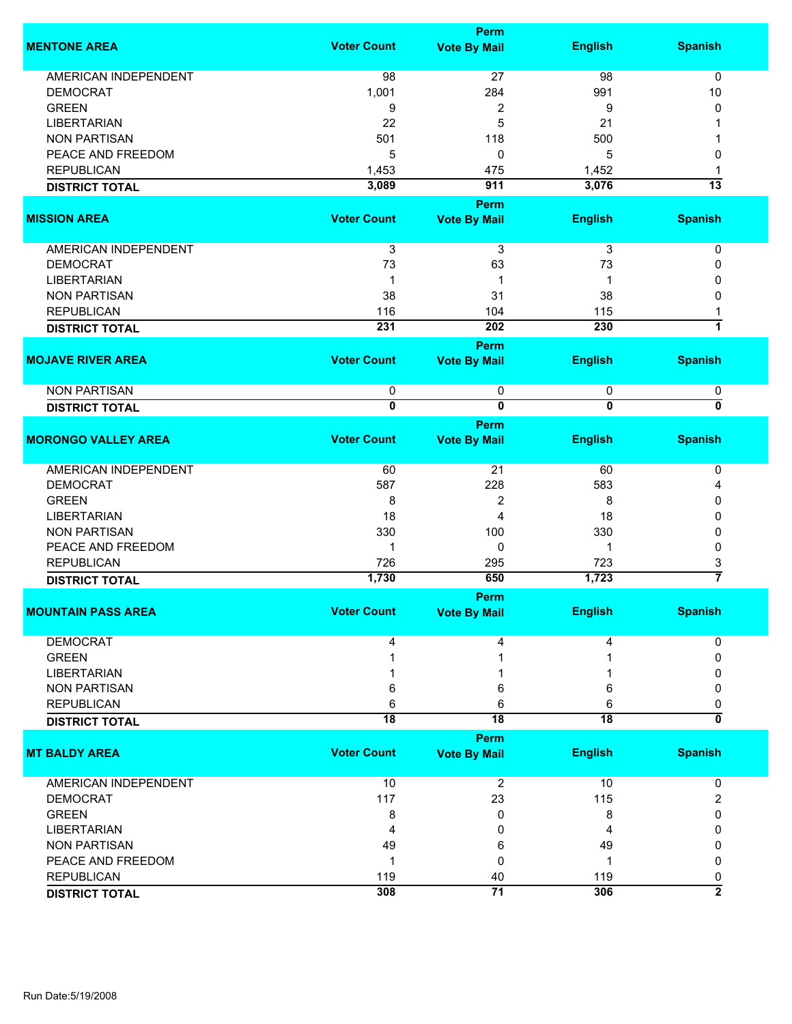|                             |                              | <b>Perm</b>                          |                              |                     |
|-----------------------------|------------------------------|--------------------------------------|------------------------------|---------------------|
| <b>MENTONE AREA</b>         | <b>Voter Count</b>           | <b>Vote By Mail</b>                  | <b>English</b>               | <b>Spanish</b>      |
| <b>AMERICAN INDEPENDENT</b> | 98                           | 27                                   | 98                           | $\mathbf 0$         |
|                             |                              |                                      |                              |                     |
| <b>DEMOCRAT</b>             | 1,001                        | 284                                  | 991                          | 10                  |
| <b>GREEN</b>                | 9                            | $\overline{\mathbf{c}}$              | 9                            | 0                   |
| <b>LIBERTARIAN</b>          | 22                           | 5                                    | 21                           |                     |
| <b>NON PARTISAN</b>         | 501                          | 118                                  | 500                          |                     |
| PEACE AND FREEDOM           | 5                            | 0                                    | 5                            | 0                   |
| <b>REPUBLICAN</b>           | 1,453                        | 475                                  | 1,452                        | -1                  |
| <b>DISTRICT TOTAL</b>       | 3,089                        | 911                                  | 3,076                        | $\overline{13}$     |
|                             |                              | Perm                                 |                              |                     |
| <b>MISSION AREA</b>         | <b>Voter Count</b>           | <b>Vote By Mail</b>                  | <b>English</b>               | <b>Spanish</b>      |
| <b>AMERICAN INDEPENDENT</b> |                              |                                      |                              |                     |
|                             | $\ensuremath{\mathsf{3}}$    | 3                                    | 3                            | 0                   |
| <b>DEMOCRAT</b>             | 73                           | 63                                   | 73                           | 0                   |
| <b>LIBERTARIAN</b>          | 1                            | 1                                    | 1                            | 0                   |
| <b>NON PARTISAN</b>         | 38                           | 31                                   | 38                           | 0                   |
| <b>REPUBLICAN</b>           | 116                          | 104                                  | 115                          |                     |
| <b>DISTRICT TOTAL</b>       | 231                          | 202                                  | 230                          | $\overline{1}$      |
|                             |                              | <b>Perm</b>                          |                              |                     |
| <b>MOJAVE RIVER AREA</b>    | <b>Voter Count</b>           | <b>Vote By Mail</b>                  | <b>English</b>               | <b>Spanish</b>      |
|                             |                              |                                      |                              |                     |
| <b>NON PARTISAN</b>         | 0<br>$\overline{\mathbf{0}}$ | $\pmb{0}$<br>$\overline{\mathbf{0}}$ | 0<br>$\overline{\mathbf{0}}$ | 0<br>0              |
| <b>DISTRICT TOTAL</b>       |                              |                                      |                              |                     |
| <b>MORONGO VALLEY AREA</b>  | <b>Voter Count</b>           | <b>Perm</b><br><b>Vote By Mail</b>   | <b>English</b>               | <b>Spanish</b>      |
|                             |                              |                                      |                              |                     |
| <b>AMERICAN INDEPENDENT</b> | 60                           | 21                                   | 60                           | 0                   |
| <b>DEMOCRAT</b>             | 587                          | 228                                  | 583                          | 4                   |
| <b>GREEN</b>                | 8                            | $\overline{c}$                       | 8                            | 0                   |
| <b>LIBERTARIAN</b>          | 18                           | 4                                    | 18                           | 0                   |
| <b>NON PARTISAN</b>         | 330                          | 100                                  | 330                          | 0                   |
| PEACE AND FREEDOM           | 1                            | 0                                    | 1                            | 0                   |
|                             |                              |                                      |                              |                     |
| <b>REPUBLICAN</b>           | 726                          | 295                                  | 723                          | 3<br>$\overline{7}$ |
| <b>DISTRICT TOTAL</b>       | 1,730                        | 650                                  | 1,723                        |                     |
|                             |                              | Perm                                 |                              |                     |
| <b>MOUNTAIN PASS AREA</b>   | <b>Voter Count</b>           | <b>Vote By Mail</b>                  | <b>English</b>               | <b>Spanish</b>      |
| <b>DEMOCRAT</b>             | 4                            | 4                                    | 4                            | 0                   |
| <b>GREEN</b>                |                              |                                      |                              | 0                   |
| <b>LIBERTARIAN</b>          |                              |                                      |                              |                     |
| <b>NON PARTISAN</b>         | 6                            | 6                                    | 6                            | 0                   |
| <b>REPUBLICAN</b>           | 6                            | 6                                    | 6                            | 0                   |
| <b>DISTRICT TOTAL</b>       | $\overline{18}$              | $\overline{18}$                      | $\overline{18}$              | 0                   |
|                             |                              | Perm                                 |                              |                     |
| <b>MT BALDY AREA</b>        | <b>Voter Count</b>           | <b>Vote By Mail</b>                  | <b>English</b>               | <b>Spanish</b>      |
|                             |                              |                                      |                              |                     |
| <b>AMERICAN INDEPENDENT</b> | 10                           | 2                                    | 10                           | 0                   |
| <b>DEMOCRAT</b>             | 117                          | 23                                   | 115                          | 2                   |
| <b>GREEN</b>                | 8                            | 0                                    | 8                            | 0                   |
| <b>LIBERTARIAN</b>          | 4                            | 0                                    | 4                            | 0                   |
| <b>NON PARTISAN</b>         | 49                           | 6                                    | 49                           | 0                   |
| PEACE AND FREEDOM           | 1                            | 0                                    | 1                            | 0                   |
| <b>REPUBLICAN</b>           |                              |                                      |                              |                     |
|                             | 119                          | 40<br>$\overline{71}$                | 119                          | 0<br>$\overline{2}$ |
| <b>DISTRICT TOTAL</b>       | 308                          |                                      | 306                          |                     |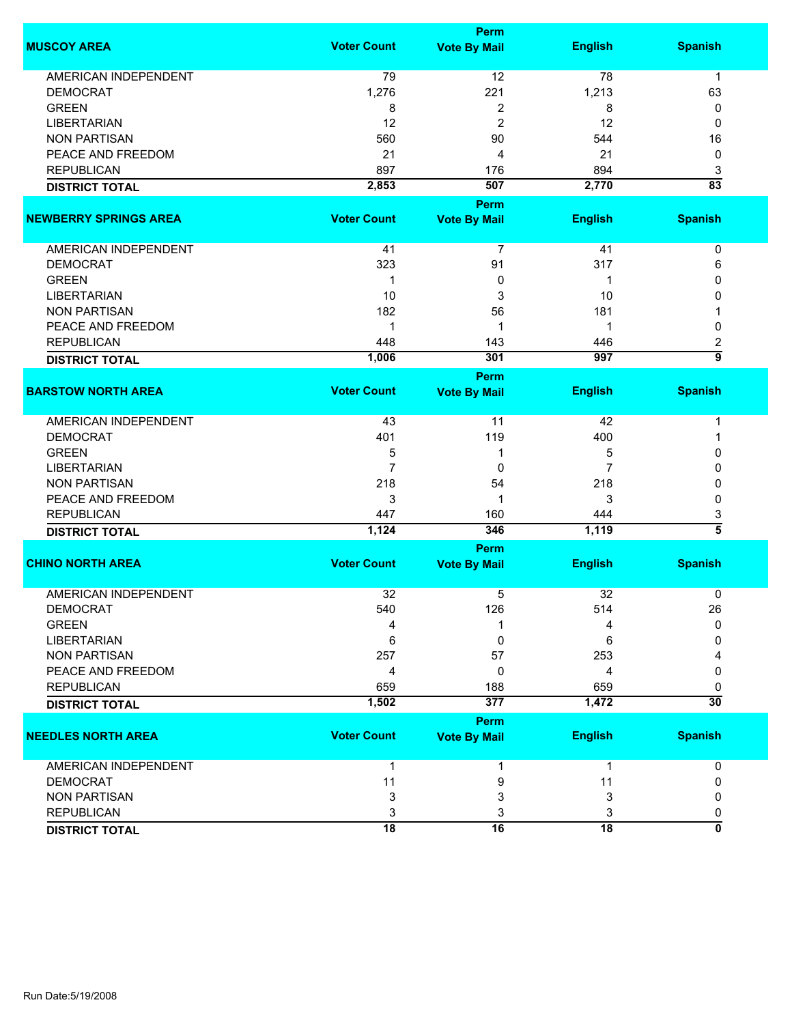|                              | <b>Perm</b>        |                     |                 |                      |  |
|------------------------------|--------------------|---------------------|-----------------|----------------------|--|
| <b>MUSCOY AREA</b>           | <b>Voter Count</b> | <b>Vote By Mail</b> | <b>English</b>  | <b>Spanish</b>       |  |
| AMERICAN INDEPENDENT         | 79                 | 12                  | 78              | $\mathbf 1$          |  |
| <b>DEMOCRAT</b>              | 1,276              | 221                 | 1,213           | 63                   |  |
| <b>GREEN</b>                 | 8                  | 2                   | 8               | 0                    |  |
| <b>LIBERTARIAN</b>           | 12                 | $\overline{c}$      | 12              | 0                    |  |
| <b>NON PARTISAN</b>          | 560                | 90                  | 544             | 16                   |  |
| PEACE AND FREEDOM            | 21                 | 4                   | 21              | 0                    |  |
| <b>REPUBLICAN</b>            | 897                |                     | 894             |                      |  |
|                              |                    | 176                 |                 | 3<br>$\overline{83}$ |  |
| <b>DISTRICT TOTAL</b>        | 2,853              | 507                 | 2,770           |                      |  |
|                              |                    | Perm                |                 |                      |  |
| <b>NEWBERRY SPRINGS AREA</b> | <b>Voter Count</b> | <b>Vote By Mail</b> | <b>English</b>  | <b>Spanish</b>       |  |
| AMERICAN INDEPENDENT         | 41                 | $\overline{7}$      | 41              | 0                    |  |
| <b>DEMOCRAT</b>              | 323                | 91                  | 317             | 6                    |  |
| <b>GREEN</b>                 | $\mathbf 1$        | 0                   | 1               | 0                    |  |
| <b>LIBERTARIAN</b>           | 10                 | 3                   | 10              | 0                    |  |
| <b>NON PARTISAN</b>          | 182                | 56                  | 181             |                      |  |
| PEACE AND FREEDOM            | $\mathbf 1$        | 1                   | 1               |                      |  |
| <b>REPUBLICAN</b>            |                    |                     |                 | 0                    |  |
|                              | 448                | 143                 | 446             | 2<br>$\overline{9}$  |  |
| <b>DISTRICT TOTAL</b>        | 1,006              | 301                 | 997             |                      |  |
|                              |                    | <b>Perm</b>         |                 |                      |  |
| <b>BARSTOW NORTH AREA</b>    | <b>Voter Count</b> | <b>Vote By Mail</b> | <b>English</b>  | <b>Spanish</b>       |  |
| <b>AMERICAN INDEPENDENT</b>  | 43                 | 11                  | 42              | 1                    |  |
| <b>DEMOCRAT</b>              | 401                | 119                 | 400             | 1                    |  |
| <b>GREEN</b>                 | 5                  | 1                   | 5               | 0                    |  |
| <b>LIBERTARIAN</b>           | $\overline{7}$     | 0                   | 7               | 0                    |  |
| <b>NON PARTISAN</b>          | 218                | 54                  | 218             | 0                    |  |
| PEACE AND FREEDOM            | 3                  | 1                   | 3               | 0                    |  |
| <b>REPUBLICAN</b>            | 447                | 160                 | 444             | 3                    |  |
| <b>DISTRICT TOTAL</b>        | 1,124              | 346                 | 1,119           | $\overline{5}$       |  |
|                              |                    |                     |                 |                      |  |
|                              |                    | Perm                |                 |                      |  |
| <b>CHINO NORTH AREA</b>      | <b>Voter Count</b> | <b>Vote By Mail</b> | <b>English</b>  | <b>Spanish</b>       |  |
| <b>AMERICAN INDEPENDENT</b>  | 32                 | 5                   | 32              | 0                    |  |
| <b>DEMOCRAT</b>              | 540                | 126                 | 514             | 26                   |  |
| <b>GREEN</b>                 | 4                  | 1                   | 4               | $\Omega$             |  |
| <b>LIBERTARIAN</b>           | 6                  | 0                   | 6               | 0                    |  |
| <b>NON PARTISAN</b>          | 257                | 57                  | 253             |                      |  |
| PEACE AND FREEDOM            | 4                  | 0                   | 4               | 0                    |  |
| <b>REPUBLICAN</b>            | 659                | 188                 | 659             | 0                    |  |
|                              | 1,502              | 377                 | 1,472           | $\overline{30}$      |  |
| <b>DISTRICT TOTAL</b>        |                    |                     |                 |                      |  |
|                              |                    | <b>Perm</b>         |                 |                      |  |
| <b>NEEDLES NORTH AREA</b>    | <b>Voter Count</b> | <b>Vote By Mail</b> | <b>English</b>  | <b>Spanish</b>       |  |
| <b>AMERICAN INDEPENDENT</b>  | $\mathbf{1}$       | 1                   | $\mathbf{1}$    | 0                    |  |
| <b>DEMOCRAT</b>              | 11                 | 9                   | 11              | 0                    |  |
| <b>NON PARTISAN</b>          | 3                  | 3                   | 3               | 0                    |  |
| <b>REPUBLICAN</b>            | 3                  | 3                   | 3               | 0                    |  |
| <b>DISTRICT TOTAL</b>        | $\overline{18}$    | 16                  | $\overline{18}$ | Ō                    |  |
|                              |                    |                     |                 |                      |  |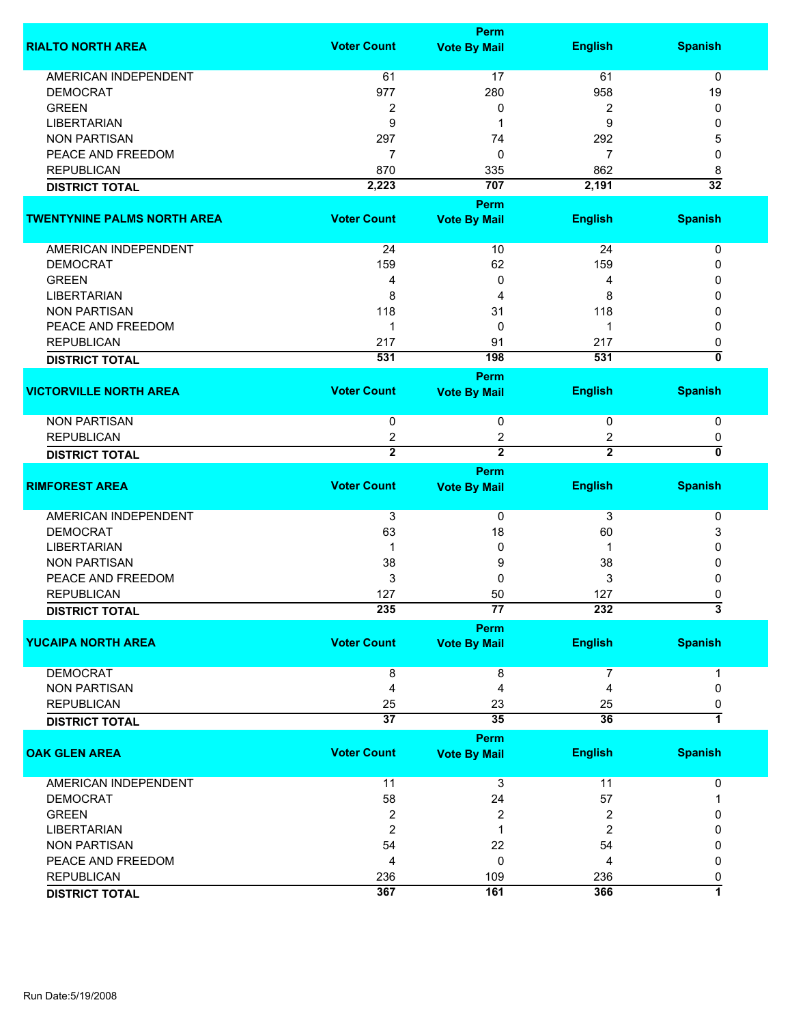|                                    |                         | <b>Perm</b>             |                       |                           |
|------------------------------------|-------------------------|-------------------------|-----------------------|---------------------------|
| <b>RIALTO NORTH AREA</b>           | <b>Voter Count</b>      | <b>Vote By Mail</b>     | <b>English</b>        | <b>Spanish</b>            |
|                                    |                         |                         |                       |                           |
| <b>AMERICAN INDEPENDENT</b>        | 61                      | 17                      | 61                    | $\mathbf 0$               |
| <b>DEMOCRAT</b>                    | 977                     | 280                     | 958                   | 19                        |
| <b>GREEN</b>                       | $\overline{2}$          | 0                       | 2                     | 0                         |
| <b>LIBERTARIAN</b>                 | 9                       | 1                       | 9                     | 0                         |
| <b>NON PARTISAN</b>                | 297                     | 74                      | 292                   | 5                         |
| PEACE AND FREEDOM                  | $\overline{7}$          | 0                       | 7                     | 0                         |
| <b>REPUBLICAN</b>                  | 870                     | 335                     | 862                   | 8                         |
| <b>DISTRICT TOTAL</b>              | 2,223                   | 707                     | 2,191                 | $\overline{32}$           |
| <b>TWENTYNINE PALMS NORTH AREA</b> | <b>Voter Count</b>      | Perm                    |                       |                           |
|                                    |                         | <b>Vote By Mail</b>     | <b>English</b>        | <b>Spanish</b>            |
| AMERICAN INDEPENDENT               | 24                      | 10                      | 24                    | 0                         |
| <b>DEMOCRAT</b>                    | 159                     | 62                      | 159                   | 0                         |
| <b>GREEN</b>                       | 4                       | 0                       | 4                     | 0                         |
| <b>LIBERTARIAN</b>                 | 8                       | 4                       | 8                     | 0                         |
| <b>NON PARTISAN</b>                | 118                     | 31                      | 118                   | 0                         |
| PEACE AND FREEDOM                  | -1                      | 0                       | 1                     | 0                         |
| <b>REPUBLICAN</b>                  | 217                     | 91                      | 217                   | 0                         |
|                                    | 531                     | 198                     | 531                   | $\overline{\mathfrak{o}}$ |
| <b>DISTRICT TOTAL</b>              |                         |                         |                       |                           |
| <b>VICTORVILLE NORTH AREA</b>      | <b>Voter Count</b>      | <b>Perm</b>             | <b>English</b>        | <b>Spanish</b>            |
|                                    |                         | <b>Vote By Mail</b>     |                       |                           |
| <b>NON PARTISAN</b>                | 0                       | 0                       | 0                     | 0                         |
| <b>REPUBLICAN</b>                  | $\overline{\mathbf{c}}$ | 2                       | 2                     | 0                         |
| <b>DISTRICT TOTAL</b>              | $\overline{2}$          | $\overline{\mathbf{2}}$ | $\overline{2}$        | 70                        |
|                                    |                         | Perm                    |                       |                           |
| <b>RIMFOREST AREA</b>              | <b>Voter Count</b>      | <b>Vote By Mail</b>     | <b>English</b>        | <b>Spanish</b>            |
|                                    |                         |                         |                       |                           |
| AMERICAN INDEPENDENT               | 3                       | 0                       | 3                     | 0                         |
| <b>DEMOCRAT</b>                    | 63                      | 18                      | 60                    | 3                         |
| <b>LIBERTARIAN</b>                 | 1                       | 0                       | 1                     | 0                         |
| <b>NON PARTISAN</b>                | 38                      | 9                       | 38                    | 0                         |
| PEACE AND FREEDOM                  | 3                       | 0                       | 3                     | 0                         |
| <b>REPUBLICAN</b>                  | 127                     | 50                      | 127                   | 0                         |
| <b>DISTRICT TOTAL</b>              | 235                     | 77                      | 232                   | 3                         |
|                                    |                         | <b>Perm</b>             |                       |                           |
| <b>YUCAIPA NORTH AREA</b>          | <b>Voter Count</b>      | <b>Vote By Mail</b>     | <b>English</b>        | <b>Spanish</b>            |
| <b>DEMOCRAT</b>                    | 8                       | 8                       | 7                     | 1                         |
| <b>NON PARTISAN</b>                | 4                       | 4                       | 4                     | 0                         |
| <b>REPUBLICAN</b>                  | 25                      | 23                      |                       |                           |
|                                    | $\overline{37}$         | $\overline{35}$         | 25<br>$\overline{36}$ | 0<br>7                    |
| <b>DISTRICT TOTAL</b>              |                         | Perm                    |                       |                           |
| <b>OAK GLEN AREA</b>               | <b>Voter Count</b>      | <b>Vote By Mail</b>     | <b>English</b>        | <b>Spanish</b>            |
|                                    |                         |                         |                       |                           |
| <b>AMERICAN INDEPENDENT</b>        | 11                      | 3                       | 11                    | 0                         |
| <b>DEMOCRAT</b>                    | 58                      | 24                      | 57                    | 1                         |
| <b>GREEN</b>                       | $\boldsymbol{2}$        | 2                       | 2                     | 0                         |
| <b>LIBERTARIAN</b>                 | $\overline{2}$          | 1                       | 2                     | 0                         |
| <b>NON PARTISAN</b>                | 54                      | 22                      | 54                    | 0                         |
| PEACE AND FREEDOM                  | 4                       | 0                       | 4                     | 0                         |
| <b>REPUBLICAN</b>                  | 236                     | 109                     | 236                   | 0                         |
| <b>DISTRICT TOTAL</b>              | 367                     | 161                     | 366                   | 7                         |
|                                    |                         |                         |                       |                           |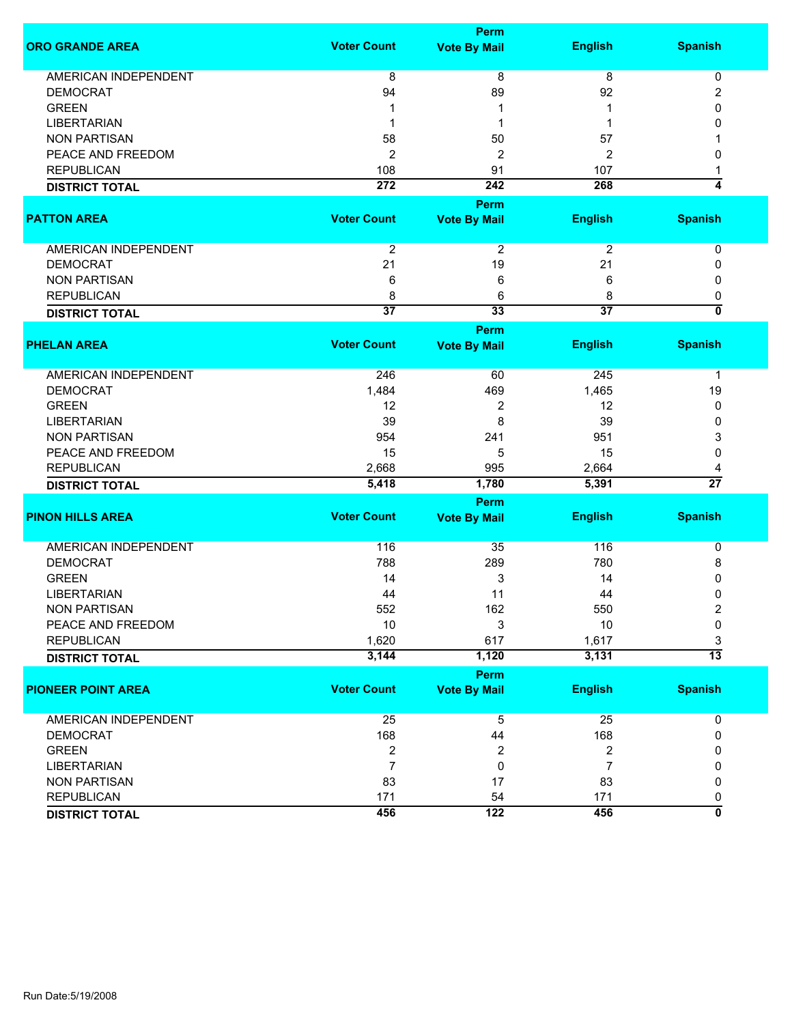|                             | <b>Perm</b>             |                             |                         |                                |  |
|-----------------------------|-------------------------|-----------------------------|-------------------------|--------------------------------|--|
| <b>ORO GRANDE AREA</b>      | <b>Voter Count</b>      | <b>Vote By Mail</b>         | <b>English</b>          | <b>Spanish</b>                 |  |
| <b>AMERICAN INDEPENDENT</b> | 8                       | $\overline{8}$              | $\overline{8}$          | 0                              |  |
| <b>DEMOCRAT</b>             | 94                      | 89                          | 92                      | 2                              |  |
| <b>GREEN</b>                | 1                       | 1                           |                         | 0                              |  |
| <b>LIBERTARIAN</b>          | -1                      |                             |                         | 0                              |  |
| <b>NON PARTISAN</b>         | 58                      | 50                          | 57                      |                                |  |
| PEACE AND FREEDOM           | $\overline{2}$          | 2                           | $\overline{c}$          | 0                              |  |
| <b>REPUBLICAN</b>           | 108                     | 91                          | 107                     |                                |  |
| <b>DISTRICT TOTAL</b>       | 272                     | 242                         | 268                     | 4                              |  |
|                             |                         |                             |                         |                                |  |
| <b>PATTON AREA</b>          | <b>Voter Count</b>      | Perm<br><b>Vote By Mail</b> | <b>English</b>          | <b>Spanish</b>                 |  |
| AMERICAN INDEPENDENT        | $\overline{2}$          | $\overline{2}$              | $\overline{2}$          | 0                              |  |
| <b>DEMOCRAT</b>             | 21                      | 19                          | 21                      | 0                              |  |
| <b>NON PARTISAN</b>         | 6                       | 6                           | 6                       | 0                              |  |
| <b>REPUBLICAN</b>           | 8                       | 6                           | 8                       |                                |  |
|                             | $\overline{37}$         | 33                          | $\overline{37}$         | 0<br>$\overline{\mathfrak{o}}$ |  |
| <b>DISTRICT TOTAL</b>       |                         |                             |                         |                                |  |
|                             |                         | Perm                        |                         |                                |  |
| <b>PHELAN AREA</b>          | <b>Voter Count</b>      | <b>Vote By Mail</b>         | <b>English</b>          | <b>Spanish</b>                 |  |
| <b>AMERICAN INDEPENDENT</b> | 246                     | 60                          | 245                     | 1                              |  |
| <b>DEMOCRAT</b>             | 1,484                   | 469                         | 1,465                   | 19                             |  |
| <b>GREEN</b>                | 12                      | 2                           | 12                      | 0                              |  |
| <b>LIBERTARIAN</b>          | 39                      | 8                           | 39                      | 0                              |  |
| <b>NON PARTISAN</b>         | 954                     | 241                         | 951                     | 3                              |  |
| PEACE AND FREEDOM           | 15                      | 5                           | 15                      | $\mathbf{0}$                   |  |
| <b>REPUBLICAN</b>           | 2,668                   | 995                         | 2,664                   | 4                              |  |
| <b>DISTRICT TOTAL</b>       | 5,418                   | 1,780                       | 5,391                   | $\overline{27}$                |  |
|                             |                         |                             |                         |                                |  |
| <b>PINON HILLS AREA</b>     | <b>Voter Count</b>      | Perm<br><b>Vote By Mail</b> | <b>English</b>          | <b>Spanish</b>                 |  |
|                             |                         |                             |                         |                                |  |
| <b>AMERICAN INDEPENDENT</b> | 116                     | 35                          | 116                     | 0                              |  |
| <b>DEMOCRAT</b>             | 788                     | 289                         | 780                     | 8                              |  |
| <b>GREEN</b>                | 14                      | 3                           | 14                      | 0                              |  |
| <b>LIBERTARIAN</b>          | 44                      | 11                          | 44                      | 0                              |  |
| <b>NON PARTISAN</b>         | 552                     | 162                         | 550                     | $\overline{\mathbf{c}}$        |  |
| PEACE AND FREEDOM           | 10                      | 3                           | 10                      | 0                              |  |
| <b>REPUBLICAN</b>           | 1,620                   | 617                         | 1,617                   | 3                              |  |
| <b>DISTRICT TOTAL</b>       | 3,144                   | 1,120                       | 3,131                   | $\overline{13}$                |  |
|                             |                         | Perm                        |                         |                                |  |
| <b>PIONEER POINT AREA</b>   | <b>Voter Count</b>      | <b>Vote By Mail</b>         | <b>English</b>          | <b>Spanish</b>                 |  |
| <b>AMERICAN INDEPENDENT</b> | 25                      | $\overline{5}$              | 25                      | 0                              |  |
| <b>DEMOCRAT</b>             | 168                     | 44                          | 168                     | 0                              |  |
| <b>GREEN</b>                |                         |                             |                         |                                |  |
| <b>LIBERTARIAN</b>          | $\overline{\mathbf{c}}$ | 2                           | $\overline{\mathbf{c}}$ | 0                              |  |
|                             | $\overline{7}$          | 0                           | $\overline{7}$          | 0                              |  |
| <b>NON PARTISAN</b>         | 83                      | 17                          | 83                      | 0                              |  |
| <b>REPUBLICAN</b>           | 171                     | 54                          | 171                     | 0                              |  |
| <b>DISTRICT TOTAL</b>       | 456                     | 122                         | 456                     | $\overline{\mathfrak{o}}$      |  |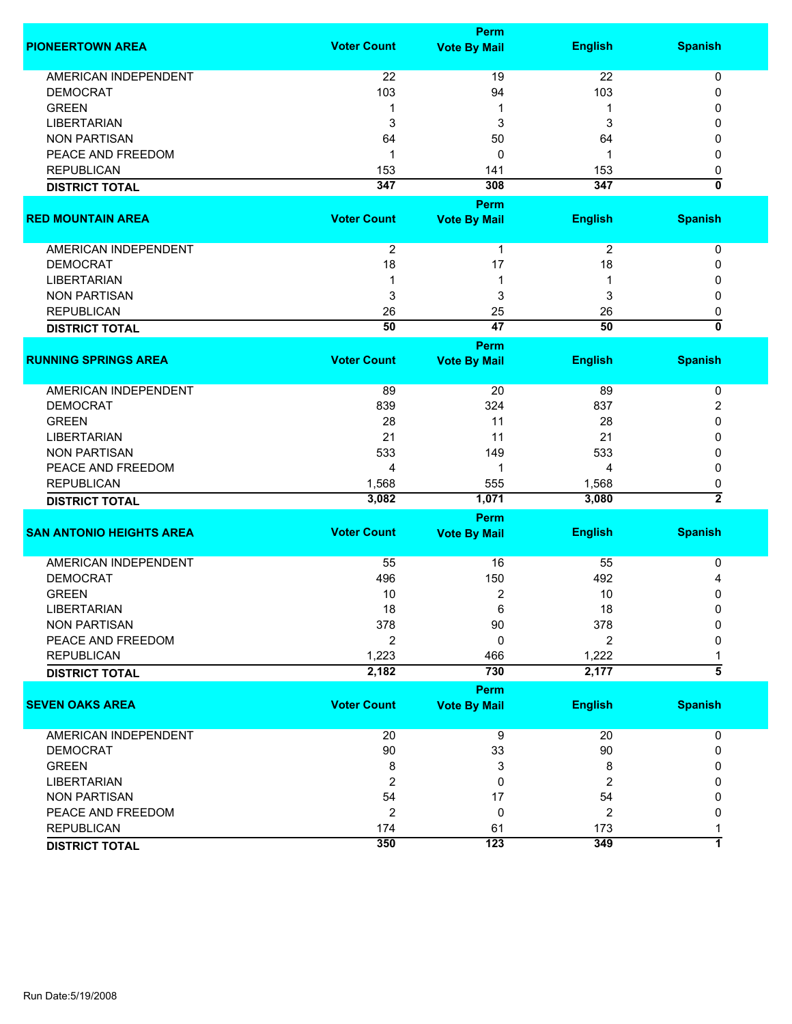|                                 | <b>Perm</b>        |                     |                |                                |  |
|---------------------------------|--------------------|---------------------|----------------|--------------------------------|--|
| <b>PIONEERTOWN AREA</b>         | <b>Voter Count</b> | <b>Vote By Mail</b> | <b>English</b> | <b>Spanish</b>                 |  |
| <b>AMERICAN INDEPENDENT</b>     | 22                 | 19                  | 22             | 0                              |  |
| <b>DEMOCRAT</b>                 | 103                | 94                  | 103            | 0                              |  |
| <b>GREEN</b>                    | 1                  | 1                   | 1              | 0                              |  |
| <b>LIBERTARIAN</b>              | 3                  | 3                   | 3              | 0                              |  |
| <b>NON PARTISAN</b>             | 64                 |                     | 64             |                                |  |
|                                 |                    | 50                  |                | 0                              |  |
| PEACE AND FREEDOM               | 1                  | 0                   | 1              | 0                              |  |
| <b>REPUBLICAN</b>               | 153                | 141                 | 153            | 0                              |  |
| <b>DISTRICT TOTAL</b>           | 347                | 308                 | 347            | $\mathbf{0}$                   |  |
|                                 |                    | <b>Perm</b>         |                |                                |  |
| <b>RED MOUNTAIN AREA</b>        | <b>Voter Count</b> | <b>Vote By Mail</b> | <b>English</b> | <b>Spanish</b>                 |  |
| AMERICAN INDEPENDENT            | $\overline{2}$     | $\mathbf{1}$        | $\overline{2}$ | 0                              |  |
| <b>DEMOCRAT</b>                 | 18                 | 17                  | 18             | 0                              |  |
| <b>LIBERTARIAN</b>              |                    | 1                   |                | 0                              |  |
| <b>NON PARTISAN</b>             | 3                  | 3                   | 3              | 0                              |  |
| <b>REPUBLICAN</b>               |                    |                     |                |                                |  |
|                                 | 26                 | 25                  | 26             | 0<br>$\overline{\mathfrak{o}}$ |  |
| <b>DISTRICT TOTAL</b>           | $\overline{50}$    | $\overline{47}$     | 50             |                                |  |
|                                 |                    | <b>Perm</b>         |                |                                |  |
| <b>RUNNING SPRINGS AREA</b>     | <b>Voter Count</b> | <b>Vote By Mail</b> | <b>English</b> | <b>Spanish</b>                 |  |
| <b>AMERICAN INDEPENDENT</b>     | 89                 | 20                  | 89             | 0                              |  |
| <b>DEMOCRAT</b>                 | 839                | 324                 | 837            | 2                              |  |
| <b>GREEN</b>                    | 28                 | 11                  | 28             | 0                              |  |
| <b>LIBERTARIAN</b>              | 21                 | 11                  | 21             | 0                              |  |
| <b>NON PARTISAN</b>             | 533                | 149                 | 533            |                                |  |
| PEACE AND FREEDOM               |                    |                     |                | 0                              |  |
|                                 | 4                  | 1                   | 4              | 0                              |  |
| <b>REPUBLICAN</b>               | 1,568              | 555                 | 1,568          | 0                              |  |
| <b>DISTRICT TOTAL</b>           | 3,082              | 1,071               | 3,080          | $\overline{2}$                 |  |
|                                 |                    | Perm                |                |                                |  |
| <b>SAN ANTONIO HEIGHTS AREA</b> | <b>Voter Count</b> | <b>Vote By Mail</b> | <b>English</b> | <b>Spanish</b>                 |  |
| <b>AMERICAN INDEPENDENT</b>     | 55                 | 16                  | 55             | 0                              |  |
| <b>DEMOCRAT</b>                 | 496                | 150                 | 492            | 4                              |  |
| <b>GREEN</b>                    | 10                 | 2                   | 10             | 0                              |  |
| LIBERTARIAN                     | 18                 | 6                   | 18             | 0                              |  |
| <b>NON PARTISAN</b>             | 378                | 90                  | 378            | O                              |  |
| PEACE AND FREEDOM               | 2                  | 0                   | 2              | 0                              |  |
| <b>REPUBLICAN</b>               | 1,223              | 466                 | 1,222          |                                |  |
|                                 | 2,182              | 730                 | 2,177          | 5                              |  |
| <b>DISTRICT TOTAL</b>           |                    |                     |                |                                |  |
|                                 |                    | <b>Perm</b>         |                |                                |  |
| <b>SEVEN OAKS AREA</b>          | <b>Voter Count</b> | <b>Vote By Mail</b> | <b>English</b> | <b>Spanish</b>                 |  |
| AMERICAN INDEPENDENT            | 20                 | $\overline{9}$      | 20             | 0                              |  |
| <b>DEMOCRAT</b>                 | 90                 | 33                  | 90             | 0                              |  |
| <b>GREEN</b>                    | 8                  | 3                   | 8              | 0                              |  |
| <b>LIBERTARIAN</b>              | 2                  | 0                   | 2              | 0                              |  |
| <b>NON PARTISAN</b>             | 54                 | 17                  | 54             | 0                              |  |
| PEACE AND FREEDOM               | 2                  | 0                   | 2              | 0                              |  |
| <b>REPUBLICAN</b>               | 174                | 61                  | 173            |                                |  |
| <b>DISTRICT TOTAL</b>           | 350                | 123                 | 349            | $\mathbf{1}$                   |  |
|                                 |                    |                     |                |                                |  |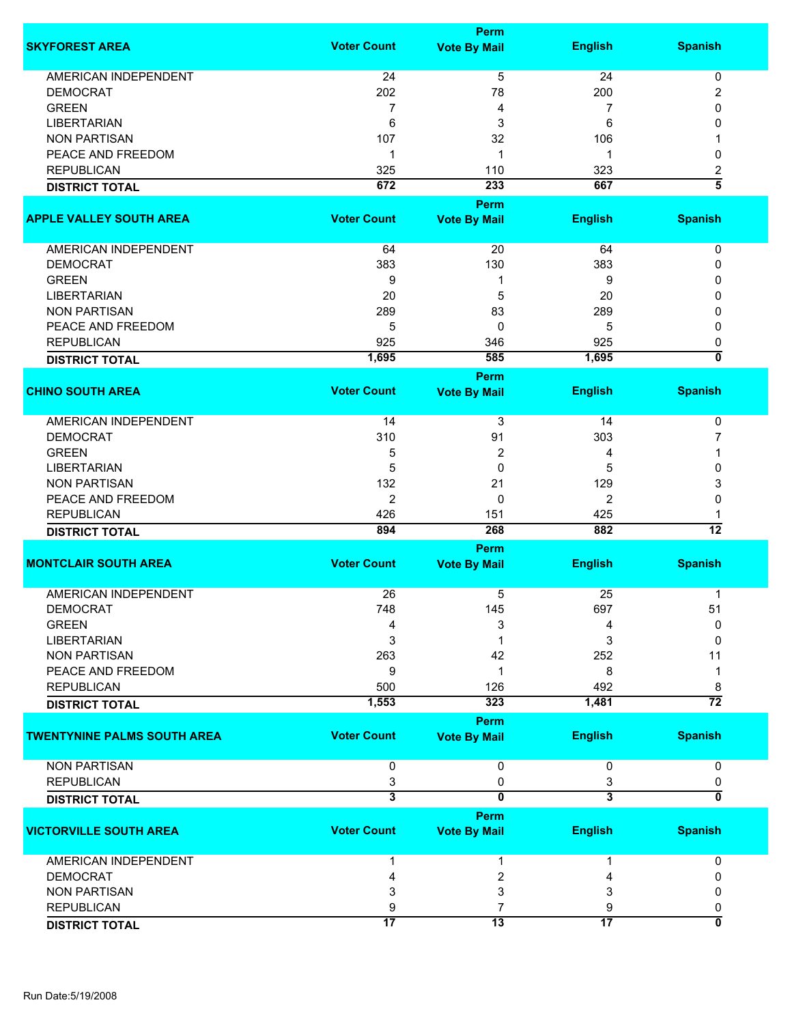|                                    | Perm                    |                         |                         |                           |  |
|------------------------------------|-------------------------|-------------------------|-------------------------|---------------------------|--|
| <b>SKYFOREST AREA</b>              | <b>Voter Count</b>      | <b>Vote By Mail</b>     | <b>English</b>          | <b>Spanish</b>            |  |
| <b>AMERICAN INDEPENDENT</b>        | 24                      | 5                       | 24                      | 0                         |  |
| <b>DEMOCRAT</b>                    | 202                     | 78                      | 200                     | 2                         |  |
| <b>GREEN</b>                       |                         |                         |                         | 0                         |  |
|                                    | 7                       | 4                       | 7                       |                           |  |
| <b>LIBERTARIAN</b>                 | 6                       | 3                       | 6                       | 0                         |  |
| <b>NON PARTISAN</b>                | 107                     | 32                      | 106                     |                           |  |
| PEACE AND FREEDOM                  | 1                       | $\mathbf 1$             | 1                       | 0                         |  |
| <b>REPUBLICAN</b>                  | 325                     | 110                     | 323                     | $\overline{\mathbf{c}}$   |  |
| <b>DISTRICT TOTAL</b>              | 672                     | 233                     | 667                     | $\overline{\bf{5}}$       |  |
|                                    |                         | <b>Perm</b>             |                         |                           |  |
| <b>APPLE VALLEY SOUTH AREA</b>     | <b>Voter Count</b>      | <b>Vote By Mail</b>     | <b>English</b>          | <b>Spanish</b>            |  |
| AMERICAN INDEPENDENT               | 64                      | 20                      | 64                      |                           |  |
|                                    |                         |                         |                         | 0                         |  |
| <b>DEMOCRAT</b>                    | 383                     | 130                     | 383                     | 0                         |  |
| <b>GREEN</b>                       | 9                       | 1                       | 9                       | 0                         |  |
| <b>LIBERTARIAN</b>                 | 20                      | 5                       | 20                      | 0                         |  |
| <b>NON PARTISAN</b>                | 289                     | 83                      | 289                     | 0                         |  |
| PEACE AND FREEDOM                  | 5                       | 0                       | 5                       | 0                         |  |
| <b>REPUBLICAN</b>                  | 925                     | 346                     | 925                     | 0                         |  |
| <b>DISTRICT TOTAL</b>              | 1,695                   | 585                     | 1,695                   | $\overline{\mathfrak{o}}$ |  |
|                                    |                         | <b>Perm</b>             |                         |                           |  |
| <b>CHINO SOUTH AREA</b>            | <b>Voter Count</b>      |                         | <b>English</b>          | <b>Spanish</b>            |  |
|                                    |                         | <b>Vote By Mail</b>     |                         |                           |  |
| <b>AMERICAN INDEPENDENT</b>        | 14                      | 3                       | 14                      | 0                         |  |
| <b>DEMOCRAT</b>                    | 310                     | 91                      | 303                     | 7                         |  |
| <b>GREEN</b>                       | 5                       | $\overline{2}$          | 4                       | 1                         |  |
| <b>LIBERTARIAN</b>                 | 5                       | $\mathbf 0$             | 5                       | 0                         |  |
| <b>NON PARTISAN</b>                | 132                     | 21                      | 129                     |                           |  |
|                                    |                         |                         |                         | 3                         |  |
| PEACE AND FREEDOM                  | $\overline{2}$          | $\mathbf{0}$            | $\overline{2}$          | 0                         |  |
| <b>REPUBLICAN</b>                  | 426                     | 151                     | 425                     |                           |  |
| <b>DISTRICT TOTAL</b>              | 894                     | 268                     | 882                     | $\overline{12}$           |  |
|                                    |                         | <b>Perm</b>             |                         |                           |  |
| <b>MONTCLAIR SOUTH AREA</b>        | <b>Voter Count</b>      | <b>Vote By Mail</b>     | <b>English</b>          | <b>Spanish</b>            |  |
| <b>AMERICAN INDEPENDENT</b>        | 26                      | 5                       | 25                      | 1                         |  |
| <b>DEMOCRAT</b>                    | 748                     | 145                     | 697                     | 51                        |  |
| <b>GREEN</b>                       | 4                       |                         |                         |                           |  |
|                                    |                         | 3                       | 4                       | 0                         |  |
| <b>LIBERTARIAN</b>                 | 3                       |                         | 3                       | 0                         |  |
| <b>NON PARTISAN</b>                | 263                     | 42                      | 252                     | 11                        |  |
| PEACE AND FREEDOM                  | 9                       | 1                       | 8                       | -1                        |  |
| <b>REPUBLICAN</b>                  | 500                     | 126                     | 492                     | 8                         |  |
| <b>DISTRICT TOTAL</b>              | 1,553                   | 323                     | 1,481                   | $\overline{72}$           |  |
|                                    |                         | <b>Perm</b>             |                         |                           |  |
| <b>TWENTYNINE PALMS SOUTH AREA</b> | <b>Voter Count</b>      | <b>Vote By Mail</b>     | <b>English</b>          | <b>Spanish</b>            |  |
| <b>NON PARTISAN</b>                | 0                       | 0                       | 0                       | 0                         |  |
| <b>REPUBLICAN</b>                  | 3                       | 0                       | 3                       | 0                         |  |
| <b>DISTRICT TOTAL</b>              | $\overline{\mathbf{3}}$ | $\overline{0}$          | $\overline{\mathbf{3}}$ | $\overline{0}$            |  |
|                                    |                         | Perm                    |                         |                           |  |
| <b>VICTORVILLE SOUTH AREA</b>      | <b>Voter Count</b>      | <b>Vote By Mail</b>     | <b>English</b>          | <b>Spanish</b>            |  |
| AMERICAN INDEPENDENT               | 1                       | 1                       | 1                       | 0                         |  |
| <b>DEMOCRAT</b>                    | 4                       | $\overline{\mathbf{c}}$ | 4                       | 0                         |  |
| <b>NON PARTISAN</b>                | 3                       | 3                       | 3                       | 0                         |  |
| <b>REPUBLICAN</b>                  |                         | $\overline{7}$          |                         |                           |  |
|                                    | 9                       |                         | 9                       | 0                         |  |
| <b>DISTRICT TOTAL</b>              | $\overline{17}$         | $\overline{13}$         | $\overline{17}$         | $\overline{0}$            |  |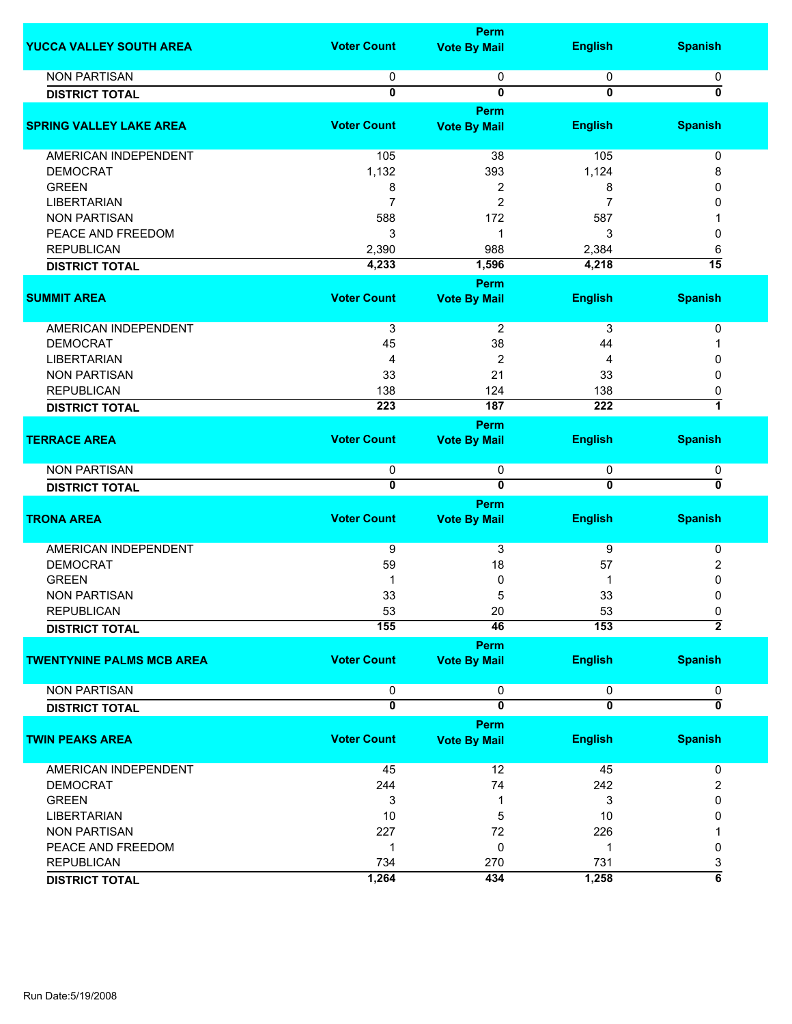|                                  |                    | <b>Perm</b>             |                         |                           |
|----------------------------------|--------------------|-------------------------|-------------------------|---------------------------|
| YUCCA VALLEY SOUTH AREA          | <b>Voter Count</b> | <b>Vote By Mail</b>     | <b>English</b>          | <b>Spanish</b>            |
| <b>NON PARTISAN</b>              | 0                  | 0                       | 0                       | 0                         |
| <b>DISTRICT TOTAL</b>            | 0                  | 0                       | $\mathbf 0$             | 0                         |
|                                  |                    | Perm                    |                         |                           |
| <b>SPRING VALLEY LAKE AREA</b>   | <b>Voter Count</b> | <b>Vote By Mail</b>     | <b>English</b>          | <b>Spanish</b>            |
|                                  |                    |                         |                         |                           |
| AMERICAN INDEPENDENT             | 105                | 38                      | 105                     | 0                         |
| <b>DEMOCRAT</b>                  | 1,132              | 393                     | 1,124                   | 8                         |
| <b>GREEN</b>                     | 8                  | 2                       | 8                       | 0                         |
| <b>LIBERTARIAN</b>               | $\overline{7}$     | $\overline{c}$          | 7                       | 0                         |
| <b>NON PARTISAN</b>              | 588                | 172                     | 587                     |                           |
| PEACE AND FREEDOM                | 3                  | 1                       | 3                       | 0                         |
| <b>REPUBLICAN</b>                | 2,390              | 988                     | 2,384                   | 6                         |
| <b>DISTRICT TOTAL</b>            | 4,233              | 1,596                   | 4,218                   | $\overline{15}$           |
|                                  |                    | Perm                    |                         |                           |
| <b>SUMMIT AREA</b>               | <b>Voter Count</b> | <b>Vote By Mail</b>     | <b>English</b>          | <b>Spanish</b>            |
|                                  |                    |                         |                         |                           |
| AMERICAN INDEPENDENT             | $\overline{3}$     | $\overline{2}$          | 3                       | 0                         |
| <b>DEMOCRAT</b>                  | 45                 | 38                      | 44                      | 1                         |
| <b>LIBERTARIAN</b>               | 4                  | $\overline{\mathbf{c}}$ | 4                       | 0                         |
| <b>NON PARTISAN</b>              | 33                 | 21                      | 33                      | $\mathbf{0}$              |
| <b>REPUBLICAN</b>                | 138                | 124                     | 138                     | 0                         |
| <b>DISTRICT TOTAL</b>            | 223                | 187                     | 222                     | 7                         |
|                                  |                    | Perm                    |                         |                           |
| <b>TERRACE AREA</b>              | <b>Voter Count</b> | <b>Vote By Mail</b>     | <b>English</b>          | <b>Spanish</b>            |
|                                  |                    |                         |                         |                           |
| <b>NON PARTISAN</b>              | 0                  | 0                       | 0                       | 0                         |
| <b>DISTRICT TOTAL</b>            | $\overline{0}$     | $\overline{\mathbf{0}}$ | $\overline{0}$          | $\overline{\mathfrak{o}}$ |
|                                  |                    | Perm                    |                         |                           |
| <b>TRONA AREA</b>                | <b>Voter Count</b> | <b>Vote By Mail</b>     | <b>English</b>          | <b>Spanish</b>            |
|                                  |                    |                         |                         |                           |
| <b>AMERICAN INDEPENDENT</b>      | 9                  | 3                       | 9                       | 0                         |
| <b>DEMOCRAT</b>                  | 59                 | 18                      | 57                      | 2                         |
| <b>GREEN</b>                     | 1                  | 0                       |                         | 0                         |
| <b>NON PARTISAN</b>              | 33                 | 5                       | 33                      | 0                         |
| REPUBLICAN                       | 53                 | 20                      | 53                      | 0                         |
| <b>DISTRICT TOTAL</b>            | 155                | 46                      | 153                     | $\overline{2}$            |
|                                  |                    | Perm                    |                         |                           |
| <b>TWENTYNINE PALMS MCB AREA</b> | <b>Voter Count</b> | <b>Vote By Mail</b>     | <b>English</b>          | <b>Spanish</b>            |
|                                  |                    |                         |                         |                           |
| <b>NON PARTISAN</b>              | 0                  | 0                       | 0                       | 0                         |
| <b>DISTRICT TOTAL</b>            | $\overline{0}$     | $\overline{\mathbf{0}}$ | $\overline{\mathbf{0}}$ | $\overline{\mathfrak{o}}$ |
|                                  |                    |                         |                         |                           |
|                                  | <b>Voter Count</b> | Perm                    |                         |                           |
| <b>TWIN PEAKS AREA</b>           |                    | <b>Vote By Mail</b>     | <b>English</b>          | <b>Spanish</b>            |
| AMERICAN INDEPENDENT             | 45                 | 12                      | 45                      | 0                         |
| <b>DEMOCRAT</b>                  | 244                | 74                      | 242                     |                           |
|                                  |                    |                         |                         | 2                         |
| <b>GREEN</b>                     | 3                  | 1                       | 3                       | 0                         |
| <b>LIBERTARIAN</b>               | 10                 | 5                       | 10                      | 0                         |
| <b>NON PARTISAN</b>              | 227                | 72                      | 226                     |                           |
| PEACE AND FREEDOM                | 1                  | 0                       | -1                      | 0                         |
| <b>REPUBLICAN</b>                | 734                | 270                     | 731                     | 3                         |
| <b>DISTRICT TOTAL</b>            | 1,264              | 434                     | 1,258                   | $\overline{\mathbf{6}}$   |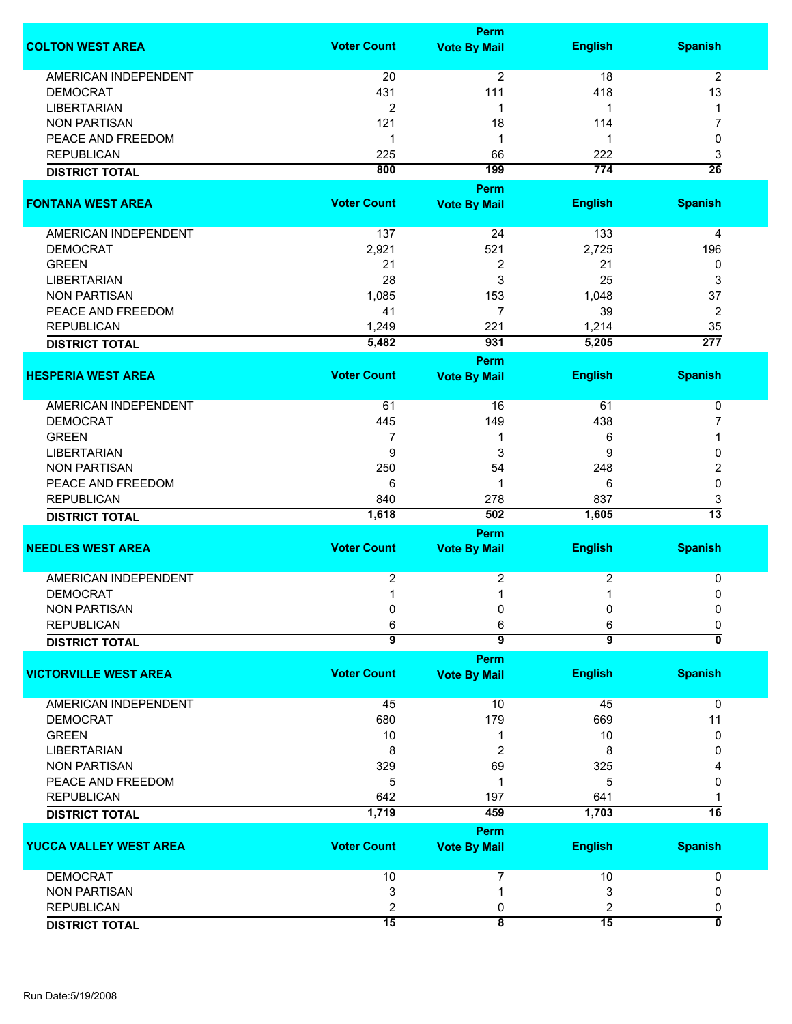|                               |                         | Perm                               |                |                  |
|-------------------------------|-------------------------|------------------------------------|----------------|------------------|
| <b>COLTON WEST AREA</b>       | <b>Voter Count</b>      | <b>Vote By Mail</b>                | <b>English</b> | <b>Spanish</b>   |
| <b>AMERICAN INDEPENDENT</b>   | 20                      | $\overline{2}$                     | 18             | 2                |
| <b>DEMOCRAT</b>               | 431                     | 111                                | 418            | 13               |
| <b>LIBERTARIAN</b>            | $\overline{c}$          | 1                                  | 1              | 1                |
|                               |                         |                                    |                |                  |
| <b>NON PARTISAN</b>           | 121                     | 18                                 | 114            | 7                |
| PEACE AND FREEDOM             | 1                       | -1                                 | 1              | 0                |
| <b>REPUBLICAN</b>             | 225                     | 66                                 | 222            | 3                |
| <b>DISTRICT TOTAL</b>         | 800                     | 199                                | 774            | $\overline{26}$  |
|                               |                         | Perm                               |                |                  |
| <b>FONTANA WEST AREA</b>      | <b>Voter Count</b>      | <b>Vote By Mail</b>                | <b>English</b> | <b>Spanish</b>   |
| AMERICAN INDEPENDENT          | 137                     | 24                                 | 133            | 4                |
| <b>DEMOCRAT</b>               | 2,921                   | 521                                | 2,725          | 196              |
| <b>GREEN</b>                  | 21                      | 2                                  | 21             | 0                |
| <b>LIBERTARIAN</b>            | 28                      | 3                                  | 25             | 3                |
|                               |                         |                                    |                |                  |
| <b>NON PARTISAN</b>           | 1,085                   | 153                                | 1,048          | 37               |
| PEACE AND FREEDOM             | 41                      | $\overline{7}$                     | 39             | 2                |
| <b>REPUBLICAN</b>             | 1,249                   | 221                                | 1,214          | 35               |
| <b>DISTRICT TOTAL</b>         | 5,482                   | 931                                | 5,205          | $\overline{277}$ |
|                               |                         | Perm                               |                |                  |
| <b>HESPERIA WEST AREA</b>     | <b>Voter Count</b>      | <b>Vote By Mail</b>                | <b>English</b> | <b>Spanish</b>   |
| AMERICAN INDEPENDENT          | 61                      | 16                                 | 61             | 0                |
| <b>DEMOCRAT</b>               | 445                     | 149                                | 438            | 7                |
| <b>GREEN</b>                  | 7                       | 1                                  | 6              | 1                |
| LIBERTARIAN                   | 9                       | 3                                  | 9              | 0                |
| <b>NON PARTISAN</b>           | 250                     | 54                                 | 248            | 2                |
|                               |                         | 1                                  |                |                  |
| PEACE AND FREEDOM             | 6                       |                                    | 6              | 0                |
| <b>REPUBLICAN</b>             | 840                     | 278                                | 837            | 3                |
| <b>DISTRICT TOTAL</b>         | 1,618                   | 502                                | 1,605          | $\overline{13}$  |
| <b>NEEDLES WEST AREA</b>      | <b>Voter Count</b>      | <b>Perm</b><br><b>Vote By Mail</b> | <b>English</b> | <b>Spanish</b>   |
|                               |                         |                                    |                |                  |
| <b>AMERICAN INDEPENDENT</b>   | $\overline{\mathbf{c}}$ | 2                                  | 2              | 0                |
| <b>DEMOCRAT</b>               | 1                       | 1                                  | 1              | 0                |
| NON PARTISAN                  | 0                       | 0                                  | 0              | 0                |
| <b>REPUBLICAN</b>             | 6                       | 6                                  | 6              | 0                |
| <b>DISTRICT TOTAL</b>         | $\overline{9}$          | $\overline{9}$                     | $\overline{9}$ | ō                |
|                               |                         | Perm                               |                |                  |
| <b>VICTORVILLE WEST AREA</b>  | <b>Voter Count</b>      | <b>Vote By Mail</b>                | <b>English</b> | <b>Spanish</b>   |
| <b>AMERICAN INDEPENDENT</b>   | 45                      | 10                                 | 45             | $\mathbf 0$      |
| <b>DEMOCRAT</b>               | 680                     | 179                                | 669            | 11               |
| <b>GREEN</b>                  | 10                      |                                    | 10             | 0                |
|                               |                         |                                    |                |                  |
| <b>LIBERTARIAN</b>            | 8                       | $\overline{c}$                     | 8              | 0                |
| <b>NON PARTISAN</b>           | 329                     | 69                                 | 325            |                  |
| PEACE AND FREEDOM             | 5                       | -1                                 | 5              | 0                |
| <b>REPUBLICAN</b>             | 642                     | 197                                | 641            | 1                |
| <b>DISTRICT TOTAL</b>         | 1,719                   | 459                                | 1,703          | $\overline{16}$  |
|                               |                         | Perm                               |                |                  |
| <b>YUCCA VALLEY WEST AREA</b> | <b>Voter Count</b>      | <b>Vote By Mail</b>                | <b>English</b> | <b>Spanish</b>   |
| <b>DEMOCRAT</b>               | 10                      | 7                                  | 10             | 0                |
| <b>NON PARTISAN</b>           | 3                       |                                    | 3              | 0                |
| <b>REPUBLICAN</b>             | 2                       | 0                                  | 2              | 0                |
|                               | $\overline{15}$         | 8                                  | 15             | 0                |
| <b>DISTRICT TOTAL</b>         |                         |                                    |                |                  |